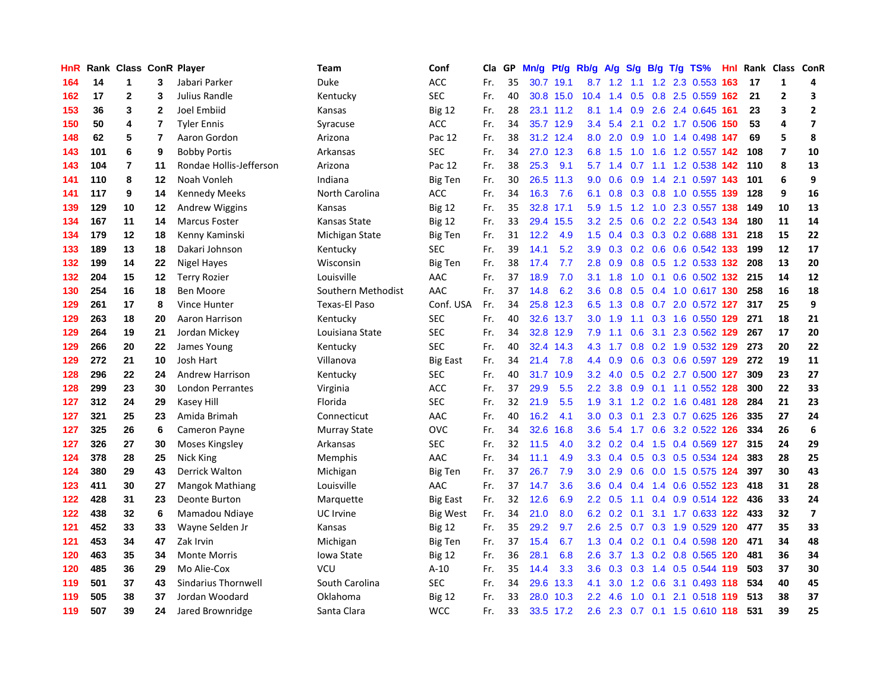| HnR |     | Rank Class ConR Player |                |                            | Team                 | Conf            | Cla | GP | Mn/g | Pt/g      | Rb/g             | <b>A/g</b>    |                  |     | S/g B/g T/g TS%           |     | Hnl Rank | Class ConR     |                         |
|-----|-----|------------------------|----------------|----------------------------|----------------------|-----------------|-----|----|------|-----------|------------------|---------------|------------------|-----|---------------------------|-----|----------|----------------|-------------------------|
| 164 | 14  | 1                      | 3              | Jabari Parker              | Duke                 | <b>ACC</b>      | Fr. | 35 | 30.7 | 19.1      | 8.7              | 1.2           | 1.1              |     | 1.2 2.3 0.553             | 163 | 17       | $\mathbf{1}$   | 4                       |
| 162 | 17  | $\overline{2}$         | 3              | Julius Randle              | Kentucky             | <b>SEC</b>      | Fr. | 40 |      | 30.8 15.0 | 10.4             | 1.4           | 0.5              |     | 0.8 2.5 0.559 162         |     | 21       | $\overline{2}$ | 3                       |
| 153 | 36  | 3                      | $\mathbf{2}$   | Joel Embiid                | Kansas               | <b>Big 12</b>   | Fr. | 28 |      | 23.1 11.2 | 8.1              | 1.4           | 0.9              |     | 2.6 2.4 0.645 161         |     | 23       | 3              | $\overline{2}$          |
| 150 | 50  | 4                      | $\overline{7}$ | <b>Tyler Ennis</b>         | Syracuse             | <b>ACC</b>      | Fr. | 34 |      | 35.7 12.9 | 3.4              | 5.4           |                  |     | 2.1 0.2 1.7 0.506 150     |     | 53       | 4              | $\overline{\mathbf{z}}$ |
| 148 | 62  | 5                      | 7              | Aaron Gordon               | Arizona              | Pac 12          | Fr. | 38 | 31.2 | 12.4      | 8.0              | 2.0           | 0.9 <sup>°</sup> |     | 1.0 1.4 0.498 147         |     | 69       | 5              | 8                       |
| 143 | 101 | 6                      | 9              | <b>Bobby Portis</b>        | Arkansas             | SEC             | Fr. | 34 | 27.0 | 12.3      | 6.8              | 1.5           | 1.0              |     | 1.6 1.2 0.557 142         |     | 108      | $\overline{7}$ | 10                      |
| 143 | 104 | 7                      | 11             | Rondae Hollis-Jefferson    | Arizona              | Pac 12          | Fr. | 38 | 25.3 | 9.1       | 5.7              | 1.4           | 0.7              |     | 1.1 1.2 0.538             | 142 | 110      | 8              | 13                      |
| 141 | 110 | 8                      | 12             | Noah Vonleh                | Indiana              | <b>Big Ten</b>  | Fr. | 30 | 26.5 | 11.3      | 9.0              | 0.6           | 0.9 <sub>0</sub> |     | 1.4 2.1 0.597 143         |     | 101      | 6              | 9                       |
| 141 | 117 | 9                      | 14             | <b>Kennedy Meeks</b>       | North Carolina       | <b>ACC</b>      | Fr. | 34 | 16.3 | 7.6       | 6.1              | 0.8           | 0.3              |     | 0.8 1.0 0.555 139         |     | 128      | 9              | 16                      |
| 139 | 129 | 10                     | 12             | <b>Andrew Wiggins</b>      | Kansas               | <b>Big 12</b>   | Fr. | 35 | 32.8 | 17.1      | 5.9              | 1.5           |                  |     | 1.2 1.0 2.3 0.557 138     |     | 149      | 10             | 13                      |
| 134 | 167 | 11                     | 14             | <b>Marcus Foster</b>       | Kansas State         | <b>Big 12</b>   | Fr. | 33 | 29.4 | 15.5      | 3.2              | 2.5           |                  |     | 0.6 0.2 2.2 0.543 134     |     | 180      | 11             | 14                      |
| 134 | 179 | 12                     | 18             | Kenny Kaminski             | Michigan State       | <b>Big Ten</b>  | Fr. | 31 | 12.2 | 4.9       | 1.5              | 0.4           |                  |     | 0.3 0.3 0.2 0.688 131     |     | 218      | 15             | 22                      |
| 133 | 189 | 13                     | 18             | Dakari Johnson             | Kentucky             | <b>SEC</b>      | Fr. | 39 | 14.1 | 5.2       | 3.9              | 0.3           | 0.2              |     | 0.6 0.6 0.542 133         |     | 199      | 12             | 17                      |
| 132 | 199 | 14                     | 22             | Nigel Hayes                | Wisconsin            | <b>Big Ten</b>  | Fr. | 38 | 17.4 | 7.7       | 2.8              | 0.9           | 0.8              |     | 0.5 1.2 0.533 132         |     | 208      | 13             | 20                      |
| 132 | 204 | 15                     | 12             | <b>Terry Rozier</b>        | Louisville           | AAC             | Fr. | 37 | 18.9 | 7.0       | 3.1              | 1.8           | 1.0              |     | 0.1 0.6 0.502 132         |     | 215      | 14             | 12                      |
| 130 | 254 | 16                     | 18             | Ben Moore                  | Southern Methodist   | AAC             | Fr. | 37 | 14.8 | 6.2       | 3.6              | 0.8           | 0.5              |     | 0.4 1.0 0.617 130         |     | 258      | 16             | 18                      |
| 129 | 261 | 17                     | 8              | <b>Vince Hunter</b>        | <b>Texas-El Paso</b> | Conf. USA       | Fr. | 34 | 25.8 | 12.3      | 6.5              | 1.3           | 0.8              |     | 0.7 2.0 0.572 127         |     | 317      | 25             | 9                       |
| 129 | 263 | 18                     | 20             | Aaron Harrison             | Kentucky             | <b>SEC</b>      | Fr. | 40 | 32.6 | 13.7      | 3.0 <sub>2</sub> | 1.9           |                  |     | 1.1 0.3 1.6 0.550 129     |     | 271      | 18             | 21                      |
| 129 | 264 | 19                     | 21             | Jordan Mickey              | Louisiana State      | <b>SEC</b>      | Fr. | 34 | 32.8 | 12.9      | 7.9              | 1.1           |                  |     | 0.6 3.1 2.3 0.562 129     |     | 267      | 17             | 20                      |
| 129 | 266 | 20                     | 22             | James Young                | Kentucky             | <b>SEC</b>      | Fr. | 40 | 32.4 | 14.3      | 4.3              | 1.7           |                  |     | 0.8 0.2 1.9 0.532 129     |     | 273      | 20             | 22                      |
| 129 | 272 | 21                     | 10             | Josh Hart                  | Villanova            | Big East        | Fr. | 34 | 21.4 | 7.8       | 4.4              | 0.9           | 0.6              |     | 0.3 0.6 0.597 129         |     | 272      | 19             | 11                      |
| 128 | 296 | 22                     | 24             | <b>Andrew Harrison</b>     | Kentucky             | SEC             | Fr. | 40 | 31.7 | 10.9      | 3.2              | 4.0           | 0.5              |     | 0.2 2.7 0.500 127         |     | 309      | 23             | 27                      |
| 128 | 299 | 23                     | 30             | <b>London Perrantes</b>    | Virginia             | <b>ACC</b>      | Fr. | 37 | 29.9 | 5.5       | 2.2              | 3.8           | 0.9              |     | $0.1$ 1.1 0.552 128       |     | 300      | 22             | 33                      |
| 127 | 312 | 24                     | 29             | Kasey Hill                 | Florida              | <b>SEC</b>      | Fr. | 32 | 21.9 | 5.5       | 1.9              |               | $3.1 \quad 1.2$  |     | 0.2 1.6 0.481 128         |     | 284      | 21             | 23                      |
| 127 | 321 | 25                     | 23             | Amida Brimah               | Connecticut          | AAC             | Fr. | 40 | 16.2 | 4.1       | 3.0              | 0.3           | 0.1              |     | 2.3 0.7 0.625 126         |     | 335      | 27             | 24                      |
| 127 | 325 | 26                     | 6              | Cameron Payne              | <b>Murray State</b>  | <b>OVC</b>      | Fr. | 34 | 32.6 | 16.8      | 3.6              | 5.4           |                  |     | 1.7 0.6 3.2 0.522 126     |     | 334      | 26             | 6                       |
| 127 | 326 | 27                     | 30             | Moses Kingsley             | Arkansas             | <b>SEC</b>      | Fr. | 32 | 11.5 | 4.0       | 3.2              | 0.2           |                  |     | 0.4 1.5 0.4 0.569 127     |     | 315      | 24             | 29                      |
| 124 | 378 | 28                     | 25             | Nick King                  | Memphis              | AAC             | Fr. | 34 | 11.1 | 4.9       | 3.3              | $0.4^{\circ}$ |                  |     | 0.5 0.3 0.5 0.534 124     |     | 383      | 28             | 25                      |
| 124 | 380 | 29                     | 43             | Derrick Walton             | Michigan             | <b>Big Ten</b>  | Fr. | 37 | 26.7 | 7.9       | 3.0              | 2.9           | 0.6              |     | 0.0 1.5 0.575 124         |     | 397      | 30             | 43                      |
| 123 | 411 | 30                     | 27             | Mangok Mathiang            | Louisville           | AAC             | Fr. | 37 | 14.7 | 3.6       | 3.6              | 0.4           | 0.4              |     | 1.4 0.6 0.552 123         |     | 418      | 31             | 28                      |
| 122 | 428 | 31                     | 23             | Deonte Burton              | Marquette            | <b>Big East</b> | Fr. | 32 | 12.6 | 6.9       | 2.2              | 0.5           |                  |     | 1.1 0.4 0.9 0.514 122     |     | 436      | 33             | 24                      |
| 122 | 438 | 32                     | 6              | Mamadou Ndiaye             | UC Irvine            | Big West        | Fr. | 34 | 21.0 | 8.0       | 6.2              | 0.2           | 0.1              |     | 3.1 1.7 0.633 122         |     | 433      | 32             | $\overline{\mathbf{z}}$ |
| 121 | 452 | 33                     | 33             | Wayne Selden Jr            | Kansas               | <b>Big 12</b>   | Fr. | 35 | 29.2 | 9.7       | 2.6              | 2.5           | 0.7              |     | 0.3 1.9 0.529 120         |     | 477      | 35             | 33                      |
| 121 | 453 | 34                     | 47             | Zak Irvin                  | Michigan             | <b>Big Ten</b>  | Fr. | 37 | 15.4 | 6.7       | 1.3              | 0.4           |                  |     | 0.2 0.1 0.4 0.598 120     |     | 471      | 34             | 48                      |
| 120 | 463 | 35                     | 34             | <b>Monte Morris</b>        | Iowa State           | <b>Big 12</b>   | Fr. | 36 | 28.1 | 6.8       | 2.6              | 3.7           |                  |     | 1.3 0.2 0.8 0.565 120     |     | 481      | 36             | 34                      |
| 120 | 485 | 36                     | 29             | Mo Alie-Cox                | <b>VCU</b>           | $A-10$          | Fr. | 35 | 14.4 | 3.3       | 3.6              | 0.3           |                  |     | 0.3 1.4 0.5 0.544 119     |     | 503      | 37             | 30                      |
| 119 | 501 | 37                     | 43             | <b>Sindarius Thornwell</b> | South Carolina       | <b>SEC</b>      | Fr. | 34 | 29.6 | 13.3      | 4.1              | 3.0           | 1.2              |     | 0.6 3.1 0.493 118         |     | 534      | 40             | 45                      |
| 119 | 505 | 38                     | 37             | Jordan Woodard             | Oklahoma             | <b>Big 12</b>   | Fr. | 33 | 28.0 | 10.3      | 2.2              | 4.6           | 1.0              | 0.1 | 2.1 0.518 119             |     | 513      | 38             | 37                      |
| 119 | 507 | 39                     | 24             | Jared Brownridge           | Santa Clara          | <b>WCC</b>      | Fr. | 33 |      | 33.5 17.2 | 2.6              |               |                  |     | 2.3 0.7 0.1 1.5 0.610 118 |     | 531      | 39             | 25                      |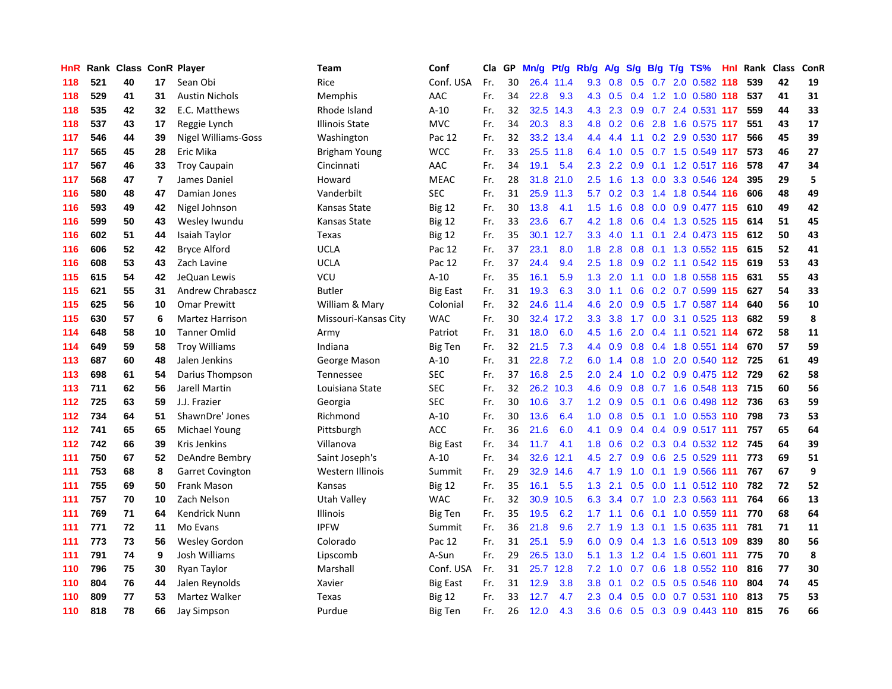| HnR | Rank |    |                | <b>Class ConR Player</b>   | Team                 | Conf            | Cla | GP. | Mn/g | Pt/g      | Rb/g             | <b>A/g</b> |             |  | $S/g$ B/g T/g TS%             | Hnl Rank | <b>Class</b> | ConR |
|-----|------|----|----------------|----------------------------|----------------------|-----------------|-----|-----|------|-----------|------------------|------------|-------------|--|-------------------------------|----------|--------------|------|
| 118 | 521  | 40 | 17             | Sean Obi                   | Rice                 | Conf. USA       | Fr. | 30  | 26.4 | 11.4      | 9.3              | 0.8        | 0.5         |  | 0.7 2.0 0.582 118             | 539      | 42           | 19   |
| 118 | 529  | 41 | 31             | <b>Austin Nichols</b>      | <b>Memphis</b>       | AAC             | Fr. | 34  | 22.8 | 9.3       | 4.3              | 0.5        |             |  | 0.4 1.2 1.0 0.580 118 537     |          | 41           | 31   |
| 118 | 535  | 42 | 32             | E.C. Matthews              | Rhode Island         | $A-10$          | Fr. | 32  | 32.5 | 14.3      | 4.3              | 2.3        |             |  | 0.9 0.7 2.4 0.531 117         | 559      | 44           | 33   |
| 118 | 537  | 43 | 17             | Reggie Lynch               | Illinois State       | <b>MVC</b>      | Fr. | 34  | 20.3 | 8.3       | 4.8              | 0.2        |             |  | 0.6 2.8 1.6 0.575 117         | 551      | 43           | 17   |
| 117 | 546  | 44 | 39             | <b>Nigel Williams-Goss</b> | Washington           | Pac 12          | Fr. | 32  | 33.2 | 13.4      | 4.4              | 4.4        | 1.1         |  | 0.2 2.9 0.530 117             | 566      | 45           | 39   |
| 117 | 565  | 45 | 28             | Eric Mika                  | Brigham Young        | <b>WCC</b>      | Fr. | 33  | 25.5 | 11.8      | 6.4              | 1.0        | 0.5         |  | 0.7 1.5 0.549 117             | 573      | 46           | 27   |
| 117 | 567  | 46 | 33             | <b>Troy Caupain</b>        | Cincinnati           | AAC             | Fr. | 34  | 19.1 | 5.4       | 2.3              | 2.2        | 0.9         |  | 0.1 1.2 0.517 116             | 578      | 47           | 34   |
| 117 | 568  | 47 | $\overline{7}$ | James Daniel               | Howard               | <b>MEAC</b>     | Fr. | 28  | 31.8 | 21.0      | 2.5              | 1.6        | 1.3         |  | 0.0 3.3 0.546 124             | 395      | 29           | 5    |
| 116 | 580  | 48 | 47             | Damian Jones               | Vanderbilt           | <b>SEC</b>      | Fr. | 31  | 25.9 | 11.3      | 5.7              | 0.2        | 0.3         |  | 1.4 1.8 0.544 116             | 606      | 48           | 49   |
| 116 | 593  | 49 | 42             | Nigel Johnson              | Kansas State         | <b>Big 12</b>   | Fr. | 30  | 13.8 | 4.1       | 1.5              | 1.6        |             |  | 0.8 0.0 0.9 0.477 115         | 610      | 49           | 42   |
| 116 | 599  | 50 | 43             | Wesley Iwundu              | Kansas State         | <b>Big 12</b>   | Fr. | 33  | 23.6 | 6.7       | 4.2              | 1.8        |             |  | 0.6 0.4 1.3 0.525 115         | 614      | 51           | 45   |
| 116 | 602  | 51 | 44             | Isaiah Taylor              | Texas                | <b>Big 12</b>   | Fr. | 35  | 30.1 | 12.7      | 3.3              | 4.0        | 1.1         |  | $0.1$ 2.4 0.473 115           | 612      | 50           | 43   |
| 116 | 606  | 52 | 42             | <b>Bryce Alford</b>        | <b>UCLA</b>          | Pac 12          | Fr. | 37  | 23.1 | 8.0       | 1.8              | 2.8        | 0.8         |  | $0.1$ 1.3 0.552 115           | 615      | 52           | 41   |
| 116 | 608  | 53 | 43             | Zach Lavine                | <b>UCLA</b>          | Pac 12          | Fr. | 37  | 24.4 | 9.4       | 2.5              | 1.8        | 0.9         |  | 0.2 1.1 0.542 115             | 619      | 53           | 43   |
| 115 | 615  | 54 | 42             | JeQuan Lewis               | VCU                  | $A-10$          | Fr. | 35  | 16.1 | 5.9       | 1.3              | 2.0        |             |  | 1.1 0.0 1.8 0.558 115         | 631      | 55           | 43   |
| 115 | 621  | 55 | 31             | <b>Andrew Chrabascz</b>    | <b>Butler</b>        | Big East        | Fr. | 31  | 19.3 | 6.3       | 3.0 <sub>2</sub> | 1.1        | 0.6         |  | 0.2 0.7 0.599 115             | 627      | 54           | 33   |
| 115 | 625  | 56 | 10             | <b>Omar Prewitt</b>        | William & Mary       | Colonial        | Fr. | 32  | 24.6 | 11.4      | 4.6              | 2.0        | 0.9         |  | 0.5 1.7 0.587 114             | 640      | 56           | 10   |
| 115 | 630  | 57 | 6              | <b>Martez Harrison</b>     | Missouri-Kansas City | <b>WAC</b>      | Fr. | 30  |      | 32.4 17.2 | 3.3              | 3.8        | 1.7         |  | 0.0 3.1 0.525 113             | 682      | 59           | 8    |
| 114 | 648  | 58 | 10             | <b>Tanner Omlid</b>        | Army                 | Patriot         | Fr. | 31  | 18.0 | 6.0       | 4.5              | 1.6        |             |  | 2.0 0.4 1.1 0.521 114         | 672      | 58           | 11   |
| 114 | 649  | 59 | 58             | <b>Troy Williams</b>       | Indiana              | <b>Big Ten</b>  | Fr. | 32  | 21.5 | 7.3       | 4.4              | 0.9        |             |  | 0.8 0.4 1.8 0.551 114         | 670      | 57           | 59   |
| 113 | 687  | 60 | 48             | Jalen Jenkins              | George Mason         | $A-10$          | Fr. | 31  | 22.8 | 7.2       | 6.0              | 1.4        |             |  | 0.8 1.0 2.0 0.540 112 725     |          | 61           | 49   |
| 113 | 698  | 61 | 54             | Darius Thompson            | Tennessee            | <b>SEC</b>      | Fr. | 37  | 16.8 | 2.5       | 2.0              | 2.4        | 1.0         |  | $0.2$ 0.9 0.475 112           | 729      | 62           | 58   |
| 113 | 711  | 62 | 56             | Jarell Martin              | Louisiana State      | <b>SEC</b>      | Fr. | 32  | 26.2 | 10.3      | 4.6              | 0.9        | 0.8         |  | 0.7 1.6 0.548 113             | 715      | 60           | 56   |
| 112 | 725  | 63 | 59             | J.J. Frazier               | Georgia              | <b>SEC</b>      | Fr. | 30  | 10.6 | 3.7       | 1.2              | 0.9        | 0.5         |  | $0.1$ 0.6 0.498 112           | 736      | 63           | 59   |
| 112 | 734  | 64 | 51             | ShawnDre' Jones            | Richmond             | $A-10$          | Fr. | 30  | 13.6 | 6.4       | 1.0              | 0.8        | 0.5         |  | $0.1$ 1.0 0.553 110           | 798      | 73           | 53   |
| 112 | 741  | 65 | 65             | Michael Young              | Pittsburgh           | <b>ACC</b>      | Fr. | 36  | 21.6 | 6.0       | 4.1              | 0.9        |             |  | $0.4$ 0.4 0.9 0.517 111       | 757      | 65           | 64   |
| 112 | 742  | 66 | 39             | <b>Kris Jenkins</b>        | Villanova            | <b>Big East</b> | Fr. | 34  | 11.7 | 4.1       | 1.8              |            |             |  | 0.6 0.2 0.3 0.4 0.532 112 745 |          | 64           | 39   |
| 111 | 750  | 67 | 52             | <b>DeAndre Bembry</b>      | Saint Joseph's       | $A-10$          | Fr. | 34  | 32.6 | 12.1      | 4.5              | 2.7        |             |  | $0.9$ $0.6$ $2.5$ $0.529$ 111 | 773      | 69           | 51   |
| 111 | 753  | 68 | 8              | <b>Garret Covington</b>    | Western Illinois     | Summit          | Fr. | 29  | 32.9 | 14.6      | 4.7              | 1.9        | 1.0         |  | 0.1 1.9 0.566 111             | 767      | 67           | 9    |
| 111 | 755  | 69 | 50             | Frank Mason                | Kansas               | <b>Big 12</b>   | Fr. | 35  | 16.1 | 5.5       | 1.3              | 2.1        | 0.5         |  | $0.0$ 1.1 $0.512$ 110         | 782      | 72           | 52   |
| 111 | 757  | 70 | 10             | Zach Nelson                | Utah Valley          | <b>WAC</b>      | Fr. | 32  | 30.9 | 10.5      | 6.3              | 3.4        |             |  | 0.7 1.0 2.3 0.563 111         | 764      | 66           | 13   |
| 111 | 769  | 71 | 64             | Kendrick Nunn              | Illinois             | <b>Big Ten</b>  | Fr. | 35  | 19.5 | 6.2       | 1.7              | 1.1        | 0.6         |  | $0.1$ 1.0 0.559 111           | 770      | 68           | 64   |
| 111 | 771  | 72 | 11             | Mo Evans                   | <b>IPFW</b>          | Summit          | Fr. | 36  | 21.8 | 9.6       | $2.7^{\circ}$    | 1.9        | 1.3         |  | $0.1$ 1.5 0.635 111           | 781      | 71           | 11   |
| 111 | 773  | 73 | 56             | <b>Wesley Gordon</b>       | Colorado             | Pac 12          | Fr. | 31  | 25.1 | 5.9       | 6.0              | 0.9        | 0.4         |  | 1.3 1.6 0.513 109             | 839      | 80           | 56   |
| 111 | 791  | 74 | 9              | Josh Williams              | Lipscomb             | A-Sun           | Fr. | 29  | 26.5 | 13.0      | 5.1              | 1.3        |             |  | 1.2 0.4 1.5 0.601 111         | 775      | 70           | 8    |
| 110 | 796  | 75 | 30             | Ryan Taylor                | Marshall             | Conf. USA       | Fr. | 31  | 25.7 | 12.8      | 7.2              |            | $1.0 \t0.7$ |  | 0.6 1.8 0.552 110 816         |          | 77           | 30   |
| 110 | 804  | 76 | 44             | Jalen Reynolds             | Xavier               | <b>Big East</b> | Fr. | 31  | 12.9 | 3.8       | 3.8              | 0.1        | 0.2         |  | 0.5 0.5 0.546 110             | 804      | 74           | 45   |
| 110 | 809  | 77 | 53             | Martez Walker              | Texas                | <b>Big 12</b>   | Fr. | 33  | 12.7 | 4.7       | 2.3              | 0.4        | 0.5         |  | 0.0 0.7 0.531 110             | 813      | 75           | 53   |
| 110 | 818  | 78 | 66             | <b>Jay Simpson</b>         | Purdue               | <b>Big Ten</b>  | Fr. | 26  | 12.0 | 4.3       | 3.6              | 0.6        |             |  | 0.5 0.3 0.9 0.443 110         | 815      | 76           | 66   |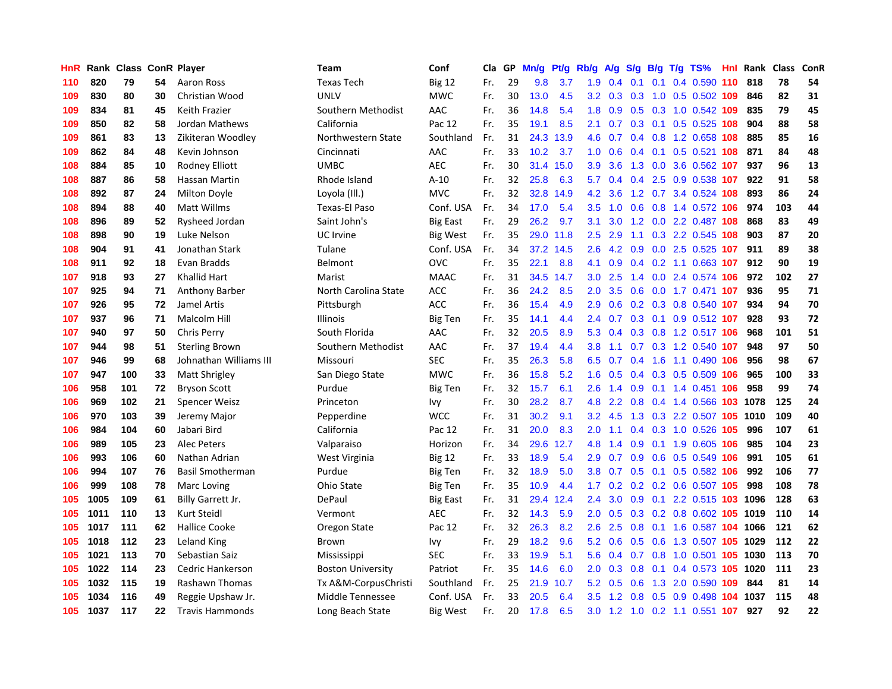| HnR |      | Rank Class ConR Player |    |                         | <b>Team</b>              | Conf            | Cla | GP | Mn/g | Pf/g      | Rb/g             | A/g | S/g |     | $B/g$ T/g TS%                  | Hnl Rank | <b>Class</b> | ConR |
|-----|------|------------------------|----|-------------------------|--------------------------|-----------------|-----|----|------|-----------|------------------|-----|-----|-----|--------------------------------|----------|--------------|------|
| 110 | 820  | 79                     | 54 | Aaron Ross              | <b>Texas Tech</b>        | <b>Big 12</b>   | Fr. | 29 | 9.8  | 3.7       | 1.9              | 0.4 | 0.1 | 0.1 | 0.4 0.590 110                  | 818      | 78           | 54   |
| 109 | 830  | 80                     | 30 | Christian Wood          | <b>UNLV</b>              | <b>MWC</b>      | Fr. | 30 | 13.0 | 4.5       | 3.2 <sub>2</sub> | 0.3 | 0.3 |     | 1.0 0.5 0.502 109              | 846      | 82           | 31   |
| 109 | 834  | 81                     | 45 | Keith Frazier           | Southern Methodist       | AAC             | Fr. | 36 | 14.8 | 5.4       | 1.8              |     |     |     | 0.9 0.5 0.3 1.0 0.542 109      | 835      | 79           | 45   |
| 109 | 850  | 82                     | 58 | Jordan Mathews          | California               | Pac 12          | Fr. | 35 | 19.1 | 8.5       | 2.1              | 0.7 |     |     | 0.3 0.1 0.5 0.525 108          | 904      | 88           | 58   |
| 109 | 861  | 83                     | 13 | Zikiteran Woodley       | Northwestern State       | Southland       | Fr. | 31 | 24.3 | 13.9      | 4.6              | 0.7 | 0.4 |     | 0.8 1.2 0.658 108              | 885      | 85           | 16   |
| 109 | 862  | 84                     | 48 | Kevin Johnson           | Cincinnati               | AAC             | Fr. | 33 | 10.2 | 3.7       | 1.0              | 0.6 | 0.4 |     | $0.1$ $0.5$ $0.521$ <b>108</b> | 871      | 84           | 48   |
| 108 | 884  | 85                     | 10 | Rodney Elliott          | <b>UMBC</b>              | <b>AEC</b>      | Fr. | 30 | 31.4 | 15.0      | 3.9              | 3.6 | 1.3 |     | 0.0 3.6 0.562 107              | 937      | 96           | 13   |
| 108 | 887  | 86                     | 58 | Hassan Martin           | Rhode Island             | $A-10$          | Fr. | 32 | 25.8 | 6.3       | 5.7              | 0.4 | 0.4 |     | 2.5 0.9 0.538 107              | 922      | 91           | 58   |
| 108 | 892  | 87                     | 24 | Milton Doyle            | Loyola (III.)            | <b>MVC</b>      | Fr. | 32 | 32.8 | 14.9      | 4.2              | 3.6 | 1.2 |     | 0.7 3.4 0.524 108              | 893      | 86           | 24   |
| 108 | 894  | 88                     | 40 | Matt Willms             | Texas-El Paso            | Conf. USA       | Fr. | 34 | 17.0 | 5.4       | 3.5              | 1.0 | 0.6 |     | 0.8 1.4 0.572 106              | 974      | 103          | 44   |
| 108 | 896  | 89                     | 52 | Rysheed Jordan          | Saint John's             | <b>Big East</b> | Fr. | 29 | 26.2 | 9.7       | 3.1              |     |     |     | 3.0 1.2 0.0 2.2 0.487 108      | 868      | 83           | 49   |
| 108 | 898  | 90                     | 19 | Luke Nelson             | UC Irvine                | Big West        | Fr. | 35 |      | 29.0 11.8 | 2.5              | 2.9 |     |     | 1.1 0.3 2.2 0.545 108          | 903      | 87           | 20   |
| 108 | 904  | 91                     | 41 | Jonathan Stark          | Tulane                   | Conf. USA       | Fr. | 34 | 37.2 | 14.5      | 2.6              | 4.2 | 0.9 |     | $0.0$ 2.5 0.525 107            | 911      | 89           | 38   |
| 108 | 911  | 92                     | 18 | Evan Bradds             | Belmont                  | OVC             | Fr. | 35 | 22.1 | 8.8       | 4.1              | 0.9 | 0.4 |     | 0.2 1.1 0.663 107              | 912      | 90           | 19   |
| 107 | 918  | 93                     | 27 | <b>Khallid Hart</b>     | Marist                   | <b>MAAC</b>     | Fr. | 31 | 34.5 | 14.7      | 3.0              | 2.5 | 1.4 |     | $0.0$ 2.4 $0.574$ 106          | 972      | 102          | 27   |
| 107 | 925  | 94                     | 71 | Anthony Barber          | North Carolina State     | <b>ACC</b>      | Fr. | 36 | 24.2 | 8.5       | 2.0              | 3.5 | 0.6 |     | 0.0 1.7 0.471 107              | 936      | 95           | 71   |
| 107 | 926  | 95                     | 72 | Jamel Artis             | Pittsburgh               | ACC             | Fr. | 36 | 15.4 | 4.9       | 2.9              | 0.6 | 0.2 |     | 0.3 0.8 0.540 107              | 934      | 94           | 70   |
| 107 | 937  | 96                     | 71 | Malcolm Hill            | Illinois                 | <b>Big Ten</b>  | Fr. | 35 | 14.1 | 4.4       | 2.4              | 0.7 | 0.3 |     | 0.1 0.9 0.512 107              | 928      | 93           | 72   |
| 107 | 940  | 97                     | 50 | <b>Chris Perry</b>      | South Florida            | AAC             | Fr. | 32 | 20.5 | 8.9       | 5.3              | 0.4 | 0.3 |     | 0.8 1.2 0.517 106              | 968      | 101          | 51   |
| 107 | 944  | 98                     | 51 | <b>Sterling Brown</b>   | Southern Methodist       | AAC             | Fr. | 37 | 19.4 | 4.4       | 3.8              | 1.1 |     |     | 0.7 0.3 1.2 0.540 107          | 948      | 97           | 50   |
| 107 | 946  | 99                     | 68 | Johnathan Williams III  | Missouri                 | <b>SEC</b>      | Fr. | 35 | 26.3 | 5.8       | 6.5              | 0.7 |     |     | 0.4 1.6 1.1 0.490 106          | 956      | 98           | 67   |
| 107 | 947  | 100                    | 33 | Matt Shrigley           | San Diego State          | <b>MWC</b>      | Fr. | 36 | 15.8 | 5.2       | 1.6              | 0.5 | 0.4 |     | 0.3 0.5 0.509 106              | 965      | 100          | 33   |
| 106 | 958  | 101                    | 72 | <b>Bryson Scott</b>     | Purdue                   | Big Ten         | Fr. | 32 | 15.7 | 6.1       | 2.6              | 1.4 | 0.9 |     | 0.1 1.4 0.451 106              | 958      | 99           | 74   |
| 106 | 969  | 102                    | 21 | Spencer Weisz           | Princeton                | lvy             | Fr. | 30 | 28.2 | 8.7       | 4.8              | 2.2 | 0.8 |     | 0.4 1.4 0.566 103              | 1078     | 125          | 24   |
| 106 | 970  | 103                    | 39 | Jeremy Major            | Pepperdine               | <b>WCC</b>      | Fr. | 31 | 30.2 | 9.1       | 3.2              | 4.5 | 1.3 |     | 0.3 2.2 0.507 105 1010         |          | 109          | 40   |
| 106 | 984  | 104                    | 60 | Jabari Bird             | California               | Pac 12          | Fr. | 31 | 20.0 | 8.3       | 2.0              | 1.1 | 0.4 |     | 0.3 1.0 0.526 105              | 996      | 107          | 61   |
| 106 | 989  | 105                    | 23 | <b>Alec Peters</b>      | Valparaiso               | Horizon         | Fr. | 34 | 29.6 | 12.7      | 4.8              | 1.4 | 0.9 |     | 0.1 1.9 0.605 106              | 985      | 104          | 23   |
| 106 | 993  | 106                    | 60 | Nathan Adrian           | West Virginia            | <b>Big 12</b>   | Fr. | 33 | 18.9 | 5.4       | 2.9              | 0.7 |     |     | 0.9 0.6 0.5 0.549 106          | 991      | 105          | 61   |
| 106 | 994  | 107                    | 76 | <b>Basil Smotherman</b> | Purdue                   | Big Ten         | Fr. | 32 | 18.9 | 5.0       | 3.8 <sub>2</sub> | 0.7 |     |     | 0.5 0.1 0.5 0.582 106          | 992      | 106          | 77   |
| 106 | 999  | 108                    | 78 | Marc Loving             | Ohio State               | Big Ten         | Fr. | 35 | 10.9 | 4.4       | 1.7 <sub>2</sub> | 0.2 |     |     | 0.2 0.2 0.6 0.507 105          | 998      | 108          | 78   |
| 105 | 1005 | 109                    | 61 | Billy Garrett Jr.       | DePaul                   | <b>Big East</b> | Fr. | 31 | 29.4 | 12.4      | 2.4              | 3.0 | 0.9 |     | 0.1 2.2 0.515 103 1096         |          | 128          | 63   |
| 105 | 1011 | 110                    | 13 | <b>Kurt Steidl</b>      | Vermont                  | <b>AEC</b>      | Fr. | 32 | 14.3 | 5.9       | 2.0              | 0.5 | 0.3 |     | 0.2 0.8 0.602 105 1019         |          | 110          | 14   |
| 105 | 1017 | 111                    | 62 | <b>Hallice Cooke</b>    | Oregon State             | Pac 12          | Fr. | 32 | 26.3 | 8.2       | 2.6              | 2.5 | 0.8 |     | 0.1 1.6 0.587 104 1066         |          | 121          | 62   |
| 105 | 1018 | 112                    | 23 | Leland King             | Brown                    | Ivy             | Fr. | 29 | 18.2 | 9.6       | 5.2              | 0.6 | 0.5 |     | 0.6 1.3 0.507 105 1029         |          | 112          | 22   |
| 105 | 1021 | 113                    | 70 | Sebastian Saiz          | Mississippi              | <b>SEC</b>      | Fr. | 33 | 19.9 | 5.1       | 5.6              | 0.4 | 0.7 |     | 0.8 1.0 0.501 105 1030         |          | 113          | 70   |
| 105 | 1022 | 114                    | 23 | Cedric Hankerson        | <b>Boston University</b> | Patriot         | Fr. | 35 | 14.6 | 6.0       | 2.0 <sub>2</sub> | 0.3 | 0.8 |     | 0.1 0.4 0.573 105 1020         |          | 111          | 23   |
| 105 | 1032 | 115                    | 19 | Rashawn Thomas          | Tx A&M-CorpusChristi     | Southland       | Fr. | 25 | 21.9 | 10.7      | 5.2              | 0.5 | 0.6 |     | 1.3 2.0 0.590 109              | 844      | 81           | 14   |
| 105 | 1034 | 116                    | 49 | Reggie Upshaw Jr.       | Middle Tennessee         | Conf. USA       | Fr. | 33 | 20.5 | 6.4       | 3.5              | 1.2 | 0.8 |     | 0.5 0.9 0.498 104 1037         |          | 115          | 48   |
| 105 | 1037 | 117                    | 22 | <b>Travis Hammonds</b>  | Long Beach State         | Big West        | Fr. | 20 | 17.8 | 6.5       | 3.0              |     |     |     | 1.2 1.0 0.2 1.1 0.551 107      | 927      | 92           | 22   |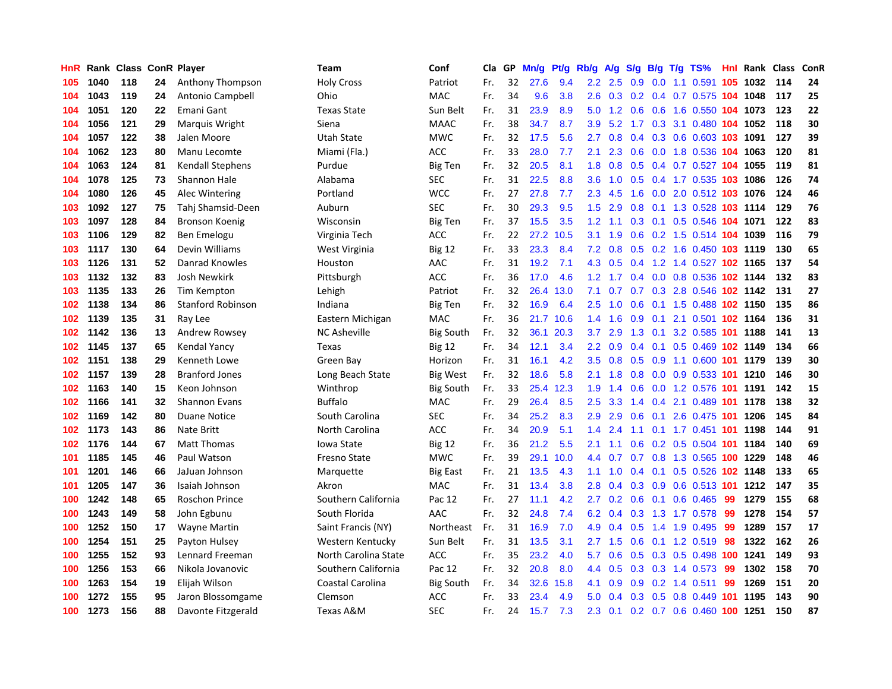| HnR |      | Rank Class ConR Player |    |                          | Team                 | Conf             | Cla | GP | Mn/g | Pf/g | Rb/g             | A/g | S/g           | B/g | $T/g$ TS%                           |     | <b>Hnl Rank Class</b>  |     | ConR |
|-----|------|------------------------|----|--------------------------|----------------------|------------------|-----|----|------|------|------------------|-----|---------------|-----|-------------------------------------|-----|------------------------|-----|------|
| 105 | 1040 | 118                    | 24 | Anthony Thompson         | <b>Holy Cross</b>    | Patriot          | Fr. | 32 | 27.6 | 9.4  | $2.2\phantom{0}$ | 2.5 | 0.9           |     | $0.0$ 1.1 $0.591$                   |     | 105 1032               | 114 | 24   |
| 104 | 1043 | 119                    | 24 | Antonio Campbell         | Ohio                 | <b>MAC</b>       | Fr. | 34 | 9.6  | 3.8  | 2.6              | 0.3 |               |     | 0.2 0.4 0.7 0.575 104 1048          |     |                        | 117 | 25   |
| 104 | 1051 | 120                    | 22 | Emani Gant               | <b>Texas State</b>   | Sun Belt         | Fr. | 31 | 23.9 | 8.9  | 5.0              | 1.2 |               |     | 0.6 0.6 1.6 0.550 104 1073          |     |                        | 123 | 22   |
| 104 | 1056 | 121                    | 29 | Marquis Wright           | Siena                | <b>MAAC</b>      | Fr. | 38 | 34.7 | 8.7  | 3.9              |     |               |     | 5.2 1.7 0.3 3.1 0.480 104 1052      |     |                        | 118 | 30   |
| 104 | 1057 | 122                    | 38 | Jalen Moore              | <b>Utah State</b>    | <b>MWC</b>       | Fr. | 32 | 17.5 | 5.6  | 2.7              | 0.8 | 0.4           |     | 0.3 0.6 0.603 103 1091              |     |                        | 127 | 39   |
| 104 | 1062 | 123                    | 80 | Manu Lecomte             | Miami (Fla.)         | <b>ACC</b>       | Fr. | 33 | 28.0 | 7.7  | 2.1              | 2.3 | 0.6           |     | 0.0 1.8 0.536 104 1063              |     |                        | 120 | 81   |
| 104 | 1063 | 124                    | 81 | <b>Kendall Stephens</b>  | Purdue               | Big Ten          | Fr. | 32 | 20.5 | 8.1  | 1.8              | 0.8 | 0.5           |     | 0.4 0.7 0.527 104 1055              |     |                        | 119 | 81   |
| 104 | 1078 | 125                    | 73 | Shannon Hale             | Alabama              | <b>SEC</b>       | Fr. | 31 | 22.5 | 8.8  | 3.6              | 1.0 | 0.5           |     | 0.4 1.7 0.535 103 1086              |     |                        | 126 | 74   |
| 104 | 1080 | 126                    | 45 | Alec Wintering           | Portland             | <b>WCC</b>       | Fr. | 27 | 27.8 | 7.7  | 2.3              | 4.5 | 1.6           |     | 0.0 2.0 0.512 103 1076              |     |                        | 124 | 46   |
| 103 | 1092 | 127                    | 75 | Tahj Shamsid-Deen        | Auburn               | <b>SEC</b>       | Fr. | 30 | 29.3 | 9.5  | 1.5              | 2.9 | 0.8           |     | 0.1 1.3 0.528 103 1114              |     |                        | 129 | 76   |
| 103 | 1097 | 128                    | 84 | Bronson Koenig           | Wisconsin            | <b>Big Ten</b>   | Fr. | 37 | 15.5 | 3.5  | 1.2 <sub>2</sub> | 1.1 |               |     | 0.3 0.1 0.5 0.546 104 1071          |     |                        | 122 | 83   |
| 103 | 1106 | 129                    | 82 | Ben Emelogu              | Virginia Tech        | <b>ACC</b>       | Fr. | 22 | 27.2 | 10.5 | 3.1              | 1.9 |               |     | 0.6 0.2 1.5 0.514 104 1039          |     |                        | 116 | 79   |
| 103 | 1117 | 130                    | 64 | Devin Williams           | West Virginia        | <b>Big 12</b>    | Fr. | 33 | 23.3 | 8.4  | 7.2              | 0.8 |               |     | 0.5 0.2 1.6 0.450 103 1119          |     |                        | 130 | 65   |
| 103 | 1126 | 131                    | 52 | Danrad Knowles           | Houston              | AAC              | Fr. | 31 | 19.2 | 7.1  | 4.3              | 0.5 | $0.4^{\circ}$ |     | 1.2 1.4 0.527 102 1165              |     |                        | 137 | 54   |
| 103 | 1132 | 132                    | 83 | <b>Josh Newkirk</b>      | Pittsburgh           | <b>ACC</b>       | Fr. | 36 | 17.0 | 4.6  | 1.2              | 1.7 | $0.4^{\circ}$ |     |                                     |     | 0.0 0.8 0.536 102 1144 | 132 | 83   |
| 103 | 1135 | 133                    | 26 | Tim Kempton              | Lehigh               | Patriot          | Fr. | 32 | 26.4 | 13.0 | 7.1              | 0.7 | 0.7           |     | 0.3 2.8 0.546 102 1142              |     |                        | 131 | 27   |
| 102 | 1138 | 134                    | 86 | <b>Stanford Robinson</b> | Indiana              | <b>Big Ten</b>   | Fr. | 32 | 16.9 | 6.4  | 2.5              | 1.0 | 0.6           |     | 0.1 1.5 0.488 102 1150              |     |                        | 135 | 86   |
| 102 | 1139 | 135                    | 31 | Ray Lee                  | Eastern Michigan     | MAC              | Fr. | 36 | 21.7 | 10.6 | 1.4              | 1.6 | 0.9           | 0.1 | 2.1 0.501 102 1164                  |     |                        | 136 | 31   |
| 102 | 1142 | 136                    | 13 | Andrew Rowsey            | <b>NC Asheville</b>  | <b>Big South</b> | Fr. | 32 | 36.1 | 20.3 | 3.7              | 2.9 | 1.3           |     | 0.1 3.2 0.585 101 1188              |     |                        | 141 | 13   |
| 102 | 1145 | 137                    | 65 | <b>Kendal Yancy</b>      | Texas                | <b>Big 12</b>    | Fr. | 34 | 12.1 | 3.4  | $2.2\phantom{0}$ | 0.9 | 0.4           |     | 0.1 0.5 0.469 102 1149              |     |                        | 134 | 66   |
| 102 | 1151 | 138                    | 29 | Kenneth Lowe             | Green Bay            | Horizon          | Fr. | 31 | 16.1 | 4.2  | $3.5^{\circ}$    | 0.8 | 0.5           |     | 0.9 1.1 0.600 101 1179              |     |                        | 139 | 30   |
| 102 | 1157 | 139                    | 28 | <b>Branford Jones</b>    | Long Beach State     | <b>Big West</b>  | Fr. | 32 | 18.6 | 5.8  | 2.1              | 1.8 | 0.8           |     | 0.0 0.9 0.533 101 1210              |     |                        | 146 | 30   |
| 102 | 1163 | 140                    | 15 | Keon Johnson             | Winthrop             | <b>Big South</b> | Fr. | 33 | 25.4 | 12.3 | 1.9              | 1.4 | 0.6           |     | 0.0 1.2 0.576 101 1191              |     |                        | 142 | 15   |
| 102 | 1166 | 141                    | 32 | <b>Shannon Evans</b>     | <b>Buffalo</b>       | MAC              | Fr. | 29 | 26.4 | 8.5  | 2.5              | 3.3 | 1.4           | 0.4 | 2.1 0.489 101                       |     | 1178                   | 138 | 32   |
| 102 | 1169 | 142                    | 80 | <b>Duane Notice</b>      | South Carolina       | SEC              | Fr. | 34 | 25.2 | 8.3  | 2.9              | 2.9 | 0.6           |     | 0.1 2.6 0.475 101 1206              |     |                        | 145 | 84   |
| 102 | 1173 | 143                    | 86 | Nate Britt               | North Carolina       | <b>ACC</b>       | Fr. | 34 | 20.9 | 5.1  | 1.4              | 2.4 | 1.1           |     | 0.1 1.7 0.451 101 1198              |     |                        | 144 | 91   |
| 102 | 1176 | 144                    | 67 | <b>Matt Thomas</b>       | Iowa State           | <b>Big 12</b>    | Fr. | 36 | 21.2 | 5.5  | 2.1              | 1.1 | 0.6           |     | 0.2 0.5 0.504 101 1184              |     |                        | 140 | 69   |
| 101 | 1185 | 145                    | 46 | Paul Watson              | <b>Fresno State</b>  | <b>MWC</b>       | Fr. | 39 | 29.1 | 10.0 | 4.4              | 0.7 |               |     | 0.7 0.8 1.3 0.565 100 1229          |     |                        | 148 | 46   |
| 101 | 1201 | 146                    | 66 | JaJuan Johnson           | Marquette            | Big East         | Fr. | 21 | 13.5 | 4.3  | 1.1              | 1.0 | 0.4           |     | $0.1$ $0.5$ $0.526$ <b>102 1148</b> |     |                        | 133 | 65   |
| 101 | 1205 | 147                    | 36 | Isaiah Johnson           | Akron                | MAC              | Fr. | 31 | 13.4 | 3.8  | 2.8              | 0.4 | 0.3           |     |                                     |     | 0.9 0.6 0.513 101 1212 | 147 | 35   |
| 100 | 1242 | 148                    | 65 | <b>Roschon Prince</b>    | Southern California  | Pac 12           | Fr. | 27 | 11.1 | 4.2  | 2.7              | 0.2 | 0.6           |     | $0.1$ 0.6 0.465                     | -99 | 1279                   | 155 | 68   |
| 100 | 1243 | 149                    | 58 | John Egbunu              | South Florida        | AAC              | Fr. | 32 | 24.8 | 7.4  | 6.2              | 0.4 | 0.3           |     | 1.3 1.7 0.578                       | -99 | 1278                   | 154 | 57   |
| 100 | 1252 | 150                    | 17 | <b>Wayne Martin</b>      | Saint Francis (NY)   | Northeast        | Fr. | 31 | 16.9 | 7.0  | 4.9              | 0.4 | 0.5           | 1.4 | 1.9 0.495                           | 99  | 1289                   | 157 | 17   |
| 100 | 1254 | 151                    | 25 | Payton Hulsey            | Western Kentucky     | Sun Belt         | Fr. | 31 | 13.5 | 3.1  | 2.7              | 1.5 | 0.6           |     | 0.1 1.2 0.519                       | 98  | 1322                   | 162 | 26   |
| 100 | 1255 | 152                    | 93 | Lennard Freeman          | North Carolina State | <b>ACC</b>       | Fr. | 35 | 23.2 | 4.0  | 5.7              | 0.6 | 0.5           |     | 0.3 0.5 0.498 100 1241              |     |                        | 149 | 93   |
| 100 | 1256 | 153                    | 66 | Nikola Jovanovic         | Southern California  | Pac 12           | Fr. | 32 | 20.8 | 8.0  | 4.4              | 0.5 |               |     | $0.3$ $0.3$ 1.4 $0.573$             | -99 | 1302                   | 158 | 70   |
| 100 | 1263 | 154                    | 19 | Elijah Wilson            | Coastal Carolina     | <b>Big South</b> | Fr. | 34 | 32.6 | 15.8 | 4.1              | 0.9 |               |     | $0.9$ 0.2 1.4 0.511                 | 99  | 1269                   | 151 | 20   |
| 100 | 1272 | 155                    | 95 | Jaron Blossomgame        | Clemson              | <b>ACC</b>       | Fr. | 33 | 23.4 | 4.9  | 5.0              | 0.4 | 0.3           |     | 0.5 0.8 0.449 101 1195              |     |                        | 143 | 90   |
| 100 | 1273 | 156                    | 88 | Davonte Fitzgerald       | Texas A&M            | <b>SEC</b>       | Fr. | 24 | 15.7 | 7.3  | 2.3              | 0.1 |               |     | 0.2 0.7 0.6 0.460 100 1251          |     |                        | 150 | 87   |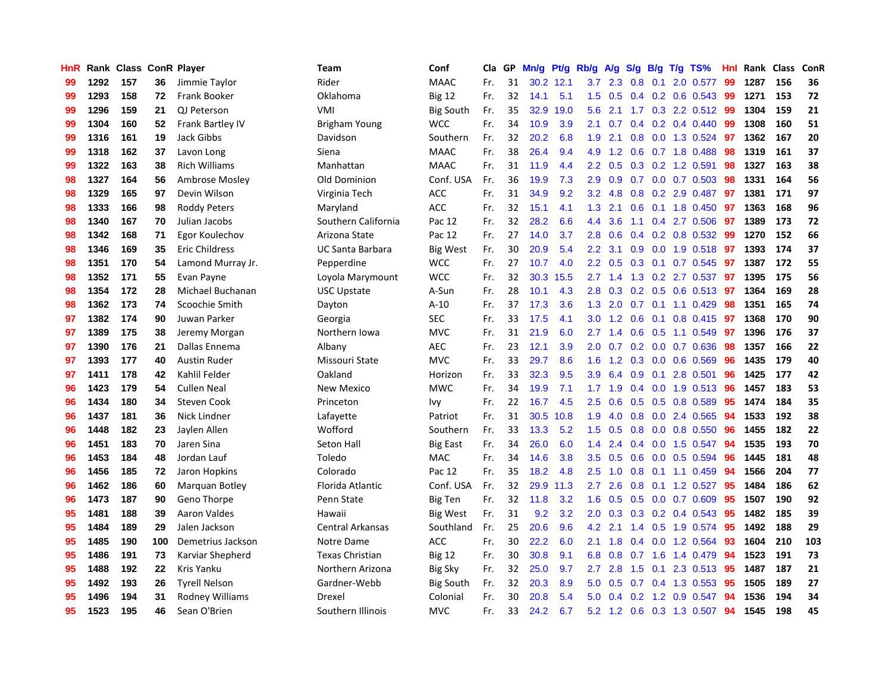| HnR |      | Rank Class ConR Player |     |                       | Team                | Conf             | Cla | GP | Mn/g | Pt/g | Rb/g             | A/g | S/g              | B/g | $T/g$ TS%                 | Hnl | Rank Class |     | ConR |
|-----|------|------------------------|-----|-----------------------|---------------------|------------------|-----|----|------|------|------------------|-----|------------------|-----|---------------------------|-----|------------|-----|------|
| 99  | 1292 | 157                    | 36  | Jimmie Taylor         | Rider               | <b>MAAC</b>      | Fr. | 31 | 30.2 | 12.1 | 3.7              | 2.3 | 0.8              | 0.1 | 2.0 0.577                 | 99  | 1287       | 156 | 36   |
| 99  | 1293 | 158                    | 72  | <b>Frank Booker</b>   | Oklahoma            | <b>Big 12</b>    | Fr. | 32 | 14.1 | 5.1  | 1.5              | 0.5 |                  |     | 0.4 0.2 0.6 0.543 99      |     | 1271       | 153 | 72   |
| 99  | 1296 | 159                    | 21  | QJ Peterson           | VMI                 | <b>Big South</b> | Fr. | 35 | 32.9 | 19.0 | 5.6              | 2.1 |                  |     | 1.7 0.3 2.2 0.512 99      |     | 1304       | 159 | 21   |
| 99  | 1304 | 160                    | 52  | Frank Bartley IV      | Brigham Young       | <b>WCC</b>       | Fr. | 34 | 10.9 | 3.9  | 2.1              | 0.7 |                  |     | $0.4$ 0.2 0.4 0.440       | 99  | 1308       | 160 | 51   |
| 99  | 1316 | 161                    | 19  | Jack Gibbs            | Davidson            | Southern         | Fr. | 32 | 20.2 | 6.8  | 1.9              | 2.1 | 0.8              |     | $0.0$ 1.3 0.524           | -97 | 1362       | 167 | 20   |
| 99  | 1318 | 162                    | 37  | Lavon Long            | Siena               | <b>MAAC</b>      | Fr. | 38 | 26.4 | 9.4  | 4.9              | 1.2 | 0.6              |     | 0.7 1.8 0.488             | 98  | 1319       | 161 | 37   |
| 99  | 1322 | 163                    | 38  | <b>Rich Williams</b>  | Manhattan           | <b>MAAC</b>      | Fr. | 31 | 11.9 | 4.4  | 2.2              | 0.5 |                  |     | 0.3 0.2 1.2 0.591         | 98  | 1327       | 163 | 38   |
| 98  | 1327 | 164                    | 56  | Ambrose Mosley        | Old Dominion        | Conf. USA        | Fr. | 36 | 19.9 | 7.3  | 2.9              | 0.9 | 0.7              |     | $0.0$ 0.7 0.503           | 98  | 1331       | 164 | 56   |
| 98  | 1329 | 165                    | 97  | Devin Wilson          | Virginia Tech       | <b>ACC</b>       | Fr. | 31 | 34.9 | 9.2  | 3.2              | 4.8 | 0.8              |     | 0.2 2.9 0.487             | -97 | 1381       | 171 | 97   |
| 98  | 1333 | 166                    | 98  | <b>Roddy Peters</b>   | Maryland            | <b>ACC</b>       | Fr. | 32 | 15.1 | 4.1  | 1.3              | 2.1 | 0.6              |     | $0.1$ 1.8 0.450           | -97 | 1363       | 168 | 96   |
| 98  | 1340 | 167                    | 70  | Julian Jacobs         | Southern California | Pac 12           | Fr. | 32 | 28.2 | 6.6  | 4.4              | 3.6 |                  |     | 1.1 0.4 2.7 0.506 97      |     | 1389       | 173 | 72   |
| 98  | 1342 | 168                    | 71  | Egor Koulechov        | Arizona State       | Pac 12           | Fr. | 27 | 14.0 | 3.7  | 2.8              | 0.6 |                  |     | 0.4 0.2 0.8 0.532 99      |     | 1270       | 152 | 66   |
| 98  | 1346 | 169                    | 35  | <b>Eric Childress</b> | UC Santa Barbara    | <b>Big West</b>  | Fr. | 30 | 20.9 | 5.4  | $2.2^{\circ}$    | 3.1 | 0.9 <sup>°</sup> |     | 0.0 1.9 0.518 97          |     | 1393       | 174 | 37   |
| 98  | 1351 | 170                    | 54  | Lamond Murray Jr.     | Pepperdine          | <b>WCC</b>       | Fr. | 27 | 10.7 | 4.0  | $2.2\phantom{0}$ | 0.5 | 0.3              |     | $0.1$ 0.7 0.545           | -97 | 1387       | 172 | 55   |
| 98  | 1352 | 171                    | 55  | Evan Payne            | Loyola Marymount    | <b>WCC</b>       | Fr. | 32 | 30.3 | 15.5 | 2.7              | 1.4 | 1.3              |     | $0.2$ 2.7 $0.537$         | -97 | 1395       | 175 | 56   |
| 98  | 1354 | 172                    | 28  | Michael Buchanan      | <b>USC Upstate</b>  | A-Sun            | Fr. | 28 | 10.1 | 4.3  | 2.8              | 0.3 | 0.2              |     | $0.5$ 0.6 0.513           | 97  | 1364       | 169 | 28   |
| 98  | 1362 | 173                    | 74  | Scoochie Smith        | Dayton              | $A-10$           | Fr. | 37 | 17.3 | 3.6  | 1.3              | 2.0 | 0.7              |     | $0.1$ 1.1 0.429           | 98  | 1351       | 165 | 74   |
| 97  | 1382 | 174                    | 90  | Juwan Parker          | Georgia             | <b>SEC</b>       | Fr. | 33 | 17.5 | 4.1  | 3.0 <sub>2</sub> | 1.2 | 0.6              | 0.1 | $0.8$ 0.415               | 97  | 1368       | 170 | 90   |
| 97  | 1389 | 175                    | 38  | Jeremy Morgan         | Northern Iowa       | <b>MVC</b>       | Fr. | 31 | 21.9 | 6.0  | 2.7              | 1.4 |                  |     | 0.6 0.5 1.1 0.549 97      |     | 1396       | 176 | 37   |
| 97  | 1390 | 176                    | 21  | Dallas Ennema         | Albany              | <b>AEC</b>       | Fr. | 23 | 12.1 | 3.9  | 2.0              | 0.7 |                  |     | 0.2 0.0 0.7 0.636         | 98  | 1357       | 166 | 22   |
| 97  | 1393 | 177                    | 40  | <b>Austin Ruder</b>   | Missouri State      | <b>MVC</b>       | Fr. | 33 | 29.7 | 8.6  | 1.6              | 1.2 | 0.3              |     | $0.0$ $0.6$ $0.569$       | 96  | 1435       | 179 | 40   |
| 97  | 1411 | 178                    | 42  | Kahlil Felder         | Oakland             | Horizon          | Fr. | 33 | 32.3 | 9.5  | 3.9              | 6.4 | 0.9              | 0.1 | 2.8 0.501                 | 96  | 1425       | 177 | 42   |
| 96  | 1423 | 179                    | 54  | <b>Cullen Neal</b>    | <b>New Mexico</b>   | <b>MWC</b>       | Fr. | 34 | 19.9 | 7.1  | 1.7              | 1.9 | $0.4^{\circ}$    |     | $0.0$ 1.9 $0.513$         | 96  | 1457       | 183 | 53   |
| 96  | 1434 | 180                    | 34  | <b>Steven Cook</b>    | Princeton           | Ivy              | Fr. | 22 | 16.7 | 4.5  | 2.5              | 0.6 | 0.5              |     | $0.5$ 0.8 0.589           | 95  | 1474       | 184 | 35   |
| 96  | 1437 | 181                    | 36  | Nick Lindner          | Lafayette           | Patriot          | Fr. | 31 | 30.5 | 10.8 | 1.9              | 4.0 | 0.8              |     | $0.0$ 2.4 $0.565$         | 94  | 1533       | 192 | 38   |
| 96  | 1448 | 182                    | 23  | Jaylen Allen          | Wofford             | Southern         | Fr. | 33 | 13.3 | 5.2  | 1.5              | 0.5 | 0.8              |     | $0.0$ 0.8 0.550           | 96  | 1455       | 182 | 22   |
| 96  | 1451 | 183                    | 70  | Jaren Sina            | Seton Hall          | <b>Big East</b>  | Fr. | 34 | 26.0 | 6.0  | 1.4              | 2.4 |                  |     | 0.4 0.0 1.5 0.547         | -94 | 1535       | 193 | 70   |
| 96  | 1453 | 184                    | 48  | Jordan Lauf           | Toledo              | MAC              | Fr. | 34 | 14.6 | 3.8  | 3.5              | 0.5 |                  |     | $0.6$ $0.0$ $0.5$ $0.594$ | -96 | 1445       | 181 | 48   |
| 96  | 1456 | 185                    | 72  | Jaron Hopkins         | Colorado            | Pac 12           | Fr. | 35 | 18.2 | 4.8  | 2.5              | 1.0 | 0.8              |     | $0.1$ 1.1 0.459           | -94 | 1566       | 204 | 77   |
| 96  | 1462 | 186                    | 60  | Marquan Botley        | Florida Atlantic    | Conf. USA        | Fr. | 32 | 29.9 | 11.3 | 2.7              | 2.6 | 0.8              |     | $0.1$ 1.2 0.527           | 95  | 1484       | 186 | 62   |
| 96  | 1473 | 187                    | 90  | Geno Thorpe           | Penn State          | Big Ten          | Fr. | 32 | 11.8 | 3.2  | 1.6              | 0.5 | 0.5              |     | $0.0$ 0.7 0.609           | 95  | 1507       | 190 | 92   |
| 95  | 1481 | 188                    | 39  | <b>Aaron Valdes</b>   | Hawaii              | <b>Big West</b>  | Fr. | 31 | 9.2  | 3.2  | 2.0              | 0.3 | 0.3              |     | $0.2$ 0.4 0.543           | 95  | 1482       | 185 | 39   |
| 95  | 1484 | 189                    | 29  | Jalen Jackson         | Central Arkansas    | Southland        | Fr. | 25 | 20.6 | 9.6  | 4.2              | 2.1 | 1.4              |     | $0.5$ 1.9 0.574           | 95  | 1492       | 188 | 29   |
| 95  | 1485 | 190                    | 100 | Demetrius Jackson     | Notre Dame          | ACC              | Fr. | 30 | 22.2 | 6.0  | 2.1              | 1.8 | $0.4^{\circ}$    |     | 0.0 1.2 0.564             | 93  | 1604       | 210 | 103  |
| 95  | 1486 | 191                    | 73  | Karviar Shepherd      | Texas Christian     | <b>Big 12</b>    | Fr. | 30 | 30.8 | 9.1  | 6.8              | 0.8 |                  |     | $0.7$ 1.6 1.4 0.479       | -94 | 1523       | 191 | 73   |
| 95  | 1488 | 192                    | 22  | Kris Yanku            | Northern Arizona    | <b>Big Sky</b>   | Fr. | 32 | 25.0 | 9.7  | 2.7              | 2.8 |                  |     | 1.5 0.1 2.3 0.513 95      |     | 1487       | 187 | 21   |
| 95  | 1492 | 193                    | 26  | <b>Tyrell Nelson</b>  | Gardner-Webb        | <b>Big South</b> | Fr. | 32 | 20.3 | 8.9  | 5.0              | 0.5 | 0.7              |     | $0.4$ 1.3 0.553           | -95 | 1505       | 189 | 27   |
| 95  | 1496 | 194                    | 31  | Rodney Williams       | Drexel              | Colonial         | Fr. | 30 | 20.8 | 5.4  | 5.0              | 0.4 | 0.2              |     | 1.2 0.9 0.547             | 94  | 1536       | 194 | 34   |
| 95  | 1523 | 195                    | 46  | Sean O'Brien          | Southern Illinois   | <b>MVC</b>       | Fr. | 33 | 24.2 | 6.7  | 5.2              |     |                  |     | 1.2 0.6 0.3 1.3 0.507     | 94  | 1545       | 198 | 45   |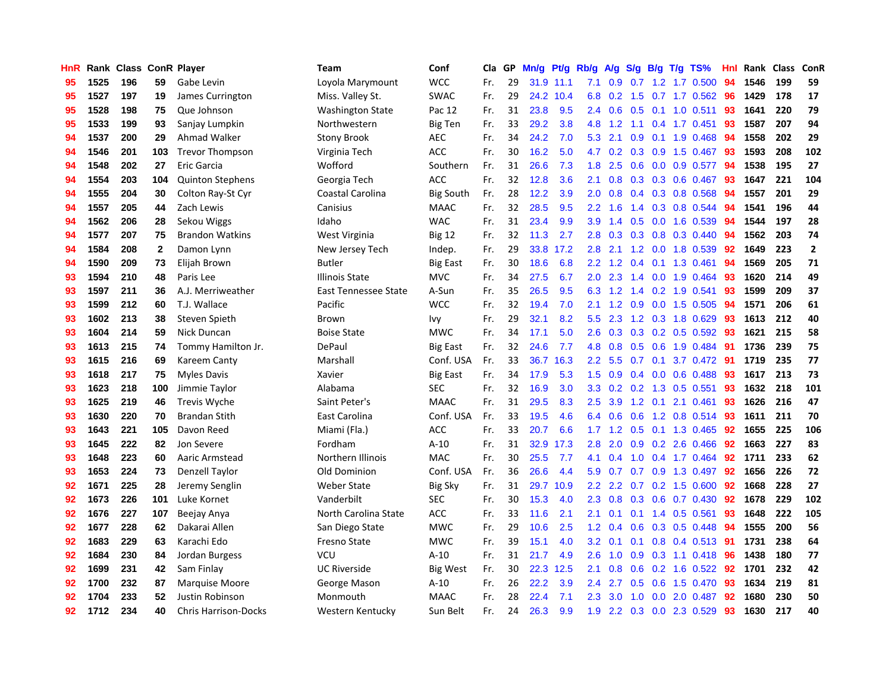| HnR |      | Rank Class ConR Player |              |                             | <b>Team</b>             | Conf             | Cla | GP | Mn/g | Pt/g | Rb/g             | A/g | S/g           |     | $B/g$ T/g TS%             | Hnl | Rank Class |     | ConR           |
|-----|------|------------------------|--------------|-----------------------------|-------------------------|------------------|-----|----|------|------|------------------|-----|---------------|-----|---------------------------|-----|------------|-----|----------------|
| 95  | 1525 | 196                    | 59           | Gabe Levin                  | Loyola Marymount        | <b>WCC</b>       | Fr. | 29 | 31.9 | 11.1 | 7.1              | 0.9 | 0.7           |     | 1.2 1.7 0.500             | 94  | 1546       | 199 | 59             |
| 95  | 1527 | 197                    | 19           | James Currington            | Miss. Valley St.        | <b>SWAC</b>      | Fr. | 29 | 24.2 | 10.4 | 6.8              | 0.2 |               |     | 1.5 0.7 1.7 0.562 96      |     | 1429       | 178 | 17             |
| 95  | 1528 | 198                    | 75           | Que Johnson                 | <b>Washington State</b> | Pac 12           | Fr. | 31 | 23.8 | 9.5  | $2.4^{\circ}$    | 0.6 |               |     | $0.5$ 0.1 1.0 0.511       | 93  | 1641       | 220 | 79             |
| 95  | 1533 | 199                    | 93           | Sanjay Lumpkin              | Northwestern            | Big Ten          | Fr. | 33 | 29.2 | 3.8  | 4.8              | 1.2 |               |     | 1.1 0.4 1.7 0.451         | -93 | 1587       | 207 | 94             |
| 94  | 1537 | 200                    | 29           | Ahmad Walker                | <b>Stony Brook</b>      | <b>AEC</b>       | Fr. | 34 | 24.2 | 7.0  | 5.3              | 2.1 | 0.9           |     | $0.1$ 1.9 0.468           | 94  | 1558       | 202 | 29             |
| 94  | 1546 | 201                    | 103          | <b>Trevor Thompson</b>      | Virginia Tech           | <b>ACC</b>       | Fr. | 30 | 16.2 | 5.0  | 4.7              | 0.2 | 0.3           |     | 0.9 1.5 0.467             | 93  | 1593       | 208 | 102            |
| 94  | 1548 | 202                    | 27           | Eric Garcia                 | Wofford                 | Southern         | Fr. | 31 | 26.6 | 7.3  | 1.8              | 2.5 |               |     | 0.6 0.0 0.9 0.577         | 94  | 1538       | 195 | 27             |
| 94  | 1554 | 203                    | 104          | <b>Quinton Stephens</b>     | Georgia Tech            | <b>ACC</b>       | Fr. | 32 | 12.8 | 3.6  | 2.1              | 0.8 | 0.3           |     | $0.3$ 0.6 0.467           | 93  | 1647       | 221 | 104            |
| 94  | 1555 | 204                    | 30           | Colton Ray-St Cyr           | Coastal Carolina        | <b>Big South</b> | Fr. | 28 | 12.2 | 3.9  | 2.0              | 0.8 | 0.4           |     | 0.3 0.8 0.568             | 94  | 1557       | 201 | 29             |
| 94  | 1557 | 205                    | 44           | Zach Lewis                  | Canisius                | <b>MAAC</b>      | Fr. | 32 | 28.5 | 9.5  | 2.2              | 1.6 | 1.4           |     | 0.3 0.8 0.544             | 94  | 1541       | 196 | 44             |
| 94  | 1562 | 206                    | 28           | Sekou Wiggs                 | Idaho                   | <b>WAC</b>       | Fr. | 31 | 23.4 | 9.9  | 3.9 <sup>°</sup> | 1.4 |               |     | 0.5 0.0 1.6 0.539 94      |     | 1544       | 197 | 28             |
| 94  | 1577 | 207                    | 75           | <b>Brandon Watkins</b>      | West Virginia           | <b>Big 12</b>    | Fr. | 32 | 11.3 | 2.7  | 2.8              | 0.3 |               |     | $0.3$ 0.8 0.3 0.440       | -94 | 1562       | 203 | 74             |
| 94  | 1584 | 208                    | $\mathbf{2}$ | Damon Lynn                  | New Jersey Tech         | Indep.           | Fr. | 29 | 33.8 | 17.2 | 2.8              | 2.1 |               |     | 1.2 0.0 1.8 0.539         | -92 | 1649       | 223 | $\overline{2}$ |
| 94  | 1590 | 209                    | 73           | Elijah Brown                | Butler                  | <b>Big East</b>  | Fr. | 30 | 18.6 | 6.8  | $2.2\phantom{0}$ | 1.2 | 0.4           |     | $0.1$ 1.3 0.461           | 94  | 1569       | 205 | 71             |
| 93  | 1594 | 210                    | 48           | Paris Lee                   | <b>Illinois State</b>   | <b>MVC</b>       | Fr. | 34 | 27.5 | 6.7  | 2.0              | 2.3 | 1.4           |     | $0.0$ 1.9 $0.464$         | -93 | 1620       | 214 | 49             |
| 93  | 1597 | 211                    | 36           | A.J. Merriweather           | East Tennessee State    | A-Sun            | Fr. | 35 | 26.5 | 9.5  | 6.3              | 1.2 | $1.4^{\circ}$ |     | 0.2 1.9 0.541             | 93  | 1599       | 209 | 37             |
| 93  | 1599 | 212                    | 60           | T.J. Wallace                | Pacific                 | <b>WCC</b>       | Fr. | 32 | 19.4 | 7.0  | 2.1              | 1.2 | 0.9           |     | $0.0$ 1.5 $0.505$         | 94  | 1571       | 206 | 61             |
| 93  | 1602 | 213                    | 38           | Steven Spieth               | Brown                   | Ivy              | Fr. | 29 | 32.1 | 8.2  | 5.5              | 2.3 | 1.2           |     | 0.3 1.8 0.629             | 93  | 1613       | 212 | 40             |
| 93  | 1604 | 214                    | 59           | Nick Duncan                 | <b>Boise State</b>      | <b>MWC</b>       | Fr. | 34 | 17.1 | 5.0  | 2.6              | 0.3 |               |     | 0.3 0.2 0.5 0.592 93      |     | 1621       | 215 | 58             |
| 93  | 1613 | 215                    | 74           | Tommy Hamilton Jr.          | DePaul                  | <b>Big East</b>  | Fr. | 32 | 24.6 | 7.7  | 4.8              | 0.8 |               |     | $0.5$ $0.6$ 1.9 $0.484$   | -91 | 1736       | 239 | 75             |
| 93  | 1615 | 216                    | 69           | Kareem Canty                | Marshall                | Conf. USA        | Fr. | 33 | 36.7 | 16.3 | $2.2^{\circ}$    | 5.5 |               |     | $0.7$ $0.1$ $3.7$ $0.472$ | -91 | 1719       | 235 | 77             |
| 93  | 1618 | 217                    | 75           | Myles Davis                 | Xavier                  | <b>Big East</b>  | Fr. | 34 | 17.9 | 5.3  | 1.5              | 0.9 | 0.4           |     | $0.0$ 0.6 0.488           | 93  | 1617       | 213 | 73             |
| 93  | 1623 | 218                    | 100          | Jimmie Taylor               | Alabama                 | <b>SEC</b>       | Fr. | 32 | 16.9 | 3.0  | 3.3 <sub>2</sub> | 0.2 |               |     | 0.2 1.3 0.5 0.551         | 93  | 1632       | 218 | 101            |
| 93  | 1625 | 219                    | 46           | <b>Trevis Wyche</b>         | Saint Peter's           | <b>MAAC</b>      | Fr. | 31 | 29.5 | 8.3  | 2.5              | 3.9 | 1.2           | 0.1 | 2.1 0.461                 | 93  | 1626       | 216 | 47             |
| 93  | 1630 | 220                    | 70           | <b>Brandan Stith</b>        | East Carolina           | Conf. USA        | Fr. | 33 | 19.5 | 4.6  | 6.4              | 0.6 | 0.6           |     | 1.2 0.8 0.514             | -93 | 1611       | 211 | 70             |
| 93  | 1643 | 221                    | 105          | Davon Reed                  | Miami (Fla.)            | <b>ACC</b>       | Fr. | 33 | 20.7 | 6.6  | 1.7              | 1.2 | 0.5           |     | $0.1$ 1.3 0.465           | 92  | 1655       | 225 | 106            |
| 93  | 1645 | 222                    | 82           | Jon Severe                  | Fordham                 | $A-10$           | Fr. | 31 | 32.9 | 17.3 | 2.8              | 2.0 | 0.9           |     | $0.2$ 2.6 0.466           | -92 | 1663       | 227 | 83             |
| 93  | 1648 | 223                    | 60           | Aaric Armstead              | Northern Illinois       | <b>MAC</b>       | Fr. | 30 | 25.5 | 7.7  | 4.1              | 0.4 |               |     | 1.0 0.4 1.7 0.464         | 92  | 1711       | 233 | 62             |
| 93  | 1653 | 224                    | 73           | <b>Denzell Taylor</b>       | Old Dominion            | Conf. USA        | Fr. | 36 | 26.6 | 4.4  | 5.9              | 0.7 |               |     | 0.7 0.9 1.3 0.497 92      |     | 1656       | 226 | 72             |
| 92  | 1671 | 225                    | 28           | Jeremy Senglin              | Weber State             | <b>Big Sky</b>   | Fr. | 31 | 29.7 | 10.9 | $2.2^{\circ}$    | 2.2 |               |     | $0.7$ $0.2$ $1.5$ $0.600$ | 92  | 1668       | 228 | 27             |
| 92  | 1673 | 226                    | 101          | Luke Kornet                 | Vanderbilt              | <b>SEC</b>       | Fr. | 30 | 15.3 | 4.0  | 2.3              | 0.8 | 0.3           |     | $0.6$ 0.7 0.430           | 92  | 1678       | 229 | 102            |
| 92  | 1676 | 227                    | 107          | Beejay Anya                 | North Carolina State    | <b>ACC</b>       | Fr. | 33 | 11.6 | 2.1  | 2.1              | 0.1 | 0.1           |     | 1.4 0.5 0.561             | 93  | 1648       | 222 | 105            |
| 92  | 1677 | 228                    | 62           | Dakarai Allen               | San Diego State         | <b>MWC</b>       | Fr. | 29 | 10.6 | 2.5  | 1.2              | 0.4 | 0.6           |     | $0.3$ 0.5 0.448           | 94  | 1555       | 200 | 56             |
| 92  | 1683 | 229                    | 63           | Karachi Edo                 | Fresno State            | <b>MWC</b>       | Fr. | 39 | 15.1 | 4.0  | 3.2              | 0.1 | 0.1           |     | $0.8$ 0.4 0.513           | -91 | 1731       | 238 | 64             |
| 92  | 1684 | 230                    | 84           | Jordan Burgess              | VCU                     | $A-10$           | Fr. | 31 | 21.7 | 4.9  | 2.6              | 1.0 | 0.9           |     | $0.3$ 1.1 0.418           | -96 | 1438       | 180 | 77             |
| 92  | 1699 | 231                    | 42           | Sam Finlay                  | <b>UC Riverside</b>     | Big West         | Fr. | 30 | 22.3 | 12.5 | 2.1              | 0.8 |               |     | 0.6 0.2 1.6 0.522 92      |     | 1701       | 232 | 42             |
| 92  | 1700 | 232                    | 87           | <b>Marquise Moore</b>       | George Mason            | $A-10$           | Fr. | 26 | 22.2 | 3.9  | $2.4^{\circ}$    | 2.7 | 0.5           |     | $0.6$ 1.5 0.470           | -93 | 1634       | 219 | 81             |
| 92  | 1704 | 233                    | 52           | Justin Robinson             | Monmouth                | <b>MAAC</b>      | Fr. | 28 | 22.4 | 7.1  | 2.3              | 3.0 | 1.0           |     | $0.0$ 2.0 0.487           | -92 | 1680       | 230 | 50             |
| 92  | 1712 | 234                    | 40           | <b>Chris Harrison-Docks</b> | Western Kentucky        | Sun Belt         | Fr. | 24 | 26.3 | 9.9  | 1.9              |     |               |     | 2.2 0.3 0.0 2.3 0.529     | 93  | 1630       | 217 | 40             |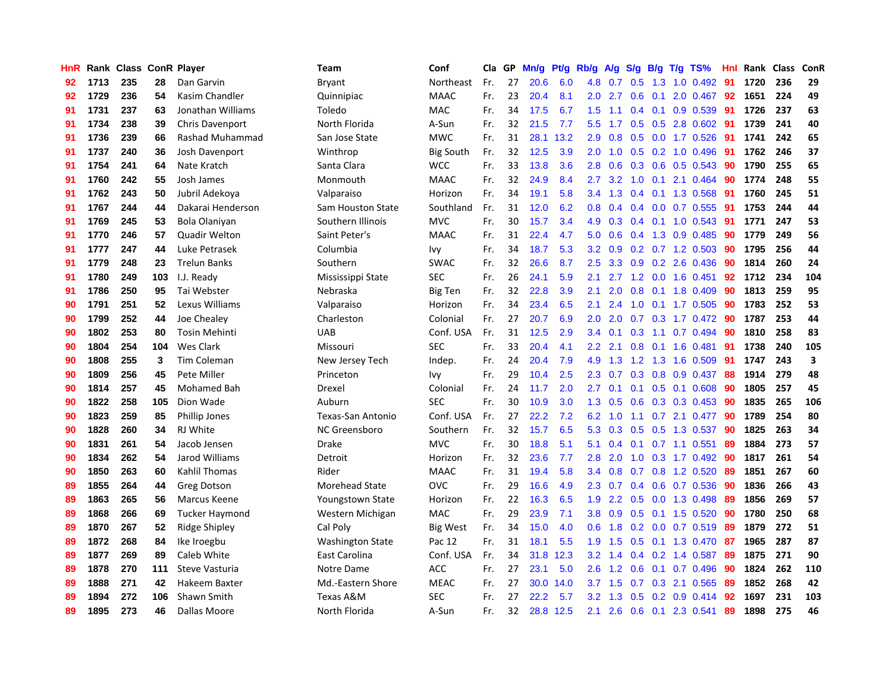| HnR |      | Rank Class ConR Player |     |                        | Team                    | Conf             | Cla | GP | Mn/g | Pt/g | Rb/g             | A/g | S/g           | B/g | $T/g$ TS%               | <b>Hnl</b> | Rank Class |     | ConR |
|-----|------|------------------------|-----|------------------------|-------------------------|------------------|-----|----|------|------|------------------|-----|---------------|-----|-------------------------|------------|------------|-----|------|
| 92  | 1713 | 235                    | 28  | Dan Garvin             | Bryant                  | Northeast        | Fr. | 27 | 20.6 | 6.0  | 4.8              | 0.7 | 0.5           | 1.3 | $1.0 \quad 0.492$       | 91         | 1720       | 236 | 29   |
| 92  | 1729 | 236                    | 54  | Kasim Chandler         | Quinnipiac              | <b>MAAC</b>      | Fr. | 23 | 20.4 | 8.1  | 2.0              | 2.7 | 0.6           |     | $0.1$ 2.0 0.467 92      |            | 1651       | 224 | 49   |
| 91  | 1731 | 237                    | 63  | Jonathan Williams      | Toledo                  | MAC              | Fr. | 34 | 17.5 | 6.7  | 1.5              | 1.1 |               |     | 0.4 0.1 0.9 0.539 91    |            | 1726       | 237 | 63   |
| 91  | 1734 | 238                    | 39  | <b>Chris Davenport</b> | North Florida           | A-Sun            | Fr. | 32 | 21.5 | 7.7  | 5.5 <sub>1</sub> | 1.7 |               |     | 0.5 0.5 2.8 0.602       | -91        | 1739       | 241 | 40   |
| 91  | 1736 | 239                    | 66  | Rashad Muhammad        | San Jose State          | <b>MWC</b>       | Fr. | 31 | 28.1 | 13.2 | 2.9              | 0.8 | 0.5           |     | $0.0$ 1.7 $0.526$       | -91        | 1741       | 242 | 65   |
| 91  | 1737 | 240                    | 36  | Josh Davenport         | Winthrop                | <b>Big South</b> | Fr. | 32 | 12.5 | 3.9  | 2.0              | 1.0 | 0.5           |     | 0.2 1.0 0.496           | 91         | 1762       | 246 | 37   |
| 91  | 1754 | 241                    | 64  | Nate Kratch            | Santa Clara             | <b>WCC</b>       | Fr. | 33 | 13.8 | 3.6  | 2.8              | 0.6 | 0.3           |     | 0.6 0.5 0.543           | 90         | 1790       | 255 | 65   |
| 91  | 1760 | 242                    | 55  | Josh James             | Monmouth                | <b>MAAC</b>      | Fr. | 32 | 24.9 | 8.4  | 2.7              | 3.2 | 1.0           | 0.1 | 2.1 0.464               | 90         | 1774       | 248 | 55   |
| 91  | 1762 | 243                    | 50  | Jubril Adekoya         | Valparaiso              | Horizon          | Fr. | 34 | 19.1 | 5.8  | $3.4^{\circ}$    | 1.3 | 0.4           |     | 0.1 1.3 0.568           | -91        | 1760       | 245 | 51   |
| 91  | 1767 | 244                    | 44  | Dakarai Henderson      | Sam Houston State       | Southland        | Fr. | 31 | 12.0 | 6.2  | 0.8              | 0.4 | 0.4           |     | $0.0$ 0.7 0.555         | -91        | 1753       | 244 | 44   |
| 91  | 1769 | 245                    | 53  | Bola Olaniyan          | Southern Illinois       | <b>MVC</b>       | Fr. | 30 | 15.7 | 3.4  | 4.9              | 0.3 |               |     | 0.4 0.1 1.0 0.543 91    |            | 1771       | 247 | 53   |
| 91  | 1770 | 246                    | 57  | Quadir Welton          | Saint Peter's           | <b>MAAC</b>      | Fr. | 31 | 22.4 | 4.7  | 5.0              | 0.6 |               |     | $0.4$ 1.3 0.9 0.485     | -90        | 1779       | 249 | 56   |
| 91  | 1777 | 247                    | 44  | Luke Petrasek          | Columbia                | Ivy              | Fr. | 34 | 18.7 | 5.3  | 3.2              | 0.9 |               |     | $0.2$ 0.7 1.2 0.503     | -90        | 1795       | 256 | 44   |
| 91  | 1779 | 248                    | 23  | <b>Trelun Banks</b>    | Southern                | <b>SWAC</b>      | Fr. | 32 | 26.6 | 8.7  | $2.5\,$          | 3.3 | 0.9           |     | 0.2 2.6 0.436           | 90         | 1814       | 260 | 24   |
| 91  | 1780 | 249                    | 103 | I.J. Ready             | Mississippi State       | <b>SEC</b>       | Fr. | 26 | 24.1 | 5.9  | 2.1              | 2.7 |               |     | 1.2 0.0 1.6 0.451       | 92         | 1712       | 234 | 104  |
| 91  | 1786 | 250                    | 95  | Tai Webster            | Nebraska                | <b>Big Ten</b>   | Fr. | 32 | 22.8 | 3.9  | 2.1              | 2.0 | 0.8           |     | $0.1$ 1.8 0.409         | 90         | 1813       | 259 | 95   |
| 90  | 1791 | 251                    | 52  | Lexus Williams         | Valparaiso              | Horizon          | Fr. | 34 | 23.4 | 6.5  | 2.1              | 2.4 | 1.0           |     | $0.1$ 1.7 0.505         | 90         | 1783       | 252 | 53   |
| 90  | 1799 | 252                    | 44  | Joe Chealey            | Charleston              | Colonial         | Fr. | 27 | 20.7 | 6.9  | 2.0              | 2.0 | 0.7           |     | $0.3$ 1.7 0.472         | -90        | 1787       | 253 | 44   |
| 90  | 1802 | 253                    | 80  | <b>Tosin Mehinti</b>   | <b>UAB</b>              | Conf. USA        | Fr. | 31 | 12.5 | 2.9  | 3.4              | 0.1 |               |     | $0.3$ 1.1 0.7 0.494     | -90        | 1810       | 258 | 83   |
| 90  | 1804 | 254                    | 104 | <b>Wes Clark</b>       | Missouri                | <b>SEC</b>       | Fr. | 33 | 20.4 | 4.1  | 2.2              | 2.1 |               |     | $0.8$ 0.1 1.6 0.481     | -91        | 1738       | 240 | 105  |
| 90  | 1808 | 255                    | 3   | Tim Coleman            | New Jersey Tech         | Indep.           | Fr. | 24 | 20.4 | 7.9  | 4.9              | 1.3 |               |     | 1.2 1.3 1.6 0.509       | -91        | 1747       | 243 | 3    |
| 90  | 1809 | 256                    | 45  | Pete Miller            | Princeton               | Ivy              | Fr. | 29 | 10.4 | 2.5  | 2.3              | 0.7 | 0.3           |     | $0.8$ 0.9 0.437         | -88        | 1914       | 279 | 48   |
| 90  | 1814 | 257                    | 45  | Mohamed Bah            | Drexel                  | Colonial         | Fr. | 24 | 11.7 | 2.0  | 2.7              | 0.1 | 0.1           |     | $0.5$ 0.1 0.608         | 90         | 1805       | 257 | 45   |
| 90  | 1822 | 258                    | 105 | Dion Wade              | Auburn                  | <b>SEC</b>       | Fr. | 30 | 10.9 | 3.0  | 1.3              | 0.5 | 0.6           |     | $0.3$ $0.3$ $0.453$     | -90        | 1835       | 265 | 106  |
| 90  | 1823 | 259                    | 85  | Phillip Jones          | Texas-San Antonio       | Conf. USA        | Fr. | 27 | 22.2 | 7.2  | 6.2              | 1.0 | 1.1           |     | $0.7$ 2.1 $0.477$       | 90         | 1789       | 254 | 80   |
| 90  | 1828 | 260                    | 34  | RJ White               | NC Greensboro           | Southern         | Fr. | 32 | 15.7 | 6.5  | 5.3              | 0.3 | 0.5           |     | 0.5 1.3 0.537           | 90         | 1825       | 263 | 34   |
| 90  | 1831 | 261                    | 54  | Jacob Jensen           | Drake                   | <b>MVC</b>       | Fr. | 30 | 18.8 | 5.1  | 5.1              | 0.4 |               |     | $0.1$ $0.7$ 1.1 $0.551$ | -89        | 1884       | 273 | 57   |
| 90  | 1834 | 262                    | 54  | Jarod Williams         | Detroit                 | Horizon          | Fr. | 32 | 23.6 | 7.7  | 2.8              | 2.0 |               |     | 1.0 0.3 1.7 0.492 90    |            | 1817       | 261 | 54   |
| 90  | 1850 | 263                    | 60  | Kahlil Thomas          | Rider                   | <b>MAAC</b>      | Fr. | 31 | 19.4 | 5.8  | 3.4              | 0.8 |               |     | $0.7$ 0.8 1.2 0.520     | -89        | 1851       | 267 | 60   |
| 89  | 1855 | 264                    | 44  | <b>Greg Dotson</b>     | <b>Morehead State</b>   | OVC              | Fr. | 29 | 16.6 | 4.9  | 2.3              | 0.7 | 0.4           |     | $0.6$ 0.7 0.536         | -90        | 1836       | 266 | 43   |
| 89  | 1863 | 265                    | 56  | Marcus Keene           | Youngstown State        | Horizon          | Fr. | 22 | 16.3 | 6.5  | 1.9              | 2.2 | 0.5           |     | $0.0$ 1.3 0.498         | 89         | 1856       | 269 | 57   |
| 89  | 1868 | 266                    | 69  | <b>Tucker Haymond</b>  | Western Michigan        | <b>MAC</b>       | Fr. | 29 | 23.9 | 7.1  | 3.8              | 0.9 | 0.5           |     | 0.1 1.5 0.520           | -90        | 1780       | 250 | 68   |
| 89  | 1870 | 267                    | 52  | <b>Ridge Shipley</b>   | Cal Poly                | <b>Big West</b>  | Fr. | 34 | 15.0 | 4.0  | 0.6              | 1.8 | 0.2           |     | $0.0$ 0.7 0.519         | -89        | 1879       | 272 | 51   |
| 89  | 1872 | 268                    | 84  | Ike Iroegbu            | <b>Washington State</b> | Pac 12           | Fr. | 31 | 18.1 | 5.5  | 1.9              | 1.5 | 0.5           |     | 0.1 1.3 0.470           | -87        | 1965       | 287 | 87   |
| 89  | 1877 | 269                    | 89  | Caleb White            | East Carolina           | Conf. USA        | Fr. | 34 | 31.8 | 12.3 | 3.2              | 1.4 | $0.4^{\circ}$ |     | $0.2$ 1.4 $0.587$       | 89         | 1875       | 271 | 90   |
| 89  | 1878 | 270                    | 111 | Steve Vasturia         | Notre Dame              | <b>ACC</b>       | Fr. | 27 | 23.1 | 5.0  | 2.6              | 1.2 | 0.6           |     | $0.1$ 0.7 0.496         | -90        | 1824       | 262 | 110  |
| 89  | 1888 | 271                    | 42  | Hakeem Baxter          | Md.-Eastern Shore       | <b>MEAC</b>      | Fr. | 27 | 30.0 | 14.0 | 3.7              | 1.5 | 0.7           |     | 0.3 2.1 0.565           | -89        | 1852       | 268 | 42   |
| 89  | 1894 | 272                    | 106 | Shawn Smith            | Texas A&M               | <b>SEC</b>       | Fr. | 27 | 22.2 | 5.7  | 3.2 <sub>2</sub> | 1.3 | 0.5           |     | $0.2$ 0.9 0.414         | -92        | 1697       | 231 | 103  |
| 89  | 1895 | 273                    | 46  | Dallas Moore           | North Florida           | A-Sun            | Fr. | 32 | 28.8 | 12.5 | 2.1              | 2.6 | 0.6           |     | 0.1 2.3 0.541           | 89         | 1898       | 275 | 46   |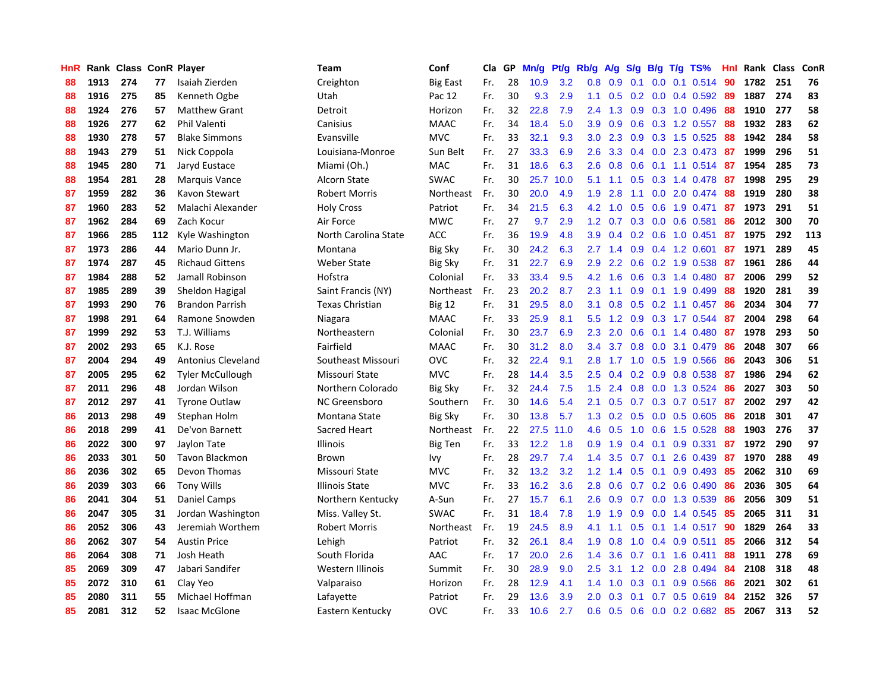| HnR |      | Rank Class ConR Player |     |                           | Team                   | Conf            | Cla | GP | Mn/g | Pt/g | Rb/g             | A/g             | S/g |     | $B/g$ T/g TS%           | Hnl | Rank Class |     | ConR |
|-----|------|------------------------|-----|---------------------------|------------------------|-----------------|-----|----|------|------|------------------|-----------------|-----|-----|-------------------------|-----|------------|-----|------|
| 88  | 1913 | 274                    | 77  | Isaiah Zierden            | Creighton              | <b>Big East</b> | Fr. | 28 | 10.9 | 3.2  | 0.8              | 0.9             | 0.1 | 0.0 | $0.1$ 0.514             | 90  | 1782       | 251 | 76   |
| 88  | 1916 | 275                    | 85  | Kenneth Ogbe              | Utah                   | Pac 12          | Fr. | 30 | 9.3  | 2.9  | 1.1              | 0.5             |     |     | 0.2 0.0 0.4 0.592 89    |     | 1887       | 274 | 83   |
| 88  | 1924 | 276                    | 57  | <b>Matthew Grant</b>      | Detroit                | Horizon         | Fr. | 32 | 22.8 | 7.9  | $2.4^{\circ}$    | 1.3             |     |     | $0.9$ $0.3$ 1.0 $0.496$ | -88 | 1910       | 277 | 58   |
| 88  | 1926 | 277                    | 62  | <b>Phil Valenti</b>       | Canisius               | <b>MAAC</b>     | Fr. | 34 | 18.4 | 5.0  | 3.9              | 0.9             |     |     | 0.6 0.3 1.2 0.557 88    |     | 1932       | 283 | 62   |
| 88  | 1930 | 278                    | 57  | <b>Blake Simmons</b>      | Evansville             | <b>MVC</b>      | Fr. | 33 | 32.1 | 9.3  | 3.0 <sub>2</sub> | 2.3             |     |     | 0.9 0.3 1.5 0.525       | 88  | 1942       | 284 | 58   |
| 88  | 1943 | 279                    | 51  | Nick Coppola              | Louisiana-Monroe       | Sun Belt        | Fr. | 27 | 33.3 | 6.9  | 2.6              | 3.3             |     |     | 0.4 0.0 2.3 0.473 87    |     | 1999       | 296 | 51   |
| 88  | 1945 | 280                    | 71  | Jaryd Eustace             | Miami (Oh.)            | MAC             | Fr. | 31 | 18.6 | 6.3  | 2.6              | 0.8             | 0.6 |     | $0.1$ 1.1 0.514         | -87 | 1954       | 285 | 73   |
| 88  | 1954 | 281                    | 28  | Marquis Vance             | Alcorn State           | <b>SWAC</b>     | Fr. | 30 | 25.7 | 10.0 | 5.1              | 1.1             | 0.5 |     | 0.3 1.4 0.478           | -87 | 1998       | 295 | 29   |
| 87  | 1959 | 282                    | 36  | Kavon Stewart             | <b>Robert Morris</b>   | Northeast       | Fr. | 30 | 20.0 | 4.9  | 1.9              | 2.8             | 1.1 |     | $0.0$ 2.0 0.474         | 88  | 1919       | 280 | 38   |
| 87  | 1960 | 283                    | 52  | Malachi Alexander         | <b>Holy Cross</b>      | Patriot         | Fr. | 34 | 21.5 | 6.3  | 4.2              | 1.0             | 0.5 |     | 0.6 1.9 0.471           | 87  | 1973       | 291 | 51   |
| 87  | 1962 | 284                    | 69  | Zach Kocur                | Air Force              | <b>MWC</b>      | Fr. | 27 | 9.7  | 2.9  |                  | $1.2 \quad 0.7$ |     |     | 0.3 0.0 0.6 0.581       | 86  | 2012       | 300 | 70   |
| 87  | 1966 | 285                    | 112 | Kyle Washington           | North Carolina State   | <b>ACC</b>      | Fr. | 36 | 19.9 | 4.8  | 3.9 <sup>°</sup> | 0.4             |     |     | $0.2$ 0.6 1.0 0.451     | -87 | 1975       | 292 | 113  |
| 87  | 1973 | 286                    | 44  | Mario Dunn Jr.            | Montana                | <b>Big Sky</b>  | Fr. | 30 | 24.2 | 6.3  | $2.7^{\circ}$    | 1.4             | 0.9 |     | $0.4$ 1.2 0.601         | -87 | 1971       | 289 | 45   |
| 87  | 1974 | 287                    | 45  | <b>Richaud Gittens</b>    | Weber State            | <b>Big Sky</b>  | Fr. | 31 | 22.7 | 6.9  | 2.9              | 2.2             | 0.6 |     | 0.2 1.9 0.538           | -87 | 1961       | 286 | 44   |
| 87  | 1984 | 288                    | 52  | Jamall Robinson           | Hofstra                | Colonial        | Fr. | 33 | 33.4 | 9.5  | 4.2              | 1.6             | 0.6 |     | 0.3 1.4 0.480           | -87 | 2006       | 299 | 52   |
| 87  | 1985 | 289                    | 39  | Sheldon Hagigal           | Saint Francis (NY)     | Northeast       | Fr. | 23 | 20.2 | 8.7  | 2.3              | 1.1             | 0.9 |     | $0.1$ 1.9 0.499         | 88  | 1920       | 281 | 39   |
| 87  | 1993 | 290                    | 76  | <b>Brandon Parrish</b>    | <b>Texas Christian</b> | <b>Big 12</b>   | Fr. | 31 | 29.5 | 8.0  | 3.1              | 0.8             | 0.5 |     | $0.2$ 1.1 $0.457$       | -86 | 2034       | 304 | 77   |
| 87  | 1998 | 291                    | 64  | Ramone Snowden            | Niagara                | <b>MAAC</b>     | Fr. | 33 | 25.9 | 8.1  | 5.5              | 1.2             | 0.9 |     | 0.3 1.7 0.544           | -87 | 2004       | 298 | 64   |
| 87  | 1999 | 292                    | 53  | T.J. Williams             | Northeastern           | Colonial        | Fr. | 30 | 23.7 | 6.9  | 2.3              | 2.0             | 0.6 |     | $0.1$ 1.4 0.480         | -87 | 1978       | 293 | 50   |
| 87  | 2002 | 293                    | 65  | K.J. Rose                 | Fairfield              | <b>MAAC</b>     | Fr. | 30 | 31.2 | 8.0  | $3.4^{\circ}$    | 3.7             |     |     | $0.8$ 0.0 3.1 0.479     | -86 | 2048       | 307 | 66   |
| 87  | 2004 | 294                    | 49  | <b>Antonius Cleveland</b> | Southeast Missouri     | <b>OVC</b>      | Fr. | 32 | 22.4 | 9.1  | 2.8              | 1.7             |     |     | 1.0 0.5 1.9 0.566       | -86 | 2043       | 306 | 51   |
| 87  | 2005 | 295                    | 62  | <b>Tyler McCullough</b>   | Missouri State         | <b>MVC</b>      | Fr. | 28 | 14.4 | 3.5  | 2.5              | 0.4             | 0.2 |     | 0.9 0.8 0.538           | -87 | 1986       | 294 | 62   |
| 87  | 2011 | 296                    | 48  | Jordan Wilson             | Northern Colorado      | <b>Big Sky</b>  | Fr. | 32 | 24.4 | 7.5  | 1.5              | 2.4             | 0.8 |     | 0.0 1.3 0.524 86        |     | 2027       | 303 | 50   |
| 87  | 2012 | 297                    | 41  | <b>Tyrone Outlaw</b>      | NC Greensboro          | Southern        | Fr. | 30 | 14.6 | 5.4  | 2.1              | 0.5             | 0.7 |     | $0.3$ 0.7 0.517         | -87 | 2002       | 297 | 42   |
| 86  | 2013 | 298                    | 49  | Stephan Holm              | Montana State          | Big Sky         | Fr. | 30 | 13.8 | 5.7  | 1.3              | 0.2             | 0.5 |     | $0.0$ $0.5$ $0.605$     | -86 | 2018       | 301 | 47   |
| 86  | 2018 | 299                    | 41  | De'von Barnett            | Sacred Heart           | Northeast       | Fr. | 22 | 27.5 | 11.0 | 4.6              | 0.5             | 1.0 |     | $0.6$ 1.5 0.528         | -88 | 1903       | 276 | 37   |
| 86  | 2022 | 300                    | 97  | Jaylon Tate               | Illinois               | Big Ten         | Fr. | 33 | 12.2 | 1.8  | 0.9 <sup>°</sup> | 1.9             |     |     | $0.4$ 0.1 0.9 0.331     | -87 | 1972       | 290 | 97   |
| 86  | 2033 | 301                    | 50  | <b>Tavon Blackmon</b>     | Brown                  | Ivy             | Fr. | 28 | 29.7 | 7.4  | $1.4^{\circ}$    | 3.5             |     |     | 0.7 0.1 2.6 0.439 87    |     | 1970       | 288 | 49   |
| 86  | 2036 | 302                    | 65  | Devon Thomas              | Missouri State         | <b>MVC</b>      | Fr. | 32 | 13.2 | 3.2  | 1.2              | 1.4             |     |     | $0.5$ 0.1 0.9 0.493     | 85  | 2062       | 310 | 69   |
| 86  | 2039 | 303                    | 66  | <b>Tony Wills</b>         | <b>Illinois State</b>  | <b>MVC</b>      | Fr. | 33 | 16.2 | 3.6  | 2.8              | 0.6             |     |     | 0.7 0.2 0.6 0.490       | 86  | 2036       | 305 | 64   |
| 86  | 2041 | 304                    | 51  | Daniel Camps              | Northern Kentucky      | A-Sun           | Fr. | 27 | 15.7 | 6.1  | 2.6              | 0.9             | 0.7 |     | 0.0 1.3 0.539           | 86  | 2056       | 309 | 51   |
| 86  | 2047 | 305                    | 31  | Jordan Washington         | Miss. Valley St.       | SWAC            | Fr. | 31 | 18.4 | 7.8  | 1.9              | 1.9             | 0.9 |     | 0.0 1.4 0.545           | 85  | 2065       | 311 | 31   |
| 86  | 2052 | 306                    | 43  | Jeremiah Worthem          | <b>Robert Morris</b>   | Northeast       | Fr. | 19 | 24.5 | 8.9  | 4.1              | 1.1             | 0.5 |     | $0.1$ 1.4 $0.517$       | -90 | 1829       | 264 | 33   |
| 86  | 2062 | 307                    | 54  | <b>Austin Price</b>       | Lehigh                 | Patriot         | Fr. | 32 | 26.1 | 8.4  | 1.9              | 0.8             | 1.0 | 0.4 | $0.9$ 0.511             | 85  | 2066       | 312 | 54   |
| 86  | 2064 | 308                    | 71  | Josh Heath                | South Florida          | AAC             | Fr. | 17 | 20.0 | 2.6  | 1.4              | 3.6             |     |     | $0.7$ 0.1 1.6 0.411     | 88  | 1911       | 278 | 69   |
| 85  | 2069 | 309                    | 47  | Jabari Sandifer           | Western Illinois       | Summit          | Fr. | 30 | 28.9 | 9.0  | 2.5              | 3.1             |     |     | 1.2 0.0 2.8 0.494       | -84 | 2108       | 318 | 48   |
| 85  | 2072 | 310                    | 61  | Clay Yeo                  | Valparaiso             | Horizon         | Fr. | 28 | 12.9 | 4.1  | $1.4^{\circ}$    | 1.0             | 0.3 | 0.1 | 0.9 0.566               | -86 | 2021       | 302 | 61   |
| 85  | 2080 | 311                    | 55  | Michael Hoffman           | Lafayette              | Patriot         | Fr. | 29 | 13.6 | 3.9  | 2.0              | 0.3             | 0.1 |     | $0.7$ $0.5$ $0.619$     | 84  | 2152       | 326 | 57   |
| 85  | 2081 | 312                    | 52  | <b>Isaac McGlone</b>      | Eastern Kentucky       | <b>OVC</b>      | Fr. | 33 | 10.6 | 2.7  | 0.6              | 0.5             |     |     | 0.6 0.0 0.2 0.682 85    |     | 2067       | 313 | 52   |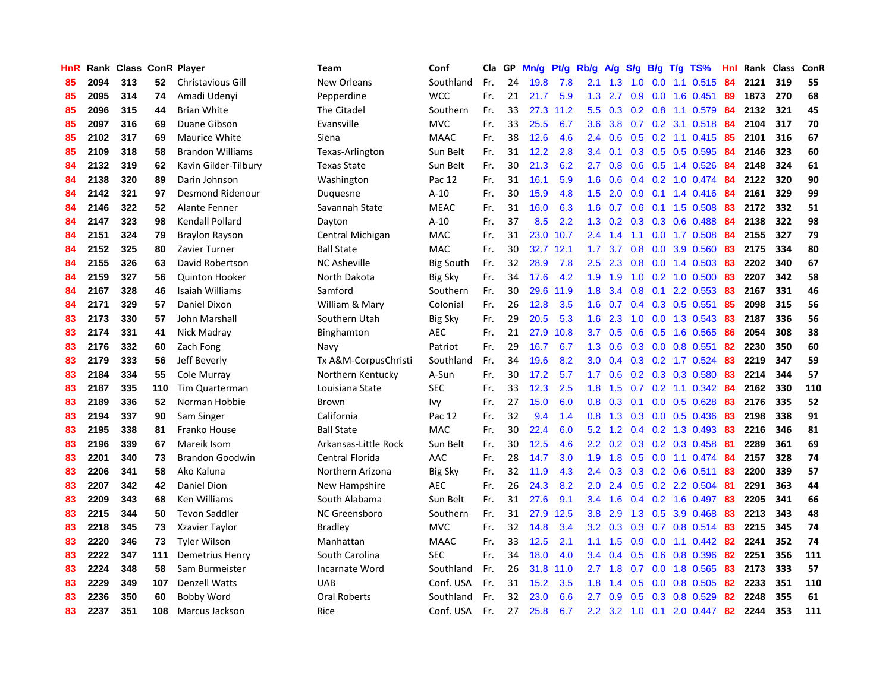| HnR |      | Rank Class ConR Player |     |                          | <b>Team</b>          | Conf             | Cla | GP | Mn/g | Pt/g | Rb/g             | A/g             | S/g |                  | $B/g$ T/g TS%             | <b>Hnl</b> | Rank Class |     | ConR |
|-----|------|------------------------|-----|--------------------------|----------------------|------------------|-----|----|------|------|------------------|-----------------|-----|------------------|---------------------------|------------|------------|-----|------|
| 85  | 2094 | 313                    | 52  | <b>Christavious Gill</b> | New Orleans          | Southland        | Fr. | 24 | 19.8 | 7.8  | 2.1              | 1.3             | 1.0 | 0.0 <sub>1</sub> | 1.1 0.515                 | 84         | 2121       | 319 | 55   |
| 85  | 2095 | 314                    | 74  | Amadi Udenyi             | Pepperdine           | <b>WCC</b>       | Fr. | 21 | 21.7 | 5.9  | 1.3              | 2.7             | 0.9 |                  | $0.0$ 1.6 $0.451$         | -89        | 1873       | 270 | 68   |
| 85  | 2096 | 315                    | 44  | <b>Brian White</b>       | The Citadel          | Southern         | Fr. | 33 | 27.3 | 11.2 | 5.5              | 0.3             |     |                  | 0.2 0.8 1.1 0.579 84      |            | 2132       | 321 | 45   |
| 85  | 2097 | 316                    | 69  | Duane Gibson             | Evansville           | <b>MVC</b>       | Fr. | 33 | 25.5 | 6.7  | 3.6              | 3.8             |     |                  | 0.7 0.2 3.1 0.518 84      |            | 2104       | 317 | 70   |
| 85  | 2102 | 317                    | 69  | <b>Maurice White</b>     | Siena                | <b>MAAC</b>      | Fr. | 38 | 12.6 | 4.6  | $2.4^{\circ}$    | 0.6             | 0.5 |                  | $0.2$ 1.1 0.415           | -85        | 2101       | 316 | 67   |
| 85  | 2109 | 318                    | 58  | <b>Brandon Williams</b>  | Texas-Arlington      | Sun Belt         | Fr. | 31 | 12.2 | 2.8  | 3.4              | 0.1             |     |                  | 0.3 0.5 0.5 0.595         | 84         | 2146       | 323 | 60   |
| 84  | 2132 | 319                    | 62  | Kavin Gilder-Tilbury     | <b>Texas State</b>   | Sun Belt         | Fr. | 30 | 21.3 | 6.2  | 2.7              | 0.8             |     |                  | 0.6 0.5 1.4 0.526         | 84         | 2148       | 324 | 61   |
| 84  | 2138 | 320                    | 89  | Darin Johnson            | Washington           | Pac 12           | Fr. | 31 | 16.1 | 5.9  | 1.6              | 0.6             | 0.4 |                  | $0.2$ 1.0 0.474           | 84         | 2122       | 320 | 90   |
| 84  | 2142 | 321                    | 97  | Desmond Ridenour         | Duquesne             | $A-10$           | Fr. | 30 | 15.9 | 4.8  | 1.5              | 2.0             | 0.9 |                  | $0.1$ 1.4 0.416           | 84         | 2161       | 329 | 99   |
| 84  | 2146 | 322                    | 52  | Alante Fenner            | Savannah State       | <b>MEAC</b>      | Fr. | 31 | 16.0 | 6.3  | 1.6              | 0.7             | 0.6 |                  | $0.1$ 1.5 0.508           | -83        | 2172       | 332 | 51   |
| 84  | 2147 | 323                    | 98  | Kendall Pollard          | Dayton               | $A-10$           | Fr. | 37 | 8.5  | 2.2  | 1.3              | 0.2             |     |                  | $0.3$ $0.3$ $0.6$ $0.488$ | -84        | 2138       | 322 | 98   |
| 84  | 2151 | 324                    | 79  | <b>Braylon Rayson</b>    | Central Michigan     | <b>MAC</b>       | Fr. | 31 | 23.0 | 10.7 | $2.4^{\circ}$    | 1.4             |     |                  | 1.1 0.0 1.7 0.508 84      |            | 2155       | 327 | 79   |
| 84  | 2152 | 325                    | 80  | Zavier Turner            | <b>Ball State</b>    | <b>MAC</b>       | Fr. | 30 | 32.7 | 12.1 | 1.7 <sub>2</sub> | 3.7             | 0.8 |                  | 0.0 3.9 0.560             | -83        | 2175       | 334 | 80   |
| 84  | 2155 | 326                    | 63  | David Robertson          | <b>NC Asheville</b>  | <b>Big South</b> | Fr. | 32 | 28.9 | 7.8  | $2.5\,$          | 2.3             | 0.8 |                  | $0.0$ 1.4 0.503           | -83        | 2202       | 340 | 67   |
| 84  | 2159 | 327                    | 56  | <b>Quinton Hooker</b>    | North Dakota         | Big Sky          | Fr. | 34 | 17.6 | 4.2  | 1.9              | 1.9             | 1.0 |                  | $0.2$ 1.0 0.500           | 83         | 2207       | 342 | 58   |
| 84  | 2167 | 328                    | 46  | Isaiah Williams          | Samford              | Southern         | Fr. | 30 | 29.6 | 11.9 | 1.8              | 3.4             | 0.8 | 0.1              | 2.2 0.553                 | 83         | 2167       | 331 | 46   |
| 84  | 2171 | 329                    | 57  | Daniel Dixon             | William & Mary       | Colonial         | Fr. | 26 | 12.8 | 3.5  | 1.6              | 0.7             | 0.4 |                  | $0.3$ 0.5 0.551           | 85         | 2098       | 315 | 56   |
| 83  | 2173 | 330                    | 57  | John Marshall            | Southern Utah        | <b>Big Sky</b>   | Fr. | 29 | 20.5 | 5.3  | 1.6              | 2.3             | 1.0 |                  | $0.0$ 1.3 0.543           | -83        | 2187       | 336 | 56   |
| 83  | 2174 | 331                    | 41  | Nick Madray              | Binghamton           | <b>AEC</b>       | Fr. | 21 | 27.9 | 10.8 | 3.7              | 0.5             | 0.6 |                  | 0.5 1.6 0.565             | -86        | 2054       | 308 | 38   |
| 83  | 2176 | 332                    | 60  | Zach Fong                | Navy                 | Patriot          | Fr. | 29 | 16.7 | 6.7  | 1.3              | 0.6             |     |                  | $0.3$ 0.0 0.8 0.551       | 82         | 2230       | 350 | 60   |
| 83  | 2179 | 333                    | 56  | Jeff Beverly             | Tx A&M-CorpusChristi | Southland        | Fr. | 34 | 19.6 | 8.2  | 3.0 <sub>2</sub> | 0.4             |     |                  | $0.3$ $0.2$ 1.7 $0.524$   | 83         | 2219       | 347 | 59   |
| 83  | 2184 | 334                    | 55  | Cole Murray              | Northern Kentucky    | A-Sun            | Fr. | 30 | 17.2 | 5.7  | $1.7^{\circ}$    | 0.6             |     |                  | $0.2$ 0.3 0.3 0.580       | 83         | 2214       | 344 | 57   |
| 83  | 2187 | 335                    | 110 | <b>Tim Quarterman</b>    | Louisiana State      | <b>SEC</b>       | Fr. | 33 | 12.3 | 2.5  | 1.8              | 1.5             | 0.7 |                  | $0.2$ 1.1 0.342           | -84        | 2162       | 330 | 110  |
| 83  | 2189 | 336                    | 52  | Norman Hobbie            | Brown                | Ivy              | Fr. | 27 | 15.0 | 6.0  | 0.8              | 0.3             | 0.1 |                  | $0.0$ $0.5$ $0.628$       | 83         | 2176       | 335 | 52   |
| 83  | 2194 | 337                    | 90  | Sam Singer               | California           | Pac 12           | Fr. | 32 | 9.4  | 1.4  | 0.8              | 1.3             | 0.3 |                  | $0.0$ $0.5$ $0.436$       | 83         | 2198       | 338 | 91   |
| 83  | 2195 | 338                    | 81  | Franko House             | <b>Ball State</b>    | <b>MAC</b>       | Fr. | 30 | 22.4 | 6.0  | 5.2              | 1.2             | 0.4 |                  | 0.2 1.3 0.493             | -83        | 2216       | 346 | 81   |
| 83  | 2196 | 339                    | 67  | Mareik Isom              | Arkansas-Little Rock | Sun Belt         | Fr. | 30 | 12.5 | 4.6  | $2.2^{\circ}$    | 0.2             |     |                  | $0.3$ 0.2 0.3 0.458       | -81        | 2289       | 361 | 69   |
| 83  | 2201 | 340                    | 73  | <b>Brandon Goodwin</b>   | Central Florida      | AAC              | Fr. | 28 | 14.7 | 3.0  | 1.9              | 1.8             |     |                  | 0.5 0.0 1.1 0.474 84      |            | 2157       | 328 | 74   |
| 83  | 2206 | 341                    | 58  | Ako Kaluna               | Northern Arizona     | <b>Big Sky</b>   | Fr. | 32 | 11.9 | 4.3  | $2.4^{\circ}$    | 0.3             |     |                  | 0.3 0.2 0.6 0.511 83      |            | 2200       | 339 | 57   |
| 83  | 2207 | 342                    | 42  | Daniel Dion              | New Hampshire        | <b>AEC</b>       | Fr. | 26 | 24.3 | 8.2  | 2.0              | 2.4             | 0.5 |                  | 0.2 2.2 0.504             | -81        | 2291       | 363 | 44   |
| 83  | 2209 | 343                    | 68  | <b>Ken Williams</b>      | South Alabama        | Sun Belt         | Fr. | 31 | 27.6 | 9.1  | 3.4              | 1.6             | 0.4 |                  | $0.2$ 1.6 0.497           | 83         | 2205       | 341 | 66   |
| 83  | 2215 | 344                    | 50  | <b>Tevon Saddler</b>     | NC Greensboro        | Southern         | Fr. | 31 | 27.9 | 12.5 | 3.8              | 2.9             | 1.3 |                  | 0.5 3.9 0.468             | 83         | 2213       | 343 | 48   |
| 83  | 2218 | 345                    | 73  | Xzavier Taylor           | <b>Bradley</b>       | <b>MVC</b>       | Fr. | 32 | 14.8 | 3.4  | 3.2              | 0.3             | 0.3 |                  | $0.7$ 0.8 0.514           | -83        | 2215       | 345 | 74   |
| 83  | 2220 | 346                    | 73  | <b>Tyler Wilson</b>      | Manhattan            | <b>MAAC</b>      | Fr. | 33 | 12.5 | 2.1  | 1.1              | 1.5             | 0.9 |                  | $0.0$ 1.1 $0.442$         | 82         | 2241       | 352 | 74   |
| 83  | 2222 | 347                    | 111 | Demetrius Henry          | South Carolina       | <b>SEC</b>       | Fr. | 34 | 18.0 | 4.0  | 3.4              | 0.4             | 0.5 |                  | 0.6 0.8 0.396             | 82         | 2251       | 356 | 111  |
| 83  | 2224 | 348                    | 58  | Sam Burmeister           | Incarnate Word       | Southland        | Fr. | 26 | 31.8 | 11.0 | 2.7              | 1.8             | 0.7 |                  | $0.0$ 1.8 $0.565$         | 83         | 2173       | 333 | 57   |
| 83  | 2229 | 349                    | 107 | <b>Denzell Watts</b>     | <b>UAB</b>           | Conf. USA        | Fr. | 31 | 15.2 | 3.5  | 1.8              | 1.4             | 0.5 |                  | $0.0$ 0.8 0.505           | -82        | 2233       | 351 | 110  |
| 83  | 2236 | 350                    | 60  | <b>Bobby Word</b>        | Oral Roberts         | Southland        | Fr. | 32 | 23.0 | 6.6  | $2.7^{\circ}$    | 0.9             | 0.5 |                  | 0.3 0.8 0.529             | 82         | 2248       | 355 | 61   |
| 83  | 2237 | 351                    | 108 | Marcus Jackson           | Rice                 | Conf. USA        | Fr. | 27 | 25.8 | 6.7  | $2.2^{\circ}$    | $3.2 \quad 1.0$ |     |                  | $0.1$ 2.0 0.447           | 82         | 2244       | 353 | 111  |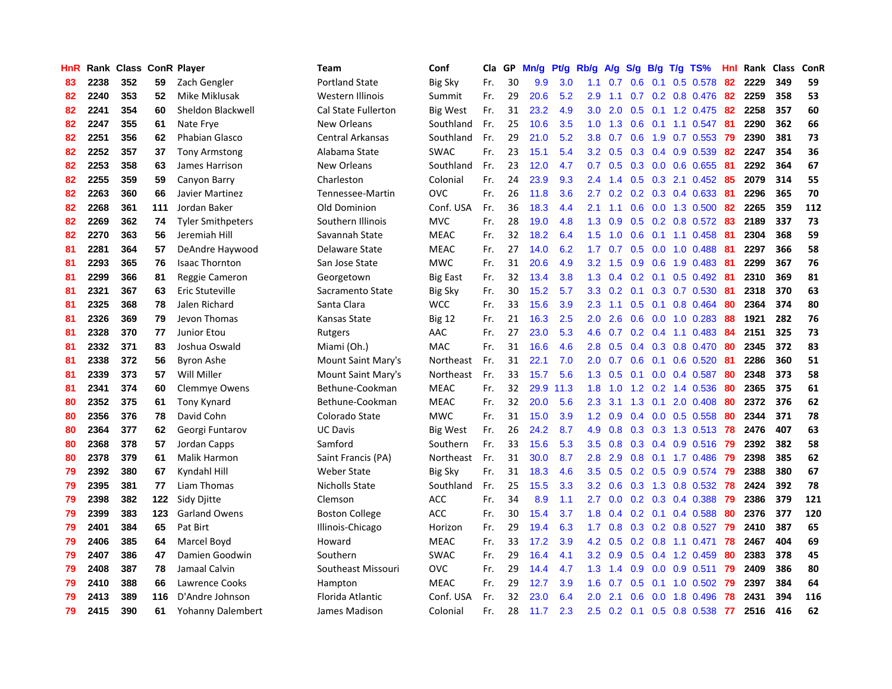| HnR |      | Rank Class ConR Player |     |                          | <b>Team</b>                | Conf            | Cla | GP | Mn/g | Pt/g | Rb/g             | A/g | S/g | B/g | $T/g$ TS%                 | Hnl | Rank | <b>Class</b> | ConR |
|-----|------|------------------------|-----|--------------------------|----------------------------|-----------------|-----|----|------|------|------------------|-----|-----|-----|---------------------------|-----|------|--------------|------|
| 83  | 2238 | 352                    | 59  | Zach Gengler             | <b>Portland State</b>      | <b>Big Sky</b>  | Fr. | 30 | 9.9  | 3.0  | 1.1              | 0.7 | 0.6 | 0.1 | 0.5 0.578                 | 82  | 2229 | 349          | 59   |
| 82  | 2240 | 353                    | 52  | Mike Miklusak            | Western Illinois           | Summit          | Fr. | 29 | 20.6 | 5.2  | 2.9              | 1.1 |     |     | $0.7$ $0.2$ $0.8$ $0.476$ | -82 | 2259 | 358          | 53   |
| 82  | 2241 | 354                    | 60  | Sheldon Blackwell        | <b>Cal State Fullerton</b> | <b>Big West</b> | Fr. | 31 | 23.2 | 4.9  | 3.0 <sub>2</sub> | 2.0 |     |     | 0.5 0.1 1.2 0.475 82      |     | 2258 | 357          | 60   |
| 82  | 2247 | 355                    | 61  | Nate Frye                | New Orleans                | Southland       | Fr. | 25 | 10.6 | 3.5  | 1.0              | 1.3 |     |     | 0.6 0.1 1.1 0.547 81      |     | 2290 | 362          | 66   |
| 82  | 2251 | 356                    | 62  | <b>Phabian Glasco</b>    | Central Arkansas           | Southland       | Fr. | 29 | 21.0 | 5.2  | 3.8 <sub>2</sub> | 0.7 | 0.6 |     | 1.9 0.7 0.553             | -79 | 2390 | 381          | 73   |
| 82  | 2252 | 357                    | 37  | <b>Tony Armstong</b>     | Alabama State              | <b>SWAC</b>     | Fr. | 23 | 15.1 | 5.4  | 3.2              | 0.5 | 0.3 |     | 0.4 0.9 0.539             | 82  | 2247 | 354          | 36   |
| 82  | 2253 | 358                    | 63  | James Harrison           | New Orleans                | Southland       | Fr. | 23 | 12.0 | 4.7  | 0.7              | 0.5 |     |     | 0.3 0.0 0.6 0.655         | -81 | 2292 | 364          | 67   |
| 82  | 2255 | 359                    | 59  | Canyon Barry             | Charleston                 | Colonial        | Fr. | 24 | 23.9 | 9.3  | 2.4              | 1.4 | 0.5 |     | $0.3$ 2.1 $0.452$         | 85  | 2079 | 314          | 55   |
| 82  | 2263 | 360                    | 66  | Javier Martinez          | Tennessee-Martin           | <b>OVC</b>      | Fr. | 26 | 11.8 | 3.6  | 2.7              | 0.2 | 0.2 |     | $0.3$ 0.4 0.633           | -81 | 2296 | 365          | 70   |
| 82  | 2268 | 361                    | 111 | Jordan Baker             | Old Dominion               | Conf. USA       | Fr. | 36 | 18.3 | 4.4  | 2.1              | 1.1 | 0.6 |     | $0.0$ 1.3 $0.500$         | 82  | 2265 | 359          | 112  |
| 82  | 2269 | 362                    | 74  | <b>Tyler Smithpeters</b> | Southern Illinois          | <b>MVC</b>      | Fr. | 28 | 19.0 | 4.8  | 1.3              | 0.9 |     |     | 0.5 0.2 0.8 0.572 83      |     | 2189 | 337          | 73   |
| 82  | 2270 | 363                    | 56  | Jeremiah Hill            | Savannah State             | <b>MEAC</b>     | Fr. | 32 | 18.2 | 6.4  | 1.5              | 1.0 |     |     | 0.6 0.1 1.1 0.458 81      |     | 2304 | 368          | 59   |
| 81  | 2281 | 364                    | 57  | DeAndre Haywood          | Delaware State             | <b>MEAC</b>     | Fr. | 27 | 14.0 | 6.2  | 1.7              | 0.7 |     |     | $0.5$ 0.0 1.0 0.488       | -81 | 2297 | 366          | 58   |
| 81  | 2293 | 365                    | 76  | <b>Isaac Thornton</b>    | San Jose State             | <b>MWC</b>      | Fr. | 31 | 20.6 | 4.9  | 3.2              | 1.5 | 0.9 |     | $0.6$ 1.9 0.483           | -81 | 2299 | 367          | 76   |
| 81  | 2299 | 366                    | 81  | Reggie Cameron           | Georgetown                 | <b>Big East</b> | Fr. | 32 | 13.4 | 3.8  | 1.3              | 0.4 | 0.2 |     | $0.1$ 0.5 0.492           | -81 | 2310 | 369          | 81   |
| 81  | 2321 | 367                    | 63  | Eric Stuteville          | Sacramento State           | <b>Big Sky</b>  | Fr. | 30 | 15.2 | 5.7  | 3.3              | 0.2 | 0.1 |     | 0.3 0.7 0.530             | 81  | 2318 | 370          | 63   |
| 81  | 2325 | 368                    | 78  | Jalen Richard            | Santa Clara                | <b>WCC</b>      | Fr. | 33 | 15.6 | 3.9  | 2.3              | 1.1 | 0.5 | 0.1 | $0.8$ 0.464               | 80  | 2364 | 374          | 80   |
| 81  | 2326 | 369                    | 79  | Jevon Thomas             | Kansas State               | <b>Big 12</b>   | Fr. | 21 | 16.3 | 2.5  | 2.0              | 2.6 | 0.6 |     | $0.0$ 1.0 0.283           | -88 | 1921 | 282          | 76   |
| 81  | 2328 | 370                    | 77  | <b>Junior Etou</b>       | Rutgers                    | AAC             | Fr. | 27 | 23.0 | 5.3  | 4.6              | 0.7 |     |     | 0.2 0.4 1.1 0.483 84      |     | 2151 | 325          | 73   |
| 81  | 2332 | 371                    | 83  | Joshua Oswald            | Miami (Oh.)                | <b>MAC</b>      | Fr. | 31 | 16.6 | 4.6  | 2.8              | 0.5 |     |     | 0.4 0.3 0.8 0.470 80      |     | 2345 | 372          | 83   |
| 81  | 2338 | 372                    | 56  | <b>Byron Ashe</b>        | Mount Saint Mary's         | Northeast       | Fr. | 31 | 22.1 | 7.0  | 2.0              | 0.7 | 0.6 |     | $0.1$ 0.6 0.520           | -81 | 2286 | 360          | 51   |
| 81  | 2339 | 373                    | 57  | Will Miller              | Mount Saint Mary's         | Northeast       | Fr. | 33 | 15.7 | 5.6  | 1.3              | 0.5 | 0.1 |     | $0.0$ 0.4 0.587           | -80 | 2348 | 373          | 58   |
| 81  | 2341 | 374                    | 60  | <b>Clemmye Owens</b>     | Bethune-Cookman            | <b>MEAC</b>     | Fr. | 32 | 29.9 | 11.3 | 1.8              | 1.0 |     |     | 1.2 0.2 1.4 0.536         | 80  | 2365 | 375          | 61   |
| 80  | 2352 | 375                    | 61  | Tony Kynard              | Bethune-Cookman            | <b>MEAC</b>     | Fr. | 32 | 20.0 | 5.6  | 2.3              | 3.1 | 1.3 | 0.1 | 2.0 0.408                 | 80  | 2372 | 376          | 62   |
| 80  | 2356 | 376                    | 78  | David Cohn               | Colorado State             | <b>MWC</b>      | Fr. | 31 | 15.0 | 3.9  | 1.2              | 0.9 | 0.4 |     | $0.0$ $0.5$ $0.558$       | 80  | 2344 | 371          | 78   |
| 80  | 2364 | 377                    | 62  | Georgi Funtarov          | <b>UC Davis</b>            | <b>Big West</b> | Fr. | 26 | 24.2 | 8.7  | 4.9              | 0.8 | 0.3 |     | 0.3 1.3 0.513 78          |     | 2476 | 407          | 63   |
| 80  | 2368 | 378                    | 57  | Jordan Capps             | Samford                    | Southern        | Fr. | 33 | 15.6 | 5.3  | 3.5              | 0.8 |     |     | 0.3 0.4 0.9 0.516 79      |     | 2392 | 382          | 58   |
| 80  | 2378 | 379                    | 61  | Malik Harmon             | Saint Francis (PA)         | Northeast       | Fr. | 31 | 30.0 | 8.7  | 2.8              | 2.9 |     |     | 0.8 0.1 1.7 0.486 79      |     | 2398 | 385          | 62   |
| 79  | 2392 | 380                    | 67  | Kyndahl Hill             | Weber State                | <b>Big Sky</b>  | Fr. | 31 | 18.3 | 4.6  | 3.5              | 0.5 |     |     | 0.2 0.5 0.9 0.574 79      |     | 2388 | 380          | 67   |
| 79  | 2395 | 381                    | 77  | Liam Thomas              | <b>Nicholls State</b>      | Southland       | Fr. | 25 | 15.5 | 3.3  | 3.2              | 0.6 |     |     | 0.3 1.3 0.8 0.532 78      |     | 2424 | 392          | 78   |
| 79  | 2398 | 382                    | 122 | Sidy Diitte              | Clemson                    | <b>ACC</b>      | Fr. | 34 | 8.9  | 1.1  | 2.7              | 0.0 |     |     | $0.2$ 0.3 0.4 0.388       | 79  | 2386 | 379          | 121  |
| 79  | 2399 | 383                    | 123 | <b>Garland Owens</b>     | <b>Boston College</b>      | ACC             | Fr. | 30 | 15.4 | 3.7  | 1.8              | 0.4 |     |     | 0.2 0.1 0.4 0.588         | 80  | 2376 | 377          | 120  |
| 79  | 2401 | 384                    | 65  | Pat Birt                 | Illinois-Chicago           | Horizon         | Fr. | 29 | 19.4 | 6.3  | 1.7              | 0.8 | 0.3 |     | $0.2$ 0.8 0.527           | 79  | 2410 | 387          | 65   |
| 79  | 2406 | 385                    | 64  | Marcel Boyd              | Howard                     | <b>MEAC</b>     | Fr. | 33 | 17.2 | 3.9  | 4.2              | 0.5 | 0.2 |     | 0.8 1.1 0.471             | 78  | 2467 | 404          | 69   |
| 79  | 2407 | 386                    | 47  | Damien Goodwin           | Southern                   | SWAC            | Fr. | 29 | 16.4 | 4.1  | 3.2              | 0.9 | 0.5 |     | 0.4 1.2 0.459             | 80  | 2383 | 378          | 45   |
| 79  | 2408 | 387                    | 78  | Jamaal Calvin            | Southeast Missouri         | <b>OVC</b>      | Fr. | 29 | 14.4 | 4.7  | 1.3              | 1.4 | 0.9 |     | $0.0$ 0.9 0.511           | -79 | 2409 | 386          | 80   |
| 79  | 2410 | 388                    | 66  | Lawrence Cooks           | Hampton                    | <b>MEAC</b>     | Fr. | 29 | 12.7 | 3.9  | 1.6              | 0.7 | 0.5 |     | $0.1$ 1.0 0.502           | -79 | 2397 | 384          | 64   |
| 79  | 2413 | 389                    | 116 | D'Andre Johnson          | Florida Atlantic           | Conf. USA       | Fr. | 32 | 23.0 | 6.4  | 2.0              | 2.1 | 0.6 |     | $0.0$ 1.8 0.496           | 78  | 2431 | 394          | 116  |
| 79  | 2415 | 390                    | 61  | <b>Yohanny Dalembert</b> | James Madison              | Colonial        | Fr. | 28 | 11.7 | 2.3  | 2.5              | 0.2 | 0.1 |     | $0.5$ 0.8 0.538           | 77  | 2516 | 416          | 62   |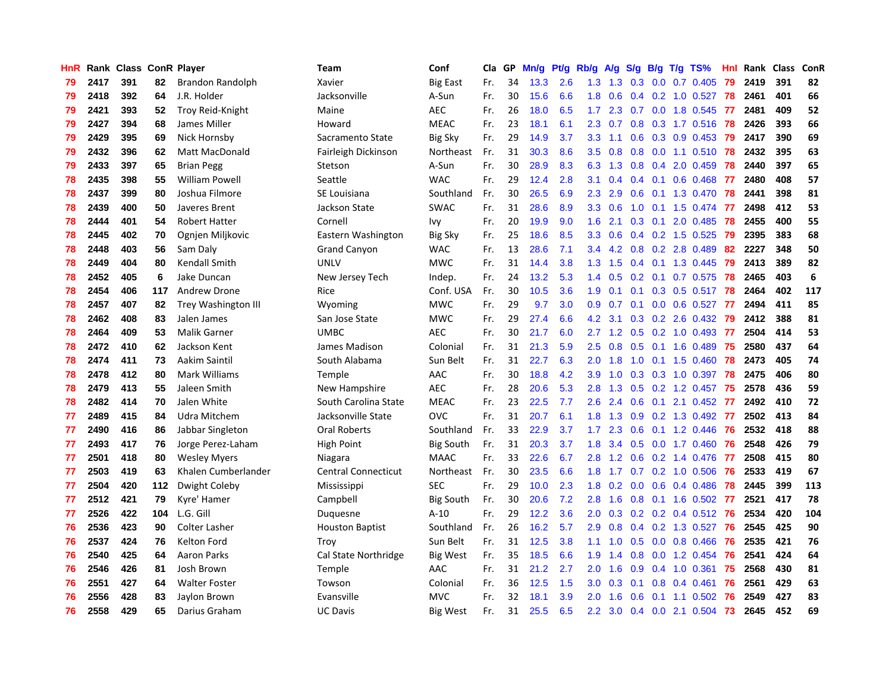| HnR |      | Rank Class ConR Player |     |                       | Team                       | Conf             | Cla | GP | Mn/g | Pt/g | Rb/g             | A/g | <b>S/g</b>    |     | $B/g$ T/g TS%           | Hnl | Rank Class |     | ConR |
|-----|------|------------------------|-----|-----------------------|----------------------------|------------------|-----|----|------|------|------------------|-----|---------------|-----|-------------------------|-----|------------|-----|------|
| 79  | 2417 | 391                    | 82  | Brandon Randolph      | Xavier                     | <b>Big East</b>  | Fr. | 34 | 13.3 | 2.6  | 1.3              | 1.3 | 0.3           | 0.0 | 0.7 0.405               | 79  | 2419       | 391 | 82   |
| 79  | 2418 | 392                    | 64  | J.R. Holder           | Jacksonville               | A-Sun            | Fr. | 30 | 15.6 | 6.6  | 1.8              | 0.6 |               |     | $0.4$ 0.2 1.0 0.527     | -78 | 2461       | 401 | 66   |
| 79  | 2421 | 393                    | 52  | Troy Reid-Knight      | Maine                      | <b>AEC</b>       | Fr. | 26 | 18.0 | 6.5  | 1.7 <sub>z</sub> | 2.3 |               |     | $0.7$ $0.0$ 1.8 $0.545$ | -77 | 2481       | 409 | 52   |
| 79  | 2427 | 394                    | 68  | James Miller          | Howard                     | <b>MEAC</b>      | Fr. | 23 | 18.1 | 6.1  | $2.3^{\circ}$    | 0.7 |               |     | 0.8 0.3 1.7 0.516 78    |     | 2426       | 393 | 66   |
| 79  | 2429 | 395                    | 69  | Nick Hornsby          | Sacramento State           | <b>Big Sky</b>   | Fr. | 29 | 14.9 | 3.7  | 3.3 <sub>2</sub> | 1.1 | 0.6           |     | $0.3$ 0.9 0.453         | -79 | 2417       | 390 | 69   |
| 79  | 2432 | 396                    | 62  | <b>Matt MacDonald</b> | Fairleigh Dickinson        | Northeast        | Fr. | 31 | 30.3 | 8.6  | 3.5              | 0.8 | 0.8           |     | 0.0 1.1 0.510           | -78 | 2432       | 395 | 63   |
| 79  | 2433 | 397                    | 65  | <b>Brian Pegg</b>     | Stetson                    | A-Sun            | Fr. | 30 | 28.9 | 8.3  | 6.3              | 1.3 | 0.8           |     | 0.4 2.0 0.459           | 78  | 2440       | 397 | 65   |
| 78  | 2435 | 398                    | 55  | <b>William Powell</b> | Seattle                    | <b>WAC</b>       | Fr. | 29 | 12.4 | 2.8  | 3.1              | 0.4 | 0.4           | 0.1 | $0.6$ 0.468             | 77  | 2480       | 408 | 57   |
| 78  | 2437 | 399                    | 80  | Joshua Filmore        | SE Louisiana               | Southland        | Fr. | 30 | 26.5 | 6.9  | 2.3              | 2.9 | 0.6           |     | 0.1 1.3 0.470           | 78  | 2441       | 398 | 81   |
| 78  | 2439 | 400                    | 50  | Javeres Brent         | Jackson State              | <b>SWAC</b>      | Fr. | 31 | 28.6 | 8.9  | 3.3 <sub>2</sub> | 0.6 | 1.0           |     | 0.1 1.5 0.474 77        |     | 2498       | 412 | 53   |
| 78  | 2444 | 401                    | 54  | <b>Robert Hatter</b>  | Cornell                    | Ivy              | Fr. | 20 | 19.9 | 9.0  | 1.6              | 2.1 |               |     | 0.3 0.1 2.0 0.485 78    |     | 2455       | 400 | 55   |
| 78  | 2445 | 402                    | 70  | Ognjen Miljkovic      | Eastern Washington         | <b>Big Sky</b>   | Fr. | 25 | 18.6 | 8.5  | 3.3              | 0.6 |               |     | $0.4$ 0.2 1.5 0.525     | -79 | 2395       | 383 | 68   |
| 78  | 2448 | 403                    | 56  | Sam Daly              | <b>Grand Canyon</b>        | <b>WAC</b>       | Fr. | 13 | 28.6 | 7.1  | $3.4^{\circ}$    | 4.2 | 0.8           |     | 0.2 2.8 0.489           | -82 | 2227       | 348 | 50   |
| 78  | 2449 | 404                    | 80  | Kendall Smith         | <b>UNLV</b>                | <b>MWC</b>       | Fr. | 31 | 14.4 | 3.8  | 1.3              | 1.5 | $0.4^{\circ}$ |     | $0.1$ 1.3 0.445         | -79 | 2413       | 389 | 82   |
| 78  | 2452 | 405                    | 6   | Jake Duncan           | New Jersey Tech            | Indep.           | Fr. | 24 | 13.2 | 5.3  | 1.4              | 0.5 | 0.2           |     | $0.1$ 0.7 0.575         | 78  | 2465       | 403 | 6    |
| 78  | 2454 | 406                    | 117 | <b>Andrew Drone</b>   | Rice                       | Conf. USA        | Fr. | 30 | 10.5 | 3.6  | 1.9              | 0.1 | 0.1           |     | $0.3$ 0.5 0.517         | 78  | 2464       | 402 | 117  |
| 78  | 2457 | 407                    | 82  | Trey Washington III   | Wyoming                    | <b>MWC</b>       | Fr. | 29 | 9.7  | 3.0  | 0.9              | 0.7 | 0.1           |     | $0.0$ $0.6$ $0.527$     | 77  | 2494       | 411 | 85   |
| 78  | 2462 | 408                    | 83  | Jalen James           | San Jose State             | <b>MWC</b>       | Fr. | 29 | 27.4 | 6.6  | 4.2              | 3.1 | 0.3           |     | $0.2$ 2.6 0.432         | 79  | 2412       | 388 | 81   |
| 78  | 2464 | 409                    | 53  | <b>Malik Garner</b>   | <b>UMBC</b>                | <b>AEC</b>       | Fr. | 30 | 21.7 | 6.0  | $2.7^{\circ}$    | 1.2 |               |     | $0.5$ 0.2 1.0 0.493     | -77 | 2504       | 414 | 53   |
| 78  | 2472 | 410                    | 62  | Jackson Kent          | James Madison              | Colonial         | Fr. | 31 | 21.3 | 5.9  | 2.5              | 0.8 |               |     | 0.5 0.1 1.6 0.489       | 75  | 2580       | 437 | 64   |
| 78  | 2474 | 411                    | 73  | Aakim Saintil         | South Alabama              | Sun Belt         | Fr. | 31 | 22.7 | 6.3  | 2.0              | 1.8 | 1.0           |     | $0.1$ 1.5 0.460         | -78 | 2473       | 405 | 74   |
| 78  | 2478 | 412                    | 80  | Mark Williams         | Temple                     | AAC              | Fr. | 30 | 18.8 | 4.2  | 3.9              | 1.0 | 0.3           |     | 0.3 1.0 0.397           | 78  | 2475       | 406 | 80   |
| 78  | 2479 | 413                    | 55  | Jaleen Smith          | New Hampshire              | <b>AEC</b>       | Fr. | 28 | 20.6 | 5.3  | 2.8              | 1.3 | 0.5           |     | $0.2$ 1.2 0.457         | 75  | 2578       | 436 | 59   |
| 78  | 2482 | 414                    | 70  | Jalen White           | South Carolina State       | <b>MEAC</b>      | Fr. | 23 | 22.5 | 7.7  | 2.6              | 2.4 | 0.6           | 0.1 | 2.1 0.452               | 77  | 2492       | 410 | 72   |
| 77  | 2489 | 415                    | 84  | Udra Mitchem          | Jacksonville State         | <b>OVC</b>       | Fr. | 31 | 20.7 | 6.1  | 1.8              | 1.3 | 0.9           |     | 0.2 1.3 0.492           | 77  | 2502       | 413 | 84   |
| 77  | 2490 | 416                    | 86  | Jabbar Singleton      | <b>Oral Roberts</b>        | Southland        | Fr. | 33 | 22.9 | 3.7  | 1.7              | 2.3 | 0.6           |     | $0.1$ 1.2 0.446         | 76  | 2532       | 418 | 88   |
| 77  | 2493 | 417                    | 76  | Jorge Perez-Laham     | High Point                 | <b>Big South</b> | Fr. | 31 | 20.3 | 3.7  | 1.8              | 3.4 |               |     | $0.5$ 0.0 1.7 0.460     | -76 | 2548       | 426 | 79   |
| 77  | 2501 | 418                    | 80  | <b>Wesley Myers</b>   | Niagara                    | MAAC             | Fr. | 33 | 22.6 | 6.7  | 2.8              | 1.2 |               |     | 0.6 0.2 1.4 0.476 77    |     | 2508       | 415 | 80   |
| 77  | 2503 | 419                    | 63  | Khalen Cumberlander   | <b>Central Connecticut</b> | Northeast        | Fr. | 30 | 23.5 | 6.6  | 1.8              | 1.7 |               |     | 0.7 0.2 1.0 0.506 76    |     | 2533       | 419 | 67   |
| 77  | 2504 | 420                    | 112 | Dwight Coleby         | Mississippi                | <b>SEC</b>       | Fr. | 29 | 10.0 | 2.3  | 1.8              | 0.2 | 0.0           |     | $0.6$ 0.4 0.486         | 78  | 2445       | 399 | 113  |
| 77  | 2512 | 421                    | 79  | Kyre' Hamer           | Campbell                   | <b>Big South</b> | Fr. | 30 | 20.6 | 7.2  | 2.8              | 1.6 | 0.8           |     | $0.1$ 1.6 0.502         | -77 | 2521       | 417 | 78   |
| 77  | 2526 | 422                    | 104 | L.G. Gill             | Duquesne                   | $A-10$           | Fr. | 29 | 12.2 | 3.6  | 2.0              | 0.3 | 0.2           |     | $0.2$ 0.4 0.512         | 76  | 2534       | 420 | 104  |
| 76  | 2536 | 423                    | 90  | <b>Colter Lasher</b>  | <b>Houston Baptist</b>     | Southland        | Fr. | 26 | 16.2 | 5.7  | 2.9              | 0.8 | 0.4           |     | 0.2 1.3 0.527           | 76  | 2545       | 425 | 90   |
| 76  | 2537 | 424                    | 76  | Kelton Ford           | Troy                       | Sun Belt         | Fr. | 31 | 12.5 | 3.8  | 1.1              | 1.0 | 0.5           |     | $0.0$ $0.8$ $0.466$     | 76  | 2535       | 421 | 76   |
| 76  | 2540 | 425                    | 64  | <b>Aaron Parks</b>    | Cal State Northridge       | <b>Big West</b>  | Fr. | 35 | 18.5 | 6.6  | 1.9              | 1.4 | 0.8           |     | $0.0$ 1.2 0.454         | -76 | 2541       | 424 | 64   |
| 76  | 2546 | 426                    | 81  | Josh Brown            | Temple                     | AAC              | Fr. | 31 | 21.2 | 2.7  | 2.0              | 1.6 | 0.9           |     | $0.4$ 1.0 0.361         | -75 | 2568       | 430 | 81   |
| 76  | 2551 | 427                    | 64  | <b>Walter Foster</b>  | Towson                     | Colonial         | Fr. | 36 | 12.5 | 1.5  | 3.0 <sub>2</sub> | 0.3 | 0.1           |     | $0.8$ 0.4 0.461         | 76  | 2561       | 429 | 63   |
| 76  | 2556 | 428                    | 83  | Jaylon Brown          | Evansville                 | <b>MVC</b>       | Fr. | 32 | 18.1 | 3.9  | 2.0              | 1.6 | 0.6           | 0.1 | 1.1 0.502               | 76  | 2549       | 427 | 83   |
| 76  | 2558 | 429                    | 65  | Darius Graham         | <b>UC Davis</b>            | <b>Big West</b>  | Fr. | 31 | 25.5 | 6.5  | $2.2^{\circ}$    | 3.0 |               |     | $0.4$ 0.0 2.1 0.504     | -73 | 2645       | 452 | 69   |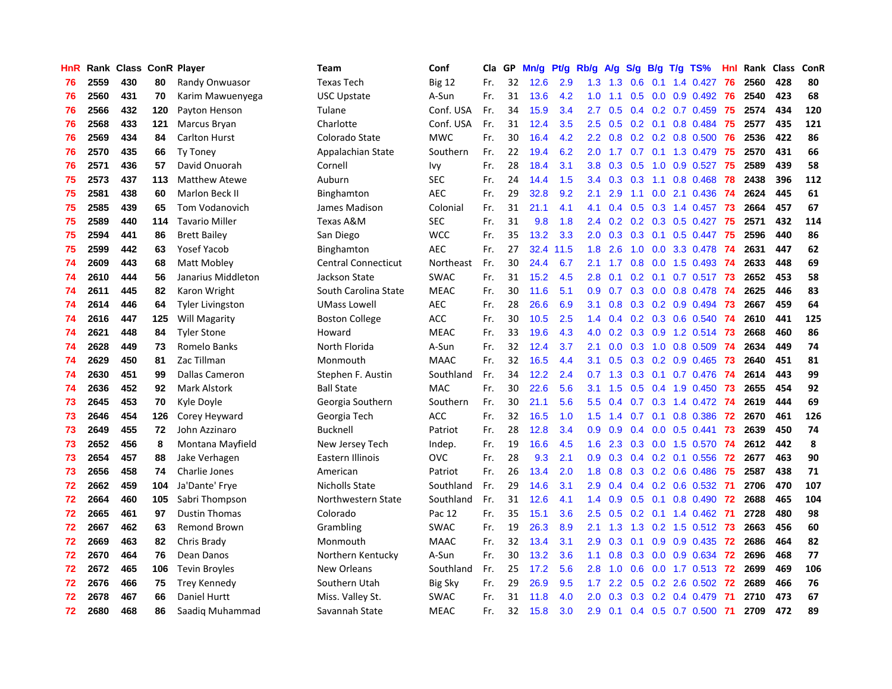| <b>HnR</b> |      | Rank Class ConR Player |     |                         | <b>Team</b>                | Conf           | <b>Cla</b> | GP | Mn/g | Pt/g | Rb/g             | A/g | S/g              | B/g | T/g TS%                         | Hnl | Rank | <b>Class</b> | ConR |
|------------|------|------------------------|-----|-------------------------|----------------------------|----------------|------------|----|------|------|------------------|-----|------------------|-----|---------------------------------|-----|------|--------------|------|
| 76         | 2559 | 430                    | 80  | Randy Onwuasor          | <b>Texas Tech</b>          | <b>Big 12</b>  | Fr.        | 32 | 12.6 | 2.9  | 1.3              | 1.3 | 0.6              | 0.1 | 1.4 0.427                       | 76  | 2560 | 428          | 80   |
| 76         | 2560 | 431                    | 70  | Karim Mawuenyega        | <b>USC Upstate</b>         | A-Sun          | Fr.        | 31 | 13.6 | 4.2  | 1.0 <sub>1</sub> | 1.1 | 0.5              |     | $0.0 \quad 0.9 \quad 0.492$     | -76 | 2540 | 423          | 68   |
| 76         | 2566 | 432                    | 120 | Payton Henson           | Tulane                     | Conf. USA      | Fr.        | 34 | 15.9 | 3.4  | $2.7^{\circ}$    | 0.5 |                  |     | $0.4$ 0.2 0.7 0.459             | -75 | 2574 | 434          | 120  |
| 76         | 2568 | 433                    | 121 | Marcus Bryan            | Charlotte                  | Conf. USA      | Fr.        | 31 | 12.4 | 3.5  | 2.5              | 0.5 |                  |     | $0.2$ 0.1 0.8 0.484             | -75 | 2577 | 435          | 121  |
| 76         | 2569 | 434                    | 84  | <b>Carlton Hurst</b>    | Colorado State             | <b>MWC</b>     | Fr.        | 30 | 16.4 | 4.2  | 2.2              | 0.8 |                  |     | $0.2$ 0.2 0.8 0.500             | 76  | 2536 | 422          | 86   |
| 76         | 2570 | 435                    | 66  | <b>Ty Toney</b>         | Appalachian State          | Southern       | Fr.        | 22 | 19.4 | 6.2  | 2.0              | 1.7 | 0.7              |     | 0.1 1.3 0.479                   | 75  | 2570 | 431          | 66   |
| 76         | 2571 | 436                    | 57  | David Onuorah           | Cornell                    | Ivy            | Fr.        | 28 | 18.4 | 3.1  | 3.8              | 0.3 | 0.5              |     | 1.0 0.9 0.527                   | 75  | 2589 | 439          | 58   |
| 75         | 2573 | 437                    | 113 | <b>Matthew Atewe</b>    | Auburn                     | <b>SEC</b>     | Fr.        | 24 | 14.4 | 1.5  | 3.4              | 0.3 | 0.3              | 1.1 | $0.8$ 0.468                     | 78  | 2438 | 396          | 112  |
| 75         | 2581 | 438                    | 60  | Marlon Beck II          | Binghamton                 | <b>AEC</b>     | Fr.        | 29 | 32.8 | 9.2  | 2.1              | 2.9 | 1.1              |     | $0.0$ 2.1 $0.436$               | 74  | 2624 | 445          | 61   |
| 75         | 2585 | 439                    | 65  | Tom Vodanovich          | James Madison              | Colonial       | Fr.        | 31 | 21.1 | 4.1  | 4.1              | 0.4 | 0.5              |     | $0.3$ 1.4 $0.457$               | -73 | 2664 | 457          | 67   |
| 75         | 2589 | 440                    | 114 | <b>Tavario Miller</b>   | Texas A&M                  | <b>SEC</b>     | Fr.        | 31 | 9.8  | 1.8  | $2.4^{\circ}$    |     |                  |     | $0.2$ $0.2$ $0.3$ $0.5$ $0.427$ | -75 | 2571 | 432          | 114  |
| 75         | 2594 | 441                    | 86  | <b>Brett Bailey</b>     | San Diego                  | <b>WCC</b>     | Fr.        | 35 | 13.2 | 3.3  | 2.0              | 0.3 |                  |     | $0.3$ 0.1 0.5 0.447             | -75 | 2596 | 440          | 86   |
| 75         | 2599 | 442                    | 63  | Yosef Yacob             | Binghamton                 | <b>AEC</b>     | Fr.        | 27 | 32.4 | 11.5 | 1.8              | 2.6 | 1.0              |     | 0.0 3.3 0.478                   | -74 | 2631 | 447          | 62   |
| 74         | 2609 | 443                    | 68  | Matt Mobley             | <b>Central Connecticut</b> | Northeast      | Fr.        | 30 | 24.4 | 6.7  | 2.1              | 1.7 | 0.8              |     | $0.0$ 1.5 0.493                 | -74 | 2633 | 448          | 69   |
| 74         | 2610 | 444                    | 56  | Janarius Middleton      | Jackson State              | <b>SWAC</b>    | Fr.        | 31 | 15.2 | 4.5  | 2.8              | 0.1 | 0.2 <sub>0</sub> |     | $0.1$ 0.7 0.517                 | 73  | 2652 | 453          | 58   |
| 74         | 2611 | 445                    | 82  | Karon Wright            | South Carolina State       | <b>MEAC</b>    | Fr.        | 30 | 11.6 | 5.1  | 0.9              | 0.7 | 0.3              |     | $0.0$ $0.8$ $0.478$             | 74  | 2625 | 446          | 83   |
| 74         | 2614 | 446                    | 64  | <b>Tyler Livingston</b> | <b>UMass Lowell</b>        | <b>AEC</b>     | Fr.        | 28 | 26.6 | 6.9  | 3.1              | 0.8 | 0.3              |     | $0.2$ 0.9 0.494                 | 73  | 2667 | 459          | 64   |
| 74         | 2616 | 447                    | 125 | Will Magarity           | <b>Boston College</b>      | <b>ACC</b>     | Fr.        | 30 | 10.5 | 2.5  | 1.4              | 0.4 | 0.2              |     | 0.3 0.6 0.540                   | 74  | 2610 | 441          | 125  |
| 74         | 2621 | 448                    | 84  | <b>Tyler Stone</b>      | Howard                     | <b>MEAC</b>    | Fr.        | 33 | 19.6 | 4.3  | 4.0              | 0.2 |                  |     | 0.3 0.9 1.2 0.514 73            |     | 2668 | 460          | 86   |
| 74         | 2628 | 449                    | 73  | Romelo Banks            | North Florida              | A-Sun          | Fr.        | 32 | 12.4 | 3.7  | 2.1              | 0.0 |                  |     | 0.3 1.0 0.8 0.509 74            |     | 2634 | 449          | 74   |
| 74         | 2629 | 450                    | 81  | Zac Tillman             | Monmouth                   | <b>MAAC</b>    | Fr.        | 32 | 16.5 | 4.4  | 3.1              | 0.5 |                  |     | $0.3$ 0.2 0.9 0.465             | -73 | 2640 | 451          | 81   |
| 74         | 2630 | 451                    | 99  | Dallas Cameron          | Stephen F. Austin          | Southland      | Fr.        | 34 | 12.2 | 2.4  | 0.7              | 1.3 | 0.3              |     | $0.1$ 0.7 0.476                 | -74 | 2614 | 443          | 99   |
| 74         | 2636 | 452                    | 92  | <b>Mark Alstork</b>     | <b>Ball State</b>          | <b>MAC</b>     | Fr.        | 30 | 22.6 | 5.6  | 3.1              | 1.5 | 0.5              |     | 0.4 1.9 0.450                   | 73  | 2655 | 454          | 92   |
| 73         | 2645 | 453                    | 70  | Kyle Doyle              | Georgia Southern           | Southern       | Fr.        | 30 | 21.1 | 5.6  | 5.5              | 0.4 | 0.7              |     | 0.3 1.4 0.472                   | -74 | 2619 | 444          | 69   |
| 73         | 2646 | 454                    | 126 | Corey Heyward           | Georgia Tech               | <b>ACC</b>     | Fr.        | 32 | 16.5 | 1.0  | 1.5              | 1.4 | 0.7              | 0.1 | 0.8 0.386                       | 72  | 2670 | 461          | 126  |
| 73         | 2649 | 455                    | 72  | John Azzinaro           | <b>Bucknell</b>            | Patriot        | Fr.        | 28 | 12.8 | 3.4  | 0.9              | 0.9 | 0.4              |     | $0.0$ $0.5$ $0.441$             | 73  | 2639 | 450          | 74   |
| 73         | 2652 | 456                    | 8   | Montana Mayfield        | New Jersey Tech            | Indep.         | Fr.        | 19 | 16.6 | 4.5  | 1.6              | 2.3 |                  |     | $0.3$ 0.0 1.5 0.570             | -74 | 2612 | 442          | 8    |
| 73         | 2654 | 457                    | 88  | Jake Verhagen           | Eastern Illinois           | <b>OVC</b>     | Fr.        | 28 | 9.3  | 2.1  | 0.9 <sup>°</sup> | 0.3 |                  |     | 0.4 0.2 0.1 0.556 72            |     | 2677 | 463          | 90   |
| 73         | 2656 | 458                    | 74  | Charlie Jones           | American                   | Patriot        | Fr.        | 26 | 13.4 | 2.0  | 1.8              | 0.8 |                  |     | 0.3 0.2 0.6 0.486 75            |     | 2587 | 438          | 71   |
| 72         | 2662 | 459                    | 104 | Ja'Dante' Frye          | Nicholls State             | Southland      | Fr.        | 29 | 14.6 | 3.1  | 2.9              | 0.4 |                  |     | 0.4 0.2 0.6 0.532 71            |     | 2706 | 470          | 107  |
| 72         | 2664 | 460                    | 105 | Sabri Thompson          | Northwestern State         | Southland      | Fr.        | 31 | 12.6 | 4.1  | 1.4              | 0.9 | 0.5              | 0.1 | $0.8$ 0.490                     | 72  | 2688 | 465          | 104  |
| 72         | 2665 | 461                    | 97  | <b>Dustin Thomas</b>    | Colorado                   | Pac 12         | Fr.        | 35 | 15.1 | 3.6  | 2.5              | 0.5 | 0.2              |     | $0.1$ 1.4 0.462                 | -71 | 2728 | 480          | 98   |
| 72         | 2667 | 462                    | 63  | <b>Remond Brown</b>     | Grambling                  | <b>SWAC</b>    | Fr.        | 19 | 26.3 | 8.9  | 2.1              | 1.3 | 1.3              |     | $0.2$ 1.5 0.512                 | -73 | 2663 | 456          | 60   |
| 72         | 2669 | 463                    | 82  | Chris Brady             | Monmouth                   | <b>MAAC</b>    | Fr.        | 32 | 13.4 | 3.1  | 2.9              | 0.3 | 0.1              |     | $0.9$ 0.9 0.435                 | 72  | 2686 | 464          | 82   |
| 72         | 2670 | 464                    | 76  | Dean Danos              | Northern Kentucky          | A-Sun          | Fr.        | 30 | 13.2 | 3.6  | 1.1              | 0.8 | 0.3              |     | $0.0$ $0.9$ $0.634$             | 72  | 2696 | 468          | 77   |
| 72         | 2672 | 465                    | 106 | <b>Tevin Broyles</b>    | New Orleans                | Southland      | Fr.        | 25 | 17.2 | 5.6  | 2.8              | 1.0 | 0.6              |     | 0.0 1.7 0.513 72                |     | 2699 | 469          | 106  |
| 72         | 2676 | 466                    | 75  | Trey Kennedy            | Southern Utah              | <b>Big Sky</b> | Fr.        | 29 | 26.9 | 9.5  | 1.7 <sub>z</sub> | 2.2 |                  |     | 0.5 0.2 2.6 0.502 72            |     | 2689 | 466          | 76   |
| 72         | 2678 | 467                    | 66  | Daniel Hurtt            | Miss. Valley St.           | <b>SWAC</b>    | Fr.        | 31 | 11.8 | 4.0  | 2.0 <sub>1</sub> | 0.3 | 0.3              |     | 0.2 0.4 0.479                   | -71 | 2710 | 473          | 67   |
| 72         | 2680 | 468                    | 86  | Saadig Muhammad         | Savannah State             | <b>MEAC</b>    | Fr.        | 32 | 15.8 | 3.0  | 2.9              | 0.1 |                  |     | $0.4$ 0.5 0.7 0.500             | 71  | 2709 | 472          | 89   |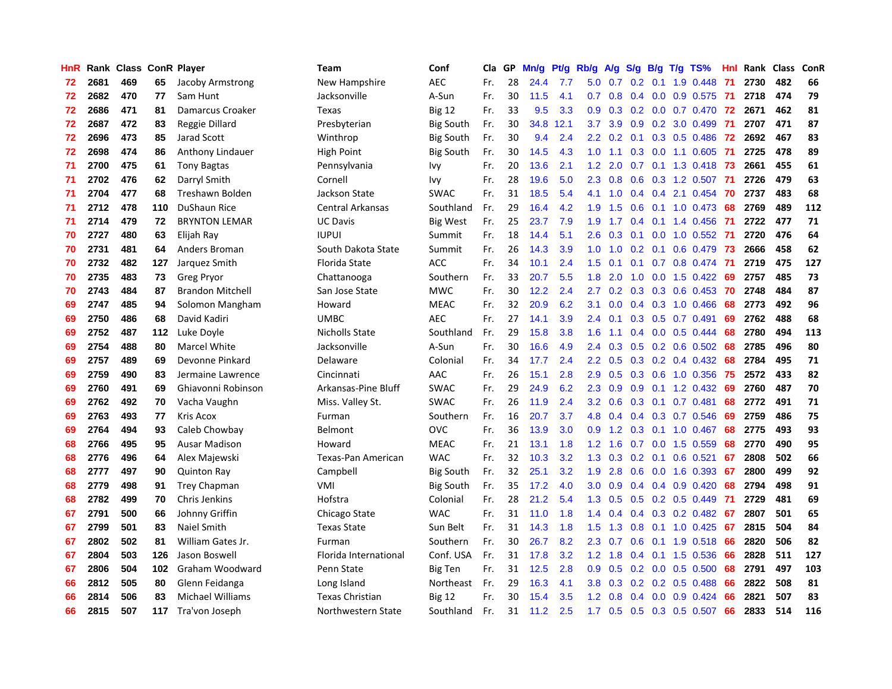| HnR |      | Rank Class ConR Player |     |                         | <b>Team</b>             | Conf             | Cla | GP | Mn/g | Pt/g | Rb/g             | A/g | S/g           | B/g | $T/g$ TS%                       | Hnl | Rank Class |     | ConR |
|-----|------|------------------------|-----|-------------------------|-------------------------|------------------|-----|----|------|------|------------------|-----|---------------|-----|---------------------------------|-----|------------|-----|------|
| 72  | 2681 | 469                    | 65  | Jacoby Armstrong        | New Hampshire           | <b>AEC</b>       | Fr. | 28 | 24.4 | 7.7  | 5.0              | 0.7 | 0.2           | 0.1 | 1.9 0.448                       | -71 | 2730       | 482 | 66   |
| 72  | 2682 | 470                    | 77  | Sam Hunt                | Jacksonville            | A-Sun            | Fr. | 30 | 11.5 | 4.1  | 0.7              | 0.8 | 0.4           |     | 0.0 0.9 0.575 71                |     | 2718       | 474 | 79   |
| 72  | 2686 | 471                    | 81  | Damarcus Croaker        | Texas                   | <b>Big 12</b>    | Fr. | 33 | 9.5  | 3.3  | 0.9 <sub>0</sub> | 0.3 |               |     | 0.2 0.0 0.7 0.470 72            |     | 2671       | 462 | 81   |
| 72  | 2687 | 472                    | 83  | Reggie Dillard          | Presbyterian            | <b>Big South</b> | Fr. | 30 | 34.8 | 12.1 | 3.7 <sub>2</sub> | 3.9 | 0.9           |     | $0.2$ 3.0 $0.499$               | -71 | 2707       | 471 | 87   |
| 72  | 2696 | 473                    | 85  | Jarad Scott             | Winthrop                | Big South        | Fr. | 30 | 9.4  | 2.4  | 2.2              | 0.2 | 0.1           |     | $0.3$ 0.5 0.486                 | -72 | 2692       | 467 | 83   |
| 72  | 2698 | 474                    | 86  | Anthony Lindauer        | High Point              | <b>Big South</b> | Fr. | 30 | 14.5 | 4.3  | 1.0              | 1.1 | 0.3           |     | $0.0$ 1.1 $0.605$               | -71 | 2725       | 478 | 89   |
| 71  | 2700 | 475                    | 61  | <b>Tony Bagtas</b>      | Pennsylvania            | Ivy              | Fr. | 20 | 13.6 | 2.1  | 1.2              | 2.0 | 0.7           |     | 0.1 1.3 0.418                   | -73 | 2661       | 455 | 61   |
| 71  | 2702 | 476                    | 62  | Darryl Smith            | Cornell                 | Ivy              | Fr. | 28 | 19.6 | 5.0  | 2.3              | 0.8 | 0.6           |     | 0.3 1.2 0.507                   | -71 | 2726       | 479 | 63   |
| 71  | 2704 | 477                    | 68  | Treshawn Bolden         | Jackson State           | <b>SWAC</b>      | Fr. | 31 | 18.5 | 5.4  | 4.1              | 1.0 | 0.4           |     | $0.4$ 2.1 0.454                 | 70  | 2737       | 483 | 68   |
| 71  | 2712 | 478                    | 110 | DuShaun Rice            | <b>Central Arkansas</b> | Southland        | Fr. | 29 | 16.4 | 4.2  | 1.9              | 1.5 | 0.6           |     | $0.1$ 1.0 0.473                 | 68  | 2769       | 489 | 112  |
| 71  | 2714 | 479                    | 72  | <b>BRYNTON LEMAR</b>    | <b>UC Davis</b>         | <b>Big West</b>  | Fr. | 25 | 23.7 | 7.9  | 1.9              | 1.7 |               |     | 0.4 0.1 1.4 0.456 71            |     | 2722       | 477 | 71   |
| 70  | 2727 | 480                    | 63  | Elijah Ray              | <b>IUPUI</b>            | Summit           | Fr. | 18 | 14.4 | 5.1  | $2.6^{\circ}$    | 0.3 |               |     | 0.1 0.0 1.0 0.552 71            |     | 2720       | 476 | 64   |
| 70  | 2731 | 481                    | 64  | Anders Broman           | South Dakota State      | Summit           | Fr. | 26 | 14.3 | 3.9  | 1.0              | 1.0 | 0.2           |     | $0.1$ 0.6 0.479                 | -73 | 2666       | 458 | 62   |
| 70  | 2732 | 482                    | 127 | Jarquez Smith           | Florida State           | <b>ACC</b>       | Fr. | 34 | 10.1 | 2.4  | 1.5              | 0.1 | 0.1           |     | 0.7 0.8 0.474                   | -71 | 2719       | 475 | 127  |
| 70  | 2735 | 483                    | 73  | <b>Greg Pryor</b>       | Chattanooga             | Southern         | Fr. | 33 | 20.7 | 5.5  | 1.8              | 2.0 | 1.0           |     | $0.0$ 1.5 0.422                 | -69 | 2757       | 485 | 73   |
| 70  | 2743 | 484                    | 87  | <b>Brandon Mitchell</b> | San Jose State          | <b>MWC</b>       | Fr. | 30 | 12.2 | 2.4  | 2.7              | 0.2 | 0.3           |     | $0.3$ 0.6 0.453                 | 70  | 2748       | 484 | 87   |
| 69  | 2747 | 485                    | 94  | Solomon Mangham         | Howard                  | <b>MEAC</b>      | Fr. | 32 | 20.9 | 6.2  | 3.1              | 0.0 | 0.4           |     | 0.3 1.0 0.466                   | 68  | 2773       | 492 | 96   |
| 69  | 2750 | 486                    | 68  | David Kadiri            | <b>UMBC</b>             | <b>AEC</b>       | Fr. | 27 | 14.1 | 3.9  | 2.4              | 0.1 | 0.3           |     | $0.5$ 0.7 0.491                 | 69  | 2762       | 488 | 68   |
| 69  | 2752 | 487                    | 112 | Luke Doyle              | Nicholls State          | Southland        | Fr. | 29 | 15.8 | 3.8  | 1.6              | 1.1 | 0.4           |     | $0.0$ 0.5 0.444                 | -68 | 2780       | 494 | 113  |
| 69  | 2754 | 488                    | 80  | <b>Marcel White</b>     | Jacksonville            | A-Sun            | Fr. | 30 | 16.6 | 4.9  | $2.4^{\circ}$    | 0.3 |               |     | $0.5$ 0.2 0.6 0.502 68          |     | 2785       | 496 | 80   |
| 69  | 2757 | 489                    | 69  | Devonne Pinkard         | Delaware                | Colonial         | Fr. | 34 | 17.7 | 2.4  | $2.2^{\circ}$    | 0.5 | 0.3           |     | $0.2$ 0.4 0.432                 | -68 | 2784       | 495 | 71   |
| 69  | 2759 | 490                    | 83  | Jermaine Lawrence       | Cincinnati              | AAC              | Fr. | 26 | 15.1 | 2.8  | 2.9              | 0.5 | 0.3           |     | $0.6$ 1.0 0.356                 | -75 | 2572       | 433 | 82   |
| 69  | 2760 | 491                    | 69  | Ghiavonni Robinson      | Arkansas-Pine Bluff     | <b>SWAC</b>      | Fr. | 29 | 24.9 | 6.2  | 2.3              | 0.9 | 0.9           |     | $0.1$ 1.2 0.432                 | 69  | 2760       | 487 | 70   |
| 69  | 2762 | 492                    | 70  | Vacha Vaughn            | Miss. Valley St.        | <b>SWAC</b>      | Fr. | 26 | 11.9 | 2.4  | 3.2              | 0.6 | 0.3           |     | $0.1$ 0.7 0.481                 | 68  | 2772       | 491 | 71   |
| 69  | 2763 | 493                    | 77  | Kris Acox               | Furman                  | Southern         | Fr. | 16 | 20.7 | 3.7  | 4.8              | 0.4 | 0.4           |     | 0.3 0.7 0.546                   | -69 | 2759       | 486 | 75   |
| 69  | 2764 | 494                    | 93  | Caleb Chowbay           | Belmont                 | <b>OVC</b>       | Fr. | 36 | 13.9 | 3.0  | 0.9              | 1.2 | 0.3           |     | $0.1$ 1.0 0.467                 | 68  | 2775       | 493 | 93   |
| 68  | 2766 | 495                    | 95  | <b>Ausar Madison</b>    | Howard                  | <b>MEAC</b>      | Fr. | 21 | 13.1 | 1.8  | $1.2^{\circ}$    | 1.6 |               |     | $0.7$ $0.0$ 1.5 $0.559$         | 68  | 2770       | 490 | 95   |
| 68  | 2776 | 496                    | 64  | Alex Majewski           | Texas-Pan American      | <b>WAC</b>       | Fr. | 32 | 10.3 | 3.2  | 1.3              |     |               |     | $0.3$ $0.2$ $0.1$ $0.6$ $0.521$ | -67 | 2808       | 502 | 66   |
| 68  | 2777 | 497                    | 90  | <b>Quinton Ray</b>      | Campbell                | <b>Big South</b> | Fr. | 32 | 25.1 | 3.2  | 1.9              | 2.8 | 0.6           |     | $0.0$ 1.6 0.393 67              |     | 2800       | 499 | 92   |
| 68  | 2779 | 498                    | 91  | <b>Trey Chapman</b>     | VMI                     | <b>Big South</b> | Fr. | 35 | 17.2 | 4.0  | 3.0              | 0.9 | 0.4           |     | $0.4$ 0.9 0.420                 | 68  | 2794       | 498 | 91   |
| 68  | 2782 | 499                    | 70  | Chris Jenkins           | Hofstra                 | Colonial         | Fr. | 28 | 21.2 | 5.4  | 1.3              | 0.5 | 0.5           |     | $0.2$ 0.5 0.449                 | -71 | 2729       | 481 | 69   |
| 67  | 2791 | 500                    | 66  | Johnny Griffin          | Chicago State           | <b>WAC</b>       | Fr. | 31 | 11.0 | 1.8  | 1.4              | 0.4 | 0.4           |     | 0.3 0.2 0.482                   | -67 | 2807       | 501 | 65   |
| 67  | 2799 | 501                    | 83  | Naiel Smith             | <b>Texas State</b>      | Sun Belt         | Fr. | 31 | 14.3 | 1.8  | 1.5              | 1.3 | 0.8           |     | $0.1$ 1.0 0.425                 | -67 | 2815       | 504 | 84   |
| 67  | 2802 | 502                    | 81  | William Gates Jr.       | Furman                  | Southern         | Fr. | 30 | 26.7 | 8.2  | 2.3              | 0.7 | 0.6           |     | $0.1$ 1.9 $0.518$               | 66  | 2820       | 506 | 82   |
| 67  | 2804 | 503                    | 126 | Jason Boswell           | Florida International   | Conf. USA        | Fr. | 31 | 17.8 | 3.2  | 1.2              | 1.8 | $0.4^{\circ}$ |     | $0.1$ 1.5 0.536                 | -66 | 2828       | 511 | 127  |
| 67  | 2806 | 504                    | 102 | Graham Woodward         | Penn State              | <b>Big Ten</b>   | Fr. | 31 | 12.5 | 2.8  | 0.9 <sub>0</sub> | 0.5 |               |     | $0.2$ 0.0 0.5 0.500             | 68  | 2791       | 497 | 103  |
| 66  | 2812 | 505                    | 80  | Glenn Feidanga          | Long Island             | Northeast        | Fr. | 29 | 16.3 | 4.1  | 3.8              | 0.3 |               |     | $0.2$ 0.2 0.5 0.488             | 66  | 2822       | 508 | 81   |
| 66  | 2814 | 506                    | 83  | <b>Michael Williams</b> | Texas Christian         | <b>Big 12</b>    | Fr. | 30 | 15.4 | 3.5  | 1.2 <sub>1</sub> | 0.8 | 0.4           |     | $0.0$ $0.9$ $0.424$             | 66  | 2821       | 507 | 83   |
| 66  | 2815 | 507                    | 117 | Tra'von Joseph          | Northwestern State      | Southland        | Fr. | 31 | 11.2 | 2.5  | 1.7              | 0.5 | 0.5           |     | $0.3$ 0.5 0.507                 | 66  | 2833       | 514 | 116  |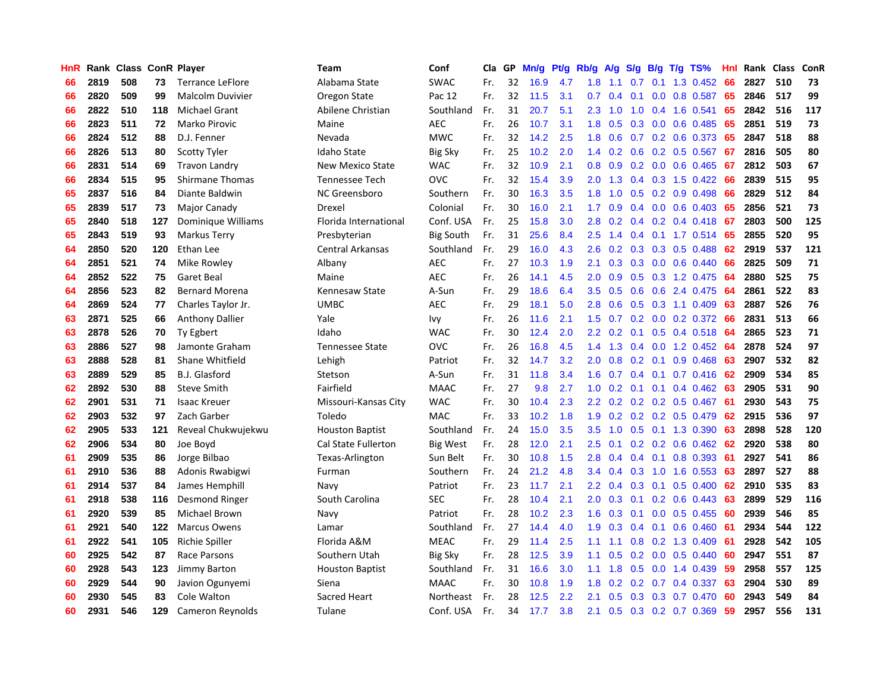| HnR |      | Rank Class |     | <b>ConR Player</b>      | <b>Team</b>                | Conf             | Cla | GP | Mn/g | Pf/g | Rb/g             | A/g | S/g           |     | $B/g$ T/g TS%                | Hnl | Rank Class |     | ConR |
|-----|------|------------|-----|-------------------------|----------------------------|------------------|-----|----|------|------|------------------|-----|---------------|-----|------------------------------|-----|------------|-----|------|
| 66  | 2819 | 508        | 73  | <b>Terrance LeFlore</b> | Alabama State              | <b>SWAC</b>      | Fr. | 32 | 16.9 | 4.7  | 1.8              | 1.1 | 0.7           | 0.1 | 1.3 0.452                    | 66  | 2827       | 510 | 73   |
| 66  | 2820 | 509        | 99  | Malcolm Duvivier        | Oregon State               | Pac 12           | Fr. | 32 | 11.5 | 3.1  | 0.7              | 0.4 | 0.1           |     | $0.0$ 0.8 0.587              | 65  | 2846       | 517 | 99   |
| 66  | 2822 | 510        | 118 | <b>Michael Grant</b>    | Abilene Christian          | Southland        | Fr. | 31 | 20.7 | 5.1  | 2.3              | 1.0 | 1.0           |     | $0.4$ 1.6 0.541              | 65  | 2842       | 516 | 117  |
| 66  | 2823 | 511        | 72  | Marko Pirovic           | Maine                      | <b>AEC</b>       | Fr. | 26 | 10.7 | 3.1  | 1.8              | 0.5 | 0.3           |     | $0.0$ 0.6 0.485              | -65 | 2851       | 519 | 73   |
| 66  | 2824 | 512        | 88  | D.J. Fenner             | Nevada                     | <b>MWC</b>       | Fr. | 32 | 14.2 | 2.5  | 1.8              | 0.6 | 0.7           |     | $0.2$ 0.6 0.373              | -65 | 2847       | 518 | 88   |
| 66  | 2826 | 513        | 80  | <b>Scotty Tyler</b>     | Idaho State                | <b>Big Sky</b>   | Fr. | 25 | 10.2 | 2.0  | 1.4              | 0.2 | 0.6           |     | $0.2$ 0.5 0.567              | 67  | 2816       | 505 | 80   |
| 66  | 2831 | 514        | 69  | <b>Travon Landry</b>    | <b>New Mexico State</b>    | <b>WAC</b>       | Fr. | 32 | 10.9 | 2.1  | 0.8              | 0.9 |               |     | 0.2 0.0 0.6 0.465            | 67  | 2812       | 503 | 67   |
| 66  | 2834 | 515        | 95  | <b>Shirmane Thomas</b>  | <b>Tennessee Tech</b>      | <b>OVC</b>       | Fr. | 32 | 15.4 | 3.9  | 2.0              | 1.3 | $0.4^{\circ}$ |     | $0.3$ 1.5 0.422              | 66  | 2839       | 515 | 95   |
| 65  | 2837 | 516        | 84  | Diante Baldwin          | <b>NC Greensboro</b>       | Southern         | Fr. | 30 | 16.3 | 3.5  | 1.8              | 1.0 | 0.5           |     | $0.2$ 0.9 0.498              | 66  | 2829       | 512 | 84   |
| 65  | 2839 | 517        | 73  | Major Canady            | Drexel                     | Colonial         | Fr. | 30 | 16.0 | 2.1  | 1.7              | 0.9 | 0.4           |     | $0.0$ 0.6 0.403              | 65  | 2856       | 521 | 73   |
| 65  | 2840 | 518        | 127 | Dominique Williams      | Florida International      | Conf. USA        | Fr. | 25 | 15.8 | 3.0  | 2.8              | 0.2 |               |     | $0.4$ 0.2 0.4 0.418 67       |     | 2803       | 500 | 125  |
| 65  | 2843 | 519        | 93  | <b>Markus Terry</b>     | Presbyterian               | <b>Big South</b> | Fr. | 31 | 25.6 | 8.4  | 2.5              | 1.4 |               |     | 0.4 0.1 1.7 0.514 65         |     | 2855       | 520 | 95   |
| 64  | 2850 | 520        | 120 | Ethan Lee               | Central Arkansas           | Southland        | Fr. | 29 | 16.0 | 4.3  | $2.6\,$          | 0.2 | 0.3           |     | $0.3$ 0.5 0.488              | 62  | 2919       | 537 | 121  |
| 64  | 2851 | 521        | 74  | Mike Rowley             | Albany                     | <b>AEC</b>       | Fr. | 27 | 10.3 | 1.9  | 2.1              | 0.3 | 0.3           |     | $0.0$ 0.6 0.440              | 66  | 2825       | 509 | 71   |
| 64  | 2852 | 522        | 75  | Garet Beal              | Maine                      | <b>AEC</b>       | Fr. | 26 | 14.1 | 4.5  | 2.0              | 0.9 | 0.5           |     | 0.3 1.2 0.475                | -64 | 2880       | 525 | 75   |
| 64  | 2856 | 523        | 82  | <b>Bernard Morena</b>   | Kennesaw State             | A-Sun            | Fr. | 29 | 18.6 | 6.4  | 3.5              | 0.5 | 0.6           |     | $0.6$ 2.4 0.475              | -64 | 2861       | 522 | 83   |
| 64  | 2869 | 524        | 77  | Charles Taylor Jr.      | <b>UMBC</b>                | <b>AEC</b>       | Fr. | 29 | 18.1 | 5.0  | 2.8 <sub>2</sub> | 0.6 | 0.5           |     | $0.3$ 1.1 0.409              | -63 | 2887       | 526 | 76   |
| 63  | 2871 | 525        | 66  | <b>Anthony Dallier</b>  | Yale                       | Ivy              | Fr. | 26 | 11.6 | 2.1  | 1.5              | 0.7 | 0.2           |     | $0.0$ $0.2$ $0.372$          | -66 | 2831       | 513 | 66   |
| 63  | 2878 | 526        | 70  | Ty Egbert               | Idaho                      | <b>WAC</b>       | Fr. | 30 | 12.4 | 2.0  | $2.2\phantom{0}$ | 0.2 | 0.1           |     | 0.5 0.4 0.518 64             |     | 2865       | 523 | 71   |
| 63  | 2886 | 527        | 98  | Jamonte Graham          | <b>Tennessee State</b>     | <b>OVC</b>       | Fr. | 26 | 16.8 | 4.5  | 1.4              |     |               |     | 1.3 0.4 0.0 1.2 0.452 64     |     | 2878       | 524 | 97   |
| 63  | 2888 | 528        | 81  | Shane Whitfield         | Lehigh                     | Patriot          | Fr. | 32 | 14.7 | 3.2  | 2.0              | 0.8 |               |     | $0.2$ 0.1 0.9 0.468          | 63  | 2907       | 532 | 82   |
| 63  | 2889 | 529        | 85  | B.J. Glasford           | Stetson                    | A-Sun            | Fr. | 31 | 11.8 | 3.4  | 1.6              | 0.7 | 0.4           |     | $0.1$ 0.7 0.416              | -62 | 2909       | 534 | 85   |
| 62  | 2892 | 530        | 88  | <b>Steve Smith</b>      | Fairfield                  | <b>MAAC</b>      | Fr. | 27 | 9.8  | 2.7  | 1.0              | 0.2 | 0.1           | 0.1 | 0.4 0.462                    | 63  | 2905       | 531 | 90   |
| 62  | 2901 | 531        | 71  | <b>Isaac Kreuer</b>     | Missouri-Kansas City       | <b>WAC</b>       | Fr. | 30 | 10.4 | 2.3  | 2.2              | 0.2 |               |     | 0.2 0.2 0.5 0.467            | -61 | 2930       | 543 | 75   |
| 62  | 2903 | 532        | 97  | Zach Garber             | Toledo                     | <b>MAC</b>       | Fr. | 33 | 10.2 | 1.8  | 1.9              | 0.2 | 0.2           |     | $0.2$ 0.5 0.479              | 62  | 2915       | 536 | 97   |
| 62  | 2905 | 533        | 121 | Reveal Chukwujekwu      | <b>Houston Baptist</b>     | Southland        | Fr. | 24 | 15.0 | 3.5  | 3.5              | 1.0 | 0.5           |     | 0.1 1.3 0.390                | -63 | 2898       | 528 | 120  |
| 62  | 2906 | 534        | 80  | Joe Boyd                | <b>Cal State Fullerton</b> | <b>Big West</b>  | Fr. | 28 | 12.0 | 2.1  | $2.5\,$          | 0.1 |               |     | $0.2$ $0.2$ $0.6$ $0.462$ 62 |     | 2920       | 538 | 80   |
| 61  | 2909 | 535        | 86  | Jorge Bilbao            | Texas-Arlington            | Sun Belt         | Fr. | 30 | 10.8 | 1.5  | 2.8              | 0.4 |               |     | 0.4 0.1 0.8 0.393 61         |     | 2927       | 541 | 86   |
| 61  | 2910 | 536        | 88  | Adonis Rwabigwi         | Furman                     | Southern         | Fr. | 24 | 21.2 | 4.8  | 3.4              | 0.4 |               |     | 0.3 1.0 1.6 0.553 63         |     | 2897       | 527 | 88   |
| 61  | 2914 | 537        | 84  | James Hemphill          | Navy                       | Patriot          | Fr. | 23 | 11.7 | 2.1  | $2.2\phantom{0}$ | 0.4 | 0.3           |     | $0.1$ 0.5 0.400              | 62  | 2910       | 535 | 83   |
| 61  | 2918 | 538        | 116 | Desmond Ringer          | South Carolina             | <b>SEC</b>       | Fr. | 28 | 10.4 | 2.1  | 2.0              | 0.3 | 0.1           |     | $0.2$ 0.6 0.443              | 63  | 2899       | 529 | 116  |
| 61  | 2920 | 539        | 85  | Michael Brown           | Navy                       | Patriot          | Fr. | 28 | 10.2 | 2.3  | 1.6              | 0.3 | 0.1           |     | $0.0$ $0.5$ $0.455$          | -60 | 2939       | 546 | 85   |
| 61  | 2921 | 540        | 122 | <b>Marcus Owens</b>     | Lamar                      | Southland        | Fr. | 27 | 14.4 | 4.0  | 1.9              | 0.3 | $0.4^{\circ}$ | 0.1 | $0.6$ 0.460                  | -61 | 2934       | 544 | 122  |
| 61  | 2922 | 541        | 105 | Richie Spiller          | Florida A&M                | <b>MEAC</b>      | Fr. | 29 | 11.4 | 2.5  | 1.1              | 1.1 | 0.8           |     | 0.2 1.3 0.409                | -61 | 2928       | 542 | 105  |
| 60  | 2925 | 542        | 87  | Race Parsons            | Southern Utah              | <b>Big Sky</b>   | Fr. | 28 | 12.5 | 3.9  | 1.1              | 0.5 | 0.2           |     | $0.0$ $0.5$ $0.440$          | -60 | 2947       | 551 | 87   |
| 60  | 2928 | 543        | 123 | <b>Jimmy Barton</b>     | <b>Houston Baptist</b>     | Southland        | Fr. | 31 | 16.6 | 3.0  | 1.1              | 1.8 | 0.5           |     | $0.0$ 1.4 0.439              | -59 | 2958       | 557 | 125  |
| 60  | 2929 | 544        | 90  | Javion Ogunyemi         | Siena                      | <b>MAAC</b>      | Fr. | 30 | 10.8 | 1.9  | 1.8              | 0.2 | 0.2           |     | $0.7$ 0.4 0.337              | -63 | 2904       | 530 | 89   |
| 60  | 2930 | 545        | 83  | Cole Walton             | Sacred Heart               | Northeast        | Fr. | 28 | 12.5 | 2.2  | 2.1              | 0.5 | 0.3           |     | 0.3 0.7 0.470                | 60  | 2943       | 549 | 84   |
| 60  | 2931 | 546        | 129 | Cameron Reynolds        | Tulane                     | Conf. USA        | Fr. | 34 | 17.7 | 3.8  | 2.1              | 0.5 |               |     | 0.3 0.2 0.7 0.369            | 59  | 2957       | 556 | 131  |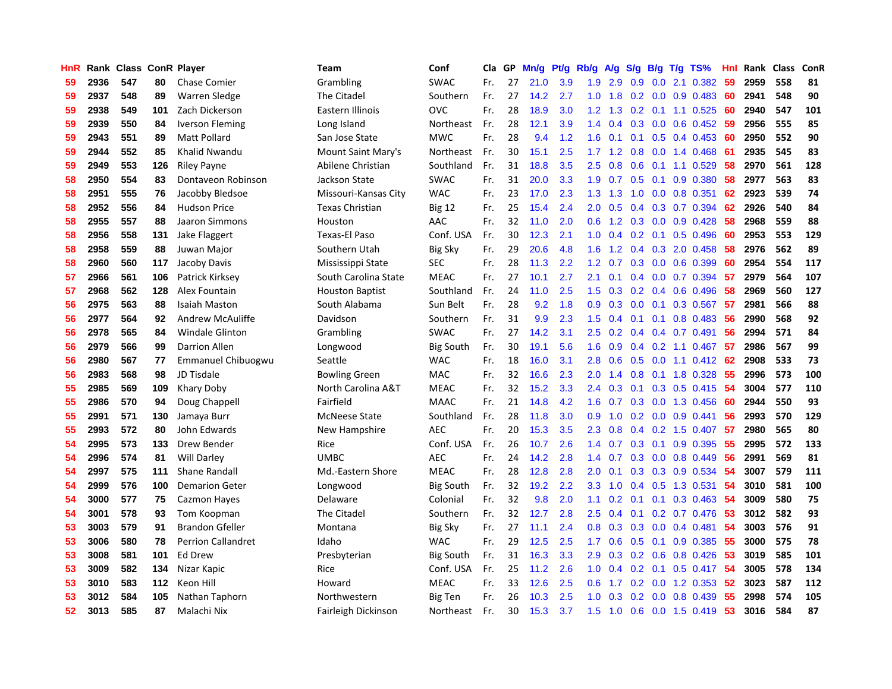| HnR |      | Rank Class ConR Player |     |                           | <b>Team</b>            | Conf             | Cla | GP | Mn/g | Pt/g | Rb/g          | A/g           | S/g              |                  | $B/g$ T/g TS%          | Hnl | Rank | <b>Class</b> | ConR |
|-----|------|------------------------|-----|---------------------------|------------------------|------------------|-----|----|------|------|---------------|---------------|------------------|------------------|------------------------|-----|------|--------------|------|
| 59  | 2936 | 547                    | 80  | <b>Chase Comier</b>       | Grambling              | <b>SWAC</b>      | Fr. | 27 | 21.0 | 3.9  | 1.9           | 2.9           | 0.9              | 0.0 <sub>1</sub> | 2.1 0.382              | 59  | 2959 | 558          | 81   |
| 59  | 2937 | 548                    | 89  | Warren Sledge             | The Citadel            | Southern         | Fr. | 27 | 14.2 | 2.7  | 1.0           | 1.8           |                  |                  | $0.2$ 0.0 0.9 0.483    | -60 | 2941 | 548          | 90   |
| 59  | 2938 | 549                    | 101 | Zach Dickerson            | Eastern Illinois       | <b>OVC</b>       | Fr. | 28 | 18.9 | 3.0  | 1.2           | 1.3           |                  |                  | $0.2$ 0.1 1.1 0.525 60 |     | 2940 | 547          | 101  |
| 59  | 2939 | 550                    | 84  | <b>Iverson Fleming</b>    | Long Island            | Northeast        | Fr. | 28 | 12.1 | 3.9  | $1.4^{\circ}$ | 0.4           | 0.3              |                  | $0.0$ 0.6 0.452 59     |     | 2956 | 555          | 85   |
| 59  | 2943 | 551                    | 89  | <b>Matt Pollard</b>       | San Jose State         | <b>MWC</b>       | Fr. | 28 | 9.4  | 1.2  | 1.6           | 0.1           | 0.1              |                  | $0.5$ 0.4 0.453        | -60 | 2950 | 552          | 90   |
| 59  | 2944 | 552                    | 85  | <b>Khalid Nwandu</b>      | Mount Saint Mary's     | Northeast        | Fr. | 30 | 15.1 | 2.5  | 1.7           | 1.2           | 0.8              |                  | $0.0$ 1.4 $0.468$      | -61 | 2935 | 545          | 83   |
| 59  | 2949 | 553                    | 126 | <b>Riley Payne</b>        | Abilene Christian      | Southland        | Fr. | 31 | 18.8 | 3.5  | 2.5           | 0.8           | 0.6              |                  | $0.1$ 1.1 $0.529$      | 58  | 2970 | 561          | 128  |
| 58  | 2950 | 554                    | 83  | Dontaveon Robinson        | Jackson State          | <b>SWAC</b>      | Fr. | 31 | 20.0 | 3.3  | 1.9           | 0.7           | 0.5              |                  | $0.1$ 0.9 0.380        | 58  | 2977 | 563          | 83   |
| 58  | 2951 | 555                    | 76  | Jacobby Bledsoe           | Missouri-Kansas City   | <b>WAC</b>       | Fr. | 23 | 17.0 | 2.3  | 1.3           | 1.3           | 1.0              |                  | $0.0$ 0.8 0.351        | 62  | 2923 | 539          | 74   |
| 58  | 2952 | 556                    | 84  | <b>Hudson Price</b>       | <b>Texas Christian</b> | Big 12           | Fr. | 25 | 15.4 | 2.4  | 2.0           | 0.5           | 0.4              |                  | 0.3 0.7 0.394          | 62  | 2926 | 540          | 84   |
| 58  | 2955 | 557                    | 88  | Jaaron Simmons            | Houston                | AAC              | Fr. | 32 | 11.0 | 2.0  | 0.6           |               |                  |                  | 1.2 0.3 0.0 0.9 0.428  | -58 | 2968 | 559          | 88   |
| 58  | 2956 | 558                    | 131 | Jake Flaggert             | Texas-El Paso          | Conf. USA        | Fr. | 30 | 12.3 | 2.1  | 1.0           | $0.4^{\circ}$ |                  |                  | $0.2$ 0.1 0.5 0.496    | -60 | 2953 | 553          | 129  |
| 58  | 2958 | 559                    | 88  | Juwan Major               | Southern Utah          | <b>Big Sky</b>   | Fr. | 29 | 20.6 | 4.8  | 1.6           | $1.2^{\circ}$ | 0.4              |                  | $0.3$ 2.0 0.458        | -58 | 2976 | 562          | 89   |
| 58  | 2960 | 560                    | 117 | Jacoby Davis              | Mississippi State      | <b>SEC</b>       | Fr. | 28 | 11.3 | 2.2  | 1.2           | 0.7           | 0.3 <sub>0</sub> |                  | $0.0$ $0.6$ $0.399$    | 60  | 2954 | 554          | 117  |
| 57  | 2966 | 561                    | 106 | Patrick Kirksey           | South Carolina State   | <b>MEAC</b>      | Fr. | 27 | 10.1 | 2.7  | 2.1           | 0.1           | $0.4^{\circ}$    |                  | $0.0$ 0.7 0.394        | 57  | 2979 | 564          | 107  |
| 57  | 2968 | 562                    | 128 | Alex Fountain             | <b>Houston Baptist</b> | Southland        | Fr. | 24 | 11.0 | 2.5  | 1.5           | 0.3           | 0.2              | 0.4              | 0.6 0.496              | 58  | 2969 | 560          | 127  |
| 56  | 2975 | 563                    | 88  | <b>Isaiah Maston</b>      | South Alabama          | Sun Belt         | Fr. | 28 | 9.2  | 1.8  | 0.9           | 0.3           | 0.0 <sub>1</sub> |                  | $0.1$ 0.3 0.567        | -57 | 2981 | 566          | 88   |
| 56  | 2977 | 564                    | 92  | Andrew McAuliffe          | Davidson               | Southern         | Fr. | 31 | 9.9  | 2.3  | 1.5           | 0.4           | 0.1              | 0.1              | 0.8 0.483              | 56  | 2990 | 568          | 92   |
| 56  | 2978 | 565                    | 84  | <b>Windale Glinton</b>    | Grambling              | <b>SWAC</b>      | Fr. | 27 | 14.2 | 3.1  | 2.5           | 0.2           | 0.4              |                  | $0.4$ 0.7 0.491        | 56  | 2994 | 571          | 84   |
| 56  | 2979 | 566                    | 99  | <b>Darrion Allen</b>      | Longwood               | <b>Big South</b> | Fr. | 30 | 19.1 | 5.6  | 1.6           | 0.9           |                  |                  | $0.4$ 0.2 1.1 0.467 57 |     | 2986 | 567          | 99   |
| 56  | 2980 | 567                    | 77  | Emmanuel Chibuogwu        | Seattle                | <b>WAC</b>       | Fr. | 18 | 16.0 | 3.1  | 2.8           | 0.6           | 0.5              |                  | $0.0$ 1.1 $0.412$ 62   |     | 2908 | 533          | 73   |
| 56  | 2983 | 568                    | 98  | JD Tisdale                | <b>Bowling Green</b>   | MAC              | Fr. | 32 | 16.6 | 2.3  | 2.0           | 1.4           | 0.8              |                  | $0.1$ 1.8 0.328        | -55 | 2996 | 573          | 100  |
| 55  | 2985 | 569                    | 109 | Khary Doby                | North Carolina A&T     | <b>MEAC</b>      | Fr. | 32 | 15.2 | 3.3  | 2.4           | 0.3           | 0.1              |                  | $0.3$ 0.5 0.415        | 54  | 3004 | 577          | 110  |
| 55  | 2986 | 570                    | 94  | Doug Chappell             | Fairfield              | <b>MAAC</b>      | Fr. | 21 | 14.8 | 4.2  | 1.6           | 0.7           | 0.3              |                  | 0.0 1.3 0.456          | -60 | 2944 | 550          | 93   |
| 55  | 2991 | 571                    | 130 | Jamaya Burr               | <b>McNeese State</b>   | Southland        | Fr. | 28 | 11.8 | 3.0  | 0.9           | 1.0           | 0.2              |                  | $0.0$ $0.9$ $0.441$    | 56  | 2993 | 570          | 129  |
| 55  | 2993 | 572                    | 80  | John Edwards              | New Hampshire          | <b>AEC</b>       | Fr. | 20 | 15.3 | 3.5  | 2.3           | 0.8           | $0.4^{\circ}$    |                  | $0.2$ 1.5 0.407        | -57 | 2980 | 565          | 80   |
| 54  | 2995 | 573                    | 133 | Drew Bender               | Rice                   | Conf. USA        | Fr. | 26 | 10.7 | 2.6  | 1.4           | 0.7           |                  |                  | $0.3$ 0.1 0.9 0.395    | -55 | 2995 | 572          | 133  |
| 54  | 2996 | 574                    | 81  | <b>Will Darley</b>        | <b>UMBC</b>            | <b>AEC</b>       | Fr. | 24 | 14.2 | 2.8  | $1.4^{\circ}$ | 0.7           |                  |                  | $0.3$ 0.0 0.8 0.449    | -56 | 2991 | 569          | 81   |
| 54  | 2997 | 575                    | 111 | Shane Randall             | Md.-Eastern Shore      | <b>MEAC</b>      | Fr. | 28 | 12.8 | 2.8  | 2.0           | 0.1           |                  |                  | $0.3$ 0.3 0.9 0.534    | -54 | 3007 | 579          | 111  |
| 54  | 2999 | 576                    | 100 | <b>Demarion Geter</b>     | Longwood               | <b>Big South</b> | Fr. | 32 | 19.2 | 2.2  | 3.3           | 1.0           | 0.4              |                  | $0.5$ 1.3 0.531        | -54 | 3010 | 581          | 100  |
| 54  | 3000 | 577                    | 75  | Cazmon Hayes              | Delaware               | Colonial         | Fr. | 32 | 9.8  | 2.0  | 1.1           | 0.2           | 0.1              |                  | $0.1$ $0.3$ $0.463$    | -54 | 3009 | 580          | 75   |
| 54  | 3001 | 578                    | 93  | Tom Koopman               | The Citadel            | Southern         | Fr. | 32 | 12.7 | 2.8  | 2.5           | 0.4           | 0.1              |                  | $0.2$ 0.7 0.476        | 53  | 3012 | 582          | 93   |
| 53  | 3003 | 579                    | 91  | <b>Brandon Gfeller</b>    | Montana                | <b>Big Sky</b>   | Fr. | 27 | 11.1 | 2.4  | 0.8           | 0.3           | 0.3              |                  | $0.0$ 0.4 0.481        | 54  | 3003 | 576          | 91   |
| 53  | 3006 | 580                    | 78  | <b>Perrion Callandret</b> | Idaho                  | <b>WAC</b>       | Fr. | 29 | 12.5 | 2.5  | 1.7           | 0.6           | 0.5              | 0.1              | 0.9 0.385              | 55  | 3000 | 575          | 78   |
| 53  | 3008 | 581                    | 101 | Ed Drew                   | Presbyterian           | <b>Big South</b> | Fr. | 31 | 16.3 | 3.3  | 2.9           | 0.3           | 0.2              |                  | $0.6$ 0.8 0.426        | -53 | 3019 | 585          | 101  |
| 53  | 3009 | 582                    | 134 | Nizar Kapic               | Rice                   | Conf. USA        | Fr. | 25 | 11.2 | 2.6  | 1.0           | $0.4^{\circ}$ |                  |                  | 0.2 0.1 0.5 0.417 54   |     | 3005 | 578          | 134  |
| 53  | 3010 | 583                    | 112 | Keon Hill                 | Howard                 | <b>MEAC</b>      | Fr. | 33 | 12.6 | 2.5  | 0.6           | 1.7           |                  |                  | 0.2 0.0 1.2 0.353 52   |     | 3023 | 587          | 112  |
| 53  | 3012 | 584                    | 105 | Nathan Taphorn            | Northwestern           | Big Ten          | Fr. | 26 | 10.3 | 2.5  | 1.0           | 0.3           | 0.2              |                  | $0.0$ $0.8$ $0.439$    | 55  | 2998 | 574          | 105  |
| 52  | 3013 | 585                    | 87  | Malachi Nix               | Fairleigh Dickinson    | Northeast        | Fr. | 30 | 15.3 | 3.7  | 1.5           | 1.0           | 0.6              |                  | $0.0$ 1.5 $0.419$      | 53  | 3016 | 584          | 87   |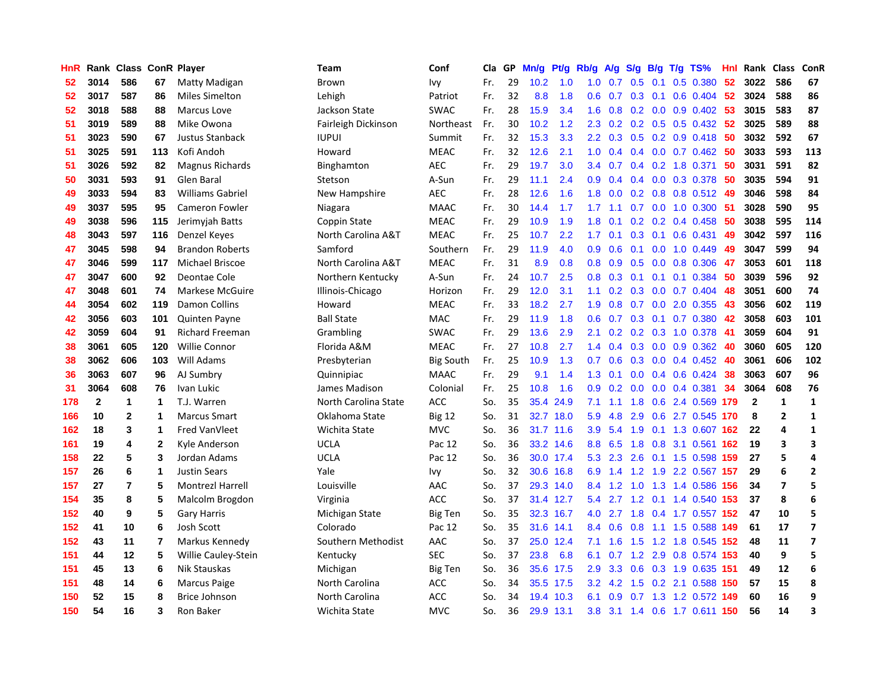| HnR |              | Rank Class ConR Player |              |                         | Team                 | Conf             | Cla | GP | Mn/g | Pt/g      | Rb/g             | A/g | S/g              | B/g | $T/g$ TS%                 | Hnl |                | Rank Class     | ConR                    |
|-----|--------------|------------------------|--------------|-------------------------|----------------------|------------------|-----|----|------|-----------|------------------|-----|------------------|-----|---------------------------|-----|----------------|----------------|-------------------------|
| 52  | 3014         | 586                    | 67           | Matty Madigan           | Brown                | Ivy              | Fr. | 29 | 10.2 | 1.0       | 1.0              | 0.7 | 0.5              | 0.1 | 0.5 0.380                 | 52  | 3022           | 586            | 67                      |
| 52  | 3017         | 587                    | 86           | <b>Miles Simelton</b>   | Lehigh               | Patriot          | Fr. | 32 | 8.8  | 1.8       | 0.6              | 0.7 | 0.3              |     | $0.1$ 0.6 0.404 52        |     | 3024           | 588            | 86                      |
| 52  | 3018         | 588                    | 88           | <b>Marcus Love</b>      | Jackson State        | <b>SWAC</b>      | Fr. | 28 | 15.9 | 3.4       | 1.6              | 0.8 |                  |     | $0.2$ 0.0 0.9 0.402 53    |     | 3015           | 583            | 87                      |
| 51  | 3019         | 589                    | 88           | Mike Owona              | Fairleigh Dickinson  | Northeast        | Fr. | 30 | 10.2 | 1.2       | 2.3              | 0.2 |                  |     | 0.2 0.5 0.5 0.432 52      |     | 3025           | 589            | 88                      |
| 51  | 3023         | 590                    | 67           | Justus Stanback         | <b>IUPUI</b>         | Summit           | Fr. | 32 | 15.3 | 3.3       | 2.2              | 0.3 | 0.5              |     | $0.2$ 0.9 0.418           | -50 | 3032           | 592            | 67                      |
| 51  | 3025         | 591                    | 113          | Kofi Andoh              | Howard               | <b>MEAC</b>      | Fr. | 32 | 12.6 | 2.1       | 1.0              | 0.4 | 0.4              |     | $0.0$ 0.7 0.462           | -50 | 3033           | 593            | 113                     |
| 51  | 3026         | 592                    | 82           | Magnus Richards         | Binghamton           | <b>AEC</b>       | Fr. | 29 | 19.7 | 3.0       | 3.4              | 0.7 | 0.4              |     | 0.2 1.8 0.371             | 50  | 3031           | 591            | 82                      |
| 50  | 3031         | 593                    | 91           | Glen Baral              | Stetson              | A-Sun            | Fr. | 29 | 11.1 | 2.4       | 0.9              | 0.4 | 0.4              |     | 0.0 0.3 0.378             | -50 | 3035           | 594            | 91                      |
| 49  | 3033         | 594                    | 83           | <b>Williams Gabriel</b> | New Hampshire        | <b>AEC</b>       | Fr. | 28 | 12.6 | 1.6       | 1.8              | 0.0 | 0.2              |     | 0.8 0.8 0.512 49          |     | 3046           | 598            | 84                      |
| 49  | 3037         | 595                    | 95           | <b>Cameron Fowler</b>   | Niagara              | <b>MAAC</b>      | Fr. | 30 | 14.4 | 1.7       | 1.7              | 1.1 | 0.7              |     | $0.0$ 1.0 $0.300$         | -51 | 3028           | 590            | 95                      |
| 49  | 3038         | 596                    | 115          | Jerimyjah Batts         | <b>Coppin State</b>  | <b>MEAC</b>      | Fr. | 29 | 10.9 | 1.9       | 1.8              | 0.1 |                  |     | $0.2$ 0.2 0.4 0.458       | -50 | 3038           | 595            | 114                     |
| 48  | 3043         | 597                    | 116          | Denzel Keyes            | North Carolina A&T   | <b>MEAC</b>      | Fr. | 25 | 10.7 | 2.2       | 1.7 <sub>z</sub> | 0.1 |                  |     | $0.3$ 0.1 0.6 0.431       | 49  | 3042           | 597            | 116                     |
| 47  | 3045         | 598                    | 94           | <b>Brandon Roberts</b>  | Samford              | Southern         | Fr. | 29 | 11.9 | 4.0       | 0.9 <sub>0</sub> | 0.6 |                  |     | $0.1$ $0.0$ $1.0$ $0.449$ | 49  | 3047           | 599            | 94                      |
| 47  | 3046         | 599                    | 117          | Michael Briscoe         | North Carolina A&T   | <b>MEAC</b>      | Fr. | 31 | 8.9  | 0.8       | 0.8              | 0.9 | 0.5              |     | $0.0$ $0.8$ $0.306$       | -47 | 3053           | 601            | 118                     |
| 47  | 3047         | 600                    | 92           | Deontae Cole            | Northern Kentucky    | A-Sun            | Fr. | 24 | 10.7 | 2.5       | 0.8              | 0.3 | 0.1              |     | $0.1$ 0.1 0.384           | 50  | 3039           | 596            | 92                      |
| 47  | 3048         | 601                    | 74           | Markese McGuire         | Illinois-Chicago     | Horizon          | Fr. | 29 | 12.0 | 3.1       | 1.1              | 0.2 | 0.3              |     | $0.0$ 0.7 0.404           | 48  | 3051           | 600            | 74                      |
| 44  | 3054         | 602                    | 119          | Damon Collins           | Howard               | <b>MEAC</b>      | Fr. | 33 | 18.2 | 2.7       | 1.9              | 0.8 | 0.7              | 0.0 | 2.0 0.355                 | -43 | 3056           | 602            | 119                     |
| 42  | 3056         | 603                    | 101          | <b>Quinten Payne</b>    | <b>Ball State</b>    | <b>MAC</b>       | Fr. | 29 | 11.9 | 1.8       | 0.6              | 0.7 | 0.3              | 0.1 | $0.7$ $0.380$             | 42  | 3058           | 603            | 101                     |
| 42  | 3059         | 604                    | 91           | <b>Richard Freeman</b>  | Grambling            | <b>SWAC</b>      | Fr. | 29 | 13.6 | 2.9       | 2.1              | 0.2 |                  |     | $0.2$ $0.3$ 1.0 $0.378$   | -41 | 3059           | 604            | 91                      |
| 38  | 3061         | 605                    | 120          | <b>Willie Connor</b>    | Florida A&M          | <b>MEAC</b>      | Fr. | 27 | 10.8 | 2.7       | 1.4              | 0.4 |                  |     | $0.3$ 0.0 0.9 0.362       | -40 | 3060           | 605            | 120                     |
| 38  | 3062         | 606                    | 103          | Will Adams              | Presbyterian         | <b>Big South</b> | Fr. | 25 | 10.9 | 1.3       | 0.7              | 0.6 | 0.3              |     | $0.0$ 0.4 0.452           | -40 | 3061           | 606            | 102                     |
| 36  | 3063         | 607                    | 96           | AJ Sumbry               | Quinnipiac           | <b>MAAC</b>      | Fr. | 29 | 9.1  | 1.4       | 1.3              | 0.1 | 0.0 <sub>1</sub> |     | $0.4$ 0.6 0.424           | -38 | 3063           | 607            | 96                      |
| 31  | 3064         | 608                    | 76           | Ivan Lukic              | James Madison        | Colonial         | Fr. | 25 | 10.8 | 1.6       | 0.9              | 0.2 | 0.0              |     | $0.0$ 0.4 0.381           | 34  | 3064           | 608            | 76                      |
| 178 | $\mathbf{2}$ | 1                      | 1            | T.J. Warren             | North Carolina State | ACC              | So. | 35 | 35.4 | 24.9      | 7.1              | 1.1 | 1.8              |     | 0.6 2.4 0.569 179         |     | $\overline{2}$ | $\mathbf{1}$   | $\mathbf 1$             |
| 166 | 10           | $\mathbf{2}$           | 1            | <b>Marcus Smart</b>     | Oklahoma State       | <b>Big 12</b>    | So. | 31 | 32.7 | 18.0      | 5.9              | 4.8 | 2.9              |     | 0.6 2.7 0.545 170         |     | 8              | $\overline{2}$ | 1                       |
| 162 | 18           | 3                      | 1            | Fred VanVleet           | Wichita State        | <b>MVC</b>       | So. | 36 | 31.7 | 11.6      | 3.9              | 5.4 | 1.9              |     | 0.1 1.3 0.607 162         |     | 22             | 4              | 1                       |
| 161 | 19           | 4                      | $\mathbf{2}$ | Kyle Anderson           | UCLA                 | Pac 12           | So. | 36 |      | 33.2 14.6 | 8.8              | 6.5 |                  |     | 1.8 0.8 3.1 0.561 162     |     | 19             | 3              | 3                       |
| 158 | 22           | 5                      | 3            | Jordan Adams            | <b>UCLA</b>          | Pac 12           | So. | 36 |      | 30.0 17.4 | 5.3              | 2.3 |                  |     | 2.6 0.1 1.5 0.598 159     |     | 27             | 5              | 4                       |
| 157 | 26           | 6                      | 1            | <b>Justin Sears</b>     | Yale                 | Ivy              | So. | 32 | 30.6 | 16.8      | 6.9              |     |                  |     | 1.4 1.2 1.9 2.2 0.567 157 |     | 29             | 6              | $\overline{2}$          |
| 157 | 27           | 7                      | 5            | <b>Montrezl Harrell</b> | Louisville           | AAC              | So. | 37 | 29.3 | 14.0      | 8.4              | 1.2 | 1.0              |     | 1.3 1.4 0.586 156         |     | 34             | 7              | 5                       |
| 154 | 35           | 8                      | 5            | Malcolm Brogdon         | Virginia             | ACC              | So. | 37 | 31.4 | 12.7      | 5.4              | 2.7 |                  |     | 1.2 0.1 1.4 0.540 153     |     | 37             | 8              | 6                       |
| 152 | 40           | 9                      | 5            | <b>Gary Harris</b>      | Michigan State       | <b>Big Ten</b>   | So. | 35 | 32.3 | 16.7      | 4.0              | 2.7 |                  |     | 1.8 0.4 1.7 0.557 152     |     | 47             | 10             | 5                       |
| 152 | 41           | 10                     | 6            | <b>Josh Scott</b>       | Colorado             | Pac 12           | So. | 35 | 31.6 | 14.1      | 8.4              | 0.6 | 0.8              |     | 1.1 1.5 0.588 149         |     | 61             | 17             | $\overline{\mathbf{z}}$ |
| 152 | 43           | 11                     | 7            | Markus Kennedy          | Southern Methodist   | AAC              | So. | 37 | 25.0 | 12.4      | 7.1              | 1.6 | 1.5              |     | 1.2 1.8 0.545 152         |     | 48             | 11             | $\overline{\mathbf{z}}$ |
| 151 | 44           | 12                     | 5            | Willie Cauley-Stein     | Kentucky             | <b>SEC</b>       | So. | 37 | 23.8 | 6.8       | 6.1              | 0.7 |                  |     | 1.2 2.9 0.8 0.574 153     |     | 40             | 9              | 5                       |
| 151 | 45           | 13                     | 6            | Nik Stauskas            | Michigan             | <b>Big Ten</b>   | So. | 36 |      | 35.6 17.5 | 2.9              | 3.3 |                  |     | 0.6 0.3 1.9 0.635 151     |     | 49             | 12             | 6                       |
| 151 | 48           | 14                     | 6            | Marcus Paige            | North Carolina       | <b>ACC</b>       | So. | 34 |      | 35.5 17.5 | 3.2              | 4.2 |                  |     | 1.5 0.2 2.1 0.588 150     |     | 57             | 15             | 8                       |
| 150 | 52           | 15                     | 8            | <b>Brice Johnson</b>    | North Carolina       | <b>ACC</b>       | So. | 34 | 19.4 | 10.3      | 6.1              | 0.9 |                  |     | 0.7 1.3 1.2 0.572 149     |     | 60             | 16             | 9                       |
| 150 | 54           | 16                     | 3            | Ron Baker               | Wichita State        | <b>MVC</b>       | So. | 36 | 29.9 | 13.1      | 3.8              |     |                  |     | 3.1 1.4 0.6 1.7 0.611 150 |     | 56             | 14             | 3                       |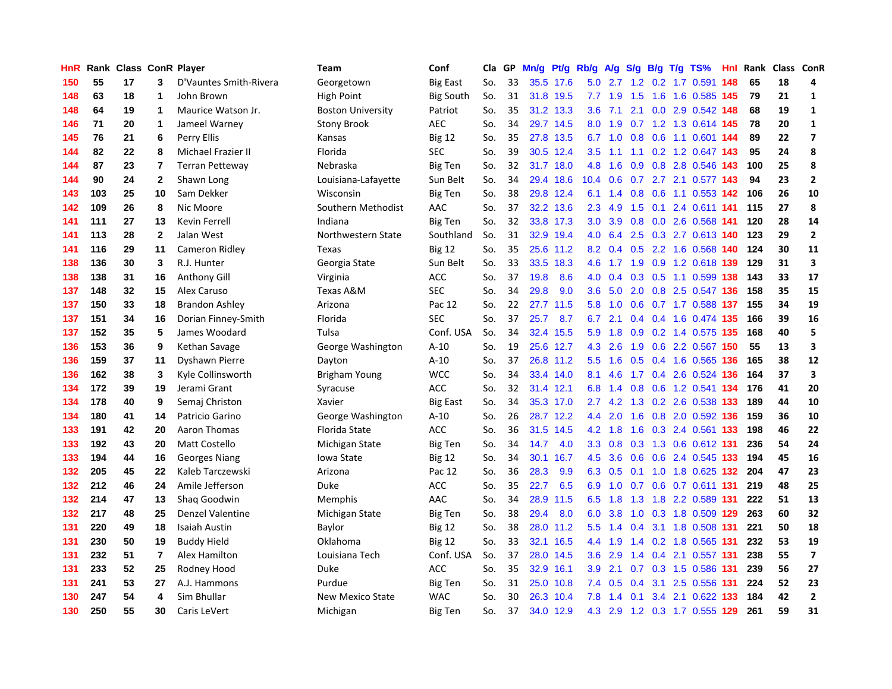| HnR |     | Rank Class ConR Player |                         |                           | <b>Team</b>              | Conf             | Cla | GP | Mn/g | Pt/g      | Rb/g             | A/g     |               |  | $S/g$ B/g T/g TS%       |     | Hnl Rank | Class | ConR                     |
|-----|-----|------------------------|-------------------------|---------------------------|--------------------------|------------------|-----|----|------|-----------|------------------|---------|---------------|--|-------------------------|-----|----------|-------|--------------------------|
| 150 | 55  | 17                     | 3                       | D'Vauntes Smith-Rivera    | Georgetown               | <b>Big East</b>  | So. | 33 |      | 35.5 17.6 | 5.0              | 2.7     | 1.2           |  | 0.2 1.7 0.591           | 148 | 65       | 18    | 4                        |
| 148 | 63  | 18                     | 1                       | John Brown                | <b>High Point</b>        | <b>Big South</b> | So. | 31 |      | 31.8 19.5 | 7.7              | 1.9     | 1.5           |  | 1.6 1.6 0.585 145       |     | 79       | 21    | 1                        |
| 148 | 64  | 19                     | 1                       | Maurice Watson Jr.        | <b>Boston University</b> | Patriot          | So. | 35 |      | 31.2 13.3 | 3.6              | 7.1     |               |  | 2.1 0.0 2.9 0.542 148   |     | 68       | 19    | $\mathbf{1}$             |
| 146 | 71  | 20                     | 1                       | Jameel Warney             | Stony Brook              | <b>AEC</b>       | So. | 34 |      | 29.7 14.5 | 8.0              | 1.9     |               |  | 0.7 1.2 1.3 0.614 145   |     | 78       | 20    | 1                        |
| 145 | 76  | 21                     | 6                       | Perry Ellis               | Kansas                   | Big 12           | So. | 35 | 27.8 | 13.5      | 6.7              | 1.0     | 0.8           |  | 0.6 1.1 0.601 144       |     | 89       | 22    | $\overline{\phantom{a}}$ |
| 144 | 82  | 22                     | 8                       | <b>Michael Frazier II</b> | Florida                  | <b>SEC</b>       | So. | 39 | 30.5 | 12.4      | 3.5              | 1.1     | 1.1           |  | 0.2 1.2 0.647 143       |     | 95       | 24    | 8                        |
| 144 | 87  | 23                     | $\overline{\mathbf{r}}$ | <b>Terran Petteway</b>    | Nebraska                 | Big Ten          | So. | 32 | 31.7 | 18.0      | 4.8              | 1.6     | 0.9           |  | 0.8 2.8 0.546 143       |     | 100      | 25    | 8                        |
| 144 | 90  | 24                     | $\mathbf{2}$            | Shawn Long                | Louisiana-Lafayette      | Sun Belt         | So. | 34 | 29.4 | 18.6      | 10.4             | 0.6     | 0.7           |  | 2.7 2.1 0.577 143       |     | 94       | 23    | $\mathbf{2}$             |
| 143 | 103 | 25                     | 10                      | Sam Dekker                | Wisconsin                | <b>Big Ten</b>   | So. | 38 | 29.8 | 12.4      | 6.1              | 1.4     | 0.8           |  | 0.6 1.1 0.553 142       |     | 106      | 26    | 10                       |
| 142 | 109 | 26                     | 8                       | Nic Moore                 | Southern Methodist       | AAC              | So. | 37 |      | 32.2 13.6 | 2.3              | 4.9     | 1.5           |  | 0.1 2.4 0.611 141       |     | 115      | 27    | 8                        |
| 141 | 111 | 27                     | 13                      | <b>Kevin Ferrell</b>      | Indiana                  | <b>Big Ten</b>   | So. | 32 |      | 33.8 17.3 | 3.0 <sub>2</sub> | 3.9     |               |  | 0.8 0.0 2.6 0.568 141   |     | 120      | 28    | 14                       |
| 141 | 113 | 28                     | $\mathbf{2}$            | Jalan West                | Northwestern State       | Southland        | So. | 31 |      | 32.9 19.4 | 4.0              | 6.4     |               |  | 2.5 0.3 2.7 0.613 140   |     | 123      | 29    | $\overline{2}$           |
| 141 | 116 | 29                     | 11                      | Cameron Ridley            | Texas                    | <b>Big 12</b>    | So. | 35 |      | 25.6 11.2 | 8.2              | 0.4     |               |  | 0.5 2.2 1.6 0.568 140   |     | 124      | 30    | 11                       |
| 138 | 136 | 30                     | 3                       | R.J. Hunter               | Georgia State            | Sun Belt         | So. | 33 | 33.5 | 18.3      | 4.6              | 1.7     | 1.9           |  | 0.9 1.2 0.618 139       |     | 129      | 31    | $\overline{\mathbf{3}}$  |
| 138 | 138 | 31                     | 16                      | <b>Anthony Gill</b>       | Virginia                 | <b>ACC</b>       | So. | 37 | 19.8 | 8.6       | 4.0              | 0.4     |               |  | 0.3 0.5 1.1 0.599 138   |     | 143      | 33    | 17                       |
| 137 | 148 | 32                     | 15                      | Alex Caruso               | Texas A&M                | <b>SEC</b>       | So. | 34 | 29.8 | 9.0       | 3.6              | 5.0     | 2.0           |  | 0.8 2.5 0.547 136       |     | 158      | 35    | 15                       |
| 137 | 150 | 33                     | 18                      | <b>Brandon Ashley</b>     | Arizona                  | Pac 12           | So. | 22 | 27.7 | 11.5      | 5.8              | 1.0     | 0.6           |  | 0.7 1.7 0.588 137       |     | 155      | 34    | 19                       |
| 137 | 151 | 34                     | 16                      | Dorian Finney-Smith       | Florida                  | <b>SEC</b>       | So. | 37 | 25.7 | 8.7       | 6.7              | 2.1     | 0.4           |  | 0.4 1.6 0.474 135       |     | 166      | 39    | 16                       |
| 137 | 152 | 35                     | 5                       | James Woodard             | Tulsa                    | Conf. USA        | So. | 34 |      | 32.4 15.5 | 5.9              | 1.8     |               |  | 0.9 0.2 1.4 0.575 135   |     | 168      | 40    | 5                        |
| 136 | 153 | 36                     | 9                       | Kethan Savage             | George Washington        | $A-10$           | So. | 19 |      | 25.6 12.7 | 4.3              | 2.6     |               |  | 1.9 0.6 2.2 0.567 150   |     | 55       | 13    | 3                        |
| 136 | 159 | 37                     | 11                      | Dyshawn Pierre            | Dayton                   | $A-10$           | So. | 37 |      | 26.8 11.2 | 5.5              | 1.6     | 0.5           |  | 0.4 1.6 0.565 136       |     | 165      | 38    | 12                       |
| 136 | 162 | 38                     | 3                       | Kyle Collinsworth         | Brigham Young            | <b>WCC</b>       | So. | 34 |      | 33.4 14.0 | 8.1              | 4.6     | 1.7           |  | 0.4 2.6 0.524 136       |     | 164      | 37    | 3                        |
| 134 | 172 | 39                     | 19                      | Jerami Grant              | Syracuse                 | <b>ACC</b>       | So. | 32 | 31.4 | 12.1      | 6.8              | 1.4     | 0.8           |  | 0.6 1.2 0.541 134       |     | 176      | 41    | 20                       |
| 134 | 178 | 40                     | 9                       | Semaj Christon            | Xavier                   | <b>Big East</b>  | So. | 34 | 35.3 | 17.0      | 2.7              | 4.2     | 1.3           |  | 0.2 2.6 0.538 133       |     | 189      | 44    | 10                       |
| 134 | 180 | 41                     | 14                      | Patricio Garino           | George Washington        | $A-10$           | So. | 26 | 28.7 | 12.2      | $4.4^{\circ}$    | 2.0     | 1.6           |  | 0.8 2.0 0.592 136       |     | 159      | 36    | 10                       |
| 133 | 191 | 42                     | 20                      | Aaron Thomas              | Florida State            | ACC              | So. | 36 | 31.5 | 14.5      | 4.2              | 1.8     | 1.6           |  | 0.3 2.4 0.561 133       |     | 198      | 46    | 22                       |
| 133 | 192 | 43                     | 20                      | Matt Costello             | Michigan State           | Big Ten          | So. | 34 | 14.7 | 4.0       | 3.3 <sub>2</sub> | 0.8     |               |  | 0.3 1.3 0.6 0.612 131   |     | 236      | 54    | 24                       |
| 133 | 194 | 44                     | 16                      | <b>Georges Niang</b>      | Iowa State               | <b>Big 12</b>    | So. | 34 | 30.1 | 16.7      | 4.5              | 3.6     |               |  | 0.6 0.6 2.4 0.545 133   |     | 194      | 45    | 16                       |
| 132 | 205 | 45                     | 22                      | Kaleb Tarczewski          | Arizona                  | Pac 12           | So. | 36 | 28.3 | 9.9       | 6.3              | 0.5     |               |  | $0.1$ 1.0 1.8 0.625 132 |     | 204      | 47    | 23                       |
| 132 | 212 | 46                     | 24                      | Amile Jefferson           | Duke                     | <b>ACC</b>       | So. | 35 | 22.7 | 6.5       | 6.9              | 1.0     | 0.7           |  | 0.6 0.7 0.611 131       |     | 219      | 48    | 25                       |
| 132 | 214 | 47                     | 13                      | Shaq Goodwin              | Memphis                  | AAC              | So. | 34 | 28.9 | 11.5      | 6.5              | 1.8     | 1.3           |  | 1.8 2.2 0.589 131       |     | 222      | 51    | 13                       |
| 132 | 217 | 48                     | 25                      | Denzel Valentine          | Michigan State           | <b>Big Ten</b>   | So. | 38 | 29.4 | 8.0       | 6.0              | 3.8     | 1.0           |  | 0.3 1.8 0.509 129       |     | 263      | 60    | 32                       |
| 131 | 220 | 49                     | 18                      | <b>Isaiah Austin</b>      | Baylor                   | <b>Big 12</b>    | So. | 38 | 28.0 | 11.2      | 5.5              | 1.4     | $0.4^{\circ}$ |  | 3.1 1.8 0.508 131       |     | 221      | 50    | 18                       |
| 131 | 230 | 50                     | 19                      | <b>Buddy Hield</b>        | Oklahoma                 | <b>Big 12</b>    | So. | 33 | 32.1 | 16.5      | $4.4^{\circ}$    | 1.9     | 1.4           |  | 0.2 1.8 0.565 131       |     | 232      | 53    | 19                       |
| 131 | 232 | 51                     | $\overline{7}$          | Alex Hamilton             | Louisiana Tech           | Conf. USA        | So. | 37 | 28.0 | 14.5      | 3.6 <sup>°</sup> | 2.9     | 1.4           |  | 0.4 2.1 0.557 131       |     | 238      | 55    | $\overline{\phantom{a}}$ |
| 131 | 233 | 52                     | 25                      | Rodney Hood               | Duke                     | <b>ACC</b>       | So. | 35 | 32.9 | 16.1      | 3.9 <sup>°</sup> | 2.1     | 0.7           |  | 0.3 1.5 0.586 131       |     | 239      | 56    | 27                       |
| 131 | 241 | 53                     | 27                      | A.J. Hammons              | Purdue                   | Big Ten          | So. | 31 | 25.0 | 10.8      | 7.4              | 0.5     | $0.4^{\circ}$ |  | 3.1 2.5 0.556 131       |     | 224      | 52    | 23                       |
| 130 | 247 | 54                     | 4                       | Sim Bhullar               | New Mexico State         | <b>WAC</b>       | So. | 30 | 26.3 | 10.4      | 7.8              | 1.4     | 0.1           |  | 3.4 2.1 0.622 133       |     | 184      | 42    | $\overline{\mathbf{2}}$  |
| 130 | 250 | 55                     | 30                      | Caris LeVert              | Michigan                 | <b>Big Ten</b>   | So. | 37 |      | 34.0 12.9 |                  | 4.3 2.9 |               |  | 1.2 0.3 1.7 0.555 129   |     | 261      | 59    | 31                       |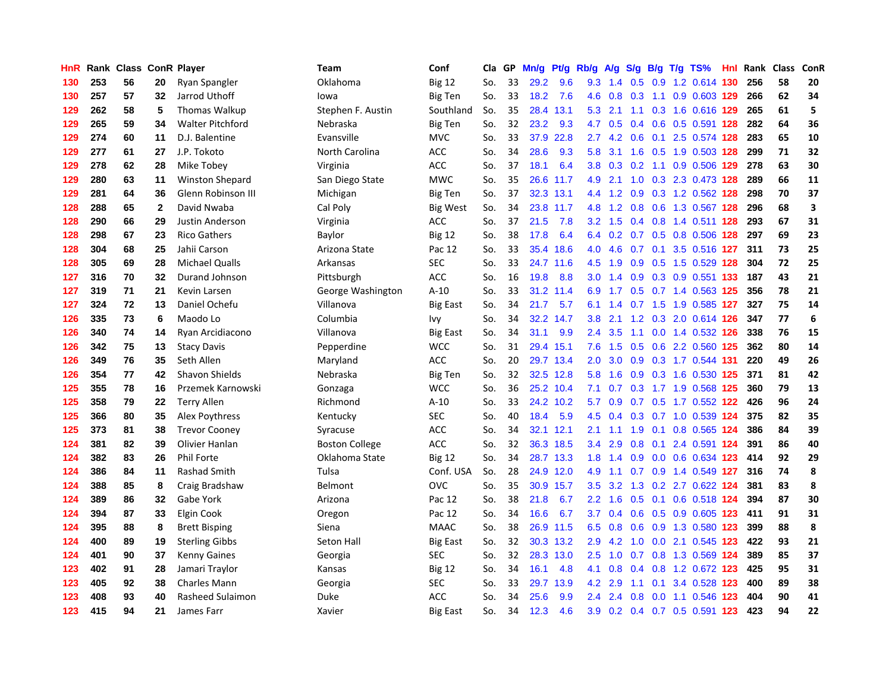| HnR |     | Rank Class ConR Player |              |                         | <b>Team</b>           | Conf            | Cla | GP | Mn/g | Pf/g      | Rb/g          | A/g              | S/g              |  | $B/g$ T/g TS%             | Hnl | Rank | <b>Class</b> | ConR |
|-----|-----|------------------------|--------------|-------------------------|-----------------------|-----------------|-----|----|------|-----------|---------------|------------------|------------------|--|---------------------------|-----|------|--------------|------|
| 130 | 253 | 56                     | 20           | Ryan Spangler           | Oklahoma              | <b>Big 12</b>   | So. | 33 | 29.2 | 9.6       | 9.3           | 1.4              | 0.5              |  | 0.9 1.2 0.614 130         |     | 256  | 58           | 20   |
| 130 | 257 | 57                     | 32           | Jarrod Uthoff           | lowa                  | <b>Big Ten</b>  | So. | 33 | 18.2 | 7.6       | 4.6           | 0.8              | 0.3              |  | 1.1 0.9 0.603 129         |     | 266  | 62           | 34   |
| 129 | 262 | 58                     | 5            | Thomas Walkup           | Stephen F. Austin     | Southland       | So. | 35 | 28.4 | 13.1      | 5.3           | 2.1              | 1.1              |  | 0.3 1.6 0.616 129         |     | 265  | 61           | 5    |
| 129 | 265 | 59                     | 34           | <b>Walter Pitchford</b> | Nebraska              | <b>Big Ten</b>  | So. | 32 | 23.2 | 9.3       | 4.7           | 0.5              | 0.4              |  | 0.6 0.5 0.591 128         |     | 282  | 64           | 36   |
| 129 | 274 | 60                     | 11           | D.J. Balentine          | Evansville            | <b>MVC</b>      | So. | 33 | 37.9 | 22.8      | 2.7           | 4.2              | 0.6              |  | 0.1 2.5 0.574 128         |     | 283  | 65           | 10   |
| 129 | 277 | 61                     | 27           | J.P. Tokoto             | North Carolina        | <b>ACC</b>      | So. | 34 | 28.6 | 9.3       | 5.8           | 3.1              | 1.6              |  | 0.5 1.9 0.503 128         |     | 299  | 71           | 32   |
| 129 | 278 | 62                     | 28           | Mike Tobey              | Virginia              | <b>ACC</b>      | So. | 37 | 18.1 | 6.4       | 3.8           | 0.3              |                  |  | 0.2 1.1 0.9 0.506 129     |     | 278  | 63           | 30   |
| 129 | 280 | 63                     | 11           | <b>Winston Shepard</b>  | San Diego State       | <b>MWC</b>      | So. | 35 | 26.6 | 11.7      | 4.9           | 2.1              | 1.0              |  | 0.3 2.3 0.473 128         |     | 289  | 66           | 11   |
| 129 | 281 | 64                     | 36           | Glenn Robinson III      | Michigan              | <b>Big Ten</b>  | So. | 37 | 32.3 | 13.1      | 4.4           | 1.2              | 0.9              |  | 0.3 1.2 0.562 128         |     | 298  | 70           | 37   |
| 128 | 288 | 65                     | $\mathbf{2}$ | David Nwaba             | Cal Poly              | <b>Big West</b> | So. | 34 | 23.8 | 11.7      | 4.8           | 1.2              | 0.8              |  | 0.6 1.3 0.567 128         |     | 296  | 68           | 3    |
| 128 | 290 | 66                     | 29           | <b>Justin Anderson</b>  | Virginia              | <b>ACC</b>      | So. | 37 | 21.5 | 7.8       | 3.2           | 1.5              |                  |  | 0.4 0.8 1.4 0.511 128     |     | 293  | 67           | 31   |
| 128 | 298 | 67                     | 23           | <b>Rico Gathers</b>     | Baylor                | <b>Big 12</b>   | So. | 38 | 17.8 | 6.4       | 6.4           |                  |                  |  | 0.2 0.7 0.5 0.8 0.506 128 |     | 297  | 69           | 23   |
| 128 | 304 | 68                     | 25           | Jahii Carson            | Arizona State         | Pac 12          | So. | 33 | 35.4 | 18.6      | 4.0           | 4.6              | 0.7              |  | 0.1 3.5 0.516 127         |     | 311  | 73           | 25   |
| 128 | 305 | 69                     | 28           | <b>Michael Qualls</b>   | Arkansas              | <b>SEC</b>      | So. | 33 | 24.7 | 11.6      | 4.5           | 1.9              | 0.9              |  | 0.5 1.5 0.529 128         |     | 304  | 72           | 25   |
| 127 | 316 | 70                     | 32           | Durand Johnson          | Pittsburgh            | <b>ACC</b>      | So. | 16 | 19.8 | 8.8       | 3.0           | 1.4              | 0.9              |  | 0.3 0.9 0.551 133         |     | 187  | 43           | 21   |
| 127 | 319 | 71                     | 21           | Kevin Larsen            | George Washington     | $A-10$          | So. | 33 | 31.2 | 11.4      | 6.9           | 1.7              | 0.5              |  | 0.7 1.4 0.563 125         |     | 356  | 78           | 21   |
| 127 | 324 | 72                     | 13           | Daniel Ochefu           | Villanova             | <b>Big East</b> | So. | 34 | 21.7 | 5.7       | 6.1           | 1.4              |                  |  | 0.7 1.5 1.9 0.585 127     |     | 327  | 75           | 14   |
| 126 | 335 | 73                     | 6            | Maodo Lo                | Columbia              | Ivy             | So. | 34 | 32.2 | 14.7      | 3.8           | 2.1              | 1.2              |  | 0.3 2.0 0.614 126         |     | 347  | 77           | 6    |
| 126 | 340 | 74                     | 14           | Ryan Arcidiacono        | Villanova             | <b>Big East</b> | So. | 34 | 31.1 | 9.9       | $2.4^{\circ}$ | 3.5              | 1.1              |  | $0.0$ 1.4 $0.532$ 126     |     | 338  | 76           | 15   |
| 126 | 342 | 75                     | 13           | <b>Stacy Davis</b>      | Pepperdine            | <b>WCC</b>      | So. | 31 |      | 29.4 15.1 | 7.6           | 1.5              |                  |  | 0.5 0.6 2.2 0.560 125     |     | 362  | 80           | 14   |
| 126 | 349 | 76                     | 35           | Seth Allen              | Maryland              | <b>ACC</b>      | So. | 20 |      | 29.7 13.4 | 2.0           | 3.0 <sub>1</sub> | 0.9              |  | 0.3 1.7 0.544 131         |     | 220  | 49           | 26   |
| 126 | 354 | 77                     | 42           | <b>Shavon Shields</b>   | Nebraska              | <b>Big Ten</b>  | So. | 32 | 32.5 | 12.8      | 5.8           | 1.6              | 0.9 <sub>0</sub> |  | 0.3 1.6 0.530 125         |     | 371  | 81           | 42   |
| 125 | 355 | 78                     | 16           | Przemek Karnowski       | Gonzaga               | <b>WCC</b>      | So. | 36 | 25.2 | 10.4      | 7.1           | 0.7              | 0.3              |  | 1.7 1.9 0.568 125         |     | 360  | 79           | 13   |
| 125 | 358 | 79                     | 22           | <b>Terry Allen</b>      | Richmond              | $A-10$          | So. | 33 | 24.2 | 10.2      | 5.7           | 0.9              | 0.7              |  | 0.5 1.7 0.552 122         |     | 426  | 96           | 24   |
| 125 | 366 | 80                     | 35           | Alex Poythress          | Kentucky              | <b>SEC</b>      | So. | 40 | 18.4 | 5.9       | 4.5           | 0.4              | 0.3              |  | 0.7 1.0 0.539 124         |     | 375  | 82           | 35   |
| 125 | 373 | 81                     | 38           | <b>Trevor Cooney</b>    | Syracuse              | <b>ACC</b>      | So. | 34 | 32.1 | 12.1      | 2.1           | 1.1              | 1.9              |  | 0.1 0.8 0.565 124         |     | 386  | 84           | 39   |
| 124 | 381 | 82                     | 39           | Olivier Hanlan          | <b>Boston College</b> | <b>ACC</b>      | So. | 32 | 36.3 | 18.5      | $3.4^{\circ}$ | 2.9              | 0.8              |  | $0.1$ 2.4 0.591 124       |     | 391  | 86           | 40   |
| 124 | 382 | 83                     | 26           | <b>Phil Forte</b>       | Oklahoma State        | <b>Big 12</b>   | So. | 34 |      | 28.7 13.3 | 1.8           | 1.4              |                  |  | 0.9 0.0 0.6 0.634 123     |     | 414  | 92           | 29   |
| 124 | 386 | 84                     | 11           | <b>Rashad Smith</b>     | Tulsa                 | Conf. USA       | So. | 28 |      | 24.9 12.0 | 4.9           | 1.1              | 0.7              |  | 0.9 1.4 0.549 127         |     | 316  | 74           | 8    |
| 124 | 388 | 85                     | 8            | Craig Bradshaw          | Belmont               | OVC             | So. | 35 | 30.9 | 15.7      | 3.5           | 3.2              | 1.3              |  | $0.2$ 2.7 $0.622$ 124     |     | 381  | 83           | 8    |
| 124 | 389 | 86                     | 32           | Gabe York               | Arizona               | Pac 12          | So. | 38 | 21.8 | 6.7       | 2.2           | 1.6              | 0.5              |  | 0.1 0.6 0.518 124         |     | 394  | 87           | 30   |
| 124 | 394 | 87                     | 33           | Elgin Cook              | Oregon                | Pac 12          | So. | 34 | 16.6 | 6.7       | 3.7           | 0.4              | 0.6              |  | 0.5 0.9 0.605 123         |     | 411  | 91           | 31   |
| 124 | 395 | 88                     | 8            | <b>Brett Bisping</b>    | Siena                 | <b>MAAC</b>     | So. | 38 | 26.9 | 11.5      | 6.5           | 0.8              | 0.6              |  | 0.9 1.3 0.580 123         |     | 399  | 88           | 8    |
| 124 | 400 | 89                     | 19           | <b>Sterling Gibbs</b>   | Seton Hall            | <b>Big East</b> | So. | 32 | 30.3 | 13.2      | 2.9           | 4.2              | 1.0              |  | 0.0 2.1 0.545 123         |     | 422  | 93           | 21   |
| 124 | 401 | 90                     | 37           | <b>Kenny Gaines</b>     | Georgia               | <b>SEC</b>      | So. | 32 | 28.3 | 13.0      | 2.5           | 1.0              | 0.7              |  | 0.8 1.3 0.569 124         |     | 389  | 85           | 37   |
| 123 | 402 | 91                     | 28           | Jamari Traylor          | Kansas                | <b>Big 12</b>   | So. | 34 | 16.1 | 4.8       | 4.1           | 0.8              | 0.4              |  | 0.8 1.2 0.672 123         |     | 425  | 95           | 31   |
| 123 | 405 | 92                     | 38           | <b>Charles Mann</b>     | Georgia               | <b>SEC</b>      | So. | 33 | 29.7 | 13.9      | 4.2           | 2.9              | 1.1              |  | 0.1 3.4 0.528 123         |     | 400  | 89           | 38   |
| 123 | 408 | 93                     | 40           | Rasheed Sulaimon        | Duke                  | <b>ACC</b>      | So. | 34 | 25.6 | 9.9       | $2.4^{\circ}$ | 2.4              | 0.8              |  | $0.0$ 1.1 0.546 123       |     | 404  | 90           | 41   |
| 123 | 415 | 94                     | 21           | James Farr              | Xavier                | <b>Big East</b> | So. | 34 | 12.3 | 4.6       | 3.9           | 0.2              | 0.4              |  | 0.7 0.5 0.591 123         |     | 423  | 94           | 22   |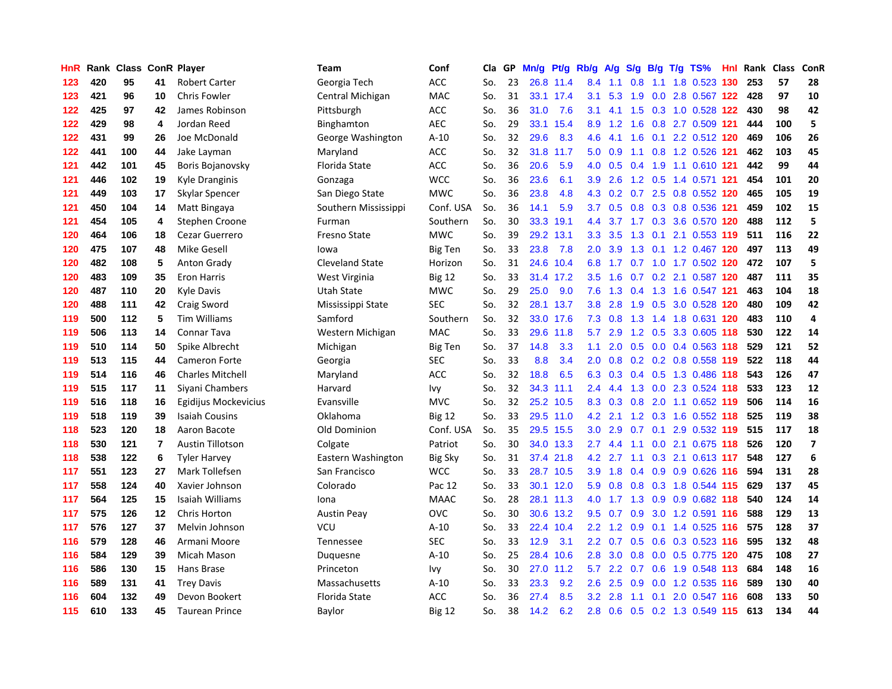| HnR | Rank |     |                | <b>Class ConR Player</b> | <b>Team</b>            | Conf           | Cla | GP | Mn/g | Pt/g      | Rb/g             | <b>A/g</b> | S/g           | B/g | $T/g$ TS%                 | Hnl | Rank | Class | ConR                     |
|-----|------|-----|----------------|--------------------------|------------------------|----------------|-----|----|------|-----------|------------------|------------|---------------|-----|---------------------------|-----|------|-------|--------------------------|
| 123 | 420  | 95  | 41             | <b>Robert Carter</b>     | Georgia Tech           | <b>ACC</b>     | So. | 23 | 26.8 | 11.4      | 8.4              | 1.1        | 0.8           | 1.1 | 1.8 0.523 130             |     | 253  | 57    | 28                       |
| 123 | 421  | 96  | 10             | <b>Chris Fowler</b>      | Central Michigan       | <b>MAC</b>     | So. | 31 |      | 33.1 17.4 | 3.1              | 5.3        | 1.9           |     | 0.0 2.8 0.567 122         |     | 428  | 97    | 10                       |
| 122 | 425  | 97  | 42             | James Robinson           | Pittsburgh             | <b>ACC</b>     | So. | 36 | 31.0 | 7.6       | 3.1              | 4.1        | 1.5           |     | 0.3 1.0 0.528 122         |     | 430  | 98    | 42                       |
| 122 | 429  | 98  | 4              | Jordan Reed              | Binghamton             | <b>AEC</b>     | So. | 29 | 33.1 | 15.4      | 8.9              | 1.2        | 1.6           |     | 0.8 2.7 0.509 121         |     | 444  | 100   | 5                        |
| 122 | 431  | 99  | 26             | Joe McDonald             | George Washington      | $A-10$         | So. | 32 | 29.6 | 8.3       | 4.6              | 4.1        | 1.6           |     | 0.1 2.2 0.512 120         |     | 469  | 106   | 26                       |
| 122 | 441  | 100 | 44             | Jake Layman              | Maryland               | <b>ACC</b>     | So. | 32 | 31.8 | 11.7      | 5.0              | 0.9        | 1.1           |     | 0.8 1.2 0.526 121         |     | 462  | 103   | 45                       |
| 121 | 442  | 101 | 45             | Boris Bojanovsky         | <b>Florida State</b>   | <b>ACC</b>     | So. | 36 | 20.6 | 5.9       | 4.0              | 0.5        | 0.4           |     | 1.9 1.1 0.610 121         |     | 442  | 99    | 44                       |
| 121 | 446  | 102 | 19             | Kyle Dranginis           | Gonzaga                | <b>WCC</b>     | So. | 36 | 23.6 | 6.1       | 3.9              | 2.6        | 1.2           |     | 0.5 1.4 0.571 121         |     | 454  | 101   | 20                       |
| 121 | 449  | 103 | 17             | Skylar Spencer           | San Diego State        | <b>MWC</b>     | So. | 36 | 23.8 | 4.8       | 4.3              | 0.2        | 0.7           |     | 2.5 0.8 0.552 120         |     | 465  | 105   | 19                       |
| 121 | 450  | 104 | 14             | Matt Bingaya             | Southern Mississippi   | Conf. USA      | So. | 36 | 14.1 | 5.9       | 3.7              | 0.5        | 0.8           |     | 0.3 0.8 0.536 121         |     | 459  | 102   | 15                       |
| 121 | 454  | 105 | 4              | Stephen Croone           | Furman                 | Southern       | So. | 30 | 33.3 | 19.1      | 4.4              |            |               |     | 3.7 1.7 0.3 3.6 0.570 120 |     | 488  | 112   | 5                        |
| 120 | 464  | 106 | 18             | Cezar Guerrero           | <b>Fresno State</b>    | <b>MWC</b>     | So. | 39 | 29.2 | 13.1      | 3.3 <sub>2</sub> | 3.5        | 1.3           |     | $0.1$ 2.1 0.553 119       |     | 511  | 116   | 22                       |
| 120 | 475  | 107 | 48             | Mike Gesell              | lowa                   | <b>Big Ten</b> | So. | 33 | 23.8 | 7.8       | 2.0              | 3.9        | 1.3           |     | 0.1 1.2 0.467 120         |     | 497  | 113   | 49                       |
| 120 | 482  | 108 | 5              | <b>Anton Grady</b>       | <b>Cleveland State</b> | Horizon        | So. | 31 | 24.6 | 10.4      | 6.8              | 1.7        | 0.7           |     | 1.0 1.7 0.502 120         |     | 472  | 107   | 5                        |
| 120 | 483  | 109 | 35             | <b>Eron Harris</b>       | West Virginia          | Big 12         | So. | 33 | 31.4 | 17.2      | 3.5              | 1.6        | 0.7           |     | 0.2 2.1 0.587 120         |     | 487  | 111   | 35                       |
| 120 | 487  | 110 | 20             | <b>Kyle Davis</b>        | <b>Utah State</b>      | <b>MWC</b>     | So. | 29 | 25.0 | 9.0       | 7.6              | 1.3        | $0.4^{\circ}$ |     | 1.3 1.6 0.547 121         |     | 463  | 104   | 18                       |
| 120 | 488  | 111 | 42             | Craig Sword              | Mississippi State      | <b>SEC</b>     | So. | 32 | 28.1 | 13.7      | 3.8              | 2.8        | 1.9           | 0.5 | 3.0 0.528 120             |     | 480  | 109   | 42                       |
| 119 | 500  | 112 | 5              | <b>Tim Williams</b>      | Samford                | Southern       | So. | 32 |      | 33.0 17.6 | 7.3              | 0.8        | 1.3           |     | 1.4 1.8 0.631 120         |     | 483  | 110   | 4                        |
| 119 | 506  | 113 | 14             | <b>Connar Tava</b>       | Western Michigan       | <b>MAC</b>     | So. | 33 | 29.6 | 11.8      | 5.7              | 2.9        |               |     | 1.2 0.5 3.3 0.605 118     |     | 530  | 122   | 14                       |
| 119 | 510  | 114 | 50             | Spike Albrecht           | Michigan               | <b>Big Ten</b> | So. | 37 | 14.8 | 3.3       | 1.1              | 2.0        |               |     | $0.5$ 0.0 0.4 0.563 118   |     | 529  | 121   | 52                       |
| 119 | 513  | 115 | 44             | <b>Cameron Forte</b>     | Georgia                | SEC            | So. | 33 | 8.8  | 3.4       | 2.0 <sub>2</sub> | 0.8        |               |     | 0.2 0.2 0.8 0.558 119     |     | 522  | 118   | 44                       |
| 119 | 514  | 116 | 46             | <b>Charles Mitchell</b>  | Maryland               | <b>ACC</b>     | So. | 32 | 18.8 | 6.5       | 6.3              | 0.3        | $0.4^{\circ}$ |     | 0.5 1.3 0.486 118         |     | 543  | 126   | 47                       |
| 119 | 515  | 117 | 11             | Siyani Chambers          | Harvard                | Ivy            | So. | 32 | 34.3 | 11.1      | 2.4              | 4.4        | 1.3           |     | 0.0 2.3 0.524 118         |     | 533  | 123   | 12                       |
| 119 | 516  | 118 | 16             | Egidijus Mockevicius     | Evansville             | <b>MVC</b>     | So. | 32 | 25.2 | 10.5      | 8.3              | 0.3        | 0.8           |     | 2.0 1.1 0.652 119         |     | 506  | 114   | 16                       |
| 119 | 518  | 119 | 39             | <b>Isaiah Cousins</b>    | Oklahoma               | <b>Big 12</b>  | So. | 33 | 29.5 | 11.0      | 4.2              | 2.1        | 1.2           |     | 0.3 1.6 0.552 118         |     | 525  | 119   | 38                       |
| 118 | 523  | 120 | 18             | Aaron Bacote             | Old Dominion           | Conf. USA      | So. | 35 | 29.5 | 15.5      | 3.0 <sub>2</sub> | 2.9        | 0.7           |     | 0.1 2.9 0.532 119         |     | 515  | 117   | 18                       |
| 118 | 530  | 121 | $\overline{7}$ | <b>Austin Tillotson</b>  | Colgate                | Patriot        | So. | 30 |      | 34.0 13.3 | $2.7^{\circ}$    | 4.4        | 1.1           |     | $0.0$ 2.1 0.675 118       |     | 526  | 120   | $\overline{\phantom{a}}$ |
| 118 | 538  | 122 | 6              | <b>Tyler Harvey</b>      | Eastern Washington     | Big Sky        | So. | 31 | 37.4 | 21.8      | 4.2              | 2.7        |               |     | 1.1 0.3 2.1 0.613 117     |     | 548  | 127   | 6                        |
| 117 | 551  | 123 | 27             | Mark Tollefsen           | San Francisco          | <b>WCC</b>     | So. | 33 | 28.7 | 10.5      | 3.9 <sup>°</sup> | 1.8        | 0.4           |     | 0.9 0.9 0.626 116         |     | 594  | 131   | 28                       |
| 117 | 558  | 124 | 40             | Xavier Johnson           | Colorado               | Pac 12         | So. | 33 | 30.1 | 12.0      | 5.9              | 0.8        | 0.8           |     | 0.3 1.8 0.544 115         |     | 629  | 137   | 45                       |
| 117 | 564  | 125 | 15             | Isaiah Williams          | Iona                   | <b>MAAC</b>    | So. | 28 | 28.1 | 11.3      | 4.0              | 1.7        | 1.3           |     | 0.9 0.9 0.682 118         |     | 540  | 124   | 14                       |
| 117 | 575  | 126 | 12             | Chris Horton             | <b>Austin Peay</b>     | OVC            | So. | 30 | 30.6 | 13.2      | 9.5              | 0.7        | 0.9           |     | 3.0 1.2 0.591 116         |     | 588  | 129   | 13                       |
| 117 | 576  | 127 | 37             | Melvin Johnson           | <b>VCU</b>             | A-10           | So. | 33 | 22.4 | 10.4      | $2.2\phantom{0}$ | 1.2        | 0.9           |     | $0.1$ 1.4 $0.525$ 116     |     | 575  | 128   | 37                       |
| 116 | 579  | 128 | 46             | Armani Moore             | Tennessee              | <b>SEC</b>     | So. | 33 | 12.9 | 3.1       | $2.2\phantom{0}$ | 0.7        | 0.5           | 0.6 | 0.3 0.523 116             |     | 595  | 132   | 48                       |
| 116 | 584  | 129 | 39             | Micah Mason              | Duquesne               | $A-10$         | So. | 25 | 28.4 | 10.6      | 2.8              | 3.0        | 0.8           |     | $0.0$ $0.5$ $0.775$ 120   |     | 475  | 108   | 27                       |
| 116 | 586  | 130 | 15             | Hans Brase               | Princeton              | Ivy            | So. | 30 | 27.0 | 11.2      | 5.7              | 2.2        | 0.7           |     | 0.6 1.9 0.548 113         |     | 684  | 148   | 16                       |
| 116 | 589  | 131 | 41             | <b>Trey Davis</b>        | Massachusetts          | $A-10$         | So. | 33 | 23.3 | 9.2       | 2.6              | 2.5        | 0.9           |     | $0.0$ 1.2 $0.535$ 116     |     | 589  | 130   | 40                       |
| 116 | 604  | 132 | 49             | Devon Bookert            | Florida State          | ACC            | So. | 36 | 27.4 | 8.5       | 3.2              | 2.8        | 1.1           | 0.1 | 2.0 0.547 116             |     | 608  | 133   | 50                       |
| 115 | 610  | 133 | 45             | <b>Taurean Prince</b>    | Baylor                 | <b>Big 12</b>  | So. | 38 | 14.2 | 6.2       | 2.8              | 0.6        |               |     | 0.5 0.2 1.3 0.549 115     |     | 613  | 134   | 44                       |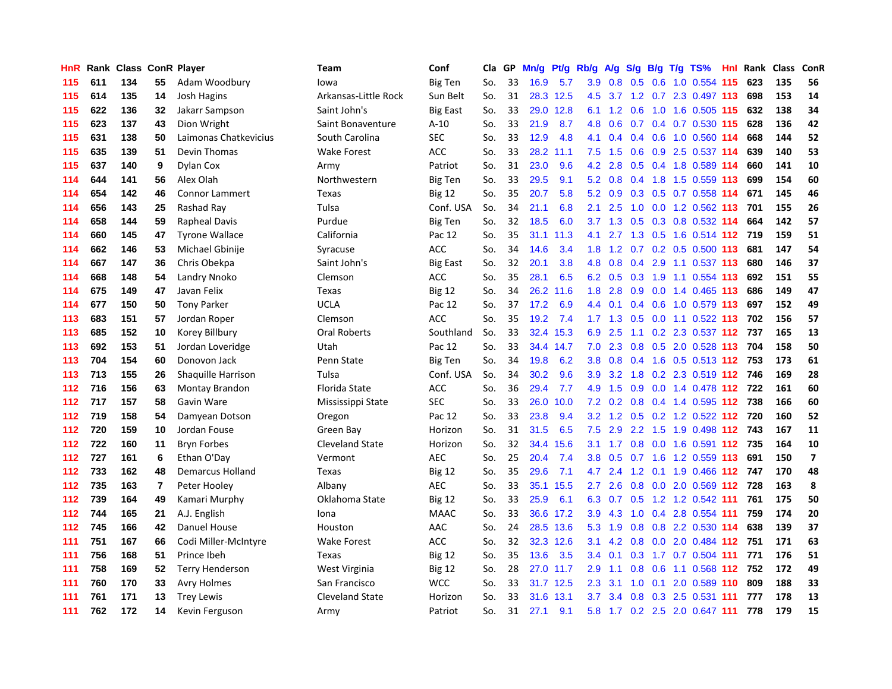| HnR | Rank |     |                | <b>Class ConR Player</b> | Team                 | Conf            | Cla | GP | Mn/g | <b>Pt/g</b> | Rb/g             | A/g |     |     | S/g B/g T/g TS%               | Hnl | Rank | Class | ConR           |
|-----|------|-----|----------------|--------------------------|----------------------|-----------------|-----|----|------|-------------|------------------|-----|-----|-----|-------------------------------|-----|------|-------|----------------|
| 115 | 611  | 134 | 55             | Adam Woodbury            | lowa                 | <b>Big Ten</b>  | So. | 33 | 16.9 | 5.7         | 3.9              | 0.8 | 0.5 | 0.6 | 1.0 0.554 115                 |     | 623  | 135   | 56             |
| 115 | 614  | 135 | 14             | Josh Hagins              | Arkansas-Little Rock | Sun Belt        | So. | 31 |      | 28.3 12.5   | 4.5              |     |     |     | 3.7 1.2 0.7 2.3 0.497 113     |     | 698  | 153   | 14             |
| 115 | 622  | 136 | 32             | Jakarr Sampson           | Saint John's         | <b>Big East</b> | So. | 33 | 29.0 | 12.8        | 6.1              | 1.2 | 0.6 |     | 1.0 1.6 0.505 115             |     | 632  | 138   | 34             |
| 115 | 623  | 137 | 43             | Dion Wright              | Saint Bonaventure    | A-10            | So. | 33 | 21.9 | 8.7         | 4.8              | 0.6 | 0.7 |     | 0.4 0.7 0.530 115             |     | 628  | 136   | 42             |
| 115 | 631  | 138 | 50             | Laimonas Chatkevicius    | South Carolina       | <b>SEC</b>      | So. | 33 | 12.9 | 4.8         | 4.1              | 0.4 | 0.4 |     | 0.6 1.0 0.560 114             |     | 668  | 144   | 52             |
| 115 | 635  | 139 | 51             | Devin Thomas             | <b>Wake Forest</b>   | <b>ACC</b>      | So. | 33 | 28.2 | 11.1        | 7.5              | 1.5 | 0.6 |     | 0.9 2.5 0.537 114             |     | 639  | 140   | 53             |
| 115 | 637  | 140 | 9              | <b>Dylan Cox</b>         | Army                 | Patriot         | So. | 31 | 23.0 | 9.6         | 4.2              | 2.8 | 0.5 |     | 0.4 1.8 0.589 114             |     | 660  | 141   | 10             |
| 114 | 644  | 141 | 56             | Alex Olah                | Northwestern         | <b>Big Ten</b>  | So. | 33 | 29.5 | 9.1         | 5.2              | 0.8 |     |     | 0.4 1.8 1.5 0.559 113         |     | 699  | 154   | 60             |
| 114 | 654  | 142 | 46             | <b>Connor Lammert</b>    | Texas                | <b>Big 12</b>   | So. | 35 | 20.7 | 5.8         | 5.2              | 0.9 | 0.3 |     | 0.5 0.7 0.558 114             |     | 671  | 145   | 46             |
| 114 | 656  | 143 | 25             | Rashad Ray               | Tulsa                | Conf. USA       | So. | 34 | 21.1 | 6.8         | 2.1              | 2.5 | 1.0 |     | 0.0 1.2 0.562 113             |     | 701  | 155   | 26             |
| 114 | 658  | 144 | 59             | Rapheal Davis            | Purdue               | <b>Big Ten</b>  | So. | 32 | 18.5 | 6.0         | 3.7              |     |     |     | 1.3 0.5 0.3 0.8 0.532 114     |     | 664  | 142   | 57             |
| 114 | 660  | 145 | 47             | <b>Tyrone Wallace</b>    | California           | Pac 12          | So. | 35 | 31.1 | 11.3        | 4.1              |     |     |     | 2.7 1.3 0.5 1.6 0.514 112 719 |     |      | 159   | 51             |
| 114 | 662  | 146 | 53             | Michael Gbinije          | Syracuse             | ACC             | So. | 34 | 14.6 | 3.4         | 1.8              | 1.2 |     |     | 0.7 0.2 0.5 0.500 113         |     | 681  | 147   | 54             |
| 114 | 667  | 147 | 36             | Chris Obekpa             | Saint John's         | <b>Big East</b> | So. | 32 | 20.1 | 3.8         | 4.8              | 0.8 | 0.4 |     | 2.9 1.1 0.537 113             |     | 680  | 146   | 37             |
| 114 | 668  | 148 | 54             | Landry Nnoko             | Clemson              | ACC             | So. | 35 | 28.1 | 6.5         | 6.2              | 0.5 | 0.3 |     | 1.9 1.1 0.554 113             |     | 692  | 151   | 55             |
| 114 | 675  | 149 | 47             | Javan Felix              | Texas                | <b>Big 12</b>   | So. | 34 | 26.2 | 11.6        | 1.8              | 2.8 | 0.9 |     | $0.0$ 1.4 0.465 113           |     | 686  | 149   | 47             |
| 114 | 677  | 150 | 50             | <b>Tony Parker</b>       | <b>UCLA</b>          | Pac 12          | So. | 37 | 17.2 | 6.9         | 4.4              | 0.1 | 0.4 |     | 0.6 1.0 0.579 113             |     | 697  | 152   | 49             |
| 113 | 683  | 151 | 57             | Jordan Roper             | Clemson              | <b>ACC</b>      | So. | 35 | 19.2 | 7.4         | 1.7              | 1.3 | 0.5 |     | $0.0$ 1.1 $0.522$ 113         |     | 702  | 156   | 57             |
| 113 | 685  | 152 | 10             | Korey Billbury           | <b>Oral Roberts</b>  | Southland       | So. | 33 | 32.4 | 15.3        | 6.9              | 2.5 |     |     | 1.1 0.2 2.3 0.537 112 737     |     |      | 165   | 13             |
| 113 | 692  | 153 | 51             | Jordan Loveridge         | Utah                 | Pac 12          | So. | 33 |      | 34.4 14.7   | 7.0              | 2.3 |     |     | 0.8 0.5 2.0 0.528 113         |     | 704  | 158   | 50             |
| 113 | 704  | 154 | 60             | Donovon Jack             | Penn State           | <b>Big Ten</b>  | So. | 34 | 19.8 | 6.2         | 3.8 <sub>2</sub> | 0.8 |     |     | 0.4 1.6 0.5 0.513 112 753     |     |      | 173   | 61             |
| 113 | 713  | 155 | 26             | Shaquille Harrison       | Tulsa                | Conf. USA       | So. | 34 | 30.2 | 9.6         | 3.9              | 3.2 | 1.8 |     | 0.2 2.3 0.519 112 746         |     |      | 169   | 28             |
| 112 | 716  | 156 | 63             | Montay Brandon           | Florida State        | <b>ACC</b>      | So. | 36 | 29.4 | 7.7         | 4.9              | 1.5 | 0.9 |     | $0.0$ 1.4 0.478 112           |     | 722  | 161   | 60             |
| 112 | 717  | 157 | 58             | Gavin Ware               | Mississippi State    | <b>SEC</b>      | So. | 33 | 26.0 | 10.0        | 7.2              | 0.2 | 0.8 |     | $0.4$ 1.4 0.595 112           |     | 738  | 166   | 60             |
| 112 | 719  | 158 | 54             | Damyean Dotson           | Oregon               | Pac 12          | So. | 33 | 23.8 | 9.4         | 3.2              | 1.2 | 0.5 |     | 0.2 1.2 0.522 112             |     | 720  | 160   | 52             |
| 112 | 720  | 159 | 10             | Jordan Fouse             | Green Bay            | Horizon         | So. | 31 | 31.5 | 6.5         | 7.5              | 2.9 |     |     | 2.2 1.5 1.9 0.498 112 743     |     |      | 167   | 11             |
| 112 | 722  | 160 | 11             | <b>Bryn Forbes</b>       | Cleveland State      | Horizon         | So. | 32 | 34.4 | 15.6        | 3.1              |     |     |     | 1.7 0.8 0.0 1.6 0.591 112 735 |     |      | 164   | 10             |
| 112 | 727  | 161 | 6              | Ethan O'Day              | Vermont              | <b>AEC</b>      | So. | 25 | 20.4 | 7.4         | 3.8 <sub>2</sub> |     |     |     | $0.5$ 0.7 1.6 1.2 0.559 113   |     | 691  | 150   | $\overline{7}$ |
| 112 | 733  | 162 | 48             | <b>Demarcus Holland</b>  | Texas                | <b>Big 12</b>   | So. | 35 | 29.6 | 7.1         | 4.7              | 2.4 | 1.2 |     | 0.1 1.9 0.466 112 747         |     |      | 170   | 48             |
| 112 | 735  | 163 | $\overline{7}$ | Peter Hooley             | Albany               | <b>AEC</b>      | So. | 33 | 35.1 | 15.5        | $2.7^{\circ}$    | 2.6 | 0.8 |     | $0.0$ 2.0 $0.569$ 112         |     | 728  | 163   | 8              |
| 112 | 739  | 164 | 49             | Kamari Murphy            | Oklahoma State       | <b>Big 12</b>   | So. | 33 | 25.9 | 6.1         | 6.3              | 0.7 | 0.5 |     | 1.2 1.2 0.542 111             |     | 761  | 175   | 50             |
| 112 | 744  | 165 | 21             | A.J. English             | Iona                 | <b>MAAC</b>     | So. | 33 |      | 36.6 17.2   | 3.9              | 4.3 | 1.0 |     | 0.4 2.8 0.554 111             |     | 759  | 174   | 20             |
| 112 | 745  | 166 | 42             | Danuel House             | Houston              | AAC             | So. | 24 | 28.5 | 13.6        | 5.3              | 1.9 | 0.8 |     | 0.8 2.2 0.530 114             |     | 638  | 139   | 37             |
| 111 | 751  | 167 | 66             | Codi Miller-McIntyre     | <b>Wake Forest</b>   | ACC             | So. | 32 | 32.3 | 12.6        | 3.1              | 4.2 | 0.8 |     | $0.0$ 2.0 0.484 112           |     | 751  | 171   | 63             |
| 111 | 756  | 168 | 51             | Prince Ibeh              | Texas                | <b>Big 12</b>   | So. | 35 | 13.6 | 3.5         | $3.4^{\circ}$    | 0.1 | 0.3 |     | 1.7 0.7 0.504 111             |     | 771  | 176   | 51             |
| 111 | 758  | 169 | 52             | <b>Terry Henderson</b>   | West Virginia        | <b>Big 12</b>   | So. | 28 |      | 27.0 11.7   | 2.9              | 1.1 | 0.8 |     | 0.6 1.1 0.568 112 752         |     |      | 172   | 49             |
| 111 | 760  | 170 | 33             | <b>Avry Holmes</b>       | San Francisco        | <b>WCC</b>      | So. | 33 |      | 31.7 12.5   | 2.3              | 3.1 | 1.0 |     | $0.1$ 2.0 0.589 110           |     | 809  | 188   | 33             |
| 111 | 761  | 171 | 13             | <b>Trey Lewis</b>        | Cleveland State      | Horizon         | So. | 33 | 31.6 | 13.1        | 3.7              | 3.4 | 0.8 |     | 0.3 2.5 0.531 111             |     | 777  | 178   | 13             |
| 111 | 762  | 172 | 14             | Kevin Ferguson           | Army                 | Patriot         | So. | 31 | 27.1 | 9.1         | 5.8              |     |     |     | 1.7 0.2 2.5 2.0 0.647 111     |     | 778  | 179   | 15             |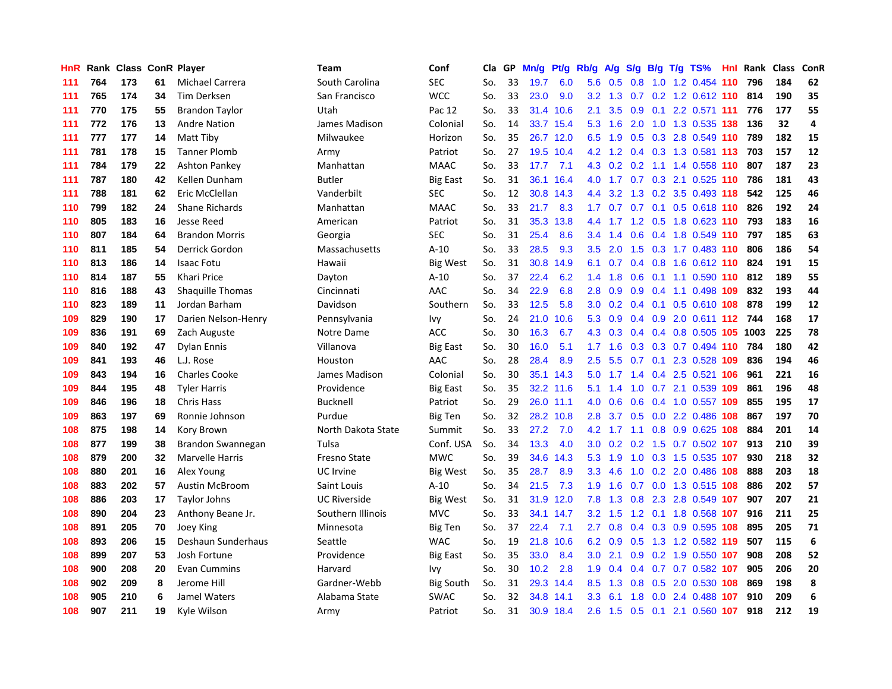| <b>HnR</b> | Rank |     |    | <b>Class ConR Player</b> | <b>Team</b>         | Conf            | Cla | GP | Mn/g | Pt/g      | Rb/g             | A/g | S/g              |     | $B/g$ T/g TS%               | Hnl Rank | <b>Class</b> | ConR |
|------------|------|-----|----|--------------------------|---------------------|-----------------|-----|----|------|-----------|------------------|-----|------------------|-----|-----------------------------|----------|--------------|------|
| 111        | 764  | 173 | 61 | Michael Carrera          | South Carolina      | SEC             | So. | 33 | 19.7 | 6.0       | 5.6              | 0.5 | 0.8              |     | 1.0 1.2 0.454 110           | 796      | 184          | 62   |
| 111        | 765  | 174 | 34 | <b>Tim Derksen</b>       | San Francisco       | <b>WCC</b>      | So. | 33 | 23.0 | 9.0       | 3.2              | 1.3 | 0.7              |     | 0.2 1.2 0.612 110 814       |          | 190          | 35   |
| 111        | 770  | 175 | 55 | <b>Brandon Taylor</b>    | Utah                | Pac 12          | So. | 33 |      | 31.4 10.6 | 2.1              | 3.5 |                  |     | 0.9 0.1 2.2 0.571 111       | 776      | 177          | 55   |
| 111        | 772  | 176 | 13 | <b>Andre Nation</b>      | James Madison       | Colonial        | So. | 14 |      | 33.7 15.4 | 5.3              | 1.6 |                  |     | 2.0 1.0 1.3 0.535 138       | 136      | 32           | 4    |
| 111        | 777  | 177 | 14 | Matt Tiby                | Milwaukee           | Horizon         | So. | 35 | 26.7 | 12.0      | 6.5              | 1.9 | 0.5              |     | 0.3 2.8 0.549 110           | 789      | 182          | 15   |
| 111        | 781  | 178 | 15 | <b>Tanner Plomb</b>      | Army                | Patriot         | So. | 27 | 19.5 | 10.4      | 4.2              | 1.2 | $0.4^{\circ}$    |     | 0.3 1.3 0.581 113           | 703      | 157          | 12   |
| 111        | 784  | 179 | 22 | <b>Ashton Pankey</b>     | Manhattan           | <b>MAAC</b>     | So. | 33 | 17.7 | 7.1       | 4.3              | 0.2 |                  |     | 0.2 1.1 1.4 0.558 110       | 807      | 187          | 23   |
| 111        | 787  | 180 | 42 | Kellen Dunham            | <b>Butler</b>       | <b>Big East</b> | So. | 31 | 36.1 | 16.4      | 4.0              | 1.7 | 0.7              |     | 0.3 2.1 0.525 110           | 786      | 181          | 43   |
| 111        | 788  | 181 | 62 | Eric McClellan           | Vanderbilt          | <b>SEC</b>      | So. | 12 | 30.8 | 14.3      | 4.4              | 3.2 | 1.3              |     | 0.2 3.5 0.493 118           | 542      | 125          | 46   |
| 110        | 799  | 182 | 24 | <b>Shane Richards</b>    | Manhattan           | <b>MAAC</b>     | So. | 33 | 21.7 | 8.3       | 1.7              | 0.7 | 0.7              |     | $0.1$ $0.5$ $0.618$ 110     | 826      | 192          | 24   |
| 110        | 805  | 183 | 16 | Jesse Reed               | American            | Patriot         | So. | 31 | 35.3 | 13.8      | 4.4              |     |                  |     | 1.7 1.2 0.5 1.8 0.623 110   | 793      | 183          | 16   |
| 110        | 807  | 184 | 64 | <b>Brandon Morris</b>    | Georgia             | <b>SEC</b>      | So. | 31 | 25.4 | 8.6       | 3.4              | 1.4 |                  |     | 0.6 0.4 1.8 0.549 110       | 797      | 185          | 63   |
| 110        | 811  | 185 | 54 | Derrick Gordon           | Massachusetts       | $A-10$          | So. | 33 | 28.5 | 9.3       | 3.5              | 2.0 |                  |     | 1.5 0.3 1.7 0.483 110       | 806      | 186          | 54   |
| 110        | 813  | 186 | 14 | <b>Isaac Fotu</b>        | Hawaii              | Big West        | So. | 31 | 30.8 | 14.9      | 6.1              | 0.7 | $0.4^{\circ}$    |     | $0.8$ 1.6 $0.612$ 110       | 824      | 191          | 15   |
| 110        | 814  | 187 | 55 | Khari Price              | Dayton              | $A-10$          | So. | 37 | 22.4 | 6.2       | 1.4              | 1.8 | 0.6              |     | $0.1$ 1.1 0.590 110         | 812      | 189          | 55   |
| 110        | 816  | 188 | 43 | <b>Shaquille Thomas</b>  | Cincinnati          | <b>AAC</b>      | So. | 34 | 22.9 | 6.8       | 2.8              | 0.9 | 0.9              |     | 0.4 1.1 0.498 109           | 832      | 193          | 44   |
| 110        | 823  | 189 | 11 | Jordan Barham            | Davidson            | Southern        | So. | 33 | 12.5 | 5.8       | 3.0 <sub>2</sub> | 0.2 | $0.4^{\circ}$    |     | $0.1$ $0.5$ $0.610$ 108     | 878      | 199          | 12   |
| 109        | 829  | 190 | 17 | Darien Nelson-Henry      | Pennsylvania        | Ivy             | So. | 24 | 21.0 | 10.6      | 5.3              | 0.9 | 0.4              |     | 0.9 2.0 0.611 112 744       |          | 168          | 17   |
| 109        | 836  | 191 | 69 | Zach Auguste             | Notre Dame          | <b>ACC</b>      | So. | 30 | 16.3 | 6.7       | 4.3              | 0.3 | 0.4              |     | 0.4 0.8 0.505 105 1003      |          | 225          | 78   |
| 109        | 840  | 192 | 47 | <b>Dylan Ennis</b>       | Villanova           | <b>Big East</b> | So. | 30 | 16.0 | 5.1       | 1.7              | 1.6 |                  |     | 0.3 0.3 0.7 0.494 110       | 784      | 180          | 42   |
| 109        | 841  | 193 | 46 | L.J. Rose                | Houston             | AAC             | So. | 28 | 28.4 | 8.9       | 2.5              | 5.5 |                  |     | 0.7 0.1 2.3 0.528 109       | 836      | 194          | 46   |
| 109        | 843  | 194 | 16 | <b>Charles Cooke</b>     | James Madison       | Colonial        | So. | 30 | 35.1 | 14.3      | 5.0              | 1.7 | 1.4              |     | $0.4$ 2.5 0.521 106         | 961      | 221          | 16   |
| 109        | 844  | 195 | 48 | <b>Tyler Harris</b>      | Providence          | Big East        | So. | 35 | 32.2 | 11.6      | 5.1              | 1.4 | 1.0              |     | 0.7 2.1 0.539 109           | 861      | 196          | 48   |
| 109        | 846  | 196 | 18 | <b>Chris Hass</b>        | <b>Bucknell</b>     | Patriot         | So. | 29 | 26.0 | 11.1      | 4.0              | 0.6 | 0.6              |     | 0.4 1.0 0.557 109           | 855      | 195          | 17   |
| 109        | 863  | 197 | 69 | Ronnie Johnson           | Purdue              | Big Ten         | So. | 32 | 28.2 | 10.8      | 2.8              | 3.7 | 0.5              |     | $0.0$ 2.2 0.486 108         | 867      | 197          | 70   |
| 108        | 875  | 198 | 14 | Kory Brown               | North Dakota State  | Summit          | So. | 33 | 27.2 | 7.0       | 4.2              | 1.7 | 1.1              |     | $0.8$ 0.9 0.625 108         | 884      | 201          | 14   |
| 108        | 877  | 199 | 38 | Brandon Swannegan        | Tulsa               | Conf. USA       | So. | 34 | 13.3 | 4.0       | 3.0 <sub>2</sub> |     |                  |     | $0.2$ 0.2 1.5 0.7 0.502 107 | 913      | 210          | 39   |
| 108        | 879  | 200 | 32 | Marvelle Harris          | Fresno State        | <b>MWC</b>      | So. | 39 | 34.6 | 14.3      | 5.3              | 1.9 |                  |     | 1.0 0.3 1.5 0.535 107       | 930      | 218          | 32   |
| 108        | 880  | 201 | 16 | Alex Young               | UC Irvine           | Big West        | So. | 35 | 28.7 | 8.9       | 3.3              | 4.6 | 1.0              |     | 0.2 2.0 0.486 108           | 888      | 203          | 18   |
| 108        | 883  | 202 | 57 | <b>Austin McBroom</b>    | Saint Louis         | $A-10$          | So. | 34 | 21.5 | 7.3       | 1.9              | 1.6 | 0.7              |     | 0.0 1.3 0.515 108           | 886      | 202          | 57   |
| 108        | 886  | 203 | 17 | <b>Taylor Johns</b>      | <b>UC Riverside</b> | <b>Big West</b> | So. | 31 | 31.9 | 12.0      | 7.8              | 1.3 | 0.8              |     | 2.3 2.8 0.549 107           | 907      | 207          | 21   |
| 108        | 890  | 204 | 23 | Anthony Beane Jr.        | Southern Illinois   | <b>MVC</b>      | So. | 33 | 34.1 | 14.7      | 3.2              | 1.5 | 1.2              |     | 0.1 1.8 0.568 107           | 916      | 211          | 25   |
| 108        | 891  | 205 | 70 | Joey King                | Minnesota           | Big Ten         | So. | 37 | 22.4 | 7.1       | 2.7              | 0.8 | $0.4^{\circ}$    | 0.3 | 0.9 0.595 108               | 895      | 205          | 71   |
| 108        | 893  | 206 | 15 | Deshaun Sunderhaus       | Seattle             | <b>WAC</b>      | So. | 19 | 21.8 | 10.6      | 6.2              | 0.9 | 0.5              |     | 1.3 1.2 0.582 119           | 507      | 115          | 6    |
| 108        | 899  | 207 | 53 | Josh Fortune             | Providence          | <b>Big East</b> | So. | 35 | 33.0 | 8.4       | 3.0 <sub>2</sub> | 2.1 | 0.9 <sub>0</sub> |     | 0.2 1.9 0.550 107           | 908      | 208          | 52   |
| 108        | 900  | 208 | 20 | <b>Evan Cummins</b>      | Harvard             | Ivy             | So. | 30 | 10.2 | 2.8       | 1.9              |     | $0.4 \quad 0.4$  |     | $0.7$ 0.7 0.582 107         | 905      | 206          | 20   |
| 108        | 902  | 209 | 8  | Jerome Hill              | Gardner-Webb        | Big South       | So. | 31 | 29.3 | 14.4      | 8.5              | 1.3 | 0.8              |     | $0.5$ 2.0 0.530 108         | 869      | 198          | 8    |
| 108        | 905  | 210 | 6  | Jamel Waters             | Alabama State       | <b>SWAC</b>     | So. | 32 | 34.8 | 14.1      | 3.3              | 6.1 | 1.8              |     | 0.0 2.4 0.488 107           | 910      | 209          | 6    |
| 108        | 907  | 211 | 19 | Kyle Wilson              | Army                | Patriot         | So. | 31 |      | 30.9 18.4 | 2.6              | 1.5 |                  |     | 0.5 0.1 2.1 0.560 107       | 918      | 212          | 19   |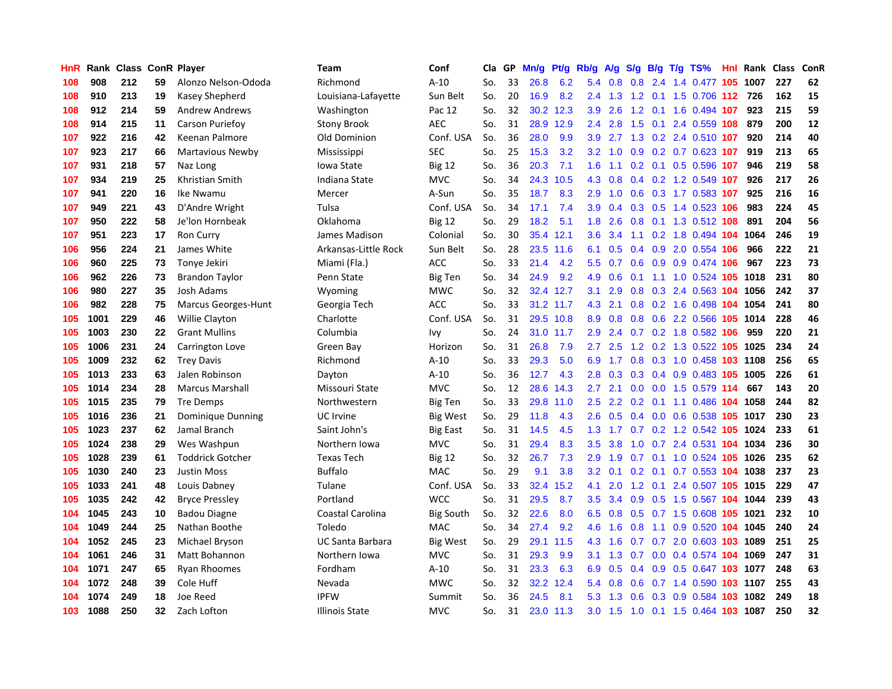| HnR |      | Rank Class ConR Player |    |                            | Team                    | Conf             | Cla | GP | Mn/g | Pf/g      | Rb/g             | A/g | S/g           |     | $B/g$ T/g TS%              | Hnl | Rank Class |     | ConR |
|-----|------|------------------------|----|----------------------------|-------------------------|------------------|-----|----|------|-----------|------------------|-----|---------------|-----|----------------------------|-----|------------|-----|------|
| 108 | 908  | 212                    | 59 | Alonzo Nelson-Ododa        | Richmond                | $A-10$           | So. | 33 | 26.8 | 6.2       | 5.4              | 0.8 | 0.8           |     | 2.4 1.4 0.477              | 105 | 1007       | 227 | 62   |
| 108 | 910  | 213                    | 19 | Kasey Shepherd             | Louisiana-Lafayette     | Sun Belt         | So. | 20 | 16.9 | 8.2       | $2.4^{\circ}$    | 1.3 |               |     | 1.2 0.1 1.5 0.706 112      |     | 726        | 162 | 15   |
| 108 | 912  | 214                    | 59 | <b>Andrew Andrews</b>      | Washington              | Pac 12           | So. | 32 |      | 30.2 12.3 | 3.9 <sup>°</sup> | 2.6 |               |     | 1.2 0.1 1.6 0.494 107      |     | 923        | 215 | 59   |
| 108 | 914  | 215                    | 11 | Carson Puriefoy            | Stony Brook             | <b>AEC</b>       | So. | 31 | 28.9 | 12.9      | $2.4^{\circ}$    | 2.8 | 1.5           |     | $0.1$ 2.4 0.559 108        |     | 879        | 200 | 12   |
| 107 | 922  | 216                    | 42 | Keenan Palmore             | Old Dominion            | Conf. USA        | So. | 36 | 28.0 | 9.9       | 3.9              | 2.7 | 1.3           |     | $0.2$ 2.4 $0.510$ 107      |     | 920        | 214 | 40   |
| 107 | 923  | 217                    | 66 | Martavious Newby           | Mississippi             | <b>SEC</b>       | So. | 25 | 15.3 | 3.2       | 3.2              | 1.0 | 0.9           |     | 0.2 0.7 0.623 107          |     | 919        | 213 | 65   |
| 107 | 931  | 218                    | 57 | Naz Long                   | Iowa State              | <b>Big 12</b>    | So. | 36 | 20.3 | 7.1       | 1.6              | 1.1 |               |     | 0.2 0.1 0.5 0.596 107      |     | 946        | 219 | 58   |
| 107 | 934  | 219                    | 25 | Khristian Smith            | Indiana State           | <b>MVC</b>       | So. | 34 | 24.3 | 10.5      | 4.3              | 0.8 | 0.4           |     | 0.2 1.2 0.549 107          |     | 926        | 217 | 26   |
| 107 | 941  | 220                    | 16 | Ike Nwamu                  | Mercer                  | A-Sun            | So. | 35 | 18.7 | 8.3       | 2.9              | 1.0 | 0.6           |     | 0.3 1.7 0.583 107          |     | 925        | 216 | 16   |
| 107 | 949  | 221                    | 43 | D'Andre Wright             | Tulsa                   | Conf. USA        | So. | 34 | 17.1 | 7.4       | 3.9              | 0.4 |               |     | 0.3 0.5 1.4 0.523 106      |     | 983        | 224 | 45   |
| 107 | 950  | 222                    | 58 | Je'lon Hornbeak            | Oklahoma                | <b>Big 12</b>    | So. | 29 | 18.2 | 5.1       | 1.8              | 2.6 |               |     | 0.8 0.1 1.3 0.512 108      |     | 891        | 204 | 56   |
| 107 | 951  | 223                    | 17 | <b>Ron Curry</b>           | James Madison           | Colonial         | So. | 30 | 35.4 | 12.1      | 3.6              | 3.4 |               |     | 1.1 0.2 1.8 0.494 104 1064 |     |            | 246 | 19   |
| 106 | 956  | 224                    | 21 | James White                | Arkansas-Little Rock    | Sun Belt         | So. | 28 | 23.5 | 11.6      | 6.1              | 0.5 | $0.4^{\circ}$ |     | 0.9 2.0 0.554 106          |     | 966        | 222 | 21   |
| 106 | 960  | 225                    | 73 | Tonye Jekiri               | Miami (Fla.)            | <b>ACC</b>       | So. | 33 | 21.4 | 4.2       | 5.5              | 0.7 | 0.6           |     | 0.9 0.9 0.474 106          |     | 967        | 223 | 73   |
| 106 | 962  | 226                    | 73 | <b>Brandon Taylor</b>      | Penn State              | <b>Big Ten</b>   | So. | 34 | 24.9 | 9.2       | 4.9              | 0.6 | 0.1           |     | 1.1 1.0 0.524 105 1018     |     |            | 231 | 80   |
| 106 | 980  | 227                    | 35 | Josh Adams                 | Wyoming                 | <b>MWC</b>       | So. | 32 | 32.4 | 12.7      | 3.1              | 2.9 | 0.8           |     | $0.3$ 2.4 $0.563$ 104      |     | 1056       | 242 | 37   |
| 106 | 982  | 228                    | 75 | <b>Marcus Georges-Hunt</b> | Georgia Tech            | <b>ACC</b>       | So. | 33 | 31.2 | 11.7      | 4.3              | 2.1 | 0.8           |     | 0.2 1.6 0.498 104 1054     |     |            | 241 | 80   |
| 105 | 1001 | 229                    | 46 | Willie Clayton             | Charlotte               | Conf. USA        | So. | 31 | 29.5 | 10.8      | 8.9              | 0.8 | 0.8           |     | 0.6 2.2 0.566 105 1014     |     |            | 228 | 46   |
| 105 | 1003 | 230                    | 22 | <b>Grant Mullins</b>       | Columbia                | Ivy              | So. | 24 |      | 31.0 11.7 | 2.9              | 2.4 |               |     | 0.7 0.2 1.8 0.582 106      |     | 959        | 220 | 21   |
| 105 | 1006 | 231                    | 24 | Carrington Love            | Green Bay               | Horizon          | So. | 31 | 26.8 | 7.9       | $2.7^{\circ}$    | 2.5 |               |     | 1.2 0.2 1.3 0.522 105 1025 |     |            | 234 | 24   |
| 105 | 1009 | 232                    | 62 | <b>Trey Davis</b>          | Richmond                | $A-10$           | So. | 33 | 29.3 | 5.0       | 6.9              | 1.7 |               |     | 0.8 0.3 1.0 0.458 103 1108 |     |            | 256 | 65   |
| 105 | 1013 | 233                    | 63 | Jalen Robinson             | Dayton                  | $A-10$           | So. | 36 | 12.7 | 4.3       | 2.8              | 0.3 | 0.3           |     | 0.4 0.9 0.483 105 1005     |     |            | 226 | 61   |
| 105 | 1014 | 234                    | 28 | <b>Marcus Marshall</b>     | Missouri State          | <b>MVC</b>       | So. | 12 | 28.6 | 14.3      | 2.7              | 2.1 | 0.0           |     | 0.0 1.5 0.579 114          |     | 667        | 143 | 20   |
| 105 | 1015 | 235                    | 79 | <b>Tre Demps</b>           | Northwestern            | <b>Big Ten</b>   | So. | 33 | 29.8 | 11.0      | 2.5              | 2.2 | 0.2           |     | $0.1$ 1.1 0.486 104        |     | 1058       | 244 | 82   |
| 105 | 1016 | 236                    | 21 | Dominique Dunning          | UC Irvine               | Big West         | So. | 29 | 11.8 | 4.3       | 2.6              | 0.5 | 0.4           |     | 0.0 0.6 0.538 105 1017     |     |            | 230 | 23   |
| 105 | 1023 | 237                    | 62 | Jamal Branch               | Saint John's            | Big East         | So. | 31 | 14.5 | 4.5       | 1.3              | 1.7 | 0.7           |     | 0.2 1.2 0.542 105 1024     |     |            | 233 | 61   |
| 105 | 1024 | 238                    | 29 | Wes Washpun                | Northern Iowa           | <b>MVC</b>       | So. | 31 | 29.4 | 8.3       | 3.5              | 3.8 |               |     | 1.0 0.7 2.4 0.531 104 1034 |     |            | 236 | 30   |
| 105 | 1028 | 239                    | 61 | <b>Toddrick Gotcher</b>    | <b>Texas Tech</b>       | <b>Big 12</b>    | So. | 32 | 26.7 | 7.3       | 2.9              | 1.9 |               |     | 0.7 0.1 1.0 0.524 105 1026 |     |            | 235 | 62   |
| 105 | 1030 | 240                    | 23 | <b>Justin Moss</b>         | <b>Buffalo</b>          | <b>MAC</b>       | So. | 29 | 9.1  | 3.8       | 3.2              | 0.1 | 0.2           |     | 0.1 0.7 0.553 104 1038     |     |            | 237 | 23   |
| 105 | 1033 | 241                    | 48 | Louis Dabney               | Tulane                  | Conf. USA        | So. | 33 | 32.4 | 15.2      | 4.1              | 2.0 | 1.2           |     | 0.1 2.4 0.507 105 1015     |     |            | 229 | 47   |
| 105 | 1035 | 242                    | 42 | <b>Bryce Pressley</b>      | Portland                | <b>WCC</b>       | So. | 31 | 29.5 | 8.7       | 3.5              | 3.4 | 0.9           |     | 0.5 1.5 0.567 104 1044     |     |            | 239 | 43   |
| 104 | 1045 | 243                    | 10 | <b>Badou Diagne</b>        | Coastal Carolina        | <b>Big South</b> | So. | 32 | 22.6 | 8.0       | 6.5              | 0.8 | 0.5           |     | 0.7 1.5 0.608 105 1021     |     |            | 232 | 10   |
| 104 | 1049 | 244                    | 25 | Nathan Boothe              | Toledo                  | MAC              | So. | 34 | 27.4 | 9.2       | 4.6              | 1.6 | 0.8           | 1.1 | 0.9 0.520 104 1045         |     |            | 240 | 24   |
| 104 | 1052 | 245                    | 23 | Michael Bryson             | <b>UC Santa Barbara</b> | <b>Big West</b>  | So. | 29 | 29.1 | 11.5      | 4.3              | 1.6 | 0.7           | 0.7 | 2.0 0.603 103 1089         |     |            | 251 | 25   |
| 104 | 1061 | 246                    | 31 | <b>Matt Bohannon</b>       | Northern Iowa           | <b>MVC</b>       | So. | 31 | 29.3 | 9.9       | 3.1              | 1.3 | 0.7           |     | 0.0 0.4 0.574 104 1069     |     |            | 247 | 31   |
| 104 | 1071 | 247                    | 65 | <b>Ryan Rhoomes</b>        | Fordham                 | $A-10$           | So. | 31 | 23.3 | 6.3       | 6.9              | 0.5 | 0.4           |     | 0.9 0.5 0.647 103 1077     |     |            | 248 | 63   |
| 104 | 1072 | 248                    | 39 | Cole Huff                  | Nevada                  | <b>MWC</b>       | So. | 32 | 32.2 | 12.4      | 5.4              | 0.8 | 0.6           |     | 0.7 1.4 0.590 103 1107     |     |            | 255 | 43   |
| 104 | 1074 | 249                    | 18 | <b>Joe Reed</b>            | <b>IPFW</b>             | Summit           | So. | 36 | 24.5 | 8.1       | 5.3              | 1.3 | 0.6           |     | 0.3 0.9 0.584 103          |     | 1082       | 249 | 18   |
| 103 | 1088 | 250                    | 32 | Zach Lofton                | <b>Illinois State</b>   | <b>MVC</b>       | So. | 31 |      | 23.0 11.3 | 3.0 <sub>2</sub> | 1.5 |               |     | 1.0 0.1 1.5 0.464 103 1087 |     |            | 250 | 32   |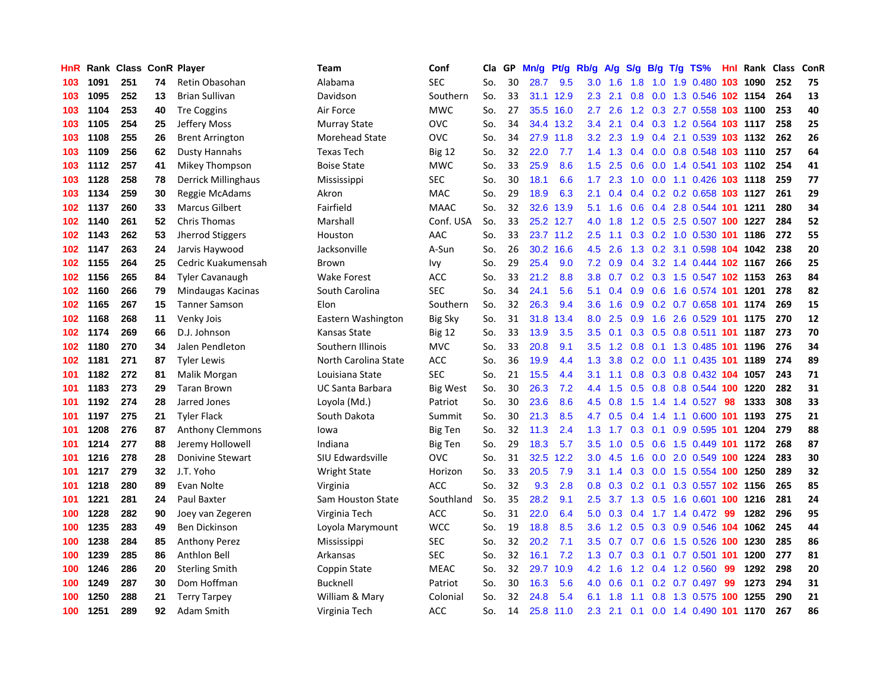| HnR |      | Rank Class ConR Player |    |                         | Team                    | Conf           | Cla | GP | Mn/g | Pt/g      | Rb/g             | A/g | S/g           | B/g | $T/g$ TS%                  |     | <b>Hnl Rank Class</b> |     | ConR |
|-----|------|------------------------|----|-------------------------|-------------------------|----------------|-----|----|------|-----------|------------------|-----|---------------|-----|----------------------------|-----|-----------------------|-----|------|
| 103 | 1091 | 251                    | 74 | Retin Obasohan          | Alabama                 | <b>SEC</b>     | So. | 30 | 28.7 | 9.5       | 3.0              | 1.6 | 1.8           |     | 1.0 1.9 0.480 103 1090     |     |                       | 252 | 75   |
| 103 | 1095 | 252                    | 13 | <b>Brian Sullivan</b>   | Davidson                | Southern       | So. | 33 | 31.1 | 12.9      | 2.3              | 2.1 | 0.8           |     | 0.0 1.3 0.546 102 1154     |     |                       | 264 | 13   |
| 103 | 1104 | 253                    | 40 | <b>Tre Coggins</b>      | Air Force               | <b>MWC</b>     | So. | 27 | 35.5 | 16.0      | 2.7              | 2.6 |               |     | 1.2 0.3 2.7 0.558 103 1100 |     |                       | 253 | 40   |
| 103 | 1105 | 254                    | 25 | Jeffery Moss            | <b>Murray State</b>     | <b>OVC</b>     | So. | 34 | 34.4 | 13.2      | $3.4^{\circ}$    | 2.1 | $0.4^{\circ}$ |     | 0.3 1.2 0.564 103 1117     |     |                       | 258 | 25   |
| 103 | 1108 | 255                    | 26 | <b>Brent Arrington</b>  | Morehead State          | <b>OVC</b>     | So. | 34 | 27.9 | 11.8      | 3.2              | 2.3 | 1.9           |     | 0.4 2.1 0.539 103 1132     |     |                       | 262 | 26   |
| 103 | 1109 | 256                    | 62 | <b>Dusty Hannahs</b>    | <b>Texas Tech</b>       | <b>Big 12</b>  | So. | 32 | 22.0 | 7.7       | 1.4              | 1.3 | 0.4           |     | 0.0 0.8 0.548 103 1110     |     |                       | 257 | 64   |
| 103 | 1112 | 257                    | 41 | Mikey Thompson          | <b>Boise State</b>      | <b>MWC</b>     | So. | 33 | 25.9 | 8.6       | 1.5              | 2.5 | 0.6           |     | 0.0 1.4 0.541 103 1102     |     |                       | 254 | 41   |
| 103 | 1128 | 258                    | 78 | Derrick Millinghaus     | Mississippi             | <b>SEC</b>     | So. | 30 | 18.1 | 6.6       | 1.7              | 2.3 | 1.0           |     | 0.0 1.1 0.426 103 1118     |     |                       | 259 | 77   |
| 103 | 1134 | 259                    | 30 | Reggie McAdams          | Akron                   | MAC            | So. | 29 | 18.9 | 6.3       | 2.1              | 0.4 | 0.4           |     | 0.2 0.2 0.658 103 1127     |     |                       | 261 | 29   |
| 102 | 1137 | 260                    | 33 | <b>Marcus Gilbert</b>   | Fairfield               | <b>MAAC</b>    | So. | 32 | 32.6 | 13.9      | 5.1              | 1.6 | 0.6           |     | 0.4 2.8 0.544 101 1211     |     |                       | 280 | 34   |
| 102 | 1140 | 261                    | 52 | <b>Chris Thomas</b>     | Marshall                | Conf. USA      | So. | 33 |      | 25.2 12.7 | 4.0              | 1.8 |               |     | 1.2 0.5 2.5 0.507 100 1227 |     |                       | 284 | 52   |
| 102 | 1143 | 262                    | 53 | Jherrod Stiggers        | Houston                 | AAC            | So. | 33 |      | 23.7 11.2 | 2.5              | 1.1 |               |     | 0.3 0.2 1.0 0.530 101 1186 |     |                       | 272 | 55   |
| 102 | 1147 | 263                    | 24 | Jarvis Haywood          | Jacksonville            | A-Sun          | So. | 26 | 30.2 | 16.6      | 4.5              | 2.6 | 1.3           |     | 0.2 3.1 0.598 104 1042     |     |                       | 238 | 20   |
| 102 | 1155 | 264                    | 25 | Cedric Kuakumensah      | Brown                   | Ivy            | So. | 29 | 25.4 | 9.0       | 7.2              | 0.9 | $0.4^{\circ}$ |     | 3.2 1.4 0.444 102 1167     |     |                       | 266 | 25   |
| 102 | 1156 | 265                    | 84 | <b>Tyler Cavanaugh</b>  | <b>Wake Forest</b>      | <b>ACC</b>     | So. | 33 | 21.2 | 8.8       | 3.8              | 0.7 |               |     | 0.2 0.3 1.5 0.547 102 1153 |     |                       | 263 | 84   |
| 102 | 1160 | 266                    | 79 | Mindaugas Kacinas       | South Carolina          | <b>SEC</b>     | So. | 34 | 24.1 | 5.6       | 5.1              | 0.4 | 0.9           |     | 0.6 1.6 0.574 101 1201     |     |                       | 278 | 82   |
| 102 | 1165 | 267                    | 15 | <b>Tanner Samson</b>    | Elon                    | Southern       | So. | 32 | 26.3 | 9.4       | 3.6              | 1.6 | 0.9           |     | 0.2 0.7 0.658 101 1174     |     |                       | 269 | 15   |
| 102 | 1168 | 268                    | 11 | Venky Jois              | Eastern Washington      | <b>Big Sky</b> | So. | 31 | 31.8 | 13.4      | 8.0              | 2.5 | 0.9           |     | 1.6 2.6 0.529 101 1175     |     |                       | 270 | 12   |
| 102 | 1174 | 269                    | 66 | D.J. Johnson            | Kansas State            | <b>Big 12</b>  | So. | 33 | 13.9 | 3.5       | 3.5              | 0.1 | 0.3           |     | 0.5 0.8 0.511 101 1187     |     |                       | 273 | 70   |
| 102 | 1180 | 270                    | 34 | Jalen Pendleton         | Southern Illinois       | <b>MVC</b>     | So. | 33 | 20.8 | 9.1       | 3.5              | 1.2 |               |     | 0.8 0.1 1.3 0.485 101 1196 |     |                       | 276 | 34   |
| 102 | 1181 | 271                    | 87 | <b>Tyler Lewis</b>      | North Carolina State    | <b>ACC</b>     | So. | 36 | 19.9 | 4.4       | 1.3              | 3.8 |               |     | 0.2 0.0 1.1 0.435 101 1189 |     |                       | 274 | 89   |
| 101 | 1182 | 272                    | 81 | Malik Morgan            | Louisiana State         | <b>SEC</b>     | So. | 21 | 15.5 | 4.4       | 3.1              | 1.1 | 0.8           |     | 0.3 0.8 0.432 104 1057     |     |                       | 243 | 71   |
| 101 | 1183 | 273                    | 29 | <b>Taran Brown</b>      | <b>UC Santa Barbara</b> | Big West       | So. | 30 | 26.3 | 7.2       | 4.4              | 1.5 | 0.5           |     | 0.8 0.8 0.544 100 1220     |     |                       | 282 | 31   |
| 101 | 1192 | 274                    | 28 | Jarred Jones            | Loyola (Md.)            | Patriot        | So. | 30 | 23.6 | 8.6       | 4.5              | 0.8 | 1.5           | 1.4 | 1.4 0.527                  | 98  | 1333                  | 308 | 33   |
| 101 | 1197 | 275                    | 21 | <b>Tyler Flack</b>      | South Dakota            | Summit         | So. | 30 | 21.3 | 8.5       | 4.7              | 0.5 | 0.4           |     | 1.4 1.1 0.600 101 1193     |     |                       | 275 | 21   |
| 101 | 1208 | 276                    | 87 | <b>Anthony Clemmons</b> | lowa                    | <b>Big Ten</b> | So. | 32 | 11.3 | 2.4       | 1.3              | 1.7 | 0.3           |     | 0.1 0.9 0.595 101 1204     |     |                       | 279 | 88   |
| 101 | 1214 | 277                    | 88 | Jeremy Hollowell        | Indiana                 | <b>Big Ten</b> | So. | 29 | 18.3 | 5.7       | $3.5^{\circ}$    | 1.0 | 0.5           |     | 0.6 1.5 0.449 101 1172     |     |                       | 268 | 87   |
| 101 | 1216 | 278                    | 28 | <b>Donivine Stewart</b> | SIU Edwardsville        | OVC            | So. | 31 | 32.5 | 12.2      | 3.0 <sub>2</sub> | 4.5 | 1.6           |     | 0.0 2.0 0.549 100 1224     |     |                       | 283 | 30   |
| 101 | 1217 | 279                    | 32 | J.T. Yoho               | <b>Wright State</b>     | Horizon        | So. | 33 | 20.5 | 7.9       | 3.1              | 1.4 | 0.3           |     | 0.0 1.5 0.554 100 1250     |     |                       | 289 | 32   |
| 101 | 1218 | 280                    | 89 | Evan Nolte              | Virginia                | ACC            | So. | 32 | 9.3  | 2.8       | 0.8              | 0.3 |               |     | 0.2 0.1 0.3 0.557 102 1156 |     |                       | 265 | 85   |
| 101 | 1221 | 281                    | 24 | Paul Baxter             | Sam Houston State       | Southland      | So. | 35 | 28.2 | 9.1       | 2.5              | 3.7 | 1.3           |     | 0.5 1.6 0.601 100 1216     |     |                       | 281 | 24   |
| 100 | 1228 | 282                    | 90 | Joey van Zegeren        | Virginia Tech           | ACC            | So. | 31 | 22.0 | 6.4       | 5.0              | 0.3 | 0.4           |     | 1.7 1.4 0.472 99           |     | 1282                  | 296 | 95   |
| 100 | 1235 | 283                    | 49 | Ben Dickinson           | Loyola Marymount        | <b>WCC</b>     | So. | 19 | 18.8 | 8.5       | 3.6              | 1.2 | 0.5           | 0.3 | 0.9 0.546 104 1062         |     |                       | 245 | 44   |
| 100 | 1238 | 284                    | 85 | <b>Anthony Perez</b>    | Mississippi             | <b>SEC</b>     | So. | 32 | 20.2 | 7.1       | 3.5              | 0.7 | 0.7           |     | 0.6 1.5 0.526 100 1230     |     |                       | 285 | 86   |
| 100 | 1239 | 285                    | 86 | Anthlon Bell            | Arkansas                | <b>SEC</b>     | So. | 32 | 16.1 | 7.2       | 1.3              | 0.7 | 0.3           |     | 0.1 0.7 0.501 101 1200     |     |                       | 277 | 81   |
| 100 | 1246 | 286                    | 20 | <b>Sterling Smith</b>   | Coppin State            | <b>MEAC</b>    | So. | 32 | 29.7 | 10.9      | 4.2              | 1.6 |               |     | 1.2 0.4 1.2 0.560          | -99 | 1292                  | 298 | 20   |
| 100 | 1249 | 287                    | 30 | Dom Hoffman             | Bucknell                | Patriot        | So. | 30 | 16.3 | 5.6       | 4.0              | 0.6 | 0.1           |     | $0.2$ 0.7 0.497            | 99  | 1273                  | 294 | 31   |
| 100 | 1250 | 288                    | 21 | <b>Terry Tarpey</b>     | William & Mary          | Colonial       | So. | 32 | 24.8 | 5.4       | 6.1              | 1.8 | 1.1           |     | 0.8 1.3 0.575 100 1255     |     |                       | 290 | 21   |
| 100 | 1251 | 289                    | 92 | Adam Smith              | Virginia Tech           | <b>ACC</b>     | So. | 14 |      | 25.8 11.0 | 2.3              | 2.1 | 0.1           |     | $0.0$ 1.4 $0.490$ 101      |     | 1170                  | 267 | 86   |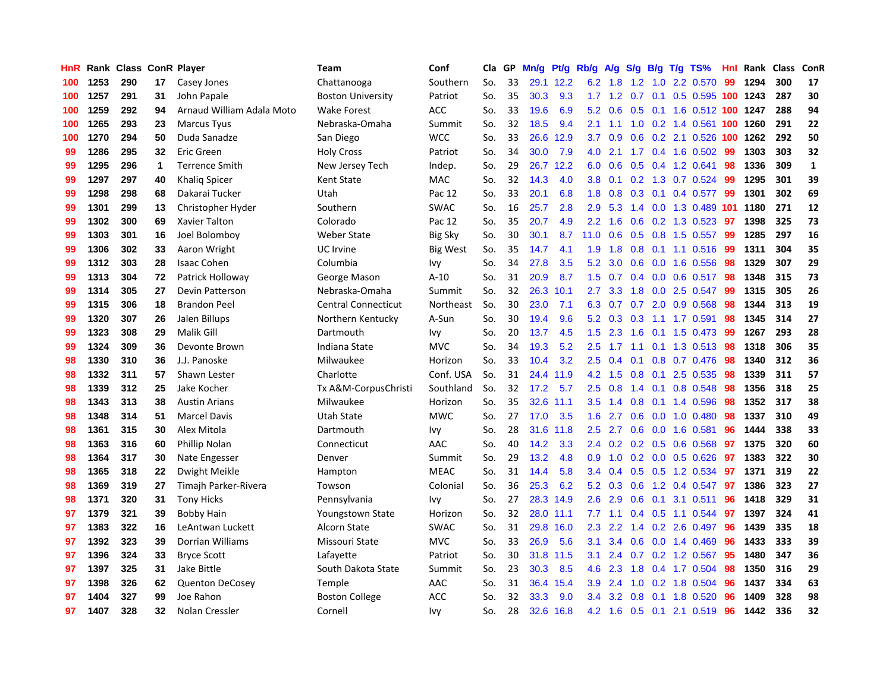| <b>HnR</b> |      | Rank Class ConR Player |    |                           | <b>Team</b>                | Conf            | Cla | GP | Mn/g | Pt/g | Rb/g             | A/g             | S/g           | <b>B/g</b>      | T/g TS%                       | <b>Hnl</b> | Rank Class |     | ConR        |
|------------|------|------------------------|----|---------------------------|----------------------------|-----------------|-----|----|------|------|------------------|-----------------|---------------|-----------------|-------------------------------|------------|------------|-----|-------------|
| 100        | 1253 | 290                    | 17 | Casey Jones               | Chattanooga                | Southern        | So. | 33 | 29.1 | 12.2 | 6.2              | 1.8             | 1.2           | 1.0             | 2.2 0.570                     | 99         | 1294       | 300 | 17          |
| 100        | 1257 | 291                    | 31 | John Papale               | <b>Boston University</b>   | Patriot         | So. | 35 | 30.3 | 9.3  | 1.7 <sub>z</sub> | $1.2 \quad 0.7$ |               |                 | 0.1 0.5 0.595 100 1243        |            |            | 287 | 30          |
| 100        | 1259 | 292                    | 94 | Arnaud William Adala Moto | Wake Forest                | ACC             | So. | 33 | 19.6 | 6.9  | 5.2              | 0.6             |               |                 | 0.5 0.1 1.6 0.512 100 1247    |            |            | 288 | 94          |
| 100        | 1265 | 293                    | 23 | <b>Marcus Tyus</b>        | Nebraska-Omaha             | Summit          | So. | 32 | 18.5 | 9.4  | 2.1              | 1.1             |               |                 | 1.0 0.2 1.4 0.561 100 1260    |            |            | 291 | 22          |
| 100        | 1270 | 294                    | 50 | Duda Sanadze              | San Diego                  | <b>WCC</b>      | So. | 33 | 26.6 | 12.9 | 3.7              | 0.9             | 0.6           |                 | 0.2 2.1 0.526 100 1262        |            |            | 292 | 50          |
| 99         | 1286 | 295                    | 32 | Eric Green                | <b>Holy Cross</b>          | Patriot         | So. | 34 | 30.0 | 7.9  | 4.0              | 2.1             | 1.7           |                 | $0.4$ 1.6 0.502               | -99        | 1303       | 303 | 32          |
| 99         | 1295 | 296                    | 1  | <b>Terrence Smith</b>     | New Jersey Tech            | Indep.          | So. | 29 | 26.7 | 12.2 | 6.0              | 0.6             | 0.5           |                 | 0.4 1.2 0.641                 | 98         | 1336       | 309 | $\mathbf 1$ |
| 99         | 1297 | 297                    | 40 | Khalig Spicer             | Kent State                 | MAC             | So. | 32 | 14.3 | 4.0  | 3.8              | 0.1             |               |                 | 0.2 1.3 0.7 0.524             | 99         | 1295       | 301 | 39          |
| 99         | 1298 | 298                    | 68 | Dakarai Tucker            | Utah                       | Pac 12          | So. | 33 | 20.1 | 6.8  | 1.8              | 0.8             | 0.3           |                 | $0.1$ 0.4 0.577               | -99        | 1301       | 302 | 69          |
| 99         | 1301 | 299                    | 13 | Christopher Hyder         | Southern                   | <b>SWAC</b>     | So. | 16 | 25.7 | 2.8  | 2.9              | 5.3             | 1.4           |                 | 0.0 1.3 0.489 101             |            | 1180       | 271 | 12          |
| 99         | 1302 | 300                    | 69 | Xavier Talton             | Colorado                   | Pac 12          | So. | 35 | 20.7 | 4.9  | $2.2^{\circ}$    | 1.6             |               |                 | 0.6 0.2 1.3 0.523 97          |            | 1398       | 325 | 73          |
| 99         | 1303 | 301                    | 16 | Joel Bolombov             | Weber State                | <b>Big Sky</b>  | So. | 30 | 30.1 | 8.7  | 11.0             | 0.6             |               |                 | 0.5 0.8 1.5 0.557 99          |            | 1285       | 297 | 16          |
| 99         | 1306 | 302                    | 33 | Aaron Wright              | UC Irvine                  | <b>Big West</b> | So. | 35 | 14.7 | 4.1  | 1.9              | 1.8             | 0.8           |                 | 0.1 1.1 0.516 99              |            | 1311       | 304 | 35          |
| 99         | 1312 | 303                    | 28 | <b>Isaac Cohen</b>        | Columbia                   | Ivy             | So. | 34 | 27.8 | 3.5  | 5.2              | 3.0             | 0.6           |                 | 0.0 1.6 0.556                 | 98         | 1329       | 307 | 29          |
| 99         | 1313 | 304                    | 72 | Patrick Holloway          | George Mason               | $A-10$          | So. | 31 | 20.9 | 8.7  | 1.5              | 0.7             |               |                 | $0.4$ 0.0 0.6 0.517           | 98         | 1348       | 315 | 73          |
| 99         | 1314 | 305                    | 27 | Devin Patterson           | Nebraska-Omaha             | Summit          | So. | 32 | 26.3 | 10.1 | 2.7              | 3.3             | 1.8           |                 | 0.0 2.5 0.547                 | 99         | 1315       | 305 | 26          |
| 99         | 1315 | 306                    | 18 | <b>Brandon Peel</b>       | <b>Central Connecticut</b> | Northeast       | So. | 30 | 23.0 | 7.1  | 6.3              | 0.7             | 0.7           |                 | 2.0 0.9 0.568                 | 98         | 1344       | 313 | 19          |
| 99         | 1320 | 307                    | 26 | Jalen Billups             | Northern Kentucky          | A-Sun           | So. | 30 | 19.4 | 9.6  | 5.2              | 0.3             | 0.3           |                 | 1.1 1.7 0.591                 | 98         | 1345       | 314 | 27          |
| 99         | 1323 | 308                    | 29 | Malik Gill                | Dartmouth                  | Ivy             | So. | 20 | 13.7 | 4.5  | 1.5              | 2.3             | 1.6           |                 | 0.1 1.5 0.473 99              |            | 1267       | 293 | 28          |
| 99         | 1324 | 309                    | 36 | Devonte Brown             | Indiana State              | <b>MVC</b>      | So. | 34 | 19.3 | 5.2  | 2.5              | 1.7             |               |                 | 1.1 0.1 1.3 0.513 98          |            | 1318       | 306 | 35          |
| 98         | 1330 | 310                    | 36 | J.J. Panoske              | Milwaukee                  | Horizon         | So. | 33 | 10.4 | 3.2  | 2.5              | 0.4             |               |                 | $0.1$ 0.8 0.7 0.476           | -98        | 1340       | 312 | 36          |
| 98         | 1332 | 311                    | 57 | Shawn Lester              | Charlotte                  | Conf. USA       | So. | 31 | 24.4 | 11.9 | 4.2              | 1.5             | 0.8           | 0.1             | 2.5 0.535                     | 98         | 1339       | 311 | 57          |
| 98         | 1339 | 312                    | 25 | Jake Kocher               | Tx A&M-CorpusChristi       | Southland       | So. | 32 | 17.2 | 5.7  | 2.5              | 0.8             | 1.4           | 0.1             | 0.8 0.548                     | 98         | 1356       | 318 | 25          |
| 98         | 1343 | 313                    | 38 | <b>Austin Arians</b>      | Milwaukee                  | Horizon         | So. | 35 | 32.6 | 11.1 | 3.5              | 1.4             | 0.8           |                 | $0.1$ 1.4 $0.596$             | 98         | 1352       | 317 | 38          |
| 98         | 1348 | 314                    | 51 | <b>Marcel Davis</b>       | Utah State                 | <b>MWC</b>      | So. | 27 | 17.0 | 3.5  | 1.6              | 2.7             | 0.6           |                 | $0.0$ 1.0 $0.480$             | 98         | 1337       | 310 | 49          |
| 98         | 1361 | 315                    | 30 | Alex Mitola               | Dartmouth                  | Ivy             | So. | 28 | 31.6 | 11.8 | 2.5              | 2.7             | 0.6           |                 | 0.0 1.6 0.581                 | 96         | 1444       | 338 | 33          |
| 98         | 1363 | 316                    | 60 | Phillip Nolan             | Connecticut                | AAC             | So. | 40 | 14.2 | 3.3  | $2.4^{\circ}$    | 0.2             |               |                 | $0.2$ 0.5 0.6 0.568           | -97        | 1375       | 320 | 60          |
| 98         | 1364 | 317                    | 30 | Nate Engesser             | Denver                     | Summit          | So. | 29 | 13.2 | 4.8  | 0.9              | 1.0             |               |                 | $0.2$ 0.0 0.5 0.626 <b>97</b> |            | 1383       | 322 | 30          |
| 98         | 1365 | 318                    | 22 | Dwight Meikle             | Hampton                    | <b>MEAC</b>     | So. | 31 | 14.4 | 5.8  | $3.4^{\circ}$    | 0.4             |               |                 | $0.5$ $0.5$ 1.2 $0.534$       | -97        | 1371       | 319 | 22          |
| 98         | 1369 | 319                    | 27 | Timajh Parker-Rivera      | Towson                     | Colonial        | So. | 36 | 25.3 | 6.2  | 5.2              | 0.3             | 0.6           |                 | 1.2 0.4 0.547                 | -97        | 1386       | 323 | 27          |
| 98         | 1371 | 320                    | 31 | <b>Tony Hicks</b>         | Pennsylvania               | Ivy             | So. | 27 | 28.3 | 14.9 | 2.6              | 2.9             | 0.6           | 0.1             | 3.1 0.511                     | 96         | 1418       | 329 | 31          |
| 97         | 1379 | 321                    | 39 | <b>Bobby Hain</b>         | Youngstown State           | Horizon         | So. | 32 | 28.0 | 11.1 | 7.7              | 1.1             | 0.4           |                 | 0.5 1.1 0.544                 | 97         | 1397       | 324 | 41          |
| 97         | 1383 | 322                    | 16 | LeAntwan Luckett          | Alcorn State               | <b>SWAC</b>     | So. | 31 | 29.8 | 16.0 | 2.3              | 2.2             | $1.4^{\circ}$ |                 | $0.2$ 2.6 0.497               | 96         | 1439       | 335 | 18          |
| 97         | 1392 | 323                    | 39 | Dorrian Williams          | Missouri State             | <b>MVC</b>      | So. | 33 | 26.9 | 5.6  | 3.1              | 3.4             | 0.6           |                 | $0.0$ 1.4 $0.469$             | 96         | 1433       | 333 | 39          |
| 97         | 1396 | 324                    | 33 | <b>Bryce Scott</b>        | Lafayette                  | Patriot         | So. | 30 | 31.8 | 11.5 | 3.1              | 2.4             | 0.7           |                 | 0.2 1.2 0.567                 | 95         | 1480       | 347 | 36          |
| 97         | 1397 | 325                    | 31 | Jake Bittle               | South Dakota State         | Summit          | So. | 23 | 30.3 | 8.5  | 4.6              | 2.3             | 1.8           |                 | $0.4$ 1.7 0.504               | -98        | 1350       | 316 | 29          |
| 97         | 1398 | 326                    | 62 | <b>Quenton DeCosey</b>    | Temple                     | AAC             | So. | 31 | 36.4 | 15.4 | 3.9              | 2.4             | 1.0           |                 | 0.2 1.8 0.504                 | 96         | 1437       | 334 | 63          |
| 97         | 1404 | 327                    | 99 | Joe Rahon                 | <b>Boston College</b>      | ACC             | So. | 32 | 33.3 | 9.0  | $3.4^{\circ}$    | 3.2             | 0.8           |                 | $0.1$ 1.8 $0.520$             | 96         | 1409       | 328 | 98          |
| 97         | 1407 | 328                    | 32 | Nolan Cressler            | Cornell                    | Ivv             | So. | 28 | 32.6 | 16.8 | 4.2              | 1.6             |               | $0.5 \quad 0.1$ | 2.1 0.519                     | 96         | 1442       | 336 | 32          |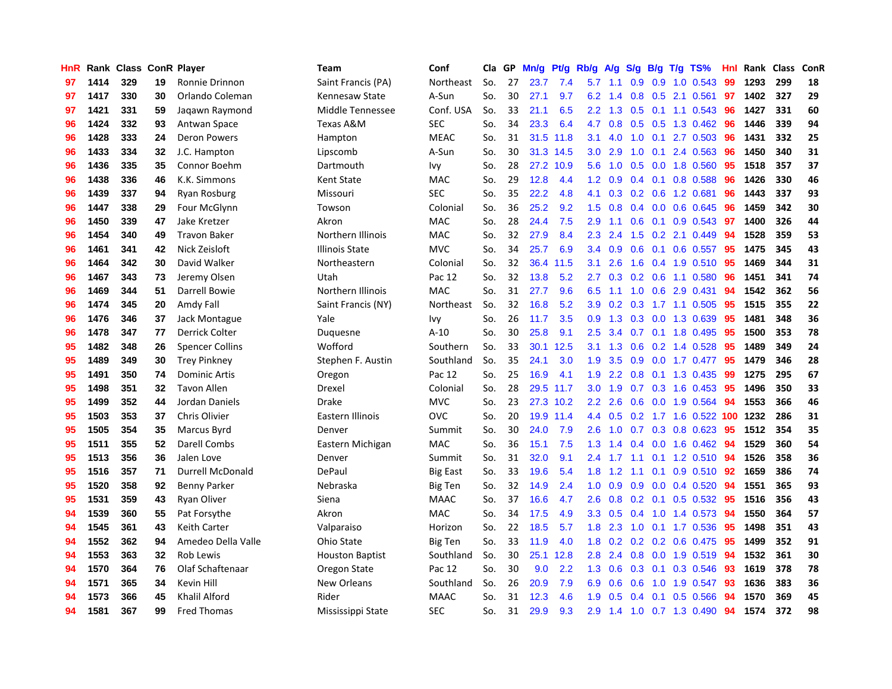| HnR |      | Rank Class ConR Player |    |                         | <b>Team</b>            | Conf            | Cla | GP | Mn/g | <b>Pt/g</b> | Rb/g             | A/g | S/g |     | $B/g$ T/g TS%              | Hnl | Rank Class |     | ConR |
|-----|------|------------------------|----|-------------------------|------------------------|-----------------|-----|----|------|-------------|------------------|-----|-----|-----|----------------------------|-----|------------|-----|------|
| 97  | 1414 | 329                    | 19 | Ronnie Drinnon          | Saint Francis (PA)     | Northeast       | So. | 27 | 23.7 | 7.4         | 5.7              | 1.1 | 0.9 | 0.9 | $1.0 \t0.543$              | 99  | 1293       | 299 | 18   |
| 97  | 1417 | 330                    | 30 | Orlando Coleman         | Kennesaw State         | A-Sun           | So. | 30 | 27.1 | 9.7         | 6.2              | 1.4 | 0.8 |     | $0.5$ 2.1 0.561            | 97  | 1402       | 327 | 29   |
| 97  | 1421 | 331                    | 59 | Jagawn Raymond          | Middle Tennessee       | Conf. USA       | So. | 33 | 21.1 | 6.5         | 2.2              | 1.3 |     |     | 0.5 0.1 1.1 0.543 96       |     | 1427       | 331 | 60   |
| 96  | 1424 | 332                    | 93 | Antwan Space            | Texas A&M              | <b>SEC</b>      | So. | 34 | 23.3 | 6.4         | 4.7              | 0.8 |     |     | $0.5$ $0.5$ 1.3 $0.462$    | -96 | 1446       | 339 | 94   |
| 96  | 1428 | 333                    | 24 | <b>Deron Powers</b>     | Hampton                | <b>MEAC</b>     | So. | 31 | 31.5 | 11.8        | 3.1              | 4.0 | 1.0 |     | $0.1$ 2.7 0.503            | 96  | 1431       | 332 | 25   |
| 96  | 1433 | 334                    | 32 | J.C. Hampton            | Lipscomb               | A-Sun           | So. | 30 | 31.3 | 14.5        | 3.0              | 2.9 | 1.0 |     | $0.1$ 2.4 0.563            | 96  | 1450       | 340 | 31   |
| 96  | 1436 | 335                    | 35 | Connor Boehm            | Dartmouth              | Ivy             | So. | 28 | 27.2 | 10.9        | 5.6              | 1.0 | 0.5 |     | 0.0 1.8 0.560              | 95  | 1518       | 357 | 37   |
| 96  | 1438 | 336                    | 46 | K.K. Simmons            | Kent State             | <b>MAC</b>      | So. | 29 | 12.8 | 4.4         | 1.2              | 0.9 | 0.4 |     | $0.1$ 0.8 0.588            | 96  | 1426       | 330 | 46   |
| 96  | 1439 | 337                    | 94 | <b>Ryan Rosburg</b>     | Missouri               | <b>SEC</b>      | So. | 35 | 22.2 | 4.8         | 4.1              | 0.3 | 0.2 |     | 0.6 1.2 0.681              | 96  | 1443       | 337 | 93   |
| 96  | 1447 | 338                    | 29 | Four McGlynn            | Towson                 | Colonial        | So. | 36 | 25.2 | 9.2         | 1.5              | 0.8 | 0.4 |     | $0.0$ $0.6$ $0.645$        | -96 | 1459       | 342 | 30   |
| 96  | 1450 | 339                    | 47 | Jake Kretzer            | Akron                  | <b>MAC</b>      | So. | 28 | 24.4 | 7.5         | 2.9              | 1.1 |     |     | 0.6 0.1 0.9 0.543 97       |     | 1400       | 326 | 44   |
| 96  | 1454 | 340                    | 49 | <b>Travon Baker</b>     | Northern Illinois      | <b>MAC</b>      | So. | 32 | 27.9 | 8.4         | $2.3\phantom{0}$ | 2.4 |     |     | $1.5$ 0.2 2.1 0.449        | -94 | 1528       | 359 | 53   |
| 96  | 1461 | 341                    | 42 | Nick Zeisloft           | Illinois State         | <b>MVC</b>      | So. | 34 | 25.7 | 6.9         | $3.4^{\circ}$    | 0.9 | 0.6 |     | 0.1 0.6 0.557 95           |     | 1475       | 345 | 43   |
| 96  | 1464 | 342                    | 30 | David Walker            | Northeastern           | Colonial        | So. | 32 | 36.4 | 11.5        | 3.1              | 2.6 | 1.6 |     | 0.4 1.9 0.510              | -95 | 1469       | 344 | 31   |
| 96  | 1467 | 343                    | 73 | Jeremy Olsen            | Utah                   | Pac 12          | So. | 32 | 13.8 | 5.2         | 2.7              | 0.3 |     |     | $0.2$ 0.6 1.1 0.580        | 96  | 1451       | 341 | 74   |
| 96  | 1469 | 344                    | 51 | Darrell Bowie           | Northern Illinois      | MAC             | So. | 31 | 27.7 | 9.6         | 6.5              | 1.1 | 1.0 | 0.6 | 2.9 0.431                  | 94  | 1542       | 362 | 56   |
| 96  | 1474 | 345                    | 20 | Amdy Fall               | Saint Francis (NY)     | Northeast       | So. | 32 | 16.8 | 5.2         | 3.9              | 0.2 | 0.3 |     | 1.7 1.1 0.505              | -95 | 1515       | 355 | 22   |
| 96  | 1476 | 346                    | 37 | Jack Montague           | Yale                   | Ivy             | So. | 26 | 11.7 | 3.5         | 0.9              | 1.3 | 0.3 |     | 0.0 1.3 0.639              | 95  | 1481       | 348 | 36   |
| 96  | 1478 | 347                    | 77 | Derrick Colter          | Duquesne               | $A-10$          | So. | 30 | 25.8 | 9.1         | 2.5              | 3.4 |     |     | 0.7 0.1 1.8 0.495 95       |     | 1500       | 353 | 78   |
| 95  | 1482 | 348                    | 26 | <b>Spencer Collins</b>  | Wofford                | Southern        | So. | 33 | 30.1 | 12.5        | 3.1              | 1.3 |     |     | 0.6 0.2 1.4 0.528 95       |     | 1489       | 349 | 24   |
| 95  | 1489 | 349                    | 30 | <b>Trey Pinkney</b>     | Stephen F. Austin      | Southland       | So. | 35 | 24.1 | 3.0         | 1.9              | 3.5 | 0.9 |     | $0.0$ 1.7 $0.477$          | -95 | 1479       | 346 | 28   |
| 95  | 1491 | 350                    | 74 | <b>Dominic Artis</b>    | Oregon                 | Pac 12          | So. | 25 | 16.9 | 4.1         | 1.9              | 2.2 | 0.8 |     | $0.1$ 1.3 0.435            | -99 | 1275       | 295 | 67   |
| 95  | 1498 | 351                    | 32 | <b>Tavon Allen</b>      | Drexel                 | Colonial        | So. | 28 | 29.5 | 11.7        | 3.0              | 1.9 | 0.7 |     | $0.3$ 1.6 0.453            | 95  | 1496       | 350 | 33   |
| 95  | 1499 | 352                    | 44 | Jordan Daniels          | Drake                  | <b>MVC</b>      | So. | 23 | 27.3 | 10.2        | 2.2              | 2.6 | 0.6 |     | 0.0 1.9 0.564              | 94  | 1553       | 366 | 46   |
| 95  | 1503 | 353                    | 37 | Chris Olivier           | Eastern Illinois       | <b>OVC</b>      | So. | 20 | 19.9 | 11.4        | 4.4              | 0.5 |     |     | 0.2 1.7 1.6 0.522 100 1232 |     |            | 286 | 31   |
| 95  | 1505 | 354                    | 35 | Marcus Byrd             | Denver                 | Summit          | So. | 30 | 24.0 | 7.9         | 2.6              | 1.0 | 0.7 |     | $0.3$ 0.8 0.623            | -95 | 1512       | 354 | 35   |
| 95  | 1511 | 355                    | 52 | Darell Combs            | Eastern Michigan       | <b>MAC</b>      | So. | 36 | 15.1 | 7.5         | 1.3              | 1.4 |     |     | 0.4 0.0 1.6 0.462 94       |     | 1529       | 360 | 54   |
| 95  | 1513 | 356                    | 36 | Jalen Love              | Denver                 | Summit          | So. | 31 | 32.0 | 9.1         | $2.4^{\circ}$    |     |     |     | 1.7 1.1 0.1 1.2 0.510 94   |     | 1526       | 358 | 36   |
| 95  | 1516 | 357                    | 71 | <b>Durrell McDonald</b> | DePaul                 | <b>Big East</b> | So. | 33 | 19.6 | 5.4         | 1.8              |     |     |     | 1.2 1.1 0.1 0.9 0.510 92   |     | 1659       | 386 | 74   |
| 95  | 1520 | 358                    | 92 | <b>Benny Parker</b>     | Nebraska               | Big Ten         | So. | 32 | 14.9 | 2.4         | 1.0              | 0.9 | 0.9 |     | $0.0$ 0.4 0.520            | 94  | 1551       | 365 | 93   |
| 95  | 1531 | 359                    | 43 | Ryan Oliver             | Siena                  | <b>MAAC</b>     | So. | 37 | 16.6 | 4.7         | 2.6              | 0.8 |     |     | 0.2 0.1 0.5 0.532 95       |     | 1516       | 356 | 43   |
| 94  | 1539 | 360                    | 55 | Pat Forsythe            | Akron                  | MAC             | So. | 34 | 17.5 | 4.9         | 3.3              | 0.5 | 0.4 |     | 1.0 1.4 0.573              | -94 | 1550       | 364 | 57   |
| 94  | 1545 | 361                    | 43 | <b>Keith Carter</b>     | Valparaiso             | Horizon         | So. | 22 | 18.5 | 5.7         | 1.8              | 2.3 | 1.0 |     | $0.1$ 1.7 $0.536$          | 95  | 1498       | 351 | 43   |
| 94  | 1552 | 362                    | 94 | Amedeo Della Valle      | Ohio State             | Big Ten         | So. | 33 | 11.9 | 4.0         | 1.8              | 0.2 | 0.2 |     | $0.2$ 0.6 0.475            | 95  | 1499       | 352 | 91   |
| 94  | 1553 | 363                    | 32 | Rob Lewis               | <b>Houston Baptist</b> | Southland       | So. | 30 | 25.1 | 12.8        | 2.8              | 2.4 | 0.8 |     | 0.0 1.9 0.519              | -94 | 1532       | 361 | 30   |
| 94  | 1570 | 364                    | 76 | Olaf Schaftenaar        | Oregon State           | Pac 12          | So. | 30 | 9.0  | 2.2         | 1.3              | 0.6 |     |     | 0.3 0.1 0.3 0.546 93       |     | 1619       | 378 | 78   |
| 94  | 1571 | 365                    | 34 | Kevin Hill              | <b>New Orleans</b>     | Southland       | So. | 26 | 20.9 | 7.9         | 6.9              | 0.6 | 0.6 |     | 1.0 1.9 0.547              | -93 | 1636       | 383 | 36   |
| 94  | 1573 | 366                    | 45 | Khalil Alford           | Rider                  | <b>MAAC</b>     | So. | 31 | 12.3 | 4.6         | 1.9              | 0.5 | 0.4 |     | $0.1$ 0.5 0.566            | -94 | 1570       | 369 | 45   |
| 94  | 1581 | 367                    | 99 | <b>Fred Thomas</b>      | Mississippi State      | <b>SEC</b>      | So. | 31 | 29.9 | 9.3         | 2.9              |     |     |     | 1.4 1.0 0.7 1.3 0.490      | 94  | 1574       | 372 | 98   |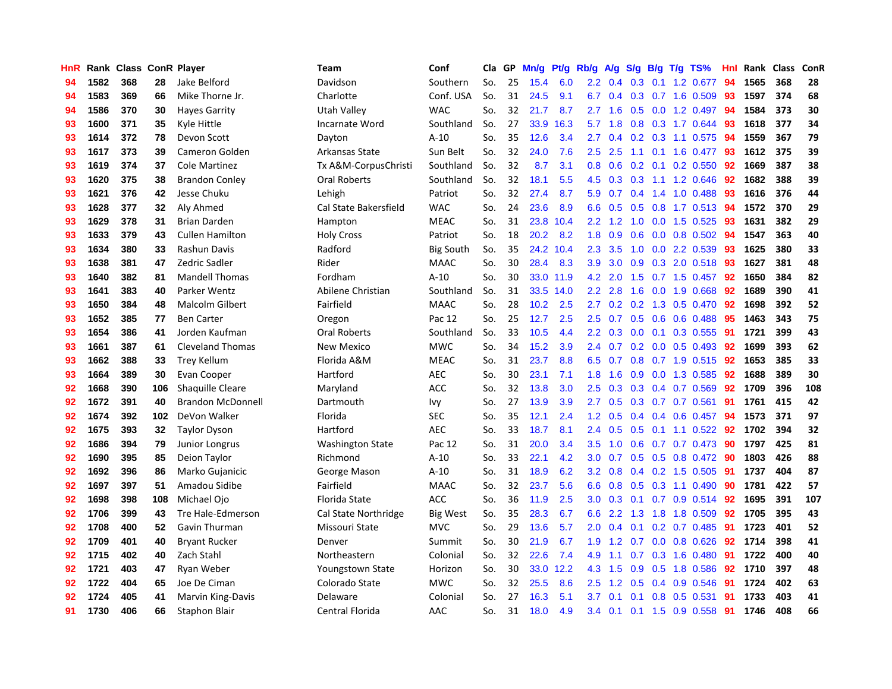| HnR |      | Rank Class ConR Player |     |                          | <b>Team</b>             | Conf             | Cla | GP | Mn/g | Pt/g | Rb/g             | A/g             | S/g              | B/g             | T/g TS%                 | Hnl | Rank Class |     | ConR |
|-----|------|------------------------|-----|--------------------------|-------------------------|------------------|-----|----|------|------|------------------|-----------------|------------------|-----------------|-------------------------|-----|------------|-----|------|
| 94  | 1582 | 368                    | 28  | Jake Belford             | Davidson                | Southern         | So. | 25 | 15.4 | 6.0  | $2.2^{\circ}$    | 0.4             | 0.3              | 0.1             | 1.2 0.677               | 94  | 1565       | 368 | 28   |
| 94  | 1583 | 369                    | 66  | Mike Thorne Jr.          | Charlotte               | Conf. USA        | So. | 31 | 24.5 | 9.1  | 6.7              | 0.4             |                  |                 | $0.3$ 0.7 1.6 0.509     | -93 | 1597       | 374 | 68   |
| 94  | 1586 | 370                    | 30  | <b>Haves Garrity</b>     | Utah Valley             | <b>WAC</b>       | So. | 32 | 21.7 | 8.7  | $2.7^{\circ}$    | 1.6             |                  |                 | 0.5 0.0 1.2 0.497 94    |     | 1584       | 373 | 30   |
| 93  | 1600 | 371                    | 35  | Kyle Hittle              | Incarnate Word          | Southland        | So. | 27 | 33.9 | 16.3 | 5.7              | 1.8             |                  |                 | $0.8$ $0.3$ 1.7 $0.644$ | -93 | 1618       | 377 | 34   |
| 93  | 1614 | 372                    | 78  | Devon Scott              | Dayton                  | $A-10$           | So. | 35 | 12.6 | 3.4  | $2.7^{\circ}$    | 0.4             |                  |                 | $0.2$ 0.3 1.1 0.575     | 94  | 1559       | 367 | 79   |
| 93  | 1617 | 373                    | 39  | <b>Cameron Golden</b>    | Arkansas State          | Sun Belt         | So. | 32 | 24.0 | 7.6  | 2.5              | 2.5             | 1.1              |                 | $0.1$ 1.6 0.477         | 93  | 1612       | 375 | 39   |
| 93  | 1619 | 374                    | 37  | <b>Cole Martinez</b>     | Tx A&M-CorpusChristi    | Southland        | So. | 32 | 8.7  | 3.1  | 0.8              | 0.6             |                  |                 | 0.2 0.1 0.2 0.550       | 92  | 1669       | 387 | 38   |
| 93  | 1620 | 375                    | 38  | <b>Brandon Conley</b>    | Oral Roberts            | Southland        | So. | 32 | 18.1 | 5.5  | 4.5              | 0.3             | 0.3              |                 | 1.1 1.2 0.646           | 92  | 1682       | 388 | 39   |
| 93  | 1621 | 376                    | 42  | Jesse Chuku              | Lehigh                  | Patriot          | So. | 32 | 27.4 | 8.7  | 5.9              | 0.7             |                  |                 | 0.4 1.4 1.0 0.488       | -93 | 1616       | 376 | 44   |
| 93  | 1628 | 377                    | 32  | Aly Ahmed                | Cal State Bakersfield   | <b>WAC</b>       | So. | 24 | 23.6 | 8.9  | 6.6              | 0.5             | 0.5              |                 | 0.8 1.7 0.513 94        |     | 1572       | 370 | 29   |
| 93  | 1629 | 378                    | 31  | <b>Brian Darden</b>      | Hampton                 | <b>MEAC</b>      | So. | 31 | 23.8 | 10.4 |                  | $2.2 \quad 1.2$ |                  |                 | 1.0 0.0 1.5 0.525 93    |     | 1631       | 382 | 29   |
| 93  | 1633 | 379                    | 43  | <b>Cullen Hamilton</b>   | <b>Holy Cross</b>       | Patriot          | So. | 18 | 20.2 | 8.2  | 1.8              | 0.9             |                  |                 | 0.6 0.0 0.8 0.502 94    |     | 1547       | 363 | 40   |
| 93  | 1634 | 380                    | 33  | Rashun Davis             | Radford                 | <b>Big South</b> | So. | 35 | 24.2 | 10.4 | 2.3              | 3.5             | 1.0              |                 | 0.0 2.2 0.539           | -93 | 1625       | 380 | 33   |
| 93  | 1638 | 381                    | 47  | Zedric Sadler            | Rider                   | <b>MAAC</b>      | So. | 30 | 28.4 | 8.3  | 3.9              | 3.0             | 0.9              |                 | $0.3$ 2.0 $0.518$       | -93 | 1627       | 381 | 48   |
| 93  | 1640 | 382                    | 81  | <b>Mandell Thomas</b>    | Fordham                 | $A-10$           | So. | 30 | 33.0 | 11.9 | 4.2              | 2.0             | 1.5              |                 | $0.7$ 1.5 0.457         | 92  | 1650       | 384 | 82   |
| 93  | 1641 | 383                    | 40  | Parker Wentz             | Abilene Christian       | Southland        | So. | 31 | 33.5 | 14.0 | 2.2              | 2.8             | 1.6              |                 | $0.0$ 1.9 $0.668$       | 92  | 1689       | 390 | 41   |
| 93  | 1650 | 384                    | 48  | <b>Malcolm Gilbert</b>   | Fairfield               | <b>MAAC</b>      | So. | 28 | 10.2 | 2.5  | $2.7^{\circ}$    | 0.2             |                  | $0.2 \quad 1.3$ | $0.5$ 0.470             | 92  | 1698       | 392 | 52   |
| 93  | 1652 | 385                    | 77  | <b>Ben Carter</b>        | Oregon                  | Pac 12           | So. | 25 | 12.7 | 2.5  | 2.5              | 0.7             | 0.5              |                 | $0.6$ 0.6 0.488         | 95  | 1463       | 343 | 75   |
| 93  | 1654 | 386                    | 41  | Jorden Kaufman           | <b>Oral Roberts</b>     | Southland        | So. | 33 | 10.5 | 4.4  | $2.2^{\circ}$    | 0.3             | 0.0              |                 | 0.1 0.3 0.555 91        |     | 1721       | 399 | 43   |
| 93  | 1661 | 387                    | 61  | <b>Cleveland Thomas</b>  | New Mexico              | <b>MWC</b>       | So. | 34 | 15.2 | 3.9  | $2.4^{\circ}$    | 0.7             |                  |                 | 0.2 0.0 0.5 0.493 92    |     | 1699       | 393 | 62   |
| 93  | 1662 | 388                    | 33  | <b>Trey Kellum</b>       | Florida A&M             | <b>MEAC</b>      | So. | 31 | 23.7 | 8.8  | 6.5              | 0.7             |                  |                 | $0.8$ 0.7 1.9 0.515     | -92 | 1653       | 385 | 33   |
| 93  | 1664 | 389                    | 30  | Evan Cooper              | Hartford                | AEC              | So. | 30 | 23.1 | 7.1  | 1.8              | 1.6             | 0.9 <sup>°</sup> |                 | $0.0$ 1.3 0.585         | 92  | 1688       | 389 | 30   |
| 92  | 1668 | 390                    | 106 | Shaquille Cleare         | Maryland                | <b>ACC</b>       | So. | 32 | 13.8 | 3.0  | 2.5              | 0.3             | 0.3              |                 | 0.4 0.7 0.569           | 92  | 1709       | 396 | 108  |
| 92  | 1672 | 391                    | 40  | <b>Brandon McDonnell</b> | Dartmouth               | Ivy              | So. | 27 | 13.9 | 3.9  | 2.7              | 0.5             | 0.3              |                 | $0.7$ 0.7 0.561         | -91 | 1761       | 415 | 42   |
| 92  | 1674 | 392                    | 102 | DeVon Walker             | Florida                 | <b>SEC</b>       | So. | 35 | 12.1 | 2.4  | 1.2              | 0.5             |                  |                 | $0.4$ 0.4 0.6 0.457     | 94  | 1573       | 371 | 97   |
| 92  | 1675 | 393                    | 32  | <b>Taylor Dyson</b>      | Hartford                | <b>AEC</b>       | So. | 33 | 18.7 | 8.1  | $2.4^{\circ}$    | 0.5             | 0.5              |                 | $0.1$ 1.1 $0.522$       | -92 | 1702       | 394 | 32   |
| 92  | 1686 | 394                    | 79  | Junior Longrus           | <b>Washington State</b> | Pac 12           | So. | 31 | 20.0 | 3.4  | 3.5              | 1.0             |                  |                 | 0.6 0.7 0.7 0.473 90    |     | 1797       | 425 | 81   |
| 92  | 1690 | 395                    | 85  | Deion Taylor             | Richmond                | $A-10$           | So. | 33 | 22.1 | 4.2  | 3.0 <sub>1</sub> | 0.7             |                  |                 | 0.5 0.5 0.8 0.472 90    |     | 1803       | 426 | 88   |
| 92  | 1692 | 396                    | 86  | Marko Gujanicic          | George Mason            | $A-10$           | So. | 31 | 18.9 | 6.2  | 3.2 <sub>2</sub> | 0.8             |                  |                 | $0.4$ 0.2 1.5 0.505     | -91 | 1737       | 404 | 87   |
| 92  | 1697 | 397                    | 51  | Amadou Sidibe            | Fairfield               | <b>MAAC</b>      | So. | 32 | 23.7 | 5.6  | 6.6              | 0.8             | 0.5              |                 | $0.3$ 1.1 $0.490$       | 90  | 1781       | 422 | 57   |
| 92  | 1698 | 398                    | 108 | Michael Ojo              | Florida State           | <b>ACC</b>       | So. | 36 | 11.9 | 2.5  | 3.0              | 0.3             | 0.1              |                 | $0.7$ 0.9 0.514         | 92  | 1695       | 391 | 107  |
| 92  | 1706 | 399                    | 43  | Tre Hale-Edmerson        | Cal State Northridge    | <b>Big West</b>  | So. | 35 | 28.3 | 6.7  | 6.6              | 2.2             | 1.3              |                 | 1.8 1.8 0.509           | 92  | 1705       | 395 | 43   |
| 92  | 1708 | 400                    | 52  | Gavin Thurman            | Missouri State          | <b>MVC</b>       | So. | 29 | 13.6 | 5.7  | 2.0 <sub>2</sub> | 0.4             | 0.1              |                 | $0.2$ 0.7 0.485         | -91 | 1723       | 401 | 52   |
| 92  | 1709 | 401                    | 40  | <b>Bryant Rucker</b>     | Denver                  | Summit           | So. | 30 | 21.9 | 6.7  | 1.9              | 1.2             | 0.7              |                 | $0.0$ $0.8$ $0.626$     | 92  | 1714       | 398 | 41   |
| 92  | 1715 | 402                    | 40  | Zach Stahl               | Northeastern            | Colonial         | So. | 32 | 22.6 | 7.4  | 4.9              | 1.1             | 0.7              |                 | 0.3 1.6 0.480           | 91  | 1722       | 400 | 40   |
| 92  | 1721 | 403                    | 47  | Ryan Weber               | <b>Youngstown State</b> | Horizon          | So. | 30 | 33.0 | 12.2 | 4.3              | 1.5             | 0.9              |                 | $0.5$ 1.8 $0.586$       | 92  | 1710       | 397 | 48   |
| 92  | 1722 | 404                    | 65  | Joe De Ciman             | Colorado State          | <b>MWC</b>       | So. | 32 | 25.5 | 8.6  | 2.5              | 1.2             | 0.5              |                 | $0.4$ 0.9 0.546         | -91 | 1724       | 402 | 63   |
| 92  | 1724 | 405                    | 41  | Marvin King-Davis        | Delaware                | Colonial         | So. | 27 | 16.3 | 5.1  | 3.7 <sub>2</sub> | 0.1             | 0.1              |                 | $0.8$ 0.5 0.531         | -91 | 1733       | 403 | 41   |
| 91  | 1730 | 406                    | 66  | Staphon Blair            | <b>Central Florida</b>  | AAC              | So. | 31 | 18.0 | 4.9  | $3.4^{\circ}$    | 0.1             |                  |                 | $0.1$ 1.5 0.9 0.558     | 91  | 1746       | 408 | 66   |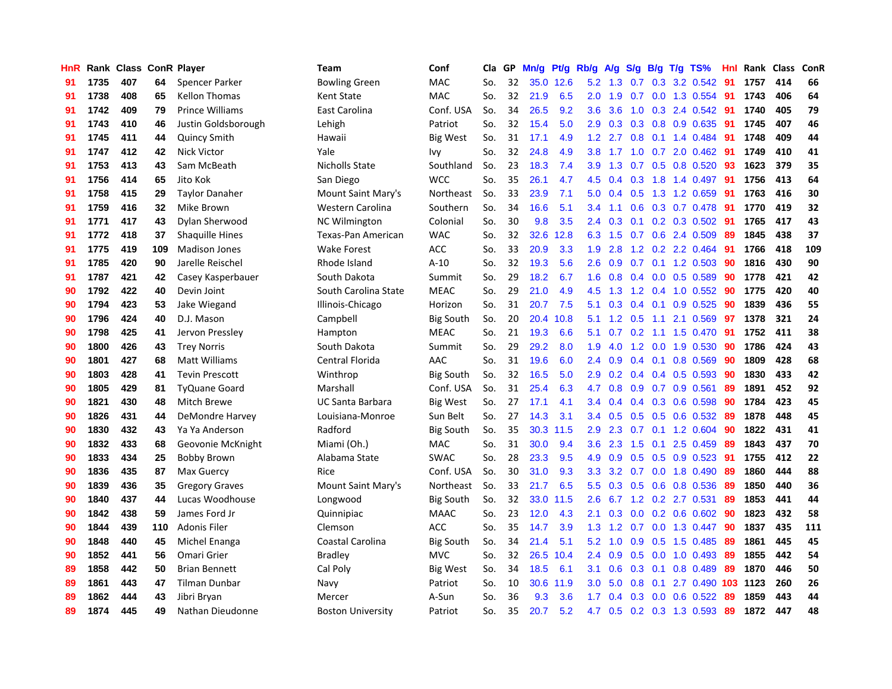| <b>HnR</b> |      | Rank Class ConR Player |     |                        | <b>Team</b>              | Conf             | <b>Cla</b> | GP | Mn/g | Pt/g | Rb/g             | A/g | S/g              |     | $B/g$ T/g TS%           | Hnl | Rank Class |     | ConR |
|------------|------|------------------------|-----|------------------------|--------------------------|------------------|------------|----|------|------|------------------|-----|------------------|-----|-------------------------|-----|------------|-----|------|
| 91         | 1735 | 407                    | 64  | Spencer Parker         | <b>Bowling Green</b>     | <b>MAC</b>       | So.        | 32 | 35.0 | 12.6 | 5.2              | 1.3 | 0.7              | 0.3 | 3.2 0.542               | 91  | 1757       | 414 | 66   |
| 91         | 1738 | 408                    | 65  | <b>Kellon Thomas</b>   | <b>Kent State</b>        | <b>MAC</b>       | So.        | 32 | 21.9 | 6.5  | 2.0 <sub>2</sub> | 1.9 | 0.7              |     | 0.0 1.3 0.554           | -91 | 1743       | 406 | 64   |
| 91         | 1742 | 409                    | 79  | <b>Prince Williams</b> | East Carolina            | Conf. USA        | So.        | 34 | 26.5 | 9.2  | 3.6              | 3.6 |                  |     | 1.0 0.3 2.4 0.542 91    |     | 1740       | 405 | 79   |
| 91         | 1743 | 410                    | 46  | Justin Goldsborough    | Lehigh                   | Patriot          | So.        | 32 | 15.4 | 5.0  | 2.9              | 0.3 |                  |     | 0.3 0.8 0.9 0.635       | -91 | 1745       | 407 | 46   |
| 91         | 1745 | 411                    | 44  | <b>Quincy Smith</b>    | Hawaii                   | <b>Big West</b>  | So.        | 31 | 17.1 | 4.9  | 1.2              | 2.7 | 0.8              |     | 0.1 1.4 0.484           | 91  | 1748       | 409 | 44   |
| 91         | 1747 | 412                    | 42  | <b>Nick Victor</b>     | Yale                     | Ivy              | So.        | 32 | 24.8 | 4.9  | 3.8              | 1.7 | 1.0              |     | $0.7$ 2.0 0.462         | -91 | 1749       | 410 | 41   |
| 91         | 1753 | 413                    | 43  | Sam McBeath            | Nicholls State           | Southland        | So.        | 23 | 18.3 | 7.4  | 3.9              | 1.3 | 0.7              |     | 0.5 0.8 0.520           | 93  | 1623       | 379 | 35   |
| 91         | 1756 | 414                    | 65  | Jito Kok               | San Diego                | <b>WCC</b>       | So.        | 35 | 26.1 | 4.7  | 4.5              | 0.4 | 0.3              |     | 1.8 1.4 0.497           | 91  | 1756       | 413 | 64   |
| 91         | 1758 | 415                    | 29  | <b>Taylor Danaher</b>  | Mount Saint Mary's       | Northeast        | So.        | 33 | 23.9 | 7.1  | 5.0              | 0.4 | 0.5              |     | 1.3 1.2 0.659           | -91 | 1763       | 416 | 30   |
| 91         | 1759 | 416                    | 32  | Mike Brown             | <b>Western Carolina</b>  | Southern         | So.        | 34 | 16.6 | 5.1  | 3.4              | 1.1 | 0.6              |     | 0.3 0.7 0.478           | -91 | 1770       | 419 | 32   |
| 91         | 1771 | 417                    | 43  | Dylan Sherwood         | <b>NC Wilmington</b>     | Colonial         | So.        | 30 | 9.8  | 3.5  | $2.4^{\circ}$    | 0.3 |                  |     | 0.1 0.2 0.3 0.502 91    |     | 1765       | 417 | 43   |
| 91         | 1772 | 418                    | 37  | <b>Shaquille Hines</b> | Texas-Pan American       | <b>WAC</b>       | So.        | 32 | 32.6 | 12.8 | 6.3              | 1.5 |                  |     | $0.7$ $0.6$ 2.4 $0.509$ | -89 | 1845       | 438 | 37   |
| 91         | 1775 | 419                    | 109 | <b>Madison Jones</b>   | Wake Forest              | ACC              | So.        | 33 | 20.9 | 3.3  | 1.9              | 2.8 |                  |     | 1.2 0.2 2.2 0.464       | -91 | 1766       | 418 | 109  |
| 91         | 1785 | 420                    | 90  | Jarelle Reischel       | Rhode Island             | $A-10$           | So.        | 32 | 19.3 | 5.6  | 2.6              | 0.9 | 0.7              |     | $0.1$ 1.2 0.503         | 90  | 1816       | 430 | 90   |
| 91         | 1787 | 421                    | 42  | Casey Kasperbauer      | South Dakota             | Summit           | So.        | 29 | 18.2 | 6.7  | 1.6              | 0.8 | 0.4              |     | $0.0$ $0.5$ $0.589$     | 90  | 1778       | 421 | 42   |
| 90         | 1792 | 422                    | 40  | Devin Joint            | South Carolina State     | <b>MEAC</b>      | So.        | 29 | 21.0 | 4.9  | 4.5              | 1.3 | 1.2              |     | 0.4 1.0 0.552           | 90  | 1775       | 420 | 40   |
| 90         | 1794 | 423                    | 53  | Jake Wiegand           | Illinois-Chicago         | Horizon          | So.        | 31 | 20.7 | 7.5  | 5.1              | 0.3 | 0.4              | 0.1 | $0.9$ $0.525$           | 90  | 1839       | 436 | 55   |
| 90         | 1796 | 424                    | 40  | D.J. Mason             | Campbell                 | <b>Big South</b> | So.        | 20 | 20.4 | 10.8 | 5.1              | 1.2 | 0.5              | 1.1 | 2.1 0.569               | 97  | 1378       | 321 | 24   |
| 90         | 1798 | 425                    | 41  | Jervon Pressley        | Hampton                  | <b>MEAC</b>      | So.        | 21 | 19.3 | 6.6  | 5.1              | 0.7 |                  |     | $0.2$ 1.1 1.5 0.470     | -91 | 1752       | 411 | 38   |
| 90         | 1800 | 426                    | 43  | <b>Trey Norris</b>     | South Dakota             | Summit           | So.        | 29 | 29.2 | 8.0  | 1.9              | 4.0 |                  |     | 1.2 0.0 1.9 0.530       | -90 | 1786       | 424 | 43   |
| 90         | 1801 | 427                    | 68  | Matt Williams          | Central Florida          | AAC              | So.        | 31 | 19.6 | 6.0  | $2.4^{\circ}$    | 0.9 |                  |     | $0.4$ 0.1 0.8 0.569     | 90  | 1809       | 428 | 68   |
| 90         | 1803 | 428                    | 41  | <b>Tevin Prescott</b>  | Winthrop                 | <b>Big South</b> | So.        | 32 | 16.5 | 5.0  | 2.9              | 0.2 |                  |     | $0.4$ 0.4 0.5 0.593     | 90  | 1830       | 433 | 42   |
| 90         | 1805 | 429                    | 81  | <b>TyQuane Goard</b>   | Marshall                 | Conf. USA        | So.        | 31 | 25.4 | 6.3  | 4.7              | 0.8 | 0.9              |     | 0.7 0.9 0.561           | 89  | 1891       | 452 | 92   |
| 90         | 1821 | 430                    | 48  | Mitch Brewe            | UC Santa Barbara         | <b>Big West</b>  | So.        | 27 | 17.1 | 4.1  | 3.4              | 0.4 | 0.4              |     | 0.3 0.6 0.598           | 90  | 1784       | 423 | 45   |
| 90         | 1826 | 431                    | 44  | DeMondre Harvey        | Louisiana-Monroe         | Sun Belt         | So.        | 27 | 14.3 | 3.1  | 3.4              | 0.5 | 0.5              |     | $0.5$ 0.6 0.532         | -89 | 1878       | 448 | 45   |
| 90         | 1830 | 432                    | 43  | Ya Ya Anderson         | Radford                  | <b>Big South</b> | So.        | 35 | 30.3 | 11.5 | 2.9              | 2.3 | 0.7              |     | 0.1 1.2 0.604           | 90  | 1822       | 431 | 41   |
| 90         | 1832 | 433                    | 68  | Geovonie McKnight      | Miami (Oh.)              | <b>MAC</b>       | So.        | 31 | 30.0 | 9.4  | 3.6 <sup>°</sup> | 2.3 | 1.5              |     | $0.1$ 2.5 $0.459$       | -89 | 1843       | 437 | 70   |
| 90         | 1833 | 434                    | 25  | <b>Bobby Brown</b>     | Alabama State            | <b>SWAC</b>      | So.        | 28 | 23.3 | 9.5  | 4.9              | 0.9 |                  |     | 0.5 0.5 0.9 0.523 91    |     | 1755       | 412 | 22   |
| 90         | 1836 | 435                    | 87  | Max Guercy             | Rice                     | Conf. USA        | So.        | 30 | 31.0 | 9.3  | 3.3 <sub>2</sub> | 3.2 |                  |     | $0.7$ $0.0$ 1.8 $0.490$ | -89 | 1860       | 444 | 88   |
| 90         | 1839 | 436                    | 35  | <b>Gregory Graves</b>  | Mount Saint Mary's       | Northeast        | So.        | 33 | 21.7 | 6.5  | 5.5              | 0.3 | 0.5              |     | 0.6 0.8 0.536           | -89 | 1850       | 440 | 36   |
| 90         | 1840 | 437                    | 44  | Lucas Woodhouse        | Longwood                 | <b>Big South</b> | So.        | 32 | 33.0 | 11.5 | 2.6              | 6.7 | 1.2              |     | 0.2 2.7 0.531           | 89  | 1853       | 441 | 44   |
| 90         | 1842 | 438                    | 59  | James Ford Jr          | Quinnipiac               | <b>MAAC</b>      | So.        | 23 | 12.0 | 4.3  | 2.1              | 0.3 | 0.0 <sub>1</sub> |     | $0.2$ 0.6 0.602         | 90  | 1823       | 432 | 58   |
| 90         | 1844 | 439                    | 110 | Adonis Filer           | Clemson                  | <b>ACC</b>       | So.        | 35 | 14.7 | 3.9  | 1.3              | 1.2 | 0.7              |     | $0.0$ 1.3 0.447         | 90  | 1837       | 435 | 111  |
| 90         | 1848 | 440                    | 45  | Michel Enanga          | Coastal Carolina         | <b>Big South</b> | So.        | 34 | 21.4 | 5.1  | 5.2              | 1.0 | 0.9              |     | 0.5 1.5 0.485           | 89  | 1861       | 445 | 45   |
| 90         | 1852 | 441                    | 56  | Omari Grier            | <b>Bradley</b>           | <b>MVC</b>       | So.        | 32 | 26.5 | 10.4 | $2.4^{\circ}$    | 0.9 | 0.5              |     | $0.0$ 1.0 0.493         | -89 | 1855       | 442 | 54   |
| 89         | 1858 | 442                    | 50  | <b>Brian Bennett</b>   | Cal Poly                 | Big West         | So.        | 34 | 18.5 | 6.1  | 3.1              | 0.6 | 0.3              |     | $0.1$ 0.8 0.489         | -89 | 1870       | 446 | 50   |
| 89         | 1861 | 443                    | 47  | <b>Tilman Dunbar</b>   | Navy                     | Patriot          | So.        | 10 | 30.6 | 11.9 | 3.0              | 5.0 | 0.8              | 0.1 | 2.7 0.490 103           |     | 1123       | 260 | 26   |
| 89         | 1862 | 444                    | 43  | Jibri Bryan            | Mercer                   | A-Sun            | So.        | 36 | 9.3  | 3.6  | 1.7              | 0.4 | 0.3              |     | $0.0$ 0.6 0.522         | 89  | 1859       | 443 | 44   |
| 89         | 1874 | 445                    | 49  | Nathan Dieudonne       | <b>Boston University</b> | Patriot          | So.        | 35 | 20.7 | 5.2  | 4.7              | 0.5 |                  |     | 0.2 0.3 1.3 0.593       | 89  | 1872       | 447 | 48   |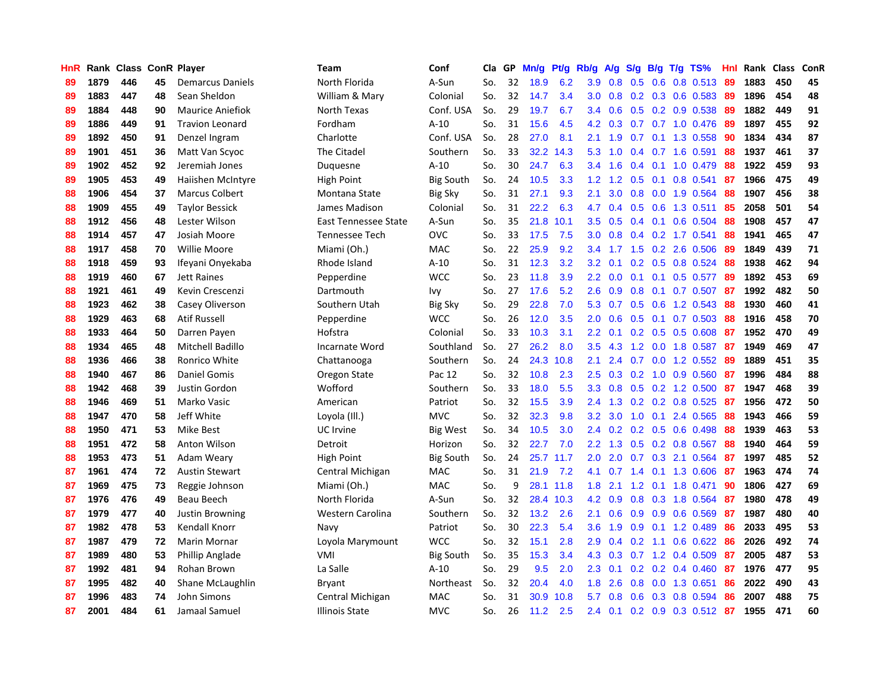| HnR |      | Rank Class ConR Player |    |                         | <b>Team</b>           | Conf             | Cla | GP | Mn/g | Pt/g | Rb/g             | A/g | S/g              | B/g | $T/g$ TS%               | Hnl | Rank Class |     | ConR |
|-----|------|------------------------|----|-------------------------|-----------------------|------------------|-----|----|------|------|------------------|-----|------------------|-----|-------------------------|-----|------------|-----|------|
| 89  | 1879 | 446                    | 45 | <b>Demarcus Daniels</b> | North Florida         | A-Sun            | So. | 32 | 18.9 | 6.2  | 3.9              | 0.8 | 0.5              | 0.6 | 0.8 0.513               | -89 | 1883       | 450 | 45   |
| 89  | 1883 | 447                    | 48 | Sean Sheldon            | William & Mary        | Colonial         | So. | 32 | 14.7 | 3.4  | 3.0 <sub>2</sub> | 0.8 |                  |     | 0.2 0.3 0.6 0.583 89    |     | 1896       | 454 | 48   |
| 89  | 1884 | 448                    | 90 | <b>Maurice Aniefiok</b> | North Texas           | Conf. USA        | So. | 29 | 19.7 | 6.7  | 3.4              | 0.6 |                  |     | 0.5 0.2 0.9 0.538 89    |     | 1882       | 449 | 91   |
| 89  | 1886 | 449                    | 91 | <b>Travion Leonard</b>  | Fordham               | $A-10$           | So. | 31 | 15.6 | 4.5  | 4.2              | 0.3 |                  |     | $0.7$ $0.7$ 1.0 $0.476$ | -89 | 1897       | 455 | 92   |
| 89  | 1892 | 450                    | 91 | Denzel Ingram           | Charlotte             | Conf. USA        | So. | 28 | 27.0 | 8.1  | 2.1              | 1.9 | 0.7              |     | 0.1 1.3 0.558           | 90  | 1834       | 434 | 87   |
| 89  | 1901 | 451                    | 36 | Matt Van Scyoc          | The Citadel           | Southern         | So. | 33 | 32.2 | 14.3 | 5.3              | 1.0 | 0.4              |     | 0.7 1.6 0.591           | 88  | 1937       | 461 | 37   |
| 89  | 1902 | 452                    | 92 | Jeremiah Jones          | Duquesne              | $A-10$           | So. | 30 | 24.7 | 6.3  | 3.4              | 1.6 | 0.4              |     | $0.1$ 1.0 0.479         | 88  | 1922       | 459 | 93   |
| 89  | 1905 | 453                    | 49 | Haiishen McIntyre       | <b>High Point</b>     | <b>Big South</b> | So. | 24 | 10.5 | 3.3  | 1.2              | 1.2 | 0.5              | 0.1 | 0.8 0.541               | 87  | 1966       | 475 | 49   |
| 88  | 1906 | 454                    | 37 | <b>Marcus Colbert</b>   | Montana State         | <b>Big Sky</b>   | So. | 31 | 27.1 | 9.3  | 2.1              | 3.0 | 0.8              |     | 0.0 1.9 0.564           | 88  | 1907       | 456 | 38   |
| 88  | 1909 | 455                    | 49 | <b>Taylor Bessick</b>   | James Madison         | Colonial         | So. | 31 | 22.2 | 6.3  | 4.7              | 0.4 | 0.5              |     | 0.6 1.3 0.511           | 85  | 2058       | 501 | 54   |
| 88  | 1912 | 456                    | 48 | Lester Wilson           | East Tennessee State  | A-Sun            | So. | 35 | 21.8 | 10.1 | 3.5              | 0.5 |                  |     | $0.4$ 0.1 0.6 0.504     | -88 | 1908       | 457 | 47   |
| 88  | 1914 | 457                    | 47 | Josiah Moore            | <b>Tennessee Tech</b> | <b>OVC</b>       | So. | 33 | 17.5 | 7.5  | 3.0              | 0.8 |                  |     | $0.4$ 0.2 1.7 0.541     | 88  | 1941       | 465 | 47   |
| 88  | 1917 | 458                    | 70 | Willie Moore            | Miami (Oh.)           | MAC              | So. | 22 | 25.9 | 9.2  | $3.4^{\circ}$    |     | $1.7 \quad 1.5$  |     | $0.2$ 2.6 0.506         | -89 | 1849       | 439 | 71   |
| 88  | 1918 | 459                    | 93 | Ifeyani Onyekaba        | Rhode Island          | $A-10$           | So. | 31 | 12.3 | 3.2  | 3.2              | 0.1 | 0.2              |     | 0.5 0.8 0.524           | 88  | 1938       | 462 | 94   |
| 88  | 1919 | 460                    | 67 | <b>Jett Raines</b>      | Pepperdine            | <b>WCC</b>       | So. | 23 | 11.8 | 3.9  | 2.2              | 0.0 | 0.1              |     | $0.1$ 0.5 0.577         | 89  | 1892       | 453 | 69   |
| 88  | 1921 | 461                    | 49 | Kevin Crescenzi         | Dartmouth             | Ivy              | So. | 27 | 17.6 | 5.2  | 2.6              | 0.9 | 0.8              | 0.1 | $0.7$ 0.507             | -87 | 1992       | 482 | 50   |
| 88  | 1923 | 462                    | 38 | Casey Oliverson         | Southern Utah         | <b>Big Sky</b>   | So. | 29 | 22.8 | 7.0  | 5.3              | 0.7 | 0.5              |     | $0.6$ 1.2 0.543         | 88  | 1930       | 460 | 41   |
| 88  | 1929 | 463                    | 68 | <b>Atif Russell</b>     | Pepperdine            | <b>WCC</b>       | So. | 26 | 12.0 | 3.5  | 2.0              | 0.6 | 0.5              | 0.1 | $0.7$ 0.503             | -88 | 1916       | 458 | 70   |
| 88  | 1933 | 464                    | 50 | Darren Payen            | Hofstra               | Colonial         | So. | 33 | 10.3 | 3.1  | 2.2              | 0.1 |                  |     | $0.2$ 0.5 0.5 0.608     | -87 | 1952       | 470 | 49   |
| 88  | 1934 | 465                    | 48 | Mitchell Badillo        | Incarnate Word        | Southland        | So. | 27 | 26.2 | 8.0  | 3.5              | 4.3 |                  |     | 1.2 0.0 1.8 0.587 87    |     | 1949       | 469 | 47   |
| 88  | 1936 | 466                    | 38 | Ronrico White           | Chattanooga           | Southern         | So. | 24 | 24.3 | 10.8 | 2.1              | 2.4 | 0.7              |     | $0.0$ 1.2 0.552         | -89 | 1889       | 451 | 35   |
| 88  | 1940 | 467                    | 86 | Daniel Gomis            | Oregon State          | Pac 12           | So. | 32 | 10.8 | 2.3  | 2.5              | 0.3 |                  |     | $0.2$ 1.0 0.9 0.560     | -87 | 1996       | 484 | 88   |
| 88  | 1942 | 468                    | 39 | Justin Gordon           | Wofford               | Southern         | So. | 33 | 18.0 | 5.5  | 3.3              | 0.8 | 0.5              |     | $0.2$ 1.2 $0.500$       | 87  | 1947       | 468 | 39   |
| 88  | 1946 | 469                    | 51 | Marko Vasic             | American              | Patriot          | So. | 32 | 15.5 | 3.9  | 2.4              | 1.3 | 0.2              |     | $0.2$ 0.8 0.525         | -87 | 1956       | 472 | 50   |
| 88  | 1947 | 470                    | 58 | Jeff White              | Loyola (III.)         | <b>MVC</b>       | So. | 32 | 32.3 | 9.8  | 3.2              | 3.0 | 1.0              |     | $0.1$ 2.4 $0.565$       | 88  | 1943       | 466 | 59   |
| 88  | 1950 | 471                    | 53 | Mike Best               | UC Irvine             | <b>Big West</b>  | So. | 34 | 10.5 | 3.0  | 2.4              | 0.2 | 0.2              |     | 0.5 0.6 0.498           | -88 | 1939       | 463 | 53   |
| 88  | 1951 | 472                    | 58 | Anton Wilson            | Detroit               | Horizon          | So. | 32 | 22.7 | 7.0  | 2.2              | 1.3 |                  |     | $0.5$ 0.2 0.8 0.567     | -88 | 1940       | 464 | 59   |
| 88  | 1953 | 473                    | 51 | Adam Weary              | High Point            | <b>Big South</b> | So. | 24 | 25.7 | 11.7 | 2.0              | 2.0 |                  |     | 0.7 0.3 2.1 0.564       | -87 | 1997       | 485 | 52   |
| 87  | 1961 | 474                    | 72 | <b>Austin Stewart</b>   | Central Michigan      | <b>MAC</b>       | So. | 31 | 21.9 | 7.2  | 4.1              |     |                  |     | 0.7 1.4 0.1 1.3 0.606   | -87 | 1963       | 474 | 74   |
| 87  | 1969 | 475                    | 73 | Reggie Johnson          | Miami (Oh.)           | MAC              | So. | 9  | 28.1 | 11.8 | 1.8              | 2.1 | $1.2^{\circ}$    |     | $0.1$ 1.8 $0.471$       | 90  | 1806       | 427 | 69   |
| 87  | 1976 | 476                    | 49 | Beau Beech              | North Florida         | A-Sun            | So. | 32 | 28.4 | 10.3 | 4.2              | 0.9 | 0.8              |     | 0.3 1.8 0.564           | -87 | 1980       | 478 | 49   |
| 87  | 1979 | 477                    | 40 | <b>Justin Browning</b>  | Western Carolina      | Southern         | So. | 32 | 13.2 | 2.6  | 2.1              | 0.6 | 0.9              |     | 0.9 0.6 0.569           | -87 | 1987       | 480 | 40   |
| 87  | 1982 | 478                    | 53 | Kendall Knorr           | Navy                  | Patriot          | So. | 30 | 22.3 | 5.4  | 3.6              | 1.9 | 0.9 <sub>0</sub> |     | $0.1$ 1.2 0.489         | 86  | 2033       | 495 | 53   |
| 87  | 1987 | 479                    | 72 | Marin Mornar            | Loyola Marymount      | <b>WCC</b>       | So. | 32 | 15.1 | 2.8  | 2.9              | 0.4 | 0.2              | 1.1 | $0.6$ 0.622             | 86  | 2026       | 492 | 74   |
| 87  | 1989 | 480                    | 53 | Phillip Anglade         | <b>VMI</b>            | <b>Big South</b> | So. | 35 | 15.3 | 3.4  | 4.3              | 0.3 | 0.7              |     | 1.2 0.4 0.509           | -87 | 2005       | 487 | 53   |
| 87  | 1992 | 481                    | 94 | Rohan Brown             | La Salle              | $A-10$           | So. | 29 | 9.5  | 2.0  | 2.3              | 0.1 |                  |     | $0.2$ 0.2 0.4 0.460     | -87 | 1976       | 477 | 95   |
| 87  | 1995 | 482                    | 40 | Shane McLaughlin        | Bryant                | Northeast        | So. | 32 | 20.4 | 4.0  | 1.8              | 2.6 | 0.8              |     | 0.0 1.3 0.651           | -86 | 2022       | 490 | 43   |
| 87  | 1996 | 483                    | 74 | John Simons             | Central Michigan      | <b>MAC</b>       | So. | 31 | 30.9 | 10.8 | 5.7              | 0.8 | 0.6              |     | 0.3 0.8 0.594           | 86  | 2007       | 488 | 75   |
| 87  | 2001 | 484                    | 61 | Jamaal Samuel           | Illinois State        | <b>MVC</b>       | So. | 26 | 11.2 | 2.5  | 2.4              | 0.1 |                  |     | 0.2 0.9 0.3 0.512 87    |     | 1955       | 471 | 60   |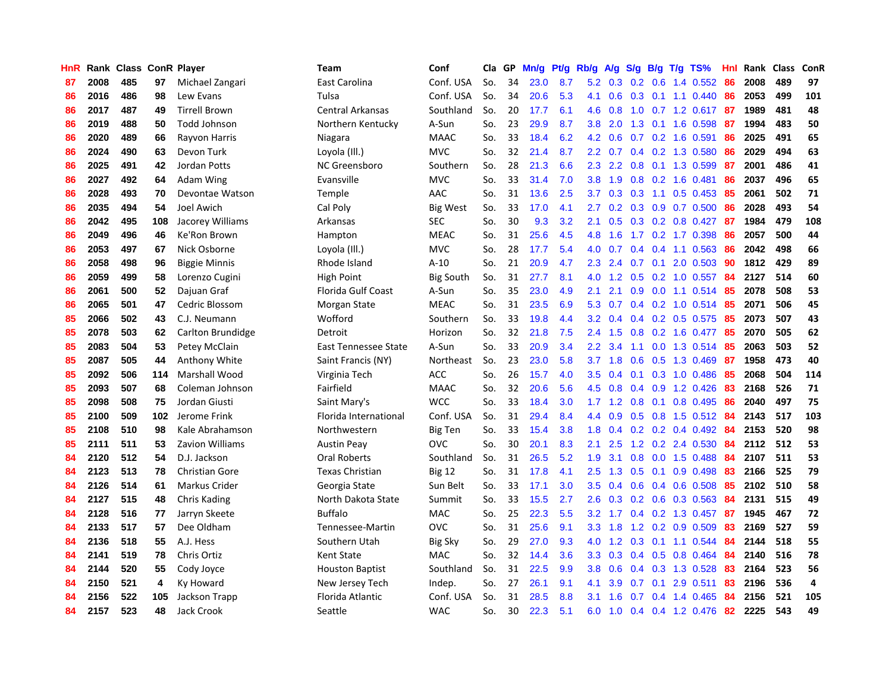| HnR |      | Rank Class ConR Player |     |                       | Team                   | Conf             | Cla | GP | Mn/g | Pt/g | Rb/g             | A/g | S/g              | <b>B/g</b> | T/g TS%              | Hnl | Rank | <b>Class</b> | ConR |
|-----|------|------------------------|-----|-----------------------|------------------------|------------------|-----|----|------|------|------------------|-----|------------------|------------|----------------------|-----|------|--------------|------|
| 87  | 2008 | 485                    | 97  | Michael Zangari       | East Carolina          | Conf. USA        | So. | 34 | 23.0 | 8.7  | 5.2              | 0.3 | 0.2              | 0.6        | 1.4 0.552            | 86  | 2008 | 489          | 97   |
| 86  | 2016 | 486                    | 98  | Lew Evans             | Tulsa                  | Conf. USA        | So. | 34 | 20.6 | 5.3  | 4.1              | 0.6 | 0.3              |            | $0.1$ 1.1 0.440      | -86 | 2053 | 499          | 101  |
| 86  | 2017 | 487                    | 49  | <b>Tirrell Brown</b>  | Central Arkansas       | Southland        | So. | 20 | 17.7 | 6.1  | 4.6              | 0.8 |                  |            | 1.0 0.7 1.2 0.617 87 |     | 1989 | 481          | 48   |
| 86  | 2019 | 488                    | 50  | Todd Johnson          | Northern Kentucky      | A-Sun            | So. | 23 | 29.9 | 8.7  | 3.8              | 2.0 | 1.3              |            | $0.1$ 1.6 0.598      | -87 | 1994 | 483          | 50   |
| 86  | 2020 | 489                    | 66  | Rayvon Harris         | Niagara                | <b>MAAC</b>      | So. | 33 | 18.4 | 6.2  | 4.2              | 0.6 |                  |            | 0.7 0.2 1.6 0.591    | 86  | 2025 | 491          | 65   |
| 86  | 2024 | 490                    | 63  | Devon Turk            | Loyola (III.)          | <b>MVC</b>       | So. | 32 | 21.4 | 8.7  | 2.2              | 0.7 | 0.4              |            | 0.2 1.3 0.580        | 86  | 2029 | 494          | 63   |
| 86  | 2025 | 491                    | 42  | Jordan Potts          | <b>NC Greensboro</b>   | Southern         | So. | 28 | 21.3 | 6.6  | 2.3              | 2.2 | 0.8              |            | 0.1 1.3 0.599        | 87  | 2001 | 486          | 41   |
| 86  | 2027 | 492                    | 64  | Adam Wing             | Evansville             | <b>MVC</b>       | So. | 33 | 31.4 | 7.0  | 3.8              | 1.9 | 0.8              |            | 0.2 1.6 0.481        | 86  | 2037 | 496          | 65   |
| 86  | 2028 | 493                    | 70  | Devontae Watson       | Temple                 | AAC              | So. | 31 | 13.6 | 2.5  | 3.7              | 0.3 | 0.3              | 1.1        | $0.5$ 0.453          | 85  | 2061 | 502          | 71   |
| 86  | 2035 | 494                    | 54  | Joel Awich            | Cal Poly               | <b>Big West</b>  | So. | 33 | 17.0 | 4.1  | 2.7              | 0.2 | 0.3              |            | $0.9$ 0.7 0.500      | -86 | 2028 | 493          | 54   |
| 86  | 2042 | 495                    | 108 | Jacorey Williams      | Arkansas               | <b>SEC</b>       | So. | 30 | 9.3  | 3.2  | 2.1              | 0.5 |                  |            | $0.3$ 0.2 0.8 0.427  | -87 | 1984 | 479          | 108  |
| 86  | 2049 | 496                    | 46  | Ke'Ron Brown          | Hampton                | <b>MEAC</b>      | So. | 31 | 25.6 | 4.5  | 4.8              | 1.6 |                  |            | 1.7 0.2 1.7 0.398    | -86 | 2057 | 500          | 44   |
| 86  | 2053 | 497                    | 67  | Nick Osborne          | Loyola (Ill.)          | <b>MVC</b>       | So. | 28 | 17.7 | 5.4  | 4.0              | 0.7 |                  |            | $0.4$ 0.4 1.1 0.563  | 86  | 2042 | 498          | 66   |
| 86  | 2058 | 498                    | 96  | <b>Biggie Minnis</b>  | Rhode Island           | $A-10$           | So. | 21 | 20.9 | 4.7  | $2.3^{\circ}$    | 2.4 | 0.7              |            | $0.1$ 2.0 0.503      | 90  | 1812 | 429          | 89   |
| 86  | 2059 | 499                    | 58  | Lorenzo Cugini        | <b>High Point</b>      | <b>Big South</b> | So. | 31 | 27.7 | 8.1  | 4.0              | 1.2 | 0.5              |            | $0.2$ 1.0 0.557      | 84  | 2127 | 514          | 60   |
| 86  | 2061 | 500                    | 52  | Dajuan Graf           | Florida Gulf Coast     | A-Sun            | So. | 35 | 23.0 | 4.9  | 2.1              | 2.1 | 0.9 <sub>0</sub> |            | $0.0$ 1.1 $0.514$    | 85  | 2078 | 508          | 53   |
| 86  | 2065 | 501                    | 47  | Cedric Blossom        | Morgan State           | <b>MEAC</b>      | So. | 31 | 23.5 | 6.9  | 5.3              | 0.7 | 0.4              |            | $0.2$ 1.0 0.514      | -85 | 2071 | 506          | 45   |
| 85  | 2066 | 502                    | 43  | C.J. Neumann          | Wofford                | Southern         | So. | 33 | 19.8 | 4.4  | 3.2              | 0.4 | $0.4^{\circ}$    |            | $0.2$ 0.5 0.575      | 85  | 2073 | 507          | 43   |
| 85  | 2078 | 503                    | 62  | Carlton Brundidge     | Detroit                | Horizon          | So. | 32 | 21.8 | 7.5  | $2.4^{\circ}$    | 1.5 | 0.8              |            | $0.2$ 1.6 0.477      | -85 | 2070 | 505          | 62   |
| 85  | 2083 | 504                    | 53  | Petey McClain         | East Tennessee State   | A-Sun            | So. | 33 | 20.9 | 3.4  | 2.2              | 3.4 |                  |            | 1.1 0.0 1.3 0.514    | -85 | 2063 | 503          | 52   |
| 85  | 2087 | 505                    | 44  | <b>Anthony White</b>  | Saint Francis (NY)     | Northeast        | So. | 23 | 23.0 | 5.8  | 3.7              | 1.8 | 0.6              |            | $0.5$ 1.3 0.469      | -87 | 1958 | 473          | 40   |
| 85  | 2092 | 506                    | 114 | Marshall Wood         | Virginia Tech          | <b>ACC</b>       | So. | 26 | 15.7 | 4.0  | 3.5              | 0.4 | 0.1              |            | 0.3 1.0 0.486        | 85  | 2068 | 504          | 114  |
| 85  | 2093 | 507                    | 68  | Coleman Johnson       | Fairfield              | <b>MAAC</b>      | So. | 32 | 20.6 | 5.6  | 4.5              | 0.8 | 0.4              |            | 0.9 1.2 0.426        | 83  | 2168 | 526          | 71   |
| 85  | 2098 | 508                    | 75  | Jordan Giusti         | Saint Mary's           | <b>WCC</b>       | So. | 33 | 18.4 | 3.0  | 1.7              | 1.2 | 0.8              |            | $0.1$ 0.8 0.495      | 86  | 2040 | 497          | 75   |
| 85  | 2100 | 509                    | 102 | Jerome Frink          | Florida International  | Conf. USA        | So. | 31 | 29.4 | 8.4  | 4.4              | 0.9 | 0.5              |            | $0.8$ 1.5 0.512      | -84 | 2143 | 517          | 103  |
| 85  | 2108 | 510                    | 98  | Kale Abrahamson       | Northwestern           | <b>Big Ten</b>   | So. | 33 | 15.4 | 3.8  | 1.8              | 0.4 |                  |            | $0.2$ 0.2 0.4 0.492  | -84 | 2153 | 520          | 98   |
| 85  | 2111 | 511                    | 53  | Zavion Williams       | <b>Austin Peay</b>     | <b>OVC</b>       | So. | 30 | 20.1 | 8.3  | 2.1              | 2.5 |                  |            | $1.2$ 0.2 2.4 0.530  | -84 | 2112 | 512          | 53   |
| 84  | 2120 | 512                    | 54  | D.J. Jackson          | <b>Oral Roberts</b>    | Southland        | So. | 31 | 26.5 | 5.2  | 1.9              | 3.1 |                  |            | 0.8 0.0 1.5 0.488 84 |     | 2107 | 511          | 53   |
| 84  | 2123 | 513                    | 78  | <b>Christian Gore</b> | <b>Texas Christian</b> | <b>Big 12</b>    | So. | 31 | 17.8 | 4.1  | $2.5\,$          | 1.3 | 0.5              |            | $0.1$ 0.9 0.498      | -83 | 2166 | 525          | 79   |
| 84  | 2126 | 514                    | 61  | Markus Crider         | Georgia State          | Sun Belt         | So. | 33 | 17.1 | 3.0  | 3.5              | 0.4 | 0.6              |            | $0.4$ 0.6 0.508      | -85 | 2102 | 510          | 58   |
| 84  | 2127 | 515                    | 48  | Chris Kading          | North Dakota State     | Summit           | So. | 33 | 15.5 | 2.7  | 2.6              | 0.3 |                  |            | $0.2$ 0.6 0.3 0.563  | -84 | 2131 | 515          | 49   |
| 84  | 2128 | 516                    | 77  | Jarryn Skeete         | <b>Buffalo</b>         | MAC              | So. | 25 | 22.3 | 5.5  | 3.2              | 1.7 | 0.4              |            | 0.2 1.3 0.457        | 87  | 1945 | 467          | 72   |
| 84  | 2133 | 517                    | 57  | Dee Oldham            | Tennessee-Martin       | <b>OVC</b>       | So. | 31 | 25.6 | 9.1  | 3.3 <sub>2</sub> | 1.8 | 1.2              |            | $0.2$ 0.9 0.509      | 83  | 2169 | 527          | 59   |
| 84  | 2136 | 518                    | 55  | A.J. Hess             | Southern Utah          | <b>Big Sky</b>   | So. | 29 | 27.0 | 9.3  | 4.0              | 1.2 | 0.3              |            | $0.1$ 1.1 $0.544$    | 84  | 2144 | 518          | 55   |
| 84  | 2141 | 519                    | 78  | Chris Ortiz           | <b>Kent State</b>      | <b>MAC</b>       | So. | 32 | 14.4 | 3.6  | 3.3              | 0.3 | $0.4^{\circ}$    |            | $0.5$ 0.8 0.464      | 84  | 2140 | 516          | 78   |
| 84  | 2144 | 520                    | 55  | Cody Joyce            | <b>Houston Baptist</b> | Southland        | So. | 31 | 22.5 | 9.9  | 3.8              | 0.6 |                  |            | 0.4 0.3 1.3 0.528    | -83 | 2164 | 523          | 56   |
| 84  | 2150 | 521                    | 4   | Ky Howard             | New Jersey Tech        | Indep.           | So. | 27 | 26.1 | 9.1  | 4.1              | 3.9 | 0.7              |            | $0.1$ 2.9 $0.511$    | -83 | 2196 | 536          | 4    |
| 84  | 2156 | 522                    | 105 | Jackson Trapp         | Florida Atlantic       | Conf. USA        | So. | 31 | 28.5 | 8.8  | 3.1              | 1.6 | 0.7              |            | 0.4 1.4 0.465        | -84 | 2156 | 521          | 105  |
| 84  | 2157 | 523                    | 48  | Jack Crook            | Seattle                | <b>WAC</b>       | So. | 30 | 22.3 | 5.1  | 6.0              | 1.0 |                  |            | 0.4 0.4 1.2 0.476    | 82  | 2225 | 543          | 49   |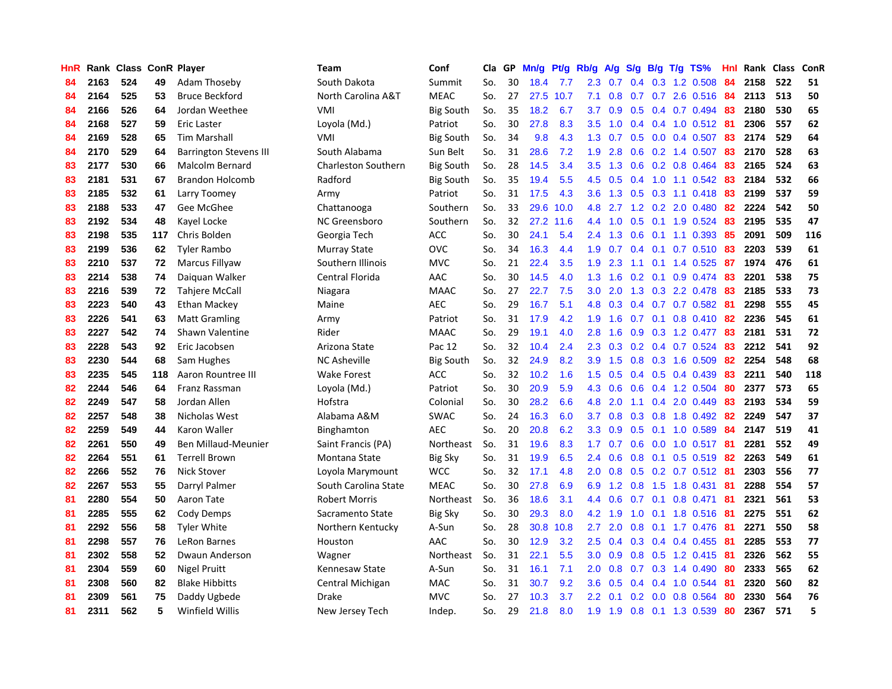| HnR |      | Rank Class ConR Player |     |                               | <b>Team</b>                | Conf             | Cla | GP | Mn/g | Pt/g | Rb/g          | A/g | S/g           | <b>B/g</b> | $T/g$ TS%              | Hnl | Rank Class |     | ConR |
|-----|------|------------------------|-----|-------------------------------|----------------------------|------------------|-----|----|------|------|---------------|-----|---------------|------------|------------------------|-----|------------|-----|------|
| 84  | 2163 | 524                    | 49  | <b>Adam Thoseby</b>           | South Dakota               | Summit           | So. | 30 | 18.4 | 7.7  | 2.3           | 0.7 | 0.4           | 0.3        | 1.2 0.508              | 84  | 2158       | 522 | 51   |
| 84  | 2164 | 525                    | 53  | <b>Bruce Beckford</b>         | North Carolina A&T         | <b>MEAC</b>      | So. | 27 | 27.5 | 10.7 | 7.1           | 0.8 | 0.7           |            | 0.7 2.6 0.516 84       |     | 2113       | 513 | 50   |
| 84  | 2166 | 526                    | 64  | Jordan Weethee                | <b>VMI</b>                 | <b>Big South</b> | So. | 35 | 18.2 | 6.7  | 3.7           | 0.9 |               |            | 0.5 0.4 0.7 0.494 83   |     | 2180       | 530 | 65   |
| 84  | 2168 | 527                    | 59  | Eric Laster                   | Loyola (Md.)               | Patriot          | So. | 30 | 27.8 | 8.3  | 3.5           | 1.0 |               |            | $0.4$ 0.4 1.0 0.512 81 |     | 2306       | 557 | 62   |
| 84  | 2169 | 528                    | 65  | Tim Marshall                  | VMI                        | <b>Big South</b> | So. | 34 | 9.8  | 4.3  | 1.3           | 0.7 | 0.5           |            | $0.0$ 0.4 0.507        | -83 | 2174       | 529 | 64   |
| 84  | 2170 | 529                    | 64  | <b>Barrington Stevens III</b> | South Alabama              | Sun Belt         | So. | 31 | 28.6 | 7.2  | 1.9           | 2.8 | 0.6           |            | $0.2$ 1.4 0.507        | 83  | 2170       | 528 | 63   |
| 83  | 2177 | 530                    | 66  | Malcolm Bernard               | <b>Charleston Southern</b> | <b>Big South</b> | So. | 28 | 14.5 | 3.4  | 3.5           | 1.3 | 0.6           |            | 0.2 0.8 0.464          | 83  | 2165       | 524 | 63   |
| 83  | 2181 | 531                    | 67  | <b>Brandon Holcomb</b>        | Radford                    | <b>Big South</b> | So. | 35 | 19.4 | 5.5  | 4.5           | 0.5 |               |            | 0.4 1.0 1.1 0.542      | -83 | 2184       | 532 | 66   |
| 83  | 2185 | 532                    | 61  | Larry Toomey                  | Army                       | Patriot          | So. | 31 | 17.5 | 4.3  | 3.6           | 1.3 | 0.5           |            | $0.3$ 1.1 0.418        | 83  | 2199       | 537 | 59   |
| 83  | 2188 | 533                    | 47  | Gee McGhee                    | Chattanooga                | Southern         | So. | 33 | 29.6 | 10.0 | 4.8           | 2.7 |               |            | 1.2 0.2 2.0 0.480      | 82  | 2224       | 542 | 50   |
| 83  | 2192 | 534                    | 48  | Kayel Locke                   | NC Greensboro              | Southern         | So. | 32 | 27.2 | 11.6 | 4.4           | 1.0 |               |            | $0.5$ 0.1 1.9 0.524    | 83  | 2195       | 535 | 47   |
| 83  | 2198 | 535                    | 117 | Chris Bolden                  | Georgia Tech               | <b>ACC</b>       | So. | 30 | 24.1 | 5.4  | $2.4^{\circ}$ | 1.3 |               |            | 0.6 0.1 1.1 0.393 85   |     | 2091       | 509 | 116  |
| 83  | 2199 | 536                    | 62  | Tyler Rambo                   | <b>Murray State</b>        | <b>OVC</b>       | So. | 34 | 16.3 | 4.4  | 1.9           | 0.7 | 0.4           |            | $0.1$ 0.7 0.510        | -83 | 2203       | 539 | 61   |
| 83  | 2210 | 537                    | 72  | Marcus Fillyaw                | Southern Illinois          | <b>MVC</b>       | So. | 21 | 22.4 | 3.5  | 1.9           | 2.3 | 1.1           |            | $0.1$ 1.4 0.525        | -87 | 1974       | 476 | 61   |
| 83  | 2214 | 538                    | 74  | Daiquan Walker                | Central Florida            | AAC              | So. | 30 | 14.5 | 4.0  | 1.3           | 1.6 | 0.2           |            | $0.1$ 0.9 0.474        | 83  | 2201       | 538 | 75   |
| 83  | 2216 | 539                    | 72  | <b>Tahjere McCall</b>         | Niagara                    | <b>MAAC</b>      | So. | 27 | 22.7 | 7.5  | 3.0           | 2.0 | 1.3           |            | 0.3 2.2 0.478          | 83  | 2185       | 533 | 73   |
| 83  | 2223 | 540                    | 43  | Ethan Mackey                  | Maine                      | <b>AEC</b>       | So. | 29 | 16.7 | 5.1  | 4.8           | 0.3 | 0.4           |            | $0.7$ 0.7 0.582        | -81 | 2298       | 555 | 45   |
| 83  | 2226 | 541                    | 63  | <b>Matt Gramling</b>          | Army                       | Patriot          | So. | 31 | 17.9 | 4.2  | 1.9           | 1.6 | 0.7           | 0.1        | $0.8$ 0.410            | -82 | 2236       | 545 | 61   |
| 83  | 2227 | 542                    | 74  | Shawn Valentine               | Rider                      | <b>MAAC</b>      | So. | 29 | 19.1 | 4.0  | 2.8           | 1.6 | 0.9           |            | 0.3 1.2 0.477          | 83  | 2181       | 531 | 72   |
| 83  | 2228 | 543                    | 92  | Eric Jacobsen                 | Arizona State              | Pac 12           | So. | 32 | 10.4 | 2.4  | 2.3           | 0.3 |               |            | $0.2$ 0.4 0.7 0.524    | -83 | 2212       | 541 | 92   |
| 83  | 2230 | 544                    | 68  | Sam Hughes                    | <b>NC Asheville</b>        | <b>Big South</b> | So. | 32 | 24.9 | 8.2  | 3.9           | 1.5 |               |            | $0.8$ 0.3 1.6 0.509    | -82 | 2254       | 548 | 68   |
| 83  | 2235 | 545                    | 118 | Aaron Rountree III            | <b>Wake Forest</b>         | <b>ACC</b>       | So. | 32 | 10.2 | 1.6  | 1.5           | 0.5 |               |            | $0.4$ 0.5 0.4 0.439    | 83  | 2211       | 540 | 118  |
| 82  | 2244 | 546                    | 64  | Franz Rassman                 | Loyola (Md.)               | Patriot          | So. | 30 | 20.9 | 5.9  | 4.3           | 0.6 | 0.6           |            | $0.4$ 1.2 0.504        | 80  | 2377       | 573 | 65   |
| 82  | 2249 | 547                    | 58  | Jordan Allen                  | Hofstra                    | Colonial         | So. | 30 | 28.2 | 6.6  | 4.8           | 2.0 | 1.1           | 0.4        | 2.0 0.449              | 83  | 2193       | 534 | 59   |
| 82  | 2257 | 548                    | 38  | Nicholas West                 | Alabama A&M                | <b>SWAC</b>      | So. | 24 | 16.3 | 6.0  | 3.7           | 0.8 | 0.3           |            | 0.8 1.8 0.492          | 82  | 2249       | 547 | 37   |
| 82  | 2259 | 549                    | 44  | Karon Waller                  | Binghamton                 | <b>AEC</b>       | So. | 20 | 20.8 | 6.2  | 3.3           | 0.9 | 0.5           |            | $0.1$ 1.0 $0.589$      | 84  | 2147       | 519 | 41   |
| 82  | 2261 | 550                    | 49  | Ben Millaud-Meunier           | Saint Francis (PA)         | Northeast        | So. | 31 | 19.6 | 8.3  | $1.7^{\circ}$ | 0.7 | 0.6           |            | 0.0 1.0 0.517 81       |     | 2281       | 552 | 49   |
| 82  | 2264 | 551                    | 61  | <b>Terrell Brown</b>          | Montana State              | <b>Big Sky</b>   | So. | 31 | 19.9 | 6.5  | 2.4           | 0.6 |               |            | 0.8 0.1 0.5 0.519 82   |     | 2263       | 549 | 61   |
| 82  | 2266 | 552                    | 76  | <b>Nick Stover</b>            | Loyola Marymount           | <b>WCC</b>       | So. | 32 | 17.1 | 4.8  | 2.0           | 0.8 |               |            | $0.5$ 0.2 0.7 0.512 81 |     | 2303       | 556 | 77   |
| 82  | 2267 | 553                    | 55  | Darryl Palmer                 | South Carolina State       | <b>MEAC</b>      | So. | 30 | 27.8 | 6.9  | 6.9           | 1.2 | 0.8           |            | 1.5 1.8 0.431          | -81 | 2288       | 554 | 57   |
| 81  | 2280 | 554                    | 50  | Aaron Tate                    | <b>Robert Morris</b>       | Northeast        | So. | 36 | 18.6 | 3.1  | 4.4           | 0.6 | 0.7           |            | $0.1$ 0.8 0.471        | 81  | 2321       | 561 | 53   |
| 81  | 2285 | 555                    | 62  | Cody Demps                    | Sacramento State           | <b>Big Sky</b>   | So. | 30 | 29.3 | 8.0  | 4.2           | 1.9 | 1.0           |            | $0.1$ 1.8 $0.516$      | -81 | 2275       | 551 | 62   |
| 81  | 2292 | 556                    | 58  | <b>Tyler White</b>            | Northern Kentucky          | A-Sun            | So. | 28 | 30.8 | 10.8 | 2.7           | 2.0 | 0.8           |            | $0.1$ 1.7 0.476        | -81 | 2271       | 550 | 58   |
| 81  | 2298 | 557                    | 76  | LeRon Barnes                  | Houston                    | AAC              | So. | 30 | 12.9 | 3.2  | 2.5           | 0.4 | 0.3           |            | 0.4 0.4 0.455          | -81 | 2285       | 553 | 77   |
| 81  | 2302 | 558                    | 52  | Dwaun Anderson                | Wagner                     | Northeast        | So. | 31 | 22.1 | 5.5  | 3.0           | 0.9 | 0.8           |            | 0.5 1.2 0.415          | -81 | 2326       | 562 | 55   |
| 81  | 2304 | 559                    | 60  | <b>Nigel Pruitt</b>           | Kennesaw State             | A-Sun            | So. | 31 | 16.1 | 7.1  | 2.0           | 0.8 | 0.7           |            | $0.3$ 1.4 0.490        | -80 | 2333       | 565 | 62   |
| 81  | 2308 | 560                    | 82  | <b>Blake Hibbitts</b>         | Central Michigan           | <b>MAC</b>       | So. | 31 | 30.7 | 9.2  | 3.6           | 0.5 | $0.4^{\circ}$ |            | $0.4$ 1.0 0.544        | -81 | 2320       | 560 | 82   |
| 81  | 2309 | 561                    | 75  | Daddy Ugbede                  | Drake                      | <b>MVC</b>       | So. | 27 | 10.3 | 3.7  | $2.2^{\circ}$ | 0.1 | 0.2           |            | $0.0$ 0.8 0.564        | 80  | 2330       | 564 | 76   |
| 81  | 2311 | 562                    | 5   | Winfield Willis               | New Jersey Tech            | Indep.           | So. | 29 | 21.8 | 8.0  | 1.9           | 1.9 | 0.8           |            | 0.1 1.3 0.539          | 80  | 2367       | 571 | 5    |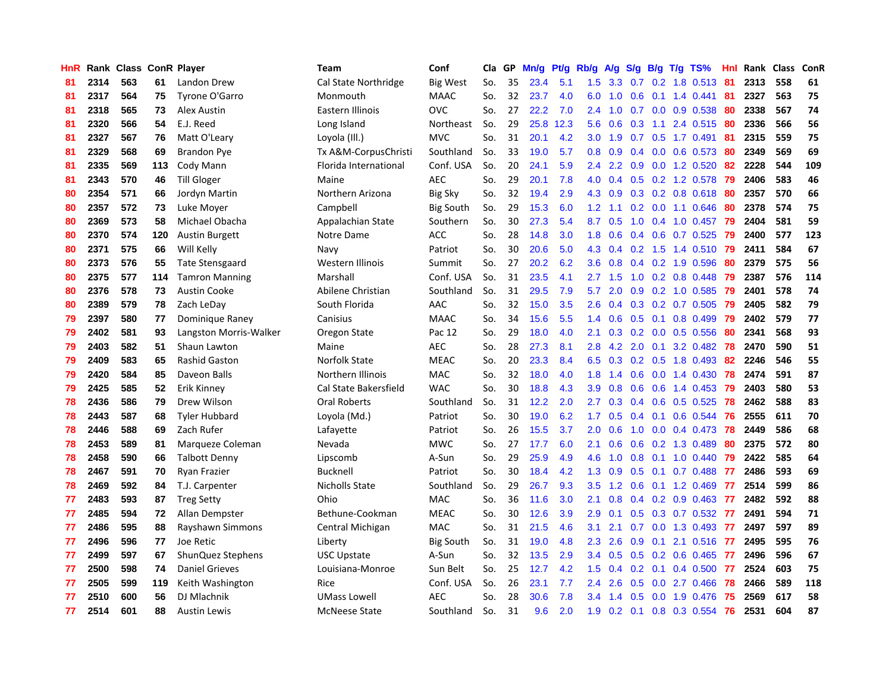| HnR |      | Rank Class ConR Player |     |                        | Team                  | Conf             | Cla | GP | Mn/g | Pt/g | Rb/g | A/g | S/g           |     | $B/g$ T/g TS%           | Hnl | Rank Class |     | ConR |
|-----|------|------------------------|-----|------------------------|-----------------------|------------------|-----|----|------|------|------|-----|---------------|-----|-------------------------|-----|------------|-----|------|
| 81  | 2314 | 563                    | 61  | Landon Drew            | Cal State Northridge  | <b>Big West</b>  | So. | 35 | 23.4 | 5.1  | 1.5  | 3.3 | 0.7           |     | $0.2$ 1.8 $0.513$       | -81 | 2313       | 558 | 61   |
| 81  | 2317 | 564                    | 75  | Tyrone O'Garro         | Monmouth              | <b>MAAC</b>      | So. | 32 | 23.7 | 4.0  | 6.0  | 1.0 | 0.6           |     | $0.1$ 1.4 0.441         | -81 | 2327       | 563 | 75   |
| 81  | 2318 | 565                    | 73  | Alex Austin            | Eastern Illinois      | <b>OVC</b>       | So. | 27 | 22.2 | 7.0  | 2.4  | 1.0 |               |     | 0.7 0.0 0.9 0.538       | -80 | 2338       | 567 | 74   |
| 81  | 2320 | 566                    | 54  | E.J. Reed              | Long Island           | Northeast        | So. | 29 | 25.8 | 12.3 | 5.6  | 0.6 |               |     | $0.3$ 1.1 2.4 0.515     | -80 | 2336       | 566 | 56   |
| 81  | 2327 | 567                    | 76  | Matt O'Leary           | Loyola (III.)         | <b>MVC</b>       | So. | 31 | 20.1 | 4.2  | 3.0  | 1.9 |               |     | 0.7 0.5 1.7 0.491       | -81 | 2315       | 559 | 75   |
| 81  | 2329 | 568                    | 69  | <b>Brandon Pye</b>     | Tx A&M-CorpusChristi  | Southland        | So. | 33 | 19.0 | 5.7  | 0.8  | 0.9 | 0.4           |     | $0.0$ 0.6 0.573         | 80  | 2349       | 569 | 69   |
| 81  | 2335 | 569                    | 113 | Cody Mann              | Florida International | Conf. USA        | So. | 20 | 24.1 | 5.9  | 2.4  | 2.2 | 0.9           |     | 0.0 1.2 0.520           | 82  | 2228       | 544 | 109  |
| 81  | 2343 | 570                    | 46  | <b>Till Gloger</b>     | Maine                 | <b>AEC</b>       | So. | 29 | 20.1 | 7.8  | 4.0  | 0.4 | 0.5           |     | 0.2 1.2 0.578           | 79  | 2406       | 583 | 46   |
| 80  | 2354 | 571                    | 66  | Jordyn Martin          | Northern Arizona      | <b>Big Sky</b>   | So. | 32 | 19.4 | 2.9  | 4.3  | 0.9 | 0.3           |     | 0.2 0.8 0.618           | -80 | 2357       | 570 | 66   |
| 80  | 2357 | 572                    | 73  | Luke Moyer             | Campbell              | <b>Big South</b> | So. | 29 | 15.3 | 6.0  | 1.2  | 1.1 |               |     | $0.2$ 0.0 1.1 0.646     | -80 | 2378       | 574 | 75   |
| 80  | 2369 | 573                    | 58  | Michael Obacha         | Appalachian State     | Southern         | So. | 30 | 27.3 | 5.4  | 8.7  | 0.5 |               |     | 1.0 0.4 1.0 0.457       | -79 | 2404       | 581 | 59   |
| 80  | 2370 | 574                    | 120 | <b>Austin Burgett</b>  | Notre Dame            | <b>ACC</b>       | So. | 28 | 14.8 | 3.0  | 1.8  | 0.6 |               |     | $0.4$ 0.6 0.7 0.525     | -79 | 2400       | 577 | 123  |
| 80  | 2371 | 575                    | 66  | Will Kelly             | Navy                  | Patriot          | So. | 30 | 20.6 | 5.0  | 4.3  | 0.4 |               |     | 0.2 1.5 1.4 0.510 79    |     | 2411       | 584 | 67   |
| 80  | 2373 | 576                    | 55  | Tate Stensgaard        | Western Illinois      | Summit           | So. | 27 | 20.2 | 6.2  | 3.6  | 0.8 | $0.4^{\circ}$ |     | 0.2 1.9 0.596           | -80 | 2379       | 575 | 56   |
| 80  | 2375 | 577                    | 114 | <b>Tamron Manning</b>  | Marshall              | Conf. USA        | So. | 31 | 23.5 | 4.1  | 2.7  | 1.5 | 1.0           |     | $0.2$ 0.8 0.448         | 79  | 2387       | 576 | 114  |
| 80  | 2376 | 578                    | 73  | <b>Austin Cooke</b>    | Abilene Christian     | Southland        | So. | 31 | 29.5 | 7.9  | 5.7  | 2.0 | 0.9           |     | $0.2$ 1.0 $0.585$       | 79  | 2401       | 578 | 74   |
| 80  | 2389 | 579                    | 78  | Zach LeDay             | South Florida         | AAC              | So. | 32 | 15.0 | 3.5  | 2.6  | 0.4 | 0.3           |     | $0.2$ 0.7 0.505         | 79  | 2405       | 582 | 79   |
| 79  | 2397 | 580                    | 77  | Dominique Raney        | Canisius              | <b>MAAC</b>      | So. | 34 | 15.6 | 5.5  | 1.4  | 0.6 | 0.5           | 0.1 | 0.8 0.499               | 79  | 2402       | 579 | 77   |
| 79  | 2402 | 581                    | 93  | Langston Morris-Walker | Oregon State          | Pac 12           | So. | 29 | 18.0 | 4.0  | 2.1  | 0.3 |               |     | $0.2$ 0.0 0.5 0.556     | -80 | 2341       | 568 | 93   |
| 79  | 2403 | 582                    | 51  | Shaun Lawton           | Maine                 | <b>AEC</b>       | So. | 28 | 27.3 | 8.1  | 2.8  | 4.2 |               |     | 2.0 0.1 3.2 0.482 78    |     | 2470       | 590 | 51   |
| 79  | 2409 | 583                    | 65  | <b>Rashid Gaston</b>   | Norfolk State         | <b>MEAC</b>      | So. | 20 | 23.3 | 8.4  | 6.5  | 0.3 |               |     | $0.2$ $0.5$ 1.8 $0.493$ | -82 | 2246       | 546 | 55   |
| 79  | 2420 | 584                    | 85  | Daveon Balls           | Northern Illinois     | MAC              | So. | 32 | 18.0 | 4.0  | 1.8  | 1.4 | 0.6           |     | 0.0 1.4 0.430           | 78  | 2474       | 591 | 87   |
| 79  | 2425 | 585                    | 52  | Erik Kinney            | Cal State Bakersfield | <b>WAC</b>       | So. | 30 | 18.8 | 4.3  | 3.9  | 0.8 | 0.6           |     | $0.6$ 1.4 0.453         | 79  | 2403       | 580 | 53   |
| 78  | 2436 | 586                    | 79  | Drew Wilson            | Oral Roberts          | Southland        | So. | 31 | 12.2 | 2.0  | 2.7  | 0.3 | 0.4           |     | $0.6$ 0.5 0.525         | 78  | 2462       | 588 | 83   |
| 78  | 2443 | 587                    | 68  | <b>Tyler Hubbard</b>   | Loyola (Md.)          | Patriot          | So. | 30 | 19.0 | 6.2  | 1.7  | 0.5 | 0.4           |     | $0.1$ 0.6 0.544         | 76  | 2555       | 611 | 70   |
| 78  | 2446 | 588                    | 69  | Zach Rufer             | Lafayette             | Patriot          | So. | 26 | 15.5 | 3.7  | 2.0  | 0.6 | 1.0           |     | $0.0$ 0.4 0.473         | 78  | 2449       | 586 | 68   |
| 78  | 2453 | 589                    | 81  | Marqueze Coleman       | Nevada                | <b>MWC</b>       | So. | 27 | 17.7 | 6.0  | 2.1  | 0.6 | 0.6           |     | $0.2$ 1.3 0.489         | -80 | 2375       | 572 | 80   |
| 78  | 2458 | 590                    | 66  | <b>Talbott Denny</b>   | Lipscomb              | A-Sun            | So. | 29 | 25.9 | 4.9  | 4.6  | 1.0 |               |     | 0.8 0.1 1.0 0.440 79    |     | 2422       | 585 | 64   |
| 78  | 2467 | 591                    | 70  | Ryan Frazier           | Bucknell              | Patriot          | So. | 30 | 18.4 | 4.2  | 1.3  | 0.9 |               |     | 0.5 0.1 0.7 0.488 77    |     | 2486       | 593 | 69   |
| 78  | 2469 | 592                    | 84  | T.J. Carpenter         | Nicholls State        | Southland        | So. | 29 | 26.7 | 9.3  | 3.5  | 1.2 | 0.6           |     | $0.1$ 1.2 0.469         | -77 | 2514       | 599 | 86   |
| 77  | 2483 | 593                    | 87  | <b>Treg Setty</b>      | Ohio                  | MAC              | So. | 36 | 11.6 | 3.0  | 2.1  | 0.8 | $0.4^{\circ}$ |     | $0.2$ 0.9 0.463         | -77 | 2482       | 592 | 88   |
| 77  | 2485 | 594                    | 72  | Allan Dempster         | Bethune-Cookman       | <b>MEAC</b>      | So. | 30 | 12.6 | 3.9  | 2.9  | 0.1 | 0.5           |     | $0.3$ 0.7 0.532         | -77 | 2491       | 594 | 71   |
| 77  | 2486 | 595                    | 88  | Rayshawn Simmons       | Central Michigan      | <b>MAC</b>       | So. | 31 | 21.5 | 4.6  | 3.1  | 2.1 | 0.7           |     | $0.0$ 1.3 0.493         | 77  | 2497       | 597 | 89   |
| 77  | 2496 | 596                    | 77  | Joe Retic              | Liberty               | <b>Big South</b> | So. | 31 | 19.0 | 4.8  | 2.3  | 2.6 | 0.9           | 0.1 | 2.1 0.516               | -77 | 2495       | 595 | 76   |
| 77  | 2499 | 597                    | 67  | ShunQuez Stephens      | <b>USC Upstate</b>    | A-Sun            | So. | 32 | 13.5 | 2.9  | 3.4  | 0.5 | 0.5           |     | $0.2$ 0.6 0.465         | -77 | 2496       | 596 | 67   |
| 77  | 2500 | 598                    | 74  | <b>Daniel Grieves</b>  | Louisiana-Monroe      | Sun Belt         | So. | 25 | 12.7 | 4.2  | 1.5  | 0.4 |               |     | $0.2$ 0.1 0.4 0.500     | 77  | 2524       | 603 | 75   |
| 77  | 2505 | 599                    | 119 | Keith Washington       | Rice                  | Conf. USA        | So. | 26 | 23.1 | 7.7  | 2.4  | 2.6 | 0.5           |     | $0.0$ 2.7 $0.466$       | 78  | 2466       | 589 | 118  |
| 77  | 2510 | 600                    | 56  | DJ Mlachnik            | UMass Lowell          | <b>AEC</b>       | So. | 28 | 30.6 | 7.8  | 3.4  | 1.4 | 0.5           |     | 0.0 1.9 0.476           | 75  | 2569       | 617 | 58   |
| 77  | 2514 | 601                    | 88  | <b>Austin Lewis</b>    | McNeese State         | Southland        | So. | 31 | 9.6  | 2.0  | 1.9  | 0.2 | 0.1           |     | 0.8 0.3 0.554           | 76  | 2531       | 604 | 87   |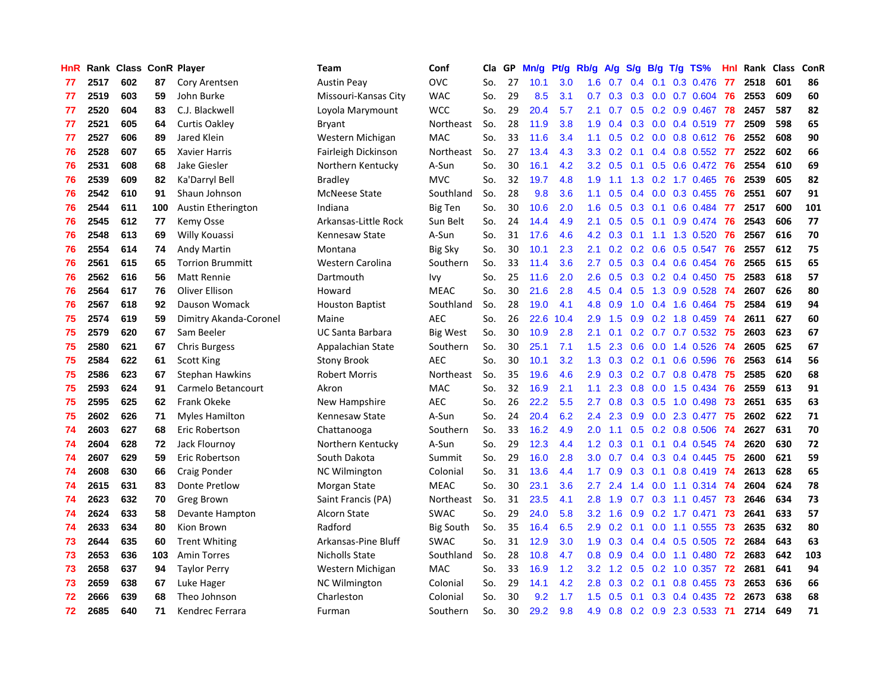| HnR |      | Rank Class ConR Player |     |                         | <b>Team</b>             | Conf             | Cla | <b>GP</b> | Mn/g | Pt/g | Rb/g             | A/g | S/g           | B/g | $T/g$ TS%            | Hnl. | Rank | <b>Class</b> | ConR     |
|-----|------|------------------------|-----|-------------------------|-------------------------|------------------|-----|-----------|------|------|------------------|-----|---------------|-----|----------------------|------|------|--------------|----------|
| 77  | 2517 | 602                    | 87  | Cory Arentsen           | <b>Austin Peav</b>      | <b>OVC</b>       | So. | 27        | 10.1 | 3.0  | 1.6              | 0.7 | 0.4           | 0.1 | 0.3 0.476            | 77   | 2518 | 601          | 86       |
| 77  | 2519 | 603                    | 59  | John Burke              | Missouri-Kansas City    | <b>WAC</b>       | So. | 29        | 8.5  | 3.1  | 0.7              | 0.3 | 0.3           |     | 0.0 0.7 0.604 76     |      | 2553 | 609          | 60       |
| 77  | 2520 | 604                    | 83  | C.J. Blackwell          | Loyola Marymount        | <b>WCC</b>       | So. | 29        | 20.4 | 5.7  | 2.1              | 0.7 |               |     | $0.5$ 0.2 0.9 0.467  | 78   | 2457 | 587          | 82       |
| 77  | 2521 | 605                    | 64  | <b>Curtis Oakley</b>    | Bryant                  | Northeast        | So. | 28        | 11.9 | 3.8  | 1.9              | 0.4 | 0.3           |     | $0.0$ 0.4 0.519      | -77  | 2509 | 598          | 65       |
| 77  | 2527 | 606                    | 89  | Jared Klein             | Western Michigan        | MAC              | So. | 33        | 11.6 | 3.4  | 1.1              | 0.5 | 0.2           |     | $0.0$ 0.8 0.612      | -76  | 2552 | 608          | 90       |
| 76  | 2528 | 607                    | 65  | Xavier Harris           | Fairleigh Dickinson     | Northeast        | So. | 27        | 13.4 | 4.3  | 3.3              | 0.2 | 0.1           |     | 0.4 0.8 0.552        | 77   | 2522 | 602          | 66       |
| 76  | 2531 | 608                    | 68  | Jake Giesler            | Northern Kentucky       | A-Sun            | So. | 30        | 16.1 | 4.2  | 3.2              | 0.5 | 0.1           |     | 0.5 0.6 0.472        | 76   | 2554 | 610          | 69       |
| 76  | 2539 | 609                    | 82  | Ka'Darryl Bell          | Bradley                 | <b>MVC</b>       | So. | 32        | 19.7 | 4.8  | 1.9              | 1.1 | 1.3           |     | $0.2$ 1.7 0.465      | 76   | 2539 | 605          | 82       |
| 76  | 2542 | 610                    | 91  | Shaun Johnson           | <b>McNeese State</b>    | Southland        | So. | 28        | 9.8  | 3.6  | 1.1              | 0.5 | 0.4           |     | 0.0 0.3 0.455        | 76   | 2551 | 607          | 91       |
| 76  | 2544 | 611                    | 100 | Austin Etherington      | Indiana                 | <b>Big Ten</b>   | So. | 30        | 10.6 | 2.0  | 1.6              | 0.5 | 0.3           |     | $0.1$ 0.6 0.484      | -77  | 2517 | 600          | 101      |
| 76  | 2545 | 612                    | 77  | Kemy Osse               | Arkansas-Little Rock    | Sun Belt         | So. | 24        | 14.4 | 4.9  | 2.1              | 0.5 |               |     | 0.5 0.1 0.9 0.474 76 |      | 2543 | 606          | 77       |
| 76  | 2548 | 613                    | 69  | Willy Kouassi           | Kennesaw State          | A-Sun            | So. | 31        | 17.6 | 4.6  | 4.2              | 0.3 |               |     | $0.1$ 1.1 1.3 0.520  | -76  | 2567 | 616          | 70       |
| 76  | 2554 | 614                    | 74  | Andy Martin             | Montana                 | <b>Big Sky</b>   | So. | 30        | 10.1 | 2.3  | 2.1              | 0.2 | 0.2           |     | $0.6$ 0.5 0.547      | -76  | 2557 | 612          | 75       |
| 76  | 2561 | 615                    | 65  | <b>Torrion Brummitt</b> | Western Carolina        | Southern         | So. | 33        | 11.4 | 3.6  | 2.7              | 0.5 | 0.3           |     | $0.4$ 0.6 0.454      | 76   | 2565 | 615          | 65       |
| 76  | 2562 | 616                    | 56  | <b>Matt Rennie</b>      | Dartmouth               | Ivy              | So. | 25        | 11.6 | 2.0  | 2.6              | 0.5 | 0.3           |     | $0.2$ 0.4 0.450      | 75   | 2583 | 618          | 57       |
| 76  | 2564 | 617                    | 76  | Oliver Ellison          | Howard                  | <b>MEAC</b>      | So. | 30        | 21.6 | 2.8  | 4.5              | 0.4 | 0.5           |     | 1.3 0.9 0.528        | 74   | 2607 | 626          | 80       |
| 76  | 2567 | 618                    | 92  | Dauson Womack           | <b>Houston Baptist</b>  | Southland        | So. | 28        | 19.0 | 4.1  | 4.8              | 0.9 | 1.0           |     | 0.4 1.6 0.464        | 75   | 2584 | 619          | 94       |
| 75  | 2574 | 619                    | 59  | Dimitry Akanda-Coronel  | Maine                   | <b>AEC</b>       | So. | 26        | 22.6 | 10.4 | 2.9              | 1.5 | 0.9           |     | $0.2$ 1.8 0.459      | -74  | 2611 | 627          | 60       |
| 75  | 2579 | 620                    | 67  | Sam Beeler              | <b>UC Santa Barbara</b> | Big West         | So. | 30        | 10.9 | 2.8  | 2.1              | 0.1 |               |     | $0.2$ 0.7 0.7 0.532  | -75  | 2603 | 623          | 67       |
| 75  | 2580 | 621                    | 67  | <b>Chris Burgess</b>    | Appalachian State       | Southern         | So. | 30        | 25.1 | 7.1  | 1.5              | 2.3 |               |     | $0.6$ 0.0 1.4 0.526  | - 74 | 2605 | 625          | 67       |
| 75  | 2584 | 622                    | 61  | <b>Scott King</b>       | <b>Stony Brook</b>      | <b>AEC</b>       | So. | 30        | 10.1 | 3.2  | 1.3              | 0.3 |               |     | $0.2$ 0.1 0.6 0.596  | -76  | 2563 | 614          | 56       |
| 75  | 2586 | 623                    | 67  | Stephan Hawkins         | <b>Robert Morris</b>    | Northeast        | So. | 35        | 19.6 | 4.6  | 2.9              | 0.3 | 0.2           |     | $0.7$ 0.8 0.478      | 75   | 2585 | 620          | 68       |
| 75  | 2593 | 624                    | 91  | Carmelo Betancourt      | Akron                   | <b>MAC</b>       | So. | 32        | 16.9 | 2.1  | 1.1              | 2.3 | 0.8           |     | $0.0$ 1.5 0.434      | 76   | 2559 | 613          | 91       |
| 75  | 2595 | 625                    | 62  | Frank Okeke             | New Hampshire           | <b>AEC</b>       | So. | 26        | 22.2 | 5.5  | 2.7              | 0.8 | 0.3           |     | $0.5$ 1.0 0.498      | 73   | 2651 | 635          | 63       |
| 75  | 2602 | 626                    | 71  | Myles Hamilton          | Kennesaw State          | A-Sun            | So. | 24        | 20.4 | 6.2  | 2.4              | 2.3 | 0.9           | 0.0 | 2.3 0.477            | 75   | 2602 | 622          | 71       |
| 74  | 2603 | 627                    | 68  | Eric Robertson          | Chattanooga             | Southern         | So. | 33        | 16.2 | 4.9  | 2.0              | 1.1 | 0.5           |     | $0.2$ 0.8 0.506      | -74  | 2627 | 631          | 70       |
| 74  | 2604 | 628                    | 72  | Jack Flournoy           | Northern Kentucky       | A-Sun            | So. | 29        | 12.3 | 4.4  | 1.2              | 0.3 | 0.1           |     | 0.1 0.4 0.545 74     |      | 2620 | 630          | 72       |
| 74  | 2607 | 629                    | 59  | Eric Robertson          | South Dakota            | Summit           | So. | 29        | 16.0 | 2.8  | 3.0 <sub>1</sub> | 0.7 |               |     | 0.4 0.3 0.4 0.445 75 |      | 2600 | 621          | 59       |
| 74  | 2608 | 630                    | 66  | Craig Ponder            | <b>NC Wilmington</b>    | Colonial         | So. | 31        | 13.6 | 4.4  | 1.7 <sup>2</sup> | 0.9 | 0.3           |     | $0.1$ 0.8 0.419 74   |      | 2613 | 628          | 65       |
| 74  | 2615 | 631                    | 83  | Donte Pretlow           | Morgan State            | <b>MEAC</b>      | So. | 30        | 23.1 | 3.6  | $2.7^{\circ}$    | 2.4 | $1.4^{\circ}$ |     | 0.0 1.1 0.314 74     |      | 2604 | 624          | 78<br>73 |
| 74  | 2623 | 632                    | 70  | <b>Greg Brown</b>       | Saint Francis (PA)      | Northeast        | So. | 31        | 23.5 | 4.1  | 2.8              | 1.9 | 0.7           |     | $0.3$ 1.1 0.457      | 73   | 2646 | 634          |          |
| 74  | 2624 | 633                    | 58  | Devante Hampton         | Alcorn State            | <b>SWAC</b>      | So. | 29        | 24.0 | 5.8  | 3.2              | 1.6 | 0.9           |     | $0.2$ 1.7 $0.471$    | 73   | 2641 | 633          | 57       |
| 74  | 2633 | 634                    | 80  | Kion Brown              | Radford                 | <b>Big South</b> | So. | 35        | 16.4 | 6.5  | 2.9              | 0.2 | 0.1           |     | $0.0$ 1.1 $0.555$    | 73   | 2635 | 632          | 80       |
| 73  | 2644 | 635                    | 60  | <b>Trent Whiting</b>    | Arkansas-Pine Bluff     | <b>SWAC</b>      | So. | 31        | 12.9 | 3.0  | 1.9              | 0.3 | 0.4           | 0.4 | $0.5$ 0.505          | 72   | 2684 | 643          | 63       |
| 73  | 2653 | 636                    | 103 | <b>Amin Torres</b>      | Nicholls State          | Southland        | So. | 28        | 10.8 | 4.7  | 0.8              | 0.9 | 0.4           |     | $0.0$ 1.1 $0.480$    | 72   | 2683 | 642          | 103      |
| 73  | 2658 | 637                    | 94  | <b>Taylor Perry</b>     | Western Michigan        | <b>MAC</b>       | So. | 33        | 16.9 | 1.2  | 3.2              | 1.2 |               |     | $0.5$ 0.2 1.0 0.357  | 72   | 2681 | 641          | 94       |
| 73  | 2659 | 638                    | 67  | Luke Hager              | NC Wilmington           | Colonial         | So. | 29        | 14.1 | 4.2  | 2.8              | 0.3 | 0.2           |     | $0.1$ 0.8 0.455      | -73  | 2653 | 636          | 66       |
| 72  | 2666 | 639                    | 68  | Theo Johnson            | Charleston              | Colonial         | So. | 30        | 9.2  | 1.7  | 1.5              | 0.5 | 0.1           |     | $0.3$ 0.4 0.435      | -72  | 2673 | 638          | 68       |
| 72  | 2685 | 640                    | 71  | Kendrec Ferrara         | Furman                  | Southern         | So. | 30        | 29.2 | 9.8  | 4.9              | 0.8 |               |     | 0.2 0.9 2.3 0.533    | -71  | 2714 | 649          | 71       |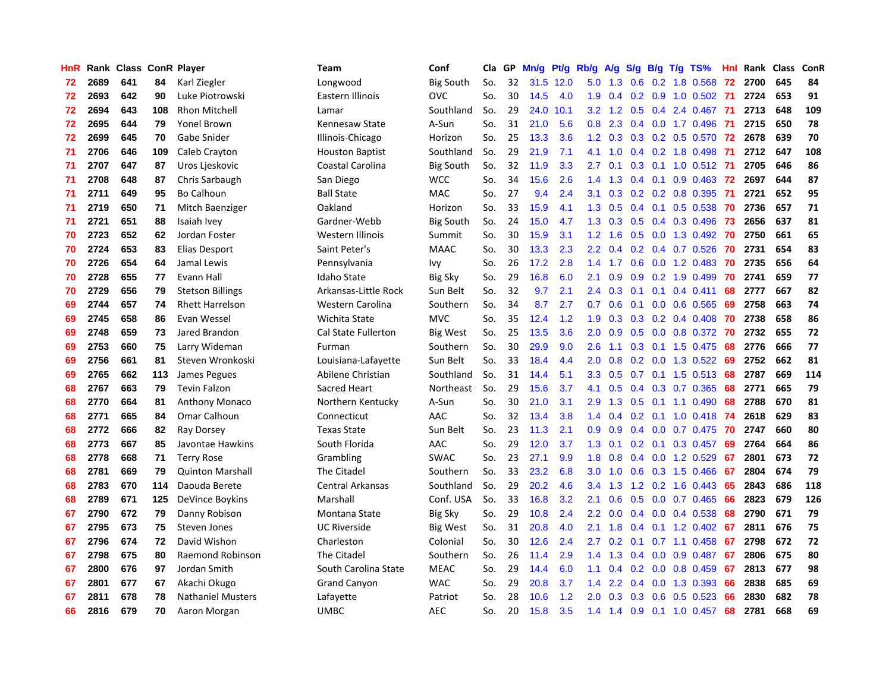| HnR |      | Rank Class ConR Player |     |                          | Team                       | Conf             | Cla | GP | Mn/g | Pt/g | Rb/g             | A/g           | S/g           | B/g | $T/g$ TS%               | <b>Hnl</b> | Rank Class |     | ConR |
|-----|------|------------------------|-----|--------------------------|----------------------------|------------------|-----|----|------|------|------------------|---------------|---------------|-----|-------------------------|------------|------------|-----|------|
| 72  | 2689 | 641                    | 84  | Karl Ziegler             | Longwood                   | <b>Big South</b> | So. | 32 | 31.5 | 12.0 | 5.0              | 1.3           | 0.6           |     | 0.2 1.8 0.568           | 72         | 2700       | 645 | 84   |
| 72  | 2693 | 642                    | 90  | Luke Piotrowski          | Eastern Illinois           | <b>OVC</b>       | So. | 30 | 14.5 | 4.0  | 1.9              | 0.4           |               |     | 0.2 0.9 1.0 0.502 71    |            | 2724       | 653 | 91   |
| 72  | 2694 | 643                    | 108 | <b>Rhon Mitchell</b>     | Lamar                      | Southland        | So. | 29 | 24.0 | 10.1 | 3.2              | 1.2           |               |     | $0.5$ 0.4 2.4 0.467     | -71        | 2713       | 648 | 109  |
| 72  | 2695 | 644                    | 79  | Yonel Brown              | Kennesaw State             | A-Sun            | So. | 31 | 21.0 | 5.6  | 0.8              | 2.3           |               |     | $0.4$ 0.0 1.7 0.496     | -71        | 2715       | 650 | 78   |
| 72  | 2699 | 645                    | 70  | Gabe Snider              | Illinois-Chicago           | Horizon          | So. | 25 | 13.3 | 3.6  | 1.2              | 0.3           | 0.3           |     | $0.2$ 0.5 0.570         | -72        | 2678       | 639 | 70   |
| 71  | 2706 | 646                    | 109 | Caleb Crayton            | <b>Houston Baptist</b>     | Southland        | So. | 29 | 21.9 | 7.1  | 4.1              | 1.0           | 0.4           |     | $0.2$ 1.8 0.498         | 71         | 2712       | 647 | 108  |
| 71  | 2707 | 647                    | 87  | Uros Ljeskovic           | Coastal Carolina           | <b>Big South</b> | So. | 32 | 11.9 | 3.3  | 2.7              | 0.1           | 0.3           |     | $0.1$ 1.0 0.512         | -71        | 2705       | 646 | 86   |
| 71  | 2708 | 648                    | 87  | Chris Sarbaugh           | San Diego                  | <b>WCC</b>       | So. | 34 | 15.6 | 2.6  | 1.4              | 1.3           | 0.4           |     | $0.1$ 0.9 0.463         | 72         | 2697       | 644 | 87   |
| 71  | 2711 | 649                    | 95  | <b>Bo Calhoun</b>        | <b>Ball State</b>          | MAC              | So. | 27 | 9.4  | 2.4  | 3.1              | 0.3           | 0.2           |     | 0.2 0.8 0.395           | -71        | 2721       | 652 | 95   |
| 71  | 2719 | 650                    | 71  | Mitch Baenziger          | Oakland                    | Horizon          | So. | 33 | 15.9 | 4.1  | 1.3              | 0.5           | 0.4           |     | $0.1$ 0.5 0.538         | -70        | 2736       | 657 | 71   |
| 71  | 2721 | 651                    | 88  | Isaiah Ivey              | Gardner-Webb               | <b>Big South</b> | So. | 24 | 15.0 | 4.7  | 1.3              | 0.3           |               |     | $0.5$ 0.4 0.3 0.496     | -73        | 2656       | 637 | 81   |
| 70  | 2723 | 652                    | 62  | Jordan Foster            | Western Illinois           | Summit           | So. | 30 | 15.9 | 3.1  | 1.2 <sub>1</sub> | 1.6           |               |     | 0.5 0.0 1.3 0.492 70    |            | 2750       | 661 | 65   |
| 70  | 2724 | 653                    | 83  | Elias Desport            | Saint Peter's              | <b>MAAC</b>      | So. | 30 | 13.3 | 2.3  | $2.2\,$          | 0.4           | 0.2           |     | $0.4$ 0.7 0.526         | 70         | 2731       | 654 | 83   |
| 70  | 2726 | 654                    | 64  | Jamal Lewis              | Pennsylvania               | Ivy              | So. | 26 | 17.2 | 2.8  | 1.4              | 1.7           | 0.6           |     | $0.0$ 1.2 0.483         | 70         | 2735       | 656 | 64   |
| 70  | 2728 | 655                    | 77  | Evann Hall               | Idaho State                | <b>Big Sky</b>   | So. | 29 | 16.8 | 6.0  | 2.1              | 0.9           | 0.9           |     | $0.2$ 1.9 0.499         | 70         | 2741       | 659 | 77   |
| 70  | 2729 | 656                    | 79  | <b>Stetson Billings</b>  | Arkansas-Little Rock       | Sun Belt         | So. | 32 | 9.7  | 2.1  | 2.4              | 0.3           | 0.1           |     | $0.1$ 0.4 0.411         | 68         | 2777       | 667 | 82   |
| 69  | 2744 | 657                    | 74  | <b>Rhett Harrelson</b>   | Western Carolina           | Southern         | So. | 34 | 8.7  | 2.7  | 0.7              | 0.6           | 0.1           | 0.0 | 0.6 0.565               | 69         | 2758       | 663 | 74   |
| 69  | 2745 | 658                    | 86  | Evan Wessel              | Wichita State              | <b>MVC</b>       | So. | 35 | 12.4 | 1.2  | 1.9              | 0.3           | 0.3           |     | $0.2$ 0.4 0.408         | 70         | 2738       | 658 | 86   |
| 69  | 2748 | 659                    | 73  | Jared Brandon            | <b>Cal State Fullerton</b> | <b>Big West</b>  | So. | 25 | 13.5 | 3.6  | 2.0 <sub>1</sub> | 0.9           | 0.5           |     | 0.0 0.8 0.372 70        |            | 2732       | 655 | 72   |
| 69  | 2753 | 660                    | 75  | Larry Wideman            | Furman                     | Southern         | So. | 30 | 29.9 | 9.0  | 2.6              | 1.1           |               |     | 0.3 0.1 1.5 0.475 68    |            | 2776       | 666 | 77   |
| 69  | 2756 | 661                    | 81  | Steven Wronkoski         | Louisiana-Lafayette        | Sun Belt         | So. | 33 | 18.4 | 4.4  | 2.0              | 0.8           |               |     | $0.2$ 0.0 1.3 0.522     | -69        | 2752       | 662 | 81   |
| 69  | 2765 | 662                    | 113 | James Pegues             | Abilene Christian          | Southland        | So. | 31 | 14.4 | 5.1  | 3.3 <sub>2</sub> | 0.5           | 0.7           |     | $0.1$ 1.5 0.513         | -68        | 2787       | 669 | 114  |
| 68  | 2767 | 663                    | 79  | <b>Tevin Falzon</b>      | Sacred Heart               | Northeast        | So. | 29 | 15.6 | 3.7  | 4.1              | 0.5           | 0.4           |     | 0.3 0.7 0.365           | 68         | 2771       | 665 | 79   |
| 68  | 2770 | 664                    | 81  | <b>Anthony Monaco</b>    | Northern Kentucky          | A-Sun            | So. | 30 | 21.0 | 3.1  | 2.9              | 1.3           | 0.5           |     | $0.1$ 1.1 $0.490$       | 68         | 2788       | 670 | 81   |
| 68  | 2771 | 665                    | 84  | Omar Calhoun             | Connecticut                | AAC              | So. | 32 | 13.4 | 3.8  | 1.4              | 0.4           | 0.2           |     | $0.1$ 1.0 0.418         | -74        | 2618       | 629 | 83   |
| 68  | 2772 | 666                    | 82  | Ray Dorsey               | <b>Texas State</b>         | Sun Belt         | So. | 23 | 11.3 | 2.1  | 0.9              | 0.9           | $0.4^{\circ}$ |     | $0.0$ 0.7 0.475         | -70        | 2747       | 660 | 80   |
| 68  | 2773 | 667                    | 85  | Javontae Hawkins         | South Florida              | AAC              | So. | 29 | 12.0 | 3.7  | 1.3              | 0.1           |               |     | $0.2$ 0.1 0.3 0.457     | -69        | 2764       | 664 | 86   |
| 68  | 2778 | 668                    | 71  | <b>Terry Rose</b>        | Grambling                  | <b>SWAC</b>      | So. | 23 | 27.1 | 9.9  | 1.8              | 0.8           |               |     | $0.4$ 0.0 1.2 0.529     | -67        | 2801       | 673 | 72   |
| 68  | 2781 | 669                    | 79  | <b>Quinton Marshall</b>  | The Citadel                | Southern         | So. | 33 | 23.2 | 6.8  | 3.0              | 1.0           |               |     | $0.6$ $0.3$ 1.5 $0.466$ | -67        | 2804       | 674 | 79   |
| 68  | 2783 | 670                    | 114 | Daouda Berete            | Central Arkansas           | Southland        | So. | 29 | 20.2 | 4.6  | 3.4              | 1.3           | 1.2           |     | $0.2$ 1.6 0.443         | -65        | 2843       | 686 | 118  |
| 68  | 2789 | 671                    | 125 | DeVince Boykins          | Marshall                   | Conf. USA        | So. | 33 | 16.8 | 3.2  | 2.1              | 0.6           | 0.5           |     | $0.0$ 0.7 0.465         | 66         | 2823       | 679 | 126  |
| 67  | 2790 | 672                    | 79  | Danny Robison            | Montana State              | <b>Big Sky</b>   | So. | 29 | 10.8 | 2.4  | 2.2              | 0.0           | 0.4           |     | $0.0$ 0.4 0.538         | 68         | 2790       | 671 | 79   |
| 67  | 2795 | 673                    | 75  | <b>Steven Jones</b>      | <b>UC Riverside</b>        | Big West         | So. | 31 | 20.8 | 4.0  | 2.1              | 1.8           | $0.4^{\circ}$ |     | $0.1$ 1.2 0.402         | -67        | 2811       | 676 | 75   |
| 67  | 2796 | 674                    | 72  | David Wishon             | Charleston                 | Colonial         | So. | 30 | 12.6 | 2.4  | 2.7              | 0.2           | 0.1           |     | $0.7$ 1.1 $0.458$       | -67        | 2798       | 672 | 72   |
| 67  | 2798 | 675                    | 80  | Raemond Robinson         | The Citadel                | Southern         | So. | 26 | 11.4 | 2.9  | 1.4              | 1.3           | $0.4^{\circ}$ |     | $0.0$ 0.9 0.487         | 67         | 2806       | 675 | 80   |
| 67  | 2800 | 676                    | 97  | Jordan Smith             | South Carolina State       | <b>MEAC</b>      | So. | 29 | 14.4 | 6.0  | 1.1              | $0.4^{\circ}$ |               |     | $0.2$ 0.0 0.8 0.459     | -67        | 2813       | 677 | 98   |
| 67  | 2801 | 677                    | 67  | Akachi Okugo             | <b>Grand Canyon</b>        | <b>WAC</b>       | So. | 29 | 20.8 | 3.7  | $1.4^{\circ}$    | 2.2           | $0.4^{\circ}$ |     | $0.0$ 1.3 0.393         | -66        | 2838       | 685 | 69   |
| 67  | 2811 | 678                    | 78  | <b>Nathaniel Musters</b> | Lafayette                  | Patriot          | So. | 28 | 10.6 | 1.2  | 2.0 <sub>1</sub> | 0.3           | 0.3           |     | $0.6$ 0.5 0.523         | -66        | 2830       | 682 | 78   |
| 66  | 2816 | 679                    | 70  | Aaron Morgan             | <b>UMBC</b>                | <b>AEC</b>       | So. | 20 | 15.8 | 3.5  | 1.4              | 1.4           | 0.9           |     | $0.1$ 1.0 0.457         | 68         | 2781       | 668 | 69   |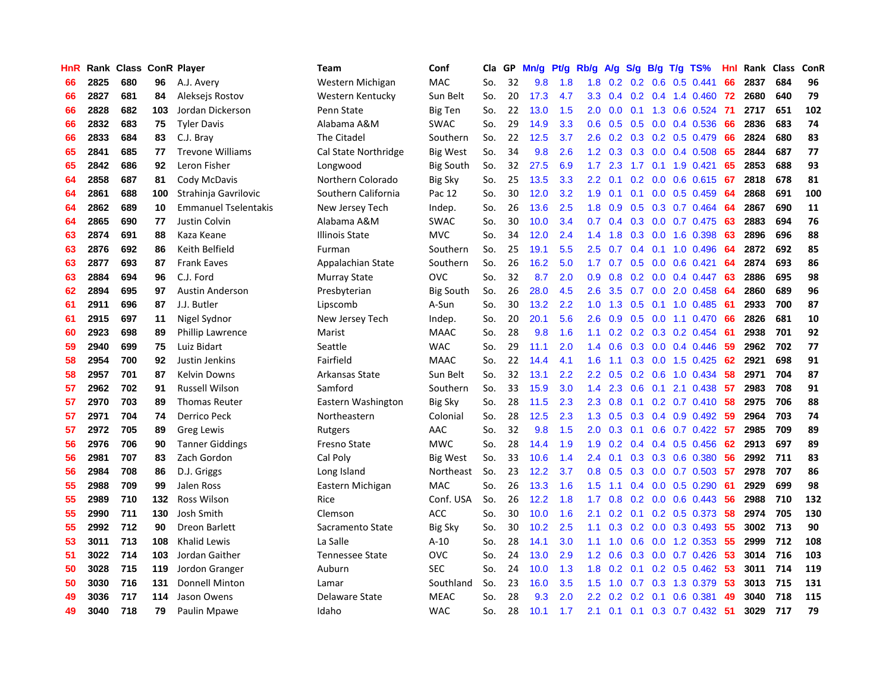| HnR | Rank | <b>Class</b> |     | <b>ConR Player</b>          | Team                   | Conf             | Cla | GP | Mn/g | Pt/g | Rb/g             | $\mathsf{A/g}$ | S/g              | B/g | $T/g$ TS%            | Hnl | Rank | <b>Class</b> | ConR |
|-----|------|--------------|-----|-----------------------------|------------------------|------------------|-----|----|------|------|------------------|----------------|------------------|-----|----------------------|-----|------|--------------|------|
| 66  | 2825 | 680          | 96  | A.J. Avery                  | Western Michigan       | <b>MAC</b>       | So. | 32 | 9.8  | 1.8  | 1.8              | 0.2            | 0.2              | 0.6 | $0.5$ 0.441          | 66  | 2837 | 684          | 96   |
| 66  | 2827 | 681          | 84  | Aleksejs Rostov             | Western Kentucky       | Sun Belt         | So. | 20 | 17.3 | 4.7  | 3.3 <sub>2</sub> | 0.4            |                  |     | $0.2$ 0.4 1.4 0.460  | -72 | 2680 | 640          | 79   |
| 66  | 2828 | 682          | 103 | Jordan Dickerson            | Penn State             | <b>Big Ten</b>   | So. | 22 | 13.0 | 1.5  | $2.0^{\circ}$    | 0.0            |                  |     | $0.1$ 1.3 0.6 0.524  | -71 | 2717 | 651          | 102  |
| 66  | 2832 | 683          | 75  | <b>Tyler Davis</b>          | Alabama A&M            | <b>SWAC</b>      | So. | 29 | 14.9 | 3.3  | 0.6              | 0.5            | 0.5              |     | $0.0$ 0.4 0.536      | 66  | 2836 | 683          | 74   |
| 66  | 2833 | 684          | 83  | C.J. Bray                   | The Citadel            | Southern         | So. | 22 | 12.5 | 3.7  | 2.6              | 0.2            | 0.3              |     | 0.2 0.5 0.479        | 66  | 2824 | 680          | 83   |
| 65  | 2841 | 685          | 77  | <b>Trevone Williams</b>     | Cal State Northridge   | <b>Big West</b>  | So. | 34 | 9.8  | 2.6  | 1.2              | 0.3            | 0.3              |     | $0.0$ 0.4 0.508      | 65  | 2844 | 687          | 77   |
| 65  | 2842 | 686          | 92  | Leron Fisher                | Longwood               | <b>Big South</b> | So. | 32 | 27.5 | 6.9  | 1.7              | 2.3            | 1.7              |     | $0.1$ 1.9 $0.421$    | 65  | 2853 | 688          | 93   |
| 64  | 2858 | 687          | 81  | Cody McDavis                | Northern Colorado      | <b>Big Sky</b>   | So. | 25 | 13.5 | 3.3  | $2.2\phantom{0}$ | 0.1            | 0.2              |     | $0.0$ 0.6 0.615      | -67 | 2818 | 678          | 81   |
| 64  | 2861 | 688          | 100 | Strahinja Gavrilovic        | Southern California    | Pac 12           | So. | 30 | 12.0 | 3.2  | 1.9              | 0.1            | 0.1              |     | $0.0$ $0.5$ $0.459$  | -64 | 2868 | 691          | 100  |
| 64  | 2862 | 689          | 10  | <b>Emmanuel Tselentakis</b> | New Jersey Tech        | Indep.           | So. | 26 | 13.6 | 2.5  | 1.8              | 0.9            | 0.5              |     | $0.3$ 0.7 0.464      | -64 | 2867 | 690          | 11   |
| 64  | 2865 | 690          | 77  | <b>Justin Colvin</b>        | Alabama A&M            | <b>SWAC</b>      | So. | 30 | 10.0 | 3.4  | 0.7              | 0.4            |                  |     | 0.3 0.0 0.7 0.475 63 |     | 2883 | 694          | 76   |
| 63  | 2874 | 691          | 88  | Kaza Keane                  | <b>Illinois State</b>  | <b>MVC</b>       | So. | 34 | 12.0 | 2.4  | 1.4              | 1.8            | 0.3              |     | $0.0$ 1.6 $0.398$    | -63 | 2896 | 696          | 88   |
| 63  | 2876 | 692          | 86  | Keith Belfield              | Furman                 | Southern         | So. | 25 | 19.1 | 5.5  | $2.5\,$          | 0.7            | 0.4              |     | $0.1$ 1.0 0.496      | 64  | 2872 | 692          | 85   |
| 63  | 2877 | 693          | 87  | <b>Frank Eaves</b>          | Appalachian State      | Southern         | So. | 26 | 16.2 | 5.0  | 1.7 <sub>2</sub> | 0.7            | 0.5              |     | $0.0$ $0.6$ $0.421$  | 64  | 2874 | 693          | 86   |
| 63  | 2884 | 694          | 96  | C.J. Ford                   | Murray State           | <b>OVC</b>       | So. | 32 | 8.7  | 2.0  | 0.9              | 0.8            | 0.2 <sub>0</sub> |     | $0.0$ 0.4 0.447      | 63  | 2886 | 695          | 98   |
| 62  | 2894 | 695          | 97  | <b>Austin Anderson</b>      | Presbyterian           | <b>Big South</b> | So. | 26 | 28.0 | 4.5  | 2.6              | 3.5            | 0.7              |     | $0.0$ 2.0 $0.458$    | -64 | 2860 | 689          | 96   |
| 61  | 2911 | 696          | 87  | J.J. Butler                 | Lipscomb               | A-Sun            | So. | 30 | 13.2 | 2.2  | 1.0              | 1.3            | 0.5              |     | $0.1$ 1.0 0.485      | -61 | 2933 | 700          | 87   |
| 61  | 2915 | 697          | 11  | Nigel Sydnor                | New Jersey Tech        | Indep.           | So. | 20 | 20.1 | 5.6  | $2.6\,$          | 0.9            | 0.5              |     | $0.0$ 1.1 $0.470$    | -66 | 2826 | 681          | 10   |
| 60  | 2923 | 698          | 89  | Phillip Lawrence            | Marist                 | <b>MAAC</b>      | So. | 28 | 9.8  | 1.6  | 1.1              | 0.2            |                  |     | $0.2$ 0.3 0.2 0.454  | -61 | 2938 | 701          | 92   |
| 59  | 2940 | 699          | 75  | Luiz Bidart                 | Seattle                | <b>WAC</b>       | So. | 29 | 11.1 | 2.0  | 1.4              | 0.6            |                  |     | $0.3$ 0.0 0.4 0.446  | 59  | 2962 | 702          | 77   |
| 58  | 2954 | 700          | 92  | Justin Jenkins              | Fairfield              | <b>MAAC</b>      | So. | 22 | 14.4 | 4.1  | 1.6              | 1.1            | 0.3              |     | $0.0$ 1.5 $0.425$    | -62 | 2921 | 698          | 91   |
| 58  | 2957 | 701          | 87  | <b>Kelvin Downs</b>         | Arkansas State         | Sun Belt         | So. | 32 | 13.1 | 2.2  | $2.2\phantom{0}$ | 0.5            | 0.2              |     | $0.6$ 1.0 0.434      | 58  | 2971 | 704          | 87   |
| 57  | 2962 | 702          | 91  | <b>Russell Wilson</b>       | Samford                | Southern         | So. | 33 | 15.9 | 3.0  | 1.4              | 2.3            | 0.6              |     | $0.1$ 2.1 0.438      | -57 | 2983 | 708          | 91   |
| 57  | 2970 | 703          | 89  | <b>Thomas Reuter</b>        | Eastern Washington     | <b>Big Sky</b>   | So. | 28 | 11.5 | 2.3  | 2.3              | 0.8            | 0.1              |     | $0.2$ 0.7 0.410      | 58  | 2975 | 706          | 88   |
| 57  | 2971 | 704          | 74  | Derrico Peck                | Northeastern           | Colonial         | So. | 28 | 12.5 | 2.3  | 1.3              | 0.5            | 0.3 <sub>0</sub> |     | $0.4$ 0.9 0.492      | -59 | 2964 | 703          | 74   |
| 57  | 2972 | 705          | 89  | Greg Lewis                  | Rutgers                | AAC              | So. | 32 | 9.8  | 1.5  | 2.0              | 0.3            | 0.1              |     | $0.6$ 0.7 0.422      | -57 | 2985 | 709          | 89   |
| 56  | 2976 | 706          | 90  | <b>Tanner Giddings</b>      | <b>Fresno State</b>    | <b>MWC</b>       | So. | 28 | 14.4 | 1.9  | 1.9              | 0.2            | 0.4              |     | $0.4$ 0.5 0.456      | -62 | 2913 | 697          | 89   |
| 56  | 2981 | 707          | 83  | Zach Gordon                 | Cal Poly               | Big West         | So. | 33 | 10.6 | 1.4  | 2.4              | 0.1            |                  |     | $0.3$ 0.3 0.6 0.380  | -56 | 2992 | 711          | 83   |
| 56  | 2984 | 708          | 86  | D.J. Griggs                 | Long Island            | Northeast        | So. | 23 | 12.2 | 3.7  | 0.8              | 0.5            | 0.3              |     | $0.0$ 0.7 0.503 57   |     | 2978 | 707          | 86   |
| 55  | 2988 | 709          | 99  | Jalen Ross                  | Eastern Michigan       | <b>MAC</b>       | So. | 26 | 13.3 | 1.6  | 1.5              | 1.1            | $0.4^{\circ}$    |     | $0.0$ 0.5 0.290      | -61 | 2929 | 699          | 98   |
| 55  | 2989 | 710          | 132 | <b>Ross Wilson</b>          | Rice                   | Conf. USA        | So. | 26 | 12.2 | 1.8  | 1.7              | 0.8            | 0.2              |     | $0.0$ $0.6$ $0.443$  | -56 | 2988 | 710          | 132  |
| 55  | 2990 | 711          | 130 | Josh Smith                  | Clemson                | ACC              | So. | 30 | 10.0 | 1.6  | 2.1              | 0.2            | 0.1              |     | $0.2$ 0.5 0.373      | 58  | 2974 | 705          | 130  |
| 55  | 2992 | 712          | 90  | <b>Dreon Barlett</b>        | Sacramento State       | <b>Big Sky</b>   | So. | 30 | 10.2 | 2.5  | 1.1              | 0.3            | 0.2              |     | $0.0$ $0.3$ $0.493$  | 55  | 3002 | 713          | 90   |
| 53  | 3011 | 713          | 108 | <b>Khalid Lewis</b>         | La Salle               | $A-10$           | So. | 28 | 14.1 | 3.0  | 1.1              | 1.0            | 0.6              |     | $0.0$ 1.2 $0.353$    | 55  | 2999 | 712          | 108  |
| 51  | 3022 | 714          | 103 | Jordan Gaither              | <b>Tennessee State</b> | <b>OVC</b>       | So. | 24 | 13.0 | 2.9  | 1.2              | 0.6            | 0.3              |     | $0.0$ 0.7 0.426      | 53  | 3014 | 716          | 103  |
| 50  | 3028 | 715          | 119 | Jordon Granger              | Auburn                 | <b>SEC</b>       | So. | 24 | 10.0 | 1.3  | 1.8              | 0.2            | 0.1              |     | $0.2$ 0.5 0.462 53   |     | 3011 | 714          | 119  |
| 50  | 3030 | 716          | 131 | <b>Donnell Minton</b>       | Lamar                  | Southland        | So. | 23 | 16.0 | 3.5  | 1.5              | 1.0            | 0.7              |     | $0.3$ 1.3 0.379      | -53 | 3013 | 715          | 131  |
| 49  | 3036 | 717          | 114 | Jason Owens                 | Delaware State         | MEAC             | So. | 28 | 9.3  | 2.0  | $2.2\phantom{0}$ | 0.2            | 0.2              | 0.1 | $0.6$ 0.381          | 49  | 3040 | 718          | 115  |
| 49  | 3040 | 718          | 79  | Paulin Mpawe                | Idaho                  | <b>WAC</b>       | So. | 28 | 10.1 | 1.7  | 2.1              | 0.1            | 0.1              |     | $0.3$ 0.7 0.432      | -51 | 3029 | 717          | 79   |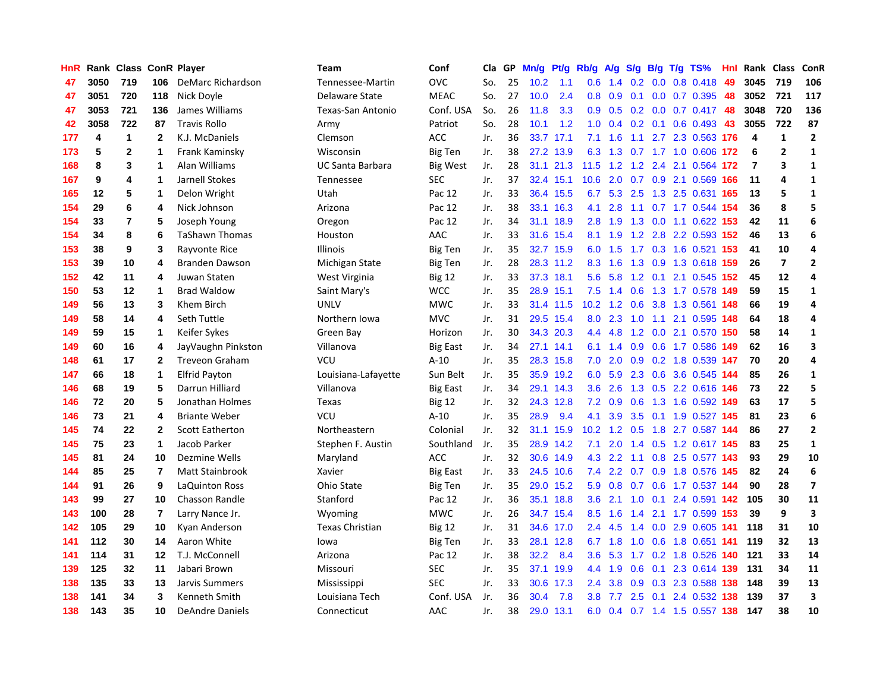| HnR |      |                |              | Rank Class ConR Player | <b>Team</b>             | Conf            | Cla | GP | Mn/g | Pt/g      | Rb/g             | A/g           | S/g           |     | $B/g$ T/g TS%          | Hnl | Rank Class     |                | ConR                     |
|-----|------|----------------|--------------|------------------------|-------------------------|-----------------|-----|----|------|-----------|------------------|---------------|---------------|-----|------------------------|-----|----------------|----------------|--------------------------|
| 47  | 3050 | 719            | 106          | DeMarc Richardson      | Tennessee-Martin        | <b>OVC</b>      | So. | 25 | 10.2 | 1.1       | 0.6              | 1.4           | 0.2           | 0.0 | 0.8 0.418              | 49  | 3045           | 719            | 106                      |
| 47  | 3051 | 720            | 118          | Nick Doyle             | Delaware State          | <b>MEAC</b>     | So. | 27 | 10.0 | 2.4       | 0.8              | 0.9           | 0.1           |     | $0.0$ 0.7 0.395 48     |     | 3052           | 721            | 117                      |
| 47  | 3053 | 721            | 136          | James Williams         | Texas-San Antonio       | Conf. USA       | So. | 26 | 11.8 | 3.3       | 0.9 <sub>0</sub> | 0.5           |               |     | $0.2$ 0.0 0.7 0.417 48 |     | 3048           | 720            | 136                      |
| 42  | 3058 | 722            | 87           | <b>Travis Rollo</b>    | Army                    | Patriot         | So. | 28 | 10.1 | 1.2       | 1.0              | 0.4           |               |     | $0.2$ 0.1 0.6 0.493    | -43 | 3055           | 722            | 87                       |
| 177 | 4    | 1              | $\mathbf{2}$ | K.J. McDaniels         | Clemson                 | ACC             | Jr. | 36 | 33.7 | 17.1      | 7.1              | 1.6           | 1.1           |     | 2.7 2.3 0.563 176      |     | 4              | $\mathbf{1}$   | $\overline{2}$           |
| 173 | 5    | $\overline{2}$ | 1            | Frank Kaminsky         | Wisconsin               | <b>Big Ten</b>  | Jr. | 38 | 27.2 | 13.9      | 6.3              | 1.3           |               |     | 0.7 1.7 1.0 0.606      | 172 | 6              | $\overline{2}$ | $\mathbf{1}$             |
| 168 | 8    | 3              | 1            | Alan Williams          | <b>UC Santa Barbara</b> | <b>Big West</b> | Jr. | 28 | 31.1 | 21.3      | 11.5             | 1.2           | 1.2           |     | 2.4 2.1 0.564          | 172 | $\overline{7}$ | 3              | $\mathbf 1$              |
| 167 | 9    | 4              | 1            | Jarnell Stokes         | Tennessee               | <b>SEC</b>      | Jr. | 37 | 32.4 | 15.1      | 10.6             | 2.0           | 0.7           |     | 0.9 2.1 0.569          | 166 | 11             | 4              | $\mathbf{1}$             |
| 165 | 12   | 5              | 1            | Delon Wright           | Utah                    | Pac 12          | Jr. | 33 | 36.4 | 15.5      | 6.7              | 5.3           |               |     | 2.5 1.3 2.5 0.631 165  |     | 13             | 5              | 1                        |
| 154 | 29   | 6              | 4            | Nick Johnson           | Arizona                 | Pac 12          | Jr. | 38 | 33.1 | 16.3      | 4.1              | 2.8           |               |     | 1.1 0.7 1.7 0.544 154  |     | 36             | 8              | 5                        |
| 154 | 33   | 7              | 5            | Joseph Young           | Oregon                  | Pac 12          | Jr. | 34 |      | 31.1 18.9 | 2.8              | 1.9           |               |     | 1.3 0.0 1.1 0.622 153  |     | 42             | 11             | 6                        |
| 154 | 34   | 8              | 6            | <b>TaShawn Thomas</b>  | Houston                 | AAC             | Jr. | 33 | 31.6 | 15.4      | 8.1              | 1.9           |               |     | 1.2 2.8 2.2 0.593 152  |     | 46             | 13             | 6                        |
| 153 | 38   | 9              | 3            | Rayvonte Rice          | Illinois                | Big Ten         | Jr. | 35 | 32.7 | 15.9      | 6.0              | 1.5           |               |     | 1.7 0.3 1.6 0.521 153  |     | 41             | 10             | 4                        |
| 153 | 39   | 10             | 4            | Branden Dawson         | Michigan State          | <b>Big Ten</b>  | Jr. | 28 | 28.3 | 11.2      | 8.3              | 1.6           | 1.3           |     | 0.9 1.3 0.618 159      |     | 26             | $\overline{7}$ | $\overline{2}$           |
| 152 | 42   | 11             | 4            | Juwan Staten           | West Virginia           | <b>Big 12</b>   | Jr. | 33 | 37.3 | 18.1      | 5.6              | 5.8           |               |     | 1.2 0.1 2.1 0.545 152  |     | 45             | 12             | 4                        |
| 150 | 53   | 12             | 1            | <b>Brad Waldow</b>     | Saint Mary's            | <b>WCC</b>      | Jr. | 35 | 28.9 | 15.1      | 7.5              | 1.4           | 0.6           |     | 1.3 1.7 0.578 149      |     | 59             | 15             | $\mathbf{1}$             |
| 149 | 56   | 13             | 3            | Khem Birch             | <b>UNLV</b>             | <b>MWC</b>      | Jr. | 33 | 31.4 | 11.5      | 10.2             | 1.2           | 0.6           |     | 3.8 1.3 0.561 148      |     | 66             | 19             | 4                        |
| 149 | 58   | 14             | 4            | Seth Tuttle            | Northern Iowa           | <b>MVC</b>      | Jr. | 31 | 29.5 | 15.4      | 8.0              | 2.3           | 1.0           | 1.1 | 2.1 0.595 148          |     | 64             | 18             | 4                        |
| 149 | 59   | 15             | 1            | Keifer Sykes           | Green Bay               | Horizon         | Jr. | 30 |      | 34.3 20.3 | 4.4              | 4.8           |               |     | 1.2 0.0 2.1 0.570 150  |     | 58             | 14             | 1                        |
| 149 | 60   | 16             | 4            | JayVaughn Pinkston     | Villanova               | <b>Big East</b> | Jr. | 34 |      | 27.1 14.1 | 6.1              | 1.4           |               |     | 0.9 0.6 1.7 0.586 149  |     | 62             | 16             | 3                        |
| 148 | 61   | 17             | $\mathbf{2}$ | <b>Treveon Graham</b>  | <b>VCU</b>              | $A-10$          | Jr. | 35 | 28.3 | 15.8      | 7.0              | 2.0           |               |     | 0.9 0.2 1.8 0.539 147  |     | 70             | 20             | 4                        |
| 147 | 66   | 18             | 1            | <b>Elfrid Payton</b>   | Louisiana-Lafayette     | Sun Belt        | Jr. | 35 | 35.9 | 19.2      | 6.0              | 5.9           |               |     | 2.3 0.6 3.6 0.545 144  |     | 85             | 26             | $\mathbf{1}$             |
| 146 | 68   | 19             | 5            | Darrun Hilliard        | Villanova               | Big East        | Jr. | 34 | 29.1 | 14.3      | 3.6              | 2.6           | 1.3           |     | 0.5 2.2 0.616 146      |     | 73             | 22             | 5                        |
| 146 | 72   | 20             | 5            | Jonathan Holmes        | Texas                   | <b>Big 12</b>   | Jr. | 32 | 24.3 | 12.8      | 7.2              | 0.9           | 0.6           |     | 1.3 1.6 0.592 149      |     | 63             | 17             | 5                        |
| 146 | 73   | 21             | 4            | <b>Briante Weber</b>   | VCU                     | $A-10$          | Jr. | 35 | 28.9 | 9.4       | 4.1              | 3.9           | 3.5           |     | 0.1 1.9 0.527 145      |     | 81             | 23             | 6                        |
| 145 | 74   | 22             | $\mathbf{2}$ | <b>Scott Eatherton</b> | Northeastern            | Colonial        | Jr. | 32 | 31.1 | 15.9      | 10.2             | 1.2           | 0.5           |     | 1.8 2.7 0.587 144      |     | 86             | 27             | $\mathbf{2}$             |
| 145 | 75   | 23             | 1            | Jacob Parker           | Stephen F. Austin       | Southland       | Jr. | 35 |      | 28.9 14.2 | 7.1              | 2.0           |               |     | 1.4 0.5 1.2 0.617 145  |     | 83             | 25             | 1                        |
| 145 | 81   | 24             | 10           | Dezmine Wells          | Maryland                | ACC             | Jr. | 32 |      | 30.6 14.9 | 4.3              | 2.2           |               |     | 1.1 0.8 2.5 0.577 143  |     | 93             | 29             | 10                       |
| 144 | 85   | 25             | 7            | Matt Stainbrook        | Xavier                  | <b>Big East</b> | Jr. | 33 | 24.5 | 10.6      | 7.4              | $2.2^{\circ}$ |               |     | 0.7 0.9 1.8 0.576 145  |     | 82             | 24             | 6                        |
| 144 | 91   | 26             | 9            | LaQuinton Ross         | Ohio State              | Big Ten         | Jr. | 35 | 29.0 | 15.2      | 5.9              | 0.8           |               |     | 0.7 0.6 1.7 0.537 144  |     | 90             | 28             | $\overline{\phantom{a}}$ |
| 143 | 99   | 27             | 10           | <b>Chasson Randle</b>  | Stanford                | Pac 12          | Jr. | 36 | 35.1 | 18.8      | 3.6              | 2.1           | 1.0           |     | 0.1 2.4 0.591 142      |     | 105            | 30             | 11                       |
| 143 | 100  | 28             | 7            | Larry Nance Jr.        | Wyoming                 | <b>MWC</b>      | Jr. | 26 | 34.7 | 15.4      | 8.5              | 1.6           | $1.4^{\circ}$ |     | 2.1 1.7 0.599 153      |     | 39             | 9              | $\overline{\mathbf{3}}$  |
| 142 | 105  | 29             | 10           | Kyan Anderson          | <b>Texas Christian</b>  | <b>Big 12</b>   | Jr. | 31 | 34.6 | 17.0      | 2.4              | 4.5           | 1.4           |     | 0.0 2.9 0.605          | 141 | 118            | 31             | 10                       |
| 141 | 112  | 30             | 14           | Aaron White            | lowa                    | Big Ten         | Jr. | 33 | 28.1 | 12.8      |                  | $6.7$ 1.8     | 1.0           |     | 0.6 1.8 0.651 141      |     | 119            | 32             | 13                       |
| 141 | 114  | 31             | 12           | T.J. McConnell         | Arizona                 | Pac 12          | Jr. | 38 | 32.2 | 8.4       | 3.6              | 5.3           | 1.7           |     | 0.2 1.8 0.526 140      |     | 121            | 33             | 14                       |
| 139 | 125  | 32             | 11           | Jabari Brown           | Missouri                | <b>SEC</b>      | Jr. | 35 | 37.1 | 19.9      | 4.4              | 1.9           | 0.6           |     | 0.1 2.3 0.614 139      |     | - 131          | 34             | 11                       |
| 138 | 135  | 33             | 13           | <b>Jarvis Summers</b>  | Mississippi             | <b>SEC</b>      | Jr. | 33 | 30.6 | 17.3      | $2.4\,$          | 3.8           |               |     | 0.9 0.3 2.3 0.588 138  |     | 148            | 39             | 13                       |
| 138 | 141  | 34             | 3            | Kenneth Smith          | Louisiana Tech          | Conf. USA       | Jr. | 36 | 30.4 | 7.8       | 3.8 <sub>2</sub> | 7.7           | 2.5           | 0.1 | 2.4 0.532 138          |     | 139            | 37             | $\overline{\mathbf{3}}$  |
| 138 | 143  | 35             | 10           | DeAndre Daniels        | Connecticut             | <b>AAC</b>      | Jr. | 38 | 29.0 | 13.1      | 6.0              | 0.4           |               |     | 0.7 1.4 1.5 0.557 138  |     | 147            | 38             | 10                       |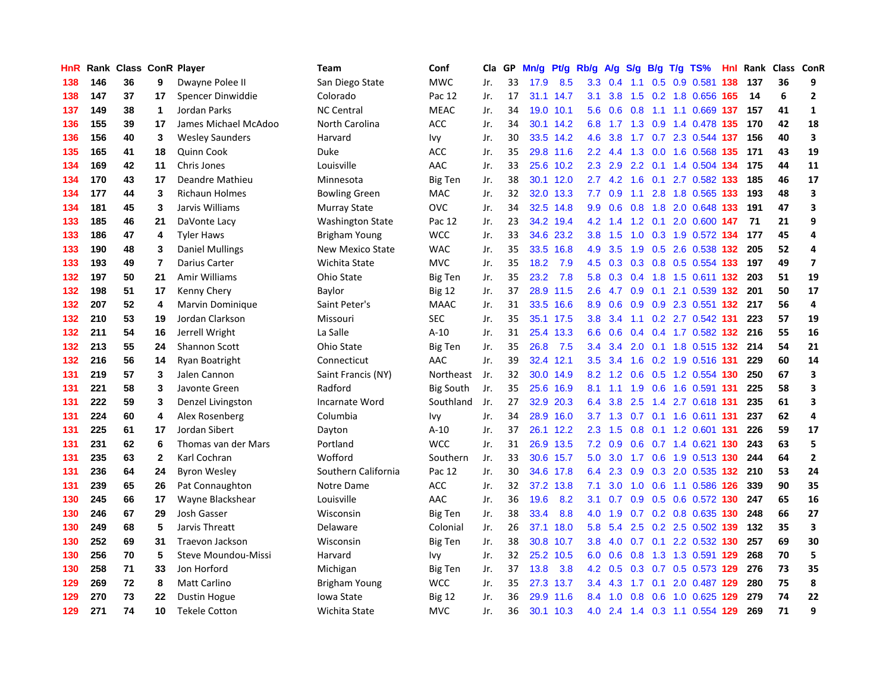| HnR |     | Rank Class ConR Player |                |                        | <b>Team</b>             | Conf             | Cla | GP | Mn/g | Pf/g      | Rb/g             | A/g       | S/g |     | $B/g$ T/g TS%                 |     | Hnl Rank | Class ConR |                         |
|-----|-----|------------------------|----------------|------------------------|-------------------------|------------------|-----|----|------|-----------|------------------|-----------|-----|-----|-------------------------------|-----|----------|------------|-------------------------|
| 138 | 146 | 36                     | 9              | Dwayne Polee II        | San Diego State         | <b>MWC</b>       | Jr. | 33 | 17.9 | 8.5       | 3.3              | 0.4       | 1.1 | 0.5 | 0.9 0.581                     | 138 | 137      | 36         | 9                       |
| 138 | 147 | 37                     | 17             | Spencer Dinwiddie      | Colorado                | Pac 12           | Jr. | 17 | 31.1 | 14.7      | 3.1              | 3.8       |     |     | 1.5 0.2 1.8 0.656 165         |     | 14       | 6          | $\mathbf{2}$            |
| 137 | 149 | 38                     | $\mathbf 1$    | Jordan Parks           | <b>NC Central</b>       | <b>MEAC</b>      | Jr. | 34 | 19.0 | 10.1      | 5.6              |           |     |     | 0.6 0.8 1.1 1.1 0.669 137 157 |     |          | 41         | $\mathbf{1}$            |
| 136 | 155 | 39                     | 17             | James Michael McAdoo   | North Carolina          | <b>ACC</b>       | Jr. | 34 | 30.1 | 14.2      | 6.8              |           |     |     | 1.7 1.3 0.9 1.4 0.478 135     |     | 170      | 42         | 18                      |
| 136 | 156 | 40                     | 3              | <b>Wesley Saunders</b> | Harvard                 | Ivy              | Jr. | 30 | 33.5 | 14.2      | 4.6              | 3.8       |     |     | 1.7 0.7 2.3 0.544 137         |     | 156      | 40         | $\overline{\mathbf{3}}$ |
| 135 | 165 | 41                     | 18             | Quinn Cook             | Duke                    | <b>ACC</b>       | Jr. | 35 | 29.8 | 11.6      | $2.2^{\circ}$    | 4.4       | 1.3 |     | 0.0 1.6 0.568 135             |     | 171      | 43         | 19                      |
| 134 | 169 | 42                     | 11             | Chris Jones            | Louisville              | AAC              | Jr. | 33 | 25.6 | 10.2      | 2.3              | 2.9       |     |     | 2.2 0.1 1.4 0.504 134         |     | 175      | 44         | 11                      |
| 134 | 170 | 43                     | 17             | Deandre Mathieu        | Minnesota               | Big Ten          | Jr. | 38 | 30.1 | 12.0      | $2.7^{\circ}$    | 4.2       | 1.6 |     | 0.1 2.7 0.582 133             |     | 185      | 46         | 17                      |
| 134 | 177 | 44                     | 3              | <b>Richaun Holmes</b>  | <b>Bowling Green</b>    | MAC              | Jr. | 32 | 32.0 | 13.3      | 7.7              | 0.9       | 1.1 |     | 2.8 1.8 0.565 133             |     | 193      | 48         | 3                       |
| 134 | 181 | 45                     | 3              | Jarvis Williams        | Murray State            | <b>OVC</b>       | Jr. | 34 | 32.5 | 14.8      | 9.9              | 0.6       | 0.8 |     | 1.8 2.0 0.648 133             |     | 191      | 47         | 3                       |
| 133 | 185 | 46                     | 21             | DaVonte Lacy           | <b>Washington State</b> | Pac 12           | Jr. | 23 |      | 34.2 19.4 |                  |           |     |     | 4.2 1.4 1.2 0.1 2.0 0.600 147 |     | -71      | 21         | 9                       |
| 133 | 186 | 47                     | 4              | <b>Tyler Haws</b>      | Brigham Young           | <b>WCC</b>       | Jr. | 33 | 34.6 | 23.2      | 3.8 <sub>2</sub> | 1.5       |     |     | 1.0 0.3 1.9 0.572 134         |     | 177      | 45         | 4                       |
| 133 | 190 | 48                     | 3              | <b>Daniel Mullings</b> | <b>New Mexico State</b> | <b>WAC</b>       | Jr. | 35 | 33.5 | 16.8      | 4.9              | 3.5       | 1.9 |     | 0.5 2.6 0.538 132             |     | 205      | 52         | 4                       |
| 133 | 193 | 49                     | $\overline{7}$ | Darius Carter          | Wichita State           | <b>MVC</b>       | Jr. | 35 | 18.2 | 7.9       | 4.5              | 0.3       | 0.3 |     | 0.8 0.5 0.554 133             |     | 197      | 49         | $\overline{ }$          |
| 132 | 197 | 50                     | 21             | Amir Williams          | Ohio State              | Big Ten          | Jr. | 35 | 23.2 | 7.8       | 5.8              | 0.3       |     |     | 0.4 1.8 1.5 0.611 132         |     | 203      | 51         | 19                      |
| 132 | 198 | 51                     | 17             | Kenny Chery            | Baylor                  | <b>Big 12</b>    | Jr. | 37 | 28.9 | 11.5      | 2.6              | 4.7       | 0.9 | 0.1 | 2.1 0.539 132                 |     | 201      | 50         | 17                      |
| 132 | 207 | 52                     | 4              | Marvin Dominique       | Saint Peter's           | <b>MAAC</b>      | Jr. | 31 | 33.5 | 16.6      | 8.9              | 0.6       | 0.9 |     | 0.9 2.3 0.551 132             |     | 217      | 56         | 4                       |
| 132 | 210 | 53                     | 19             | Jordan Clarkson        | Missouri                | <b>SEC</b>       | Jr. | 35 | 35.1 | 17.5      | 3.8              | 3.4       | 1.1 |     | 0.2 2.7 0.542 131             |     | 223      | 57         | 19                      |
| 132 | 211 | 54                     | 16             | Jerrell Wright         | La Salle                | $A-10$           | Jr. | 31 | 25.4 | 13.3      | 6.6              | 0.6       | 0.4 |     | 0.4 1.7 0.582 132 216         |     |          | 55         | 16                      |
| 132 | 213 | 55                     | 24             | Shannon Scott          | Ohio State              | <b>Big Ten</b>   | Jr. | 35 | 26.8 | 7.5       | $3.4^{\circ}$    | 3.4       |     |     | 2.0 0.1 1.8 0.515 132         |     | 214      | 54         | 21                      |
| 132 | 216 | 56                     | 14             | Ryan Boatright         | Connecticut             | AAC              | Jr. | 39 | 32.4 | 12.1      | 3.5              | 3.4       | 1.6 |     | 0.2 1.9 0.516 131             |     | 229      | 60         | 14                      |
| 131 | 219 | 57                     | 3              | Jalen Cannon           | Saint Francis (NY)      | Northeast        | Jr. | 32 | 30.0 | 14.9      | 8.2              | 1.2       | 0.6 |     | 0.5 1.2 0.554 130             |     | 250      | 67         | 3                       |
| 131 | 221 | 58                     | 3              | Javonte Green          | Radford                 | <b>Big South</b> | Jr. | 35 | 25.6 | 16.9      | 8.1              | 1.1       | 1.9 |     | 0.6 1.6 0.591 131             |     | 225      | 58         | 3                       |
| 131 | 222 | 59                     | 3              | Denzel Livingston      | Incarnate Word          | Southland        | Jr. | 27 | 32.9 | 20.3      | 6.4              | 3.8       | 2.5 |     | 1.4 2.7 0.618 131             |     | 235      | 61         | 3                       |
| 131 | 224 | 60                     | 4              | Alex Rosenberg         | Columbia                | Ivy              | Jr. | 34 | 28.9 | 16.0      |                  | $3.7$ 1.3 | 0.7 |     | 0.1 1.6 0.611 131             |     | 237      | 62         | 4                       |
| 131 | 225 | 61                     | 17             | Jordan Sibert          | Dayton                  | $A-10$           | Jr. | 37 | 26.1 | 12.2      | 2.3              | 1.5       | 0.8 |     | 0.1 1.2 0.601 131             |     | 226      | 59         | 17                      |
| 131 | 231 | 62                     | 6              | Thomas van der Mars    | Portland                | <b>WCC</b>       | Jr. | 31 |      | 26.9 13.5 | 7.2              | 0.9       |     |     | 0.6 0.7 1.4 0.621 130         |     | 243      | 63         | 5                       |
| 131 | 235 | 63                     | $\mathbf{2}$   | Karl Cochran           | Wofford                 | Southern         | Jr. | 33 |      | 30.6 15.7 | 5.0              |           |     |     | 3.0 1.7 0.6 1.9 0.513 130     |     | 244      | 64         | $\overline{2}$          |
| 131 | 236 | 64                     | 24             | <b>Byron Wesley</b>    | Southern California     | Pac 12           | Jr. | 30 | 34.6 | 17.8      | 6.4              | 2.3       | 0.9 |     | $0.3$ 2.0 0.535 132           |     | 210      | 53         | 24                      |
| 131 | 239 | 65                     | 26             | Pat Connaughton        | Notre Dame              | <b>ACC</b>       | Jr. | 32 | 37.2 | 13.8      | 7.1              | 3.0       | 1.0 |     | 0.6 1.1 0.586 126             |     | 339      | 90         | 35                      |
| 130 | 245 | 66                     | 17             | Wayne Blackshear       | Louisville              | AAC              | Jr. | 36 | 19.6 | 8.2       | 3.1              | 0.7       | 0.9 |     | 0.5 0.6 0.572 130             |     | 247      | 65         | 16                      |
| 130 | 246 | 67                     | 29             | Josh Gasser            | Wisconsin               | <b>Big Ten</b>   | Jr. | 38 | 33.4 | 8.8       | 4.0              | 1.9       | 0.7 |     | 0.2 0.8 0.635 130             |     | 248      | 66         | 27                      |
| 130 | 249 | 68                     | 5              | Jarvis Threatt         | Delaware                | Colonial         | Jr. | 26 | 37.1 | 18.0      | 5.8              | 5.4       | 2.5 |     | 0.2 2.5 0.502 139             |     | 132      | 35         | 3                       |
| 130 | 252 | 69                     | 31             | Traevon Jackson        | Wisconsin               | Big Ten          | Jr. | 38 | 30.8 | 10.7      | 3.8              | 4.0       | 0.7 | 0.1 | 2.2 0.532 130                 |     | 257      | 69         | 30                      |
| 130 | 256 | 70                     | 5              | Steve Moundou-Missi    | Harvard                 | Ivy              | Jr. | 32 | 25.2 | 10.5      | 6.0              | 0.6       | 0.8 |     | 1.3 1.3 0.591 129             |     | 268      | 70         | 5                       |
| 130 | 258 | 71                     | 33             | Jon Horford            | Michigan                | Big Ten          | Jr. | 37 | 13.8 | 3.8       | 4.2              | 0.5       |     |     | 0.3 0.7 0.5 0.573 129         |     | 276      | 73         | 35                      |
| 129 | 269 | 72                     | 8              | <b>Matt Carlino</b>    | Brigham Young           | <b>WCC</b>       | Jr. | 35 | 27.3 | 13.7      | $3.4^{\circ}$    | 4.3       | 1.7 |     | $0.1$ 2.0 0.487 129           |     | 280      | 75         | 8                       |
| 129 | 270 | 73                     | 22             | Dustin Hogue           | Iowa State              | <b>Big 12</b>    | Jr. | 36 | 29.9 | 11.6      | 8.4              | 1.0       | 0.8 |     | 0.6 1.0 0.625 129             |     | 279      | 74         | 22                      |
| 129 | 271 | 74                     | 10             | <b>Tekele Cotton</b>   | Wichita State           | <b>MVC</b>       | Jr. | 36 | 30.1 | 10.3      | 4.0              |           |     |     | 2.4 1.4 0.3 1.1 0.554 129     |     | 269      | 71         | 9                       |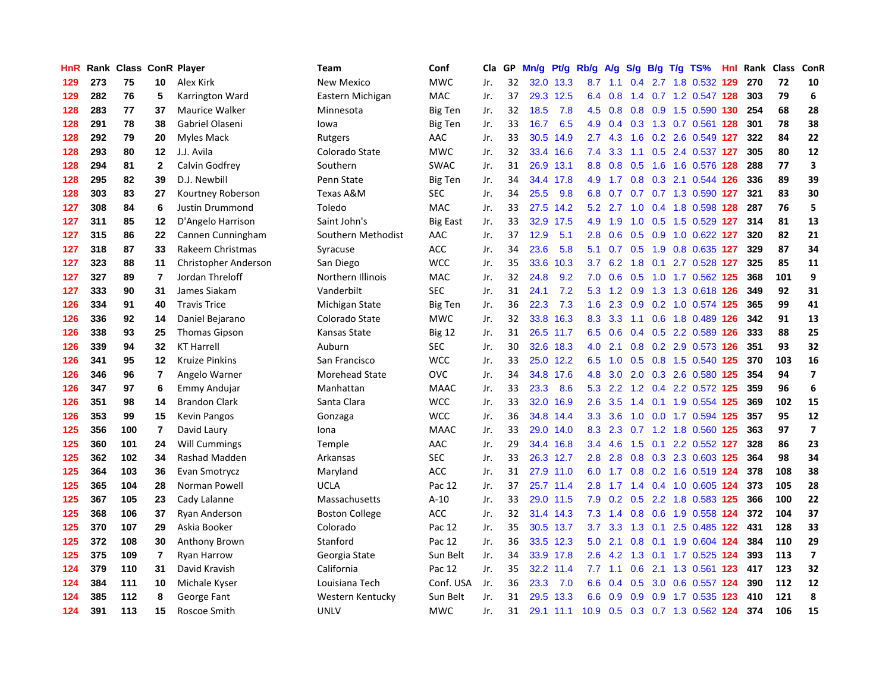| HnR |     | Rank Class ConR Player |                         |                       | <b>Team</b>           | Conf            | Cla | GP | Mn/g | Pt/g      | Rb/g             | A/g | <b>S/g</b> |     | $B/g$ T/g TS%             | Hnl Rank | Class | ConR                    |
|-----|-----|------------------------|-------------------------|-----------------------|-----------------------|-----------------|-----|----|------|-----------|------------------|-----|------------|-----|---------------------------|----------|-------|-------------------------|
| 129 | 273 | 75                     | 10                      | Alex Kirk             | <b>New Mexico</b>     | <b>MWC</b>      | Jr. | 32 | 32.0 | 13.3      | 8.7              | 1.1 | 0.4        |     | 2.7 1.8 0.532 129         | 270      | 72    | 10                      |
| 129 | 282 | 76                     | 5                       | Karrington Ward       | Eastern Michigan      | <b>MAC</b>      | Jr. | 37 |      | 29.3 12.5 | 6.4              | 0.8 | 1.4        |     | 0.7 1.2 0.547 128         | 303      | 79    | 6                       |
| 128 | 283 | 77                     | 37                      | <b>Maurice Walker</b> | Minnesota             | <b>Big Ten</b>  | Jr. | 32 | 18.5 | 7.8       | 4.5              | 0.8 |            |     | 0.8 0.9 1.5 0.590 130     | 254      | 68    | 28                      |
| 128 | 291 | 78                     | 38                      | Gabriel Olaseni       | lowa                  | <b>Big Ten</b>  | Jr. | 33 | 16.7 | 6.5       | 4.9              | 0.4 |            |     | 0.3 1.3 0.7 0.561 128     | 301      | 78    | 38                      |
| 128 | 292 | 79                     | 20                      | Myles Mack            | Rutgers               | AAC             | Jr. | 33 | 30.5 | 14.9      | 2.7              | 4.3 | 1.6        |     | 0.2 2.6 0.549 127         | 322      | 84    | 22                      |
| 128 | 293 | 80                     | 12                      | J.J. Avila            | Colorado State        | <b>MWC</b>      | Jr. | 32 | 33.4 | 16.6      | 7.4              | 3.3 | 1.1        |     | 0.5 2.4 0.537 127         | 305      | 80    | 12                      |
| 128 | 294 | 81                     | $\mathbf 2$             | Calvin Godfrey        | Southern              | <b>SWAC</b>     | Jr. | 31 | 26.9 | 13.1      | 8.8              | 0.8 | 0.5        |     | 1.6 1.6 0.576 128         | 288      | 77    | 3                       |
| 128 | 295 | 82                     | 39                      | D.J. Newbill          | Penn State            | Big Ten         | Jr. | 34 | 34.4 | 17.8      | 4.9              | 1.7 | 0.8        |     | 0.3 2.1 0.544 126         | 336      | 89    | 39                      |
| 128 | 303 | 83                     | 27                      | Kourtney Roberson     | Texas A&M             | <b>SEC</b>      | Jr. | 34 | 25.5 | 9.8       | 6.8              | 0.7 | 0.7        |     | 0.7 1.3 0.590 127         | 321      | 83    | 30                      |
| 127 | 308 | 84                     | 6                       | Justin Drummond       | Toledo                | <b>MAC</b>      | Jr. | 33 | 27.5 | 14.2      | 5.2              | 2.7 | 1.0        |     | 0.4 1.8 0.598 128         | 287      | 76    | 5                       |
| 127 | 311 | 85                     | 12                      | D'Angelo Harrison     | Saint John's          | <b>Big East</b> | Jr. | 33 |      | 32.9 17.5 | 4.9              |     |            |     | 1.9 1.0 0.5 1.5 0.529 127 | 314      | 81    | 13                      |
| 127 | 315 | 86                     | 22                      | Cannen Cunningham     | Southern Methodist    | AAC             | Jr. | 37 | 12.9 | 5.1       | 2.8              |     |            |     | 0.6 0.5 0.9 1.0 0.622 127 | 320      | 82    | 21                      |
| 127 | 318 | 87                     | 33                      | Rakeem Christmas      | Syracuse              | <b>ACC</b>      | Jr. | 34 | 23.6 | 5.8       | 5.1              |     |            |     | 0.7 0.5 1.9 0.8 0.635 127 | 329      | 87    | 34                      |
| 127 | 323 | 88                     | 11                      | Christopher Anderson  | San Diego             | <b>WCC</b>      | Jr. | 35 | 33.6 | 10.3      | 3.7              | 6.2 | 1.8        |     | $0.1$ 2.7 0.528 127       | 325      | 85    | 11                      |
| 127 | 327 | 89                     | $\overline{7}$          | Jordan Threloff       | Northern Illinois     | <b>MAC</b>      | Jr. | 32 | 24.8 | 9.2       | 7.0              | 0.6 | 0.5        |     | 1.0 1.7 0.562 125         | 368      | 101   | 9                       |
| 127 | 333 | 90                     | 31                      | James Siakam          | Vanderbilt            | <b>SEC</b>      | Jr. | 31 | 24.1 | 7.2       | 5.3              | 1.2 | 0.9        |     | 1.3 1.3 0.618 126         | 349      | 92    | 31                      |
| 126 | 334 | 91                     | 40                      | <b>Travis Trice</b>   | Michigan State        | Big Ten         | Jr. | 36 | 22.3 | 7.3       | 1.6              | 2.3 | 0.9        |     | 0.2 1.0 0.574 125         | 365      | 99    | 41                      |
| 126 | 336 | 92                     | 14                      | Daniel Bejarano       | Colorado State        | <b>MWC</b>      | Jr. | 32 | 33.8 | 16.3      | 8.3              | 3.3 | 1.1        |     | 0.6 1.8 0.489 126         | 342      | 91    | 13                      |
| 126 | 338 | 93                     | 25                      | <b>Thomas Gipson</b>  | Kansas State          | <b>Big 12</b>   | Jr. | 31 |      | 26.5 11.7 | 6.5              | 0.6 | 0.4        |     | 0.5 2.2 0.589 126         | 333      | 88    | 25                      |
| 126 | 339 | 94                     | 32                      | <b>KT Harrell</b>     | Auburn                | <b>SEC</b>      | Jr. | 30 |      | 32.6 18.3 | 4.0              | 2.1 |            |     | 0.8 0.2 2.9 0.573 126     | 351      | 93    | 32                      |
| 126 | 341 | 95                     | 12                      | Kruize Pinkins        | San Francisco         | <b>WCC</b>      | Jr. | 33 |      | 25.0 12.2 | 6.5              | 1.0 | 0.5        |     | 0.8 1.5 0.540 125         | 370      | 103   | 16                      |
| 126 | 346 | 96                     | $\overline{\mathbf{r}}$ | Angelo Warner         | Morehead State        | OVC             | Jr. | 34 | 34.8 | 17.6      | 4.8              | 3.0 | 2.0        |     | 0.3 2.6 0.580 125         | 354      | 94    | $\overline{\mathbf{z}}$ |
| 126 | 347 | 97                     | 6                       | <b>Emmy Andujar</b>   | Manhattan             | <b>MAAC</b>     | Jr. | 33 | 23.3 | 8.6       | 5.3              | 2.2 | 1.2        |     | 0.4 2.2 0.572 125         | 359      | 96    | 6                       |
| 126 | 351 | 98                     | 14                      | <b>Brandon Clark</b>  | Santa Clara           | <b>WCC</b>      | Jr. | 33 | 32.0 | 16.9      | 2.6              | 3.5 | 1.4        |     | 0.1 1.9 0.554 125         | 369      | 102   | 15                      |
| 126 | 353 | 99                     | 15                      | <b>Kevin Pangos</b>   | Gonzaga               | <b>WCC</b>      | Jr. | 36 | 34.8 | 14.4      | 3.3 <sub>2</sub> | 3.6 | 1.0        |     | 0.0 1.7 0.594 125         | 357      | 95    | 12                      |
| 125 | 356 | 100                    | 7                       | David Laury           | Iona                  | <b>MAAC</b>     | Jr. | 33 | 29.0 | 14.0      | 8.3              | 2.3 |            |     | 0.7 1.2 1.8 0.560 125     | 363      | 97    | $\overline{7}$          |
| 125 | 360 | 101                    | 24                      | <b>Will Cummings</b>  | Temple                | AAC             | Jr. | 29 |      | 34.4 16.8 | $3.4^{\circ}$    | 4.6 |            |     | 1.5 0.1 2.2 0.552 127     | 328      | 86    | 23                      |
| 125 | 362 | 102                    | 34                      | <b>Rashad Madden</b>  | Arkansas              | <b>SEC</b>      | Jr. | 33 |      | 26.3 12.7 | 2.8              | 2.8 |            |     | 0.8 0.3 2.3 0.603 125     | 364      | 98    | 34                      |
| 125 | 364 | 103                    | 36                      | Evan Smotrycz         | Maryland              | <b>ACC</b>      | Jr. | 31 |      | 27.9 11.0 | 6.0              | 1.7 |            |     | 0.8 0.2 1.6 0.519 124     | 378      | 108   | 38                      |
| 125 | 365 | 104                    | 28                      | Norman Powell         | <b>UCLA</b>           | Pac 12          | Jr. | 37 |      | 25.7 11.4 | 2.8              | 1.7 | 1.4        |     | 0.4 1.0 0.605 124         | 373      | 105   | 28                      |
| 125 | 367 | 105                    | 23                      | Cady Lalanne          | Massachusetts         | $A-10$          | Jr. | 33 |      | 29.0 11.5 | 7.9              | 0.2 | 0.5        |     | 2.2 1.8 0.583 125         | 366      | 100   | 22                      |
| 125 | 368 | 106                    | 37                      | Ryan Anderson         | <b>Boston College</b> | ACC             | Jr. | 32 | 31.4 | 14.3      | 7.3              | 1.4 | 0.8        |     | 0.6 1.9 0.558 124         | 372      | 104   | 37                      |
| 125 | 370 | 107                    | 29                      | Askia Booker          | Colorado              | Pac 12          | Jr. | 35 | 30.5 | 13.7      | 3.7              | 3.3 | 1.3        | 0.1 | 2.5 0.485 122             | 431      | 128   | 33                      |
| 125 | 372 | 108                    | 30                      | Anthony Brown         | Stanford              | Pac 12          | Jr. | 36 | 33.5 | 12.3      | 5.0              | 2.1 | 0.8        |     | 0.1 1.9 0.604 124         | 384      | 110   | 29                      |
| 125 | 375 | 109                    | $\overline{7}$          | <b>Ryan Harrow</b>    | Georgia State         | Sun Belt        | Jr. | 34 |      | 33.9 17.8 | 2.6              | 4.2 | 1.3        |     | $0.1$ 1.7 $0.525$ 124     | 393      | 113   | $\overline{\mathbf{z}}$ |
| 124 | 379 | 110                    | 31                      | David Kravish         | California            | Pac 12          | Jr. | 35 |      | 32.2 11.4 | 7.7              | 1.1 | 0.6        |     | 2.1 1.3 0.561 123         | 417      | 123   | 32                      |
| 124 | 384 | 111                    | 10                      | Michale Kyser         | Louisiana Tech        | Conf. USA       | Jr. | 36 | 23.3 | 7.0       | 6.6              | 0.4 | 0.5        |     | 3.0 0.6 0.557 124         | 390      | 112   | 12                      |
| 124 | 385 | 112                    | 8                       | George Fant           | Western Kentucky      | Sun Belt        | Jr. | 31 | 29.5 | 13.3      | 6.6              | 0.9 | 0.9        |     | 0.9 1.7 0.535 123         | 410      | 121   | 8                       |
| 124 | 391 | 113                    | 15                      | Roscoe Smith          | <b>UNLV</b>           | <b>MWC</b>      | Jr. | 31 |      | 29.1 11.1 | 10.9             | 0.5 |            |     | 0.3 0.7 1.3 0.562 124     | 374      | 106   | 15                      |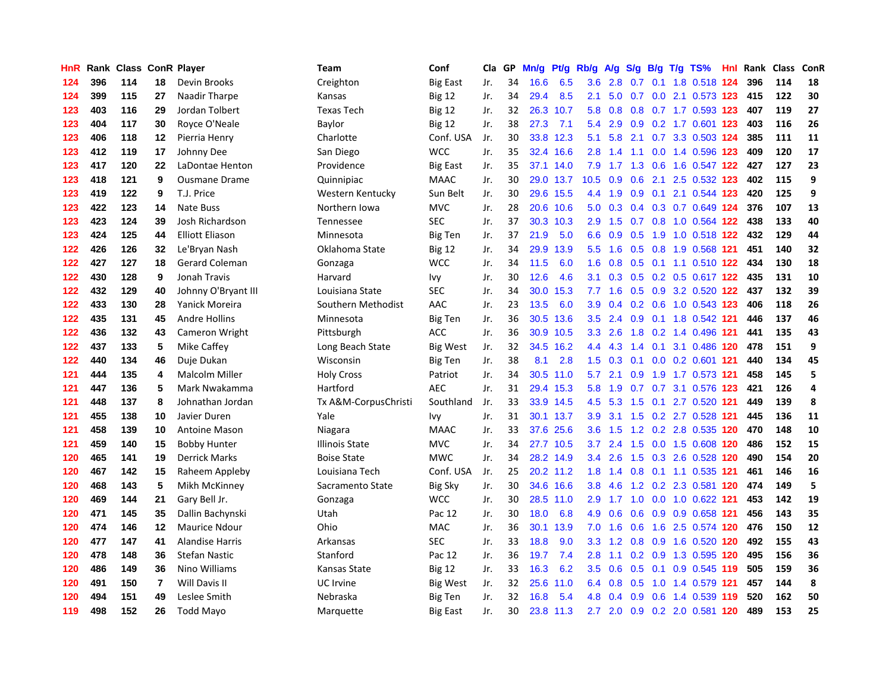| HnR |     | Rank Class ConR Player |                |                        | <b>Team</b>           | Conf            | Cla | GP | Mn/g | Pf/g      | Rb/g             | A/g | S/g | B/g              | $T/g$ TS%                     |     | Hnl Rank | <b>Class</b> | ConR |
|-----|-----|------------------------|----------------|------------------------|-----------------------|-----------------|-----|----|------|-----------|------------------|-----|-----|------------------|-------------------------------|-----|----------|--------------|------|
| 124 | 396 | 114                    | 18             | Devin Brooks           | Creighton             | <b>Big East</b> | Jr. | 34 | 16.6 | 6.5       | 3.6              | 2.8 | 0.7 |                  | 0.1 1.8 0.518 124             |     | 396      | 114          | 18   |
| 124 | 399 | 115                    | 27             | Naadir Tharpe          | Kansas                | <b>Big 12</b>   | Jr. | 34 | 29.4 | 8.5       | 2.1              | 5.0 | 0.7 |                  | $0.0$ 2.1 0.573 123           |     | 415      | 122          | 30   |
| 123 | 403 | 116                    | 29             | Jordan Tolbert         | <b>Texas Tech</b>     | <b>Big 12</b>   | Jr. | 32 | 26.3 | 10.7      | 5.8              | 0.8 |     |                  | 0.8 0.7 1.7 0.593 123         |     | 407      | 119          | 27   |
| 123 | 404 | 117                    | 30             | Royce O'Neale          | Baylor                | <b>Big 12</b>   | Jr. | 38 | 27.3 | 7.1       | 5.4              | 2.9 | 0.9 |                  | 0.2 1.7 0.601 123             |     | 403      | 116          | 26   |
| 123 | 406 | 118                    | 12             | Pierria Henry          | Charlotte             | Conf. USA       | Jr. | 30 | 33.8 | 12.3      | 5.1              | 5.8 | 2.1 |                  | 0.7 3.3 0.503 124             |     | 385      | 111          | 11   |
| 123 | 412 | 119                    | 17             | Johnny Dee             | San Diego             | <b>WCC</b>      | Jr. | 35 | 32.4 | 16.6      | 2.8              | 1.4 | 1.1 |                  | 0.0 1.4 0.596 123             |     | 409      | 120          | 17   |
| 123 | 417 | 120                    | 22             | LaDontae Henton        | Providence            | <b>Big East</b> | Jr. | 35 | 37.1 | 14.0      | 7.9              | 1.7 | 1.3 |                  | 0.6 1.6 0.547 122             |     | 427      | 127          | 23   |
| 123 | 418 | 121                    | 9              | <b>Ousmane Drame</b>   | Quinnipiac            | <b>MAAC</b>     | Jr. | 30 | 29.0 | 13.7      | 10.5             | 0.9 | 0.6 |                  | 2.1 2.5 0.532 123             |     | 402      | 115          | 9    |
| 123 | 419 | 122                    | 9              | T.J. Price             | Western Kentucky      | Sun Belt        | Jr. | 30 | 29.6 | 15.5      | 4.4              | 1.9 | 0.9 |                  | 0.1 2.1 0.544 123             |     | 420      | 125          | 9    |
| 123 | 422 | 123                    | 14             | Nate Buss              | Northern Iowa         | <b>MVC</b>      | Jr. | 28 | 20.6 | 10.6      | 5.0              | 0.3 | 0.4 |                  | 0.3 0.7 0.649 124             |     | 376      | 107          | 13   |
| 123 | 423 | 124                    | 39             | Josh Richardson        | Tennessee             | <b>SEC</b>      | Jr. | 37 |      | 30.3 10.3 | 2.9              | 1.5 |     |                  | 0.7 0.8 1.0 0.564 122         |     | 438      | 133          | 40   |
| 123 | 424 | 125                    | 44             | <b>Elliott Eliason</b> | Minnesota             | <b>Big Ten</b>  | Jr. | 37 | 21.9 | 5.0       | 6.6              | 0.9 |     |                  | 0.5 1.9 1.0 0.518 122         |     | 432      | 129          | 44   |
| 122 | 426 | 126                    | 32             | Le'Bryan Nash          | Oklahoma State        | Big 12          | Jr. | 34 | 29.9 | 13.9      | 5.5 <sub>1</sub> | 1.6 | 0.5 |                  | 0.8 1.9 0.568 121             |     | 451      | 140          | 32   |
| 122 | 427 | 127                    | 18             | Gerard Coleman         | Gonzaga               | <b>WCC</b>      | Jr. | 34 | 11.5 | 6.0       | 1.6              | 0.8 | 0.5 |                  | 0.1 1.1 0.510 122             |     | 434      | 130          | 18   |
| 122 | 430 | 128                    | 9              | Jonah Travis           | Harvard               | Ivy             | Jr. | 30 | 12.6 | 4.6       | 3.1              | 0.3 | 0.5 |                  | 0.2 0.5 0.617 122             |     | 435      | 131          | 10   |
| 122 | 432 | 129                    | 40             | Johnny O'Bryant III    | Louisiana State       | <b>SEC</b>      | Jr. | 34 | 30.0 | 15.3      | 7.7              | 1.6 | 0.5 | 0.9 <sup>°</sup> | 3.2 0.520 122                 |     | 437      | 132          | 39   |
| 122 | 433 | 130                    | 28             | Yanick Moreira         | Southern Methodist    | AAC             | Jr. | 23 | 13.5 | 6.0       | 3.9 <sup>°</sup> | 0.4 | 0.2 |                  | 0.6 1.0 0.543 123             |     | 406      | 118          | 26   |
| 122 | 435 | 131                    | 45             | <b>Andre Hollins</b>   | Minnesota             | Big Ten         | Jr. | 36 | 30.5 | 13.6      | 3.5              | 2.4 | 0.9 |                  | 0.1 1.8 0.542 121             |     | 446      | 137          | 46   |
| 122 | 436 | 132                    | 43             | Cameron Wright         | Pittsburgh            | <b>ACC</b>      | Jr. | 36 | 30.9 | 10.5      | 3.3              | 2.6 |     |                  | 1.8 0.2 1.4 0.496 121         |     | 441      | 135          | 43   |
| 122 | 437 | 133                    | 5              | Mike Caffey            | Long Beach State      | Big West        | Jr. | 32 | 34.5 | 16.2      | 4.4              | 4.3 |     |                  | 1.4 0.1 3.1 0.486 120         |     | 478      | 151          | 9    |
| 122 | 440 | 134                    | 46             | Duje Dukan             | Wisconsin             | <b>Big Ten</b>  | Jr. | 38 | 8.1  | 2.8       | 1.5              | 0.3 | 0.1 |                  | $0.0$ 0.2 0.601 121           |     | 440      | 134          | 45   |
| 121 | 444 | 135                    | 4              | <b>Malcolm Miller</b>  | <b>Holy Cross</b>     | Patriot         | Jr. | 34 | 30.5 | 11.0      | 5.7              | 2.1 | 0.9 |                  | 1.9 1.7 0.573 121             |     | 458      | 145          | 5    |
| 121 | 447 | 136                    | 5              | Mark Nwakamma          | Hartford              | <b>AEC</b>      | Jr. | 31 | 29.4 | 15.3      | 5.8              | 1.9 | 0.7 |                  | 0.7 3.1 0.576 123             |     | 421      | 126          | 4    |
| 121 | 448 | 137                    | 8              | Johnathan Jordan       | Tx A&M-CorpusChristi  | Southland       | Jr. | 33 | 33.9 | 14.5      | 4.5              | 5.3 | 1.5 | 0.1              | 2.7 0.520                     | 121 | 449      | 139          | 8    |
| 121 | 455 | 138                    | 10             | Javier Duren           | Yale                  | Ivy             | Jr. | 31 | 30.1 | 13.7      | 3.9 <sup>°</sup> | 3.1 | 1.5 |                  | 0.2 2.7 0.528 121             |     | 445      | 136          | 11   |
| 121 | 458 | 139                    | 10             | <b>Antoine Mason</b>   | Niagara               | <b>MAAC</b>     | Jr. | 33 | 37.6 | 25.6      | $3.6^{\circ}$    | 1.5 | 1.2 |                  | 0.2 2.8 0.535 120             |     | 470      | 148          | 10   |
| 121 | 459 | 140                    | 15             | <b>Bobby Hunter</b>    | <b>Illinois State</b> | <b>MVC</b>      | Jr. | 34 |      | 27.7 10.5 | 3.7              | 2.4 |     |                  | 1.5 0.0 1.5 0.608 120         |     | 486      | 152          | 15   |
| 120 | 465 | 141                    | 19             | <b>Derrick Marks</b>   | <b>Boise State</b>    | <b>MWC</b>      | Jr. | 34 |      | 28.2 14.9 | 3.4              | 2.6 |     |                  | 1.5 0.3 2.6 0.528 120         |     | 490      | 154          | 20   |
| 120 | 467 | 142                    | 15             | Raheem Appleby         | Louisiana Tech        | Conf. USA       | Jr. | 25 | 20.2 | 11.2      | 1.8              | 1.4 | 0.8 |                  | 0.1 1.1 0.535 121             |     | 461      | 146          | 16   |
| 120 | 468 | 143                    | 5              | Mikh McKinney          | Sacramento State      | <b>Big Sky</b>  | Jr. | 30 | 34.6 | 16.6      | 3.8              | 4.6 | 1.2 |                  | 0.2 2.3 0.581 120             |     | 474      | 149          | 5    |
| 120 | 469 | 144                    | 21             | Gary Bell Jr.          | Gonzaga               | <b>WCC</b>      | Jr. | 30 | 28.5 | 11.0      | 2.9              | 1.7 | 1.0 |                  | 0.0 1.0 0.622 121             |     | 453      | 142          | 19   |
| 120 | 471 | 145                    | 35             | Dallin Bachynski       | Utah                  | Pac 12          | Jr. | 30 | 18.0 | 6.8       | 4.9              | 0.6 | 0.6 |                  | 0.9 0.9 0.658 121             |     | 456      | 143          | 35   |
| 120 | 474 | 146                    | 12             | Maurice Ndour          | Ohio                  | MAC             | Jr. | 36 | 30.1 | 13.9      | 7.0              | 1.6 | 0.6 | 1.6              | 2.5 0.574 120                 |     | 476      | 150          | 12   |
| 120 | 477 | 147                    | 41             | <b>Alandise Harris</b> | Arkansas              | <b>SEC</b>      | Jr. | 33 | 18.8 | 9.0       | 3.3              | 1.2 | 0.8 |                  | 0.9 1.6 0.520 120             |     | 492      | 155          | 43   |
| 120 | 478 | 148                    | 36             | <b>Stefan Nastic</b>   | Stanford              | Pac 12          | Jr. | 36 | 19.7 | 7.4       | 2.8              | 1.1 |     |                  | 0.2 0.9 1.3 0.595 120         |     | 495      | 156          | 36   |
| 120 | 486 | 149                    | 36             | Nino Williams          | Kansas State          | <b>Big 12</b>   | Jr. | 33 | 16.3 | 6.2       | 3.5              | 0.6 | 0.5 |                  | 0.1 0.9 0.545 119             |     | 505      | 159          | 36   |
| 120 | 491 | 150                    | $\overline{7}$ | Will Davis II          | UC Irvine             | Big West        | Jr. | 32 | 25.6 | 11.0      | 6.4              | 0.8 | 0.5 |                  | 1.0 1.4 0.579 <b>121</b>      |     | 457      | 144          | 8    |
| 120 | 494 | 151                    | 49             | Leslee Smith           | Nebraska              | Big Ten         | Jr. | 32 | 16.8 | 5.4       | 4.8              | 0.4 | 0.9 |                  | 0.6 1.4 0.539 119             |     | 520      | 162          | 50   |
| 119 | 498 | 152                    | 26             | <b>Todd Mayo</b>       | Marquette             | <b>Big East</b> | Jr. | 30 | 23.8 | 11.3      |                  |     |     |                  | 2.7 2.0 0.9 0.2 2.0 0.581 120 |     | 489      | 153          | 25   |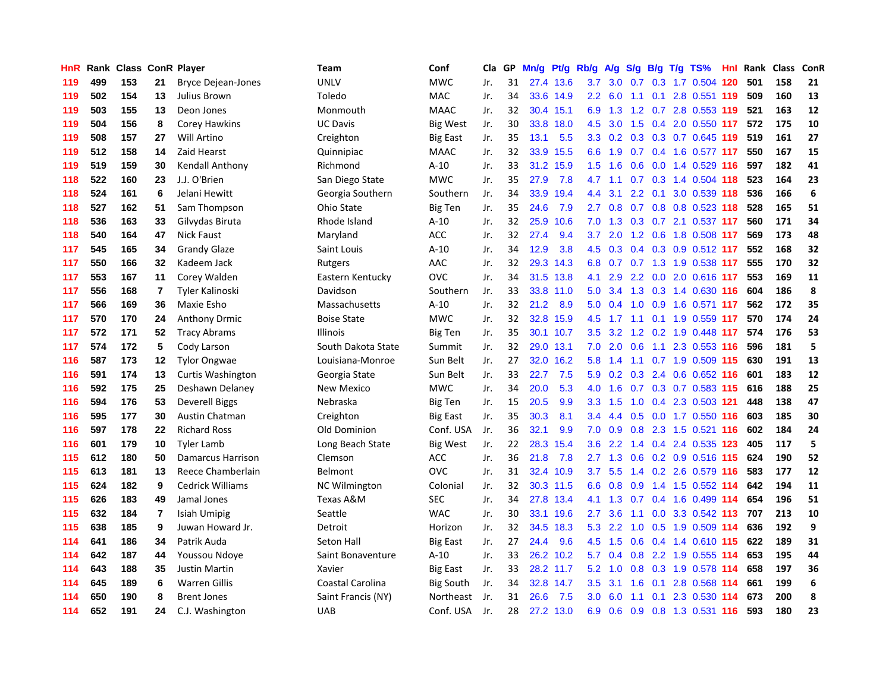| HnR |     | Rank Class ConR Player |                |                           | Team                 | Conf            | Cla | GP | Mn/g | Pt/g      | Rb/g             | A/g | S/g             |     | $B/g$ T/g TS%                 | Hnl | Rank | <b>Class</b> | ConR |
|-----|-----|------------------------|----------------|---------------------------|----------------------|-----------------|-----|----|------|-----------|------------------|-----|-----------------|-----|-------------------------------|-----|------|--------------|------|
| 119 | 499 | 153                    | 21             | <b>Bryce Dejean-Jones</b> | <b>UNLV</b>          | <b>MWC</b>      | Jr. | 31 | 27.4 | 13.6      | 3.7              | 3.0 | 0.7             |     | 0.3 1.7 0.504 120             |     | 501  | 158          | 21   |
| 119 | 502 | 154                    | 13             | Julius Brown              | Toledo               | <b>MAC</b>      | Jr. | 34 |      | 33.6 14.9 | $2.2\phantom{0}$ | 6.0 | 1.1             |     | 0.1 2.8 0.551 119             |     | 509  | 160          | 13   |
| 119 | 503 | 155                    | 13             | Deon Jones                | Monmouth             | <b>MAAC</b>     | Jr. | 32 |      | 30.4 15.1 | 6.9              | 1.3 |                 |     | 1.2 0.7 2.8 0.553 119         |     | 521  | 163          | 12   |
| 119 | 504 | 156                    | 8              | Corey Hawkins             | <b>UC Davis</b>      | <b>Big West</b> | Jr. | 30 | 33.8 | 18.0      | 4.5              |     | $3.0 \quad 1.5$ |     | 0.4 2.0 0.550 117             |     | 572  | 175          | 10   |
| 119 | 508 | 157                    | 27             | Will Artino               | Creighton            | Big East        | Jr. | 35 | 13.1 | 5.5       | 3.3              | 0.2 | 0.3             |     | 0.3 0.7 0.645 119             |     | 519  | 161          | 27   |
| 119 | 512 | 158                    | 14             | Zaid Hearst               | Quinnipiac           | <b>MAAC</b>     | Jr. | 32 | 33.9 | 15.5      | 6.6              | 1.9 | 0.7             |     | 0.4 1.6 0.577 117             |     | 550  | 167          | 15   |
| 119 | 519 | 159                    | 30             | Kendall Anthony           | Richmond             | $A-10$          | Jr. | 33 | 31.2 | 15.9      | 1.5              | 1.6 | 0.6             |     | 0.0 1.4 0.529 116             |     | 597  | 182          | 41   |
| 118 | 522 | 160                    | 23             | J.J. O'Brien              | San Diego State      | <b>MWC</b>      | Jr. | 35 | 27.9 | 7.8       | 4.7              | 1.1 | 0.7             |     | 0.3 1.4 0.504 118             |     | 523  | 164          | 23   |
| 118 | 524 | 161                    | 6              | Jelani Hewitt             | Georgia Southern     | Southern        | Jr. | 34 | 33.9 | 19.4      | 4.4              | 3.1 | 2.2             | 0.1 | 3.0 0.539 118                 |     | 536  | 166          | 6    |
| 118 | 527 | 162                    | 51             | Sam Thompson              | Ohio State           | <b>Big Ten</b>  | Jr. | 35 | 24.6 | 7.9       | 2.7              | 0.8 | 0.7             |     | 0.8 0.8 0.523 118             |     | 528  | 165          | 51   |
| 118 | 536 | 163                    | 33             | Gilvydas Biruta           | Rhode Island         | $A-10$          | Jr. | 32 | 25.9 | 10.6      | 7.0              |     |                 |     | 1.3 0.3 0.7 2.1 0.537 117     |     | 560  | 171          | 34   |
| 118 | 540 | 164                    | 47             | <b>Nick Faust</b>         | Maryland             | <b>ACC</b>      | Jr. | 32 | 27.4 | 9.4       | 3.7              |     |                 |     | 2.0 1.2 0.6 1.8 0.508 117     |     | 569  | 173          | 48   |
| 117 | 545 | 165                    | 34             | <b>Grandy Glaze</b>       | Saint Louis          | $A-10$          | Jr. | 34 | 12.9 | 3.8       | 4.5              | 0.3 |                 |     | $0.4$ $0.3$ $0.9$ $0.512$ 117 |     | 552  | 168          | 32   |
| 117 | 550 | 166                    | 32             | Kadeem Jack               | Rutgers              | AAC             | Jr. | 32 | 29.3 | 14.3      | 6.8              | 0.7 |                 |     | 0.7 1.3 1.9 0.538 117         |     | 555  | 170          | 32   |
| 117 | 553 | 167                    | 11             | Corey Walden              | Eastern Kentucky     | OVC             | Jr. | 34 | 31.5 | 13.8      | 4.1              | 2.9 | 2.2             |     | 0.0 2.0 0.616 117             |     | 553  | 169          | 11   |
| 117 | 556 | 168                    | $\overline{7}$ | Tyler Kalinoski           | Davidson             | Southern        | Jr. | 33 | 33.8 | 11.0      | 5.0              | 3.4 | 1.3             |     | 0.3 1.4 0.630 116             |     | 604  | 186          | 8    |
| 117 | 566 | 169                    | 36             | Maxie Esho                | Massachusetts        | A-10            | Jr. | 32 | 21.2 | 8.9       | 5.0              | 0.4 | 1.0             |     | 0.9 1.6 0.571 117             |     | 562  | 172          | 35   |
| 117 | 570 | 170                    | 24             | <b>Anthony Drmic</b>      | <b>Boise State</b>   | <b>MWC</b>      | Jr. | 32 | 32.8 | 15.9      | 4.5              | 1.7 | 1.1             |     | 0.1 1.9 0.559 117             |     | 570  | 174          | 24   |
| 117 | 572 | 171                    | 52             | <b>Tracy Abrams</b>       | <b>Illinois</b>      | <b>Big Ten</b>  | Jr. | 35 | 30.1 | 10.7      | 3.5              | 3.2 |                 |     | 1.2 0.2 1.9 0.448 117         |     | 574  | 176          | 53   |
| 117 | 574 | 172                    | 5              | Cody Larson               | South Dakota State   | Summit          | Jr. | 32 | 29.0 | 13.1      | 7.0              | 2.0 | 0.6             |     | 1.1 2.3 0.553 116             |     | 596  | 181          | 5    |
| 116 | 587 | 173                    | 12             | <b>Tylor Ongwae</b>       | Louisiana-Monroe     | Sun Belt        | Jr. | 27 | 32.0 | 16.2      | 5.8              | 1.4 | 1.1             |     | $0.7$ 1.9 $0.509$ 115         |     | 630  | 191          | 13   |
| 116 | 591 | 174                    | 13             | Curtis Washington         | Georgia State        | Sun Belt        | Jr. | 33 | 22.7 | 7.5       | 5.9              | 0.2 | 0.3             |     | 2.4 0.6 0.652 116             |     | 601  | 183          | 12   |
| 116 | 592 | 175                    | 25             | Deshawn Delaney           | New Mexico           | <b>MWC</b>      | Jr. | 34 | 20.0 | 5.3       | 4.0              | 1.6 | 0.7             |     | 0.3 0.7 0.583 115             |     | 616  | 188          | 25   |
| 116 | 594 | 176                    | 53             | Deverell Biggs            | Nebraska             | Big Ten         | Jr. | 15 | 20.5 | 9.9       | 3.3              | 1.5 | 1.0             |     | 0.4 2.3 0.503 121             |     | 448  | 138          | 47   |
| 116 | 595 | 177                    | 30             | Austin Chatman            | Creighton            | <b>Big East</b> | Jr. | 35 | 30.3 | 8.1       | $3.4^{\circ}$    | 4.4 | 0.5             |     | $0.0$ 1.7 $0.550$ 116         |     | 603  | 185          | 30   |
| 116 | 597 | 178                    | 22             | <b>Richard Ross</b>       | Old Dominion         | Conf. USA       | Jr. | 36 | 32.1 | 9.9       | 7.0              | 0.9 | 0.8             |     | 2.3 1.5 0.521 116             |     | 602  | 184          | 24   |
| 116 | 601 | 179                    | 10             | <b>Tyler Lamb</b>         | Long Beach State     | <b>Big West</b> | Jr. | 22 | 28.3 | 15.4      | 3.6 <sup>°</sup> | 2.2 | 1.4             |     | 0.4 2.4 0.535 123             |     | 405  | 117          | 5    |
| 115 | 612 | 180                    | 50             | <b>Damarcus Harrison</b>  | Clemson              | <b>ACC</b>      | Jr. | 36 | 21.8 | 7.8       | 2.7              |     |                 |     | 1.3 0.6 0.2 0.9 0.516 115     |     | 624  | 190          | 52   |
| 115 | 613 | 181                    | 13             | Reece Chamberlain         | Belmont              | OVC             | Jr. | 31 |      | 32.4 10.9 | 3.7 <sub>2</sub> | 5.5 |                 |     | 1.4 0.2 2.6 0.579 116         |     | 583  | 177          | 12   |
| 115 | 624 | 182                    | 9              | <b>Cedrick Williams</b>   | <b>NC Wilmington</b> | Colonial        | Jr. | 32 |      | 30.3 11.5 | 6.6              | 0.8 |                 |     | 0.9 1.4 1.5 0.552 114         |     | 642  | 194          | 11   |
| 115 | 626 | 183                    | 49             | Jamal Jones               | Texas A&M            | <b>SEC</b>      | Jr. | 34 | 27.8 | 13.4      | 4.1              | 1.3 | 0.7             |     | 0.4 1.6 0.499 114             |     | 654  | 196          | 51   |
| 115 | 632 | 184                    | $\overline{7}$ | Isiah Umipig              | Seattle              | <b>WAC</b>      | Jr. | 30 | 33.1 | 19.6      | 2.7              | 3.6 | 1.1             |     | 0.0 3.3 0.542 113             |     | 707  | 213          | 10   |
| 115 | 638 | 185                    | 9              | Juwan Howard Jr.          | Detroit              | Horizon         | Jr. | 32 | 34.5 | 18.3      | 5.3              | 2.2 | 1.0             |     | 0.5 1.9 0.509 114             |     | 636  | 192          | 9    |
| 114 | 641 | 186                    | 34             | Patrik Auda               | Seton Hall           | <b>Big East</b> | Jr. | 27 | 24.4 | 9.6       | 4.5              | 1.5 | 0.6             |     | $0.4$ 1.4 $0.610$ 115         |     | 622  | 189          | 31   |
| 114 | 642 | 187                    | 44             | Youssou Ndoye             | Saint Bonaventure    | $A-10$          | Jr. | 33 | 26.2 | 10.2      | 5.7              | 0.4 | 0.8             |     | 2.2 1.9 0.555 114             |     | 653  | 195          | 44   |
| 114 | 643 | 188                    | 35             | <b>Justin Martin</b>      | Xavier               | Big East        | Jr. | 33 |      | 28.2 11.7 | 5.2              | 1.0 |                 |     | 0.8 0.3 1.9 0.578 114         |     | 658  | 197          | 36   |
| 114 | 645 | 189                    | 6              | <b>Warren Gillis</b>      | Coastal Carolina     | Big South       | Jr. | 34 |      | 32.8 14.7 | 3.5              | 3.1 | 1.6             |     | 0.1 2.8 0.568 114             |     | 661  | 199          | 6    |
| 114 | 650 | 190                    | 8              | <b>Brent Jones</b>        | Saint Francis (NY)   | Northeast       | Jr. | 31 | 26.6 | 7.5       | 3.0              | 6.0 | 1.1             |     | 0.1 2.3 0.530 114             |     | 673  | 200          | 8    |
| 114 | 652 | 191                    | 24             | C.J. Washington           | <b>UAB</b>           | Conf. USA       | Jr. | 28 |      | 27.2 13.0 | 6.9              | 0.6 |                 |     | 0.9 0.8 1.3 0.531 116         |     | 593  | 180          | 23   |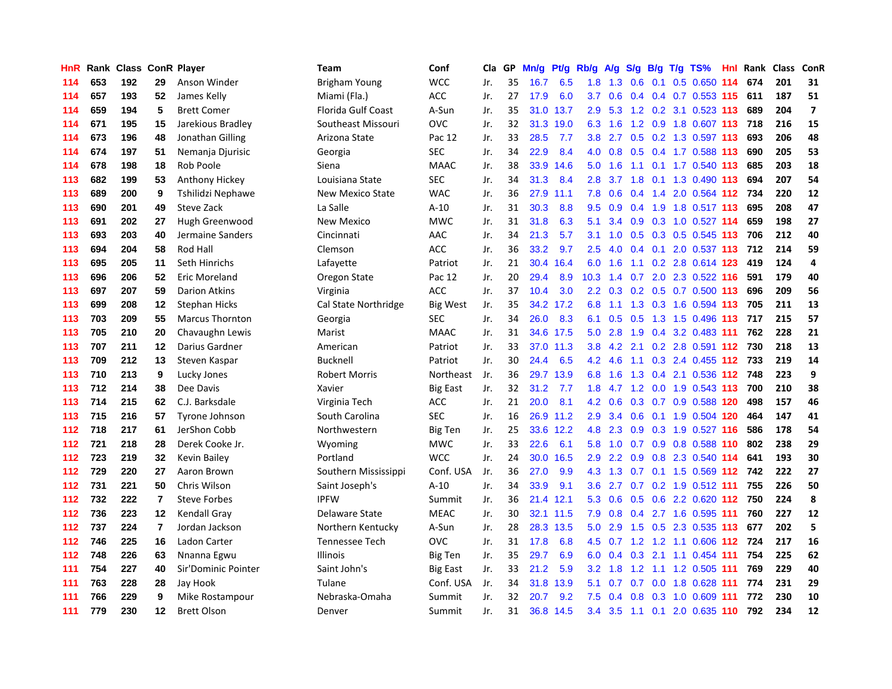| HnR |     | Rank Class ConR Player |                |                        | <b>Team</b>               | Conf             | Cla | GP | Mn/g | Pf/g      | Rb/g             | A/g           | S/g | B/g | $T/g$ TS%                            | Hnl Rank | <b>Class</b> | ConR           |
|-----|-----|------------------------|----------------|------------------------|---------------------------|------------------|-----|----|------|-----------|------------------|---------------|-----|-----|--------------------------------------|----------|--------------|----------------|
| 114 | 653 | 192                    | 29             | Anson Winder           | <b>Brigham Young</b>      | <b>WCC</b>       | Jr. | 35 | 16.7 | 6.5       | 1.8              | 1.3           | 0.6 | 0.1 | 0.5 0.650 114                        | 674      | 201          | 31             |
| 114 | 657 | 193                    | 52             | James Kelly            | Miami (Fla.)              | <b>ACC</b>       | Jr. | 27 | 17.9 | 6.0       | 3.7              | 0.6           | 0.4 |     | 0.4 0.7 0.553 115 611                |          | 187          | 51             |
| 114 | 659 | 194                    | 5              | <b>Brett Comer</b>     | <b>Florida Gulf Coast</b> | A-Sun            | Jr. | 35 |      | 31.0 13.7 | 2.9              | 5.3           |     |     | 1.2 0.2 3.1 0.523 113                | 689      | 204          | $\overline{ }$ |
| 114 | 671 | 195                    | 15             | Jarekious Bradley      | Southeast Missouri        | OVC              | Jr. | 32 | 31.3 | 19.0      | 6.3              | 1.6           |     |     | 1.2 0.9 1.8 0.607 113 718            |          | 216          | 15             |
| 114 | 673 | 196                    | 48             | Jonathan Gilling       | Arizona State             | Pac 12           | Jr. | 33 | 28.5 | 7.7       | 3.8 <sub>2</sub> | 2.7           | 0.5 |     | 0.2 1.3 0.597 113                    | 693      | 206          | 48             |
| 114 | 674 | 197                    | 51             | Nemanja Djurisic       | Georgia                   | <b>SEC</b>       | Jr. | 34 | 22.9 | 8.4       | 4.0              | 0.8           | 0.5 |     | 0.4 1.7 0.588 113                    | 690      | 205          | 53             |
| 114 | 678 | 198                    | 18             | Rob Poole              | Siena                     | <b>MAAC</b>      | Jr. | 38 | 33.9 | 14.6      | 5.0              | 1.6           | 1.1 |     | 0.1 1.7 0.540 113                    | 685      | 203          | 18             |
| 113 | 682 | 199                    | 53             | Anthony Hickey         | Louisiana State           | <b>SEC</b>       | Jr. | 34 | 31.3 | 8.4       | 2.8              | 3.7           | 1.8 |     | 0.1 1.3 0.490 113                    | 694      | 207          | 54             |
| 113 | 689 | 200                    | 9              | Tshilidzi Nephawe      | New Mexico State          | <b>WAC</b>       | Jr. | 36 | 27.9 | 11.1      | 7.8              | 0.6           |     |     | $0.4$ 1.4 2.0 0.564 112              | 734      | 220          | 12             |
| 113 | 690 | 201                    | 49             | Steve Zack             | La Salle                  | $A-10$           | Jr. | 31 | 30.3 | 8.8       | 9.5              | 0.9           |     |     | 0.4 1.9 1.8 0.517 113                | 695      | 208          | 47             |
| 113 | 691 | 202                    | 27             | Hugh Greenwood         | New Mexico                | <b>MWC</b>       | Jr. | 31 | 31.8 | 6.3       | 5.1              |               |     |     | 3.4 0.9 0.3 1.0 0.527 114            | 659      | 198          | 27             |
| 113 | 693 | 203                    | 40             | Jermaine Sanders       | Cincinnati                | AAC              | Jr. | 34 | 21.3 | 5.7       | 3.1              |               |     |     | 1.0 0.5 0.3 0.5 0.545 113            | 706      | 212          | 40             |
| 113 | 694 | 204                    | 58             | Rod Hall               | Clemson                   | <b>ACC</b>       | Jr. | 36 | 33.2 | 9.7       | 2.5              | 4.0           | 0.4 |     | 0.1 2.0 0.537 113 712                |          | 214          | 59             |
| 113 | 695 | 205                    | 11             | Seth Hinrichs          | Lafayette                 | Patriot          | Jr. | 21 | 30.4 | 16.4      | 6.0              | 1.6           | 1.1 |     | 0.2 2.8 0.614 123                    | 419      | 124          | 4              |
| 113 | 696 | 206                    | 52             | <b>Eric Moreland</b>   | Oregon State              | Pac 12           | Jr. | 20 | 29.4 | 8.9       | 10.3             | 1.4           | 0.7 |     | 2.0 2.3 0.522 116                    | 591      | 179          | 40             |
| 113 | 697 | 207                    | 59             | <b>Darion Atkins</b>   | Virginia                  | ACC              | Jr. | 37 | 10.4 | 3.0       | 2.2              | 0.3           | 0.2 |     | 0.5 0.7 0.500 113                    | 696      | 209          | 56             |
| 113 | 699 | 208                    | 12             | <b>Stephan Hicks</b>   | Cal State Northridge      | <b>Big West</b>  | Jr. | 35 | 34.2 | 17.2      | 6.8              | 1.1           | 1.3 |     | 0.3 1.6 0.594 113                    | 705      | 211          | 13             |
| 113 | 703 | 209                    | 55             | <b>Marcus Thornton</b> | Georgia                   | <b>SEC</b>       | Jr. | 34 | 26.0 | 8.3       | 6.1              | 0.5           | 0.5 |     | 1.3 1.5 0.496 113                    | 717      | 215          | 57             |
| 113 | 705 | 210                    | 20             | Chavaughn Lewis        | Marist                    | <b>MAAC</b>      | Jr. | 31 |      | 34.6 17.5 | 5.0              | 2.8           | 1.9 |     | $0.4$ 3.2 0.483 111                  | 762      | 228          | 21             |
| 113 | 707 | 211                    | 12             | Darius Gardner         | American                  | Patriot          | Jr. | 33 |      | 37.0 11.3 | 3.8              | $4.2$ 2.1     |     |     | 0.2 2.8 0.591 112 730                |          | 218          | 13             |
| 113 | 709 | 212                    | 13             | Steven Kaspar          | Bucknell                  | Patriot          | Jr. | 30 | 24.4 | 6.5       | 4.2              | 4.6           | 1.1 |     | 0.3 2.4 0.455 112 733                |          | 219          | 14             |
| 113 | 710 | 213                    | 9              | Lucky Jones            | <b>Robert Morris</b>      | <b>Northeast</b> | Jr. | 36 | 29.7 | 13.9      | 6.8              | 1.6           | 1.3 |     | 0.4 2.1 0.536 112 748                |          | 223          | 9              |
| 113 | 712 | 214                    | 38             | Dee Davis              | Xavier                    | <b>Big East</b>  | Jr. | 32 | 31.2 | 7.7       | 1.8              | 4.7           | 1.2 |     | 0.0 1.9 0.543 113                    | 700      | 210          | 38             |
| 113 | 714 | 215                    | 62             | C.J. Barksdale         | Virginia Tech             | <b>ACC</b>       | Jr. | 21 | 20.0 | 8.1       | 4.2              | 0.6           | 0.3 |     | 0.7 0.9 0.588 120                    | 498      | 157          | 46             |
| 113 | 715 | 216                    | 57             | Tyrone Johnson         | South Carolina            | <b>SEC</b>       | Jr. | 16 | 26.9 | 11.2      | 2.9              | 3.4           | 0.6 |     | 0.1 1.9 0.504 120                    | 464      | 147          | 41             |
| 112 | 718 | 217                    | 61             | JerShon Cobb           | Northwestern              | <b>Big Ten</b>   | Jr. | 25 | 33.6 | 12.2      | 4.8              | 2.3           | 0.9 |     | 0.3 1.9 0.527 116                    | 586      | 178          | 54             |
| 112 | 721 | 218                    | 28             | Derek Cooke Jr.        | Wyoming                   | <b>MWC</b>       | Jr. | 33 | 22.6 | 6.1       | 5.8              | 1.0           |     |     | 0.7 0.9 0.8 0.588 110                | 802      | 238          | 29             |
| 112 | 723 | 219                    | 32             | Kevin Bailey           | Portland                  | <b>WCC</b>       | Jr. | 24 | 30.0 | 16.5      | 2.9              | $2.2^{\circ}$ |     |     | 0.9 0.8 2.3 0.540 114                | 641      | 193          | 30             |
| 112 | 729 | 220                    | 27             | Aaron Brown            | Southern Mississippi      | Conf. USA        | Jr. | 36 | 27.0 | 9.9       | 4.3              | 1.3           |     |     | 0.7 0.1 1.5 0.569 112 742            |          | 222          | 27             |
| 112 | 731 | 221                    | 50             | Chris Wilson           | Saint Joseph's            | $A-10$           | Jr. | 34 | 33.9 | 9.1       | 3.6              | 2.7           |     |     | $0.7$ $0.2$ $1.9$ $0.512$ <b>111</b> | 755      | 226          | 50             |
| 112 | 732 | 222                    | $\overline{7}$ | <b>Steve Forbes</b>    | <b>IPFW</b>               | Summit           | Jr. | 36 | 21.4 | 12.1      | 5.3              | 0.6           | 0.5 |     | 0.6 2.2 0.620 112                    | 750      | 224          | 8              |
| 112 | 736 | 223                    | $12 \,$        | Kendall Gray           | Delaware State            | <b>MEAC</b>      | Jr. | 30 | 32.1 | 11.5      | 7.9              | 0.8           | 0.4 |     | 2.7 1.6 0.595 111                    | 760      | 227          | 12             |
| 112 | 737 | 224                    | $\overline{7}$ | Jordan Jackson         | Northern Kentucky         | A-Sun            | Jr. | 28 | 28.3 | 13.5      | 5.0              | 2.9           | 1.5 | 0.5 | 2.3 0.535 113                        | 677      | 202          | 5              |
| 112 | 746 | 225                    | 16             | Ladon Carter           | <b>Tennessee Tech</b>     | OVC              | Jr. | 31 | 17.8 | 6.8       | 4.5              | 0.7           |     |     | 1.2 1.2 1.1 0.606 112                | 724      | 217          | 16             |
| 112 | 748 | 226                    | 63             | Nnanna Egwu            | <b>Illinois</b>           | Big Ten          | Jr. | 35 | 29.7 | 6.9       | 6.0              | 0.4           |     |     | 0.3 2.1 1.1 0.454 111                | 754      | 225          | 62             |
| 111 | 754 | 227                    | 40             | Sir'Dominic Pointer    | Saint John's              | Big East         | Jr. | 33 | 21.2 | 5.9       | 3.2              | 1.8           |     |     | 1.2 1.1 1.2 0.505 111                | 769      | 229          | 40             |
| 111 | 763 | 228                    | 28             | Jay Hook               | Tulane                    | Conf. USA        | Jr. | 34 | 31.8 | 13.9      | 5.1              | 0.7           |     |     | 0.7 0.0 1.8 0.628 111                | 774      | 231          | 29             |
| 111 | 766 | 229                    | 9              | Mike Rostampour        | Nebraska-Omaha            | Summit           | Jr. | 32 | 20.7 | 9.2       | 7.5              | $0.4^{\circ}$ |     |     | 0.8 0.3 1.0 0.609 111                | 772      | 230          | 10             |
| 111 | 779 | 230                    | 12             | <b>Brett Olson</b>     | Denver                    | Summit           | Jr. | 31 | 36.8 | 14.5      | 3.4              | 3.5           | 1.1 |     | $0.1$ 2.0 0.635 110                  | 792      | 234          | 12             |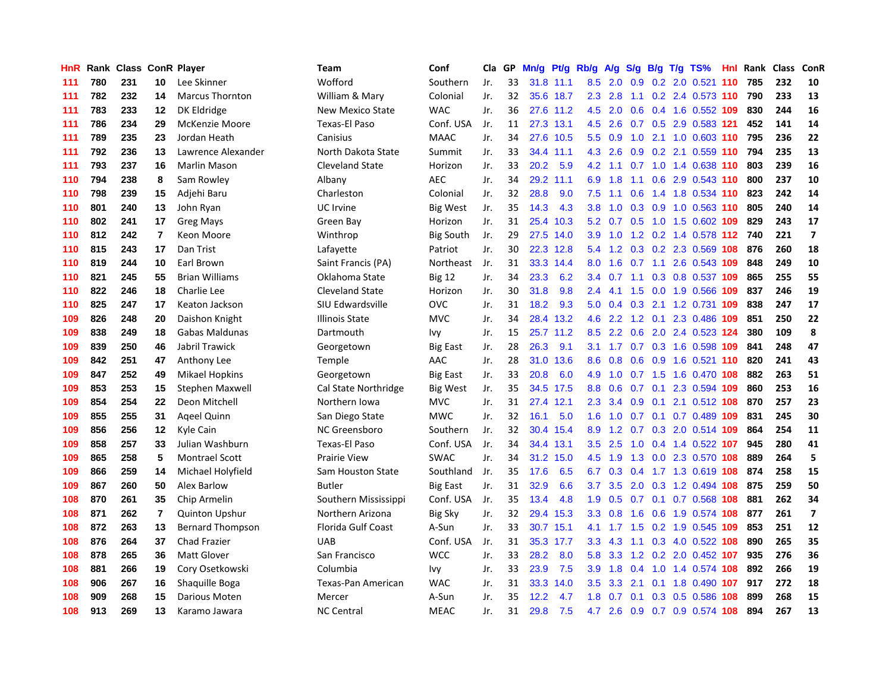| <b>HnR</b> | Rank |     |                         | <b>Class ConR Player</b> | <b>Team</b>            | Conf             | Cla | GP. | Mn/g |           | Pt/g Rb/g | A/g              | S/g |  | $B/g$ T/g TS%                 | Hnl | Rank | <b>Class</b> | ConR                    |
|------------|------|-----|-------------------------|--------------------------|------------------------|------------------|-----|-----|------|-----------|-----------|------------------|-----|--|-------------------------------|-----|------|--------------|-------------------------|
| 111        | 780  | 231 | 10                      | Lee Skinner              | Wofford                | Southern         | Jr. | 33  | 31.8 | 11.1      | 8.5       | 2.0              | 0.9 |  | 0.2 2.0 0.521                 | 110 | 785  | 232          | 10                      |
| 111        | 782  | 232 | 14                      | <b>Marcus Thornton</b>   | William & Mary         | Colonial         | Jr. | 32  |      | 35.6 18.7 | 2.3       | 2.8              | 1.1 |  | $0.2$ 2.4 0.573 110           |     | 790  | 233          | 13                      |
| 111        | 783  | 233 | 12                      | DK Eldridge              | New Mexico State       | <b>WAC</b>       | Jr. | 36  |      | 27.6 11.2 | 4.5       | 2.0              |     |  | 0.6 0.4 1.6 0.552 109         |     | 830  | 244          | 16                      |
| 111        | 786  | 234 | 29                      | <b>McKenzie Moore</b>    | Texas-El Paso          | Conf. USA        | Jr. | 11  |      | 27.3 13.1 | 4.5       | 2.6              |     |  | 0.7 0.5 2.9 0.583 121         |     | 452  | 141          | 14                      |
| 111        | 789  | 235 | 23                      | Jordan Heath             | Canisius               | <b>MAAC</b>      | Jr. | 34  | 27.6 | 10.5      | 5.5       | 0.9              | 1.0 |  | 2.1 1.0 0.603 110             |     | 795  | 236          | 22                      |
| 111        | 792  | 236 | 13                      | Lawrence Alexander       | North Dakota State     | Summit           | Jr. | 33  | 34.4 | 11.1      | 4.3       | 2.6              | 0.9 |  | 0.2 2.1 0.559 110             |     | 794  | 235          | 13                      |
| 111        | 793  | 237 | 16                      | Marlin Mason             | <b>Cleveland State</b> | Horizon          | Jr. | 33  | 20.2 | 5.9       | 4.2       | 1.1              |     |  | 0.7 1.0 1.4 0.638 110         |     | 803  | 239          | 16                      |
| 110        | 794  | 238 | 8                       | Sam Rowley               | Albany                 | <b>AEC</b>       | Jr. | 34  | 29.2 | 11.1      | 6.9       | 1.8              | 1.1 |  | 0.6 2.9 0.543 110             |     | 800  | 237          | 10                      |
| 110        | 798  | 239 | 15                      | Adjehi Baru              | Charleston             | Colonial         | Jr. | 32  | 28.8 | 9.0       | 7.5       | 1.1              | 0.6 |  | 1.4 1.8 0.534 110             |     | 823  | 242          | 14                      |
| 110        | 801  | 240 | 13                      | John Ryan                | UC Irvine              | Big West         | Jr. | 35  | 14.3 | 4.3       | 3.8       | 1.0              |     |  | 0.3 0.9 1.0 0.563 110         |     | 805  | 240          | 14                      |
| 110        | 802  | 241 | 17                      | <b>Greg Mays</b>         | Green Bay              | Horizon          | Jr. | 31  | 25.4 | 10.3      | 5.2       |                  |     |  | 0.7 0.5 1.0 1.5 0.602 109     |     | 829  | 243          | 17                      |
| 110        | 812  | 242 | 7                       | Keon Moore               | Winthrop               | <b>Big South</b> | Jr. | 29  |      | 27.5 14.0 | 3.9       |                  |     |  | 1.0 1.2 0.2 1.4 0.578 112 740 |     |      | 221          | $\overline{ }$          |
| 110        | 815  | 243 | 17                      | Dan Trist                | Lafayette              | Patriot          | Jr. | 30  | 22.3 | 12.8      | 5.4       | 1.2              |     |  | $0.3$ 0.2 2.3 0.569 108       |     | 876  | 260          | 18                      |
| 110        | 819  | 244 | 10                      | Earl Brown               | Saint Francis (PA)     | Northeast        | Jr. | 31  | 33.3 | 14.4      | 8.0       | 1.6              |     |  | 0.7 1.1 2.6 0.543 109         |     | 848  | 249          | 10                      |
| 110        | 821  | 245 | 55                      | <b>Brian Williams</b>    | Oklahoma State         | <b>Big 12</b>    | Jr. | 34  | 23.3 | 6.2       | 3.4       | 0.7              | 1.1 |  | 0.3 0.8 0.537 109             |     | 865  | 255          | 55                      |
| 110        | 822  | 246 | 18                      | Charlie Lee              | <b>Cleveland State</b> | Horizon          | Jr. | 30  | 31.8 | 9.8       | 2.4       | 4.1              | 1.5 |  | 0.0 1.9 0.566 109             |     | 837  | 246          | 19                      |
| 110        | 825  | 247 | 17                      | Keaton Jackson           | SIU Edwardsville       | ovc              | Jr. | 31  | 18.2 | 9.3       | 5.0       | 0.4              | 0.3 |  | 2.1 1.2 0.731 109             |     | 838  | 247          | 17                      |
| 109        | 826  | 248 | 20                      | Daishon Knight           | <b>Illinois State</b>  | <b>MVC</b>       | Jr. | 34  | 28.4 | 13.2      | 4.6       | 2.2              | 1.2 |  | 0.1 2.3 0.486 109             |     | 851  | 250          | 22                      |
| 109        | 838  | 249 | 18                      | <b>Gabas Maldunas</b>    | Dartmouth              | Ivy              | Jr. | 15  | 25.7 | 11.2      | 8.5       | $2.2^{\circ}$    | 0.6 |  | 2.0 2.4 0.523 124             |     | 380  | 109          | 8                       |
| 109        | 839  | 250 | 46                      | Jabril Trawick           | Georgetown             | Big East         | Jr. | 28  | 26.3 | 9.1       | 3.1       |                  |     |  | 1.7 0.7 0.3 1.6 0.598 109     |     | 841  | 248          | 47                      |
| 109        | 842  | 251 | 47                      | Anthony Lee              | Temple                 | AAC              | Jr. | 28  | 31.0 | 13.6      | 8.6       | 0.8              |     |  | 0.6 0.9 1.6 0.521 110         |     | 820  | 241          | 43                      |
| 109        | 847  | 252 | 49                      | <b>Mikael Hopkins</b>    | Georgetown             | Big East         | Jr. | 33  | 20.8 | 6.0       | 4.9       | 1.0              |     |  | 0.7 1.5 1.6 0.470 108         |     | 882  | 263          | 51                      |
| 109        | 853  | 253 | 15                      | Stephen Maxwell          | Cal State Northridge   | Big West         | Jr. | 35  | 34.5 | 17.5      | 8.8       | 0.6              | 0.7 |  | 0.1 2.3 0.594 109             |     | 860  | 253          | 16                      |
| 109        | 854  | 254 | 22                      | Deon Mitchell            | Northern Iowa          | <b>MVC</b>       | Jr. | 31  | 27.4 | 12.1      | 2.3       | 3.4              | 0.9 |  | 0.1 2.1 0.512 108             |     | 870  | 257          | 23                      |
| 109        | 855  | 255 | 31                      | Ageel Quinn              | San Diego State        | <b>MWC</b>       | Jr. | 32  | 16.1 | 5.0       | 1.6       | 1.0              | 0.7 |  | $0.1$ 0.7 0.489 109           |     | 831  | 245          | 30                      |
| 109        | 856  | 256 | 12                      | Kyle Cain                | <b>NC Greensboro</b>   | Southern         | Jr. | 32  | 30.4 | 15.4      | 8.9       | 1.2              | 0.7 |  | 0.3 2.0 0.514 109             |     | 864  | 254          | 11                      |
| 109        | 858  | 257 | 33                      | Julian Washburn          | Texas-El Paso          | Conf. USA        | Jr. | 34  |      | 34.4 13.1 | 3.5       | 2.5              |     |  | 1.0 0.4 1.4 0.522 107         |     | 945  | 280          | 41                      |
| 109        | 865  | 258 | 5                       | <b>Montrael Scott</b>    | <b>Prairie View</b>    | <b>SWAC</b>      | Jr. | 34  | 31.2 | 15.0      | 4.5       | 1.9              |     |  | 1.3 0.0 2.3 0.570 108         |     | 889  | 264          | 5                       |
| 109        | 866  | 259 | 14                      | Michael Holyfield        | Sam Houston State      | Southland        | Jr. | 35  | 17.6 | 6.5       | 6.7       | 0.3              |     |  | 0.4 1.7 1.3 0.619 108         |     | 874  | 258          | 15                      |
| 109        | 867  | 260 | 50                      | Alex Barlow              | Butler                 | Big East         | Jr. | 31  | 32.9 | 6.6       | 3.7       | 3.5              | 2.0 |  | 0.3 1.2 0.494 108             |     | 875  | 259          | 50                      |
| 108        | 870  | 261 | 35                      | Chip Armelin             | Southern Mississippi   | Conf. USA        | Jr. | 35  | 13.4 | 4.8       | 1.9       | 0.5              | 0.7 |  | 0.1 0.7 0.568 108             |     | 881  | 262          | 34                      |
| 108        | 871  | 262 | $\overline{\mathbf{r}}$ | <b>Quinton Upshur</b>    | Northern Arizona       | <b>Big Sky</b>   | Jr. | 32  | 29.4 | 15.3      | 3.3       | 0.8              | 1.6 |  | 0.6 1.9 0.574 108             |     | 877  | 261          | $\overline{\mathbf{z}}$ |
| 108        | 872  | 263 | 13                      | <b>Bernard Thompson</b>  | Florida Gulf Coast     | A-Sun            | Jr. | 33  | 30.7 | 15.1      | 4.1       | 1.7              | 1.5 |  | 0.2 1.9 0.545 109             |     | 853  | 251          | 12                      |
| 108        | 876  | 264 | 37                      | <b>Chad Frazier</b>      | <b>UAB</b>             | Conf. USA        | Jr. | 31  | 35.3 | 17.7      | 3.3       | 4.3              | 1.1 |  | 0.3 4.0 0.522 108             |     | 890  | 265          | 35                      |
| 108        | 878  | 265 | 36                      | <b>Matt Glover</b>       | San Francisco          | <b>WCC</b>       | Jr. | 33  | 28.2 | 8.0       | 5.8       | 3.3              |     |  | 1.2 0.2 2.0 0.452 107         |     | 935  | 276          | 36                      |
| 108        | 881  | 266 | 19                      | Cory Osetkowski          | Columbia               | Ivy              | Jr. | 33  | 23.9 | 7.5       | 3.9       | 1.8              | 0.4 |  | 1.0 1.4 0.574 108             |     | 892  | 266          | 19                      |
| 108        | 906  | 267 | 16                      | Shaquille Boga           | Texas-Pan American     | <b>WAC</b>       | Jr. | 31  | 33.3 | 14.0      | 3.5       | 3.3 <sub>2</sub> | 2.1 |  | $0.1$ 1.8 $0.490$ 107         |     | 917  | 272          | 18                      |
| 108        | 909  | 268 | 15                      | Darious Moten            | Mercer                 | A-Sun            | Jr. | 35  | 12.2 | 4.7       | 1.8       | 0.7              | 0.1 |  | 0.3 0.5 0.586 108             |     | 899  | 268          | 15                      |
| 108        | 913  | 269 | 13                      | Karamo Jawara            | <b>NC Central</b>      | <b>MEAC</b>      | Jr. | 31  | 29.8 | 7.5       |           | $4.7$ 2.6        |     |  | 0.9 0.7 0.9 0.574 108         |     | 894  | 267          | 13                      |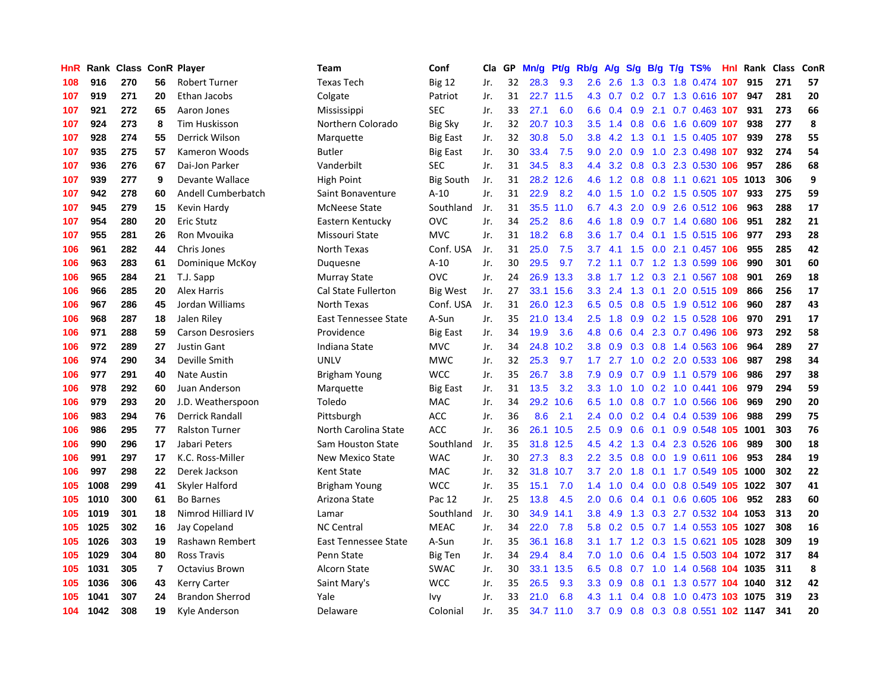| HnR |      | Rank Class ConR Player |                |                          | <b>Team</b>                 | Conf             | Cla | GP | Mn/g | Pf/g | Rb/g             | A/g | S/g              |  | $B/g$ T/g TS%               | <b>Hnl Rank Class</b> |     | <b>ConR</b> |
|-----|------|------------------------|----------------|--------------------------|-----------------------------|------------------|-----|----|------|------|------------------|-----|------------------|--|-----------------------------|-----------------------|-----|-------------|
| 108 | 916  | 270                    | 56             | <b>Robert Turner</b>     | <b>Texas Tech</b>           | <b>Big 12</b>    | Jr. | 32 | 28.3 | 9.3  | 2.6              | 2.6 | 1.3              |  | 0.3 1.8 0.474 107           | 915                   | 271 | 57          |
| 107 | 919  | 271                    | 20             | Ethan Jacobs             | Colgate                     | Patriot          | Jr. | 31 | 22.7 | 11.5 | 4.3              | 0.7 |                  |  | 0.2 0.7 1.3 0.616 107       | 947                   | 281 | 20          |
| 107 | 921  | 272                    | 65             | Aaron Jones              | Mississippi                 | <b>SEC</b>       | Jr. | 33 | 27.1 | 6.0  | 6.6              |     |                  |  | $0.4$ 0.9 2.1 0.7 0.463 107 | 931                   | 273 | 66          |
| 107 | 924  | 273                    | 8              | <b>Tim Huskisson</b>     | Northern Colorado           | <b>Big Sky</b>   | Jr. | 32 | 20.7 | 10.3 | $3.5^{\circ}$    | 1.4 |                  |  | 0.8 0.6 1.6 0.609 107       | 938                   | 277 | 8           |
| 107 | 928  | 274                    | 55             | Derrick Wilson           | Marquette                   | <b>Big East</b>  | Jr. | 32 | 30.8 | 5.0  | 3.8 <sub>2</sub> | 4.2 | 1.3              |  | 0.1 1.5 0.405 107           | 939                   | 278 | 55          |
| 107 | 935  | 275                    | 57             | Kameron Woods            | Butler                      | Big East         | Jr. | 30 | 33.4 | 7.5  | 9.0              | 2.0 | 0.9              |  | 1.0 2.3 0.498 107           | 932                   | 274 | 54          |
| 107 | 936  | 276                    | 67             | Dai-Jon Parker           | Vanderbilt                  | <b>SEC</b>       | Jr. | 31 | 34.5 | 8.3  | 4.4              | 3.2 |                  |  | 0.8 0.3 2.3 0.530 106       | 957                   | 286 | 68          |
| 107 | 939  | 277                    | 9              | Devante Wallace          | High Point                  | <b>Big South</b> | Jr. | 31 | 28.2 | 12.6 | 4.6              | 1.2 | 0.8              |  | 0.8 1.1 0.621 105 1013      |                       | 306 | 9           |
| 107 | 942  | 278                    | 60             | Andell Cumberbatch       | Saint Bonaventure           | $A-10$           | Jr. | 31 | 22.9 | 8.2  | 4.0              | 1.5 | 1.0              |  | 0.2 1.5 0.505 107           | 933                   | 275 | 59          |
| 107 | 945  | 279                    | 15             | Kevin Hardy              | <b>McNeese State</b>        | Southland        | Jr. | 31 | 35.5 | 11.0 | 6.7              | 4.3 | 2.0              |  | 0.9 2.6 0.512 106           | 963                   | 288 | 17          |
| 107 | 954  | 280                    | 20             | Eric Stutz               | Eastern Kentucky            | <b>OVC</b>       | Jr. | 34 | 25.2 | 8.6  | 4.6              | 1.8 |                  |  | 0.9 0.7 1.4 0.680 106       | 951                   | 282 | 21          |
| 107 | 955  | 281                    | 26             | Ron Myouika              | Missouri State              | <b>MVC</b>       | Jr. | 31 | 18.2 | 6.8  | 3.6              | 1.7 |                  |  | 0.4 0.1 1.5 0.515 106       | 977                   | 293 | 28          |
| 106 | 961  | 282                    | 44             | Chris Jones              | North Texas                 | Conf. USA        | Jr. | 31 | 25.0 | 7.5  | 3.7 <sub>2</sub> | 4.1 | 1.5              |  | $0.0$ 2.1 0.457 106         | 955                   | 285 | 42          |
| 106 | 963  | 283                    | 61             | Dominique McKoy          | Duguesne                    | $A-10$           | Jr. | 30 | 29.5 | 9.7  | 7.2              | 1.1 |                  |  | 0.7 1.2 1.3 0.599 106       | 990                   | 301 | 60          |
| 106 | 965  | 284                    | 21             | T.J. Sapp                | Murray State                | <b>OVC</b>       | Jr. | 24 | 26.9 | 13.3 | 3.8 <sub>2</sub> | 1.7 |                  |  | 1.2 0.3 2.1 0.567 108       | 901                   | 269 | 18          |
| 106 | 966  | 285                    | 20             | <b>Alex Harris</b>       | <b>Cal State Fullerton</b>  | <b>Big West</b>  | Jr. | 27 | 33.1 | 15.6 | 3.3              | 2.4 | 1.3              |  | $0.1$ 2.0 0.515 109         | 866                   | 256 | 17          |
| 106 | 967  | 286                    | 45             | Jordan Williams          | North Texas                 | Conf. USA        | Jr. | 31 | 26.0 | 12.3 | 6.5              | 0.5 | 0.8              |  | 0.5 1.9 0.512 106           | 960                   | 287 | 43          |
| 106 | 968  | 287                    | 18             | Jalen Riley              | <b>East Tennessee State</b> | A-Sun            | Jr. | 35 | 21.0 | 13.4 | 2.5              | 1.8 | 0.9 <sub>0</sub> |  | 0.2 1.5 0.528 106           | 970                   | 291 | 17          |
| 106 | 971  | 288                    | 59             | <b>Carson Desrosiers</b> | Providence                  | <b>Big East</b>  | Jr. | 34 | 19.9 | 3.6  | 4.8              | 0.6 |                  |  | 0.4 2.3 0.7 0.496 106       | 973                   | 292 | 58          |
| 106 | 972  | 289                    | 27             | <b>Justin Gant</b>       | Indiana State               | <b>MVC</b>       | Jr. | 34 | 24.8 | 10.2 | 3.8              | 0.9 |                  |  | 0.3 0.8 1.4 0.563 106       | 964                   | 289 | 27          |
| 106 | 974  | 290                    | 34             | Deville Smith            | <b>UNLV</b>                 | <b>MWC</b>       | Jr. | 32 | 25.3 | 9.7  | 1.7 <sub>z</sub> |     |                  |  | 2.7 1.0 0.2 2.0 0.533 106   | 987                   | 298 | 34          |
| 106 | 977  | 291                    | 40             | <b>Nate Austin</b>       | Brigham Young               | <b>WCC</b>       | Jr. | 35 | 26.7 | 3.8  | 7.9              | 0.9 | 0.7              |  | 0.9 1.1 0.579 106           | 986                   | 297 | 38          |
| 106 | 978  | 292                    | 60             | Juan Anderson            | Marquette                   | <b>Big East</b>  | Jr. | 31 | 13.5 | 3.2  | 3.3              | 1.0 | 1.0              |  | 0.2 1.0 0.441 106           | 979                   | 294 | 59          |
| 106 | 979  | 293                    | 20             | J.D. Weatherspoon        | Toledo                      | <b>MAC</b>       | Jr. | 34 | 29.2 | 10.6 | 6.5              | 1.0 | 0.8              |  | 0.7 1.0 0.566 106           | 969                   | 290 | 20          |
| 106 | 983  | 294                    | 76             | <b>Derrick Randall</b>   | Pittsburgh                  | <b>ACC</b>       | Jr. | 36 | 8.6  | 2.1  | $2.4^{\circ}$    | 0.0 | 0.2 <sub>0</sub> |  | $0.4$ 0.4 0.539 106         | 988                   | 299 | 75          |
| 106 | 986  | 295                    | 77             | <b>Ralston Turner</b>    | North Carolina State        | <b>ACC</b>       | Jr. | 36 | 26.1 | 10.5 | 2.5              | 0.9 | 0.6              |  | 0.1 0.9 0.548 105 1001      |                       | 303 | 76          |
| 106 | 990  | 296                    | 17             | Jabari Peters            | Sam Houston State           | Southland        | Jr. | 35 | 31.8 | 12.5 | 4.5              |     |                  |  | 4.2 1.3 0.4 2.3 0.526 106   | 989                   | 300 | 18          |
| 106 | 991  | 297                    | 17             | K.C. Ross-Miller         | <b>New Mexico State</b>     | <b>WAC</b>       | Jr. | 30 | 27.3 | 8.3  | 2.2              | 3.5 |                  |  | 0.8 0.0 1.9 0.611 106       | 953                   | 284 | 19          |
| 106 | 997  | 298                    | 22             | Derek Jackson            | Kent State                  | MAC              | Jr. | 32 | 31.8 | 10.7 | 3.7 <sub>2</sub> | 2.0 | 1.8              |  | 0.1 1.7 0.549 105 1000      |                       | 302 | 22          |
| 105 | 1008 | 299                    | 41             | Skyler Halford           | <b>Brigham Young</b>        | <b>WCC</b>       | Jr. | 35 | 15.1 | 7.0  | 1.4              | 1.0 | 0.4              |  | 0.0 0.8 0.549 105 1022      |                       | 307 | 41          |
| 105 | 1010 | 300                    | 61             | <b>Bo Barnes</b>         | Arizona State               | Pac 12           | Jr. | 25 | 13.8 | 4.5  | 2.0              | 0.6 | 0.4              |  | $0.1$ 0.6 0.605 106         | 952                   | 283 | 60          |
| 105 | 1019 | 301                    | 18             | Nimrod Hilliard IV       | Lamar                       | Southland        | Jr. | 30 | 34.9 | 14.1 | 3.8              | 4.9 | 1.3              |  | 0.3 2.7 0.532 104           | 1053                  | 313 | 20          |
| 105 | 1025 | 302                    | 16             | Jay Copeland             | <b>NC Central</b>           | <b>MEAC</b>      | Jr. | 34 | 22.0 | 7.8  | 5.8              | 0.2 | 0.5              |  | 0.7 1.4 0.553 105 1027      |                       | 308 | 16          |
| 105 | 1026 | 303                    | 19             | Rashawn Rembert          | East Tennessee State        | A-Sun            | Jr. | 35 | 36.1 | 16.8 | 3.1              | 1.7 | 1.2              |  | 0.3 1.5 0.621 105 1028      |                       | 309 | 19          |
| 105 | 1029 | 304                    | 80             | <b>Ross Travis</b>       | Penn State                  | <b>Big Ten</b>   | Jr. | 34 | 29.4 | 8.4  | 7.0              | 1.0 | 0.6              |  | 0.4 1.5 0.503 104 1072      |                       | 317 | 84          |
| 105 | 1031 | 305                    | $\overline{7}$ | <b>Octavius Brown</b>    | <b>Alcorn State</b>         | <b>SWAC</b>      | Jr. | 30 | 33.1 | 13.5 | 6.5              | 0.8 |                  |  | 0.7 1.0 1.4 0.568 104 1035  |                       | 311 | 8           |
| 105 | 1036 | 306                    | 43             | <b>Kerry Carter</b>      | Saint Mary's                | <b>WCC</b>       | Jr. | 35 | 26.5 | 9.3  | 3.3 <sub>2</sub> | 0.9 | 0.8              |  | 0.1 1.3 0.577 104 1040      |                       | 312 | 42          |
| 105 | 1041 | 307                    | 24             | <b>Brandon Sherrod</b>   | Yale                        | Ivy              | Jr. | 33 | 21.0 | 6.8  | 4.3              | 1.1 | 0.4              |  | 0.8 1.0 0.473 103 1075      |                       | 319 | 23          |
| 104 | 1042 | 308                    | 19             | Kyle Anderson            | Delaware                    | Colonial         | Jr. | 35 | 34.7 | 11.0 | 3.7              | 0.9 |                  |  | 0.8 0.3 0.8 0.551 102 1147  |                       | 341 | 20          |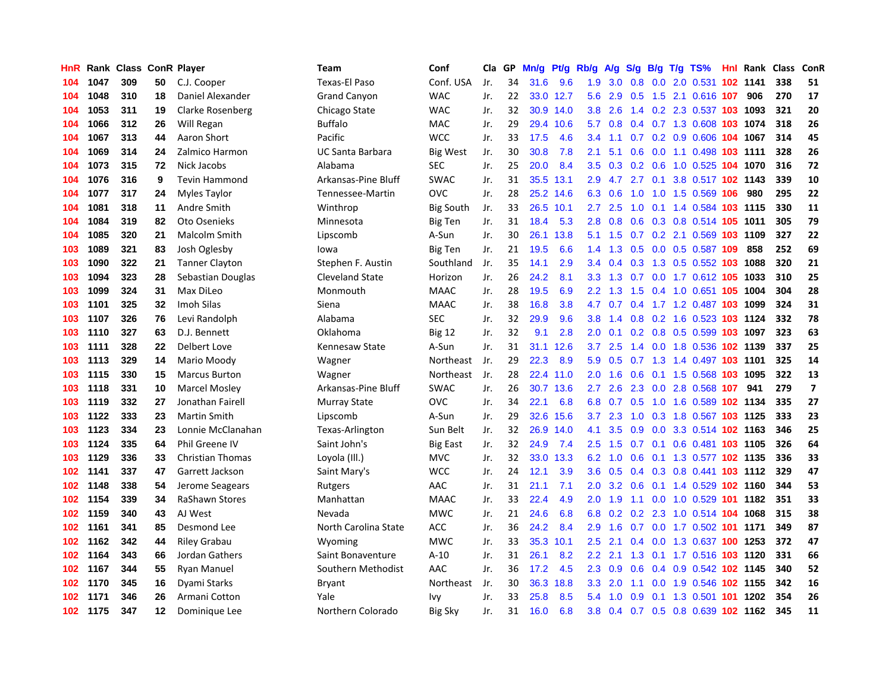| HnR |      | Rank Class ConR Player |    |                         | <b>Team</b>             | Conf             | Cla | GP | Mn/g | Pf/g      | Rb/g             | A/g | S/g | B/g | $T/g$ TS%                       | <b>Hnl Rank Class</b> |     | ConR                    |
|-----|------|------------------------|----|-------------------------|-------------------------|------------------|-----|----|------|-----------|------------------|-----|-----|-----|---------------------------------|-----------------------|-----|-------------------------|
| 104 | 1047 | 309                    | 50 | C.J. Cooper             | Texas-El Paso           | Conf. USA        | Jr. | 34 | 31.6 | 9.6       | 1.9              | 3.0 | 0.8 |     | 0.0 2.0 0.531 102 1141          |                       | 338 | 51                      |
| 104 | 1048 | 310                    | 18 | Daniel Alexander        | <b>Grand Canyon</b>     | <b>WAC</b>       | Jr. | 22 |      | 33.0 12.7 | 5.6              | 2.9 | 0.5 |     | 1.5 2.1 0.616 107               | 906                   | 270 | 17                      |
| 104 | 1053 | 311                    | 19 | Clarke Rosenberg        | Chicago State           | <b>WAC</b>       | Jr. | 32 | 30.9 | 14.0      | 3.8 <sub>2</sub> | 2.6 |     |     | 1.4 0.2 2.3 0.537 103 1093      |                       | 321 | 20                      |
| 104 | 1066 | 312                    | 26 | Will Regan              | <b>Buffalo</b>          | <b>MAC</b>       | Jr. | 29 | 29.4 | 10.6      | 5.7              | 0.8 | 0.4 |     | 0.7 1.3 0.608 103 1074          |                       | 318 | 26                      |
| 104 | 1067 | 313                    | 44 | Aaron Short             | Pacific                 | <b>WCC</b>       | Jr. | 33 | 17.5 | 4.6       | 3.4              | 1.1 | 0.7 |     | 0.2 0.9 0.606 104 1067          |                       | 314 | 45                      |
| 104 | 1069 | 314                    | 24 | Zalmico Harmon          | <b>UC Santa Barbara</b> | Big West         | Jr. | 30 | 30.8 | 7.8       | 2.1              | 5.1 | 0.6 |     | 0.0 1.1 0.498 103 1111          |                       | 328 | 26                      |
| 104 | 1073 | 315                    | 72 | Nick Jacobs             | Alabama                 | <b>SEC</b>       | Jr. | 25 | 20.0 | 8.4       | 3.5              | 0.3 |     |     | 0.2 0.6 1.0 0.525 104 1070      |                       | 316 | 72                      |
| 104 | 1076 | 316                    | 9  | <b>Tevin Hammond</b>    | Arkansas-Pine Bluff     | SWAC             | Jr. | 31 | 35.5 | 13.1      | 2.9              | 4.7 | 2.7 | 0.1 | 3.8 0.517 102 1143              |                       | 339 | 10                      |
| 104 | 1077 | 317                    | 24 | Myles Taylor            | Tennessee-Martin        | OVC              | Jr. | 28 | 25.2 | 14.6      | 6.3              | 0.6 | 1.0 |     | 1.0 1.5 0.569 106               | 980                   | 295 | 22                      |
| 104 | 1081 | 318                    | 11 | Andre Smith             | Winthrop                | <b>Big South</b> | Jr. | 33 | 26.5 | 10.1      | 2.7              | 2.5 | 1.0 |     | 0.1 1.4 0.584 103 1115          |                       | 330 | 11                      |
| 104 | 1084 | 319                    | 82 | Oto Osenieks            | Minnesota               | Big Ten          | Jr. | 31 | 18.4 | 5.3       | 2.8              | 0.8 |     |     | 0.6 0.3 0.8 0.514 105 1011      |                       | 305 | 79                      |
| 104 | 1085 | 320                    | 21 | <b>Malcolm Smith</b>    | Lipscomb                | A-Sun            | Jr. | 30 | 26.1 | 13.8      | 5.1              | 1.5 |     |     | 0.7 0.2 2.1 0.569 103 1109      |                       | 327 | 22                      |
| 103 | 1089 | 321                    | 83 | Josh Oglesby            | lowa                    | <b>Big Ten</b>   | Jr. | 21 | 19.5 | 6.6       | $1.4^{\circ}$    | 1.3 | 0.5 |     | 0.0 0.5 0.587 109               | 858                   | 252 | 69                      |
| 103 | 1090 | 322                    | 21 | <b>Tanner Clayton</b>   | Stephen F. Austin       | Southland        | Jr. | 35 | 14.1 | 2.9       | 3.4              | 0.4 | 0.3 |     | 1.3 0.5 0.552 103 1088          |                       | 320 | 21                      |
| 103 | 1094 | 323                    | 28 | Sebastian Douglas       | <b>Cleveland State</b>  | Horizon          | Jr. | 26 | 24.2 | 8.1       | 3.3              | 1.3 | 0.7 |     | 0.0 1.7 0.612 105 1033          |                       | 310 | 25                      |
| 103 | 1099 | 324                    | 31 | Max DiLeo               | Monmouth                | <b>MAAC</b>      | Jr. | 28 | 19.5 | 6.9       | 2.2              | 1.3 | 1.5 |     | $0.4$ 1.0 0.651 105             | 1004                  | 304 | 28                      |
| 103 | 1101 | 325                    | 32 | Imoh Silas              | Siena                   | <b>MAAC</b>      | Jr. | 38 | 16.8 | 3.8       | 4.7              | 0.7 |     |     | 0.4 1.7 1.2 0.487 103 1099      |                       | 324 | 31                      |
| 103 | 1107 | 326                    | 76 | Levi Randolph           | Alabama                 | <b>SEC</b>       | Jr. | 32 | 29.9 | 9.6       | 3.8              | 1.4 | 0.8 |     | 0.2 1.6 0.523 103 1124          |                       | 332 | 78                      |
| 103 | 1110 | 327                    | 63 | D.J. Bennett            | Oklahoma                | <b>Big 12</b>    | Jr. | 32 | 9.1  | 2.8       | 2.0 <sub>2</sub> | 0.1 |     |     | 0.2 0.8 0.5 0.599 103 1097      |                       | 323 | 63                      |
| 103 | 1111 | 328                    | 22 | Delbert Love            | Kennesaw State          | A-Sun            | Jr. | 31 | 31.1 | 12.6      | 3.7              | 2.5 |     |     | 1.4 0.0 1.8 0.536 102 1139      |                       | 337 | 25                      |
| 103 | 1113 | 329                    | 14 | Mario Moody             | Wagner                  | Northeast        | Jr. | 29 | 22.3 | 8.9       | 5.9              | 0.5 |     |     | 0.7 1.3 1.4 0.497 103 1101      |                       | 325 | 14                      |
| 103 | 1115 | 330                    | 15 | <b>Marcus Burton</b>    | Wagner                  | Northeast        | Jr. | 28 | 22.4 | 11.0      | 2.0              | 1.6 | 0.6 |     | 0.1 1.5 0.568 103 1095          |                       | 322 | 13                      |
| 103 | 1118 | 331                    | 10 | <b>Marcel Mosley</b>    | Arkansas-Pine Bluff     | <b>SWAC</b>      | Jr. | 26 | 30.7 | 13.6      | 2.7              | 2.6 | 2.3 |     | 0.0 2.8 0.568 107               | 941                   | 279 | $\overline{\mathbf{z}}$ |
| 103 | 1119 | 332                    | 27 | Jonathan Fairell        | Murray State            | OVC              | Jr. | 34 | 22.1 | 6.8       | 6.8              | 0.7 | 0.5 |     | 1.0 1.6 0.589 102 1134          |                       | 335 | 27                      |
| 103 | 1122 | 333                    | 23 | <b>Martin Smith</b>     | Lipscomb                | A-Sun            | Jr. | 29 | 32.6 | 15.6      | 3.7              | 2.3 | 1.0 |     | 0.3 1.8 0.567 103 1125          |                       | 333 | 23                      |
| 103 | 1123 | 334                    | 23 | Lonnie McClanahan       | Texas-Arlington         | Sun Belt         | Jr. | 32 | 26.9 | 14.0      | 4.1              | 3.5 | 0.9 |     | 0.0 3.3 0.514 102 1163          |                       | 346 | 25                      |
| 103 | 1124 | 335                    | 64 | Phil Greene IV          | Saint John's            | <b>Big East</b>  | Jr. | 32 | 24.9 | 7.4       | 2.5              | 1.5 | 0.7 |     | 0.1 0.6 0.481 103 1105          |                       | 326 | 64                      |
| 103 | 1129 | 336                    | 33 | <b>Christian Thomas</b> | Loyola (III.)           | <b>MVC</b>       | Jr. | 32 | 33.0 | 13.3      | 6.2              | 1.0 |     |     | 0.6 0.1 1.3 0.577 102 1135      |                       | 336 | 33                      |
| 102 | 1141 | 337                    | 47 | Garrett Jackson         | Saint Mary's            | <b>WCC</b>       | Jr. | 24 | 12.1 | 3.9       | 3.6              | 0.5 |     |     | 0.4 0.3 0.8 0.441 103 1112      |                       | 329 | 47                      |
| 102 | 1148 | 338                    | 54 | Jerome Seagears         | Rutgers                 | AAC              | Jr. | 31 | 21.1 | 7.1       | 2.0 <sub>2</sub> | 3.2 | 0.6 |     | 0.1 1.4 0.529 102 1160          |                       | 344 | 53                      |
| 102 | 1154 | 339                    | 34 | RaShawn Stores          | Manhattan               | <b>MAAC</b>      | Jr. | 33 | 22.4 | 4.9       | 2.0              | 1.9 | 1.1 |     | 0.0 1.0 0.529 101 1182          |                       | 351 | 33                      |
| 102 | 1159 | 340                    | 43 | AJ West                 | Nevada                  | <b>MWC</b>       | Jr. | 21 | 24.6 | 6.8       | 6.8              | 0.2 | 0.2 |     | 2.3 1.0 0.514 104 1068          |                       | 315 | 38                      |
| 102 | 1161 | 341                    | 85 | Desmond Lee             | North Carolina State    | <b>ACC</b>       | Jr. | 36 | 24.2 | 8.4       | 2.9              | 1.6 | 0.7 |     | 0.0 1.7 0.502 101 1171          |                       | 349 | 87                      |
| 102 | 1162 | 342                    | 44 | <b>Riley Grabau</b>     | Wyoming                 | <b>MWC</b>       | Jr. | 33 | 35.3 | 10.1      | 2.5              | 2.1 | 0.4 |     | 0.0 1.3 0.637 100 1253          |                       | 372 | 47                      |
| 102 | 1164 | 343                    | 66 | Jordan Gathers          | Saint Bonaventure       | $A-10$           | Jr. | 31 | 26.1 | 8.2       | $2.2\phantom{0}$ | 2.1 | 1.3 |     | 0.1 1.7 0.516 103 1120          |                       | 331 | 66                      |
| 102 | 1167 | 344                    | 55 | <b>Ryan Manuel</b>      | Southern Methodist      | AAC              | Jr. | 36 | 17.2 | 4.5       | 2.3              | 0.9 | 0.6 |     | 0.4 0.9 0.542 102 1145          |                       | 340 | 52                      |
| 102 | 1170 | 345                    | 16 | Dyami Starks            | Bryant                  | Northeast        | Jr. | 30 | 36.3 | 18.8      | 3.3 <sub>2</sub> | 2.0 | 1.1 |     | 0.0 1.9 0.546 102 1155          |                       | 342 | 16                      |
| 102 | 1171 | 346                    | 26 | Armani Cotton           | Yale                    | Ivy              | Jr. | 33 | 25.8 | 8.5       | 5.4              | 1.0 | 0.9 |     | $0.1$ 1.3 0.501 <b>101 1202</b> |                       | 354 | 26                      |
| 102 | 1175 | 347                    | 12 | Dominique Lee           | Northern Colorado       | <b>Big Sky</b>   | Jr. | 31 | 16.0 | 6.8       | 3.8              | 0.4 |     |     | 0.7 0.5 0.8 0.639 102 1162      |                       | 345 | 11                      |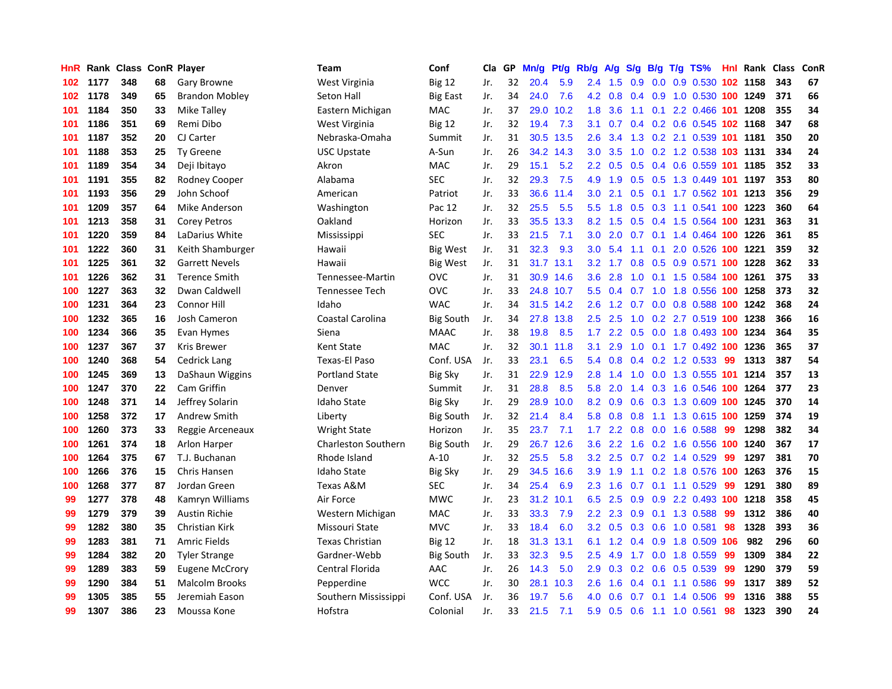| HnR |      | Rank Class ConR Player |    |                       | <b>Team</b>                | Conf             | Cla | GP | Mn/g | Pt/g | Rb/g             | A/g | S/g           | B/g | $T/g$ TS%                    |     | <b>Hnl Rank Class</b> |     | ConR |
|-----|------|------------------------|----|-----------------------|----------------------------|------------------|-----|----|------|------|------------------|-----|---------------|-----|------------------------------|-----|-----------------------|-----|------|
| 102 | 1177 | 348                    | 68 | Gary Browne           | West Virginia              | <b>Big 12</b>    | Jr. | 32 | 20.4 | 5.9  | 2.4              | 1.5 | 0.9           | 0.0 | 0.9 0.530 102 1158           |     |                       | 343 | 67   |
| 102 | 1178 | 349                    | 65 | <b>Brandon Mobley</b> | Seton Hall                 | <b>Big East</b>  | Jr. | 34 | 24.0 | 7.6  | 4.2              | 0.8 | $0.4^{\circ}$ |     | 0.9 1.0 0.530 100 1249       |     |                       | 371 | 66   |
| 101 | 1184 | 350                    | 33 | Mike Talley           | Eastern Michigan           | <b>MAC</b>       | Jr. | 37 | 29.0 | 10.2 | 1.8              | 3.6 |               |     | 1.1 0.1 2.2 0.466 101 1208   |     |                       | 355 | 34   |
| 101 | 1186 | 351                    | 69 | Remi Dibo             | West Virginia              | <b>Big 12</b>    | Jr. | 32 | 19.4 | 7.3  | 3.1              | 0.7 |               |     | $0.4$ 0.2 0.6 0.545 102 1168 |     |                       | 347 | 68   |
| 101 | 1187 | 352                    | 20 | CJ Carter             | Nebraska-Omaha             | Summit           | Jr. | 31 | 30.5 | 13.5 | 2.6              | 3.4 | 1.3           |     | 0.2 2.1 0.539 101 1181       |     |                       | 350 | 20   |
| 101 | 1188 | 353                    | 25 | <b>Ty Greene</b>      | <b>USC Upstate</b>         | A-Sun            | Jr. | 26 | 34.2 | 14.3 | 3.0              | 3.5 | 1.0           |     | 0.2 1.2 0.538 103 1131       |     |                       | 334 | 24   |
| 101 | 1189 | 354                    | 34 | Deji Ibitayo          | Akron                      | <b>MAC</b>       | Jr. | 29 | 15.1 | 5.2  | 2.2              | 0.5 | 0.5           |     | 0.4 0.6 0.559 101 1185       |     |                       | 352 | 33   |
| 101 | 1191 | 355                    | 82 | Rodney Cooper         | Alabama                    | <b>SEC</b>       | Jr. | 32 | 29.3 | 7.5  | 4.9              | 1.9 | 0.5           |     | 0.5 1.3 0.449 101 1197       |     |                       | 353 | 80   |
| 101 | 1193 | 356                    | 29 | John Schoof           | American                   | Patriot          | Jr. | 33 | 36.6 | 11.4 | 3.0              | 2.1 | 0.5           |     | 0.1 1.7 0.562 101 1213       |     |                       | 356 | 29   |
| 101 | 1209 | 357                    | 64 | Mike Anderson         | Washington                 | Pac 12           | Jr. | 32 | 25.5 | 5.5  | 5.5              | 1.8 | 0.5           |     | 0.3 1.1 0.541 100 1223       |     |                       | 360 | 64   |
| 101 | 1213 | 358                    | 31 | <b>Corey Petros</b>   | Oakland                    | Horizon          | Jr. | 33 | 35.5 | 13.3 | 8.2              | 1.5 |               |     | 0.5 0.4 1.5 0.564 100 1231   |     |                       | 363 | 31   |
| 101 | 1220 | 359                    | 84 | LaDarius White        | Mississippi                | <b>SEC</b>       | Jr. | 33 | 21.5 | 7.1  | 3.0 <sub>2</sub> | 2.0 |               |     | 0.7 0.1 1.4 0.464 100 1226   |     |                       | 361 | 85   |
| 101 | 1222 | 360                    | 31 | Keith Shamburger      | Hawaii                     | <b>Big West</b>  | Jr. | 31 | 32.3 | 9.3  | 3.0 <sub>2</sub> | 5.4 | 1.1           |     | 0.1 2.0 0.526 100 1221       |     |                       | 359 | 32   |
| 101 | 1225 | 361                    | 32 | <b>Garrett Nevels</b> | Hawaii                     | Big West         | Jr. | 31 | 31.7 | 13.1 | $3.2\phantom{0}$ | 1.7 | 0.8           |     | 0.5 0.9 0.571 100 1228       |     |                       | 362 | 33   |
| 101 | 1226 | 362                    | 31 | <b>Terence Smith</b>  | Tennessee-Martin           | <b>OVC</b>       | Jr. | 31 | 30.9 | 14.6 | 3.6              | 2.8 | 1.0           |     | 0.1 1.5 0.584 100 1261       |     |                       | 375 | 33   |
| 100 | 1227 | 363                    | 32 | Dwan Caldwell         | <b>Tennessee Tech</b>      | <b>OVC</b>       | Jr. | 33 | 24.8 | 10.7 | 5.5              | 0.4 | 0.7           |     | 1.0 1.8 0.556 100 1258       |     |                       | 373 | 32   |
| 100 | 1231 | 364                    | 23 | Connor Hill           | Idaho                      | <b>WAC</b>       | Jr. | 34 | 31.5 | 14.2 | 2.6              | 1.2 | 0.7           |     | 0.0 0.8 0.588 100 1242       |     |                       | 368 | 24   |
| 100 | 1232 | 365                    | 16 | Josh Cameron          | Coastal Carolina           | <b>Big South</b> | Jr. | 34 | 27.8 | 13.8 | 2.5              | 2.5 | 1.0           |     | 0.2 2.7 0.519 100 1238       |     |                       | 366 | 16   |
| 100 | 1234 | 366                    | 35 | Evan Hymes            | Siena                      | <b>MAAC</b>      | Jr. | 38 | 19.8 | 8.5  | 1.7              | 2.2 | 0.5           |     | 0.0 1.8 0.493 100 1234       |     |                       | 364 | 35   |
| 100 | 1237 | 367                    | 37 | Kris Brewer           | <b>Kent State</b>          | <b>MAC</b>       | Jr. | 32 | 30.1 | 11.8 | 3.1              | 2.9 |               |     | 1.0 0.1 1.7 0.492 100 1236   |     |                       | 365 | 37   |
| 100 | 1240 | 368                    | 54 | <b>Cedrick Lang</b>   | Texas-El Paso              | Conf. USA        | Jr. | 33 | 23.1 | 6.5  | 5.4              | 0.8 | $0.4^{\circ}$ |     | $0.2$ 1.2 0.533              | -99 | 1313                  | 387 | 54   |
| 100 | 1245 | 369                    | 13 | DaShaun Wiggins       | <b>Portland State</b>      | <b>Big Sky</b>   | Jr. | 31 | 22.9 | 12.9 | 2.8              | 1.4 | 1.0           |     | 0.0 1.3 0.555 101 1214       |     |                       | 357 | 13   |
| 100 | 1247 | 370                    | 22 | Cam Griffin           | Denver                     | Summit           | Jr. | 31 | 28.8 | 8.5  | 5.8              | 2.0 | 1.4           |     | 0.3 1.6 0.546 100 1264       |     |                       | 377 | 23   |
| 100 | 1248 | 371                    | 14 | Jeffrey Solarin       | <b>Idaho State</b>         | <b>Big Sky</b>   | Jr. | 29 | 28.9 | 10.0 | 8.2              | 0.9 | 0.6           |     | 0.3 1.3 0.609 100 1245       |     |                       | 370 | 14   |
| 100 | 1258 | 372                    | 17 | Andrew Smith          | Liberty                    | Big South        | Jr. | 32 | 21.4 | 8.4  | 5.8              | 0.8 | 0.8           |     | 1.1 1.3 0.615 100 1259       |     |                       | 374 | 19   |
| 100 | 1260 | 373                    | 33 | Reggie Arceneaux      | <b>Wright State</b>        | Horizon          | Jr. | 35 | 23.7 | 7.1  | 1.7              | 2.2 | 0.8           |     | $0.0$ 1.6 $0.588$            | 99  | 1298                  | 382 | 34   |
| 100 | 1261 | 374                    | 18 | Arlon Harper          | <b>Charleston Southern</b> | <b>Big South</b> | Jr. | 29 | 26.7 | 12.6 | $3.6^{\circ}$    | 2.2 | 1.6           |     | 0.2 1.6 0.556 100 1240       |     |                       | 367 | 17   |
| 100 | 1264 | 375                    | 67 | T.J. Buchanan         | Rhode Island               | $A-10$           | Jr. | 32 | 25.5 | 5.8  | 3.2              | 2.5 |               |     | $0.7$ $0.2$ 1.4 $0.529$      | -99 | 1297                  | 381 | 70   |
| 100 | 1266 | 376                    | 15 | Chris Hansen          | <b>Idaho State</b>         | Big Sky          | Jr. | 29 | 34.5 | 16.6 | 3.9 <sup>°</sup> | 1.9 |               |     | 1.1 0.2 1.8 0.576 100 1263   |     |                       | 376 | 15   |
| 100 | 1268 | 377                    | 87 | Jordan Green          | Texas A&M                  | <b>SEC</b>       | Jr. | 34 | 25.4 | 6.9  | $2.3^{\circ}$    | 1.6 | 0.7           |     | $0.1$ 1.1 $0.529$            | -99 | 1291                  | 380 | 89   |
| 99  | 1277 | 378                    | 48 | Kamryn Williams       | Air Force                  | <b>MWC</b>       | Jr. | 23 | 31.2 | 10.1 | 6.5              | 2.5 | 0.9           |     | 0.9 2.2 0.493 100 1218       |     |                       | 358 | 45   |
| 99  | 1279 | 379                    | 39 | <b>Austin Richie</b>  | Western Michigan           | <b>MAC</b>       | Jr. | 33 | 33.3 | 7.9  | 2.2              | 2.3 | 0.9           |     | 0.1 1.3 0.588                | 99  | 1312                  | 386 | 40   |
| 99  | 1282 | 380                    | 35 | Christian Kirk        | Missouri State             | <b>MVC</b>       | Jr. | 33 | 18.4 | 6.0  | 3.2              | 0.5 | 0.3           |     | $0.6$ 1.0 0.581              | 98  | 1328                  | 393 | 36   |
| 99  | 1283 | 381                    | 71 | <b>Amric Fields</b>   | <b>Texas Christian</b>     | <b>Big 12</b>    | Jr. | 18 | 31.3 | 13.1 | 6.1              | 1.2 | 0.4           |     | 0.9 1.8 0.509 106            |     | 982                   | 296 | 60   |
| 99  | 1284 | 382                    | 20 | <b>Tyler Strange</b>  | Gardner-Webb               | <b>Big South</b> | Jr. | 33 | 32.3 | 9.5  | 2.5              | 4.9 | 1.7           |     | $0.0$ 1.8 $0.559$            | 99  | 1309                  | 384 | 22   |
| 99  | 1289 | 383                    | 59 | <b>Eugene McCrory</b> | Central Florida            | AAC              | Jr. | 26 | 14.3 | 5.0  | 2.9              | 0.3 |               |     | $0.2$ 0.6 0.5 0.539          | -99 | 1290                  | 379 | 59   |
| 99  | 1290 | 384                    | 51 | <b>Malcolm Brooks</b> | Pepperdine                 | <b>WCC</b>       | Jr. | 30 | 28.1 | 10.3 | $2.6\,$          | 1.6 | 0.4           |     | $0.1$ 1.1 0.586              | -99 | 1317                  | 389 | 52   |
| 99  | 1305 | 385                    | 55 | Jeremiah Eason        | Southern Mississippi       | Conf. USA        | Jr. | 36 | 19.7 | 5.6  | 4.0              | 0.6 | 0.7           |     | $0.1$ 1.4 0.506              | -99 | 1316                  | 388 | 55   |
| 99  | 1307 | 386                    | 23 | Moussa Kone           | Hofstra                    | Colonial         | Jr. | 33 | 21.5 | 7.1  | 5.9              | 0.5 | 0.6           |     | 1.1 1.0 0.561                | 98  | 1323                  | 390 | 24   |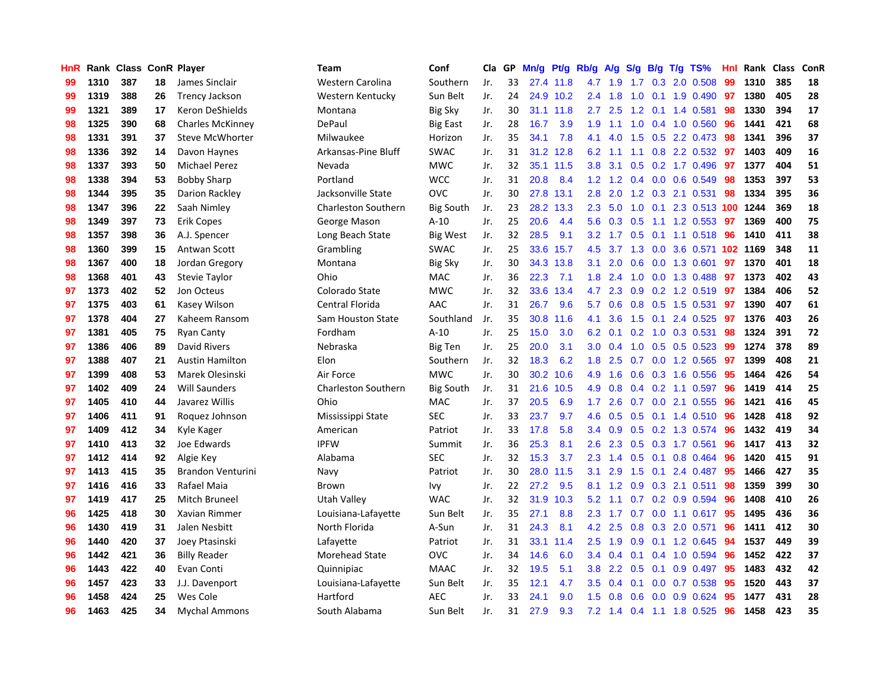| HnR |      | Rank Class ConR Player |    |                         | <b>Team</b>                | Conf             | Cla | GP | Mn/g | Pt/g      | Rb/g             | A/g | S/g             |     | $B/g$ T/g TS%            | Hnl | Rank Class |     | ConR |
|-----|------|------------------------|----|-------------------------|----------------------------|------------------|-----|----|------|-----------|------------------|-----|-----------------|-----|--------------------------|-----|------------|-----|------|
| 99  | 1310 | 387                    | 18 | James Sinclair          | Western Carolina           | Southern         | Jr. | 33 | 27.4 | 11.8      | 4.7              | 1.9 | 1.7             | 0.3 | 2.0 0.508                | 99  | 1310       | 385 | 18   |
| 99  | 1319 | 388                    | 26 | <b>Trency Jackson</b>   | Western Kentucky           | Sun Belt         | Jr. | 24 |      | 24.9 10.2 | $2.4\,$          | 1.8 | 1.0             |     | $0.1$ 1.9 $0.490$        | -97 | 1380       | 405 | 28   |
| 99  | 1321 | 389                    | 17 | Keron DeShields         | Montana                    | <b>Big Sky</b>   | Jr. | 30 | 31.1 | 11.8      | 2.7              | 2.5 |                 |     | 1.2 0.1 1.4 0.581        | 98  | 1330       | 394 | 17   |
| 98  | 1325 | 390                    | 68 | <b>Charles McKinney</b> | DePaul                     | <b>Big East</b>  | Jr. | 28 | 16.7 | 3.9       | 1.9              |     |                 |     | 1.1 1.0 0.4 1.0 0.560    | 96  | 1441       | 421 | 68   |
| 98  | 1331 | 391                    | 37 | <b>Steve McWhorter</b>  | Milwaukee                  | Horizon          | Jr. | 35 | 34.1 | 7.8       | 4.1              | 4.0 | 1.5             |     | 0.5 2.2 0.473            | 98  | 1341       | 396 | 37   |
| 98  | 1336 | 392                    | 14 | Davon Haynes            | Arkansas-Pine Bluff        | <b>SWAC</b>      | Jr. | 31 | 31.2 | 12.8      | 6.2              | 1.1 | 1.1             |     | 0.8 2.2 0.532            | 97  | 1403       | 409 | 16   |
| 98  | 1337 | 393                    | 50 | <b>Michael Perez</b>    | Nevada                     | <b>MWC</b>       | Jr. | 32 | 35.1 | 11.5      | 3.8              | 3.1 | 0.5             |     | 0.2 1.7 0.496            | 97  | 1377       | 404 | 51   |
| 98  | 1338 | 394                    | 53 | <b>Bobby Sharp</b>      | Portland                   | <b>WCC</b>       | Jr. | 31 | 20.8 | 8.4       | 1.2              | 1.2 | 0.4             |     | $0.0$ $0.6$ $0.549$      | 98  | 1353       | 397 | 53   |
| 98  | 1344 | 395                    | 35 | Darion Rackley          | Jacksonville State         | <b>OVC</b>       | Jr. | 30 | 27.8 | 13.1      | 2.8              | 2.0 | 1.2             |     | 0.3 2.1 0.531            | 98  | 1334       | 395 | 36   |
| 98  | 1347 | 396                    | 22 | Saah Nimlev             | <b>Charleston Southern</b> | <b>Big South</b> | Jr. | 23 | 28.2 | 13.3      | 2.3              | 5.0 | 1.0             |     | 0.1 2.3 0.513 100 1244   |     |            | 369 | 18   |
| 98  | 1349 | 397                    | 73 | <b>Erik Copes</b>       | George Mason               | $A-10$           | Jr. | 25 | 20.6 | 4.4       | 5.6              |     |                 |     | 0.3 0.5 1.1 1.2 0.553 97 |     | 1369       | 400 | 75   |
| 98  | 1357 | 398                    | 36 | A.J. Spencer            | Long Beach State           | <b>Big West</b>  | Jr. | 32 | 28.5 | 9.1       | 3.2              | 1.7 |                 |     | 0.5 0.1 1.1 0.518 96     |     | 1410       | 411 | 38   |
| 98  | 1360 | 399                    | 15 | Antwan Scott            | Grambling                  | <b>SWAC</b>      | Jr. | 25 | 33.6 | 15.7      | 4.5              |     | $3.7 \quad 1.3$ |     | 0.0 3.6 0.571 102 1169   |     |            | 348 | 11   |
| 98  | 1367 | 400                    | 18 | Jordan Gregory          | Montana                    | <b>Big Sky</b>   | Jr. | 30 | 34.3 | 13.8      | 3.1              | 2.0 | 0.6             |     | $0.0$ 1.3 0.601          | 97  | 1370       | 401 | 18   |
| 98  | 1368 | 401                    | 43 | Stevie Taylor           | Ohio                       | MAC              | Jr. | 36 | 22.3 | 7.1       | 1.8              | 2.4 | 1.0             |     | $0.0$ 1.3 0.488          | -97 | 1373       | 402 | 43   |
| 97  | 1373 | 402                    | 52 | Jon Octeus              | Colorado State             | <b>MWC</b>       | Jr. | 32 | 33.6 | 13.4      | 4.7              | 2.3 | 0.9             |     | $0.2$ 1.2 0.519          | 97  | 1384       | 406 | 52   |
| 97  | 1375 | 403                    | 61 | Kasey Wilson            | Central Florida            | AAC              | Jr. | 31 | 26.7 | 9.6       | 5.7              | 0.6 | 0.8             |     | $0.5$ 1.5 0.531          | 97  | 1390       | 407 | 61   |
| 97  | 1378 | 404                    | 27 | Kaheem Ransom           | Sam Houston State          | Southland        | Jr. | 35 | 30.8 | 11.6      | 4.1              | 3.6 | 1.5             | 0.1 | 2.4 0.525                | -97 | 1376       | 403 | 26   |
| 97  | 1381 | 405                    | 75 | <b>Ryan Canty</b>       | Fordham                    | $A-10$           | Jr. | 25 | 15.0 | 3.0       | 6.2              | 0.1 |                 |     | $0.2$ 1.0 0.3 0.531      | 98  | 1324       | 391 | 72   |
| 97  | 1386 | 406                    | 89 | David Rivers            | Nebraska                   | Big Ten          | Jr. | 25 | 20.0 | 3.1       | 3.0 <sub>2</sub> | 0.4 |                 |     | 1.0 0.5 0.5 0.523        | -99 | 1274       | 378 | 89   |
| 97  | 1388 | 407                    | 21 | <b>Austin Hamilton</b>  | Elon                       | Southern         | Jr. | 32 | 18.3 | 6.2       | 1.8              | 2.5 |                 |     | $0.7$ $0.0$ 1.2 $0.565$  | -97 | 1399       | 408 | 21   |
| 97  | 1399 | 408                    | 53 | Marek Olesinski         | Air Force                  | <b>MWC</b>       | Jr. | 30 | 30.2 | 10.6      | 4.9              | 1.6 | 0.6             |     | 0.3 1.6 0.556            | 95  | 1464       | 426 | 54   |
| 97  | 1402 | 409                    | 24 | <b>Will Saunders</b>    | <b>Charleston Southern</b> | <b>Big South</b> | Jr. | 31 | 21.6 | 10.5      | 4.9              | 0.8 | 0.4             |     | $0.2$ 1.1 $0.597$        | 96  | 1419       | 414 | 25   |
| 97  | 1405 | 410                    | 44 | Javarez Willis          | Ohio                       | MAC              | Jr. | 37 | 20.5 | 6.9       | 1.7              | 2.6 | 0.7             |     | $0.0$ 2.1 $0.555$        | 96  | 1421       | 416 | 45   |
| 97  | 1406 | 411                    | 91 | Roquez Johnson          | Mississippi State          | <b>SEC</b>       | Jr. | 33 | 23.7 | 9.7       | 4.6              | 0.5 | 0.5             |     | $0.1$ 1.4 $0.510$        | 96  | 1428       | 418 | 92   |
| 97  | 1409 | 412                    | 34 | Kyle Kager              | American                   | Patriot          | Jr. | 33 | 17.8 | 5.8       | $3.4^{\circ}$    | 0.9 | 0.5             |     | 0.2 1.3 0.574            | 96  | 1432       | 419 | 34   |
| 97  | 1410 | 413                    | 32 | Joe Edwards             | <b>IPFW</b>                | Summit           | Jr. | 36 | 25.3 | 8.1       | 2.6              | 2.3 |                 |     | $0.5$ $0.3$ 1.7 $0.561$  | 96  | 1417       | 413 | 32   |
| 97  | 1412 | 414                    | 92 | Algie Key               | Alabama                    | <b>SEC</b>       | Jr. | 32 | 15.3 | 3.7       | 2.3              |     |                 |     | 1.4 0.5 0.1 0.8 0.464    | 96  | 1420       | 415 | 91   |
| 97  | 1413 | 415                    | 35 | Brandon Venturini       | Navy                       | Patriot          | Jr. | 30 | 28.0 | 11.5      | 3.1              | 2.9 | 1.5             |     | 0.1 2.4 0.487 95         |     | 1466       | 427 | 35   |
| 97  | 1416 | 416                    | 33 | Rafael Maia             | Brown                      | Ivy              | Jr. | 22 | 27.2 | 9.5       | 8.1              | 1.2 | 0.9             |     | $0.3$ 2.1 0.511          | 98  | 1359       | 399 | 30   |
| 97  | 1419 | 417                    | 25 | Mitch Bruneel           | Utah Valley                | <b>WAC</b>       | Jr. | 32 | 31.9 | 10.3      | 5.2              | 1.1 | 0.7             |     | $0.2$ 0.9 0.594          | 96  | 1408       | 410 | 26   |
| 96  | 1425 | 418                    | 30 | Xavian Rimmer           | Louisiana-Lafayette        | Sun Belt         | Jr. | 35 | 27.1 | 8.8       | 2.3              | 1.7 | 0.7             |     | $0.0$ 1.1 0.617          | 95  | 1495       | 436 | 36   |
| 96  | 1430 | 419                    | 31 | Jalen Nesbitt           | North Florida              | A-Sun            | Jr. | 31 | 24.3 | 8.1       | 4.2              | 2.5 | 0.8             | 0.3 | 2.0 0.571                | 96  | 1411       | 412 | 30   |
| 96  | 1440 | 420                    | 37 | Joey Ptasinski          | Lafayette                  | Patriot          | Jr. | 31 | 33.1 | 11.4      | 2.5              | 1.9 | 0.9             |     | $0.1$ 1.2 0.645          | 94  | 1537       | 449 | 39   |
| 96  | 1442 | 421                    | 36 | <b>Billy Reader</b>     | Morehead State             | <b>OVC</b>       | Jr. | 34 | 14.6 | 6.0       | 3.4              | 0.4 | 0.1             |     | 0.4 1.0 0.594            | 96  | 1452       | 422 | 37   |
| 96  | 1443 | 422                    | 40 | Evan Conti              | Quinnipiac                 | <b>MAAC</b>      | Jr. | 32 | 19.5 | 5.1       | 3.8 <sub>2</sub> | 2.2 | 0.5             |     | $0.1$ 0.9 0.497          | -95 | 1483       | 432 | 42   |
| 96  | 1457 | 423                    | 33 | J.J. Davenport          | Louisiana-Lafayette        | Sun Belt         | Jr. | 35 | 12.1 | 4.7       | 3.5              | 0.4 | 0.1             |     | $0.0$ 0.7 0.538          | 95  | 1520       | 443 | 37   |
| 96  | 1458 | 424                    | 25 | Wes Cole                | Hartford                   | AEC              | Jr. | 33 | 24.1 | 9.0       | 1.5              | 0.8 | 0.6             |     | $0.0$ $0.9$ $0.624$      | 95  | 1477       | 431 | 28   |
| 96  | 1463 | 425                    | 34 | <b>Mychal Ammons</b>    | South Alabama              | Sun Belt         | Jr. | 31 | 27.9 | 9.3       | 7.2              | 1.4 |                 |     | 0.4 1.1 1.8 0.525        | 96  | 1458       | 423 | 35   |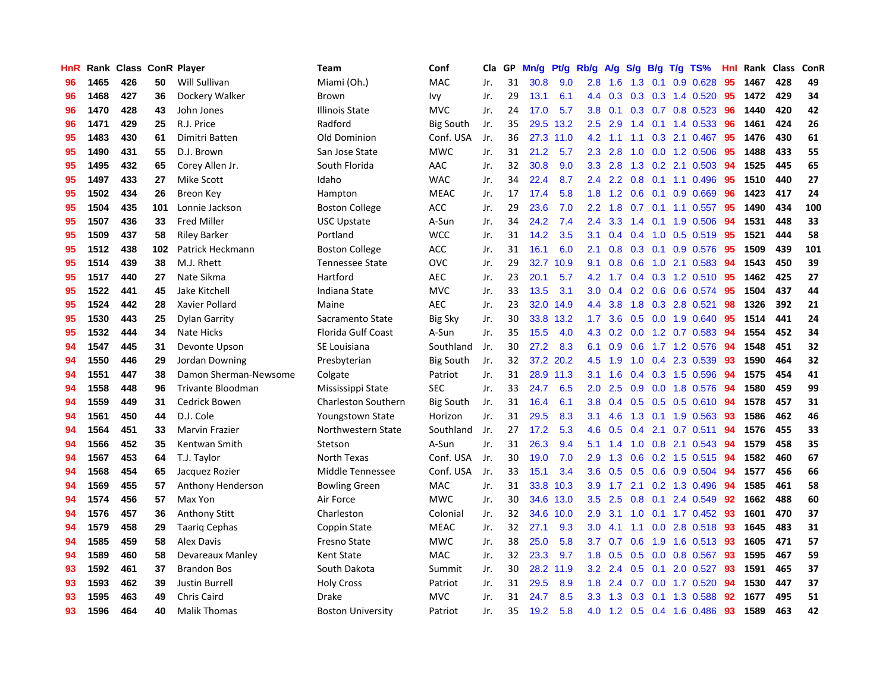| HnR |      |     |     | Rank Class ConR Player | Team                       | Conf             | Cla | GP | Mn/g | Pt/g | Rb/g             | A/g | <b>S/g</b>    |     | $B/g$ T/g TS%         | Hnl |      | Rank Class | ConR |
|-----|------|-----|-----|------------------------|----------------------------|------------------|-----|----|------|------|------------------|-----|---------------|-----|-----------------------|-----|------|------------|------|
| 96  | 1465 | 426 | 50  | Will Sullivan          | Miami (Oh.)                | <b>MAC</b>       | Jr. | 31 | 30.8 | 9.0  | 2.8              | 1.6 | 1.3           | 0.1 | $0.9$ $0.628$         | 95  | 1467 | 428        | 49   |
| 96  | 1468 | 427 | 36  | Dockery Walker         | Brown                      | Ivy              | Jr. | 29 | 13.1 | 6.1  | 4.4              | 0.3 |               |     | $0.3$ 0.3 1.4 0.520   | 95  | 1472 | 429        | 34   |
| 96  | 1470 | 428 | 43  | John Jones             | <b>Illinois State</b>      | <b>MVC</b>       | Jr. | 24 | 17.0 | 5.7  | 3.8 <sub>2</sub> | 0.1 |               |     | $0.3$ 0.7 0.8 0.523   | -96 | 1440 | 420        | 42   |
| 96  | 1471 | 429 | 25  | R.J. Price             | Radford                    | <b>Big South</b> | Jr. | 35 | 29.5 | 13.2 | 2.5              | 2.9 |               |     | 1.4 0.1 1.4 0.533     | 96  | 1461 | 424        | 26   |
| 95  | 1483 | 430 | 61  | Dimitri Batten         | Old Dominion               | Conf. USA        | Jr. | 36 | 27.3 | 11.0 | 4.2              | 1.1 | 1.1           |     | $0.3$ 2.1 $0.467$     | 95  | 1476 | 430        | 61   |
| 95  | 1490 | 431 | 55  | D.J. Brown             | San Jose State             | <b>MWC</b>       | Jr. | 31 | 21.2 | 5.7  | 2.3              | 2.8 | 1.0           |     | $0.0$ 1.2 $0.506$     | 95  | 1488 | 433        | 55   |
| 95  | 1495 | 432 | 65  | Corey Allen Jr.        | South Florida              | AAC              | Jr. | 32 | 30.8 | 9.0  | 3.3              | 2.8 |               |     | 1.3 0.2 2.1 0.503     | 94  | 1525 | 445        | 65   |
| 95  | 1497 | 433 | 27  | Mike Scott             | Idaho                      | <b>WAC</b>       | Jr. | 34 | 22.4 | 8.7  | $2.4^{\circ}$    | 2.2 | 0.8           |     | $0.1$ 1.1 0.496       | 95  | 1510 | 440        | 27   |
| 95  | 1502 | 434 | 26  | <b>Breon Key</b>       | Hampton                    | <b>MEAC</b>      | Jr. | 17 | 17.4 | 5.8  | 1.8              | 1.2 | 0.6           | 0.1 | 0.9 0.669             | 96  | 1423 | 417        | 24   |
| 95  | 1504 | 435 | 101 | Lonnie Jackson         | <b>Boston College</b>      | <b>ACC</b>       | Jr. | 29 | 23.6 | 7.0  | $2.2^{\circ}$    | 1.8 | 0.7           |     | $0.1$ 1.1 0.557       | 95  | 1490 | 434        | 100  |
| 95  | 1507 | 436 | 33  | <b>Fred Miller</b>     | <b>USC Upstate</b>         | A-Sun            | Jr. | 34 | 24.2 | 7.4  | $2.4^{\circ}$    | 3.3 |               |     | 1.4 0.1 1.9 0.506 94  |     | 1531 | 448        | 33   |
| 95  | 1509 | 437 | 58  | <b>Riley Barker</b>    | Portland                   | <b>WCC</b>       | Jr. | 31 | 14.2 | 3.5  | 3.1              | 0.4 |               |     | $0.4$ 1.0 0.5 0.519   | -95 | 1521 | 444        | 58   |
| 95  | 1512 | 438 | 102 | Patrick Heckmann       | <b>Boston College</b>      | ACC              | Jr. | 31 | 16.1 | 6.0  | 2.1              | 0.8 |               |     | 0.3 0.1 0.9 0.576     | -95 | 1509 | 439        | 101  |
| 95  | 1514 | 439 | 38  | M.J. Rhett             | <b>Tennessee State</b>     | <b>OVC</b>       | Jr. | 29 | 32.7 | 10.9 | 9.1              | 0.8 | 0.6           |     | $1.0$ 2.1 $0.583$     | -94 | 1543 | 450        | 39   |
| 95  | 1517 | 440 | 27  | Nate Sikma             | Hartford                   | <b>AEC</b>       | Jr. | 23 | 20.1 | 5.7  | 4.2              | 1.7 |               |     | $0.4$ 0.3 1.2 0.510   | -95 | 1462 | 425        | 27   |
| 95  | 1522 | 441 | 45  | Jake Kitchell          | Indiana State              | <b>MVC</b>       | Jr. | 33 | 13.5 | 3.1  | 3.0 <sub>1</sub> | 0.4 |               |     | $0.2$ 0.6 0.6 0.574   | 95  | 1504 | 437        | 44   |
| 95  | 1524 | 442 | 28  | Xavier Pollard         | Maine                      | <b>AEC</b>       | Jr. | 23 | 32.0 | 14.9 | 4.4              | 3.8 | 1.8           |     | 0.3 2.8 0.521         | 98  | 1326 | 392        | 21   |
| 95  | 1530 | 443 | 25  | <b>Dylan Garrity</b>   | Sacramento State           | Big Sky          | Jr. | 30 | 33.8 | 13.2 | 1.7 <sub>2</sub> | 3.6 | 0.5           |     | 0.0 1.9 0.640         | 95  | 1514 | 441        | 24   |
| 95  | 1532 | 444 | 34  | <b>Nate Hicks</b>      | <b>Florida Gulf Coast</b>  | A-Sun            | Jr. | 35 | 15.5 | 4.0  | 4.3              | 0.2 |               |     | 0.0 1.2 0.7 0.583 94  |     | 1554 | 452        | 34   |
| 94  | 1547 | 445 | 31  | Devonte Upson          | SE Louisiana               | Southland        | Jr. | 30 | 27.2 | 8.3  | 6.1              | 0.9 |               |     | 0.6 1.7 1.2 0.576 94  |     | 1548 | 451        | 32   |
| 94  | 1550 | 446 | 29  | Jordan Downing         | Presbyterian               | <b>Big South</b> | Jr. | 32 | 37.2 | 20.2 | 4.5              | 1.9 | 1.0           |     | 0.4 2.3 0.539         | -93 | 1590 | 464        | 32   |
| 94  | 1551 | 447 | 38  | Damon Sherman-Newsome  | Colgate                    | Patriot          | Jr. | 31 | 28.9 | 11.3 | 3.1              | 1.6 |               |     | 0.4 0.3 1.5 0.596     | 94  | 1575 | 454        | 41   |
| 94  | 1558 | 448 | 96  | Trivante Bloodman      | Mississippi State          | <b>SEC</b>       | Jr. | 33 | 24.7 | 6.5  | 2.0              | 2.5 | 0.9           |     | 0.0 1.8 0.576         | -94 | 1580 | 459        | 99   |
| 94  | 1559 | 449 | 31  | Cedrick Bowen          | <b>Charleston Southern</b> | <b>Big South</b> | Jr. | 31 | 16.4 | 6.1  | 3.8 <sub>2</sub> | 0.4 | 0.5           |     | $0.5$ 0.5 0.610       | -94 | 1578 | 457        | 31   |
| 94  | 1561 | 450 | 44  | D.J. Cole              | <b>Youngstown State</b>    | Horizon          | Jr. | 31 | 29.5 | 8.3  | 3.1              | 4.6 | 1.3           |     | $0.1$ 1.9 0.563       | -93 | 1586 | 462        | 46   |
| 94  | 1564 | 451 | 33  | <b>Marvin Frazier</b>  | Northwestern State         | Southland        | Jr. | 27 | 17.2 | 5.3  | 4.6              | 0.5 | $0.4^{\circ}$ | 2.1 | $0.7$ 0.511           | 94  | 1576 | 455        | 33   |
| 94  | 1566 | 452 | 35  | Kentwan Smith          | Stetson                    | A-Sun            | Jr. | 31 | 26.3 | 9.4  | 5.1              | 1.4 |               |     | 1.0 0.8 2.1 0.543 94  |     | 1579 | 458        | 35   |
| 94  | 1567 | 453 | 64  | T.J. Taylor            | North Texas                | Conf. USA        | Jr. | 30 | 19.0 | 7.0  | 2.9              | 1.3 |               |     | 0.6 0.2 1.5 0.515 94  |     | 1582 | 460        | 67   |
| 94  | 1568 | 454 | 65  | Jacquez Rozier         | Middle Tennessee           | Conf. USA        | Jr. | 33 | 15.1 | 3.4  | 3.6 <sup>°</sup> | 0.5 |               |     | 0.5 0.6 0.9 0.504 94  |     | 1577 | 456        | 66   |
| 94  | 1569 | 455 | 57  | Anthony Henderson      | <b>Bowling Green</b>       | <b>MAC</b>       | Jr. | 31 | 33.8 | 10.3 | 3.9 <sup>°</sup> | 1.7 | 2.1           |     | 0.2 1.3 0.496         | 94  | 1585 | 461        | 58   |
| 94  | 1574 | 456 | 57  | Max Yon                | Air Force                  | <b>MWC</b>       | Jr. | 30 | 34.6 | 13.0 | 3.5              | 2.5 | 0.8           | 0.1 | 2.4 0.549             | 92  | 1662 | 488        | 60   |
| 94  | 1576 | 457 | 36  | <b>Anthony Stitt</b>   | Charleston                 | Colonial         | Jr. | 32 | 34.6 | 10.0 | 2.9              | 3.1 | 1.0           |     | $0.1$ 1.7 0.452       | -93 | 1601 | 470        | 37   |
| 94  | 1579 | 458 | 29  | <b>Taarig Cephas</b>   | Coppin State               | <b>MEAC</b>      | Jr. | 32 | 27.1 | 9.3  | 3.0              | 4.1 | 1.1           | 0.0 | 2.8 0.518             | -93 | 1645 | 483        | 31   |
| 94  | 1585 | 459 | 58  | Alex Davis             | Fresno State               | <b>MWC</b>       | Jr. | 38 | 25.0 | 5.8  | 3.7              | 0.7 | 0.6           |     | 1.9 1.6 0.513 93      |     | 1605 | 471        | 57   |
| 94  | 1589 | 460 | 58  | Devareaux Manley       | <b>Kent State</b>          | <b>MAC</b>       | Jr. | 32 | 23.3 | 9.7  | 1.8              | 0.5 | 0.5           |     | $0.0$ 0.8 0.567       | -93 | 1595 | 467        | 59   |
| 93  | 1592 | 461 | 37  | <b>Brandon Bos</b>     | South Dakota               | Summit           | Jr. | 30 | 28.2 | 11.9 | 3.2              | 2.4 |               |     | 0.5 0.1 2.0 0.527 93  |     | 1591 | 465        | 37   |
| 93  | 1593 | 462 | 39  | <b>Justin Burrell</b>  | <b>Holy Cross</b>          | Patriot          | Jr. | 31 | 29.5 | 8.9  | 1.8              | 2.4 | 0.7           |     | $0.0$ 1.7 $0.520$     | 94  | 1530 | 447        | 37   |
| 93  | 1595 | 463 | 49  | Chris Caird            | Drake                      | <b>MVC</b>       | Jr. | 31 | 24.7 | 8.5  | 3.3 <sub>2</sub> | 1.3 | 0.3           | 0.1 | 1.3 0.588             | 92  | 1677 | 495        | 51   |
| 93  | 1596 | 464 | 40  | <b>Malik Thomas</b>    | <b>Boston University</b>   | Patriot          | Jr. | 35 | 19.2 | 5.8  | 4.0              |     |               |     | 1.2 0.5 0.4 1.6 0.486 | 93  | 1589 | 463        | 42   |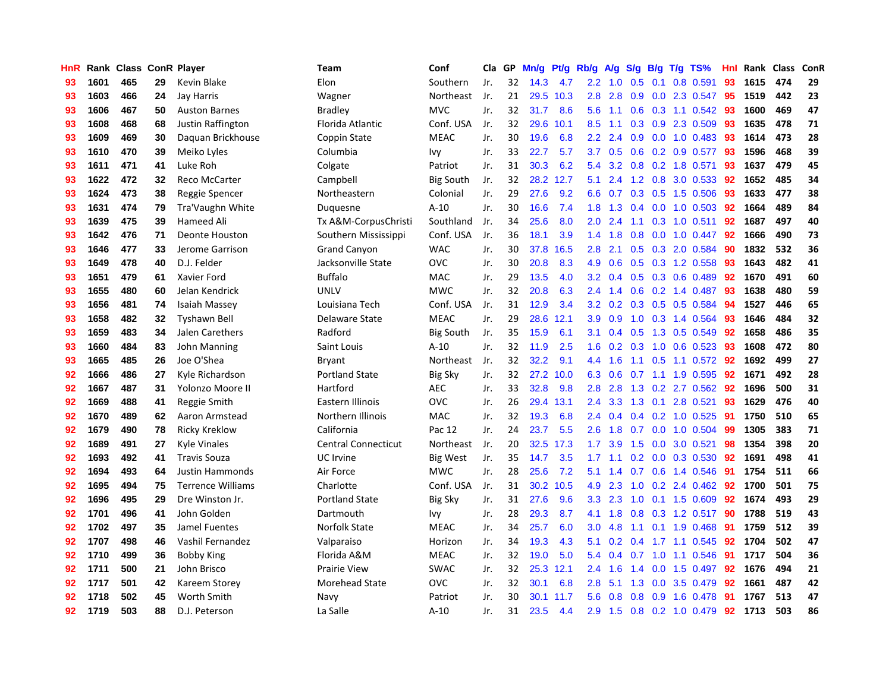| HnR |      | Rank Class ConR Player |    |                          | Team                       | Conf             | Cla | GP | Mn/g | Pt/g | Rb/g             | A/g | S/g | <b>B/g</b> | T/g TS%                 | Hnl | Rank Class |     | ConR |
|-----|------|------------------------|----|--------------------------|----------------------------|------------------|-----|----|------|------|------------------|-----|-----|------------|-------------------------|-----|------------|-----|------|
| 93  | 1601 | 465                    | 29 | Kevin Blake              | Elon                       | Southern         | Jr. | 32 | 14.3 | 4.7  | $2.2^{\circ}$    | 1.0 | 0.5 | 0.1        | 0.8 0.591               | 93  | 1615       | 474 | 29   |
| 93  | 1603 | 466                    | 24 | Jay Harris               | Wagner                     | Northeast        | Jr. | 21 | 29.5 | 10.3 | 2.8              | 2.8 | 0.9 |            | 0.0 2.3 0.547           | -95 | 1519       | 442 | 23   |
| 93  | 1606 | 467                    | 50 | <b>Auston Barnes</b>     | Bradley                    | <b>MVC</b>       | Jr. | 32 | 31.7 | 8.6  | 5.6              | 1.1 |     |            | 0.6 0.3 1.1 0.542 93    |     | 1600       | 469 | 47   |
| 93  | 1608 | 468                    | 68 | Justin Raffington        | Florida Atlantic           | Conf. USA        | Jr. | 32 | 29.6 | 10.1 | 8.5              | 1.1 |     |            | $0.3$ $0.9$ 2.3 $0.509$ | 93  | 1635       | 478 | 71   |
| 93  | 1609 | 469                    | 30 | Daguan Brickhouse        | Coppin State               | <b>MEAC</b>      | Jr. | 30 | 19.6 | 6.8  | 2.2              | 2.4 | 0.9 |            | 0.0 1.0 0.483           | -93 | 1614       | 473 | 28   |
| 93  | 1610 | 470                    | 39 | Meiko Lyles              | Columbia                   | Ivy              | Jr. | 33 | 22.7 | 5.7  | 3.7              | 0.5 | 0.6 |            | $0.2$ 0.9 0.577         | 93  | 1596       | 468 | 39   |
| 93  | 1611 | 471                    | 41 | Luke Roh                 | Colgate                    | Patriot          | Jr. | 31 | 30.3 | 6.2  | 5.4              | 3.2 |     |            | 0.8 0.2 1.8 0.571       | 93  | 1637       | 479 | 45   |
| 93  | 1622 | 472                    | 32 | Reco McCarter            | Campbell                   | <b>Big South</b> | Jr. | 32 | 28.2 | 12.7 | 5.1              | 2.4 | 1.2 | 0.8        | 3.0 0.533               | 92  | 1652       | 485 | 34   |
| 93  | 1624 | 473                    | 38 | Reggie Spencer           | Northeastern               | Colonial         | Jr. | 29 | 27.6 | 9.2  | 6.6              | 0.7 | 0.3 |            | 0.5 1.5 0.506           | -93 | 1633       | 477 | 38   |
| 93  | 1631 | 474                    | 79 | Tra'Vaughn White         | Duquesne                   | $A-10$           | Jr. | 30 | 16.6 | 7.4  | 1.8              | 1.3 | 0.4 |            | 0.0 1.0 0.503 92        |     | 1664       | 489 | 84   |
| 93  | 1639 | 475                    | 39 | Hameed Ali               | Tx A&M-CorpusChristi       | Southland        | Jr. | 34 | 25.6 | 8.0  | 2.0 <sub>1</sub> | 2.4 |     |            | 1.1 0.3 1.0 0.511 92    |     | 1687       | 497 | 40   |
| 93  | 1642 | 476                    | 71 | <b>Deonte Houston</b>    | Southern Mississippi       | Conf. USA        | Jr. | 36 | 18.1 | 3.9  | $1.4^{\circ}$    | 1.8 |     |            | $0.8$ 0.0 1.0 0.447     | -92 | 1666       | 490 | 73   |
| 93  | 1646 | 477                    | 33 | Jerome Garrison          | <b>Grand Canyon</b>        | <b>WAC</b>       | Jr. | 30 | 37.8 | 16.5 | 2.8              | 2.1 |     |            | 0.5 0.3 2.0 0.584       | -90 | 1832       | 532 | 36   |
| 93  | 1649 | 478                    | 40 | D.J. Felder              | Jacksonville State         | OVC              | Jr. | 30 | 20.8 | 8.3  | 4.9              | 0.6 | 0.5 |            | 0.3 1.2 0.558           | 93  | 1643       | 482 | 41   |
| 93  | 1651 | 479                    | 61 | Xavier Ford              | <b>Buffalo</b>             | <b>MAC</b>       | Jr. | 29 | 13.5 | 4.0  | 3.2              | 0.4 |     |            | $0.5$ 0.3 0.6 0.489     | 92  | 1670       | 491 | 60   |
| 93  | 1655 | 480                    | 60 | Jelan Kendrick           | <b>UNLV</b>                | <b>MWC</b>       | Jr. | 32 | 20.8 | 6.3  | $2.4^{\circ}$    | 1.4 | 0.6 |            | $0.2$ 1.4 0.487         | 93  | 1638       | 480 | 59   |
| 93  | 1656 | 481                    | 74 | Isaiah Massey            | Louisiana Tech             | Conf. USA        | Jr. | 31 | 12.9 | 3.4  | 3.2              | 0.2 | 0.3 |            | 0.5 0.5 0.584           | 94  | 1527       | 446 | 65   |
| 93  | 1658 | 482                    | 32 | <b>Tyshawn Bell</b>      | Delaware State             | <b>MEAC</b>      | Jr. | 29 | 28.6 | 12.1 | 3.9              | 0.9 | 1.0 |            | 0.3 1.4 0.564           | 93  | 1646       | 484 | 32   |
| 93  | 1659 | 483                    | 34 | Jalen Carethers          | Radford                    | <b>Big South</b> | Jr. | 35 | 15.9 | 6.1  | 3.1              | 0.4 | 0.5 |            | 1.3 0.5 0.549           | -92 | 1658       | 486 | 35   |
| 93  | 1660 | 484                    | 83 | John Manning             | Saint Louis                | $A-10$           | Jr. | 32 | 11.9 | 2.5  | 1.6              | 0.2 |     |            | 0.3 1.0 0.6 0.523 93    |     | 1608       | 472 | 80   |
| 93  | 1665 | 485                    | 26 | Joe O'Shea               | <b>Bryant</b>              | Northeast        | Jr. | 32 | 32.2 | 9.1  | 4.4              | 1.6 |     |            | $1.1$ 0.5 1.1 0.572     | -92 | 1692       | 499 | 27   |
| 92  | 1666 | 486                    | 27 | Kyle Richardson          | <b>Portland State</b>      | <b>Big Sky</b>   | Jr. | 32 | 27.2 | 10.0 | 6.3              | 0.6 | 0.7 |            | 1.1 1.9 0.595           | 92  | 1671       | 492 | 28   |
| 92  | 1667 | 487                    | 31 | Yolonzo Moore II         | Hartford                   | <b>AEC</b>       | Jr. | 33 | 32.8 | 9.8  | 2.8              | 2.8 | 1.3 |            | $0.2$ 2.7 $0.562$       | 92  | 1696       | 500 | 31   |
| 92  | 1669 | 488                    | 41 | Reggie Smith             | Eastern Illinois           | <b>OVC</b>       | Jr. | 26 | 29.4 | 13.1 | 2.4              | 3.3 | 1.3 | 0.1        | 2.8 0.521               | 93  | 1629       | 476 | 40   |
| 92  | 1670 | 489                    | 62 | Aaron Armstead           | Northern Illinois          | MAC              | Jr. | 32 | 19.3 | 6.8  | $2.4^{\circ}$    | 0.4 |     |            | 0.4 0.2 1.0 0.525       | -91 | 1750       | 510 | 65   |
| 92  | 1679 | 490                    | 78 | <b>Ricky Kreklow</b>     | California                 | Pac 12           | Jr. | 24 | 23.7 | 5.5  | 2.6              | 1.8 | 0.7 |            | $0.0$ 1.0 $0.504$       | -99 | 1305       | 383 | 71   |
| 92  | 1689 | 491                    | 27 | <b>Kyle Vinales</b>      | <b>Central Connecticut</b> | Northeast        | Jr. | 20 | 32.5 | 17.3 | 1.7 <sup>2</sup> | 3.9 | 1.5 |            | $0.0$ 3.0 $0.521$       | 98  | 1354       | 398 | 20   |
| 92  | 1693 | 492                    | 41 | <b>Travis Souza</b>      | UC Irvine                  | <b>Big West</b>  | Jr. | 35 | 14.7 | 3.5  | 1.7 <sub>z</sub> | 1.1 |     |            | 0.2 0.0 0.3 0.530 92    |     | 1691       | 498 | 41   |
| 92  | 1694 | 493                    | 64 | <b>Justin Hammonds</b>   | Air Force                  | <b>MWC</b>       | Jr. | 28 | 25.6 | 7.2  | 5.1              | 1.4 |     |            | $0.7$ $0.6$ 1.4 $0.546$ | -91 | 1754       | 511 | 66   |
| 92  | 1695 | 494                    | 75 | <b>Terrence Williams</b> | Charlotte                  | Conf. USA        | Jr. | 31 | 30.2 | 10.5 | 4.9              | 2.3 | 1.0 |            | 0.2 2.4 0.462 92        |     | 1700       | 501 | 75   |
| 92  | 1696 | 495                    | 29 | Dre Winston Jr.          | <b>Portland State</b>      | <b>Big Sky</b>   | Jr. | 31 | 27.6 | 9.6  | 3.3 <sub>2</sub> | 2.3 | 1.0 |            | $0.1$ 1.5 0.609         | 92  | 1674       | 493 | 29   |
| 92  | 1701 | 496                    | 41 | John Golden              | Dartmouth                  | Ivy              | Jr. | 28 | 29.3 | 8.7  | 4.1              | 1.8 | 0.8 |            | $0.3$ 1.2 0.517         | 90  | 1788       | 519 | 43   |
| 92  | 1702 | 497                    | 35 | Jamel Fuentes            | Norfolk State              | <b>MEAC</b>      | Jr. | 34 | 25.7 | 6.0  | 3.0 <sub>2</sub> | 4.8 | 1.1 |            | $0.1$ 1.9 0.468         | 91  | 1759       | 512 | 39   |
| 92  | 1707 | 498                    | 46 | Vashil Fernandez         | Valparaiso                 | Horizon          | Jr. | 34 | 19.3 | 4.3  | 5.1              | 0.2 | 0.4 |            | 1.7 1.1 0.545           | -92 | 1704       | 502 | 47   |
| 92  | 1710 | 499                    | 36 | <b>Bobby King</b>        | Florida A&M                | <b>MEAC</b>      | Jr. | 32 | 19.0 | 5.0  | 5.4              | 0.4 | 0.7 |            | 1.0 1.1 0.546           | -91 | 1717       | 504 | 36   |
| 92  | 1711 | 500                    | 21 | John Brisco              | <b>Prairie View</b>        | <b>SWAC</b>      | Jr. | 32 | 25.3 | 12.1 | $2.4^{\circ}$    | 1.6 |     |            | 1.4 0.0 1.5 0.497       | 92  | 1676       | 494 | 21   |
| 92  | 1717 | 501                    | 42 | Kareem Storey            | <b>Morehead State</b>      | <b>OVC</b>       | Jr. | 32 | 30.1 | 6.8  | 2.8              | 5.1 | 1.3 |            | $0.0$ 3.5 $0.479$       | 92  | 1661       | 487 | 42   |
| 92  | 1718 | 502                    | 45 | Worth Smith              | Navy                       | Patriot          | Jr. | 30 | 30.1 | 11.7 | 5.6              | 0.8 | 0.8 |            | 0.9 1.6 0.478           | -91 | 1767       | 513 | 47   |
| 92  | 1719 | 503                    | 88 | D.J. Peterson            | La Salle                   | $A-10$           | Jr. | 31 | 23.5 | 4.4  | 2.9              | 1.5 |     |            | 0.8 0.2 1.0 0.479       | 92  | 1713       | 503 | 86   |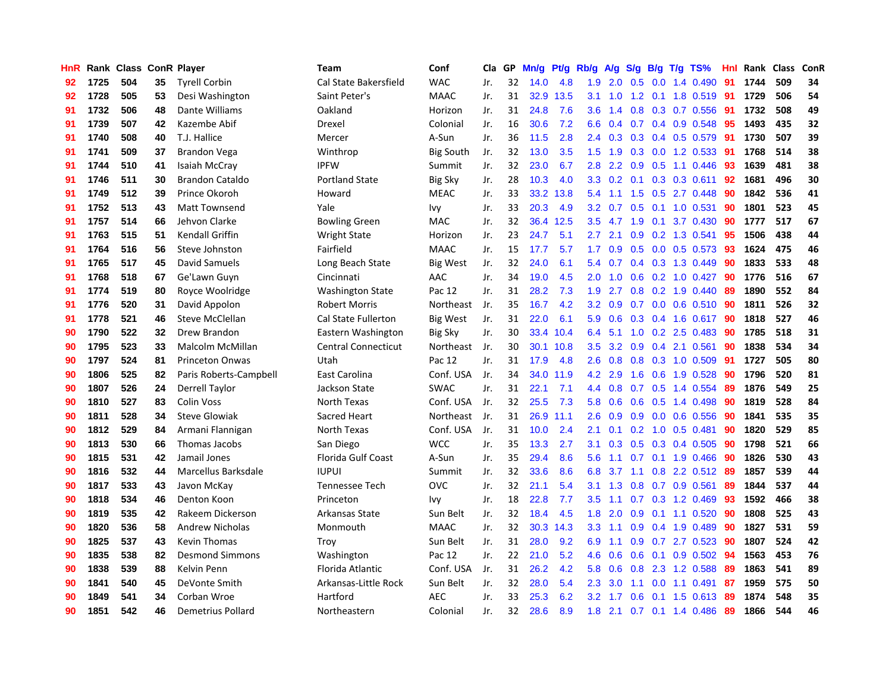| HnR |      | Rank Class ConR Player |    |                        | <b>Team</b>                | Conf             | Cla | GP | Mn/g | Pt/g | Rb/g             | A/g     | S/g              | B/g | $T/g$ TS%                | Hnl | Rank Class |     | ConR |
|-----|------|------------------------|----|------------------------|----------------------------|------------------|-----|----|------|------|------------------|---------|------------------|-----|--------------------------|-----|------------|-----|------|
| 92  | 1725 | 504                    | 35 | <b>Tyrell Corbin</b>   | Cal State Bakersfield      | <b>WAC</b>       | Jr. | 32 | 14.0 | 4.8  | 1.9              | 2.0     | 0.5              | 0.0 | 1.4 0.490                | 91  | 1744       | 509 | 34   |
| 92  | 1728 | 505                    | 53 | Desi Washington        | Saint Peter's              | <b>MAAC</b>      | Jr. | 31 | 32.9 | 13.5 | 3.1              | 1.0     |                  |     | 1.2 0.1 1.8 0.519 91     |     | 1729       | 506 | 54   |
| 91  | 1732 | 506                    | 48 | Dante Williams         | Oakland                    | Horizon          | Jr. | 31 | 24.8 | 7.6  | 3.6              | 1.4     |                  |     | 0.8 0.3 0.7 0.556 91     |     | 1732       | 508 | 49   |
| 91  | 1739 | 507                    | 42 | Kazembe Abif           | Drexel                     | Colonial         | Jr. | 16 | 30.6 | 7.2  | 6.6              | 0.4     |                  |     | $0.7$ 0.4 0.9 0.548      | 95  | 1493       | 435 | 32   |
| 91  | 1740 | 508                    | 40 | T.J. Hallice           | Mercer                     | A-Sun            | Jr. | 36 | 11.5 | 2.8  | $2.4^{\circ}$    | 0.3     | 0.3              |     | $0.4$ 0.5 0.579          | -91 | 1730       | 507 | 39   |
| 91  | 1741 | 509                    | 37 | <b>Brandon Vega</b>    | Winthrop                   | <b>Big South</b> | Jr. | 32 | 13.0 | 3.5  | 1.5              | 1.9     | 0.3              |     | 0.0 1.2 0.533            | 91  | 1768       | 514 | 38   |
| 91  | 1744 | 510                    | 41 | Isaiah McCray          | <b>IPFW</b>                | Summit           | Jr. | 32 | 23.0 | 6.7  | 2.8              | 2.2     | 0.9              |     | 0.5 1.1 0.446            | 93  | 1639       | 481 | 38   |
| 91  | 1746 | 511                    | 30 | <b>Brandon Cataldo</b> | <b>Portland State</b>      | <b>Big Sky</b>   | Jr. | 28 | 10.3 | 4.0  | 3.3              | 0.2     | 0.1              |     | $0.3$ 0.3 0.611          | 92  | 1681       | 496 | 30   |
| 91  | 1749 | 512                    | 39 | Prince Okoroh          | Howard                     | <b>MEAC</b>      | Jr. | 33 | 33.2 | 13.8 | 5.4              | 1.1     | 1.5              |     | 0.5 2.7 0.448            | 90  | 1842       | 536 | 41   |
| 91  | 1752 | 513                    | 43 | <b>Matt Townsend</b>   | Yale                       | Ivy              | Jr. | 33 | 20.3 | 4.9  | 3.2              | 0.7     | 0.5              |     | $0.1$ 1.0 0.531          | 90  | 1801       | 523 | 45   |
| 91  | 1757 | 514                    | 66 | Jehvon Clarke          | <b>Bowling Green</b>       | <b>MAC</b>       | Jr. | 32 | 36.4 | 12.5 | 3.5              | 4.7 1.9 |                  |     | $0.1$ 3.7 $0.430$        | -90 | 1777       | 517 | 67   |
| 91  | 1763 | 515                    | 51 | <b>Kendall Griffin</b> | <b>Wright State</b>        | Horizon          | Jr. | 23 | 24.7 | 5.1  | $2.7^{\circ}$    | 2.1     |                  |     | $0.9$ $0.2$ 1.3 $0.541$  | -95 | 1506       | 438 | 44   |
| 91  | 1764 | 516                    | 56 | Steve Johnston         | Fairfield                  | MAAC             | Jr. | 15 | 17.7 | 5.7  | $1.7^{\circ}$    | 0.9     |                  |     | $0.5$ 0.0 0.5 0.573      | -93 | 1624       | 475 | 46   |
| 91  | 1765 | 517                    | 45 | David Samuels          | Long Beach State           | Big West         | Jr. | 32 | 24.0 | 6.1  | 5.4              | 0.7     | 0.4              |     | 0.3 1.3 0.449            | 90  | 1833       | 533 | 48   |
| 91  | 1768 | 518                    | 67 | Ge'Lawn Guyn           | Cincinnati                 | AAC              | Jr. | 34 | 19.0 | 4.5  | 2.0              | 1.0     | 0.6              |     | $0.2$ 1.0 0.427          | 90  | 1776       | 516 | 67   |
| 91  | 1774 | 519                    | 80 | Royce Woolridge        | <b>Washington State</b>    | Pac 12           | Jr. | 31 | 28.2 | 7.3  | 1.9              | 2.7     | 0.8              |     | $0.2$ 1.9 0.440          | 89  | 1890       | 552 | 84   |
| 91  | 1776 | 520                    | 31 | David Appolon          | <b>Robert Morris</b>       | Northeast        | Jr. | 35 | 16.7 | 4.2  | 3.2              | 0.9     | 0.7              |     | $0.0$ 0.6 0.510          | -90 | 1811       | 526 | 32   |
| 91  | 1778 | 521                    | 46 | <b>Steve McClellan</b> | Cal State Fullerton        | <b>Big West</b>  | Jr. | 31 | 22.0 | 6.1  | 5.9              | 0.6     | 0.3              |     | 0.4 1.6 0.617            | -90 | 1818       | 527 | 46   |
| 90  | 1790 | 522                    | 32 | Drew Brandon           | Eastern Washington         | <b>Big Sky</b>   | Jr. | 30 | 33.4 | 10.4 | 6.4              | 5.1     |                  |     | $1.0$ 0.2 2.5 0.483      | -90 | 1785       | 518 | 31   |
| 90  | 1795 | 523                    | 33 | Malcolm McMillan       | <b>Central Connecticut</b> | Northeast        | Jr. | 30 | 30.1 | 10.8 | 3.5              | 3.2     |                  |     | $0.9$ 0.4 2.1 0.561      | 90  | 1838       | 534 | 34   |
| 90  | 1797 | 524                    | 81 | <b>Princeton Onwas</b> | Utah                       | Pac 12           | Jr. | 31 | 17.9 | 4.8  | $2.6\,$          | 0.8     |                  |     | $0.8$ 0.3 1.0 0.509      | -91 | 1727       | 505 | 80   |
| 90  | 1806 | 525                    | 82 | Paris Roberts-Campbell | East Carolina              | Conf. USA        | Jr. | 34 | 34.0 | 11.9 | 4.2              | 2.9     | 1.6              |     | 0.6 1.9 0.528            | 90  | 1796       | 520 | 81   |
| 90  | 1807 | 526                    | 24 | <b>Derrell Taylor</b>  | Jackson State              | <b>SWAC</b>      | Jr. | 31 | 22.1 | 7.1  | 4.4              | 0.8     | 0.7              |     | 0.5 1.4 0.554            | 89  | 1876       | 549 | 25   |
| 90  | 1810 | 527                    | 83 | <b>Colin Voss</b>      | North Texas                | Conf. USA        | Jr. | 32 | 25.5 | 7.3  | 5.8              | 0.6     | 0.6              |     | $0.5$ 1.4 0.498          | 90  | 1819       | 528 | 84   |
| 90  | 1811 | 528                    | 34 | <b>Steve Glowiak</b>   | Sacred Heart               | Northeast        | Jr. | 31 | 26.9 | 11.1 | 2.6              | 0.9     | 0.9              |     | $0.0$ 0.6 0.556          | -90 | 1841       | 535 | 35   |
| 90  | 1812 | 529                    | 84 | Armani Flannigan       | North Texas                | Conf. USA        | Jr. | 31 | 10.0 | 2.4  | 2.1              | 0.1     | 0.2              | 1.0 | $0.5$ 0.481              | 90  | 1820       | 529 | 85   |
| 90  | 1813 | 530                    | 66 | Thomas Jacobs          | San Diego                  | <b>WCC</b>       | Jr. | 35 | 13.3 | 2.7  | 3.1              | 0.3     |                  |     | 0.5 0.3 0.4 0.505 90     |     | 1798       | 521 | 66   |
| 90  | 1815 | 531                    | 42 | Jamail Jones           | Florida Gulf Coast         | A-Sun            | Jr. | 35 | 29.4 | 8.6  | 5.6              |         |                  |     | 1.1 0.7 0.1 1.9 0.466 90 |     | 1826       | 530 | 43   |
| 90  | 1816 | 532                    | 44 | Marcellus Barksdale    | <b>IUPUI</b>               | Summit           | Jr. | 32 | 33.6 | 8.6  | 6.8              | 3.7     |                  |     | 1.1 0.8 2.2 0.512 89     |     | 1857       | 539 | 44   |
| 90  | 1817 | 533                    | 43 | Javon McKay            | Tennessee Tech             | OVC              | Jr. | 32 | 21.1 | 5.4  | 3.1              | 1.3     | 0.8              |     | $0.7$ 0.9 0.561          | 89  | 1844       | 537 | 44   |
| 90  | 1818 | 534                    | 46 | Denton Koon            | Princeton                  | Ivy              | Jr. | 18 | 22.8 | 7.7  | 3.5              | 1.1     | 0.7              |     | $0.3$ 1.2 0.469          | 93  | 1592       | 466 | 38   |
| 90  | 1819 | 535                    | 42 | Rakeem Dickerson       | Arkansas State             | Sun Belt         | Jr. | 32 | 18.4 | 4.5  | 1.8              | 2.0     | 0.9              |     | $0.1$ 1.1 0.520          | 90  | 1808       | 525 | 43   |
| 90  | 1820 | 536                    | 58 | <b>Andrew Nicholas</b> | Monmouth                   | <b>MAAC</b>      | Jr. | 32 | 30.3 | 14.3 | 3.3              | 1.1     | 0.9 <sub>0</sub> |     | 0.4 1.9 0.489            | 90  | 1827       | 531 | 59   |
| 90  | 1825 | 537                    | 43 | <b>Kevin Thomas</b>    | Troy                       | Sun Belt         | Jr. | 31 | 28.0 | 9.2  | 6.9              | 1.1     | 0.9              |     | 0.7 2.7 0.523            | 90  | 1807       | 524 | 42   |
| 90  | 1835 | 538                    | 82 | <b>Desmond Simmons</b> | Washington                 | Pac 12           | Jr. | 22 | 21.0 | 5.2  | 4.6              | 0.6     | 0.6              |     | 0.1 0.9 0.502 94         |     | 1563       | 453 | 76   |
| 90  | 1838 | 539                    | 88 | Kelvin Penn            | Florida Atlantic           | Conf. USA        | Jr. | 31 | 26.2 | 4.2  | 5.8              | 0.6     |                  |     | 0.8 2.3 1.2 0.588        | -89 | 1863       | 541 | 89   |
| 90  | 1841 | 540                    | 45 | DeVonte Smith          | Arkansas-Little Rock       | Sun Belt         | Jr. | 32 | 28.0 | 5.4  | $2.3\phantom{0}$ | 3.0     |                  |     | 1.1 0.0 1.1 0.491        | -87 | 1959       | 575 | 50   |
| 90  | 1849 | 541                    | 34 | Corban Wroe            | Hartford                   | AEC              | Jr. | 33 | 25.3 | 6.2  | 3.2              | 1.7     | 0.6              |     | $0.1$ 1.5 0.613          | -89 | 1874       | 548 | 35   |
| 90  | 1851 | 542                    | 46 | Demetrius Pollard      | Northeastern               | Colonial         | Jr. | 32 | 28.6 | 8.9  | 1.8              | 2.1     |                  |     | $0.7$ 0.1 1.4 0.486      | 89  | 1866       | 544 | 46   |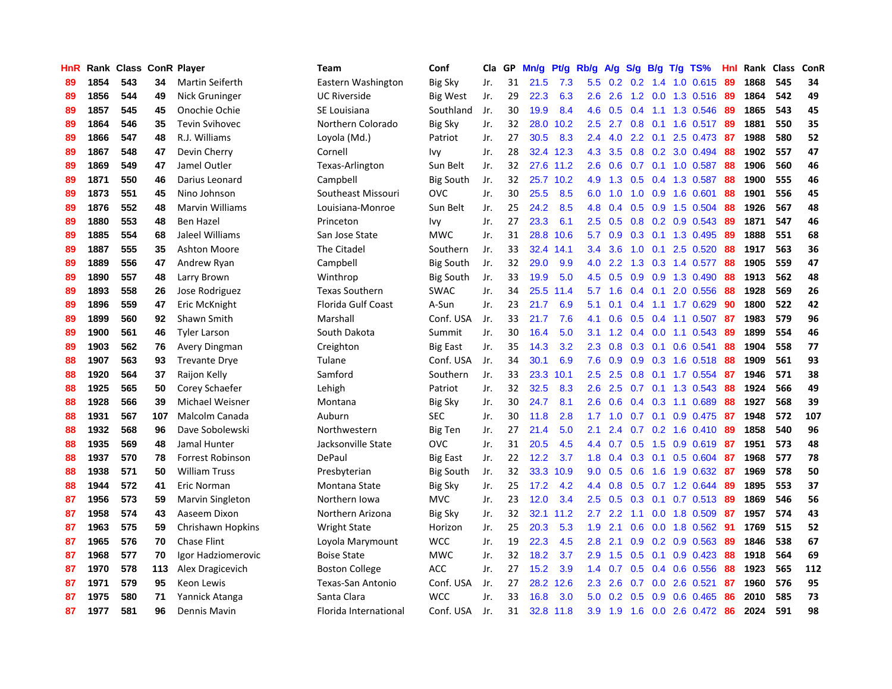| HnR |      | Rank Class ConR Player |     |                         | <b>Team</b>              | Conf             | Cla | GP | Mn/g | <b>Pt/g</b> | Rb/g          | A/g              | S/g           | B/g | $T/g$ TS%                  | Hnl | Rank | <b>Class</b> | ConR |
|-----|------|------------------------|-----|-------------------------|--------------------------|------------------|-----|----|------|-------------|---------------|------------------|---------------|-----|----------------------------|-----|------|--------------|------|
| 89  | 1854 | 543                    | 34  | <b>Martin Seiferth</b>  | Eastern Washington       | <b>Big Sky</b>   | Jr. | 31 | 21.5 | 7.3         | 5.5           | 0.2              | 0.2           | 1.4 | 1.0 0.615                  | 89  | 1868 | 545          | 34   |
| 89  | 1856 | 544                    | 49  | Nick Gruninger          | <b>UC Riverside</b>      | Big West         | Jr. | 29 | 22.3 | 6.3         | 2.6           | 2.6              |               |     | 1.2 0.0 1.3 0.516 89       |     | 1864 | 542          | 49   |
| 89  | 1857 | 545                    | 45  | Onochie Ochie           | SE Louisiana             | Southland        | Jr. | 30 | 19.9 | 8.4         | 4.6           | 0.5              |               |     | 0.4 1.1 1.3 0.546          | -89 | 1865 | 543          | 45   |
| 89  | 1864 | 546                    | 35  | <b>Tevin Svihovec</b>   | Northern Colorado        | <b>Big Sky</b>   | Jr. | 32 | 28.0 | 10.2        | 2.5           | 2.7              |               |     | $0.8$ 0.1 1.6 0.517        | -89 | 1881 | 550          | 35   |
| 89  | 1866 | 547                    | 48  | R.J. Williams           | Loyola (Md.)             | Patriot          | Jr. | 27 | 30.5 | 8.3         | 2.4           | 4.0              | 2.2           |     | $0.1$ 2.5 0.473            | -87 | 1988 | 580          | 52   |
| 89  | 1867 | 548                    | 47  | Devin Cherry            | Cornell                  | Ivy              | Jr. | 28 | 32.4 | 12.3        | 4.3           | 3.5              | 0.8           |     | 0.2 3.0 0.494              | 88  | 1902 | 557          | 47   |
| 89  | 1869 | 549                    | 47  | Jamel Outler            | Texas-Arlington          | Sun Belt         | Jr. | 32 |      | 27.6 11.2   | 2.6           | 0.6              | 0.7           |     | $0.1$ 1.0 $0.587$          | 88  | 1906 | 560          | 46   |
| 89  | 1871 | 550                    | 46  | Darius Leonard          | Campbell                 | <b>Big South</b> | Jr. | 32 | 25.7 | 10.2        | 4.9           | 1.3              | 0.5           |     | 0.4 1.3 0.587              | 88  | 1900 | 555          | 46   |
| 89  | 1873 | 551                    | 45  | Nino Johnson            | Southeast Missouri       | OVC              | Jr. | 30 | 25.5 | 8.5         | 6.0           | 1.0              | 1.0           |     | 0.9 1.6 0.601              | 88  | 1901 | 556          | 45   |
| 89  | 1876 | 552                    | 48  | <b>Marvin Williams</b>  | Louisiana-Monroe         | Sun Belt         | Jr. | 25 | 24.2 | 8.5         | 4.8           | 0.4              | 0.5           |     | 0.9 1.5 0.504              | -88 | 1926 | 567          | 48   |
| 89  | 1880 | 553                    | 48  | <b>Ben Hazel</b>        | Princeton                | Ivy              | Jr. | 27 | 23.3 | 6.1         | $2.5^{\circ}$ | 0.5              |               |     | $0.8$ 0.2 0.9 0.543        | -89 | 1871 | 547          | 46   |
| 89  | 1885 | 554                    | 68  | Jaleel Williams         | San Jose State           | <b>MWC</b>       | Jr. | 31 | 28.8 | 10.6        | 5.7           | 0.9              |               |     | $0.3$ 0.1 1.3 0.495        | -89 | 1888 | 551          | 68   |
| 89  | 1887 | 555                    | 35  | <b>Ashton Moore</b>     | The Citadel              | Southern         | Jr. | 33 | 32.4 | 14.1        | $3.4^{\circ}$ | 3.6              | 1.0           |     | $0.1$ 2.5 0.520            | -88 | 1917 | 563          | 36   |
| 89  | 1889 | 556                    | 47  | Andrew Ryan             | Campbell                 | <b>Big South</b> | Jr. | 32 | 29.0 | 9.9         | 4.0           | 2.2              | 1.3           |     | 0.3 1.4 0.577              | 88  | 1905 | 559          | 47   |
| 89  | 1890 | 557                    | 48  | Larry Brown             | Winthrop                 | <b>Big South</b> | Jr. | 33 | 19.9 | 5.0         | 4.5           | 0.5              | 0.9           |     | 0.9 1.3 0.490              | 88  | 1913 | 562          | 48   |
| 89  | 1893 | 558                    | 26  | Jose Rodriguez          | <b>Texas Southern</b>    | <b>SWAC</b>      | Jr. | 34 | 25.5 | 11.4        | 5.7           | 1.6              | $0.4^{\circ}$ |     | 0.1 2.0 0.556              | 88  | 1928 | 569          | 26   |
| 89  | 1896 | 559                    | 47  | Eric McKnight           | Florida Gulf Coast       | A-Sun            | Jr. | 23 | 21.7 | 6.9         | 5.1           | 0.1              | $0.4^{\circ}$ |     | 1.1 1.7 0.629              | 90  | 1800 | 522          | 42   |
| 89  | 1899 | 560                    | 92  | Shawn Smith             | Marshall                 | Conf. USA        | Jr. | 33 | 21.7 | 7.6         | 4.1           | 0.6              | 0.5           |     | $0.4$ 1.1 0.507            | -87 | 1983 | 579          | 96   |
| 89  | 1900 | 561                    | 46  | <b>Tyler Larson</b>     | South Dakota             | Summit           | Jr. | 30 | 16.4 | 5.0         | 3.1           | 1.2              | 0.4           |     | $0.0$ 1.1 $0.543$          | -89 | 1899 | 554          | 46   |
| 89  | 1903 | 562                    | 76  | Avery Dingman           | Creighton                | <b>Big East</b>  | Jr. | 35 | 14.3 | 3.2         | 2.3           | 0.8              |               |     | $0.3$ 0.1 0.6 0.541        | -88 | 1904 | 558          | 77   |
| 88  | 1907 | 563                    | 93  | <b>Trevante Drye</b>    | Tulane                   | Conf. USA        | Jr. | 34 | 30.1 | 6.9         | 7.6           | 0.9              | 0.9           |     | $0.3$ 1.6 $0.518$          | -88 | 1909 | 561          | 93   |
| 88  | 1920 | 564                    | 37  | Raijon Kelly            | Samford                  | Southern         | Jr. | 33 | 23.3 | 10.1        | 2.5           | 2.5              | 0.8           |     | $0.1$ 1.7 0.554            | -87 | 1946 | 571          | 38   |
| 88  | 1925 | 565                    | 50  | Corey Schaefer          | Lehigh                   | Patriot          | Jr. | 32 | 32.5 | 8.3         | 2.6           | 2.5              | 0.7           |     | $0.1$ 1.3 0.543            | 88  | 1924 | 566          | 49   |
| 88  | 1928 | 566                    | 39  | Michael Weisner         | Montana                  | <b>Big Sky</b>   | Jr. | 30 | 24.7 | 8.1         | 2.6           | 0.6              | 0.4           |     | 0.3 1.1 0.689              | 88  | 1927 | 568          | 39   |
| 88  | 1931 | 567                    | 107 | Malcolm Canada          | Auburn                   | SEC              | Jr. | 30 | 11.8 | 2.8         | 1.7           | 1.0              | 0.7           | 0.1 | 0.9 0.475                  | -87 | 1948 | 572          | 107  |
| 88  | 1932 | 568                    | 96  | Dave Sobolewski         | Northwestern             | <b>Big Ten</b>   | Jr. | 27 | 21.4 | 5.0         | 2.1           | 2.4              | 0.7           |     | 0.2 1.6 0.410 89           |     | 1858 | 540          | 96   |
| 88  | 1935 | 569                    | 48  | Jamal Hunter            | Jacksonville State       | OVC              | Jr. | 31 | 20.5 | 4.5         | 4.4           | 0.7              | 0.5           |     | 1.5 0.9 0.619 87           |     | 1951 | 573          | 48   |
| 88  | 1937 | 570                    | 78  | <b>Forrest Robinson</b> | DePaul                   | Big East         | Jr. | 22 | 12.2 | 3.7         | 1.8           |                  |               |     | $0.4$ 0.3 0.1 0.5 0.604 87 |     | 1968 | 577          | 78   |
| 88  | 1938 | 571                    | 50  | <b>William Truss</b>    | Presbyterian             | Big South        | Jr. | 32 | 33.3 | 10.9        | 9.0           | 0.5              | 0.6           |     | 1.6 1.9 0.632 87           |     | 1969 | 578          | 50   |
| 88  | 1944 | 572                    | 41  | Eric Norman             | Montana State            | Big Sky          | Jr. | 25 | 17.2 | 4.2         | 4.4           | 0.8              | 0.5           |     | $0.7$ 1.2 0.644            | -89 | 1895 | 553          | 37   |
| 87  | 1956 | 573                    | 59  | Marvin Singleton        | Northern Iowa            | <b>MVC</b>       | Jr. | 23 | 12.0 | 3.4         | 2.5           | 0.5              | 0.3           |     | $0.1$ 0.7 0.513            | -89 | 1869 | 546          | 56   |
| 87  | 1958 | 574                    | 43  | Aaseem Dixon            | Northern Arizona         | Big Sky          | Jr. | 32 | 32.1 | 11.2        | 2.7           | 2.2              | 1.1           |     | $0.0$ 1.8 $0.509$          | -87 | 1957 | 574          | 43   |
| 87  | 1963 | 575                    | 59  | Chrishawn Hopkins       | <b>Wright State</b>      | Horizon          | Jr. | 25 | 20.3 | 5.3         | 1.9           | 2.1              | 0.6           |     | $0.0$ 1.8 $0.562$          | -91 | 1769 | 515          | 52   |
| 87  | 1965 | 576                    | 70  | <b>Chase Flint</b>      | Loyola Marymount         | <b>WCC</b>       | Jr. | 19 | 22.3 | 4.5         | 2.8           | 2.1              | 0.9           |     | $0.2$ 0.9 0.563            | 89  | 1846 | 538          | 67   |
| 87  | 1968 | 577                    | 70  | Igor Hadziomerovic      | <b>Boise State</b>       | <b>MWC</b>       | Jr. | 32 | 18.2 | 3.7         | 2.9           | 1.5              | 0.5           |     | $0.1$ 0.9 0.423            | 88  | 1918 | 564          | 69   |
| 87  | 1970 | 578                    | 113 | Alex Dragicevich        | <b>Boston College</b>    | <b>ACC</b>       | Jr. | 27 | 15.2 | 3.9         | 1.4           | 0.7              | 0.5           |     | $0.4$ 0.6 0.556            | -88 | 1923 | 565          | 112  |
| 87  | 1971 | 579                    | 95  | Keon Lewis              | <b>Texas-San Antonio</b> | Conf. USA        | Jr. | 27 | 28.2 | 12.6        | $2.3^{\circ}$ | 2.6              | 0.7           |     | $0.0$ 2.6 0.521            | 87  | 1960 | 576          | 95   |
| 87  | 1975 | 580                    | 71  | Yannick Atanga          | Santa Clara              | <b>WCC</b>       | Jr. | 33 | 16.8 | 3.0         | 5.0           | 0.2 <sub>0</sub> | 0.5           |     | 0.9 0.6 0.465              | 86  | 2010 | 585          | 73   |
| 87  | 1977 | 581                    | 96  | Dennis Mavin            | Florida International    | Conf. USA        | Jr. | 31 | 32.8 | 11.8        | 3.9           | 1.9              | 1.6           |     | 0.0 2.6 0.472 86           |     | 2024 | 591          | 98   |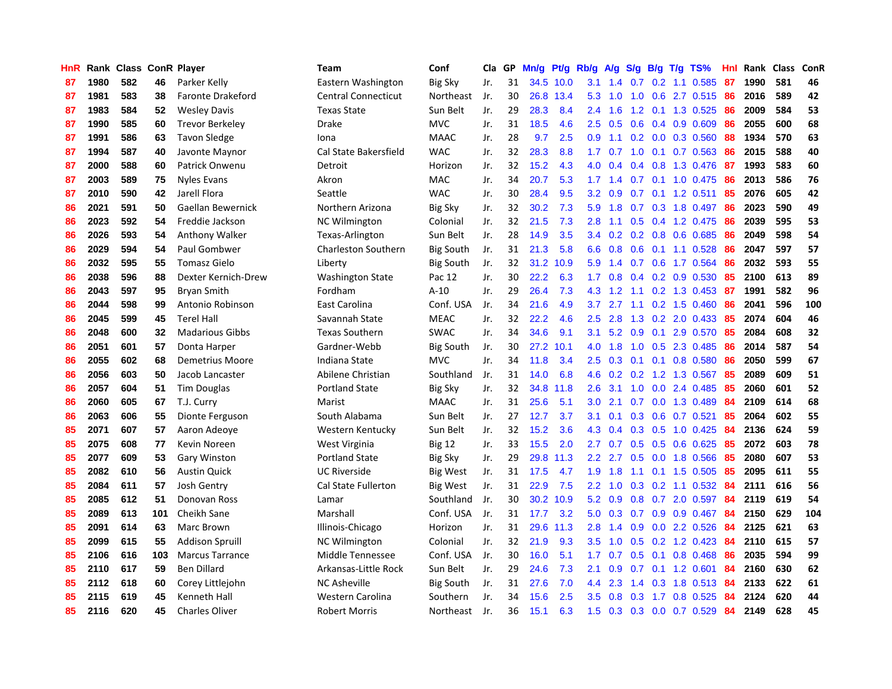| HnR |      | Rank Class ConR Player |     |                          | <b>Team</b>                | Conf             | Cla | GP | Mn/g | Pt/g | Rb/g          | A/g | S/g           | B/g | T/g TS%                   | Hnl | Rank | <b>Class</b> | ConR |
|-----|------|------------------------|-----|--------------------------|----------------------------|------------------|-----|----|------|------|---------------|-----|---------------|-----|---------------------------|-----|------|--------------|------|
| 87  | 1980 | 582                    | 46  | Parker Kelly             | Eastern Washington         | Big Sky          | Jr. | 31 | 34.5 | 10.0 | 3.1           | 1.4 | 0.7           |     | $0.2$ 1.1 0.585           | 87  | 1990 | 581          | 46   |
| 87  | 1981 | 583                    | 38  | <b>Faronte Drakeford</b> | <b>Central Connecticut</b> | Northeast        | Jr. | 30 | 26.8 | 13.4 | 5.3           | 1.0 | 1.0           |     | 0.6 2.7 0.515 86          |     | 2016 | 589          | 42   |
| 87  | 1983 | 584                    | 52  | <b>Wesley Davis</b>      | <b>Texas State</b>         | Sun Belt         | Jr. | 29 | 28.3 | 8.4  | $2.4^{\circ}$ | 1.6 |               |     | 1.2 0.1 1.3 0.525 86      |     | 2009 | 584          | 53   |
| 87  | 1990 | 585                    | 60  | <b>Trevor Berkeley</b>   | Drake                      | <b>MVC</b>       | Jr. | 31 | 18.5 | 4.6  | $2.5^{\circ}$ | 0.5 |               |     | $0.6$ $0.4$ $0.9$ $0.609$ | 86  | 2055 | 600          | 68   |
| 87  | 1991 | 586                    | 63  | Tavon Sledge             | Iona                       | <b>MAAC</b>      | Jr. | 28 | 9.7  | 2.5  | 0.9           | 1.1 |               |     | 0.2 0.0 0.3 0.560         | -88 | 1934 | 570          | 63   |
| 87  | 1994 | 587                    | 40  | Javonte Maynor           | Cal State Bakersfield      | <b>WAC</b>       | Jr. | 32 | 28.3 | 8.8  | 1.7           | 0.7 | 1.0           |     | $0.1$ 0.7 0.563           | 86  | 2015 | 588          | 40   |
| 87  | 2000 | 588                    | 60  | Patrick Onwenu           | Detroit                    | Horizon          | Jr. | 32 | 15.2 | 4.3  | 4.0           | 0.4 | 0.4           |     | 0.8 1.3 0.476             | 87  | 1993 | 583          | 60   |
| 87  | 2003 | 589                    | 75  | <b>Nyles Evans</b>       | Akron                      | MAC              | Jr. | 34 | 20.7 | 5.3  | 1.7           | 1.4 | 0.7           |     | $0.1$ 1.0 0.475           | 86  | 2013 | 586          | 76   |
| 87  | 2010 | 590                    | 42  | Jarell Flora             | Seattle                    | <b>WAC</b>       | Jr. | 30 | 28.4 | 9.5  | 3.2           | 0.9 | 0.7           |     | $0.1$ 1.2 0.511           | 85  | 2076 | 605          | 42   |
| 86  | 2021 | 591                    | 50  | Gaellan Bewernick        | Northern Arizona           | <b>Big Sky</b>   | Jr. | 32 | 30.2 | 7.3  | 5.9           | 1.8 | 0.7           |     | 0.3 1.8 0.497             | 86  | 2023 | 590          | 49   |
| 86  | 2023 | 592                    | 54  | Freddie Jackson          | <b>NC Wilmington</b>       | Colonial         | Jr. | 32 | 21.5 | 7.3  | 2.8           | 1.1 |               |     | $0.5$ 0.4 1.2 0.475       | -86 | 2039 | 595          | 53   |
| 86  | 2026 | 593                    | 54  | <b>Anthony Walker</b>    | Texas-Arlington            | Sun Belt         | Jr. | 28 | 14.9 | 3.5  | 3.4           | 0.2 |               |     | $0.2$ $0.8$ $0.6$ $0.685$ | -86 | 2049 | 598          | 54   |
| 86  | 2029 | 594                    | 54  | Paul Gombwer             | Charleston Southern        | <b>Big South</b> | Jr. | 31 | 21.3 | 5.8  | 6.6           | 0.8 | 0.6           |     | 0.1 1.1 0.528             | 86  | 2047 | 597          | 57   |
| 86  | 2032 | 595                    | 55  | <b>Tomasz Gielo</b>      | Liberty                    | <b>Big South</b> | Jr. | 32 | 31.2 | 10.9 | 5.9           | 1.4 | 0.7           |     | 0.6 1.7 0.564             | 86  | 2032 | 593          | 55   |
| 86  | 2038 | 596                    | 88  | Dexter Kernich-Drew      | <b>Washington State</b>    | Pac 12           | Jr. | 30 | 22.2 | 6.3  | 1.7           | 0.8 | 0.4           |     | $0.2$ 0.9 0.530           | 85  | 2100 | 613          | 89   |
| 86  | 2043 | 597                    | 95  | <b>Bryan Smith</b>       | Fordham                    | $A-10$           | Jr. | 29 | 26.4 | 7.3  | 4.3           | 1.2 | 1.1           |     | 0.2 1.3 0.453             | -87 | 1991 | 582          | 96   |
| 86  | 2044 | 598                    | 99  | Antonio Robinson         | East Carolina              | Conf. USA        | Jr. | 34 | 21.6 | 4.9  | 3.7           | 2.7 | 1.1           |     | $0.2$ 1.5 0.460           | 86  | 2041 | 596          | 100  |
| 86  | 2045 | 599                    | 45  | <b>Terel Hall</b>        | Savannah State             | <b>MEAC</b>      | Jr. | 32 | 22.2 | 4.6  | 2.5           | 2.8 | 1.3           |     | $0.2$ 2.0 0.433           | 85  | 2074 | 604          | 46   |
| 86  | 2048 | 600                    | 32  | <b>Madarious Gibbs</b>   | <b>Texas Southern</b>      | <b>SWAC</b>      | Jr. | 34 | 34.6 | 9.1  | 3.1           | 5.2 | 0.9           |     | $0.1$ 2.9 0.570           | -85 | 2084 | 608          | 32   |
| 86  | 2051 | 601                    | 57  | Donta Harper             | Gardner-Webb               | <b>Big South</b> | Jr. | 30 | 27.2 | 10.1 | 4.0           | 1.8 |               |     | 1.0 0.5 2.3 0.485         | -86 | 2014 | 587          | 54   |
| 86  | 2055 | 602                    | 68  | <b>Demetrius Moore</b>   | Indiana State              | <b>MVC</b>       | Jr. | 34 | 11.8 | 3.4  | $2.5\,$       | 0.3 |               |     | $0.1$ 0.1 0.8 0.580       | 86  | 2050 | 599          | 67   |
| 86  | 2056 | 603                    | 50  | Jacob Lancaster          | Abilene Christian          | Southland        | Jr. | 31 | 14.0 | 6.8  | 4.6           | 0.2 |               |     | $0.2$ 1.2 1.3 0.567       | 85  | 2089 | 609          | 51   |
| 86  | 2057 | 604                    | 51  | <b>Tim Douglas</b>       | <b>Portland State</b>      | <b>Big Sky</b>   | Jr. | 32 | 34.8 | 11.8 | 2.6           | 3.1 | 1.0           |     | $0.0$ 2.4 $0.485$         | 85  | 2060 | 601          | 52   |
| 86  | 2060 | 605                    | 67  | T.J. Curry               | Marist                     | <b>MAAC</b>      | Jr. | 31 | 25.6 | 5.1  | 3.0           | 2.1 | 0.7           |     | 0.0 1.3 0.489             | 84  | 2109 | 614          | 68   |
| 86  | 2063 | 606                    | 55  | Dionte Ferguson          | South Alabama              | Sun Belt         | Jr. | 27 | 12.7 | 3.7  | 3.1           | 0.1 | 0.3           |     | 0.6 0.7 0.521             | 85  | 2064 | 602          | 55   |
| 85  | 2071 | 607                    | 57  | Aaron Adeoye             | Western Kentucky           | Sun Belt         | Jr. | 32 | 15.2 | 3.6  | 4.3           | 0.4 | 0.3           |     | $0.5$ 1.0 0.425           | -84 | 2136 | 624          | 59   |
| 85  | 2075 | 608                    | 77  | Kevin Noreen             | West Virginia              | <b>Big 12</b>    | Jr. | 33 | 15.5 | 2.0  | 2.7           | 0.7 |               |     | $0.5$ $0.5$ $0.6$ $0.625$ | -85 | 2072 | 603          | 78   |
| 85  | 2077 | 609                    | 53  | <b>Gary Winston</b>      | <b>Portland State</b>      | <b>Big Sky</b>   | Jr. | 29 | 29.8 | 11.3 | 2.2           | 2.7 |               |     | 0.5 0.0 1.8 0.566 85      |     | 2080 | 607          | 53   |
| 85  | 2082 | 610                    | 56  | <b>Austin Quick</b>      | <b>UC Riverside</b>        | Big West         | Jr. | 31 | 17.5 | 4.7  | 1.9           | 1.8 |               |     | 1.1 0.1 1.5 0.505         | -85 | 2095 | 611          | 55   |
| 85  | 2084 | 611                    | 57  | Josh Gentry              | Cal State Fullerton        | <b>Big West</b>  | Jr. | 31 | 22.9 | 7.5  | $2.2^{\circ}$ | 1.0 | 0.3           |     | $0.2$ 1.1 $0.532$         | -84 | 2111 | 616          | 56   |
| 85  | 2085 | 612                    | 51  | Donovan Ross             | Lamar                      | Southland        | Jr. | 30 | 30.2 | 10.9 | 5.2           | 0.9 | 0.8           |     | 0.7 2.0 0.597             | 84  | 2119 | 619          | 54   |
| 85  | 2089 | 613                    | 101 | Cheikh Sane              | Marshall                   | Conf. USA        | Jr. | 31 | 17.7 | 3.2  | 5.0           | 0.3 | 0.7           |     | $0.9$ 0.9 0.467           | 84  | 2150 | 629          | 104  |
| 85  | 2091 | 614                    | 63  | Marc Brown               | Illinois-Chicago           | Horizon          | Jr. | 31 | 29.6 | 11.3 | 2.8           | 1.4 | 0.9           | 0.0 | 2.2 0.526                 | 84  | 2125 | 621          | 63   |
| 85  | 2099 | 615                    | 55  | <b>Addison Spruill</b>   | <b>NC Wilmington</b>       | Colonial         | Jr. | 32 | 21.9 | 9.3  | 3.5           | 1.0 | 0.5           |     | $0.2$ 1.2 0.423           | 84  | 2110 | 615          | 57   |
| 85  | 2106 | 616                    | 103 | <b>Marcus Tarrance</b>   | Middle Tennessee           | Conf. USA        | Jr. | 30 | 16.0 | 5.1  | 1.7           | 0.7 | 0.5           | 0.1 | $0.8$ 0.468               | 86  | 2035 | 594          | 99   |
| 85  | 2110 | 617                    | 59  | <b>Ben Dillard</b>       | Arkansas-Little Rock       | Sun Belt         | Jr. | 29 | 24.6 | 7.3  | 2.1           | 0.9 | 0.7           |     | $0.1$ 1.2 0.601           | 84  | 2160 | 630          | 62   |
| 85  | 2112 | 618                    | 60  | Corey Littlejohn         | NC Asheville               | Big South        | Jr. | 31 | 27.6 | 7.0  | 4.4           | 2.3 | $1.4^{\circ}$ |     | $0.3$ 1.8 $0.513$         | -84 | 2133 | 622          | 61   |
| 85  | 2115 | 619                    | 45  | Kenneth Hall             | Western Carolina           | Southern         | Jr. | 34 | 15.6 | 2.5  | $3.5^{\circ}$ | 0.8 | 0.3           |     | 1.7 0.8 0.525             | 84  | 2124 | 620          | 44   |
| 85  | 2116 | 620                    | 45  | <b>Charles Oliver</b>    | <b>Robert Morris</b>       | Northeast        | Jr. | 36 | 15.1 | 6.3  | 1.5           | 0.3 | 0.3           |     | $0.0$ 0.7 0.529           | 84  | 2149 | 628          | 45   |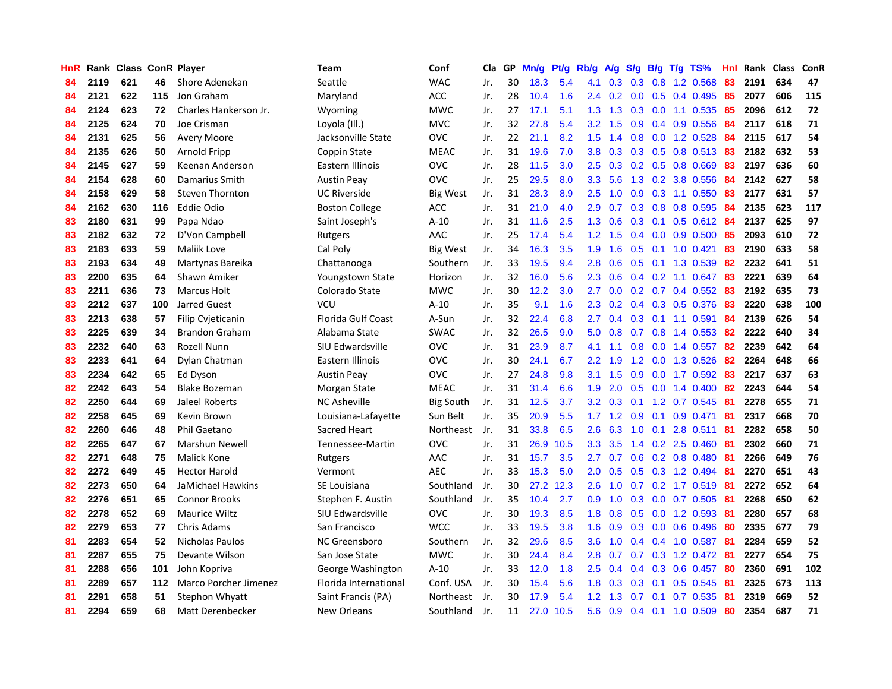| HnR |      | Rank Class ConR Player |     |                              | Team                      | Conf             | Cla | GP | Mn/g | Pt/g | Rb/g             | A/g | S/g | B/g | T/g TS%                   | Hnl |      | Rank Class | ConR |
|-----|------|------------------------|-----|------------------------------|---------------------------|------------------|-----|----|------|------|------------------|-----|-----|-----|---------------------------|-----|------|------------|------|
| 84  | 2119 | 621                    | 46  | Shore Adenekan               | Seattle                   | <b>WAC</b>       | Jr. | 30 | 18.3 | 5.4  | 4.1              | 0.3 | 0.3 | 0.8 | 1.2 0.568                 | 83  | 2191 | 634        | 47   |
| 84  | 2121 | 622                    | 115 | Jon Graham                   | Maryland                  | <b>ACC</b>       | Jr. | 28 | 10.4 | 1.6  | $2.4^{\circ}$    | 0.2 | 0.0 |     | $0.5$ 0.4 0.495           | 85  | 2077 | 606        | 115  |
| 84  | 2124 | 623                    | 72  | Charles Hankerson Jr.        | Wyoming                   | <b>MWC</b>       | Jr. | 27 | 17.1 | 5.1  | 1.3              | 1.3 |     |     | 0.3 0.0 1.1 0.535 85      |     | 2096 | 612        | 72   |
| 84  | 2125 | 624                    | 70  | Joe Crisman                  | Loyola (Ill.)             | <b>MVC</b>       | Jr. | 32 | 27.8 | 5.4  | 3.2 <sub>2</sub> | 1.5 | 0.9 |     | $0.4$ 0.9 0.556           | -84 | 2117 | 618        | 71   |
| 84  | 2131 | 625                    | 56  | Avery Moore                  | Jacksonville State        | OVC              | Jr. | 22 | 21.1 | 8.2  | 1.5              | 1.4 | 0.8 |     | $0.0$ 1.2 0.528           | 84  | 2115 | 617        | 54   |
| 84  | 2135 | 626                    | 50  | Arnold Fripp                 | Coppin State              | <b>MEAC</b>      | Jr. | 31 | 19.6 | 7.0  | 3.8              | 0.3 | 0.3 |     | $0.5$ 0.8 0.513           | -83 | 2182 | 632        | 53   |
| 84  | 2145 | 627                    | 59  | Keenan Anderson              | Eastern Illinois          | OVC              | Jr. | 28 | 11.5 | 3.0  | 2.5              | 0.3 |     |     | $0.2$ $0.5$ $0.8$ $0.669$ | 83  | 2197 | 636        | 60   |
| 84  | 2154 | 628                    | 60  | Damarius Smith               | <b>Austin Peay</b>        | <b>OVC</b>       | Jr. | 25 | 29.5 | 8.0  | 3.3              | 5.6 | 1.3 |     | 0.2 3.8 0.556             | 84  | 2142 | 627        | 58   |
| 84  | 2158 | 629                    | 58  | Steven Thornton              | <b>UC Riverside</b>       | <b>Big West</b>  | Jr. | 31 | 28.3 | 8.9  | 2.5              | 1.0 | 0.9 |     | $0.3$ 1.1 0.550           | 83  | 2177 | 631        | 57   |
| 84  | 2162 | 630                    | 116 | Eddie Odio                   | <b>Boston College</b>     | <b>ACC</b>       | Jr. | 31 | 21.0 | 4.0  | 2.9              | 0.7 | 0.3 |     | 0.8 0.8 0.595             | -84 | 2135 | 623        | 117  |
| 83  | 2180 | 631                    | 99  | Papa Ndao                    | Saint Joseph's            | $A-10$           | Jr. | 31 | 11.6 | 2.5  | 1.3              | 0.6 |     |     | 0.3 0.1 0.5 0.612 84      |     | 2137 | 625        | 97   |
| 83  | 2182 | 632                    | 72  | D'Von Campbell               | Rutgers                   | AAC              | Jr. | 25 | 17.4 | 5.4  | 1.2              | 1.5 |     |     | $0.4$ 0.0 0.9 0.500       | -85 | 2093 | 610        | 72   |
| 83  | 2183 | 633                    | 59  | Maliik Love                  | Cal Poly                  | Big West         | Jr. | 34 | 16.3 | 3.5  | 1.9              | 1.6 |     |     | $0.5$ 0.1 1.0 0.421       | 83  | 2190 | 633        | 58   |
| 83  | 2193 | 634                    | 49  | Martynas Bareika             | Chattanooga               | Southern         | Jr. | 33 | 19.5 | 9.4  | 2.8              | 0.6 | 0.5 |     | 0.1 1.3 0.539             | -82 | 2232 | 641        | 51   |
| 83  | 2200 | 635                    | 64  | Shawn Amiker                 | Youngstown State          | Horizon          | Jr. | 32 | 16.0 | 5.6  | 2.3              | 0.6 |     |     | 0.4 0.2 1.1 0.647         | 83  | 2221 | 639        | 64   |
| 83  | 2211 | 636                    | 73  | <b>Marcus Holt</b>           | Colorado State            | <b>MWC</b>       | Jr. | 30 | 12.2 | 3.0  | 2.7              | 0.0 |     |     | $0.2$ 0.7 0.4 0.552       | 83  | 2192 | 635        | 73   |
| 83  | 2212 | 637                    | 100 | Jarred Guest                 | VCU                       | $A-10$           | Jr. | 35 | 9.1  | 1.6  | 2.3              | 0.2 | 0.4 |     | 0.3 0.5 0.376             | 83  | 2220 | 638        | 100  |
| 83  | 2213 | 638                    | 57  | Filip Cvjeticanin            | <b>Florida Gulf Coast</b> | A-Sun            | Jr. | 32 | 22.4 | 6.8  | 2.7              | 0.4 | 0.3 |     | $0.1$ 1.1 0.591           | 84  | 2139 | 626        | 54   |
| 83  | 2225 | 639                    | 34  | <b>Brandon Graham</b>        | Alabama State             | <b>SWAC</b>      | Jr. | 32 | 26.5 | 9.0  | 5.0              | 0.8 |     |     | 0.7 0.8 1.4 0.553 82      |     | 2222 | 640        | 34   |
| 83  | 2232 | 640                    | 63  | Rozell Nunn                  | SIU Edwardsville          | <b>OVC</b>       | Jr. | 31 | 23.9 | 8.7  | 4.1              | 1.1 |     |     | 0.8 0.0 1.4 0.557         | -82 | 2239 | 642        | 64   |
| 83  | 2233 | 641                    | 64  | Dylan Chatman                | Eastern Illinois          | <b>OVC</b>       | Jr. | 30 | 24.1 | 6.7  | $2.2^{\circ}$    | 1.9 |     |     | 1.2 0.0 1.3 0.526         | -82 | 2264 | 648        | 66   |
| 83  | 2234 | 642                    | 65  | Ed Dyson                     | <b>Austin Peay</b>        | OVC              | Jr. | 27 | 24.8 | 9.8  | 3.1              | 1.5 | 0.9 |     | 0.0 1.7 0.592             | -83 | 2217 | 637        | 63   |
| 82  | 2242 | 643                    | 54  | <b>Blake Bozeman</b>         | Morgan State              | <b>MEAC</b>      | Jr. | 31 | 31.4 | 6.6  | 1.9              | 2.0 | 0.5 |     | $0.0$ 1.4 $0.400$         | 82  | 2243 | 644        | 54   |
| 82  | 2250 | 644                    | 69  | Jaleel Roberts               | <b>NC Asheville</b>       | <b>Big South</b> | Jr. | 31 | 12.5 | 3.7  | 3.2              | 0.3 | 0.1 |     | 1.2 0.7 0.545             | -81 | 2278 | 655        | 71   |
| 82  | 2258 | 645                    | 69  | Kevin Brown                  | Louisiana-Lafayette       | Sun Belt         | Jr. | 35 | 20.9 | 5.5  | 1.7              | 1.2 | 0.9 | 0.1 | $0.9$ $0.471$             | 81  | 2317 | 668        | 70   |
| 82  | 2260 | 646                    | 48  | Phil Gaetano                 | Sacred Heart              | Northeast        | Jr. | 31 | 33.8 | 6.5  | 2.6              | 6.3 | 1.0 | 0.1 | 2.8 0.511                 | -81 | 2282 | 658        | 50   |
| 82  | 2265 | 647                    | 67  | Marshun Newell               | Tennessee-Martin          | <b>OVC</b>       | Jr. | 31 | 26.9 | 10.5 | 3.3 <sub>2</sub> | 3.5 |     |     | 1.4 0.2 2.5 0.460         | -81 | 2302 | 660        | 71   |
| 82  | 2271 | 648                    | 75  | <b>Malick Kone</b>           | Rutgers                   | AAC              | Jr. | 31 | 15.7 | 3.5  | $2.7^{\circ}$    | 0.7 |     |     | 0.6 0.2 0.8 0.480 81      |     | 2266 | 649        | 76   |
| 82  | 2272 | 649                    | 45  | <b>Hector Harold</b>         | Vermont                   | <b>AEC</b>       | Jr. | 33 | 15.3 | 5.0  | $2.0^{\circ}$    | 0.5 |     |     | $0.5$ $0.3$ 1.2 $0.494$   | -81 | 2270 | 651        | 43   |
| 82  | 2273 | 650                    | 64  | JaMichael Hawkins            | SE Louisiana              | Southland        | Jr. | 30 | 27.2 | 12.3 | 2.6              | 1.0 |     |     | 0.7 0.2 1.7 0.519 81      |     | 2272 | 652        | 64   |
| 82  | 2276 | 651                    | 65  | <b>Connor Brooks</b>         | Stephen F. Austin         | Southland        | Jr. | 35 | 10.4 | 2.7  | 0.9              | 1.0 | 0.3 |     | $0.0$ 0.7 0.505           | -81 | 2268 | 650        | 62   |
| 82  | 2278 | 652                    | 69  | Maurice Wiltz                | SIU Edwardsville          | OVC              | Jr. | 30 | 19.3 | 8.5  | 1.8              | 0.8 | 0.5 |     | 0.0 1.2 0.593             | -81 | 2280 | 657        | 68   |
| 82  | 2279 | 653                    | 77  | Chris Adams                  | San Francisco             | <b>WCC</b>       | Jr. | 33 | 19.5 | 3.8  | 1.6              | 0.9 | 0.3 |     | $0.0$ $0.6$ $0.496$       | -80 | 2335 | 677        | 79   |
| 81  | 2283 | 654                    | 52  | Nicholas Paulos              | NC Greensboro             | Southern         | Jr. | 32 | 29.6 | 8.5  | 3.6              | 1.0 | 0.4 |     | 0.4 1.0 0.587             | -81 | 2284 | 659        | 52   |
| 81  | 2287 | 655                    | 75  | Devante Wilson               | San Jose State            | <b>MWC</b>       | Jr. | 30 | 24.4 | 8.4  | 2.8              | 0.7 | 0.7 |     | 0.3 1.2 0.472 81          |     | 2277 | 654        | 75   |
| 81  | 2288 | 656                    | 101 | John Kopriva                 | George Washington         | $A-10$           | Jr. | 33 | 12.0 | 1.8  | 2.5              | 0.4 |     |     | $0.4$ 0.3 0.6 0.457       | -80 | 2360 | 691        | 102  |
| 81  | 2289 | 657                    | 112 | <b>Marco Porcher Jimenez</b> | Florida International     | Conf. USA        | Jr. | 30 | 15.4 | 5.6  | 1.8              | 0.3 | 0.3 |     | $0.1$ 0.5 0.545           | -81 | 2325 | 673        | 113  |
| 81  | 2291 | 658                    | 51  | <b>Stephon Whyatt</b>        | Saint Francis (PA)        | Northeast        | Jr. | 30 | 17.9 | 5.4  | 1.2              | 1.3 | 0.7 | 0.1 | 0.7 0.535                 | -81 | 2319 | 669        | 52   |
| 81  | 2294 | 659                    | 68  | Matt Derenbecker             | New Orleans               | Southland        | Jr. | 11 | 27.0 | 10.5 | 5.6              | 0.9 |     |     | $0.4$ 0.1 1.0 0.509       | 80  | 2354 | 687        | 71   |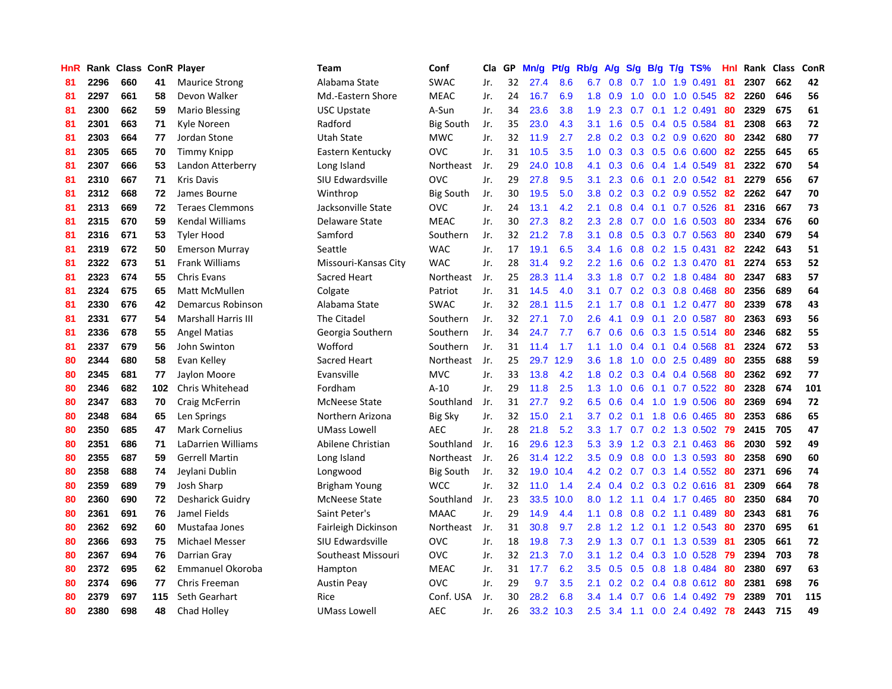| HnR |      | Rank Class ConR Player |     |                            | <b>Team</b>          | Conf             | Cla | GP | Mn/g | Pt/g | Rb/g    | A/g | S/g | B/g             | $T/g$ TS%                 | Hnl | Rank Class |     | ConR |
|-----|------|------------------------|-----|----------------------------|----------------------|------------------|-----|----|------|------|---------|-----|-----|-----------------|---------------------------|-----|------------|-----|------|
| 81  | 2296 | 660                    | 41  | <b>Maurice Strong</b>      | Alabama State        | <b>SWAC</b>      | Jr. | 32 | 27.4 | 8.6  | 6.7     | 0.8 | 0.7 | 1.0             | 1.9 0.491                 | 81  | 2307       | 662 | 42   |
| 81  | 2297 | 661                    | 58  | Devon Walker               | Md.-Eastern Shore    | <b>MEAC</b>      | Jr. | 24 | 16.7 | 6.9  | 1.8     | 0.9 | 1.0 |                 | 0.0 1.0 0.545 82          |     | 2260       | 646 | 56   |
| 81  | 2300 | 662                    | 59  | Mario Blessing             | <b>USC Upstate</b>   | A-Sun            | Jr. | 34 | 23.6 | 3.8  | 1.9     | 2.3 |     |                 | $0.7$ 0.1 1.2 0.491       | -80 | 2329       | 675 | 61   |
| 81  | 2301 | 663                    | 71  | Kyle Noreen                | Radford              | Big South        | Jr. | 35 | 23.0 | 4.3  | 3.1     | 1.6 |     |                 | $0.5$ 0.4 0.5 0.584       | -81 | 2308       | 663 | 72   |
| 81  | 2303 | 664                    | 77  | Jordan Stone               | Utah State           | <b>MWC</b>       | Jr. | 32 | 11.9 | 2.7  | 2.8     | 0.2 | 0.3 |                 | $0.2$ 0.9 0.620           | -80 | 2342       | 680 | 77   |
| 81  | 2305 | 665                    | 70  | <b>Timmy Knipp</b>         | Eastern Kentucky     | <b>OVC</b>       | Jr. | 31 | 10.5 | 3.5  | 1.0     | 0.3 | 0.3 |                 | $0.5$ 0.6 0.600           | 82  | 2255       | 645 | 65   |
| 81  | 2307 | 666                    | 53  | Landon Atterberry          | Long Island          | Northeast        | Jr. | 29 | 24.0 | 10.8 | 4.1     | 0.3 | 0.6 |                 | 0.4 1.4 0.549             | -81 | 2322       | 670 | 54   |
| 81  | 2310 | 667                    | 71  | <b>Kris Davis</b>          | SIU Edwardsville     | <b>OVC</b>       | Jr. | 29 | 27.8 | 9.5  | 3.1     | 2.3 | 0.6 |                 | $0.1$ 2.0 $0.542$         | -81 | 2279       | 656 | 67   |
| 81  | 2312 | 668                    | 72  | James Bourne               | Winthrop             | <b>Big South</b> | Jr. | 30 | 19.5 | 5.0  | 3.8     | 0.2 | 0.3 |                 | 0.2 0.9 0.552             | -82 | 2262       | 647 | 70   |
| 81  | 2313 | 669                    | 72  | <b>Teraes Clemmons</b>     | Jacksonville State   | <b>OVC</b>       | Jr. | 24 | 13.1 | 4.2  | 2.1     | 0.8 | 0.4 |                 | $0.1$ 0.7 0.526           | -81 | 2316       | 667 | 73   |
| 81  | 2315 | 670                    | 59  | <b>Kendal Williams</b>     | Delaware State       | <b>MEAC</b>      | Jr. | 30 | 27.3 | 8.2  | 2.3     | 2.8 |     |                 | 0.7 0.0 1.6 0.503 80      |     | 2334       | 676 | 60   |
| 81  | 2316 | 671                    | 53  | <b>Tyler Hood</b>          | Samford              | Southern         | Jr. | 32 | 21.2 | 7.8  | 3.1     | 0.8 |     |                 | $0.5$ 0.3 0.7 0.563       | -80 | 2340       | 679 | 54   |
| 81  | 2319 | 672                    | 50  | <b>Emerson Murray</b>      | Seattle              | <b>WAC</b>       | Jr. | 17 | 19.1 | 6.5  | 3.4     | 1.6 |     |                 | $0.8$ 0.2 1.5 0.431       | -82 | 2242       | 643 | 51   |
| 81  | 2322 | 673                    | 51  | <b>Frank Williams</b>      | Missouri-Kansas City | <b>WAC</b>       | Jr. | 28 | 31.4 | 9.2  | $2.2\,$ | 1.6 | 0.6 |                 | 0.2 1.3 0.470             | -81 | 2274       | 653 | 52   |
| 81  | 2323 | 674                    | 55  | <b>Chris Evans</b>         | Sacred Heart         | Northeast        | Jr. | 25 | 28.3 | 11.4 | 3.3     | 1.8 | 0.7 |                 | 0.2 1.8 0.484             | 80  | 2347       | 683 | 57   |
| 81  | 2324 | 675                    | 65  | Matt McMullen              | Colgate              | Patriot          | Jr. | 31 | 14.5 | 4.0  | 3.1     | 0.7 | 0.2 |                 | 0.3 0.8 0.468             | -80 | 2356       | 689 | 64   |
| 81  | 2330 | 676                    | 42  | Demarcus Robinson          | Alabama State        | <b>SWAC</b>      | Jr. | 32 | 28.1 | 11.5 | 2.1     | 1.7 | 0.8 |                 | $0.1$ 1.2 0.477           | -80 | 2339       | 678 | 43   |
| 81  | 2331 | 677                    | 54  | <b>Marshall Harris III</b> | The Citadel          | Southern         | Jr. | 32 | 27.1 | 7.0  | 2.6     | 4.1 | 0.9 | 0.1             | 2.0 0.587                 | -80 | 2363       | 693 | 56   |
| 81  | 2336 | 678                    | 55  | <b>Angel Matias</b>        | Georgia Southern     | Southern         | Jr. | 34 | 24.7 | 7.7  | 6.7     | 0.6 | 0.6 |                 | 0.3 1.5 0.514 80          |     | 2346       | 682 | 55   |
| 81  | 2337 | 679                    | 56  | John Swinton               | Wofford              | Southern         | Jr. | 31 | 11.4 | 1.7  | 1.1     | 1.0 |     |                 | 0.4 0.1 0.4 0.568 81      |     | 2324       | 672 | 53   |
| 80  | 2344 | 680                    | 58  | Evan Kelley                | Sacred Heart         | Northeast        | Jr. | 25 | 29.7 | 12.9 | 3.6     | 1.8 | 1.0 |                 | $0.0$ 2.5 0.489           | -80 | 2355       | 688 | 59   |
| 80  | 2345 | 681                    | 77  | Jaylon Moore               | Evansville           | <b>MVC</b>       | Jr. | 33 | 13.8 | 4.2  | 1.8     | 0.2 | 0.3 |                 | 0.4 0.4 0.568             | -80 | 2362       | 692 | 77   |
| 80  | 2346 | 682                    | 102 | Chris Whitehead            | Fordham              | $A-10$           | Jr. | 29 | 11.8 | 2.5  | 1.3     | 1.0 | 0.6 |                 | $0.1$ 0.7 0.522           | -80 | 2328       | 674 | 101  |
| 80  | 2347 | 683                    | 70  | Craig McFerrin             | <b>McNeese State</b> | Southland        | Jr. | 31 | 27.7 | 9.2  | 6.5     | 0.6 | 0.4 |                 | 1.0 1.9 0.506             | -80 | 2369       | 694 | 72   |
| 80  | 2348 | 684                    | 65  | Len Springs                | Northern Arizona     | <b>Big Sky</b>   | Jr. | 32 | 15.0 | 2.1  | 3.7     | 0.2 |     | $0.1 \quad 1.8$ | 0.6 0.465                 | -80 | 2353       | 686 | 65   |
| 80  | 2350 | 685                    | 47  | <b>Mark Cornelius</b>      | <b>UMass Lowell</b>  | <b>AEC</b>       | Jr. | 28 | 21.8 | 5.2  | 3.3     | 1.7 | 0.7 |                 | $0.2$ 1.3 0.502           | -79 | 2415       | 705 | 47   |
| 80  | 2351 | 686                    | 71  | LaDarrien Williams         | Abilene Christian    | Southland        | Jr. | 16 | 29.6 | 12.3 | 5.3     | 3.9 |     |                 | 1.2 0.3 2.1 0.463         | -86 | 2030       | 592 | 49   |
| 80  | 2355 | 687                    | 59  | <b>Gerrell Martin</b>      | Long Island          | Northeast        | Jr. | 26 | 31.4 | 12.2 | 3.5     | 0.9 |     |                 | 0.8 0.0 1.3 0.593 80      |     | 2358       | 690 | 60   |
| 80  | 2358 | 688                    | 74  | Jeylani Dublin             | Longwood             | <b>Big South</b> | Jr. | 32 | 19.0 | 10.4 | 4.2     | 0.2 |     |                 | 0.7 0.3 1.4 0.552 80      |     | 2371       | 696 | 74   |
| 80  | 2359 | 689                    | 79  | Josh Sharp                 | Brigham Young        | <b>WCC</b>       | Jr. | 32 | 11.0 | 1.4  | $2.4\,$ | 0.4 |     |                 | $0.2$ $0.3$ $0.2$ $0.616$ | -81 | 2309       | 664 | 78   |
| 80  | 2360 | 690                    | 72  | Desharick Guidry           | <b>McNeese State</b> | Southland        | Jr. | 23 | 33.5 | 10.0 | 8.0     | 1.2 | 1.1 |                 | $0.4$ 1.7 0.465           | -80 | 2350       | 684 | 70   |
| 80  | 2361 | 691                    | 76  | Jamel Fields               | Saint Peter's        | <b>MAAC</b>      | Jr. | 29 | 14.9 | 4.4  | 1.1     | 0.8 | 0.8 |                 | $0.2$ 1.1 $0.489$         | -80 | 2343       | 681 | 76   |
| 80  | 2362 | 692                    | 60  | Mustafaa Jones             | Fairleigh Dickinson  | Northeast        | Jr. | 31 | 30.8 | 9.7  | 2.8     | 1.2 | 1.2 |                 | $0.1$ 1.2 0.543           | -80 | 2370       | 695 | 61   |
| 80  | 2366 | 693                    | 75  | Michael Messer             | SIU Edwardsville     | <b>OVC</b>       | Jr. | 18 | 19.8 | 7.3  | 2.9     | 1.3 | 0.7 |                 | 0.1 1.3 0.539             | -81 | 2305       | 661 | 72   |
| 80  | 2367 | 694                    | 76  | Darrian Gray               | Southeast Missouri   | <b>OVC</b>       | Jr. | 32 | 21.3 | 7.0  | 3.1     | 1.2 | 0.4 |                 | $0.3$ 1.0 0.528           | -79 | 2394       | 703 | 78   |
| 80  | 2372 | 695                    | 62  | <b>Emmanuel Okoroba</b>    | Hampton              | <b>MEAC</b>      | Jr. | 31 | 17.7 | 6.2  | 3.5     | 0.5 |     |                 | 0.5 0.8 1.8 0.484         | -80 | 2380       | 697 | 63   |
| 80  | 2374 | 696                    | 77  | Chris Freeman              | <b>Austin Peay</b>   | <b>OVC</b>       | Jr. | 29 | 9.7  | 3.5  | 2.1     | 0.2 |     |                 | $0.2$ 0.4 0.8 0.612 80    |     | 2381       | 698 | 76   |
| 80  | 2379 | 697                    | 115 | Seth Gearhart              | Rice                 | Conf. USA        | Jr. | 30 | 28.2 | 6.8  | 3.4     | 1.4 | 0.7 |                 | $0.6$ 1.4 0.492           | -79 | 2389       | 701 | 115  |
| 80  | 2380 | 698                    | 48  | Chad Holley                | <b>UMass Lowell</b>  | <b>AEC</b>       | Jr. | 26 | 33.2 | 10.3 | 2.5     |     |     |                 | 3.4 1.1 0.0 2.4 0.492 78  |     | 2443       | 715 | 49   |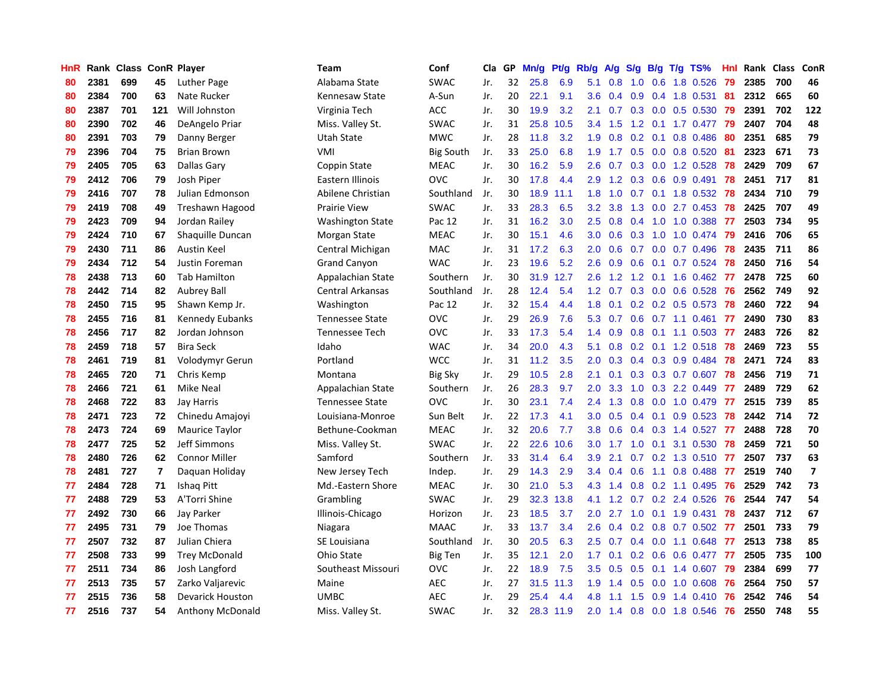| <b>HnR</b> |      | Rank Class ConR Player |     |                         | Team                    | Conf             | Cla | GP | Mn/g | Pt/g | Rb/g             | A/g | S/g | B/g | T/g TS%                   | Hnl | Rank Class |     | ConR           |
|------------|------|------------------------|-----|-------------------------|-------------------------|------------------|-----|----|------|------|------------------|-----|-----|-----|---------------------------|-----|------------|-----|----------------|
| 80         | 2381 | 699                    | 45  | Luther Page             | Alabama State           | <b>SWAC</b>      | Jr. | 32 | 25.8 | 6.9  | 5.1              | 0.8 | 1.0 |     | 0.6 1.8 0.526             | 79  | 2385       | 700 | 46             |
| 80         | 2384 | 700                    | 63  | Nate Rucker             | Kennesaw State          | A-Sun            | Jr. | 20 | 22.1 | 9.1  | 3.6 <sup>°</sup> | 0.4 | 0.9 |     | 0.4 1.8 0.531             | -81 | 2312       | 665 | 60             |
| 80         | 2387 | 701                    | 121 | Will Johnston           | Virginia Tech           | ACC              | Jr. | 30 | 19.9 | 3.2  | 2.1              | 0.7 |     |     | 0.3 0.0 0.5 0.530 79      |     | 2391       | 702 | 122            |
| 80         | 2390 | 702                    | 46  | DeAngelo Priar          | Miss. Valley St.        | <b>SWAC</b>      | Jr. | 31 | 25.8 | 10.5 | $3.4^{\circ}$    | 1.5 |     |     | 1.2 0.1 1.7 0.477 79      |     | 2407       | 704 | 48             |
| 80         | 2391 | 703                    | 79  | Danny Berger            | Utah State              | <b>MWC</b>       | Jr. | 28 | 11.8 | 3.2  | 1.9              | 0.8 | 0.2 | 0.1 | 0.8 0.486                 | -80 | 2351       | 685 | 79             |
| 79         | 2396 | 704                    | 75  | <b>Brian Brown</b>      | <b>VMI</b>              | <b>Big South</b> | Jr. | 33 | 25.0 | 6.8  | 1.9              | 1.7 | 0.5 |     | $0.0$ 0.8 0.520           | 81  | 2323       | 671 | 73             |
| 79         | 2405 | 705                    | 63  | Dallas Gary             | Coppin State            | <b>MEAC</b>      | Jr. | 30 | 16.2 | 5.9  | 2.6              | 0.7 |     |     | 0.3 0.0 1.2 0.528         | 78  | 2429       | 709 | 67             |
| 79         | 2412 | 706                    | 79  | Josh Piper              | Eastern Illinois        | <b>OVC</b>       | Jr. | 30 | 17.8 | 4.4  | 2.9              | 1.2 | 0.3 |     | $0.6$ 0.9 0.491           | 78  | 2451       | 717 | 81             |
| 79         | 2416 | 707                    | 78  | Julian Edmonson         | Abilene Christian       | Southland        | Jr. | 30 | 18.9 | 11.1 | 1.8              | 1.0 | 0.7 |     | 0.1 1.8 0.532             | 78  | 2434       | 710 | 79             |
| 79         | 2419 | 708                    | 49  | Treshawn Hagood         | <b>Prairie View</b>     | <b>SWAC</b>      | Jr. | 33 | 28.3 | 6.5  | 3.2              | 3.8 | 1.3 |     | $0.0$ 2.7 $0.453$         | 78  | 2425       | 707 | 49             |
| 79         | 2423 | 709                    | 94  | Jordan Railey           | <b>Washington State</b> | Pac 12           | Jr. | 31 | 16.2 | 3.0  | 2.5              | 0.8 |     |     | 0.4 1.0 1.0 0.388 77      |     | 2503       | 734 | 95             |
| 79         | 2424 | 710                    | 67  | Shaquille Duncan        | Morgan State            | <b>MEAC</b>      | Jr. | 30 | 15.1 | 4.6  | 3.0 <sub>1</sub> | 0.6 |     |     | 0.3 1.0 1.0 0.474 79      |     | 2416       | 706 | 65             |
| 79         | 2430 | 711                    | 86  | Austin Keel             | Central Michigan        | MAC              | Jr. | 31 | 17.2 | 6.3  | 2.0 <sub>1</sub> | 0.6 |     |     | $0.7$ $0.0$ $0.7$ $0.496$ | 78  | 2435       | 711 | 86             |
| 79         | 2434 | 712                    | 54  | <b>Justin Foreman</b>   | <b>Grand Canyon</b>     | <b>WAC</b>       | Jr. | 23 | 19.6 | 5.2  | 2.6              | 0.9 | 0.6 |     | $0.1$ 0.7 0.524           | 78  | 2450       | 716 | 54             |
| 78         | 2438 | 713                    | 60  | <b>Tab Hamilton</b>     | Appalachian State       | Southern         | Jr. | 30 | 31.9 | 12.7 | 2.6              | 1.2 | 1.2 |     | $0.1$ 1.6 0.462           | -77 | 2478       | 725 | 60             |
| 78         | 2442 | 714                    | 82  | <b>Aubrey Ball</b>      | Central Arkansas        | Southland        | Jr. | 28 | 12.4 | 5.4  | 1.2              | 0.7 | 0.3 |     | $0.0$ $0.6$ $0.528$       | 76  | 2562       | 749 | 92             |
| 78         | 2450 | 715                    | 95  | Shawn Kemp Jr.          | Washington              | Pac 12           | Jr. | 32 | 15.4 | 4.4  | 1.8              | 0.1 |     |     | $0.2$ 0.2 0.5 0.573       | 78  | 2460       | 722 | 94             |
| 78         | 2455 | 716                    | 81  | <b>Kennedy Eubanks</b>  | <b>Tennessee State</b>  | <b>OVC</b>       | Jr. | 29 | 26.9 | 7.6  | 5.3              | 0.7 | 0.6 |     | $0.7$ 1.1 $0.461$         | 77  | 2490       | 730 | 83             |
| 78         | 2456 | 717                    | 82  | Jordan Johnson          | <b>Tennessee Tech</b>   | <b>OVC</b>       | Jr. | 33 | 17.3 | 5.4  | 1.4              | 0.9 |     |     | 0.8 0.1 1.1 0.503 77      |     | 2483       | 726 | 82             |
| 78         | 2459 | 718                    | 57  | <b>Bira Seck</b>        | Idaho                   | <b>WAC</b>       | Jr. | 34 | 20.0 | 4.3  | 5.1              | 0.8 |     |     | 0.2 0.1 1.2 0.518 78      |     | 2469       | 723 | 55             |
| 78         | 2461 | 719                    | 81  | Volodymyr Gerun         | Portland                | <b>WCC</b>       | Jr. | 31 | 11.2 | 3.5  | 2.0 <sub>1</sub> | 0.3 |     |     | $0.4$ 0.3 0.9 0.484       | 78  | 2471       | 724 | 83             |
| 78         | 2465 | 720                    | 71  | Chris Kemp              | Montana                 | <b>Big Sky</b>   | Jr. | 29 | 10.5 | 2.8  | 2.1              | 0.1 |     |     | 0.3 0.3 0.7 0.607 78      |     | 2456       | 719 | 71             |
| 78         | 2466 | 721                    | 61  | Mike Neal               | Appalachian State       | Southern         | Jr. | 26 | 28.3 | 9.7  | 2.0              | 3.3 | 1.0 |     | 0.3 2.2 0.449             | -77 | 2489       | 729 | 62             |
| 78         | 2468 | 722                    | 83  | Jay Harris              | <b>Tennessee State</b>  | <b>OVC</b>       | Jr. | 30 | 23.1 | 7.4  | 2.4              | 1.3 | 0.8 |     | 0.0 1.0 0.479             | 77  | 2515       | 739 | 85             |
| 78         | 2471 | 723                    | 72  | Chinedu Amajoyi         | Louisiana-Monroe        | Sun Belt         | Jr. | 22 | 17.3 | 4.1  | 3.0 <sub>2</sub> | 0.5 | 0.4 |     | $0.1$ 0.9 0.523           | 78  | 2442       | 714 | 72             |
| 78         | 2473 | 724                    | 69  | <b>Maurice Taylor</b>   | Bethune-Cookman         | <b>MEAC</b>      | Jr. | 32 | 20.6 | 7.7  | 3.8              | 0.6 | 0.4 |     | 0.3 1.4 0.527             | 77  | 2488       | 728 | 70             |
| 78         | 2477 | 725                    | 52  | Jeff Simmons            | Miss. Valley St.        | <b>SWAC</b>      | Jr. | 22 | 22.6 | 10.6 | 3.0 <sub>2</sub> | 1.7 |     |     | 1.0 0.1 3.1 0.530         | -78 | 2459       | 721 | 50             |
| 78         | 2480 | 726                    | 62  | <b>Connor Miller</b>    | Samford                 | Southern         | Jr. | 33 | 31.4 | 6.4  | 3.9 <sup>°</sup> | 2.1 |     |     | 0.7 0.2 1.3 0.510 77      |     | 2507       | 737 | 63             |
| 78         | 2481 | 727                    | 7   | Daguan Holiday          | New Jersey Tech         | Indep.           | Jr. | 29 | 14.3 | 2.9  | $3.4^{\circ}$    | 0.4 |     |     | 0.6 1.1 0.8 0.488 77      |     | 2519       | 740 | $\overline{ }$ |
| 77         | 2484 | 728                    | 71  | Ishag Pitt              | Md.-Eastern Shore       | <b>MEAC</b>      | Jr. | 30 | 21.0 | 5.3  | 4.3              | 1.4 | 0.8 |     | $0.2$ 1.1 0.495           | -76 | 2529       | 742 | 73             |
| 77         | 2488 | 729                    | 53  | A'Torri Shine           | Grambling               | <b>SWAC</b>      | Jr. | 29 | 32.3 | 13.8 | 4.1              | 1.2 | 0.7 |     | 0.2 2.4 0.526             | 76  | 2544       | 747 | 54             |
| 77         | 2492 | 730                    | 66  | Jay Parker              | Illinois-Chicago        | Horizon          | Jr. | 23 | 18.5 | 3.7  | 2.0              | 2.7 | 1.0 |     | $0.1$ 1.9 0.431           | 78  | 2437       | 712 | 67             |
| 77         | 2495 | 731                    | 79  | Joe Thomas              | Niagara                 | <b>MAAC</b>      | Jr. | 33 | 13.7 | 3.4  | 2.6              | 0.4 | 0.2 |     | $0.8$ 0.7 0.502           | -77 | 2501       | 733 | 79             |
| 77         | 2507 | 732                    | 87  | Julian Chiera           | SE Louisiana            | Southland        | Jr. | 30 | 20.5 | 6.3  | 2.5              | 0.7 | 0.4 |     | $0.0$ 1.1 $0.648$         | 77  | 2513       | 738 | 85             |
| 77         | 2508 | 733                    | 99  | <b>Trey McDonald</b>    | Ohio State              | <b>Big Ten</b>   | Jr. | 35 | 12.1 | 2.0  | 1.7              | 0.1 | 0.2 |     | $0.6$ 0.6 0.477           | -77 | 2505       | 735 | 100            |
| 77         | 2511 | 734                    | 86  | Josh Langford           | Southeast Missouri      | <b>OVC</b>       | Jr. | 22 | 18.9 | 7.5  | 3.5              | 0.5 |     |     | 0.5 0.1 1.4 0.607 79      |     | 2384       | 699 | 77             |
| 77         | 2513 | 735                    | 57  | Zarko Valjarevic        | Maine                   | <b>AEC</b>       | Jr. | 27 | 31.5 | 11.3 | 1.9              | 1.4 | 0.5 |     | $0.0$ 1.0 0.608           | -76 | 2564       | 750 | 57             |
| 77         | 2515 | 736                    | 58  | <b>Devarick Houston</b> | UMBC                    | <b>AEC</b>       | Jr. | 29 | 25.4 | 4.4  | 4.8              | 1.1 | 1.5 |     | $0.9$ 1.4 $0.410$         | -76 | 2542       | 746 | 54             |
| 77         | 2516 | 737                    | 54  | Anthony McDonald        | Miss. Valley St.        | <b>SWAC</b>      | Jr. | 32 | 28.3 | 11.9 | 2.0              | 1.4 |     |     | 0.8 0.0 1.8 0.546         | 76  | 2550       | 748 | 55             |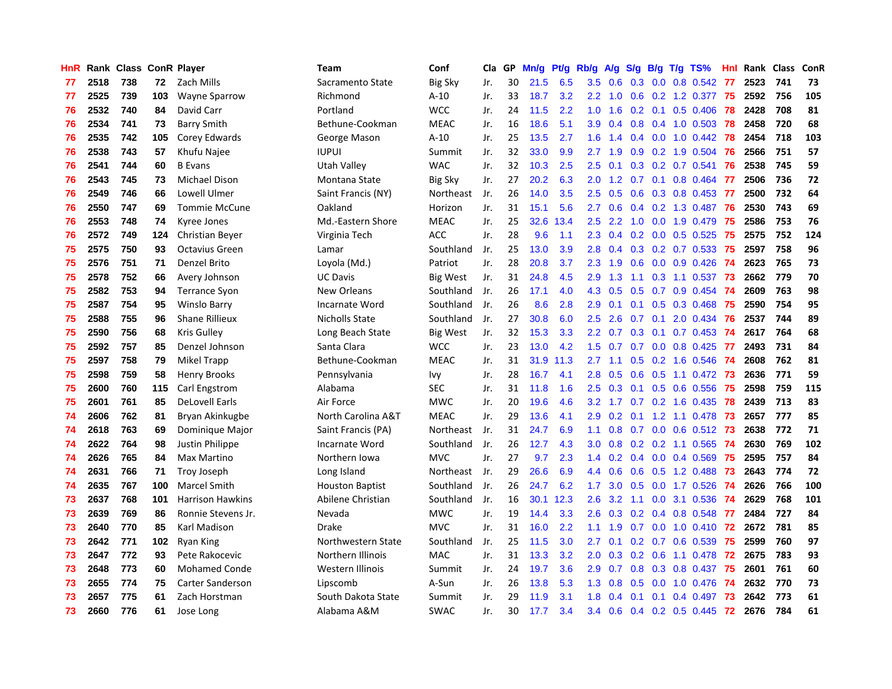| HnR |      | Rank Class ConR Player |     |                         | Team                   | Conf            | Cla | GP | Mn/g | Pt/g | Rb/g             | A/g           | S/g | B/g | $T/g$ TS%                | <b>Hnl</b> | Rank Class |     | ConR |
|-----|------|------------------------|-----|-------------------------|------------------------|-----------------|-----|----|------|------|------------------|---------------|-----|-----|--------------------------|------------|------------|-----|------|
| 77  | 2518 | 738                    | 72  | Zach Mills              | Sacramento State       | <b>Big Sky</b>  | Jr. | 30 | 21.5 | 6.5  | 3.5              | 0.6           | 0.3 | 0.0 | 0.8 0.542                | -77        | 2523       | 741 | 73   |
| 77  | 2525 | 739                    | 103 | <b>Wayne Sparrow</b>    | Richmond               | $A-10$          | Jr. | 33 | 18.7 | 3.2  | 2.2              | 1.0           | 0.6 |     | $0.2$ 1.2 0.377          | -75        | 2592       | 756 | 105  |
| 76  | 2532 | 740                    | 84  | David Carr              | Portland               | <b>WCC</b>      | Jr. | 24 | 11.5 | 2.2  | 1.0              | 1.6           |     |     | 0.2 0.1 0.5 0.406 78     |            | 2428       | 708 | 81   |
| 76  | 2534 | 741                    | 73  | <b>Barry Smith</b>      | Bethune-Cookman        | <b>MEAC</b>     | Jr. | 16 | 18.6 | 5.1  | 3.9 <sup>°</sup> | $0.4^{\circ}$ | 0.8 |     | $0.4$ 1.0 0.503 78       |            | 2458       | 720 | 68   |
| 76  | 2535 | 742                    | 105 | Corey Edwards           | George Mason           | $A-10$          | Jr. | 25 | 13.5 | 2.7  | 1.6              | 1.4           | 0.4 |     | $0.0$ 1.0 $0.442$        | 78         | 2454       | 718 | 103  |
| 76  | 2538 | 743                    | 57  | Khufu Najee             | <b>IUPUI</b>           | Summit          | Jr. | 32 | 33.0 | 9.9  | 2.7              | 1.9           | 0.9 |     | $0.2$ 1.9 0.504          | 76         | 2566       | 751 | 57   |
| 76  | 2541 | 744                    | 60  | <b>B</b> Evans          | Utah Valley            | <b>WAC</b>      | Jr. | 32 | 10.3 | 2.5  | 2.5              | 0.1           |     |     | 0.3 0.2 0.7 0.541        | 76         | 2538       | 745 | 59   |
| 76  | 2543 | 745                    | 73  | Michael Dison           | Montana State          | <b>Big Sky</b>  | Jr. | 27 | 20.2 | 6.3  | 2.0              | 1.2           | 0.7 |     | $0.1$ 0.8 0.464          | -77        | 2506       | 736 | 72   |
| 76  | 2549 | 746                    | 66  | Lowell Ulmer            | Saint Francis (NY)     | Northeast       | Jr. | 26 | 14.0 | 3.5  | 2.5              | 0.5           | 0.6 |     | 0.3 0.8 0.453            | -77        | 2500       | 732 | 64   |
| 76  | 2550 | 747                    | 69  | <b>Tommie McCune</b>    | Oakland                | Horizon         | Jr. | 31 | 15.1 | 5.6  | 2.7              | 0.6           | 0.4 |     | $0.2$ 1.3 0.487          | -76        | 2530       | 743 | 69   |
| 76  | 2553 | 748                    | 74  | Kyree Jones             | Md.-Eastern Shore      | <b>MEAC</b>     | Jr. | 25 | 32.6 | 13.4 | 2.5              | 2.2           |     |     | 1.0 0.0 1.9 0.479 75     |            | 2586       | 753 | 76   |
| 76  | 2572 | 749                    | 124 | Christian Beyer         | Virginia Tech          | <b>ACC</b>      | Jr. | 28 | 9.6  | 1.1  | 2.3              |               |     |     | 0.4 0.2 0.0 0.5 0.525 75 |            | 2575       | 752 | 124  |
| 75  | 2575 | 750                    | 93  | <b>Octavius Green</b>   | Lamar                  | Southland       | Jr. | 25 | 13.0 | 3.9  | 2.8              | $0.4^{\circ}$ | 0.3 |     | 0.2 0.7 0.533 75         |            | 2597       | 758 | 96   |
| 75  | 2576 | 751                    | 71  | Denzel Brito            | Loyola (Md.)           | Patriot         | Jr. | 28 | 20.8 | 3.7  | $2.3^{\circ}$    | 1.9           | 0.6 |     | $0.0$ $0.9$ $0.426$      | -74        | 2623       | 765 | 73   |
| 75  | 2578 | 752                    | 66  | Avery Johnson           | <b>UC Davis</b>        | <b>Big West</b> | Jr. | 31 | 24.8 | 4.5  | 2.9              | 1.3           | 1.1 |     | $0.3$ 1.1 $0.537$        | 73         | 2662       | 779 | 70   |
| 75  | 2582 | 753                    | 94  | <b>Terrance Syon</b>    | <b>New Orleans</b>     | Southland       | Jr. | 26 | 17.1 | 4.0  | 4.3              | 0.5           | 0.5 | 0.7 | $0.9$ 0.454              | -74        | 2609       | 763 | 98   |
| 75  | 2587 | 754                    | 95  | <b>Winslo Barry</b>     | Incarnate Word         | Southland       | Jr. | 26 | 8.6  | 2.8  | 2.9              | 0.1           | 0.1 | 0.5 | $0.3$ 0.468              | 75         | 2590       | 754 | 95   |
| 75  | 2588 | 755                    | 96  | <b>Shane Rillieux</b>   | <b>Nicholls State</b>  | Southland       | Jr. | 27 | 30.8 | 6.0  | 2.5              | 2.6           | 0.7 | 0.1 | 2.0 0.434                | 76         | 2537       | 744 | 89   |
| 75  | 2590 | 756                    | 68  | <b>Kris Gulley</b>      | Long Beach State       | <b>Big West</b> | Jr. | 32 | 15.3 | 3.3  | 2.2              | 0.7           | 0.3 |     | $0.1$ 0.7 0.453 74       |            | 2617       | 764 | 68   |
| 75  | 2592 | 757                    | 85  | Denzel Johnson          | Santa Clara            | <b>WCC</b>      | Jr. | 23 | 13.0 | 4.2  | 1.5              | 0.7           | 0.7 |     | $0.0$ 0.8 0.425 77       |            | 2493       | 731 | 84   |
| 75  | 2597 | 758                    | 79  | <b>Mikel Trapp</b>      | Bethune-Cookman        | <b>MEAC</b>     | Jr. | 31 | 31.9 | 11.3 | $2.7^{\circ}$    | 1.1           | 0.5 |     | $0.2$ 1.6 $0.546$        | -74        | 2608       | 762 | 81   |
| 75  | 2598 | 759                    | 58  | Henry Brooks            | Pennsylvania           | Ivy             | Jr. | 28 | 16.7 | 4.1  | 2.8 <sub>2</sub> | 0.5           | 0.6 |     | 0.5 1.1 0.472 73         |            | 2636       | 771 | 59   |
| 75  | 2600 | 760                    | 115 | Carl Engstrom           | Alabama                | <b>SEC</b>      | Jr. | 31 | 11.8 | 1.6  | 2.5              | 0.3           | 0.1 |     | 0.5 0.6 0.556            | 75         | 2598       | 759 | 115  |
| 75  | 2601 | 761                    | 85  | <b>DeLovell Earls</b>   | Air Force              | <b>MWC</b>      | Jr. | 20 | 19.6 | 4.6  | 3.2              | 1.7           | 0.7 |     | $0.2$ 1.6 0.435          | 78         | 2439       | 713 | 83   |
| 74  | 2606 | 762                    | 81  | Bryan Akinkugbe         | North Carolina A&T     | <b>MEAC</b>     | Jr. | 29 | 13.6 | 4.1  | 2.9              | 0.2           |     |     | $0.1$ 1.2 1.1 0.478      | -73        | 2657       | 777 | 85   |
| 74  | 2618 | 763                    | 69  | Dominique Major         | Saint Francis (PA)     | Northeast       | Jr. | 31 | 24.7 | 6.9  | 1.1              | 0.8           | 0.7 |     | $0.0$ 0.6 0.512          | -73        | 2638       | 772 | 71   |
| 74  | 2622 | 764                    | 98  | Justin Philippe         | Incarnate Word         | Southland       | Jr. | 26 | 12.7 | 4.3  | 3.0              | 0.8           |     |     | 0.2 0.2 1.1 0.565 74     |            | 2630       | 769 | 102  |
| 74  | 2626 | 765                    | 84  | Max Martino             | Northern Iowa          | <b>MVC</b>      | Jr. | 27 | 9.7  | 2.3  | $1.4^{\circ}$    | 0.2           |     |     | 0.4 0.0 0.4 0.569 75     |            | 2595       | 757 | 84   |
| 74  | 2631 | 766                    | 71  | Troy Joseph             | Long Island            | Northeast       | Jr. | 29 | 26.6 | 6.9  | 4.4              | 0.6           | 0.6 |     | 0.5 1.2 0.488 73         |            | 2643       | 774 | 72   |
| 74  | 2635 | 767                    | 100 | <b>Marcel Smith</b>     | <b>Houston Baptist</b> | Southland       | Jr. | 26 | 24.7 | 6.2  | 1.7 <sub>2</sub> | 3.0           | 0.5 |     | 0.0 1.7 0.526 74         |            | 2626       | 766 | 100  |
| 73  | 2637 | 768                    | 101 | <b>Harrison Hawkins</b> | Abilene Christian      | Southland       | Jr. | 16 | 30.1 | 12.3 | 2.6              | 3.2           | 1.1 |     | $0.0$ 3.1 $0.536$        | -74        | 2629       | 768 | 101  |
| 73  | 2639 | 769                    | 86  | Ronnie Stevens Jr.      | Nevada                 | <b>MWC</b>      | Jr. | 19 | 14.4 | 3.3  | 2.6              | 0.3           |     |     | 0.2 0.4 0.8 0.548        | -77        | 2484       | 727 | 84   |
| 73  | 2640 | 770                    | 85  | Karl Madison            | Drake                  | <b>MVC</b>      | Jr. | 31 | 16.0 | 2.2  | 1.1              | 1.9           | 0.7 |     | $0.0$ 1.0 $0.410$        | 72         | 2672       | 781 | 85   |
| 73  | 2642 | 771                    | 102 | Ryan King               | Northwestern State     | Southland       | Jr. | 25 | 11.5 | 3.0  | 2.7              | 0.1           | 0.2 | 0.7 | 0.6 0.539                | 75         | 2599       | 760 | 97   |
| 73  | 2647 | 772                    | 93  | Pete Rakocevic          | Northern Illinois      | <b>MAC</b>      | Jr. | 31 | 13.3 | 3.2  | 2.0              | 0.3           | 0.2 | 0.6 | 1.1 0.478                | -72        | 2675       | 783 | 93   |
| 73  | 2648 | 773                    | 60  | <b>Mohamed Conde</b>    | Western Illinois       | Summit          | Jr. | 24 | 19.7 | 3.6  | 2.9              | 0.7           | 0.8 |     | $0.3$ 0.8 0.437          | -75        | 2601       | 761 | 60   |
| 73  | 2655 | 774                    | 75  | <b>Carter Sanderson</b> | Lipscomb               | A-Sun           | Jr. | 26 | 13.8 | 5.3  | 1.3              | 0.8           | 0.5 |     | $0.0$ 1.0 0.476          | -74        | 2632       | 770 | 73   |
| 73  | 2657 | 775                    | 61  | Zach Horstman           | South Dakota State     | Summit          | Jr. | 29 | 11.9 | 3.1  | 1.8              | 0.4           | 0.1 |     | $0.1$ 0.4 0.497          | -73        | 2642       | 773 | 61   |
| 73  | 2660 | 776                    | 61  | Jose Long               | Alabama A&M            | <b>SWAC</b>     | Jr. | 30 | 17.7 | 3.4  | 3.4              | 0.6           | 0.4 |     | 0.2 0.5 0.445            | 72         | 2676       | 784 | 61   |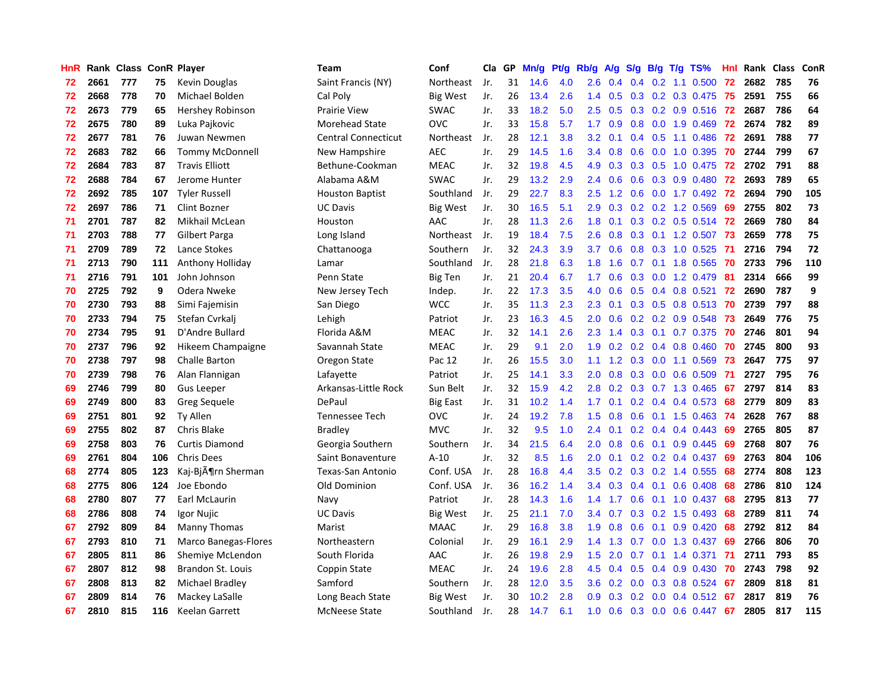| HnR |      | Rank Class ConR Player |     |                             | <b>Team</b>                | Conf            | Cla | GP | Mn/g | Pf/g | Rb/g             | A/g | S/g |     | $B/g$ T/g TS%           | <b>Hnl</b> | Rank Class |     | ConR |
|-----|------|------------------------|-----|-----------------------------|----------------------------|-----------------|-----|----|------|------|------------------|-----|-----|-----|-------------------------|------------|------------|-----|------|
| 72  | 2661 | 777                    | 75  | Kevin Douglas               | Saint Francis (NY)         | Northeast       | Jr. | 31 | 14.6 | 4.0  | $2.6\,$          | 0.4 | 0.4 |     | $0.2$ 1.1 0.500         | 72         | 2682       | 785 | 76   |
| 72  | 2668 | 778                    | 70  | Michael Bolden              | Cal Poly                   | <b>Big West</b> | Jr. | 26 | 13.4 | 2.6  | 1.4              | 0.5 | 0.3 |     | 0.2 0.3 0.475 75        |            | 2591       | 755 | 66   |
| 72  | 2673 | 779                    | 65  | Hershey Robinson            | <b>Prairie View</b>        | <b>SWAC</b>     | Jr. | 33 | 18.2 | 5.0  | $2.5^{\circ}$    | 0.5 |     |     | 0.3 0.2 0.9 0.516 72    |            | 2687       | 786 | 64   |
| 72  | 2675 | 780                    | 89  | Luka Pajkovic               | <b>Morehead State</b>      | <b>OVC</b>      | Jr. | 33 | 15.8 | 5.7  | 1.7 <sub>z</sub> | 0.9 |     |     | 0.8 0.0 1.9 0.469       | 72         | 2674       | 782 | 89   |
| 72  | 2677 | 781                    | 76  | Juwan Newmen                | <b>Central Connecticut</b> | Northeast       | Jr. | 28 | 12.1 | 3.8  | 3.2 <sub>2</sub> | 0.1 | 0.4 |     | $0.5$ 1.1 0.486         | 72         | 2691       | 788 | 77   |
| 72  | 2683 | 782                    | 66  | Tommy McDonnell             | New Hampshire              | <b>AEC</b>      | Jr. | 29 | 14.5 | 1.6  | 3.4              | 0.8 | 0.6 |     | $0.0$ 1.0 $0.395$       | 70         | 2744       | 799 | 67   |
| 72  | 2684 | 783                    | 87  | <b>Travis Elliott</b>       | Bethune-Cookman            | <b>MEAC</b>     | Jr. | 32 | 19.8 | 4.5  | 4.9              | 0.3 |     |     | 0.3 0.5 1.0 0.475       | 72         | 2702       | 791 | 88   |
| 72  | 2688 | 784                    | 67  | Jerome Hunter               | Alabama A&M                | <b>SWAC</b>     | Jr. | 29 | 13.2 | 2.9  | 2.4              | 0.6 | 0.6 |     | $0.3$ 0.9 0.480         | 72         | 2693       | 789 | 65   |
| 72  | 2692 | 785                    | 107 | <b>Tyler Russell</b>        | <b>Houston Baptist</b>     | Southland       | Jr. | 29 | 22.7 | 8.3  | 2.5              | 1.2 | 0.6 |     | $0.0$ 1.7 $0.492$       | -72        | 2694       | 790 | 105  |
| 72  | 2697 | 786                    | 71  | Clint Bozner                | <b>UC Davis</b>            | <b>Big West</b> | Jr. | 30 | 16.5 | 5.1  | 2.9              | 0.3 | 0.2 |     | 0.2 1.2 0.569           | 69         | 2755       | 802 | 73   |
| 71  | 2701 | 787                    | 82  | Mikhail McLean              | Houston                    | AAC             | Jr. | 28 | 11.3 | 2.6  | 1.8              | 0.1 |     |     | 0.3 0.2 0.5 0.514 72    |            | 2669       | 780 | 84   |
| 71  | 2703 | 788                    | 77  | <b>Gilbert Parga</b>        | Long Island                | Northeast       | Jr. | 19 | 18.4 | 7.5  | 2.6              | 0.8 |     |     | 0.3 0.1 1.2 0.507 73    |            | 2659       | 778 | 75   |
| 71  | 2709 | 789                    | 72  | Lance Stokes                | Chattanooga                | Southern        | Jr. | 32 | 24.3 | 3.9  | 3.7 <sup>2</sup> | 0.6 | 0.8 |     | 0.3 1.0 0.525           | -71        | 2716       | 794 | 72   |
| 71  | 2713 | 790                    | 111 | Anthony Holliday            | Lamar                      | Southland       | Jr. | 28 | 21.8 | 6.3  | 1.8              | 1.6 | 0.7 |     | 0.1 1.8 0.565           | -70        | 2733       | 796 | 110  |
| 71  | 2716 | 791                    | 101 | John Johnson                | Penn State                 | <b>Big Ten</b>  | Jr. | 21 | 20.4 | 6.7  | 1.7              | 0.6 | 0.3 |     | $0.0$ 1.2 0.479         | -81        | 2314       | 666 | 99   |
| 70  | 2725 | 792                    | 9   | Odera Nweke                 | New Jersey Tech            | Indep.          | Jr. | 22 | 17.3 | 3.5  | 4.0              | 0.6 | 0.5 |     | $0.4$ 0.8 0.521         | 72         | 2690       | 787 | 9    |
| 70  | 2730 | 793                    | 88  | Simi Fajemisin              | San Diego                  | <b>WCC</b>      | Jr. | 35 | 11.3 | 2.3  | 2.3              | 0.1 | 0.3 | 0.5 | $0.8$ 0.513             | 70         | 2739       | 797 | 88   |
| 70  | 2733 | 794                    | 75  | Stefan Cvrkali              | Lehigh                     | Patriot         | Jr. | 23 | 16.3 | 4.5  | 2.0              | 0.6 | 0.2 |     | 0.2 0.9 0.548           | -73        | 2649       | 776 | 75   |
| 70  | 2734 | 795                    | 91  | D'Andre Bullard             | Florida A&M                | <b>MEAC</b>     | Jr. | 32 | 14.1 | 2.6  | 2.3              | 1.4 | 0.3 |     | 0.1 0.7 0.375           | -70        | 2746       | 801 | 94   |
| 70  | 2737 | 796                    | 92  | Hikeem Champaigne           | Savannah State             | <b>MEAC</b>     | Jr. | 29 | 9.1  | 2.0  | 1.9              |     |     |     | $0.2$ 0.2 0.4 0.8 0.460 | -70        | 2745       | 800 | 93   |
| 70  | 2738 | 797                    | 98  | <b>Challe Barton</b>        | Oregon State               | Pac 12          | Jr. | 26 | 15.5 | 3.0  | 1.1              | 1.2 | 0.3 |     | $0.0$ 1.1 $0.569$       | 73         | 2647       | 775 | 97   |
| 70  | 2739 | 798                    | 76  | Alan Flannigan              | Lafayette                  | Patriot         | Jr. | 25 | 14.1 | 3.3  | 2.0              | 0.8 | 0.3 |     | $0.0$ 0.6 0.509         | -71        | 2727       | 795 | 76   |
| 69  | 2746 | 799                    | 80  | <b>Gus Leeper</b>           | Arkansas-Little Rock       | Sun Belt        | Jr. | 32 | 15.9 | 4.2  | 2.8              | 0.2 | 0.3 |     | 0.7 1.3 0.465           | 67         | 2797       | 814 | 83   |
| 69  | 2749 | 800                    | 83  | <b>Greg Sequele</b>         | DePaul                     | Big East        | Jr. | 31 | 10.2 | 1.4  | 1.7              | 0.1 |     |     | $0.2$ 0.4 0.4 0.573     | 68         | 2779       | 809 | 83   |
| 69  | 2751 | 801                    | 92  | Ty Allen                    | Tennessee Tech             | <b>OVC</b>      | Jr. | 24 | 19.2 | 7.8  | 1.5              | 0.8 | 0.6 |     | $0.1$ 1.5 0.463         | -74        | 2628       | 767 | 88   |
| 69  | 2755 | 802                    | 87  | Chris Blake                 | Bradley                    | <b>MVC</b>      | Jr. | 32 | 9.5  | 1.0  | 2.4              | 0.1 | 0.2 |     | $0.4$ 0.4 0.443         | -69        | 2765       | 805 | 87   |
| 69  | 2758 | 803                    | 76  | <b>Curtis Diamond</b>       | Georgia Southern           | Southern        | Jr. | 34 | 21.5 | 6.4  | 2.0              | 0.8 | 0.6 |     | $0.1$ 0.9 0.445         | -69        | 2768       | 807 | 76   |
| 69  | 2761 | 804                    | 106 | Chris Dees                  | Saint Bonaventure          | $A-10$          | Jr. | 32 | 8.5  | 1.6  | 2.0              | 0.1 |     |     | $0.2$ 0.2 0.4 0.437     | -69        | 2763       | 804 | 106  |
| 68  | 2774 | 805                    | 123 | Kaj-Björn Sherman           | Texas-San Antonio          | Conf. USA       | Jr. | 28 | 16.8 | 4.4  | 3.5              | 0.2 |     |     | $0.3$ 0.2 1.4 0.555     | 68         | 2774       | 808 | 123  |
| 68  | 2775 | 806                    | 124 | Joe Ebondo                  | Old Dominion               | Conf. USA       | Jr. | 36 | 16.2 | 1.4  | 3.4              | 0.3 | 0.4 |     | $0.1$ 0.6 0.408         | 68         | 2786       | 810 | 124  |
| 68  | 2780 | 807                    | 77  | Earl McLaurin               | Navy                       | Patriot         | Jr. | 28 | 14.3 | 1.6  | 1.4              | 1.7 | 0.6 |     | $0.1$ 1.0 0.437         | 68         | 2795       | 813 | 77   |
| 68  | 2786 | 808                    | 74  | Igor Nujic                  | <b>UC Davis</b>            | Big West        | Jr. | 25 | 21.1 | 7.0  | 3.4              | 0.7 | 0.3 |     | 0.2 1.5 0.493           | 68         | 2789       | 811 | 74   |
| 67  | 2792 | 809                    | 84  | Manny Thomas                | Marist                     | <b>MAAC</b>     | Jr. | 29 | 16.8 | 3.8  | 1.9              | 0.8 | 0.6 | 0.1 | $0.9$ $0.420$           | 68         | 2792       | 812 | 84   |
| 67  | 2793 | 810                    | 71  | <b>Marco Banegas-Flores</b> | Northeastern               | Colonial        | Jr. | 29 | 16.1 | 2.9  | 1.4              | 1.3 | 0.7 |     | 0.0 1.3 0.437           | 69         | 2766       | 806 | 70   |
| 67  | 2805 | 811                    | 86  | Shemiye McLendon            | South Florida              | AAC             | Jr. | 26 | 19.8 | 2.9  | 1.5              | 2.0 | 0.7 |     | $0.1$ 1.4 $0.371$       | 71         | 2711       | 793 | 85   |
| 67  | 2807 | 812                    | 98  | Brandon St. Louis           | Coppin State               | <b>MEAC</b>     | Jr. | 24 | 19.6 | 2.8  | 4.5              | 0.4 | 0.5 |     | $0.4$ 0.9 0.430         | 70         | 2743       | 798 | 92   |
| 67  | 2808 | 813                    | 82  | Michael Bradley             | Samford                    | Southern        | Jr. | 28 | 12.0 | 3.5  | 3.6              | 0.2 | 0.0 |     | $0.3$ 0.8 0.524         | 67         | 2809       | 818 | 81   |
| 67  | 2809 | 814                    | 76  | Mackey LaSalle              | Long Beach State           | Big West        | Jr. | 30 | 10.2 | 2.8  | 0.9 <sub>0</sub> | 0.3 | 0.2 |     | $0.0$ 0.4 0.512         | -67        | 2817       | 819 | 76   |
| 67  | 2810 | 815                    | 116 | Keelan Garrett              | <b>McNeese State</b>       | Southland       | Jr. | 28 | 14.7 | 6.1  | 1.0              | 0.6 | 0.3 |     | $0.0$ 0.6 0.447         | 67         | 2805       | 817 | 115  |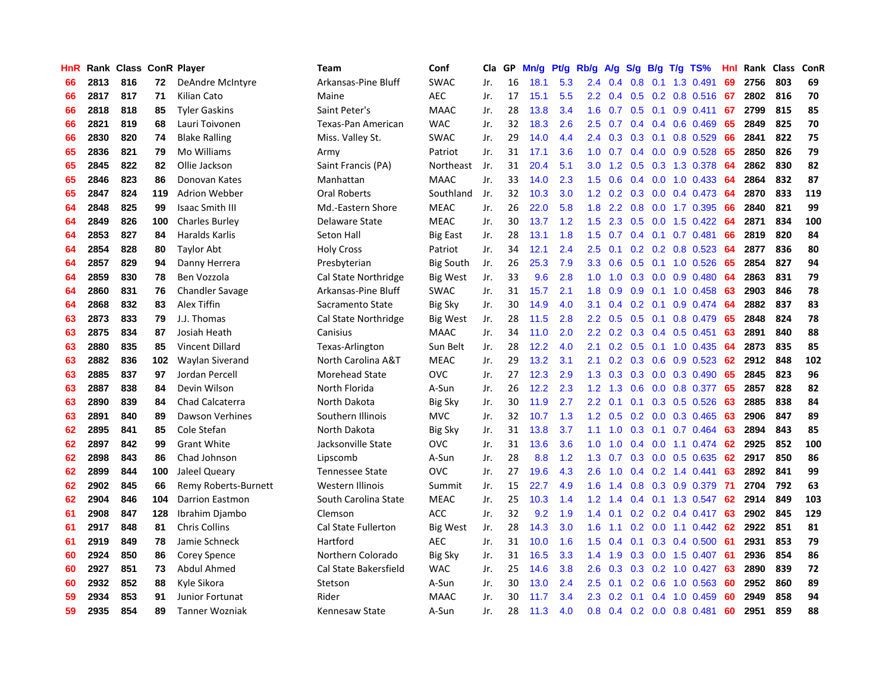| HnR |      | Rank Class ConR Player |     |                        | <b>Team</b>                | Conf             | Cla | GP | Mn/g | <b>Pt/g</b> | Rb/g             | A/g | S/g              | B/g | $T/g$ TS%                | Hnl | Rank | <b>Class</b> | ConR |
|-----|------|------------------------|-----|------------------------|----------------------------|------------------|-----|----|------|-------------|------------------|-----|------------------|-----|--------------------------|-----|------|--------------|------|
| 66  | 2813 | 816                    | 72  | DeAndre McIntyre       | Arkansas-Pine Bluff        | <b>SWAC</b>      | Jr. | 16 | 18.1 | 5.3         | 2.4              | 0.4 | 0.8              | 0.1 | 1.3 0.491                | 69  | 2756 | 803          | 69   |
| 66  | 2817 | 817                    | 71  | Kilian Cato            | Maine                      | <b>AEC</b>       | Jr. | 17 | 15.1 | 5.5         | 2.2 <sub>2</sub> | 0.4 |                  |     | 0.5 0.2 0.8 0.516 67     |     | 2802 | 816          | 70   |
| 66  | 2818 | 818                    | 85  | <b>Tyler Gaskins</b>   | Saint Peter's              | <b>MAAC</b>      | Jr. | 28 | 13.8 | 3.4         | 1.6              | 0.7 |                  |     | $0.5$ 0.1 0.9 0.411      | -67 | 2799 | 815          | 85   |
| 66  | 2821 | 819                    | 68  | Lauri Toivonen         | Texas-Pan American         | <b>WAC</b>       | Jr. | 32 | 18.3 | 2.6         | 2.5              | 0.7 | 0.4              |     | $0.4$ 0.6 0.469          | 65  | 2849 | 825          | 70   |
| 66  | 2830 | 820                    | 74  | <b>Blake Ralling</b>   | Miss. Valley St.           | <b>SWAC</b>      | Jr. | 29 | 14.0 | 4.4         | 2.4              | 0.3 | 0.3              |     | $0.1$ 0.8 0.529          | 66  | 2841 | 822          | 75   |
| 65  | 2836 | 821                    | 79  | Mo Williams            | Army                       | Patriot          | Jr. | 31 | 17.1 | 3.6         | 1.0              | 0.7 | 0.4              |     | $0.0$ $0.9$ $0.528$      | 65  | 2850 | 826          | 79   |
| 65  | 2845 | 822                    | 82  | Ollie Jackson          | Saint Francis (PA)         | Northeast        | Jr. | 31 | 20.4 | 5.1         | 3.0              | 1.2 | 0.5              |     | 0.3 1.3 0.378            | -64 | 2862 | 830          | 82   |
| 65  | 2846 | 823                    | 86  | Donovan Kates          | Manhattan                  | <b>MAAC</b>      | Jr. | 33 | 14.0 | 2.3         | 1.5              | 0.6 | 0.4              |     | $0.0$ 1.0 0.433          | -64 | 2864 | 832          | 87   |
| 65  | 2847 | 824                    | 119 | Adrion Webber          | Oral Roberts               | Southland        | Jr. | 32 | 10.3 | 3.0         | 1.2              | 0.2 | 0.3              |     | $0.0$ 0.4 0.473          | -64 | 2870 | 833          | 119  |
| 64  | 2848 | 825                    | 99  | <b>Isaac Smith III</b> | Md.-Eastern Shore          | <b>MEAC</b>      | Jr. | 26 | 22.0 | 5.8         | 1.8              | 2.2 | 0.8              |     | $0.0$ 1.7 0.395          | -66 | 2840 | 821          | 99   |
| 64  | 2849 | 826                    | 100 | <b>Charles Burley</b>  | Delaware State             | <b>MEAC</b>      | Jr. | 30 | 13.7 | 1.2         | 1.5              |     |                  |     | 2.3 0.5 0.0 1.5 0.422 64 |     | 2871 | 834          | 100  |
| 64  | 2853 | 827                    | 84  | Haralds Karlis         | Seton Hall                 | <b>Big East</b>  | Jr. | 28 | 13.1 | 1.8         | 1.5              | 0.7 |                  |     | $0.4$ 0.1 0.7 0.481      | -66 | 2819 | 820          | 84   |
| 64  | 2854 | 828                    | 80  | <b>Taylor Abt</b>      | <b>Holy Cross</b>          | Patriot          | Jr. | 34 | 12.1 | 2.4         | 2.5              | 0.1 |                  |     | $0.2$ 0.2 0.8 0.523      | -64 | 2877 | 836          | 80   |
| 64  | 2857 | 829                    | 94  | Danny Herrera          | Presbyterian               | <b>Big South</b> | Jr. | 26 | 25.3 | 7.9         | 3.3              | 0.6 | 0.5              |     | $0.1$ 1.0 $0.526$        | 65  | 2854 | 827          | 94   |
| 64  | 2859 | 830                    | 78  | Ben Vozzola            | Cal State Northridge       | Big West         | Jr. | 33 | 9.6  | 2.8         | 1.0              | 1.0 | 0.3              |     | $0.0$ $0.9$ $0.480$      | -64 | 2863 | 831          | 79   |
| 64  | 2860 | 831                    | 76  | <b>Chandler Savage</b> | Arkansas-Pine Bluff        | <b>SWAC</b>      | Jr. | 31 | 15.7 | 2.1         | 1.8              | 0.9 | 0.9 <sub>0</sub> |     | $0.1$ 1.0 0.458          | -63 | 2903 | 846          | 78   |
| 64  | 2868 | 832                    | 83  | Alex Tiffin            | Sacramento State           | <b>Big Sky</b>   | Jr. | 30 | 14.9 | 4.0         | 3.1              | 0.4 | 0.2 <sub>0</sub> | 0.1 | $0.9$ 0.474              | -64 | 2882 | 837          | 83   |
| 63  | 2873 | 833                    | 79  | J.J. Thomas            | Cal State Northridge       | <b>Big West</b>  | Jr. | 28 | 11.5 | 2.8         | $2.2^{\circ}$    | 0.5 | 0.5              | 0.1 | 0.8 0.479                | -65 | 2848 | 824          | 78   |
| 63  | 2875 | 834                    | 87  | Josiah Heath           | Canisius                   | <b>MAAC</b>      | Jr. | 34 | 11.0 | 2.0         | 2.2              |     | $0.2 \quad 0.3$  |     | 0.4 0.5 0.451            | 63  | 2891 | 840          | 88   |
| 63  | 2880 | 835                    | 85  | <b>Vincent Dillard</b> | Texas-Arlington            | Sun Belt         | Jr. | 28 | 12.2 | 4.0         | 2.1              |     |                  |     | 0.2 0.5 0.1 1.0 0.435 64 |     | 2873 | 835          | 85   |
| 63  | 2882 | 836                    | 102 | Waylan Siverand        | North Carolina A&T         | <b>MEAC</b>      | Jr. | 29 | 13.2 | 3.1         | 2.1              | 0.2 | 0.3              |     | $0.6$ 0.9 0.523          | 62  | 2912 | 848          | 102  |
| 63  | 2885 | 837                    | 97  | Jordan Percell         | <b>Morehead State</b>      | <b>OVC</b>       | Jr. | 27 | 12.3 | 2.9         | 1.3              | 0.3 | 0.3              |     | $0.0$ $0.3$ $0.490$      | 65  | 2845 | 823          | 96   |
| 63  | 2887 | 838                    | 84  | Devin Wilson           | North Florida              | A-Sun            | Jr. | 26 | 12.2 | 2.3         | 1.2              | 1.3 | 0.6              |     | $0.0$ 0.8 0.377          | -65 | 2857 | 828          | 82   |
| 63  | 2890 | 839                    | 84  | Chad Calcaterra        | North Dakota               | <b>Big Sky</b>   | Jr. | 30 | 11.9 | 2.7         | 2.2              | 0.1 | 0.1              |     | $0.3$ 0.5 0.526          | 63  | 2885 | 838          | 84   |
| 63  | 2891 | 840                    | 89  | Dawson Verhines        | Southern Illinois          | <b>MVC</b>       | Jr. | 32 | 10.7 | 1.3         | 1.2              | 0.5 | 0.2              |     | $0.0$ $0.3$ $0.465$      | 63  | 2906 | 847          | 89   |
| 62  | 2895 | 841                    | 85  | Cole Stefan            | North Dakota               | <b>Big Sky</b>   | Jr. | 31 | 13.8 | 3.7         | 1.1              | 1.0 | 0.3              |     | $0.1$ 0.7 0.464          | 63  | 2894 | 843          | 85   |
| 62  | 2897 | 842                    | 99  | <b>Grant White</b>     | Jacksonville State         | <b>OVC</b>       | Jr. | 31 | 13.6 | 3.6         | 1.0              | 1.0 |                  |     | 0.4 0.0 1.1 0.474 62     |     | 2925 | 852          | 100  |
| 62  | 2898 | 843                    | 86  | Chad Johnson           | Lipscomb                   | A-Sun            | Jr. | 28 | 8.8  | 1.2         | 1.3              | 0.7 |                  |     | 0.3 0.0 0.5 0.635 62     |     | 2917 | 850          | 86   |
| 62  | 2899 | 844                    | 100 | Jaleel Queary          | <b>Tennessee State</b>     | <b>OVC</b>       | Jr. | 27 | 19.6 | 4.3         | $2.6\,$          | 1.0 |                  |     | $0.4$ 0.2 1.4 0.441      | -63 | 2892 | 841          | 99   |
| 62  | 2902 | 845                    | 66  | Remy Roberts-Burnett   | Western Illinois           | Summit           | Jr. | 15 | 22.7 | 4.9         | 1.6              | 1.4 | 0.8              |     | 0.3 0.9 0.379            | -71 | 2704 | 792          | 63   |
| 62  | 2904 | 846                    | 104 | <b>Darrion Eastmon</b> | South Carolina State       | <b>MEAC</b>      | Jr. | 25 | 10.3 | 1.4         | 1.2              | 1.4 | $0.4^{\circ}$    |     | $0.1$ 1.3 0.547          | 62  | 2914 | 849          | 103  |
| 61  | 2908 | 847                    | 128 | Ibrahim Djambo         | Clemson                    | <b>ACC</b>       | Jr. | 32 | 9.2  | 1.9         | 1.4              | 0.1 |                  |     | $0.2$ 0.2 0.4 0.417      | 63  | 2902 | 845          | 129  |
| 61  | 2917 | 848                    | 81  | <b>Chris Collins</b>   | <b>Cal State Fullerton</b> | <b>Big West</b>  | Jr. | 28 | 14.3 | 3.0         | 1.6              | 1.1 | 0.2 <sub>0</sub> |     | $0.0$ 1.1 $0.442$        | -62 | 2922 | 851          | 81   |
| 61  | 2919 | 849                    | 78  | Jamie Schneck          | Hartford                   | <b>AEC</b>       | Jr. | 31 | 10.0 | 1.6         | 1.5              | 0.4 | 0.1              |     | $0.3$ 0.4 0.500          | 61  | 2931 | 853          | 79   |
| 60  | 2924 | 850                    | 86  | Corey Spence           | Northern Colorado          | <b>Big Sky</b>   | Jr. | 31 | 16.5 | 3.3         | 1.4              | 1.9 | 0.3              |     | $0.0$ 1.5 0.407          | -61 | 2936 | 854          | 86   |
| 60  | 2927 | 851                    | 73  | Abdul Ahmed            | Cal State Bakersfield      | <b>WAC</b>       | Jr. | 25 | 14.6 | 3.8         | 2.6              | 0.3 |                  |     | $0.3$ $0.2$ 1.0 $0.427$  | -63 | 2890 | 839          | 72   |
| 60  | 2932 | 852                    | 88  | Kyle Sikora            | Stetson                    | A-Sun            | Jr. | 30 | 13.0 | 2.4         | $2.5^{\circ}$    | 0.1 |                  |     | $0.2$ 0.6 1.0 0.563      | -60 | 2952 | 860          | 89   |
| 59  | 2934 | 853                    | 91  | Junior Fortunat        | Rider                      | <b>MAAC</b>      | Jr. | 30 | 11.7 | 3.4         | $2.3^{\circ}$    | 0.2 | 0.1              |     | $0.4$ 1.0 0.459          | 60  | 2949 | 858          | 94   |
| 59  | 2935 | 854                    | 89  | Tanner Wozniak         | Kennesaw State             | A-Sun            | Jr. | 28 | 11.3 | 4.0         | 0.8              |     |                  |     | $0.4$ 0.2 0.0 0.8 0.481  | 60  | 2951 | 859          | 88   |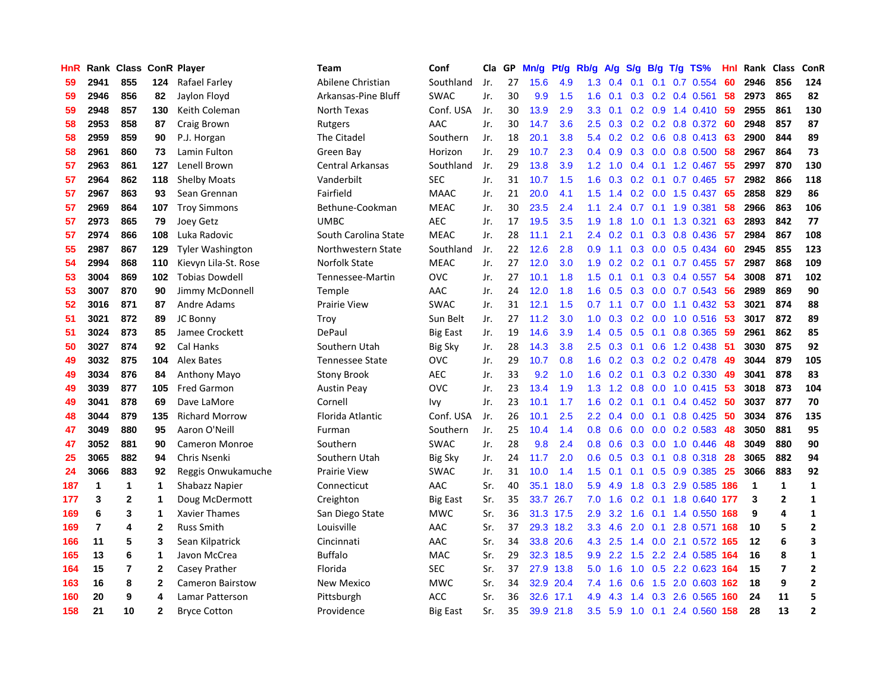| HnR |                         | Rank Class ConR Player |                |                         | <b>Team</b>             | Conf            | Cla | GP | Mn/g | Pt/g | Rb/g             | A/g | S/g              | B/g | $T/g$ TS%                 | Hnl | Rank Class |                | ConR           |
|-----|-------------------------|------------------------|----------------|-------------------------|-------------------------|-----------------|-----|----|------|------|------------------|-----|------------------|-----|---------------------------|-----|------------|----------------|----------------|
| 59  | 2941                    | 855                    | 124            | Rafael Farley           | Abilene Christian       | Southland       | Jr. | 27 | 15.6 | 4.9  | 1.3              | 0.4 | 0.1              | 0.1 | 0.7 0.554                 | 60  | 2946       | 856            | 124            |
| 59  | 2946                    | 856                    | 82             | Jaylon Floyd            | Arkansas-Pine Bluff     | <b>SWAC</b>     | Jr. | 30 | 9.9  | 1.5  | 1.6              | 0.1 |                  |     | $0.3$ 0.2 0.4 0.561       | 58  | 2973       | 865            | 82             |
| 59  | 2948                    | 857                    | 130            | Keith Coleman           | North Texas             | Conf. USA       | Jr. | 30 | 13.9 | 2.9  | 3.3 <sub>2</sub> | 0.1 |                  |     | 0.2 0.9 1.4 0.410 59      |     | 2955       | 861            | 130            |
| 58  | 2953                    | 858                    | 87             | Craig Brown             | Rutgers                 | AAC             | Jr. | 30 | 14.7 | 3.6  | $2.5^{\circ}$    | 0.3 |                  |     | $0.2$ 0.2 0.8 0.372 60    |     | 2948       | 857            | 87             |
| 58  | 2959                    | 859                    | 90             | P.J. Horgan             | The Citadel             | Southern        | Jr. | 18 | 20.1 | 3.8  | 5.4              | 0.2 |                  |     | $0.2$ 0.6 0.8 0.413       | -63 | 2900       | 844            | 89             |
| 58  | 2961                    | 860                    | 73             | Lamin Fulton            | Green Bay               | Horizon         | Jr. | 29 | 10.7 | 2.3  | 0.4              | 0.9 |                  |     | $0.3$ 0.0 0.8 0.500       | 58  | 2967       | 864            | 73             |
| 57  | 2963                    | 861                    | 127            | Lenell Brown            | <b>Central Arkansas</b> | Southland       | Jr. | 29 | 13.8 | 3.9  | 1.2              | 1.0 | 0.4              |     | 0.1 1.2 0.467             | 55  | 2997       | 870            | 130            |
| 57  | 2964                    | 862                    | 118            | <b>Shelby Moats</b>     | Vanderbilt              | <b>SEC</b>      | Jr. | 31 | 10.7 | 1.5  | 1.6              | 0.3 | 0.2              |     | $0.1$ 0.7 0.465           | -57 | 2982       | 866            | 118            |
| 57  | 2967                    | 863                    | 93             | Sean Grennan            | Fairfield               | <b>MAAC</b>     | Jr. | 21 | 20.0 | 4.1  | 1.5              | 1.4 | 0.2              |     | $0.0$ 1.5 0.437           | 65  | 2858       | 829            | 86             |
| 57  | 2969                    | 864                    | 107            | <b>Troy Simmons</b>     | Bethune-Cookman         | <b>MEAC</b>     | Jr. | 30 | 23.5 | 2.4  | 1.1              | 2.4 | 0.7              |     | 0.1 1.9 0.381             | 58  | 2966       | 863            | 106            |
| 57  | 2973                    | 865                    | 79             | Joey Getz               | <b>UMBC</b>             | <b>AEC</b>      | Jr. | 17 | 19.5 | 3.5  | 1.9              | 1.8 |                  |     | 1.0 0.1 1.3 0.321         | 63  | 2893       | 842            | 77             |
| 57  | 2974                    | 866                    | 108            | Luka Radovic            | South Carolina State    | <b>MEAC</b>     | Jr. | 28 | 11.1 | 2.1  | $2.4^{\circ}$    | 0.2 |                  |     | $0.1$ $0.3$ $0.8$ $0.436$ | -57 | 2984       | 867            | 108            |
| 55  | 2987                    | 867                    | 129            | <b>Tyler Washington</b> | Northwestern State      | Southland       | Jr. | 22 | 12.6 | 2.8  | 0.9              | 1.1 | 0.3              |     | $0.0$ $0.5$ $0.434$       | -60 | 2945       | 855            | 123            |
| 54  | 2994                    | 868                    | 110            | Kievyn Lila-St. Rose    | Norfolk State           | <b>MEAC</b>     | Jr. | 27 | 12.0 | 3.0  | 1.9              | 0.2 | 0.2              |     | $0.1$ 0.7 0.455           | -57 | 2987       | 868            | 109            |
| 53  | 3004                    | 869                    | 102            | <b>Tobias Dowdell</b>   | Tennessee-Martin        | <b>OVC</b>      | Jr. | 27 | 10.1 | 1.8  | 1.5              | 0.1 | 0.1              |     | $0.3$ 0.4 0.557           | -54 | 3008       | 871            | 102            |
| 53  | 3007                    | 870                    | 90             | Jimmy McDonnell         | Temple                  | AAC             | Jr. | 24 | 12.0 | 1.8  | 1.6              | 0.5 | 0.3 <sub>0</sub> |     | $0.0$ 0.7 0.543           | -56 | 2989       | 869            | 90             |
| 52  | 3016                    | 871                    | 87             | Andre Adams             | <b>Prairie View</b>     | <b>SWAC</b>     | Jr. | 31 | 12.1 | 1.5  | 0.7              | 1.1 | 0.7              |     | $0.0$ 1.1 $0.432$         | -53 | 3021       | 874            | 88             |
| 51  | 3021                    | 872                    | 89             | JC Bonny                | Troy                    | Sun Belt        | Jr. | 27 | 11.2 | 3.0  | 1.0              | 0.3 | 0.2              |     | $0.0$ 1.0 $0.516$         | -53 | 3017       | 872            | 89             |
| 51  | 3024                    | 873                    | 85             | Jamee Crockett          | DePaul                  | <b>Big East</b> | Jr. | 19 | 14.6 | 3.9  | $1.4^{\circ}$    | 0.5 |                  |     | 0.5 0.1 0.8 0.365 59      |     | 2961       | 862            | 85             |
| 50  | 3027                    | 874                    | 92             | Cal Hanks               | Southern Utah           | <b>Big Sky</b>  | Jr. | 28 | 14.3 | 3.8  | 2.5              | 0.3 |                  |     | 0.1 0.6 1.2 0.438 51      |     | 3030       | 875            | 92             |
| 49  | 3032                    | 875                    | 104            | Alex Bates              | <b>Tennessee State</b>  | <b>OVC</b>      | Jr. | 29 | 10.7 | 0.8  | 1.6              | 0.2 | 0.3              |     | $0.2$ 0.2 0.478           | -49 | 3044       | 879            | 105            |
| 49  | 3034                    | 876                    | 84             | Anthony Mayo            | <b>Stony Brook</b>      | <b>AEC</b>      | Jr. | 33 | 9.2  | 1.0  | 1.6              | 0.2 | 0.1              |     | 0.3 0.2 0.330             | 49  | 3041       | 878            | 83             |
| 49  | 3039                    | 877                    | 105            | <b>Fred Garmon</b>      | <b>Austin Peay</b>      | <b>OVC</b>      | Jr. | 23 | 13.4 | 1.9  | 1.3              | 1.2 | 0.8              |     | $0.0$ 1.0 $0.415$         | -53 | 3018       | 873            | 104            |
| 49  | 3041                    | 878                    | 69             | Dave LaMore             | Cornell                 | Ivy             | Jr. | 23 | 10.1 | 1.7  | 1.6              | 0.2 | 0.1              |     | $0.1$ 0.4 0.452           | -50 | 3037       | 877            | 70             |
| 48  | 3044                    | 879                    | 135            | <b>Richard Morrow</b>   | Florida Atlantic        | Conf. USA       | Jr. | 26 | 10.1 | 2.5  | $2.2^{\circ}$    | 0.4 | 0.0 <sub>1</sub> |     | $0.1$ 0.8 0.425           | -50 | 3034       | 876            | 135            |
| 47  | 3049                    | 880                    | 95             | Aaron O'Neill           | Furman                  | Southern        | Jr. | 25 | 10.4 | 1.4  | 0.8              | 0.6 | 0.0              |     | $0.0$ $0.2$ $0.583$       | 48  | 3050       | 881            | 95             |
| 47  | 3052                    | 881                    | 90             | <b>Cameron Monroe</b>   | Southern                | <b>SWAC</b>     | Jr. | 28 | 9.8  | 2.4  | 0.8              | 0.6 |                  |     | $0.3$ 0.0 1.0 0.446       | -48 | 3049       | 880            | 90             |
| 25  | 3065                    | 882                    | 94             | Chris Nsenki            | Southern Utah           | <b>Big Sky</b>  | Jr. | 24 | 11.7 | 2.0  | 0.6              | 0.5 |                  |     | 0.3 0.1 0.8 0.318 28      |     | 3065       | 882            | 94             |
| 24  | 3066                    | 883                    | 92             | Reggis Onwukamuche      | <b>Prairie View</b>     | <b>SWAC</b>     | Jr. | 31 | 10.0 | 1.4  | 1.5              | 0.1 |                  |     | $0.1$ $0.5$ $0.9$ $0.385$ | -25 | 3066       | 883            | 92             |
| 187 | 1                       | 1                      | 1              | Shabazz Napier          | Connecticut             | AAC             | Sr. | 40 | 35.1 | 18.0 | 5.9              | 4.9 | 1.8              |     | 0.3 2.9 0.585 186         |     | 1          | $\mathbf{1}$   | $\mathbf{1}$   |
| 177 | 3                       | $\mathbf{2}$           | 1              | Doug McDermott          | Creighton               | <b>Big East</b> | Sr. | 35 | 33.7 | 26.7 | 7.0              | 1.6 |                  |     | 0.2 0.1 1.8 0.640 177     |     | 3          | $\overline{2}$ | $\mathbf{1}$   |
| 169 | 6                       | 3                      | 1              | <b>Xavier Thames</b>    | San Diego State         | <b>MWC</b>      | Sr. | 36 | 31.3 | 17.5 | 2.9              | 3.2 | 1.6              |     | $0.1$ 1.4 $0.550$         | 168 | 9          | 4              | $\mathbf 1$    |
| 169 | $\overline{\mathbf{r}}$ | 4                      | $\mathbf{2}$   | <b>Russ Smith</b>       | Louisville              | AAC             | Sr. | 37 | 29.3 | 18.2 | 3.3              | 4.6 | 2.0              |     | $0.1$ 2.8 $0.571$         | 168 | 10         | 5              | $\overline{2}$ |
| 166 | 11                      | 5                      | 3              | Sean Kilpatrick         | Cincinnati              | AAC             | Sr. | 34 | 33.8 | 20.6 | 4.3              | 2.5 | $1.4^{\circ}$    |     | 0.0 2.1 0.572 165         |     | 12         | 6              | 3              |
| 165 | 13                      | 6                      | $\mathbf 1$    | Javon McCrea            | <b>Buffalo</b>          | <b>MAC</b>      | Sr. | 29 | 32.3 | 18.5 | 9.9 <sub>°</sub> | 2.2 |                  |     | 1.5 2.2 2.4 0.585 164     |     | 16         | 8              | 1              |
| 164 | 15                      | 7                      | $\overline{2}$ | Casey Prather           | Florida                 | <b>SEC</b>      | Sr. | 37 | 27.9 | 13.8 | 5.0              | 1.6 |                  |     | 1.0 0.5 2.2 0.623 164     |     | 15         | 7              | $\overline{2}$ |
| 163 | 16                      | 8                      | $\mathbf{2}$   | <b>Cameron Bairstow</b> | New Mexico              | <b>MWC</b>      | Sr. | 34 | 32.9 | 20.4 | 7.4              | 1.6 | 0.6              |     | 1.5 2.0 0.603 162         |     | 18         | 9              | $\mathbf{2}$   |
| 160 | 20                      | 9                      | 4              | Lamar Patterson         | Pittsburgh              | <b>ACC</b>      | Sr. | 36 | 32.6 | 17.1 | 4.9              | 4.3 | $1.4^{\circ}$    |     | 0.3 2.6 0.565 160         |     | 24         | 11             | 5              |
| 158 | 21                      | 10                     | $\mathbf{2}$   | <b>Bryce Cotton</b>     | Providence              | <b>Big East</b> | Sr. | 35 | 39.9 | 21.8 | 3.5              | 5.9 |                  |     | 1.0 0.1 2.4 0.560 158     |     | 28         | 13             | $\overline{2}$ |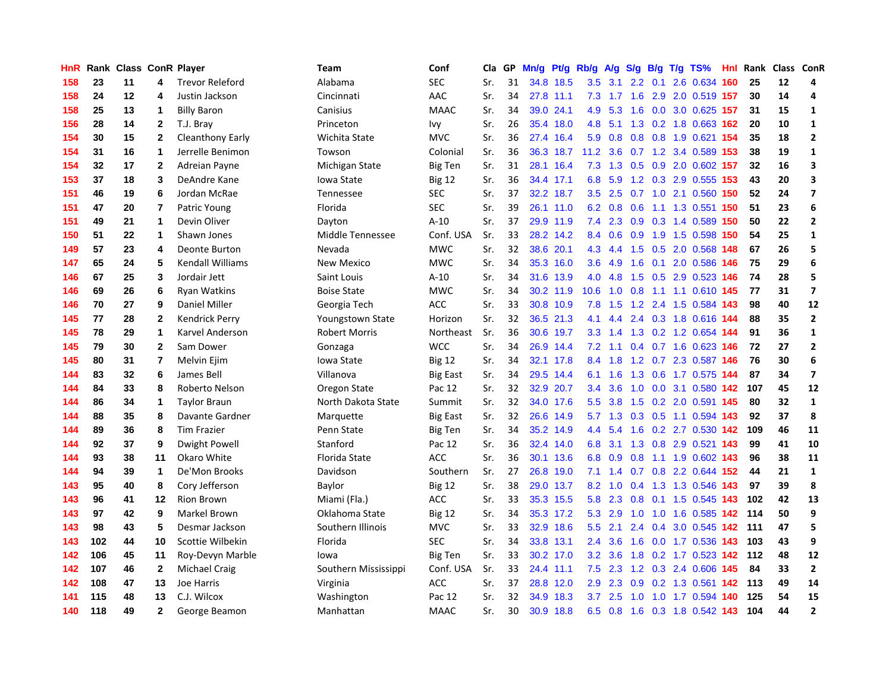| HnR | Rank |    |                | <b>Class ConR Player</b> | Team                 | Conf            | Cla | GP | Mn/g | Pt/g      | Rb/g             | A/g       |               |     | S/g B/g T/g TS%               |     | <b>Hnl</b> Rank | Class ConR |                          |
|-----|------|----|----------------|--------------------------|----------------------|-----------------|-----|----|------|-----------|------------------|-----------|---------------|-----|-------------------------------|-----|-----------------|------------|--------------------------|
| 158 | 23   | 11 | 4              | <b>Trevor Releford</b>   | Alabama              | <b>SEC</b>      | Sr. | 31 | 34.8 | 18.5      | 3.5              | 3.1       | 2.2           | 0.1 | 2.6 0.634                     | 160 | 25              | 12         | 4                        |
| 158 | 24   | 12 | 4              | Justin Jackson           | Cincinnati           | AAC             | Sr. | 34 |      | 27.8 11.1 | 7.3              |           |               |     | 1.7 1.6 2.9 2.0 0.519 157     |     | 30              | 14         | 4                        |
| 158 | 25   | 13 | 1              | <b>Billy Baron</b>       | Canisius             | <b>MAAC</b>     | Sr. | 34 | 39.0 | 24.1      | 4.9              | 5.3       |               |     | 1.6 0.0 3.0 0.625 157         |     | 31              | 15         | 1                        |
| 156 | 28   | 14 | $\mathbf{2}$   | T.J. Bray                | Princeton            | Ivy             | Sr. | 26 | 35.4 | 18.0      | 4.8              |           |               |     | 5.1 1.3 0.2 1.8 0.663 162     |     | 20              | 10         | $\mathbf{1}$             |
| 154 | 30   | 15 | $\mathbf{2}$   | Cleanthony Early         | Wichita State        | <b>MVC</b>      | Sr. | 36 | 27.4 | 16.4      | 5.9              | 0.8       | 0.8           |     | 0.8 1.9 0.621 154             |     | 35              | 18         | $\mathbf{2}$             |
| 154 | 31   | 16 | $\mathbf{1}$   | Jerrelle Benimon         | Towson               | Colonial        | Sr. | 36 | 36.3 | 18.7      | 11.2             | 3.6       |               |     | 0.7 1.2 3.4 0.589 153         |     | 38              | 19         | $\mathbf 1$              |
| 154 | 32   | 17 | $\mathbf{2}$   | Adreian Payne            | Michigan State       | <b>Big Ten</b>  | Sr. | 31 | 28.1 | 16.4      | 7.3              | 1.3       | 0.5           |     | 0.9 2.0 0.602 157             |     | 32              | 16         | 3                        |
| 153 | 37   | 18 | 3              | DeAndre Kane             | Iowa State           | <b>Big 12</b>   | Sr. | 36 |      | 34.4 17.1 | 6.8              | 5.9       |               |     | 1.2 0.3 2.9 0.555 153         |     | 43              | 20         | 3                        |
| 151 | 46   | 19 | 6              | Jordan McRae             | Tennessee            | <b>SEC</b>      | Sr. | 37 | 32.2 | 18.7      | 3.5              | 2.5       |               |     | 0.7 1.0 2.1 0.560 150         |     | 52              | 24         | $\overline{ }$           |
| 151 | 47   | 20 | $\overline{7}$ | Patric Young             | Florida              | <b>SEC</b>      | Sr. | 39 |      | 26.1 11.0 | 6.2              | 0.8       | 0.6           |     | 1.1 1.3 0.551 150             |     | 51              | 23         | 6                        |
| 151 | 49   | 21 | $\mathbf{1}$   | Devin Oliver             | Dayton               | $A-10$          | Sr. | 37 |      | 29.9 11.9 | 7.4              |           |               |     | 2.3 0.9 0.3 1.4 0.589 150     |     | 50              | 22         | $\mathbf{2}$             |
| 150 | 51   | 22 | 1              | Shawn Jones              | Middle Tennessee     | Conf. USA       | Sr. | 33 |      | 28.2 14.2 | 8.4              | 0.6       |               |     | 0.9 1.9 1.5 0.598 150         |     | 54              | 25         | 1                        |
| 149 | 57   | 23 | 4              | Deonte Burton            | Nevada               | <b>MWC</b>      | Sr. | 32 | 38.6 | 20.1      | 4.3              | 4.4       | 1.5           |     | 0.5 2.0 0.568 148             |     | 67              | 26         | 5                        |
| 147 | 65   | 24 | 5              | <b>Kendall Williams</b>  | <b>New Mexico</b>    | <b>MWC</b>      | Sr. | 34 | 35.3 | 16.0      | 3.6              | 4.9       | 1.6           |     | 0.1 2.0 0.586 146             |     | 75              | 29         | 6                        |
| 146 | 67   | 25 | $\mathbf{3}$   | Jordair Jett             | Saint Louis          | $A-10$          | Sr. | 34 | 31.6 | 13.9      | 4.0              | 4.8       | 1.5           |     | 0.5 2.9 0.523 146             |     | 74              | 28         | 5                        |
| 146 | 69   | 26 | 6              | <b>Ryan Watkins</b>      | <b>Boise State</b>   | <b>MWC</b>      | Sr. | 34 |      | 30.2 11.9 | 10.6             | 1.0       | 0.8           |     | 1.1 1.1 0.610 145             |     | 77              | 31         | $\overline{\mathbf{z}}$  |
| 146 | 70   | 27 | 9              | Daniel Miller            | Georgia Tech         | <b>ACC</b>      | Sr. | 33 |      | 30.8 10.9 | 7.8              | 1.5       | 1.2           |     | 2.4 1.5 0.584 143             |     | 98              | 40         | 12                       |
| 145 | 77   | 28 | $\mathbf{2}$   | <b>Kendrick Perry</b>    | Youngstown State     | Horizon         | Sr. | 32 |      | 36.5 21.3 | 4.1              | 4.4       | $2.4^{\circ}$ |     | 0.3 1.8 0.616 144             |     | 88              | 35         | $\mathbf 2$              |
| 145 | 78   | 29 | $\mathbf{1}$   | Karvel Anderson          | <b>Robert Morris</b> | Northeast       | Sr. | 36 |      | 30.6 19.7 |                  |           |               |     | 3.3 1.4 1.3 0.2 1.2 0.654 144 |     | 91              | 36         | $\mathbf{1}$             |
| 145 | 79   | 30 | $\mathbf{2}$   | Sam Dower                | Gonzaga              | <b>WCC</b>      | Sr. | 34 |      | 26.9 14.4 | 7.2              | 1.1       |               |     | 0.4 0.7 1.6 0.623 146         |     | 72              | 27         | $\overline{2}$           |
| 145 | 80   | 31 | $\overline{7}$ | Melvin Ejim              | Iowa State           | <b>Big 12</b>   | Sr. | 34 |      | 32.1 17.8 | 8.4              | 1.8       |               |     | 1.2 0.7 2.3 0.587 146         |     | 76              | 30         | 6                        |
| 144 | 83   | 32 | 6              | James Bell               | Villanova            | Big East        | Sr. | 34 | 29.5 | 14.4      | 6.1              | 1.6       | 1.3           |     | 0.6 1.7 0.575 144             |     | 87              | 34         | $\overline{\phantom{a}}$ |
| 144 | 84   | 33 | 8              | Roberto Nelson           | Oregon State         | Pac 12          | Sr. | 32 | 32.9 | 20.7      | 3.4              | 3.6       | 1.0           |     | 0.0 3.1 0.580 142             |     | 107             | 45         | 12                       |
| 144 | 86   | 34 | 1              | <b>Taylor Braun</b>      | North Dakota State   | Summit          | Sr. | 32 | 34.0 | 17.6      | 5.5              | 3.8       | 1.5           |     | 0.2 2.0 0.591                 | 145 | 80              | 32         | $\mathbf 1$              |
| 144 | 88   | 35 | 8              | Davante Gardner          | Marquette            | <b>Big East</b> | Sr. | 32 | 26.6 | 14.9      |                  | $5.7$ 1.3 | 0.3           |     | 0.5 1.1 0.594 143             |     | 92              | 37         | 8                        |
| 144 | 89   | 36 | 8              | <b>Tim Frazier</b>       | Penn State           | <b>Big Ten</b>  | Sr. | 34 |      | 35.2 14.9 | 4.4              | 5.4       | 1.6           |     | 0.2 2.7 0.530 142             |     | 109             | 46         | 11                       |
| 144 | 92   | 37 | 9              | Dwight Powell            | Stanford             | Pac 12          | Sr. | 36 |      | 32.4 14.0 | 6.8              |           |               |     | 3.1 1.3 0.8 2.9 0.521 143     |     | 99              | 41         | 10                       |
| 144 | 93   | 38 | 11             | Okaro White              | Florida State        | <b>ACC</b>      | Sr. | 36 | 30.1 | 13.6      | 6.8              | 0.9       |               |     | 0.8 1.1 1.9 0.602 143         |     | 96              | 38         | 11                       |
| 144 | 94   | 39 | $\mathbf{1}$   | De'Mon Brooks            | Davidson             | Southern        | Sr. | 27 | 26.8 | 19.0      | 7.1              | 1.4       |               |     | 0.7 0.8 2.2 0.644 152         |     | 44              | 21         | 1                        |
| 143 | 95   | 40 | 8              | Cory Jefferson           | Baylor               | <b>Big 12</b>   | Sr. | 38 | 29.0 | 13.7      | 8.2              | 1.0       |               |     | 0.4 1.3 1.3 0.546 143         |     | 97              | 39         | 8                        |
| 143 | 96   | 41 | $12 \,$        | Rion Brown               | Miami (Fla.)         | ACC             | Sr. | 33 | 35.3 | 15.5      | 5.8              | 2.3       | 0.8           |     | 0.1 1.5 0.545 143             |     | 102             | 42         | 13                       |
| 143 | 97   | 42 | 9              | Markel Brown             | Oklahoma State       | <b>Big 12</b>   | Sr. | 34 | 35.3 | 17.2      | 5.3              | 2.9       | 1.0           |     | 1.0 1.6 0.585 142             |     | 114             | 50         | 9                        |
| 143 | 98   | 43 | $\sqrt{5}$     | Desmar Jackson           | Southern Illinois    | <b>MVC</b>      | Sr. | 33 | 32.9 | 18.6      | 5.5              | 2.1       | 2.4           |     | 0.4 3.0 0.545 142             |     | 111             | 47         | 5                        |
| 143 | 102  | 44 | 10             | Scottie Wilbekin         | Florida              | <b>SEC</b>      | Sr. | 34 | 33.8 | 13.1      | 2.4              | 3.6       | 1.6           |     | 0.0 1.7 0.536 143             |     | 103             | 43         | 9                        |
| 142 | 106  | 45 | 11             | Roy-Devyn Marble         | lowa                 | <b>Big Ten</b>  | Sr. | 33 |      | 30.2 17.0 | 3.2 <sub>2</sub> | 3.6       | 1.8           |     | 0.2 1.7 0.523 142 112         |     |                 | 48         | 12                       |
| 142 | 107  | 46 | $\mathbf{2}$   | <b>Michael Craig</b>     | Southern Mississippi | Conf. USA       | Sr. | 33 |      | 24.4 11.1 | 7.5              | 2.3       |               |     | 1.2 0.3 2.4 0.606 145         |     | 84              | 33         | $\mathbf{2}$             |
| 142 | 108  | 47 | 13             | Joe Harris               | Virginia             | <b>ACC</b>      | Sr. | 37 | 28.8 | 12.0      | $2.9^{\circ}$    | 2.3       | 0.9           |     | 0.2 1.3 0.561 142 113         |     |                 | 49         | 14                       |
| 141 | 115  | 48 | 13             | C.J. Wilcox              | Washington           | Pac 12          | Sr. | 32 | 34.9 | 18.3      | 3.7              | 2.5       | 1.0           |     | 1.0 1.7 0.594 140             |     | 125             | 54         | 15                       |
| 140 | 118  | 49 | $\mathbf{2}$   | George Beamon            | Manhattan            | <b>MAAC</b>     | Sr. | 30 |      | 30.9 18.8 | 6.5              |           |               |     | 0.8 1.6 0.3 1.8 0.542 143     |     | 104             | 44         | $\mathbf{2}$             |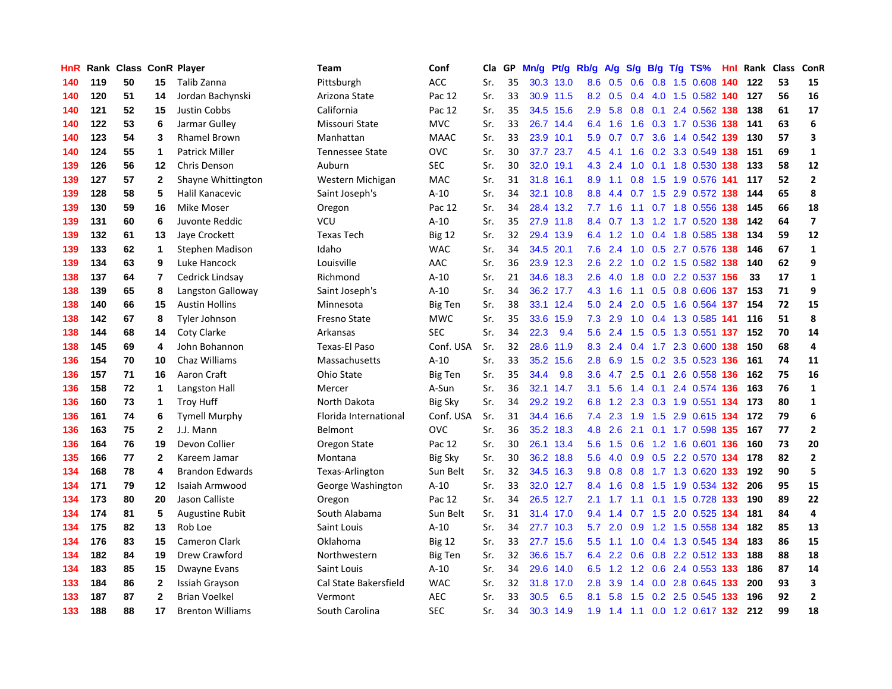| HnR |     | Rank Class ConR Player |                         |                         | <b>Team</b>            | Conf           | Cla | GP | Mn/g | Pt/g      | Rb/g             | A/g     | S/g           |  | $B/g$ T/g TS%                 | <b>Hnl Rank Class</b> |    | ConR                     |
|-----|-----|------------------------|-------------------------|-------------------------|------------------------|----------------|-----|----|------|-----------|------------------|---------|---------------|--|-------------------------------|-----------------------|----|--------------------------|
| 140 | 119 | 50                     | 15                      | Talib Zanna             | Pittsburgh             | <b>ACC</b>     | Sr. | 35 | 30.3 | 13.0      | 8.6              | 0.5     | 0.6           |  | 0.8 1.5 0.608 140             | 122                   | 53 | 15                       |
| 140 | 120 | 51                     | 14                      | Jordan Bachynski        | Arizona State          | Pac 12         | Sr. | 33 |      | 30.9 11.5 | 8.2              | 0.5     | $0.4^{\circ}$ |  | 4.0 1.5 0.582 140 127         |                       | 56 | 16                       |
| 140 | 121 | 52                     | 15                      | Justin Cobbs            | California             | Pac 12         | Sr. | 35 |      | 34.5 15.6 | 2.9 <sup>°</sup> | 5.8     |               |  | 0.8 0.1 2.4 0.562 138         | 138                   | 61 | 17                       |
| 140 | 122 | 53                     | 6                       | Jarmar Gulley           | Missouri State         | <b>MVC</b>     | Sr. | 33 |      | 26.7 14.4 | 6.4              | 1.6     | 1.6           |  | 0.3 1.7 0.536 138             | 141                   | 63 | 6                        |
| 140 | 123 | 54                     | 3                       | <b>Rhamel Brown</b>     | Manhattan              | <b>MAAC</b>    | Sr. | 33 | 23.9 | 10.1      | 5.9              | 0.7     | 0.7           |  | 3.6 1.4 0.542 139             | 130                   | 57 | $\overline{\mathbf{3}}$  |
| 140 | 124 | 55                     | 1                       | <b>Patrick Miller</b>   | <b>Tennessee State</b> | OVC            | Sr. | 30 | 37.7 | 23.7      | 4.5              | -4.1    | 1.6           |  | 0.2 3.3 0.549 138             | 151                   | 69 | $\mathbf 1$              |
| 139 | 126 | 56                     | 12                      | Chris Denson            | Auburn                 | <b>SEC</b>     | Sr. | 30 | 32.0 | 19.1      | 4.3              | 2.4     | 1.0           |  | 0.1 1.8 0.530 138             | 133                   | 58 | 12                       |
| 139 | 127 | 57                     | $\mathbf{2}$            | Shayne Whittington      | Western Michigan       | <b>MAC</b>     | Sr. | 31 | 31.8 | 16.1      | 8.9              | 1.1     |               |  | 0.8 1.5 1.9 0.576 141         | 117                   | 52 | $\mathbf{2}$             |
| 139 | 128 | 58                     | 5                       | Halil Kanacevic         | Saint Joseph's         | $A-10$         | Sr. | 34 | 32.1 | 10.8      | 8.8              | 4.4     |               |  | 0.7 1.5 2.9 0.572 138         | 144                   | 65 | 8                        |
| 139 | 130 | 59                     | 16                      | Mike Moser              | Oregon                 | Pac 12         | Sr. | 34 | 28.4 | 13.2      | 7.7              | 1.6     | 1.1           |  | 0.7 1.8 0.556 138             | 145                   | 66 | 18                       |
| 139 | 131 | 60                     | 6                       | Juvonte Reddic          | <b>VCU</b>             | $A-10$         | Sr. | 35 |      | 27.9 11.8 | 8.4              |         |               |  | 0.7 1.3 1.2 1.7 0.520 138 142 |                       | 64 | $\overline{\phantom{a}}$ |
| 139 | 132 | 61                     | 13                      | Jaye Crockett           | <b>Texas Tech</b>      | <b>Big 12</b>  | Sr. | 32 |      | 29.4 13.9 | 6.4              |         |               |  | 1.2 1.0 0.4 1.8 0.585 138     | 134                   | 59 | 12                       |
| 139 | 133 | 62                     | 1                       | Stephen Madison         | Idaho                  | <b>WAC</b>     | Sr. | 34 | 34.5 | 20.1      | 7.6              | 2.4     | 1.0           |  | 0.5 2.7 0.576 138             | 146                   | 67 | $\mathbf{1}$             |
| 139 | 134 | 63                     | 9                       | Luke Hancock            | Louisville             | AAC            | Sr. | 36 | 23.9 | 12.3      | 2.6              | 2.2     | 1.0           |  | 0.2 1.5 0.582 138             | 140                   | 62 | 9                        |
| 138 | 137 | 64                     | $\overline{\mathbf{r}}$ | Cedrick Lindsay         | Richmond               | $A-10$         | Sr. | 21 | 34.6 | 18.3      | 2.6              | 4.0     | 1.8           |  | 0.0 2.2 0.537 156             | 33                    | 17 | $\mathbf{1}$             |
| 138 | 139 | 65                     | 8                       | Langston Galloway       | Saint Joseph's         | $A-10$         | Sr. | 34 |      | 36.2 17.7 | 4.3              | 1.6     | 1.1           |  | 0.5 0.8 0.606 137             | 153                   | 71 | 9                        |
| 138 | 140 | 66                     | 15                      | <b>Austin Hollins</b>   | Minnesota              | <b>Big Ten</b> | Sr. | 38 | 33.1 | 12.4      | 5.0              | 2.4     | 2.0           |  | 0.5 1.6 0.564 137             | 154                   | 72 | 15                       |
| 138 | 142 | 67                     | 8                       | Tyler Johnson           | Fresno State           | <b>MWC</b>     | Sr. | 35 | 33.6 | 15.9      | 7.3              | 2.9     | 1.0           |  | 0.4 1.3 0.585 141             | 116                   | 51 | 8                        |
| 138 | 144 | 68                     | 14                      | <b>Coty Clarke</b>      | Arkansas               | <b>SEC</b>     | Sr. | 34 | 22.3 | 9.4       | 5.6              | 2.4     | 1.5           |  | 0.5 1.3 0.551 137 152         |                       | 70 | 14                       |
| 138 | 145 | 69                     | 4                       | John Bohannon           | Texas-El Paso          | Conf. USA      | Sr. | 32 |      | 28.6 11.9 |                  | 8.3 2.4 |               |  | 0.4 1.7 2.3 0.600 138         | 150                   | 68 | 4                        |
| 136 | 154 | 70                     | 10                      | Chaz Williams           | Massachusetts          | $A-10$         | Sr. | 33 | 35.2 | 15.6      | 2.8              | 6.9     | 1.5           |  | 0.2 3.5 0.523 136             | 161                   | 74 | 11                       |
| 136 | 157 | 71                     | 16                      | Aaron Craft             | Ohio State             | <b>Big Ten</b> | Sr. | 35 | 34.4 | 9.8       | 3.6              | 4.7     | 2.5           |  | 0.1 2.6 0.558 136             | 162                   | 75 | 16                       |
| 136 | 158 | 72                     | 1                       | Langston Hall           | Mercer                 | A-Sun          | Sr. | 36 | 32.1 | 14.7      | 3.1              | 5.6     | 1.4           |  | 0.1 2.4 0.574 136             | 163                   | 76 | $\mathbf 1$              |
| 136 | 160 | 73                     | 1                       | <b>Troy Huff</b>        | North Dakota           | <b>Big Sky</b> | Sr. | 34 | 29.2 | 19.2      | 6.8              | 1.2     | 2.3           |  | 0.3 1.9 0.551 134             | 173                   | 80 | $\mathbf 1$              |
| 136 | 161 | 74                     | 6                       | <b>Tymell Murphy</b>    | Florida International  | Conf. USA      | Sr. | 31 | 34.4 | 16.6      | 7.4              | 2.3     | 1.9           |  | 1.5 2.9 0.615 134             | 172                   | 79 | 6                        |
| 136 | 163 | 75                     | $\mathbf{2}$            | J.J. Mann               | Belmont                | <b>OVC</b>     | Sr. | 36 | 35.2 | 18.3      | 4.8              | 2.6     | 2.1           |  | 0.1 1.7 0.598 135             | 167                   | 77 | $\mathbf{2}$             |
| 136 | 164 | 76                     | 19                      | Devon Collier           | Oregon State           | Pac 12         | Sr. | 30 |      | 26.1 13.4 | 5.6              | 1.5     |               |  | 0.6 1.2 1.6 0.601 136         | 160                   | 73 | 20                       |
| 135 | 166 | 77                     | $\mathbf{2}$            | Kareem Jamar            | Montana                | <b>Big Sky</b> | Sr. | 30 |      | 36.2 18.8 | 5.6              |         |               |  | 4.0 0.9 0.5 2.2 0.570 134     | 178                   | 82 | $\mathbf{2}$             |
| 134 | 168 | 78                     | 4                       | <b>Brandon Edwards</b>  | Texas-Arlington        | Sun Belt       | Sr. | 32 | 34.5 | 16.3      | 9.8              | 0.8     |               |  | 0.8 1.7 1.3 0.620 133         | 192                   | 90 | 5                        |
| 134 | 171 | 79                     | 12                      | Isaiah Armwood          | George Washington      | $A-10$         | Sr. | 33 |      | 32.0 12.7 | 8.4              | 1.6     |               |  | 0.8 1.5 1.9 0.534 132         | 206                   | 95 | 15                       |
| 134 | 173 | 80                     | 20                      | Jason Calliste          | Oregon                 | Pac 12         | Sr. | 34 | 26.5 | 12.7      | 2.1              | 1.7     | 1.1           |  | 0.1 1.5 0.728 133             | 190                   | 89 | 22                       |
| 134 | 174 | 81                     | 5                       | Augustine Rubit         | South Alabama          | Sun Belt       | Sr. | 31 | 31.4 | 17.0      | 9.4              | 1.4     | 0.7           |  | 1.5 2.0 0.525 134             | 181                   | 84 | 4                        |
| 134 | 175 | 82                     | 13                      | Rob Loe                 | Saint Louis            | $A-10$         | Sr. | 34 | 27.7 | 10.3      | 5.7              | 2.0     | 0.9           |  | 1.2 1.5 0.558 134             | 182                   | 85 | 13                       |
| 134 | 176 | 83                     | 15                      | <b>Cameron Clark</b>    | Oklahoma               | <b>Big 12</b>  | Sr. | 33 | 27.7 | 15.6      | 5.5              | 1.1     | 1.0           |  | 0.4 1.3 0.545 134             | 183                   | 86 | 15                       |
| 134 | 182 | 84                     | 19                      | Drew Crawford           | Northwestern           | <b>Big Ten</b> | Sr. | 32 | 36.6 | 15.7      | 6.4              | 2.2     | 0.6           |  | 0.8 2.2 0.512 133             | 188                   | 88 | 18                       |
| 134 | 183 | 85                     | 15                      | Dwayne Evans            | Saint Louis            | $A-10$         | Sr. | 34 |      | 29.6 14.0 | 6.5              |         |               |  | 1.2 1.2 0.6 2.4 0.553 133     | 186                   | 87 | 14                       |
| 133 | 184 | 86                     | $\mathbf{2}$            | Issiah Grayson          | Cal State Bakersfield  | <b>WAC</b>     | Sr. | 32 |      | 31.8 17.0 | 2.8              | 3.9     | 1.4           |  | 0.0 2.8 0.645 133             | 200                   | 93 | 3                        |
| 133 | 187 | 87                     | $\overline{2}$          | <b>Brian Voelkel</b>    | Vermont                | <b>AEC</b>     | Sr. | 33 | 30.5 | 6.5       | 8.1              | 5.8     | 1.5           |  | 0.2 2.5 0.545 133             | 196                   | 92 | $\overline{2}$           |
| 133 | 188 | 88                     | 17                      | <b>Brenton Williams</b> | South Carolina         | <b>SEC</b>     | Sr. | 34 |      | 30.3 14.9 | 1.9              |         |               |  | 1.4 1.1 0.0 1.2 0.617 132     | 212                   | 99 | 18                       |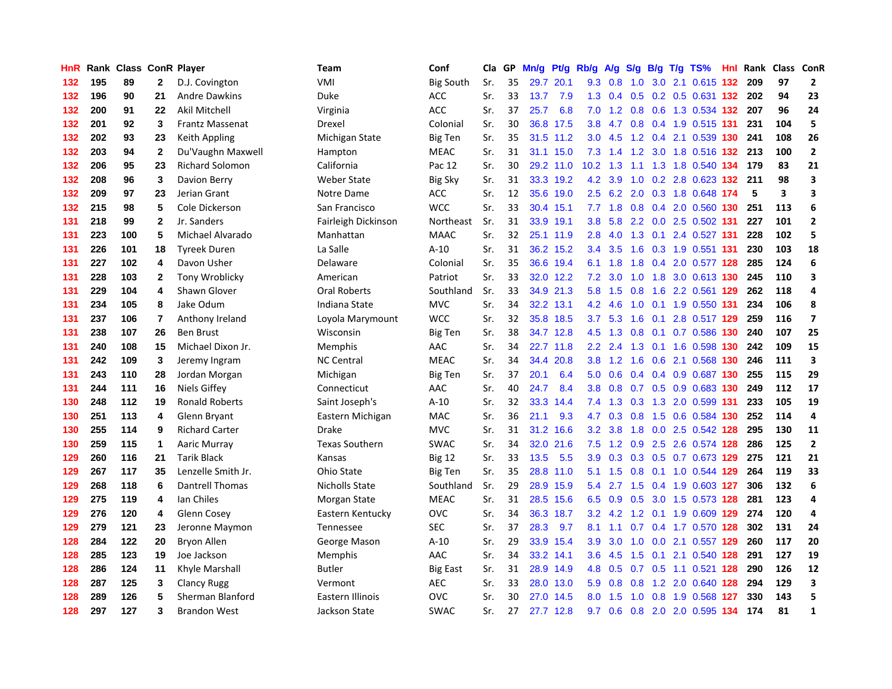| HnR |     | Rank Class ConR Player |                |                         | <b>Team</b>           | Conf             | Cla | GP | Mn/g | Pf/g      | Rb/g             | A/g       | S/g             |     | $B/g$ T/g TS%             | <b>Hnl</b> Rank | Class ConR |                         |
|-----|-----|------------------------|----------------|-------------------------|-----------------------|------------------|-----|----|------|-----------|------------------|-----------|-----------------|-----|---------------------------|-----------------|------------|-------------------------|
| 132 | 195 | 89                     | $\mathbf{2}$   | D.J. Covington          | VMI                   | <b>Big South</b> | Sr. | 35 | 29.7 | 20.1      | 9.3              | 0.8       | 1.0             |     | 3.0 2.1 0.615 132         | 209             | 97         | $\overline{2}$          |
| 132 | 196 | 90                     | 21             | <b>Andre Dawkins</b>    | Duke                  | <b>ACC</b>       | Sr. | 33 | 13.7 | 7.9       | 1.3              | 0.4       | 0.5             |     | 0.2 0.5 0.631 132         | 202             | 94         | 23                      |
| 132 | 200 | 91                     | 22             | Akil Mitchell           | Virginia              | <b>ACC</b>       | Sr. | 37 | 25.7 | 6.8       | 7.0              |           |                 |     | 1.2 0.8 0.6 1.3 0.534 132 | 207             | 96         | 24                      |
| 132 | 201 | 92                     | 3              | <b>Frantz Massenat</b>  | Drexel                | Colonial         | Sr. | 30 | 36.8 | 17.5      | 3.8 <sub>2</sub> | 4.7       |                 |     | 0.8 0.4 1.9 0.515 131     | 231             | 104        | 5                       |
| 132 | 202 | 93                     | 23             | Keith Appling           | Michigan State        | <b>Big Ten</b>   | Sr. | 35 |      | 31.5 11.2 | 3.0 <sub>2</sub> | 4.5       | 1.2             |     | 0.4 2.1 0.539 130         | 241             | 108        | 26                      |
| 132 | 203 | 94                     | $\mathbf{2}$   | Du'Vaughn Maxwell       | Hampton               | <b>MEAC</b>      | Sr. | 31 | 31.1 | 15.0      | 7.3              | 1.4       | 1.2             |     | 3.0 1.8 0.516 132         | 213             | 100        | $\overline{\mathbf{2}}$ |
| 132 | 206 | 95                     | 23             | <b>Richard Solomon</b>  | California            | Pac 12           | Sr. | 30 |      | 29.2 11.0 | 10.2             | 1.3       |                 |     | 1.1 1.3 1.8 0.540 134     | 179             | 83         | 21                      |
| 132 | 208 | 96                     | 3              | Davion Berry            | <b>Weber State</b>    | <b>Big Sky</b>   | Sr. | 31 | 33.3 | 19.2      | 4.2              | 3.9       | 1.0             |     | 0.2 2.8 0.623 132         | 211             | 98         | 3                       |
| 132 | 209 | 97                     | 23             | Jerian Grant            | Notre Dame            | <b>ACC</b>       | Sr. | 12 | 35.6 | 19.0      | 2.5              | 6.2       | 2.0             |     | 0.3 1.8 0.648 174         | 5               | 3          | 3                       |
| 132 | 215 | 98                     | 5              | Cole Dickerson          | San Francisco         | <b>WCC</b>       | Sr. | 33 | 30.4 | 15.1      |                  | $7.7$ 1.8 |                 |     | 0.8 0.4 2.0 0.560 130     | 251             | 113        | 6                       |
| 131 | 218 | 99                     | $\mathbf{2}$   | Jr. Sanders             | Fairleigh Dickinson   | Northeast        | Sr. | 31 |      | 33.9 19.1 | 3.8              |           |                 |     | 5.8 2.2 0.0 2.5 0.502 131 | 227             | 101        | $\mathbf{2}$            |
| 131 | 223 | 100                    | 5              | Michael Alvarado        | Manhattan             | <b>MAAC</b>      | Sr. | 32 |      | 25.1 11.9 | 2.8              |           |                 |     | 4.0 1.3 0.1 2.4 0.527 131 | 228             | 102        | 5                       |
| 131 | 226 | 101                    | 18             | <b>Tyreek Duren</b>     | La Salle              | $A-10$           | Sr. | 31 |      | 36.2 15.2 | $3.4^{\circ}$    | 3.5       | 1.6             |     | 0.3 1.9 0.551 131         | 230             | 103        | 18                      |
| 131 | 227 | 102                    | 4              | Davon Usher             | Delaware              | Colonial         | Sr. | 35 | 36.6 | 19.4      | 6.1              | 1.8       | 1.8             |     | 0.4 2.0 0.577 128         | 285             | 124        | 6                       |
| 131 | 228 | 103                    | $\mathbf{2}$   | Tony Wroblicky          | American              | Patriot          | Sr. | 33 |      | 32.0 12.2 | 7.2              | 3.0       | 1.0             |     | 1.8 3.0 0.613 130         | 245             | 110        | $\overline{\mathbf{3}}$ |
| 131 | 229 | 104                    | 4              | Shawn Glover            | <b>Oral Roberts</b>   | Southland        | Sr. | 33 | 34.9 | 21.3      | 5.8              | 1.5       | 0.8             |     | 1.6 2.2 0.561 129         | 262             | 118        | 4                       |
| 131 | 234 | 105                    | 8              | Jake Odum               | Indiana State         | <b>MVC</b>       | Sr. | 34 | 32.2 | 13.1      | 4.2              | 4.6       | 1.0             |     | 0.1 1.9 0.550 131         | 234             | 106        | 8                       |
| 131 | 237 | 106                    | $\overline{7}$ | Anthony Ireland         | Loyola Marymount      | <b>WCC</b>       | Sr. | 32 | 35.8 | 18.5      | 3.7 <sub>2</sub> | 5.3       | 1.6             |     | 0.1 2.8 0.517 129         | 259             | 116        | $\overline{\mathbf{z}}$ |
| 131 | 238 | 107                    | 26             | <b>Ben Brust</b>        | Wisconsin             | <b>Big Ten</b>   | Sr. | 38 |      | 34.7 12.8 | 4.5              | 1.3       | 0.8             |     | 0.1 0.7 0.586 130         | 240             | 107        | 25                      |
| 131 | 240 | 108                    | 15             | Michael Dixon Jr.       | Memphis               | AAC              | Sr. | 34 |      | 22.7 11.8 | $2.2\phantom{0}$ | 2.4       |                 |     | 1.3 0.1 1.6 0.598 130     | 242             | 109        | 15                      |
| 131 | 242 | 109                    | 3              | Jeremy Ingram           | <b>NC Central</b>     | <b>MEAC</b>      | Sr. | 34 | 34.4 | 20.8      | 3.8              |           | $1.2 \quad 1.6$ |     | 0.6 2.1 0.568 130         | 246             | 111        | $\overline{\mathbf{3}}$ |
| 131 | 243 | 110                    | 28             | Jordan Morgan           | Michigan              | <b>Big Ten</b>   | Sr. | 37 | 20.1 | 6.4       | 5.0              | 0.6       | 0.4             |     | 0.4 0.9 0.687 130         | 255             | 115        | 29                      |
| 131 | 244 | 111                    | 16             | Niels Giffey            | Connecticut           | AAC              | Sr. | 40 | 24.7 | 8.4       | 3.8              | 0.8       | 0.7             |     | 0.5 0.9 0.683 130         | 249             | 112        | 17                      |
| 130 | 248 | 112                    | 19             | <b>Ronald Roberts</b>   | Saint Joseph's        | $A-10$           | Sr. | 32 | 33.3 | 14.4      | 7.4              | 1.3       | 0.3             | 1.3 | 2.0 0.599 131             | 233             | 105        | 19                      |
| 130 | 251 | 113                    | 4              | Glenn Bryant            | Eastern Michigan      | <b>MAC</b>       | Sr. | 36 | 21.1 | 9.3       | 4.7              | 0.3       | 0.8             |     | 1.5 0.6 0.584 130         | 252             | 114        | 4                       |
| 130 | 255 | 114                    | 9              | <b>Richard Carter</b>   | Drake                 | <b>MVC</b>       | Sr. | 31 | 31.2 | 16.6      | 3.2              | 3.8       | 1.8             |     | 0.0 2.5 0.542 128         | 295             | 130        | 11                      |
| 130 | 259 | 115                    | $\mathbf 1$    | Aaric Murray            | <b>Texas Southern</b> | <b>SWAC</b>      | Sr. | 34 |      | 32.0 21.6 | 7.5              |           |                 |     | 1.2 0.9 2.5 2.6 0.574 128 | 286             | 125        | $\mathbf{2}$            |
| 129 | 260 | 116                    | 21             | <b>Tarik Black</b>      | Kansas                | <b>Big 12</b>    | Sr. | 33 | 13.5 | 5.5       | 3.9              |           |                 |     | 0.3 0.3 0.5 0.7 0.673 129 | 275             | 121        | 21                      |
| 129 | 267 | 117                    | 35             | Lenzelle Smith Jr.      | Ohio State            | <b>Big Ten</b>   | Sr. | 35 | 28.8 | 11.0      | 5.1              | 1.5       | 0.8             |     | 0.1 1.0 0.544 129         | 264             | 119        | 33                      |
| 129 | 268 | 118                    | 6              | <b>Dantrell Thomas</b>  | Nicholls State        | Southland        | Sr. | 29 | 28.9 | 15.9      | 5.4              | 2.7       | 1.5             |     | 0.4 1.9 0.603 127         | 306             | 132        | 6                       |
| 129 | 275 | 119                    | 4              | Ian Chiles              | Morgan State          | <b>MEAC</b>      | Sr. | 31 | 28.5 | 15.6      | 6.5              | 0.9       | 0.5             |     | 3.0 1.5 0.573 128         | 281             | 123        | 4                       |
| 129 | 276 | 120                    | 4              | Glenn Cosey             | Eastern Kentucky      | <b>OVC</b>       | Sr. | 34 | 36.3 | 18.7      | 3.2              | 4.2       | 1.2             |     | 0.1 1.9 0.609 129         | 274             | 120        | 4                       |
| 129 | 279 | 121                    | 23             | Jeronne Maymon          | Tennessee             | <b>SEC</b>       | Sr. | 37 | 28.3 | 9.7       | 8.1              | 1.1       | 0.7             |     | 0.4 1.7 0.570 128         | 302             | 131        | 24                      |
| 128 | 284 | 122                    | 20             | Bryon Allen             | George Mason          | $A-10$           | Sr. | 29 | 33.9 | 15.4      | 3.9              | 3.0       | 1.0             | 0.0 | 2.1 0.557 129             | 260             | 117        | 20                      |
| 128 | 285 | 123                    | 19             | Joe Jackson             | Memphis               | AAC              | Sr. | 34 |      | 33.2 14.1 | $3.6^{\circ}$    | 4.5       | 1.5             |     | $0.1$ 2.1 0.540 128       | 291             | 127        | 19                      |
| 128 | 286 | 124                    | 11             | Khyle Marshall          | <b>Butler</b>         | Big East         | Sr. | 31 | 28.9 | 14.9      | 4.8              | 0.5       |                 |     | 0.7 0.5 1.1 0.521 128     | 290             | 126        | 12                      |
| 128 | 287 | 125                    | 3              | <b>Clancy Rugg</b>      | Vermont               | <b>AEC</b>       | Sr. | 33 | 28.0 | 13.0      | 5.9              | 0.8       | 0.8             |     | 1.2 2.0 0.640 128         | 294             | 129        | $\overline{\mathbf{3}}$ |
| 128 | 289 | 126                    | 5              | <b>Sherman Blanford</b> | Eastern Illinois      | <b>OVC</b>       | Sr. | 30 | 27.0 | 14.5      | 8.0              | 1.5       | 1.0             |     | 0.8 1.9 0.568 127         | 330             | 143        | 5                       |
| 128 | 297 | 127                    | 3              | <b>Brandon West</b>     | Jackson State         | <b>SWAC</b>      | Sr. | 27 | 27.7 | 12.8      | 9.7              | 0.6       |                 |     | 0.8 2.0 2.0 0.595 134     | 174             | 81         | $\mathbf{1}$            |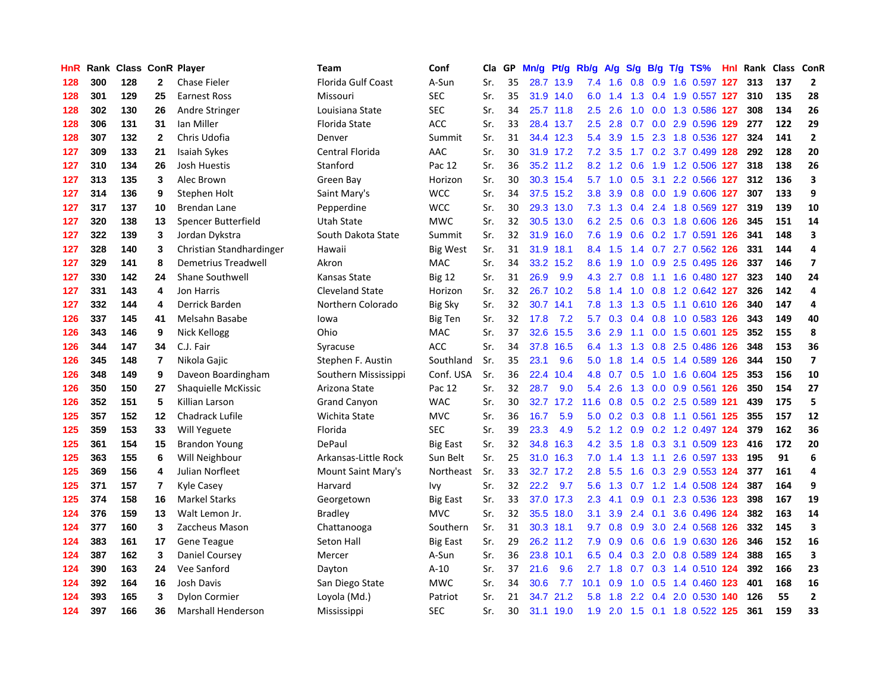| HnR |     | Rank Class ConR Player |                         |                          | <b>Team</b>               | Conf            | Cla | GP | Mn/g | Pt/g      | Rb/g             | A/g     | S/g           |     | $B/g$ T/g TS%             | Hnl Rank | <b>Class ConR</b> |                          |
|-----|-----|------------------------|-------------------------|--------------------------|---------------------------|-----------------|-----|----|------|-----------|------------------|---------|---------------|-----|---------------------------|----------|-------------------|--------------------------|
| 128 | 300 | 128                    | $\mathbf{2}$            | Chase Fieler             | <b>Florida Gulf Coast</b> | A-Sun           | Sr. | 35 | 28.7 | 13.9      | 7.4              | 1.6     | 0.8           |     | 0.9 1.6 0.597 127         | 313      | 137               | $\overline{2}$           |
| 128 | 301 | 129                    | 25                      | <b>Earnest Ross</b>      | Missouri                  | <b>SEC</b>      | Sr. | 35 |      | 31.9 14.0 | 6.0              | 1.4     | 1.3           |     | 0.4 1.9 0.557 127         | 310      | 135               | 28                       |
| 128 | 302 | 130                    | 26                      | Andre Stringer           | Louisiana State           | <b>SEC</b>      | Sr. | 34 |      | 25.7 11.8 | 2.5              | 2.6     |               |     | 1.0 0.0 1.3 0.586 127     | 308      | 134               | 26                       |
| 128 | 306 | 131                    | 31                      | Ian Miller               | Florida State             | <b>ACC</b>      | Sr. | 33 |      | 28.4 13.7 | $2.5^{\circ}$    | 2.8     | 0.7           |     | 0.0 2.9 0.596 129         | 277      | 122               | 29                       |
| 128 | 307 | 132                    | $\mathbf{2}$            | Chris Udofia             | Denver                    | Summit          | Sr. | 31 |      | 34.4 12.3 | 5.4              | 3.9     | 1.5           |     | 2.3 1.8 0.536 127         | 324      | 141               | $\mathbf{2}$             |
| 127 | 309 | 133                    | 21                      | Isaiah Sykes             | Central Florida           | AAC             | Sr. | 30 |      | 31.9 17.2 | 7.2              | 3.5     | 1.7           |     | 0.2 3.7 0.499 128         | 292      | 128               | 20                       |
| 127 | 310 | 134                    | 26                      | <b>Josh Huestis</b>      | Stanford                  | Pac 12          | Sr. | 36 |      | 35.2 11.2 | 8.2              | 1.2     | 0.6           |     | 1.9 1.2 0.506 127         | 318      | 138               | 26                       |
| 127 | 313 | 135                    | 3                       | Alec Brown               | Green Bay                 | Horizon         | Sr. | 30 | 30.3 | 15.4      | 5.7              | 1.0     | 0.5           | 3.1 | 2.2 0.566 127             | 312      | 136               | $\overline{\mathbf{3}}$  |
| 127 | 314 | 136                    | 9                       | Stephen Holt             | Saint Mary's              | <b>WCC</b>      | Sr. | 34 | 37.5 | 15.2      | 3.8              | 3.9     | 0.8           |     | 0.0 1.9 0.606 127         | 307      | 133               | 9                        |
| 127 | 317 | 137                    | 10                      | <b>Brendan Lane</b>      | Pepperdine                | <b>WCC</b>      | Sr. | 30 | 29.3 | 13.0      | 7.3              | 1.3     | 0.4           |     | 2.4 1.8 0.569 127         | 319      | 139               | 10                       |
| 127 | 320 | 138                    | 13                      | Spencer Butterfield      | Utah State                | <b>MWC</b>      | Sr. | 32 |      | 30.5 13.0 |                  | 6.2 2.5 |               |     | 0.6 0.3 1.8 0.606 126     | 345      | 151               | 14                       |
| 127 | 322 | 139                    | 3                       | Jordan Dykstra           | South Dakota State        | Summit          | Sr. | 32 | 31.9 | 16.0      | 7.6              |         |               |     | 1.9 0.6 0.2 1.7 0.591 126 | 341      | 148               | $\overline{\mathbf{3}}$  |
| 127 | 328 | 140                    | 3                       | Christian Standhardinger | Hawaii                    | Big West        | Sr. | 31 | 31.9 | 18.1      | 8.4              | 1.5     |               |     | 1.4 0.7 2.7 0.562 126     | 331      | 144               | 4                        |
| 127 | 329 | 141                    | 8                       | Demetrius Treadwell      | Akron                     | <b>MAC</b>      | Sr. | 34 | 33.2 | 15.2      | 8.6              | 1.9     | 1.0           |     | 0.9 2.5 0.495 126         | 337      | 146               | $\overline{\phantom{a}}$ |
| 127 | 330 | 142                    | 24                      | Shane Southwell          | Kansas State              | <b>Big 12</b>   | Sr. | 31 | 26.9 | 9.9       | 4.3              | 2.7     | 0.8           |     | 1.1 1.6 0.480 127         | 323      | 140               | 24                       |
| 127 | 331 | 143                    | $\overline{\mathbf{4}}$ | Jon Harris               | <b>Cleveland State</b>    | Horizon         | Sr. | 32 | 26.7 | 10.2      | 5.8              | 1.4     | 1.0           |     | 0.8 1.2 0.642 127         | 326      | 142               | 4                        |
| 127 | 332 | 144                    | 4                       | Derrick Barden           | Northern Colorado         | <b>Big Sky</b>  | Sr. | 32 | 30.7 | 14.1      | 7.8              | 1.3     | 1.3           |     | 0.5 1.1 0.610 126         | 340      | 147               | 4                        |
| 126 | 337 | 145                    | 41                      | Melsahn Basabe           | lowa                      | Big Ten         | Sr. | 32 | 17.8 | 7.2       | 5.7              | 0.3     | 0.4           |     | 0.8 1.0 0.583 126         | 343      | 149               | 40                       |
| 126 | 343 | 146                    | 9                       | Nick Kellogg             | Ohio                      | <b>MAC</b>      | Sr. | 37 | 32.6 | 15.5      | 3.6              | 2.9     | 1.1           |     | 0.0 1.5 0.601 125         | 352      | 155               | 8                        |
| 126 | 344 | 147                    | 34                      | C.J. Fair                | Syracuse                  | <b>ACC</b>      | Sr. | 34 | 37.8 | 16.5      | 6.4              | 1.3     |               |     | 1.3 0.8 2.5 0.486 126     | 348      | 153               | 36                       |
| 126 | 345 | 148                    | $\overline{7}$          | Nikola Gajic             | Stephen F. Austin         | Southland       | Sr. | 35 | 23.1 | 9.6       | 5.0              | 1.8     |               |     | 1.4 0.5 1.4 0.589 126     | 344      | 150               | $\overline{\mathbf{z}}$  |
| 126 | 348 | 149                    | 9                       | Daveon Boardingham       | Southern Mississippi      | Conf. USA       | Sr. | 36 | 22.4 | 10.4      | 4.8              | 0.7     |               |     | 0.5 1.0 1.6 0.604 125     | 353      | 156               | 10                       |
| 126 | 350 | 150                    | 27                      | Shaquielle McKissic      | Arizona State             | Pac 12          | Sr. | 32 | 28.7 | 9.0       | 5.4              | 2.6     | 1.3           |     | 0.0 0.9 0.561 126         | 350      | 154               | 27                       |
| 126 | 352 | 151                    | 5                       | Killian Larson           | <b>Grand Canyon</b>       | <b>WAC</b>      | Sr. | 30 | 32.7 | 17.2      | 11.6             | 0.8     | 0.5           |     | 0.2 2.5 0.589 121         | 439      | 175               | 5                        |
| 125 | 357 | 152                    | 12                      | <b>Chadrack Lufile</b>   | Wichita State             | <b>MVC</b>      | Sr. | 36 | 16.7 | 5.9       | 5.0              | 0.2     | 0.3           |     | 0.8 1.1 0.561 125         | 355      | 157               | 12                       |
| 125 | 359 | 153                    | 33                      | <b>Will Yeguete</b>      | Florida                   | <b>SEC</b>      | Sr. | 39 | 23.3 | 4.9       | 5.2              | 1.2     | 0.9           |     | 0.2 1.2 0.497 124         | 379      | 162               | 36                       |
| 125 | 361 | 154                    | 15                      | <b>Brandon Young</b>     | DePaul                    | <b>Big East</b> | Sr. | 32 | 34.8 | 16.3      | 4.2              | 3.5     | 1.8           |     | 0.3 3.1 0.509 123         | 416      | 172               | 20                       |
| 125 | 363 | 155                    | 6                       | Will Neighbour           | Arkansas-Little Rock      | Sun Belt        | Sr. | 25 |      | 31.0 16.3 | 7.0              |         |               |     | 1.4 1.3 1.1 2.6 0.597 133 | 195      | 91                | 6                        |
| 125 | 369 | 156                    | 4                       | Julian Norfleet          | Mount Saint Mary's        | Northeast       | Sr. | 33 | 32.7 | 17.2      | 2.8 <sub>2</sub> | 5.5     | $1.6\,$       |     | 0.3 2.9 0.553 124         | 377      | 161               | 4                        |
| 125 | 371 | 157                    | $\overline{7}$          | Kyle Casey               | Harvard                   | Ivy             | Sr. | 32 | 22.2 | 9.7       | 5.6              | 1.3     |               |     | 0.7 1.2 1.4 0.508 124     | 387      | 164               | 9                        |
| 125 | 374 | 158                    | 16                      | <b>Markel Starks</b>     | Georgetown                | <b>Big East</b> | Sr. | 33 | 37.0 | 17.3      | 2.3              | 4.1     | 0.9           |     | 0.1 2.3 0.536 123         | 398      | 167               | 19                       |
| 124 | 376 | 159                    | 13                      | Walt Lemon Jr.           | <b>Bradley</b>            | <b>MVC</b>      | Sr. | 32 | 35.5 | 18.0      | 3.1              | 3.9     | $2.4^{\circ}$ |     | 0.1 3.6 0.496 124         | 382      | 163               | 14                       |
| 124 | 377 | 160                    | 3                       | Zaccheus Mason           | Chattanooga               | Southern        | Sr. | 31 | 30.3 | 18.1      | 9.7              | 0.8     | 0.9           |     | 3.0 2.4 0.568 126         | 332      | 145               | $\overline{\mathbf{3}}$  |
| 124 | 383 | 161                    | 17                      | <b>Gene Teague</b>       | Seton Hall                | <b>Big East</b> | Sr. | 29 | 26.2 | 11.2      | 7.9              | 0.9     | 0.6           |     | 0.6 1.9 0.630 126         | 346      | 152               | 16                       |
| 124 | 387 | 162                    | 3                       | <b>Daniel Coursey</b>    | Mercer                    | A-Sun           | Sr. | 36 | 23.8 | 10.1      | 6.5              | 0.4     | 0.3           |     | 2.0 0.8 0.589 124         | 388      | 165               | 3                        |
| 124 | 390 | 163                    | 24                      | Vee Sanford              | Dayton                    | $A-10$          | Sr. | 37 | 21.6 | 9.6       | 2.7              | 1.8     | 0.7           |     | 0.3 1.4 0.510 124         | 392      | 166               | 23                       |
| 124 | 392 | 164                    | 16                      | <b>Josh Davis</b>        | San Diego State           | <b>MWC</b>      | Sr. | 34 | 30.6 | 7.7       | 10.1             | 0.9     |               |     | 1.0 0.5 1.4 0.460 123     | 401      | 168               | 16                       |
| 124 | 393 | 165                    | 3                       | <b>Dylon Cormier</b>     | Loyola (Md.)              | Patriot         | Sr. | 21 | 34.7 | 21.2      | 5.8              | 1.8     | 2.2           |     | 0.4 2.0 0.530 140         | 126      | 55                | $\mathbf{2}$             |
| 124 | 397 | 166                    | 36                      | Marshall Henderson       | <b>Mississippi</b>        | <b>SEC</b>      | Sr. | 30 | 31.1 | 19.0      | 1.9              |         | $2.0$ 1.5     |     | 0.1 1.8 0.522 125         | 361      | 159               | 33                       |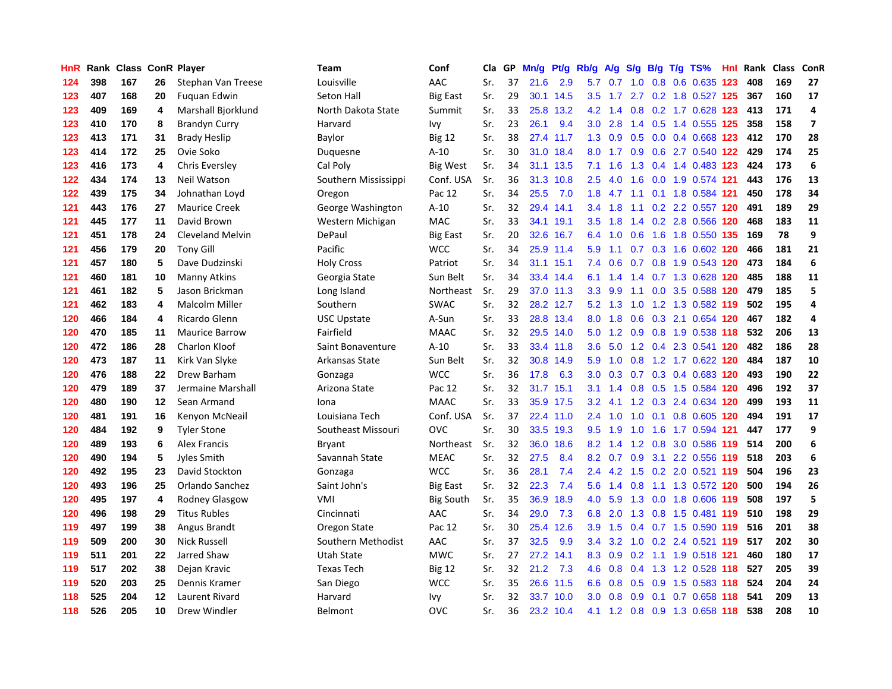| HnR |     | Rank Class ConR Player |         |                         | <b>Team</b>          | Conf             | Cla | GP | Mn/g | Pf/g      | Rb/g             | A/g | S/g                                   | B/g | $T/g$ TS%                            | <b>Hnl</b> Rank | <b>Class</b> | ConR           |
|-----|-----|------------------------|---------|-------------------------|----------------------|------------------|-----|----|------|-----------|------------------|-----|---------------------------------------|-----|--------------------------------------|-----------------|--------------|----------------|
| 124 | 398 | 167                    | 26      | Stephan Van Treese      | Louisville           | AAC              | Sr. | 37 | 21.6 | 2.9       | 5.7              | 0.7 | 1.0                                   | 0.8 | 0.6 0.635 123                        | 408             | 169          | 27             |
| 123 | 407 | 168                    | 20      | Fuguan Edwin            | Seton Hall           | <b>Big East</b>  | Sr. | 29 | 30.1 | 14.5      | 3.5              | 1.7 | 2.7                                   |     | 0.2 1.8 0.527 125                    | 367             | 160          | 17             |
| 123 | 409 | 169                    | 4       | Marshall Bjorklund      | North Dakota State   | Summit           | Sr. | 33 | 25.8 | 13.2      | 4.2              | 1.4 |                                       |     | 0.8 0.2 1.7 0.628 123                | 413             | 171          | 4              |
| 123 | 410 | 170                    | 8       | <b>Brandyn Curry</b>    | Harvard              | Ivy              | Sr. | 23 | 26.1 | 9.4       | 3.0 <sub>2</sub> | 2.8 | $1.4^{\circ}$                         |     | 0.5 1.4 0.555 125                    | 358             | 158          | $\overline{ }$ |
| 123 | 413 | 171                    | 31      | <b>Brady Heslip</b>     | Baylor               | <b>Big 12</b>    | Sr. | 38 | 27.4 | 11.7      | 1.3              | 0.9 | 0.5                                   |     | 0.0 0.4 0.668 123                    | 412             | 170          | 28             |
| 123 | 414 | 172                    | 25      | Ovie Soko               | Duguesne             | $A-10$           | Sr. | 30 | 31.0 | 18.4      | 8.0              | 1.7 | 0.9                                   |     | 0.6 2.7 0.540 122                    | 429             | 174          | 25             |
| 123 | 416 | 173                    | 4       | Chris Eversley          | Cal Poly             | Big West         | Sr. | 34 | 31.1 | 13.5      | 7.1              | 1.6 | 1.3                                   |     | 0.4 1.4 0.483 123                    | 424             | 173          | 6              |
| 122 | 434 | 174                    | 13      | <b>Neil Watson</b>      | Southern Mississippi | Conf. USA        | Sr. | 36 | 31.3 | 10.8      | 2.5              | 4.0 | 1.6                                   |     | 0.0 1.9 0.574 121                    | 443             | 176          | 13             |
| 122 | 439 | 175                    | 34      | Johnathan Loyd          | Oregon               | Pac 12           | Sr. | 34 | 25.5 | 7.0       | 1.8              | 4.7 | 1.1                                   |     | 0.1 1.8 0.584 121                    | 450             | 178          | 34             |
| 121 | 443 | 176                    | 27      | <b>Maurice Creek</b>    | George Washington    | $A-10$           | Sr. | 32 | 29.4 | 14.1      | 3.4              | 1.8 | 1.1                                   |     | 0.2 2.2 0.557 120                    | 491             | 189          | 29             |
| 121 | 445 | 177                    | 11      | David Brown             | Western Michigan     | MAC              | Sr. | 33 | 34.1 | 19.1      | 3.5              | 1.8 |                                       |     | 1.4 0.2 2.8 0.566 120                | 468             | 183          | 11             |
| 121 | 451 | 178                    | 24      | <b>Cleveland Melvin</b> | DePaul               | <b>Big East</b>  | Sr. | 20 |      | 32.6 16.7 | 6.4              |     |                                       |     | 1.0 0.6 1.6 1.8 0.550 135            | 169             | 78           | 9              |
| 121 | 456 | 179                    | 20      | <b>Tony Gill</b>        | Pacific              | <b>WCC</b>       | Sr. | 34 |      | 25.9 11.4 | 5.9              | 1.1 |                                       |     | $0.7$ $0.3$ $1.6$ $0.602$ <b>120</b> | 466             | 181          | 21             |
| 121 | 457 | 180                    | 5       | Dave Dudzinski          | <b>Holy Cross</b>    | Patriot          | Sr. | 34 | 31.1 | 15.1      | 7.4              | 0.6 | 0.7                                   |     | 0.8 1.9 0.543 120                    | 473             | 184          | 6              |
| 121 | 460 | 181                    | 10      | Manny Atkins            | Georgia State        | Sun Belt         | Sr. | 34 | 33.4 | 14.4      | 6.1              | 1.4 | 1.4                                   |     | 0.7 1.3 0.628 120                    | 485             | 188          | 11             |
| 121 | 461 | 182                    | 5       | Jason Brickman          | Long Island          | Northeast        | Sr. | 29 | 37.0 | 11.3      | 3.3              | 9.9 | 1.1                                   | 0.0 | 3.5 0.588 120                        | 479             | 185          | 5              |
| 121 | 462 | 183                    | 4       | <b>Malcolm Miller</b>   | Southern             | <b>SWAC</b>      | Sr. | 32 |      | 28.2 12.7 | 5.2              | 1.3 | 1.0                                   |     | 1.2 1.3 0.582 119                    | 502             | 195          | 4              |
| 120 | 466 | 184                    | 4       | Ricardo Glenn           | <b>USC Upstate</b>   | A-Sun            | Sr. | 33 | 28.8 | 13.4      | 8.0              | 1.8 | 0.6                                   |     | 0.3 2.1 0.654 120                    | 467             | 182          | 4              |
| 120 | 470 | 185                    | 11      | <b>Maurice Barrow</b>   | Fairfield            | <b>MAAC</b>      | Sr. | 32 |      | 29.5 14.0 | 5.0              | 1.2 |                                       |     | 0.9 0.8 1.9 0.538 118                | 532             | 206          | 13             |
| 120 | 472 | 186                    | 28      | <b>Charlon Kloof</b>    | Saint Bonaventure    | $A-10$           | Sr. | 33 |      | 33.4 11.8 | 3.6              |     |                                       |     | 5.0 1.2 0.4 2.3 0.541 120            | 482             | 186          | 28             |
| 120 | 473 | 187                    | 11      | Kirk Van Slyke          | Arkansas State       | Sun Belt         | Sr. | 32 | 30.8 | 14.9      | 5.9              | 1.0 |                                       |     | 0.8 1.2 1.7 0.622 120                | 484             | 187          | 10             |
| 120 | 476 | 188                    | 22      | Drew Barham             | Gonzaga              | <b>WCC</b>       | Sr. | 36 | 17.8 | 6.3       | 3.0              | 0.3 | 0.7                                   |     | 0.3 0.4 0.683 120                    | 493             | 190          | 22             |
| 120 | 479 | 189                    | 37      | Jermaine Marshall       | Arizona State        | Pac 12           | Sr. | 32 | 31.7 | 15.1      | 3.1              | 1.4 | 0.8                                   |     | 0.5 1.5 0.584 120                    | 496             | 192          | 37             |
| 120 | 480 | 190                    | $12 \,$ | Sean Armand             | Iona                 | <b>MAAC</b>      | Sr. | 33 | 35.9 | 17.5      | 3.2              | 4.1 | $\mathbf{.2}$<br>$\blacktriangleleft$ |     | 0.3 2.4 0.634 120                    | 499             | 193          | 11             |
| 120 | 481 | 191                    | 16      | Kenyon McNeail          | Louisiana Tech       | Conf. USA        | Sr. | 37 | 22.4 | 11.0      | $2.4^{\circ}$    | 1.0 | 1.0                                   | 0.1 | 0.8 0.605 120                        | 494             | 191          | 17             |
| 120 | 484 | 192                    | 9       | <b>Tyler Stone</b>      | Southeast Missouri   | <b>OVC</b>       | Sr. | 30 | 33.5 | 19.3      | $9.5^{\circ}$    | 1.9 | 1.0                                   |     | 1.6 1.7 0.594 121                    | 447             | 177          | 9              |
| 120 | 489 | 193                    | 6       | <b>Alex Francis</b>     | Bryant               | Northeast        | Sr. | 32 |      | 36.0 18.6 | 8.2              | 1.4 |                                       |     | 1.2 0.8 3.0 0.586 119 514            |                 | 200          | 6              |
| 120 | 490 | 194                    | 5       | Jyles Smith             | Savannah State       | <b>MEAC</b>      | Sr. | 32 | 27.5 | 8.4       | 8.2              | 0.7 |                                       |     | 0.9 3.1 2.2 0.556 119                | 518             | 203          | 6              |
| 120 | 492 | 195                    | 23      | David Stockton          | Gonzaga              | <b>WCC</b>       | Sr. | 36 | 28.1 | 7.4       | $2.4^{\circ}$    | 4.2 | 1.5                                   |     | 0.2 2.0 0.521 119                    | 504             | 196          | 23             |
| 120 | 493 | 196                    | 25      | Orlando Sanchez         | Saint John's         | <b>Big East</b>  | Sr. | 32 | 22.3 | 7.4       | 5.6              | 1.4 | 0.8                                   |     | 1.1 1.3 0.572 120                    | 500             | 194          | 26             |
| 120 | 495 | 197                    | 4       | <b>Rodney Glasgow</b>   | VMI                  | <b>Big South</b> | Sr. | 35 | 36.9 | 18.9      | 4.0              | 5.9 | 1.3                                   |     | 0.0 1.8 0.606 119                    | 508             | 197          | 5              |
| 120 | 496 | 198                    | 29      | <b>Titus Rubles</b>     | Cincinnati           | AAC              | Sr. | 34 | 29.0 | 7.3       | 6.8              | 2.0 | 1.3                                   |     | 0.8 1.5 0.481 119                    | 510             | 198          | 29             |
| 119 | 497 | 199                    | 38      | Angus Brandt            | Oregon State         | Pac 12           | Sr. | 30 | 25.4 | 12.6      | 3.9              | 1.5 | $0.4^{\circ}$                         |     | 0.7 1.5 0.590 119                    | 516             | 201          | 38             |
| 119 | 509 | 200                    | 30      | <b>Nick Russell</b>     | Southern Methodist   | AAC              | Sr. | 37 | 32.5 | 9.9       | 3.4              | 3.2 | 1.0                                   |     | 0.2 2.4 0.521 119                    | 517             | 202          | 30             |
| 119 | 511 | 201                    | 22      | Jarred Shaw             | Utah State           | <b>MWC</b>       | Sr. | 27 | 27.2 | 14.1      | 8.3              | 0.9 |                                       |     | 0.2 1.1 1.9 0.518 121                | 460             | 180          | 17             |
| 119 | 517 | 202                    | 38      | Dejan Kravic            | <b>Texas Tech</b>    | <b>Big 12</b>    | Sr. | 32 | 21.2 | 7.3       | 4.6              | 0.8 |                                       |     | 0.4 1.3 1.2 0.528 118                | 527             | 205          | 39             |
| 119 | 520 | 203                    | 25      | Dennis Kramer           | San Diego            | <b>WCC</b>       | Sr. | 35 | 26.6 | 11.5      | 6.6              | 0.8 | 0.5                                   |     | 0.9 1.5 0.583 118                    | 524             | 204          | 24             |
| 118 | 525 | 204                    | 12      | Laurent Rivard          | Harvard              | Ivy              | Sr. | 32 | 33.7 | 10.0      | 3.0              | 0.8 | 0.9                                   | 0.1 | $0.7$ 0.658 118                      | 541             | 209          | 13             |
| 118 | 526 | 205                    | 10      | Drew Windler            | Belmont              | OVC              | Sr. | 36 | 23.2 | 10.4      | 4.1              |     |                                       |     | 1.2 0.8 0.9 1.3 0.658 118            | 538             | 208          | 10             |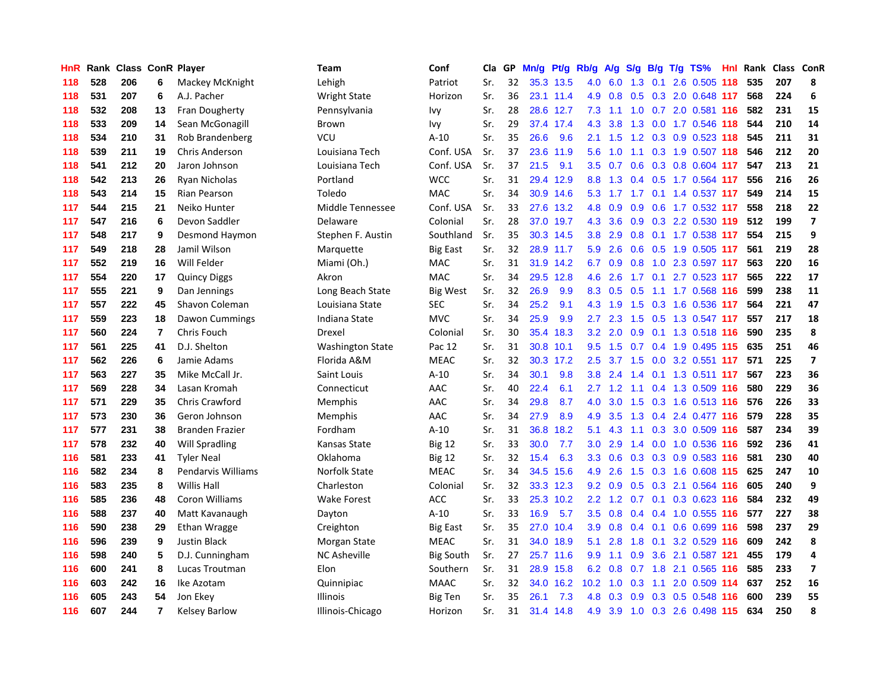| HnR | Rank |     |                         | <b>Class ConR Player</b> | Team                    | Conf             | Cla | GP | Mn/g | Pt/g      | Rb/g             | A/g     | S/g             | B/g | $T/g$ TS%                 | Hnl Rank | Class ConR |                          |
|-----|------|-----|-------------------------|--------------------------|-------------------------|------------------|-----|----|------|-----------|------------------|---------|-----------------|-----|---------------------------|----------|------------|--------------------------|
| 118 | 528  | 206 | 6                       | Mackey McKnight          | Lehigh                  | Patriot          | Sr. | 32 |      | 35.3 13.5 | 4.0              | 6.0     | 1.3             | 0.1 | 2.6 0.505 118             | 535      | 207        | 8                        |
| 118 | 531  | 207 | 6                       | A.J. Pacher              | <b>Wright State</b>     | Horizon          | Sr. | 36 |      | 23.1 11.4 | 4.9              | 0.8     | 0.5             |     | 0.3 2.0 0.648 117         | 568      | 224        | 6                        |
| 118 | 532  | 208 | 13                      | Fran Dougherty           | Pennsylvania            | Ivy              | Sr. | 28 |      | 28.6 12.7 | 7.3              | 1.1     |                 |     | 1.0 0.7 2.0 0.581 116     | 582      | 231        | 15                       |
| 118 | 533  | 209 | 14                      | Sean McGonagill          | Brown                   | Ivy              | Sr. | 29 |      | 37.4 17.4 | 4.3              | 3.8     | 1.3             |     | $0.0$ 1.7 $0.546$ 118     | 544      | 210        | 14                       |
| 118 | 534  | 210 | 31                      | Rob Brandenberg          | VCU                     | $A-10$           | Sr. | 35 | 26.6 | 9.6       | 2.1              | 1.5     | 1.2             |     | $0.3$ 0.9 0.523 118       | 545      | 211        | 31                       |
| 118 | 539  | 211 | 19                      | <b>Chris Anderson</b>    | Louisiana Tech          | Conf. USA        | Sr. | 37 | 23.6 | 11.9      | 5.6              | 1.0     | 1.1             |     | 0.3 1.9 0.507 118         | 546      | 212        | 20                       |
| 118 | 541  | 212 | 20                      | Jaron Johnson            | Louisiana Tech          | Conf. USA        | Sr. | 37 | 21.5 | 9.1       | 3.5              | 0.7     | 0.6             |     | 0.3 0.8 0.604 117         | 547      | 213        | 21                       |
| 118 | 542  | 213 | 26                      | Ryan Nicholas            | Portland                | <b>WCC</b>       | Sr. | 31 | 29.4 | 12.9      | 8.8              | 1.3     | 0.4             |     | 0.5 1.7 0.564 117         | 556      | 216        | 26                       |
| 118 | 543  | 214 | 15                      | Rian Pearson             | Toledo                  | <b>MAC</b>       | Sr. | 34 | 30.9 | 14.6      | 5.3              |         | $1.7$ 1.7       |     | $0.1$ 1.4 0.537 117       | 549      | 214        | 15                       |
| 117 | 544  | 215 | 21                      | Neiko Hunter             | Middle Tennessee        | Conf. USA        | Sr. | 33 | 27.6 | 13.2      | 4.8              | 0.9     | 0.9             |     | 0.6 1.7 0.532 117         | 558      | 218        | 22                       |
| 117 | 547  | 216 | 6                       | Devon Saddler            | Delaware                | Colonial         | Sr. | 28 |      | 37.0 19.7 |                  | 4.3 3.6 |                 |     | 0.9 0.3 2.2 0.530 119 512 |          | 199        | $\overline{\mathbf{z}}$  |
| 117 | 548  | 217 | 9                       | Desmond Haymon           | Stephen F. Austin       | Southland        | Sr. | 35 |      | 30.3 14.5 | 3.8 <sup>°</sup> | 2.9     |                 |     | 0.8 0.1 1.7 0.538 117     | 554      | 215        | 9                        |
| 117 | 549  | 218 | 28                      | Jamil Wilson             | Marquette               | <b>Big East</b>  | Sr. | 32 |      | 28.9 11.7 | 5.9              | 2.6     |                 |     | 0.6 0.5 1.9 0.505 117     | 561      | 219        | 28                       |
| 117 | 552  | 219 | 16                      | Will Felder              | Miami (Oh.)             | <b>MAC</b>       | Sr. | 31 | 31.9 | 14.2      | 6.7              | 0.9     | 0.8             |     | 1.0 2.3 0.597 117         | 563      | 220        | 16                       |
| 117 | 554  | 220 | 17                      | <b>Quincy Diggs</b>      | Akron                   | <b>MAC</b>       | Sr. | 34 | 29.5 | 12.8      | 4.6              | 2.6     | 1.7             |     | $0.1$ 2.7 0.523 117       | 565      | 222        | 17                       |
| 117 | 555  | 221 | 9                       | Dan Jennings             | Long Beach State        | Big West         | Sr. | 32 | 26.9 | 9.9       | 8.3              | 0.5     | 0.5             |     | 1.1 1.7 0.568 116         | 599      | 238        | 11                       |
| 117 | 557  | 222 | 45                      | Shavon Coleman           | Louisiana State         | <b>SEC</b>       | Sr. | 34 | 25.2 | 9.1       | 4.3              | 1.9     | 1.5             |     | 0.3 1.6 0.536 117         | 564      | 221        | 47                       |
| 117 | 559  | 223 | 18                      | Dawon Cummings           | Indiana State           | <b>MVC</b>       | Sr. | 34 | 25.9 | 9.9       | 2.7              | 2.3     | 1.5             |     | 0.5 1.3 0.547 117         | 557      | 217        | 18                       |
| 117 | 560  | 224 | $\overline{\mathbf{r}}$ | Chris Fouch              | Drexel                  | Colonial         | Sr. | 30 | 35.4 | 18.3      | 3.2              | 2.0     |                 |     | 0.9 0.1 1.3 0.518 116     | 590      | 235        | 8                        |
| 117 | 561  | 225 | 41                      | D.J. Shelton             | <b>Washington State</b> | Pac 12           | Sr. | 31 | 30.8 | 10.1      | 9.5              | 1.5     |                 |     | 0.7 0.4 1.9 0.495 115     | 635      | 251        | 46                       |
| 117 | 562  | 226 | 6                       | Jamie Adams              | Florida A&M             | <b>MEAC</b>      | Sr. | 32 | 30.3 | 17.2      | 2.5              |         | $3.7 \quad 1.5$ |     | $0.0$ 3.2 0.551 117       | 571      | 225        | $\overline{\phantom{a}}$ |
| 117 | 563  | 227 | 35                      | Mike McCall Jr.          | Saint Louis             | $A-10$           | Sr. | 34 | 30.1 | 9.8       | 3.8              | 2.4     | 1.4             |     | 0.1 1.3 0.511 117         | 567      | 223        | 36                       |
| 117 | 569  | 228 | 34                      | Lasan Kromah             | Connecticut             | AAC              | Sr. | 40 | 22.4 | 6.1       | 2.7              | 1.2     | 1.1             |     | 0.4 1.3 0.509 116         | 580      | 229        | 36                       |
| 117 | 571  | 229 | 35                      | <b>Chris Crawford</b>    | Memphis                 | AAC              | Sr. | 34 | 29.8 | 8.7       | 4.0              | 3.0     | 1.5             |     | 0.3 1.6 0.513 116         | 576      | 226        | 33                       |
| 117 | 573  | 230 | 36                      | Geron Johnson            | Memphis                 | AAC              | Sr. | 34 | 27.9 | 8.9       | 4.9              | 3.5     | 1.3             |     | $0.4$ 2.4 0.477 116       | 579      | 228        | 35                       |
| 117 | 577  | 231 | 38                      | <b>Branden Frazier</b>   | Fordham                 | $A-10$           | Sr. | 31 | 36.8 | 18.2      | 5.1              | 4.3     | 1.1             |     | 0.3 3.0 0.509 116         | 587      | 234        | 39                       |
| 117 | 578  | 232 | 40                      | Will Spradling           | Kansas State            | <b>Big 12</b>    | Sr. | 33 | 30.0 | 7.7       | 3.0 <sub>2</sub> | 2.9     |                 |     | 1.4 0.0 1.0 0.536 116     | 592      | 236        | 41                       |
| 116 | 581  | 233 | 41                      | <b>Tyler Neal</b>        | Oklahoma                | <b>Big 12</b>    | Sr. | 32 | 15.4 | 6.3       | 3.3              | 0.6     |                 |     | 0.3 0.3 0.9 0.583 116     | 581      | 230        | 40                       |
| 116 | 582  | 234 | 8                       | Pendarvis Williams       | Norfolk State           | <b>MEAC</b>      | Sr. | 34 | 34.5 | 15.6      | 4.9              | 2.6     | 1.5             |     | 0.3 1.6 0.608 115         | 625      | 247        | 10                       |
| 116 | 583  | 235 | 8                       | Willis Hall              | Charleston              | Colonial         | Sr. | 32 | 33.3 | 12.3      | 9.2              | 0.9     | 0.5             |     | 0.3 2.1 0.564 116         | 605      | 240        | 9                        |
| 116 | 585  | 236 | 48                      | Coron Williams           | <b>Wake Forest</b>      | <b>ACC</b>       | Sr. | 33 | 25.3 | 10.2      | $2.2\phantom{0}$ | 1.2     | 0.7             |     | $0.1$ $0.3$ $0.623$ 116   | 584      | 232        | 49                       |
| 116 | 588  | 237 | 40                      | Matt Kavanaugh           | Dayton                  | $A-10$           | Sr. | 33 | 16.9 | 5.7       | 3.5              | 0.8     | $0.4^{\circ}$   |     | 0.4 1.0 0.555 116         | 577      | 227        | 38                       |
| 116 | 590  | 238 | 29                      | Ethan Wragge             | Creighton               | Big East         | Sr. | 35 | 27.0 | 10.4      | 3.9              | 0.8     | 0.4             | 0.1 | 0.6 0.699 116             | 598      | 237        | 29                       |
| 116 | 596  | 239 | 9                       | <b>Justin Black</b>      | Morgan State            | <b>MEAC</b>      | Sr. | 31 | 34.0 | 18.9      | 5.1              | 2.8     | 1.8             | 0.1 | 3.2 0.529 116             | 609      | 242        | 8                        |
| 116 | 598  | 240 | 5                       | D.J. Cunningham          | <b>NC Asheville</b>     | <b>Big South</b> | Sr. | 27 | 25.7 | 11.6      | 9.9              | 1.1     | 0.9             |     | 3.6 2.1 0.587 121         | 455      | 179        | 4                        |
| 116 | 600  | 241 | 8                       | Lucas Troutman           | Elon                    | Southern         | Sr. | 31 |      | 28.9 15.8 | 6.2              | 0.8     |                 |     | 0.7 1.8 2.1 0.565 116     | 585      | 233        | $\overline{\mathbf{z}}$  |
| 116 | 603  | 242 | 16                      | Ike Azotam               | Quinnipiac              | <b>MAAC</b>      | Sr. | 32 | 34.0 | 16.2      | 10.2             | 1.0     | 0.3             |     | 1.1 2.0 0.509 114         | 637      | 252        | 16                       |
| 116 | 605  | 243 | 54                      | Jon Ekev                 | Illinois                | Big Ten          | Sr. | 35 | 26.1 | 7.3       | 4.8              | 0.3     | 0.9             |     | 0.3 0.5 0.548 116         | 600      | 239        | 55                       |
| 116 | 607  | 244 | 7                       | <b>Kelsey Barlow</b>     | Illinois-Chicago        | Horizon          | Sr. | 31 |      | 31.4 14.8 | 4.9              | 3.9     |                 |     | 1.0 0.3 2.6 0.498 115     | 634      | 250        | 8                        |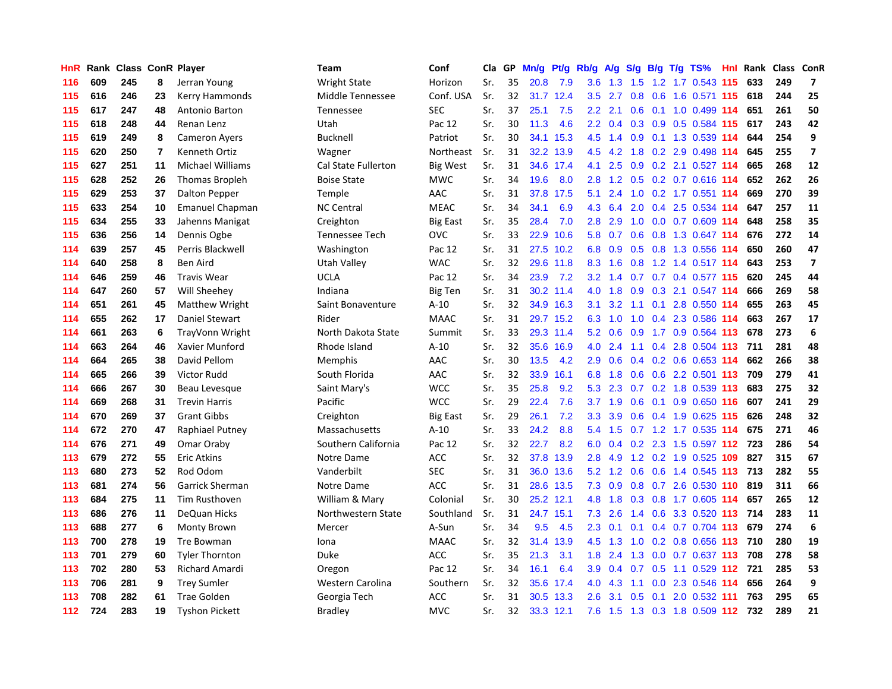| HnR   |     | Rank Class ConR Player |                |                         | <b>Team</b>         | Conf            | Cla | GP | Mn/g | Pt/g Rb/g |                  | A/g           | S/g |     | $B/g$ T/g TS%                 | <b>Hnl</b> | Rank | Class | ConR                     |
|-------|-----|------------------------|----------------|-------------------------|---------------------|-----------------|-----|----|------|-----------|------------------|---------------|-----|-----|-------------------------------|------------|------|-------|--------------------------|
| 116   | 609 | 245                    | 8              | Jerran Young            | <b>Wright State</b> | Horizon         | Sr. | 35 | 20.8 | 7.9       | 3.6              | 1.3           | 1.5 |     | 1.2 1.7 0.543 115             |            | 633  | 249   | $\overline{7}$           |
| 115   | 616 | 246                    | 23             | Kerry Hammonds          | Middle Tennessee    | Conf. USA       | Sr. | 32 |      | 31.7 12.4 | 3.5              | 2.7           | 0.8 |     | 0.6 1.6 0.571 115 618         |            |      | 244   | 25                       |
| 115   | 617 | 247                    | 48             | Antonio Barton          | Tennessee           | <b>SEC</b>      | Sr. | 37 | 25.1 | 7.5       | $2.2\phantom{0}$ | 2.1           |     |     | 0.6 0.1 1.0 0.499 114         |            | 651  | 261   | 50                       |
| 115   | 618 | 248                    | 44             | Renan Lenz              | Utah                | Pac 12          | Sr. | 30 | 11.3 | 4.6       | $2.2^{\circ}$    | $0.4^{\circ}$ |     |     | 0.3 0.9 0.5 0.584 115         |            | 617  | 243   | 42                       |
| 115   | 619 | 249                    | 8              | <b>Cameron Ayers</b>    | Bucknell            | Patriot         | Sr. | 30 | 34.1 | 15.3      | 4.5              | 1.4           | 0.9 |     | 0.1 1.3 0.539 114             |            | 644  | 254   | 9                        |
| 115   | 620 | 250                    | $\overline{7}$ | Kenneth Ortiz           | Wagner              | Northeast       | Sr. | 31 | 32.2 | 13.9      | 4.5              | 4.2           | 1.8 |     | 0.2 2.9 0.498 114             |            | 645  | 255   | $\overline{\phantom{a}}$ |
| 115   | 627 | 251                    | 11             | <b>Michael Williams</b> | Cal State Fullerton | Big West        | Sr. | 31 | 34.6 | 17.4      | 4.1              | 2.5           | 0.9 |     | 0.2 2.1 0.527 114             |            | 665  | 268   | 12                       |
| 115   | 628 | 252                    | 26             | Thomas Bropleh          | <b>Boise State</b>  | <b>MWC</b>      | Sr. | 34 | 19.6 | 8.0       | 2.8              | 1.2           | 0.5 |     | 0.2 0.7 0.616 114             |            | 652  | 262   | 26                       |
| 115   | 629 | 253                    | 37             | Dalton Pepper           | Temple              | AAC             | Sr. | 31 | 37.8 | 17.5      | 5.1              | 2.4           | 1.0 |     | 0.2 1.7 0.551 114             |            | 669  | 270   | 39                       |
| 115   | 633 | 254                    | 10             | <b>Emanuel Chapman</b>  | <b>NC Central</b>   | <b>MEAC</b>     | Sr. | 34 | 34.1 | 6.9       | 4.3              | 6.4           | 2.0 |     | 0.4 2.5 0.534 114             |            | 647  | 257   | 11                       |
| 115   | 634 | 255                    | 33             | Jahenns Manigat         | Creighton           | <b>Big East</b> | Sr. | 35 | 28.4 | 7.0       | 2.8              | 2.9           |     |     | 1.0 0.0 0.7 0.609 114         |            | 648  | 258   | 35                       |
| 115   | 636 | 256                    | 14             | Dennis Ogbe             | Tennessee Tech      | OVC             | Sr. | 33 | 22.9 | 10.6      | 5.8              | 0.7           |     |     | 0.6 0.8 1.3 0.647 114         |            | 676  | 272   | 14                       |
| 114   | 639 | 257                    | 45             | Perris Blackwell        | Washington          | Pac 12          | Sr. | 31 |      | 27.5 10.2 | 6.8              | 0.9           |     |     | 0.5 0.8 1.3 0.556 114         |            | 650  | 260   | 47                       |
| 114   | 640 | 258                    | 8              | Ben Aird                | Utah Valley         | <b>WAC</b>      | Sr. | 32 |      | 29.6 11.8 | 8.3              | 1.6           | 0.8 |     | 1.2 1.4 0.517 114             |            | 643  | 253   | $\overline{7}$           |
| 114   | 646 | 259                    | 46             | <b>Travis Wear</b>      | <b>UCLA</b>         | Pac 12          | Sr. | 34 | 23.9 | 7.2       | 3.2              | 1.4           | 0.7 |     | 0.7 0.4 0.577 115             |            | 620  | 245   | 44                       |
| 114   | 647 | 260                    | 57             | Will Sheehey            | Indiana             | <b>Big Ten</b>  | Sr. | 31 | 30.2 | 11.4      | 4.0              | 1.8           | 0.9 |     | 0.3 2.1 0.547 114             |            | 666  | 269   | 58                       |
| 114   | 651 | 261                    | 45             | <b>Matthew Wright</b>   | Saint Bonaventure   | $A-10$          | Sr. | 32 |      | 34.9 16.3 | 3.1              | 3.2           | 1.1 | 0.1 | 2.8 0.550 114                 |            | 655  | 263   | 45                       |
| 114   | 655 | 262                    | 17             | Daniel Stewart          | Rider               | <b>MAAC</b>     | Sr. | 31 | 29.7 | 15.2      | 6.3              | 1.0           | 1.0 |     | 0.4 2.3 0.586 114             |            | 663  | 267   | 17                       |
| 114   | 661 | 263                    | 6              | TrayVonn Wright         | North Dakota State  | Summit          | Sr. | 33 |      | 29.3 11.4 | 5.2              | 0.6           | 0.9 |     | 1.7 0.9 0.564 113             |            | 678  | 273   | 6                        |
| 114   | 663 | 264                    | 46             | Xavier Munford          | Rhode Island        | $A-10$          | Sr. | 32 |      | 35.6 16.9 | 4.0              | 2.4           | 1.1 |     | $0.4$ 2.8 0.504 113           |            | 711  | 281   | 48                       |
| 114   | 664 | 265                    | 38             | David Pellom            | Memphis             | AAC             | Sr. | 30 | 13.5 | 4.2       | 2.9              | 0.6           | 0.4 |     | $0.2$ 0.6 0.653 114           |            | 662  | 266   | 38                       |
| 114   | 665 | 266                    | 39             | Victor Rudd             | South Florida       | AAC             | Sr. | 32 | 33.9 | 16.1      | 6.8              | 1.8           | 0.6 |     | 0.6 2.2 0.501 113             |            | 709  | 279   | 41                       |
| 114   | 666 | 267                    | 30             | Beau Levesque           | Saint Mary's        | <b>WCC</b>      | Sr. | 35 | 25.8 | 9.2       | 5.3              | 2.3           | 0.7 |     | 0.2 1.8 0.539 113             |            | 683  | 275   | 32                       |
| 114   | 669 | 268                    | 31             | <b>Trevin Harris</b>    | Pacific             | <b>WCC</b>      | Sr. | 29 | 22.4 | 7.6       | 3.7              | 1.9           | 0.6 |     | 0.1 0.9 0.650 116             |            | 607  | 241   | 29                       |
| 114   | 670 | 269                    | 37             | <b>Grant Gibbs</b>      | Creighton           | <b>Big East</b> | Sr. | 29 | 26.1 | 7.2       | 3.3              | 3.9           | 0.6 |     | 0.4 1.9 0.625 115             |            | 626  | 248   | 32                       |
| 114   | 672 | 270                    | 47             | Raphiael Putney         | Massachusetts       | $A-10$          | Sr. | 33 | 24.2 | 8.8       | 5.4              | 1.5           |     |     | 0.7 1.2 1.7 0.535 114         |            | 675  | 271   | 46                       |
| 114   | 676 | 271                    | 49             | Omar Oraby              | Southern California | Pac 12          | Sr. | 32 | 22.7 | 8.2       | 6.0              |               |     |     | 0.4 0.2 2.3 1.5 0.597 112 723 |            |      | 286   | 54                       |
| 113   | 679 | 272                    | 55             | <b>Eric Atkins</b>      | Notre Dame          | ACC             | Sr. | 32 |      | 37.8 13.9 | 2.8              |               |     |     | 4.9 1.2 0.2 1.9 0.525 109     |            | 827  | 315   | 67                       |
| 113   | 680 | 273                    | 52             | Rod Odom                | Vanderbilt          | <b>SEC</b>      | Sr. | 31 |      | 36.0 13.6 | 5.2              | $1.2^{\circ}$ | 0.6 |     | 0.6 1.4 0.545 113 713         |            |      | 282   | 55                       |
| 113   | 681 | 274                    | 56             | <b>Garrick Sherman</b>  | Notre Dame          | ACC             | Sr. | 31 |      | 28.6 13.5 | 7.3              | 0.9           |     |     | $0.8$ 0.7 2.6 0.530 110       |            | 819  | 311   | 66                       |
| 113   | 684 | 275                    | 11             | Tim Rusthoven           | William & Mary      | Colonial        | Sr. | 30 |      | 25.2 12.1 | 4.8              | 1.8           | 0.3 |     | 0.8 1.7 0.605 114             |            | 657  | 265   | 12                       |
| 113   | 686 | 276                    | 11             | <b>DeQuan Hicks</b>     | Northwestern State  | Southland       | Sr. | 31 | 24.7 | 15.1      | 7.3              | 2.6           | 1.4 |     | 0.6 3.3 0.520 113             |            | 714  | 283   | 11                       |
| 113   | 688 | 277                    | 6              | <b>Monty Brown</b>      | Mercer              | A-Sun           | Sr. | 34 | 9.5  | 4.5       | 2.3              | 0.1           | 0.1 |     | 0.4 0.7 0.704 113             |            | 679  | 274   | 6                        |
| 113   | 700 | 278                    | 19             | Tre Bowman              | Iona                | <b>MAAC</b>     | Sr. | 32 | 31.4 | 13.9      | 4.5              | 1.3           | 1.0 |     | 0.2 0.8 0.656 113             |            | 710  | 280   | 19                       |
| 113   | 701 | 279                    | 60             | <b>Tyler Thornton</b>   | Duke                | <b>ACC</b>      | Sr. | 35 | 21.3 | 3.1       | 1.8              | 2.4           | 1.3 |     | $0.0$ $0.7$ $0.637$ 113       |            | 708  | 278   | 58                       |
| 113   | 702 | 280                    | 53             | <b>Richard Amardi</b>   | Oregon              | Pac 12          | Sr. | 34 | 16.1 | 6.4       | 3.9              |               |     |     | 0.4 0.7 0.5 1.1 0.529 112 721 |            |      | 285   | 53                       |
| 113   | 706 | 281                    | 9              | <b>Trey Sumler</b>      | Western Carolina    | Southern        | Sr. | 32 | 35.6 | 17.4      | 4.0              | 4.3           | 1.1 |     | $0.0$ 2.3 0.546 114           |            | 656  | 264   | 9                        |
| 113   | 708 | 282                    | 61             | <b>Trae Golden</b>      | Georgia Tech        | ACC             | Sr. | 31 |      | 30.5 13.3 | 2.6              | 3.1           | 0.5 | 0.1 | 2.0 0.532 111                 |            | 763  | 295   | 65                       |
| $112$ | 724 | 283                    | 19             | <b>Tyshon Pickett</b>   | Bradley             | <b>MVC</b>      | Sr. | 32 |      | 33.3 12.1 | 7.6              |               |     |     | 1.5 1.3 0.3 1.8 0.509 112     |            | 732  | 289   | 21                       |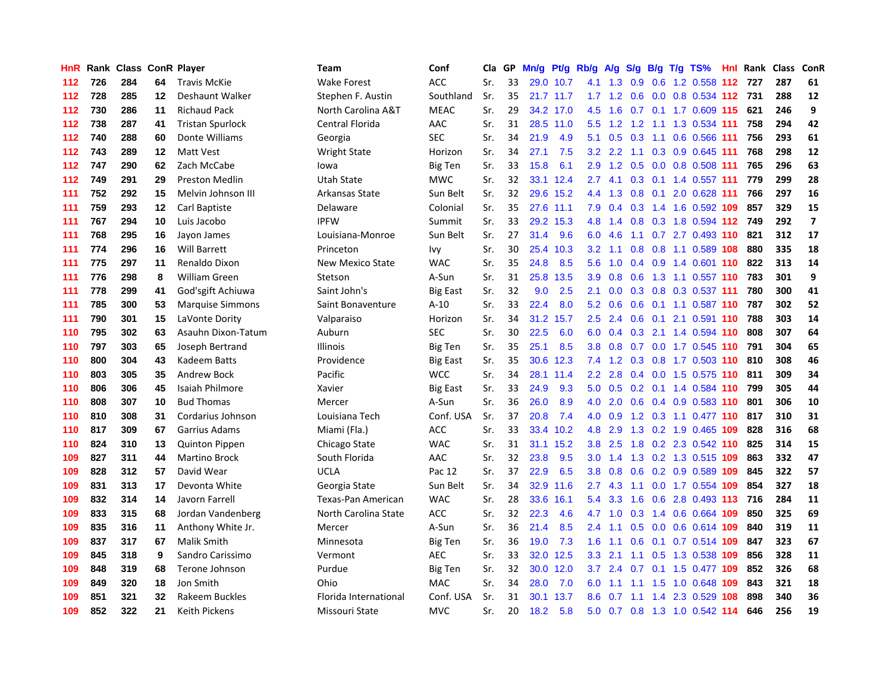| HnR |     | Rank Class ConR Player |    |                         | <b>Team</b>           | Conf            | Cla | GP | Mn/g |           | Pt/g Rb/g        | A/g             | S/g |     | $B/g$ T/g TS%                 |     | <b>Hnl Rank Class</b> | ConR           |
|-----|-----|------------------------|----|-------------------------|-----------------------|-----------------|-----|----|------|-----------|------------------|-----------------|-----|-----|-------------------------------|-----|-----------------------|----------------|
| 112 | 726 | 284                    | 64 | <b>Travis McKie</b>     | <b>Wake Forest</b>    | ACC             | Sr. | 33 | 29.0 | 10.7      | 4.1              | 1.3             | 0.9 |     | 0.6 1.2 0.558 112             | 727 | 287                   | 61             |
| 112 | 728 | 285                    | 12 | Deshaunt Walker         | Stephen F. Austin     | Southland       | Sr. | 35 |      | 21.7 11.7 |                  | $1.7 \quad 1.2$ | 0.6 |     | 0.0 0.8 0.534 112 731         |     | 288                   | 12             |
| 112 | 730 | 286                    | 11 | <b>Richaud Pack</b>     | North Carolina A&T    | <b>MEAC</b>     | Sr. | 29 |      | 34.2 17.0 | 4.5              |                 |     |     | 1.6 0.7 0.1 1.7 0.609 115 621 |     | 246                   | 9              |
| 112 | 738 | 287                    | 41 | <b>Tristan Spurlock</b> | Central Florida       | AAC             | Sr. | 31 |      | 28.5 11.0 | 5.5              |                 |     |     | 1.2 1.2 1.1 1.3 0.534 111     | 758 | 294                   | 42             |
| 112 | 740 | 288                    | 60 | Donte Williams          | Georgia               | <b>SEC</b>      | Sr. | 34 | 21.9 | 4.9       | 5.1              | 0.5             | 0.3 |     | 1.1 0.6 0.566 111             | 756 | 293                   | 61             |
| 112 | 743 | 289                    | 12 | Matt Vest               | <b>Wright State</b>   | Horizon         | Sr. | 34 | 27.1 | 7.5       | 3.2              | 2.2             | 1.1 |     | 0.3 0.9 0.645 111             | 768 | 298                   | 12             |
| 112 | 747 | 290                    | 62 | Zach McCabe             | lowa                  | Big Ten         | Sr. | 33 | 15.8 | 6.1       | 2.9              | 1.2             | 0.5 |     | 0.0 0.8 0.508 111             | 765 | 296                   | 63             |
| 112 | 749 | 291                    | 29 | <b>Preston Medlin</b>   | <b>Utah State</b>     | <b>MWC</b>      | Sr. | 32 | 33.1 | 12.4      | 2.7              | 4.1             | 0.3 |     | 0.1 1.4 0.557 111             | 779 | 299                   | 28             |
| 111 | 752 | 292                    | 15 | Melvin Johnson III      | Arkansas State        | Sun Belt        | Sr. | 32 | 29.6 | 15.2      | 4.4              | 1.3             | 0.8 | 0.1 | 2.0 0.628 111                 | 766 | 297                   | 16             |
| 111 | 759 | 293                    | 12 | Carl Baptiste           | Delaware              | Colonial        | Sr. | 35 | 27.6 | 11.1      | 7.9              | 0.4             |     |     | 0.3 1.4 1.6 0.592 109         | 857 | 329                   | 15             |
| 111 | 767 | 294                    | 10 | Luis Jacobo             | <b>IPFW</b>           | Summit          | Sr. | 33 |      | 29.2 15.3 | 4.8              |                 |     |     | 1.4 0.8 0.3 1.8 0.594 112 749 |     | 292                   | $\overline{7}$ |
| 111 | 768 | 295                    | 16 | Jayon James             | Louisiana-Monroe      | Sun Belt        | Sr. | 27 | 31.4 | 9.6       | 6.0              | 4.6             |     |     | 1.1 0.7 2.7 0.493 110         | 821 | 312                   | 17             |
| 111 | 774 | 296                    | 16 | <b>Will Barrett</b>     | Princeton             | lvy             | Sr. | 30 | 25.4 | 10.3      | 3.2              | 1.1             |     |     | 0.8 0.8 1.1 0.589 108         | 880 | 335                   | 18             |
| 111 | 775 | 297                    | 11 | Renaldo Dixon           | New Mexico State      | <b>WAC</b>      | Sr. | 35 | 24.8 | 8.5       | 5.6              | 1.0             | 0.4 |     | 0.9 1.4 0.601 110             | 822 | 313                   | 14             |
| 111 | 776 | 298                    | 8  | <b>William Green</b>    | Stetson               | A-Sun           | Sr. | 31 | 25.8 | 13.5      | 3.9              | 0.8             | 0.6 |     | 1.3 1.1 0.557 110             | 783 | 301                   | 9              |
| 111 | 778 | 299                    | 41 | God'sgift Achiuwa       | Saint John's          | <b>Big East</b> | Sr. | 32 | 9.0  | 2.5       | 2.1              | 0.0             | 0.3 |     | 0.8 0.3 0.537 111             | 780 | 300                   | 41             |
| 111 | 785 | 300                    | 53 | <b>Marquise Simmons</b> | Saint Bonaventure     | $A-10$          | Sr. | 33 | 22.4 | 8.0       | 5.2              | 0.6             | 0.6 |     | 0.1 1.1 0.587 110             | 787 | 302                   | 52             |
| 111 | 790 | 301                    | 15 | LaVonte Dority          | Valparaiso            | Horizon         | Sr. | 34 | 31.2 | 15.7      | 2.5              | 2.4             | 0.6 |     | 0.1 2.1 0.591 110             | 788 | 303                   | 14             |
| 110 | 795 | 302                    | 63 | Asauhn Dixon-Tatum      | Auburn                | <b>SEC</b>      | Sr. | 30 | 22.5 | 6.0       | 6.0              | $0.4^{\circ}$   |     |     | 0.3 2.1 1.4 0.594 110         | 808 | 307                   | 64             |
| 110 | 797 | 303                    | 65 | Joseph Bertrand         | <b>Illinois</b>       | Big Ten         | Sr. | 35 | 25.1 | 8.5       | 3.8              |                 |     |     | 0.8 0.7 0.0 1.7 0.545 110     | 791 | 304                   | 65             |
| 110 | 800 | 304                    | 43 | Kadeem Batts            | Providence            | Big East        | Sr. | 35 |      | 30.6 12.3 | 7.4              | 1.2             |     |     | 0.3 0.8 1.7 0.503 110         | 810 | 308                   | 46             |
| 110 | 803 | 305                    | 35 | <b>Andrew Bock</b>      | Pacific               | <b>WCC</b>      | Sr. | 34 | 28.1 | 11.4      | $2.2^{\circ}$    | 2.8             | 0.4 |     | 0.0 1.5 0.575 110 811         |     | 309                   | 34             |
| 110 | 806 | 306                    | 45 | <b>Isaiah Philmore</b>  | Xavier                | <b>Big East</b> | Sr. | 33 | 24.9 | 9.3       | 5.0              | 0.5             | 0.2 |     | 0.1 1.4 0.584 110             | 799 | 305                   | 44             |
| 110 | 808 | 307                    | 10 | <b>Bud Thomas</b>       | Mercer                | A-Sun           | Sr. | 36 | 26.0 | 8.9       | 4.0              | 2.0             | 0.6 |     | 0.4 0.9 0.583 110             | 801 | 306                   | 10             |
| 110 | 810 | 308                    | 31 | Cordarius Johnson       | Louisiana Tech        | Conf. USA       | Sr. | 37 | 20.8 | 7.4       | 4.0              | 0.9             | 1.2 |     | 0.3 1.1 0.477 110             | 817 | 310                   | 31             |
| 110 | 817 | 309                    | 67 | Garrius Adams           | Miami (Fla.)          | ACC             | Sr. | 33 | 33.4 | 10.2      | 4.8              | 2.9             | 1.3 |     | 0.2 1.9 0.465 109             | 828 | 316                   | 68             |
| 110 | 824 | 310                    | 13 | Quinton Pippen          | Chicago State         | <b>WAC</b>      | Sr. | 31 | 31.1 | 15.2      | 3.8 <sub>2</sub> | 2.5             |     |     | 1.8 0.2 2.3 0.542 110         | 825 | 314                   | 15             |
| 109 | 827 | 311                    | 44 | <b>Martino Brock</b>    | South Florida         | AAC             | Sr. | 32 | 23.8 | 9.5       | 3.0 <sub>2</sub> |                 |     |     | 1.4 1.3 0.2 1.3 0.515 109     | 863 | 332                   | 47             |
| 109 | 828 | 312                    | 57 | David Wear              | <b>UCLA</b>           | Pac 12          | Sr. | 37 | 22.9 | 6.5       | 3.8 <sub>2</sub> | 0.8             |     |     | 0.6 0.2 0.9 0.589 109         | 845 | 322                   | 57             |
| 109 | 831 | 313                    | 17 | Devonta White           | Georgia State         | Sun Belt        | Sr. | 34 | 32.9 | 11.6      | $2.7^{\circ}$    | 4.3             | 1.1 |     | 0.0 1.7 0.554 109             | 854 | 327                   | 18             |
| 109 | 832 | 314                    | 14 | Javorn Farrell          | Texas-Pan American    | <b>WAC</b>      | Sr. | 28 | 33.6 | 16.1      | 5.4              | 3.3             | 1.6 |     | 0.6 2.8 0.493 113             | 716 | 284                   | 11             |
| 109 | 833 | 315                    | 68 | Jordan Vandenberg       | North Carolina State  | ACC             | Sr. | 32 | 22.3 | 4.6       | 4.7              | 1.0             | 0.3 |     | 1.4 0.6 0.664 109             | 850 | 325                   | 69             |
| 109 | 835 | 316                    | 11 | Anthony White Jr.       | Mercer                | A-Sun           | Sr. | 36 | 21.4 | 8.5       | 2.4              | 1.1             | 0.5 |     | $0.0$ $0.6$ $0.614$ 109       | 840 | 319                   | 11             |
| 109 | 837 | 317                    | 67 | <b>Malik Smith</b>      | Minnesota             | <b>Big Ten</b>  | Sr. | 36 | 19.0 | 7.3       | 1.6              | 1.1             | 0.6 | 0.1 | 0.7 0.514 109                 | 847 | 323                   | 67             |
| 109 | 845 | 318                    | 9  | Sandro Carissimo        | Vermont               | <b>AEC</b>      | Sr. | 33 | 32.0 | 12.5      | 3.3              | 2.1             | 1.1 |     | 0.5 1.3 0.538 109             | 856 | 328                   | 11             |
| 109 | 848 | 319                    | 68 | Terone Johnson          | Purdue                | Big Ten         | Sr. | 32 | 30.0 | 12.0      | 3.7              |                 |     |     | 2.4 0.7 0.1 1.5 0.477 109     | 852 | 326                   | 68             |
| 109 | 849 | 320                    | 18 | Jon Smith               | Ohio                  | <b>MAC</b>      | Sr. | 34 | 28.0 | 7.0       | 6.0              | 1.1             |     |     | 1.1 1.5 1.0 0.648 109         | 843 | 321                   | 18             |
| 109 | 851 | 321                    | 32 | Rakeem Buckles          | Florida International | Conf. USA       | Sr. | 31 | 30.1 | 13.7      | 8.6              | 0.7             |     |     | 1.1 1.4 2.3 0.529 108         | 898 | 340                   | 36             |
| 109 | 852 | 322                    | 21 | <b>Keith Pickens</b>    | Missouri State        | <b>MVC</b>      | Sr. | 20 | 18.2 | 5.8       | 5.0              |                 |     |     | 0.7 0.8 1.3 1.0 0.542 114     | 646 | 256                   | 19             |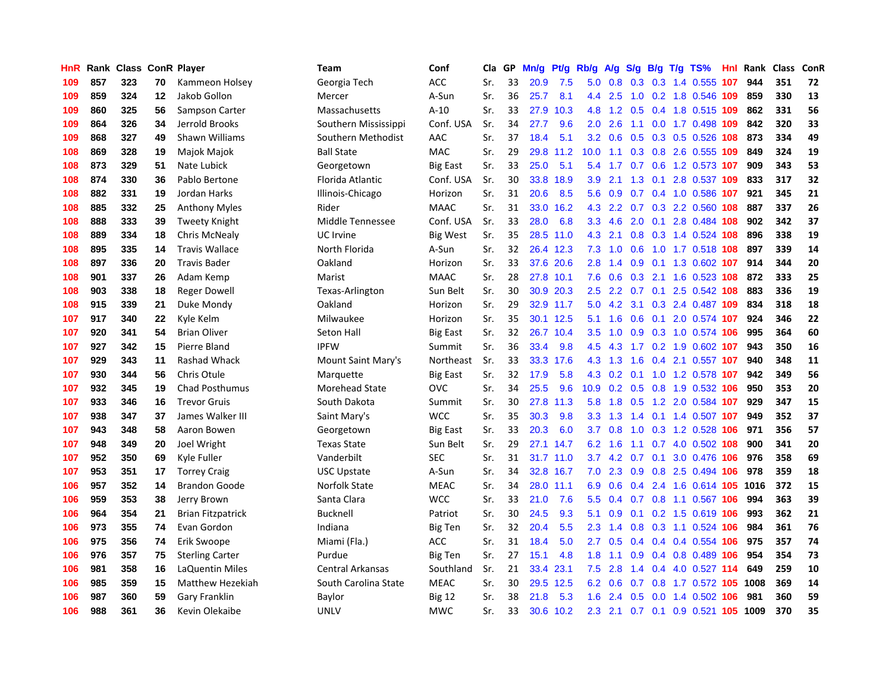| HnR | Rank | <b>Class ConR Player</b> |    |                          | <b>Team</b>           | Conf            | Cla | GP | Mn/g | Pf/g      | Rb/g             | A/g | S/g     |  | $B/g$ T/g TS%              | <b>Hnl</b> | Rank | <b>Class</b> | ConR       |
|-----|------|--------------------------|----|--------------------------|-----------------------|-----------------|-----|----|------|-----------|------------------|-----|---------|--|----------------------------|------------|------|--------------|------------|
| 109 | 857  | 323                      | 70 | Kammeon Holsey           | Georgia Tech          | <b>ACC</b>      | Sr. | 33 | 20.9 | 7.5       | 5.0              | 0.8 | 0.3     |  | 0.3 1.4 0.555 107          |            | 944  | 351          | 72         |
| 109 | 859  | 324                      | 12 | Jakob Gollon             | Mercer                | A-Sun           | Sr. | 36 | 25.7 | 8.1       | 4.4              | 2.5 | 1.0     |  | 0.2 1.8 0.546 109          |            | 859  | 330          | 13         |
| 109 | 860  | 325                      | 56 | Sampson Carter           | Massachusetts         | $A-10$          | Sr. | 33 | 27.9 | 10.3      | 4.8              | 1.2 | 0.5     |  | 0.4 1.8 0.515 109          |            | 862  | 331          | 56         |
| 109 | 864  | 326                      | 34 | Jerrold Brooks           | Southern Mississippi  | Conf. USA       | Sr. | 34 | 27.7 | 9.6       | 2.0 <sub>2</sub> | 2.6 | 1.1     |  | $0.0$ 1.7 0.498 109        |            | 842  | 320          | 33         |
| 109 | 868  | 327                      | 49 | Shawn Williams           | Southern Methodist    | AAC             | Sr. | 37 | 18.4 | 5.1       | 3.2              | 0.6 | 0.5     |  | 0.3 0.5 0.526 108          |            | 873  | 334          | 49         |
| 108 | 869  | 328                      | 19 | Majok Majok              | <b>Ball State</b>     | <b>MAC</b>      | Sr. | 29 | 29.8 | 11.2      | 10.0             | 1.1 | 0.3     |  | 0.8 2.6 0.555 109          |            | 849  | 324          | 19         |
| 108 | 873  | 329                      | 51 | Nate Lubick              | Georgetown            | <b>Big East</b> | Sr. | 33 | 25.0 | 5.1       | 5.4              | 1.7 | 0.7     |  | 0.6 1.2 0.573 107          |            | 909  | 343          | 53         |
| 108 | 874  | 330                      | 36 | Pablo Bertone            | Florida Atlantic      | Conf. USA       | Sr. | 30 | 33.8 | 18.9      | 3.9              | 2.1 | 1.3     |  | 0.1 2.8 0.537 109          |            | 833  | 317          | 32         |
| 108 | 882  | 331                      | 19 | Jordan Harks             | Illinois-Chicago      | Horizon         | Sr. | 31 | 20.6 | 8.5       | 5.6              | 0.9 | 0.7     |  | 0.4 1.0 0.586 107          |            | 921  | 345          | 21         |
| 108 | 885  | 332                      | 25 | <b>Anthony Myles</b>     | Rider                 | <b>MAAC</b>     | Sr. | 31 | 33.0 | 16.2      | 4.3              | 2.2 | 0.7     |  | 0.3 2.2 0.560 108          |            | 887  | 337          | 26         |
| 108 | 888  | 333                      | 39 | <b>Tweety Knight</b>     | Middle Tennessee      | Conf. USA       | Sr. | 33 | 28.0 | 6.8       | 3.3 <sub>2</sub> | 4.6 |         |  | 2.0 0.1 2.8 0.484 108      |            | 902  | 342          | 37         |
| 108 | 889  | 334                      | 18 | Chris McNealy            | UC Irvine             | <b>Big West</b> | Sr. | 35 |      | 28.5 11.0 | 4.3              | 2.1 |         |  | 0.8 0.3 1.4 0.524 108      |            | 896  | 338          | 19         |
| 108 | 895  | 335                      | 14 | <b>Travis Wallace</b>    | North Florida         | A-Sun           | Sr. | 32 |      | 26.4 12.3 | 7.3              | 1.0 |         |  | 0.6 1.0 1.7 0.518 108      |            | 897  | 339          | 14         |
| 108 | 897  | 336                      | 20 | <b>Travis Bader</b>      | Oakland               | Horizon         | Sr. | 33 | 37.6 | 20.6      | 2.8              | 1.4 | 0.9     |  | 0.1 1.3 0.602 107          |            | 914  | 344          | 20         |
| 108 | 901  | 337                      | 26 | Adam Kemp                | Marist                | <b>MAAC</b>     | Sr. | 28 | 27.8 | 10.1      | 7.6              | 0.6 | 0.3     |  | 2.1 1.6 0.523 108          |            | 872  | 333          | 25         |
| 108 | 903  | 338                      | 18 | <b>Reger Dowell</b>      | Texas-Arlington       | Sun Belt        | Sr. | 30 | 30.9 | 20.3      | 2.5              | 2.2 | 0.7     |  | 0.1 2.5 0.542 108          |            | 883  | 336          | 19         |
| 108 | 915  | 339                      | 21 | Duke Mondy               | Oakland               | Horizon         | Sr. | 29 | 32.9 | 11.7      | 5.0              | 4.2 | 3.1     |  | 0.3 2.4 0.487 109          |            | 834  | 318          | 18         |
| 107 | 917  | 340                      | 22 | Kyle Kelm                | Milwaukee             | Horizon         | Sr. | 35 | 30.1 | 12.5      | 5.1              | 1.6 | 0.6     |  | $0.1$ 2.0 0.574 107        |            | 924  | 346          | 22         |
| 107 | 920  | 341                      | 54 | <b>Brian Oliver</b>      | Seton Hall            | <b>Big East</b> | Sr. | 32 | 26.7 | 10.4      | 3.5              | 1.0 | 0.9     |  | 0.3 1.0 0.574 106          |            | 995  | 364          | 60         |
| 107 | 927  | 342                      | 15 | Pierre Bland             | <b>IPFW</b>           | Summit          | Sr. | 36 | 33.4 | 9.8       | 4.5              |     |         |  | 4.3 1.7 0.2 1.9 0.602 107  |            | 943  | 350          | 16         |
| 107 | 929  | 343                      | 11 | Rashad Whack             | Mount Saint Mary's    | Northeast       | Sr. | 33 | 33.3 | 17.6      | 4.3              | 1.3 | 1.6     |  | 0.4 2.1 0.557 107          |            | 940  | 348          | 11         |
| 107 | 930  | 344                      | 56 | Chris Otule              | Marquette             | Big East        | Sr. | 32 | 17.9 | 5.8       | 4.3              | 0.2 | 0.1     |  | 1.0 1.2 0.578 107          |            | 942  | 349          | 56         |
| 107 | 932  | 345                      | 19 | <b>Chad Posthumus</b>    | <b>Morehead State</b> | OVC             | Sr. | 34 | 25.5 | 9.6       | 10.9             | 0.2 | 0.5     |  | 0.8 1.9 0.532 106          |            | 950  | 353          | 20         |
| 107 | 933  | 346                      | 16 | <b>Trevor Gruis</b>      | South Dakota          | Summit          | Sr. | 30 | 27.8 | 11.3      | 5.8              | 1.8 | 0.5     |  | 1.2 2.0 0.584 107          |            | 929  | 347          | 15         |
| 107 | 938  | 347                      | 37 | James Walker III         | Saint Mary's          | <b>WCC</b>      | Sr. | 35 | 30.3 | 9.8       | 3.3              | 1.3 | 1.4     |  | $0.1$ 1.4 $0.507$ 107      |            | 949  | 352          | 37         |
| 107 | 943  | 348                      | 58 | Aaron Bowen              | Georgetown            | <b>Big East</b> | Sr. | 33 | 20.3 | 6.0       | 3.7              | 0.8 | 1.0     |  | 0.3 1.2 0.528 106          |            | 971  | 356          | 57         |
| 107 | 948  | 349                      | 20 | Joel Wright              | <b>Texas State</b>    | Sun Belt        | Sr. | 29 | 27.1 | 14.7      | 6.2              | 1.6 | 1.1     |  | 0.7 4.0 0.502 108          |            | 900  | 341          | 20         |
| 107 | 952  | 350                      | 69 | Kyle Fuller              | Vanderbilt            | <b>SEC</b>      | Sr. | 31 | 31.7 | 11.0      | 3.7              |     | 4.2 0.7 |  | $0.1$ 3.0 0.476 106        |            | 976  | 358          | 69         |
| 107 | 953  | 351                      | 17 | <b>Torrey Craig</b>      | <b>USC Upstate</b>    | A-Sun           | Sr. | 34 | 32.8 | 16.7      | 7.0              | 2.3 | 0.9     |  | 0.8 2.5 0.494 106          |            | 978  | 359          | 18         |
| 106 | 957  | 352                      | 14 | <b>Brandon Goode</b>     | Norfolk State         | <b>MEAC</b>     | Sr. | 34 | 28.0 | 11.1      | 6.9              | 0.6 | 0.4     |  | 2.4 1.6 0.614 105 1016     |            |      | 372          | 15         |
| 106 | 959  | 353                      | 38 | Jerry Brown              | Santa Clara           | <b>WCC</b>      | Sr. | 33 | 21.0 | 7.6       | 5.5              | 0.4 | 0.7     |  | 0.8 1.1 0.567 106          |            | 994  | 363          | 39         |
| 106 | 964  | 354                      | 21 | <b>Brian Fitzpatrick</b> | <b>Bucknell</b>       | Patriot         | Sr. | 30 | 24.5 | 9.3       | 5.1              | 0.9 | 0.1     |  | 0.2 1.5 0.619 106          |            | 993  | 362          | 21         |
| 106 | 973  | 355                      | 74 | Evan Gordon              | Indiana               | <b>Big Ten</b>  | Sr. | 32 | 20.4 | 5.5       | 2.3              | 1.4 | 0.8     |  | 0.3 1.1 0.524 106          |            | 984  | 361          | 76         |
| 106 | 975  | 356                      | 74 | Erik Swoope              | Miami (Fla.)          | <b>ACC</b>      | Sr. | 31 | 18.4 | 5.0       | 2.7              | 0.5 | 0.4     |  | $0.4$ 0.4 0.554 106        |            | 975  | 357          | 74         |
| 106 | 976  | 357                      | 75 | <b>Sterling Carter</b>   | Purdue                | Big Ten         | Sr. | 27 | 15.1 | 4.8       | 1.8              | 1.1 | 0.9     |  | 0.4 0.8 0.489 106          |            | 954  | 354          | 73         |
| 106 | 981  | 358                      | 16 | LaQuentin Miles          | Central Arkansas      | Southland       | Sr. | 21 | 33.4 | 23.1      | 7.5              | 2.8 | 1.4     |  | $0.4$ 4.0 0.527 114        |            | 649  | 259          | ${\bf 10}$ |
| 106 | 985  | 359                      | 15 | Matthew Hezekiah         | South Carolina State  | <b>MEAC</b>     | Sr. | 30 | 29.5 | 12.5      | 6.2              | 0.6 | 0.7     |  | 0.8 1.7 0.572 105 1008     |            |      | 369          | 14         |
| 106 | 987  | 360                      | 59 | Gary Franklin            | Baylor                | <b>Big 12</b>   | Sr. | 38 | 21.8 | 5.3       | 1.6              | 2.4 | 0.5     |  | $0.0$ 1.4 $0.502$ 106      |            | 981  | 360          | 59         |
| 106 | 988  | 361                      | 36 | Kevin Olekaibe           | UNLV                  | <b>MWC</b>      | Sr. | 33 | 30.6 | 10.2      | 2.3              | 2.1 |         |  | 0.7 0.1 0.9 0.521 105 1009 |            |      | 370          | 35         |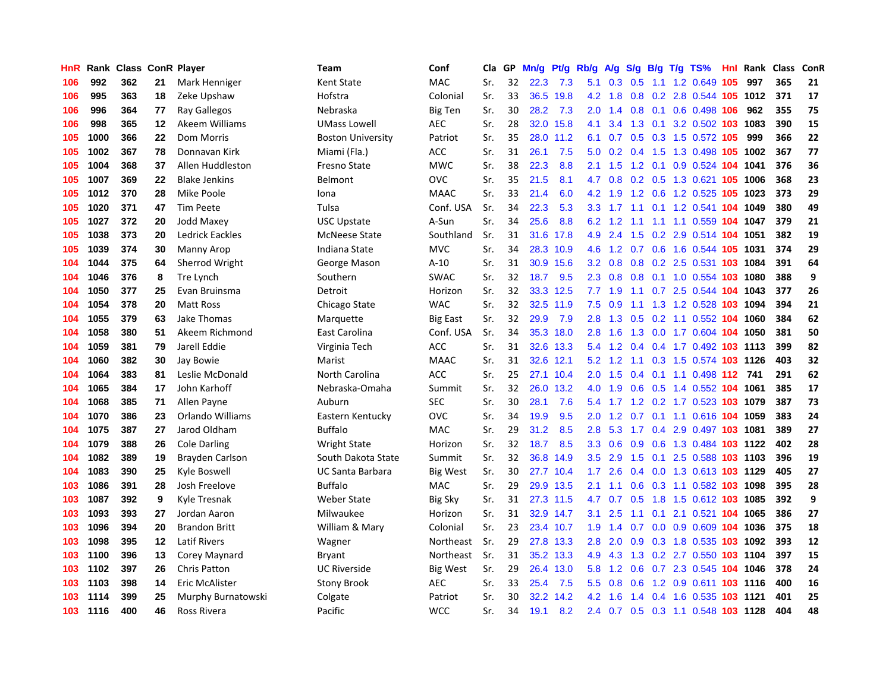| HnR | Rank |     |    | <b>Class ConR Player</b> | Team                     | Conf            | Cla | GP | Mn/g | Pt/g      | Rb/g             | A/g | S/g           | B/g | $T/g$ TS%                      | <b>Hnl</b> | Rank Class |     | ConR |
|-----|------|-----|----|--------------------------|--------------------------|-----------------|-----|----|------|-----------|------------------|-----|---------------|-----|--------------------------------|------------|------------|-----|------|
| 106 | 992  | 362 | 21 | Mark Henniger            | <b>Kent State</b>        | <b>MAC</b>      | Sr. | 32 | 22.3 | 7.3       | 5.1              | 0.3 | 0.5           | 1.1 | 1.2 0.649 105                  |            | 997        | 365 | 21   |
| 106 | 995  | 363 | 18 | Zeke Upshaw              | Hofstra                  | Colonial        | Sr. | 33 | 36.5 | 19.8      | 4.2              | 1.8 | 0.8           |     | 0.2 2.8 0.544 105 1012         |            |            | 371 | 17   |
| 106 | 996  | 364 | 77 | Ray Gallegos             | Nebraska                 | <b>Big Ten</b>  | Sr. | 30 | 28.2 | 7.3       | 2.0 <sub>2</sub> | 1.4 |               |     | 0.8 0.1 0.6 0.498 106          |            | 962        | 355 | 75   |
| 106 | 998  | 365 | 12 | Akeem Williams           | <b>UMass Lowell</b>      | <b>AEC</b>      | Sr. | 28 | 32.0 | 15.8      | 4.1              | 3.4 | 1.3           |     | 0.1 3.2 0.502 103 1083         |            |            | 390 | 15   |
| 105 | 1000 | 366 | 22 | <b>Dom Morris</b>        | <b>Boston University</b> | Patriot         | Sr. | 35 | 28.0 | 11.2      | 6.1              | 0.7 | 0.5           |     | 0.3 1.5 0.572 105              |            | 999        | 366 | 22   |
| 105 | 1002 | 367 | 78 | Donnavan Kirk            | Miami (Fla.)             | <b>ACC</b>      | Sr. | 31 | 26.1 | 7.5       | 5.0              | 0.2 | 0.4           |     | 1.5 1.3 0.498 105 1002         |            |            | 367 | 77   |
| 105 | 1004 | 368 | 37 | Allen Huddleston         | Fresno State             | <b>MWC</b>      | Sr. | 38 | 22.3 | 8.8       | 2.1              | 1.5 | 1.2           |     | 0.1 0.9 0.524 104              |            | 1041       | 376 | 36   |
| 105 | 1007 | 369 | 22 | <b>Blake Jenkins</b>     | Belmont                  | OVC             | Sr. | 35 | 21.5 | 8.1       | 4.7              | 0.8 | 0.2           |     | 0.5 1.3 0.621 105 1006         |            |            | 368 | 23   |
| 105 | 1012 | 370 | 28 | Mike Poole               | Iona                     | <b>MAAC</b>     | Sr. | 33 | 21.4 | 6.0       | 4.2              | 1.9 | 1.2           |     | 0.6 1.2 0.525 105 1023         |            |            | 373 | 29   |
| 105 | 1020 | 371 | 47 | <b>Tim Peete</b>         | Tulsa                    | Conf. USA       | Sr. | 34 | 22.3 | 5.3       | 3.3              | 1.7 | 1.1           |     | 0.1 1.2 0.541 104 1049         |            |            | 380 | 49   |
| 105 | 1027 | 372 | 20 | Jodd Maxey               | <b>USC Upstate</b>       | A-Sun           | Sr. | 34 | 25.6 | 8.8       | 6.2              | 1.2 |               |     | 1.1 1.1 1.1 0.559 104 1047     |            |            | 379 | 21   |
| 105 | 1038 | 373 | 20 | Ledrick Eackles          | <b>McNeese State</b>     | Southland       | Sr. | 31 |      | 31.6 17.8 | 4.9              | 2.4 |               |     | 1.5 0.2 2.9 0.514 104 1051     |            |            | 382 | 19   |
| 105 | 1039 | 374 | 30 | Manny Arop               | Indiana State            | <b>MVC</b>      | Sr. | 34 | 28.3 | 10.9      | 4.6              | 1.2 | 0.7           |     | 0.6 1.6 0.544 105 1031         |            |            | 374 | 29   |
| 104 | 1044 | 375 | 64 | Sherrod Wright           | George Mason             | $A-10$          | Sr. | 31 | 30.9 | 15.6      | 3.2              | 0.8 | 0.8           |     | 0.2 2.5 0.531 103 1084         |            |            | 391 | 64   |
| 104 | 1046 | 376 | 8  | Tre Lynch                | Southern                 | <b>SWAC</b>     | Sr. | 32 | 18.7 | 9.5       | 2.3              | 0.8 | 0.8           |     | 0.1 1.0 0.554 103 1080         |            |            | 388 | 9    |
| 104 | 1050 | 377 | 25 | Evan Bruinsma            | Detroit                  | Horizon         | Sr. | 32 | 33.3 | 12.5      | 7.7              | 1.9 | 1.1           |     | 0.7 2.5 0.544 104              |            | 1043       | 377 | 26   |
| 104 | 1054 | 378 | 20 | <b>Matt Ross</b>         | Chicago State            | <b>WAC</b>      | Sr. | 32 | 32.5 | 11.9      | 7.5              | 0.9 |               |     | 1.1 1.3 1.2 0.528 103 1094     |            |            | 394 | 21   |
| 104 | 1055 | 379 | 63 | Jake Thomas              | Marquette                | <b>Big East</b> | Sr. | 32 | 29.9 | 7.9       | 2.8              | 1.3 | 0.5           |     | 0.2 1.1 0.552 104 1060         |            |            | 384 | 62   |
| 104 | 1058 | 380 | 51 | Akeem Richmond           | East Carolina            | Conf. USA       | Sr. | 34 | 35.3 | 18.0      | 2.8              | 1.6 | 1.3           |     | 0.0 1.7 0.604 104 1050         |            |            | 381 | 50   |
| 104 | 1059 | 381 | 79 | Jarell Eddie             | Virginia Tech            | ACC             | Sr. | 31 |      | 32.6 13.3 | 5.4              | 1.2 |               |     | 0.4 0.4 1.7 0.492 103 1113     |            |            | 399 | 82   |
| 104 | 1060 | 382 | 30 | Jay Bowie                | Marist                   | <b>MAAC</b>     | Sr. | 31 | 32.6 | 12.1      | 5.2              | 1.2 | 1.1           |     | 0.3 1.5 0.574 103 1126         |            |            | 403 | 32   |
| 104 | 1064 | 383 | 81 | Leslie McDonald          | North Carolina           | ACC             | Sr. | 25 | 27.1 | 10.4      | 2.0              | 1.5 | 0.4           |     | $0.1$ 1.1 0.498 112 741        |            |            | 291 | 62   |
| 104 | 1065 | 384 | 17 | John Karhoff             | Nebraska-Omaha           | Summit          | Sr. | 32 | 26.0 | 13.2      | 4.0              | 1.9 | 0.6           |     | 0.5 1.4 0.552 104 1061         |            |            | 385 | 17   |
| 104 | 1068 | 385 | 71 | Allen Payne              | Auburn                   | <b>SEC</b>      | Sr. | 30 | 28.1 | 7.6       | 5.4              | 1.7 | 1.2           |     | $0.2$ 1.7 0.523 103            |            | 1079       | 387 | 73   |
| 104 | 1070 | 386 | 23 | Orlando Williams         | Eastern Kentucky         | OVC             | Sr. | 34 | 19.9 | 9.5       | 2.0              | 1.2 | 0.7           |     | 0.1 1.1 0.616 104 1059         |            |            | 383 | 24   |
| 104 | 1075 | 387 | 27 | Jarod Oldham             | <b>Buffalo</b>           | <b>MAC</b>      | Sr. | 29 | 31.2 | 8.5       | 2.8              | 5.3 | 1.7           |     | 0.4 2.9 0.497 103 1081         |            |            | 389 | 27   |
| 104 | 1079 | 388 | 26 | Cole Darling             | <b>Wright State</b>      | Horizon         | Sr. | 32 | 18.7 | 8.5       | 3.3 <sub>2</sub> | 0.6 | 0.9           |     | 0.6 1.3 0.484 103 1122         |            |            | 402 | 28   |
| 104 | 1082 | 389 | 19 | Brayden Carlson          | South Dakota State       | Summit          | Sr. | 32 | 36.8 | 14.9      | 3.5              | 2.9 | 1.5           |     | 0.1 2.5 0.588 103 1103         |            |            | 396 | 19   |
| 104 | 1083 | 390 | 25 | Kyle Boswell             | UC Santa Barbara         | Big West        | Sr. | 30 | 27.7 | 10.4      | 1.7 <sup>2</sup> | 2.6 | 0.4           |     | 0.0 1.3 0.613 103 1129         |            |            | 405 | 27   |
| 103 | 1086 | 391 | 28 | Josh Freelove            | <b>Buffalo</b>           | MAC             | Sr. | 29 | 29.9 | 13.5      | 2.1              | 1.1 | 0.6           |     | 0.3 1.1 0.582 103 1098         |            |            | 395 | 28   |
| 103 | 1087 | 392 | 9  | Kyle Tresnak             | <b>Weber State</b>       | <b>Big Sky</b>  | Sr. | 31 | 27.3 | 11.5      | 4.7              | 0.7 | 0.5           |     | 1.8 1.5 0.612 103 1085         |            |            | 392 | 9    |
| 103 | 1093 | 393 | 27 | Jordan Aaron             | Milwaukee                | Horizon         | Sr. | 31 | 32.9 | 14.7      | 3.1              | 2.5 | 1.1           |     | 0.1 2.1 0.521 104 1065         |            |            | 386 | 27   |
| 103 | 1096 | 394 | 20 | <b>Brandon Britt</b>     | William & Mary           | Colonial        | Sr. | 23 | 23.4 | 10.7      | 1.9              | 1.4 | 0.7           |     | 0.0 0.9 0.609 104 1036         |            |            | 375 | 18   |
| 103 | 1098 | 395 | 12 | <b>Latif Rivers</b>      | Wagner                   | Northeast       | Sr. | 29 | 27.8 | 13.3      | 2.8              | 2.0 | 0.9           |     | 0.3 1.8 0.535 103 1092         |            |            | 393 | 12   |
| 103 | 1100 | 396 | 13 | Corey Maynard            | Bryant                   | Northeast       | Sr. | 31 | 35.2 | 13.3      | 4.9              | 4.3 | 1.3           |     | 0.2 2.7 0.550 103 1104         |            |            | 397 | 15   |
| 103 | 1102 | 397 | 26 | <b>Chris Patton</b>      | <b>UC Riverside</b>      | <b>Big West</b> | Sr. | 29 | 26.4 | 13.0      | 5.8              | 1.2 |               |     | 0.6 0.7 2.3 0.545 104 1046     |            |            | 378 | 24   |
| 103 | 1103 | 398 | 14 | Eric McAlister           | Stony Brook              | <b>AEC</b>      | Sr. | 33 | 25.4 | 7.5       | 5.5              | 0.8 | 0.6           |     | 1.2 0.9 0.611 103 1116         |            |            | 400 | 16   |
| 103 | 1114 | 399 | 25 | Murphy Burnatowski       | Colgate                  | Patriot         | Sr. | 30 | 32.2 | 14.2      | 4.2              | 1.6 | $1.4^{\circ}$ |     | 0.4 1.6 0.535 103 1121         |            |            | 401 | 25   |
| 103 | 1116 | 400 | 46 | Ross Rivera              | Pacific                  | <b>WCC</b>      | Sr. | 34 | 19.1 | 8.2       | 2.4              |     |               |     | 0.7 0.5 0.3 1.1 0.548 103 1128 |            |            | 404 | 48   |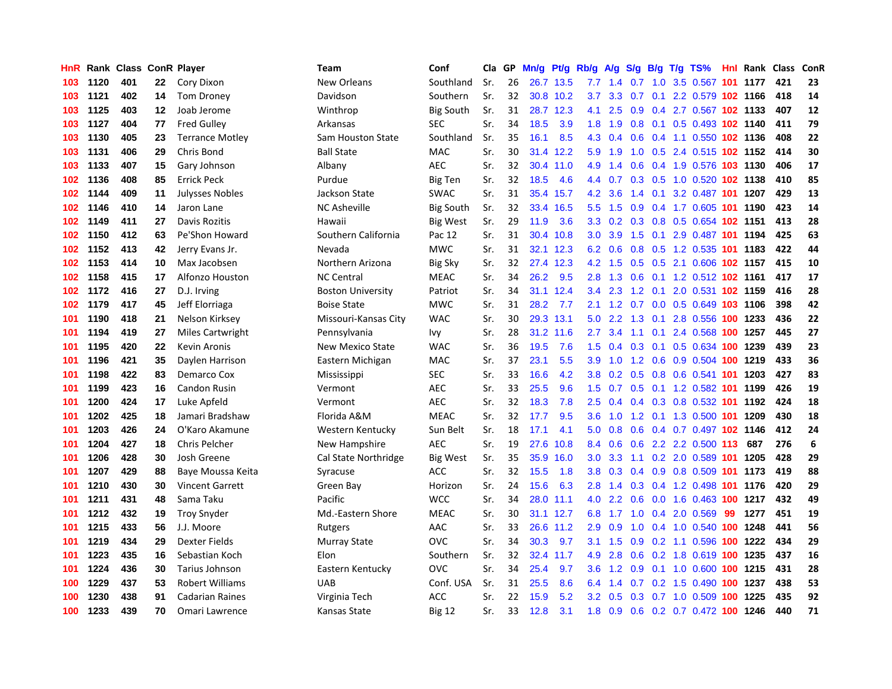| HnR |      | Rank Class ConR Player |    |                         | Team                     | Conf             | Cla | GP | Mn/g | Pt/g      | Rb/g             | A/g | S/g           | B/g | $T/g$ TS%                      |    | <b>Hnl Rank Class</b> |     | ConR |
|-----|------|------------------------|----|-------------------------|--------------------------|------------------|-----|----|------|-----------|------------------|-----|---------------|-----|--------------------------------|----|-----------------------|-----|------|
| 103 | 1120 | 401                    | 22 | Cory Dixon              | New Orleans              | Southland        | Sr. | 26 | 26.7 | 13.5      | 7.7              | 1.4 | 0.7           | 1.0 | 3.5 0.567 101 1177             |    |                       | 421 | 23   |
| 103 | 1121 | 402                    | 14 | <b>Tom Droney</b>       | Davidson                 | Southern         | Sr. | 32 |      | 30.8 10.2 | 3.7              | 3.3 | 0.7           |     | 0.1 2.2 0.579 102 1166         |    |                       | 418 | 14   |
| 103 | 1125 | 403                    | 12 | Joab Jerome             | Winthrop                 | <b>Big South</b> | Sr. | 31 |      | 28.7 12.3 | 4.1              | 2.5 |               |     | 0.9 0.4 2.7 0.567 102 1133     |    |                       | 407 | 12   |
| 103 | 1127 | 404                    | 77 | <b>Fred Gulley</b>      | Arkansas                 | <b>SEC</b>       | Sr. | 34 | 18.5 | 3.9       | 1.8              | 1.9 | 0.8           |     | 0.1 0.5 0.493 102 1140         |    |                       | 411 | 79   |
| 103 | 1130 | 405                    | 23 | <b>Terrance Motley</b>  | Sam Houston State        | Southland        | Sr. | 35 | 16.1 | 8.5       | 4.3              | 0.4 | 0.6           |     | 0.4 1.1 0.550 102 1136         |    |                       | 408 | 22   |
| 103 | 1131 | 406                    | 29 | Chris Bond              | <b>Ball State</b>        | <b>MAC</b>       | Sr. | 30 | 31.4 | 12.2      | 5.9              | 1.9 | 1.0           |     | 0.5 2.4 0.515 102 1152         |    |                       | 414 | 30   |
| 103 | 1133 | 407                    | 15 | Gary Johnson            | Albany                   | <b>AEC</b>       | Sr. | 32 | 30.4 | 11.0      | 4.9              | 1.4 | 0.6           |     | 0.4 1.9 0.576 103 1130         |    |                       | 406 | 17   |
| 102 | 1136 | 408                    | 85 | <b>Errick Peck</b>      | Purdue                   | <b>Big Ten</b>   | Sr. | 32 | 18.5 | 4.6       | 4.4              | 0.7 | 0.3           |     | 0.5 1.0 0.520 102 1138         |    |                       | 410 | 85   |
| 102 | 1144 | 409                    | 11 | <b>Julysses Nobles</b>  | Jackson State            | <b>SWAC</b>      | Sr. | 31 | 35.4 | 15.7      | 4.2              | 3.6 | 1.4           | 0.1 | 3.2 0.487 101 1207             |    |                       | 429 | 13   |
| 102 | 1146 | 410                    | 14 | Jaron Lane              | <b>NC Asheville</b>      | <b>Big South</b> | Sr. | 32 | 33.4 | 16.5      | 5.5              | 1.5 | 0.9           |     | 0.4 1.7 0.605 101 1190         |    |                       | 423 | 14   |
| 102 | 1149 | 411                    | 27 | Davis Rozitis           | Hawaii                   | <b>Big West</b>  | Sr. | 29 | 11.9 | 3.6       | 3.3 <sub>2</sub> |     |               |     | 0.2 0.3 0.8 0.5 0.654 102 1151 |    |                       | 413 | 28   |
| 102 | 1150 | 412                    | 63 | Pe'Shon Howard          | Southern California      | Pac 12           | Sr. | 31 | 30.4 | 10.8      | 3.0 <sub>2</sub> |     |               |     | 3.9 1.5 0.1 2.9 0.487 101 1194 |    |                       | 425 | 63   |
| 102 | 1152 | 413                    | 42 | Jerry Evans Jr.         | Nevada                   | <b>MWC</b>       | Sr. | 31 | 32.1 | 12.3      | 6.2              | 0.6 |               |     | 0.8 0.5 1.2 0.535 101 1183     |    |                       | 422 | 44   |
| 102 | 1153 | 414                    | 10 | Max Jacobsen            | Northern Arizona         | <b>Big Sky</b>   | Sr. | 32 | 27.4 | 12.3      | 4.2              | 1.5 | 0.5           |     | 0.5 2.1 0.606 102 1157         |    |                       | 415 | 10   |
| 102 | 1158 | 415                    | 17 | Alfonzo Houston         | <b>NC Central</b>        | <b>MEAC</b>      | Sr. | 34 | 26.2 | 9.5       | 2.8              | 1.3 | 0.6           |     | 0.1 1.2 0.512 102 1161         |    |                       | 417 | 17   |
| 102 | 1172 | 416                    | 27 | D.J. Irving             | <b>Boston University</b> | Patriot          | Sr. | 34 | 31.1 | 12.4      | 3.4              | 2.3 | 1.2           |     | 0.1 2.0 0.531 102 1159         |    |                       | 416 | 28   |
| 102 | 1179 | 417                    | 45 | Jeff Elorriaga          | <b>Boise State</b>       | <b>MWC</b>       | Sr. | 31 | 28.2 | 7.7       | 2.1              | 1.2 | 0.7           |     | 0.0 0.5 0.649 103 1106         |    |                       | 398 | 42   |
| 101 | 1190 | 418                    | 21 | Nelson Kirksey          | Missouri-Kansas City     | <b>WAC</b>       | Sr. | 30 | 29.3 | 13.1      | 5.0              | 2.2 | 1.3           | 0.1 | 2.8 0.556 100 1233             |    |                       | 436 | 22   |
| 101 | 1194 | 419                    | 27 | <b>Miles Cartwright</b> | Pennsylvania             | Ivy              | Sr. | 28 | 31.2 | 11.6      | 2.7              | 3.4 | 1.1           |     | 0.1 2.4 0.568 100 1257         |    |                       | 445 | 27   |
| 101 | 1195 | 420                    | 22 | Kevin Aronis            | New Mexico State         | <b>WAC</b>       | Sr. | 36 | 19.5 | 7.6       | 1.5              | 0.4 |               |     | 0.3 0.1 0.5 0.634 100 1239     |    |                       | 439 | 23   |
| 101 | 1196 | 421                    | 35 | Daylen Harrison         | Eastern Michigan         | <b>MAC</b>       | Sr. | 37 | 23.1 | 5.5       | 3.9 <sup>°</sup> | 1.0 |               |     | 1.2 0.6 0.9 0.504 100 1219     |    |                       | 433 | 36   |
| 101 | 1198 | 422                    | 83 | Demarco Cox             | Mississippi              | <b>SEC</b>       | Sr. | 33 | 16.6 | 4.2       | 3.8              | 0.2 | 0.5           |     | 0.8 0.6 0.541 101 1203         |    |                       | 427 | 83   |
| 101 | 1199 | 423                    | 16 | <b>Candon Rusin</b>     | Vermont                  | <b>AEC</b>       | Sr. | 33 | 25.5 | 9.6       | 1.5              | 0.7 | 0.5           |     | 0.1 1.2 0.582 101 1199         |    |                       | 426 | 19   |
| 101 | 1200 | 424                    | 17 | Luke Apfeld             | Vermont                  | <b>AEC</b>       | Sr. | 32 | 18.3 | 7.8       | 2.5              | 0.4 | $0.4^{\circ}$ |     | 0.3 0.8 0.532 101 1192         |    |                       | 424 | 18   |
| 101 | 1202 | 425                    | 18 | Jamari Bradshaw         | Florida A&M              | <b>MEAC</b>      | Sr. | 32 | 17.7 | 9.5       | 3.6              | 1.0 | 1.2           |     | 0.1 1.3 0.500 101 1209         |    |                       | 430 | 18   |
| 101 | 1203 | 426                    | 24 | O'Karo Akamune          | Western Kentucky         | Sun Belt         | Sr. | 18 | 17.1 | 4.1       | 5.0              | 0.8 | 0.6           |     | 0.4 0.7 0.497 102 1146         |    |                       | 412 | 24   |
| 101 | 1204 | 427                    | 18 | Chris Pelcher           | New Hampshire            | <b>AEC</b>       | Sr. | 19 | 27.6 | 10.8      | 8.4              | 0.6 |               |     | 0.6 2.2 2.2 0.500 113          |    | 687                   | 276 | 6    |
| 101 | 1206 | 428                    | 30 | Josh Greene             | Cal State Northridge     | Big West         | Sr. | 35 | 35.9 | 16.0      | 3.0 <sub>2</sub> | 3.3 |               |     | 1.1 0.2 2.0 0.589 101 1205     |    |                       | 428 | 29   |
| 101 | 1207 | 429                    | 88 | Baye Moussa Keita       | Syracuse                 | <b>ACC</b>       | Sr. | 32 | 15.5 | 1.8       | 3.8 <sub>2</sub> | 0.3 | 0.4           |     | 0.9 0.8 0.509 101 1173         |    |                       | 419 | 88   |
| 101 | 1210 | 430                    | 30 | <b>Vincent Garrett</b>  | Green Bay                | Horizon          | Sr. | 24 | 15.6 | 6.3       | 2.8              | 1.4 | 0.3           |     | 0.4 1.2 0.498 101 1176         |    |                       | 420 | 29   |
| 101 | 1211 | 431                    | 48 | Sama Taku               | Pacific                  | <b>WCC</b>       | Sr. | 34 | 28.0 | 11.1      | 4.0              | 2.2 | 0.6           |     | 0.0 1.6 0.463 100 1217         |    |                       | 432 | 49   |
| 101 | 1212 | 432                    | 19 | <b>Troy Snyder</b>      | Md.-Eastern Shore        | <b>MEAC</b>      | Sr. | 30 | 31.1 | 12.7      | 6.8              | 1.7 | 1.0           |     | 0.4 2.0 0.569                  | 99 | 1277                  | 451 | 19   |
| 101 | 1215 | 433                    | 56 | J.J. Moore              | Rutgers                  | AAC              | Sr. | 33 | 26.6 | 11.2      | 2.9              | 0.9 | 1.0           |     | 0.4 1.0 0.540 100 1248         |    |                       | 441 | 56   |
| 101 | 1219 | 434                    | 29 | <b>Dexter Fields</b>    | <b>Murray State</b>      | <b>OVC</b>       | Sr. | 34 | 30.3 | 9.7       | 3.1              | 1.5 | 0.9           |     | 0.2 1.1 0.596 100 1222         |    |                       | 434 | 29   |
| 101 | 1223 | 435                    | 16 | Sebastian Koch          | Elon                     | Southern         | Sr. | 32 | 32.4 | 11.7      | 4.9              | 2.8 | 0.6           |     | 0.2 1.8 0.619 100 1235         |    |                       | 437 | 16   |
| 101 | 1224 | 436                    | 30 | Tarius Johnson          | Eastern Kentucky         | OVC              | Sr. | 34 | 25.4 | 9.7       | 3.6 <sup>°</sup> |     |               |     | 1.2 0.9 0.1 1.0 0.600 100 1215 |    |                       | 431 | 28   |
| 100 | 1229 | 437                    | 53 | <b>Robert Williams</b>  | <b>UAB</b>               | Conf. USA        | Sr. | 31 | 25.5 | 8.6       | 6.4              | 1.4 | 0.7           |     | 0.2 1.5 0.490 100 1237         |    |                       | 438 | 53   |
| 100 | 1230 | 438                    | 91 | <b>Cadarian Raines</b>  | Virginia Tech            | ACC              | Sr. | 22 | 15.9 | 5.2       | 3.2 <sub>2</sub> | 0.5 | 0.3           |     | 0.7 1.0 0.509 100 1225         |    |                       | 435 | 92   |
| 100 | 1233 | 439                    | 70 | Omari Lawrence          | Kansas State             | <b>Big 12</b>    | Sr. | 33 | 12.8 | 3.1       | 1.8              | 0.9 |               |     | 0.6 0.2 0.7 0.472 100 1246     |    |                       | 440 | 71   |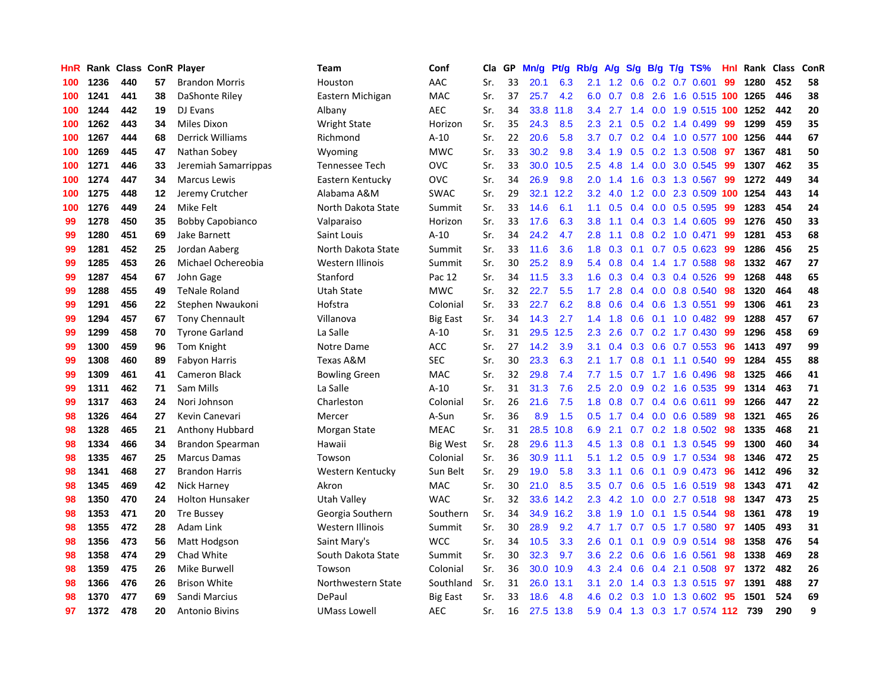| HnR |      | Rank Class ConR Player |         |                         | <b>Team</b>          | Conf            | Cla i | GP | Mn/g | Pt/g | Rb/g             | <b>A/g</b> | S/g           |     | B/g T/g TS%                | Hnl | Rank | <b>Class</b> | ConR |
|-----|------|------------------------|---------|-------------------------|----------------------|-----------------|-------|----|------|------|------------------|------------|---------------|-----|----------------------------|-----|------|--------------|------|
| 100 | 1236 | 440                    | 57      | <b>Brandon Morris</b>   | Houston              | AAC             | Sr.   | 33 | 20.1 | 6.3  | 2.1              | 1.2        | 0.6           |     | $0.2$ 0.7 0.601            | 99  | 1280 | 452          | 58   |
| 100 | 1241 | 441                    | 38      | DaShonte Riley          | Eastern Michigan     | <b>MAC</b>      | Sr.   | 37 | 25.7 | 4.2  | 6.0              | 0.7        |               |     | 0.8 2.6 1.6 0.515 100 1265 |     |      | 446          | 38   |
| 100 | 1244 | 442                    | 19      | DJ Evans                | Albany               | <b>AEC</b>      | Sr.   | 34 | 33.8 | 11.8 | 3.4              | 2.7        |               |     | 1.4 0.0 1.9 0.515 100 1252 |     |      | 442          | 20   |
| 100 | 1262 | 443                    | 34      | Miles Dixon             | <b>Wright State</b>  | Horizon         | Sr.   | 35 | 24.3 | 8.5  | 2.3              | 2.1        |               |     | $0.5$ 0.2 1.4 0.499        | 99  | 1299 | 459          | 35   |
| 100 | 1267 | 444                    | 68      | <b>Derrick Williams</b> | Richmond             | $A-10$          | Sr.   | 22 | 20.6 | 5.8  | 3.7              | 0.7        | 0.2           |     | 0.4 1.0 0.577 100 1256     |     |      | 444          | 67   |
| 100 | 1269 | 445                    | 47      | Nathan Sobey            | Wyoming              | <b>MWC</b>      | Sr.   | 33 | 30.2 | 9.8  | 3.4              | 1.9        | 0.5           |     | $0.2$ 1.3 0.508            | 97  | 1367 | 481          | 50   |
| 100 | 1271 | 446                    | 33      | Jeremiah Samarrippas    | Tennessee Tech       | <b>OVC</b>      | Sr.   | 33 | 30.0 | 10.5 | 2.5              | 4.8        | 1.4           |     | 0.0 3.0 0.545              | 99  | 1307 | 462          | 35   |
| 100 | 1274 | 447                    | 34      | <b>Marcus Lewis</b>     | Eastern Kentucky     | <b>OVC</b>      | Sr.   | 34 | 26.9 | 9.8  | 2.0              | 1.4        | 1.6           |     | $0.3$ 1.3 0.567            | 99  | 1272 | 449          | 34   |
| 100 | 1275 | 448                    | $12 \,$ | Jeremy Crutcher         | Alabama A&M          | <b>SWAC</b>     | Sr.   | 29 | 32.1 | 12.2 | 3.2              | 4.0        | 1.2           |     | 0.0 2.3 0.509 100          |     | 1254 | 443          | 14   |
| 100 | 1276 | 449                    | 24      | Mike Felt               | North Dakota State   | Summit          | Sr.   | 33 | 14.6 | 6.1  | 1.1              | 0.5        |               |     | $0.4$ 0.0 0.5 0.595        | -99 | 1283 | 454          | 24   |
| 99  | 1278 | 450                    | 35      | <b>Bobby Capobianco</b> | Valparaiso           | Horizon         | Sr.   | 33 | 17.6 | 6.3  | 3.8 <sub>2</sub> | 1.1        |               |     | $0.4$ 0.3 1.4 0.605        | -99 | 1276 | 450          | 33   |
| 99  | 1280 | 451                    | 69      | Jake Barnett            | Saint Louis          | $A-10$          | Sr.   | 34 | 24.2 | 4.7  | 2.8              | 1.1        |               |     | 0.8 0.2 1.0 0.471          | 99  | 1281 | 453          | 68   |
| 99  | 1281 | 452                    | 25      | Jordan Aaberg           | North Dakota State   | Summit          | Sr.   | 33 | 11.6 | 3.6  | 1.8              | 0.3        |               |     | $0.1$ 0.7 0.5 0.623        | -99 | 1286 | 456          | 25   |
| 99  | 1285 | 453                    | 26      | Michael Ochereobia      | Western Illinois     | Summit          | Sr.   | 30 | 25.2 | 8.9  | 5.4              | 0.8        | 0.4           |     | 1.4 1.7 0.588              | 98  | 1332 | 467          | 27   |
| 99  | 1287 | 454                    | 67      | John Gage               | Stanford             | Pac 12          | Sr.   | 34 | 11.5 | 3.3  | 1.6              | 0.3        | $0.4^{\circ}$ |     | 0.3 0.4 0.526              | -99 | 1268 | 448          | 65   |
| 99  | 1288 | 455                    | 49      | <b>TeNale Roland</b>    | Utah State           | <b>MWC</b>      | Sr.   | 32 | 22.7 | 5.5  | 1.7              | 2.8        | $0.4^{\circ}$ |     | $0.0$ 0.8 0.540            | 98  | 1320 | 464          | 48   |
| 99  | 1291 | 456                    | 22      | Stephen Nwaukoni        | Hofstra              | Colonial        | Sr.   | 33 | 22.7 | 6.2  | 8.8              | 0.6        | $0.4^{\circ}$ |     | 0.6 1.3 0.551              | 99  | 1306 | 461          | 23   |
| 99  | 1294 | 457                    | 67      | <b>Tony Chennault</b>   | Villanova            | <b>Big East</b> | Sr.   | 34 | 14.3 | 2.7  | 1.4              | 1.8        | 0.6           |     | $0.1$ 1.0 0.482            | -99 | 1288 | 457          | 67   |
| 99  | 1299 | 458                    | 70      | <b>Tyrone Garland</b>   | La Salle             | $A-10$          | Sr.   | 31 | 29.5 | 12.5 | 2.3              | 2.6        |               |     | $0.7$ $0.2$ 1.7 $0.430$    | -99 | 1296 | 458          | 69   |
| 99  | 1300 | 459                    | 96      | Tom Knight              | Notre Dame           | <b>ACC</b>      | Sr.   | 27 | 14.2 | 3.9  | 3.1              | 0.4        |               |     | $0.3$ 0.6 0.7 0.553        | -96 | 1413 | 497          | 99   |
| 99  | 1308 | 460                    | 89      | <b>Fabyon Harris</b>    | Texas A&M            | <b>SEC</b>      | Sr.   | 30 | 23.3 | 6.3  | 2.1              | 1.7        | 0.8           |     | $0.1$ 1.1 $0.540$          | 99  | 1284 | 455          | 88   |
| 99  | 1309 | 461                    | 41      | <b>Cameron Black</b>    | <b>Bowling Green</b> | <b>MAC</b>      | Sr.   | 32 | 29.8 | 7.4  | 7.7              | 1.5        |               |     | $0.7$ 1.7 1.6 0.496        | 98  | 1325 | 466          | 41   |
| 99  | 1311 | 462                    | 71      | Sam Mills               | La Salle             | $A-10$          | Sr.   | 31 | 31.3 | 7.6  | 2.5              | 2.0        | 0.9           |     | 0.2 1.6 0.535              | -99 | 1314 | 463          | 71   |
| 99  | 1317 | 463                    | 24      | Nori Johnson            | Charleston           | Colonial        | Sr.   | 26 | 21.6 | 7.5  | 1.8              | 0.8        | 0.7           | 0.4 | $0.6$ 0.611                | 99  | 1266 | 447          | 22   |
| 98  | 1326 | 464                    | 27      | Kevin Canevari          | Mercer               | A-Sun           | Sr.   | 36 | 8.9  | 1.5  | 0.5              | 1.7        | 0.4           |     | $0.0$ 0.6 0.589            | 98  | 1321 | 465          | 26   |
| 98  | 1328 | 465                    | 21      | Anthony Hubbard         | Morgan State         | <b>MEAC</b>     | Sr.   | 31 | 28.5 | 10.8 | 6.9              | 2.1        | 0.7           |     | $0.2$ 1.8 0.502            | -98 | 1335 | 468          | 21   |
| 98  | 1334 | 466                    | 34      | Brandon Spearman        | Hawaii               | <b>Big West</b> | Sr.   | 28 | 29.6 | 11.3 | 4.5              | 1.3        | 0.8           |     | $0.1$ 1.3 0.545            | -99 | 1300 | 460          | 34   |
| 98  | 1335 | 467                    | 25      | <b>Marcus Damas</b>     | Towson               | Colonial        | Sr.   | 36 | 30.9 | 11.1 | 5.1              |            |               |     | 1.2 0.5 0.9 1.7 0.534      | -98 | 1346 | 472          | 25   |
| 98  | 1341 | 468                    | 27      | <b>Brandon Harris</b>   | Western Kentucky     | Sun Belt        | Sr.   | 29 | 19.0 | 5.8  | 3.3              | 1.1        | 0.6           |     | $0.1$ 0.9 0.473            | -96 | 1412 | 496          | 32   |
| 98  | 1345 | 469                    | 42      | Nick Harney             | Akron                | MAC             | Sr.   | 30 | 21.0 | 8.5  | 3.5              | 0.7        | 0.6           |     | $0.5$ 1.6 0.519            | -98 | 1343 | 471          | 42   |
| 98  | 1350 | 470                    | 24      | <b>Holton Hunsaker</b>  | Utah Valley          | <b>WAC</b>      | Sr.   | 32 | 33.6 | 14.2 | 2.3              | 4.2        | 1.0           |     | $0.0$ 2.7 $0.518$          | -98 | 1347 | 473          | 25   |
| 98  | 1353 | 471                    | 20      | <b>Tre Bussey</b>       | Georgia Southern     | Southern        | Sr.   | 34 | 34.9 | 16.2 | 3.8              | 1.9        | 1.0           |     | 0.1 1.5 0.544              | 98  | 1361 | 478          | 19   |
| 98  | 1355 | 472                    | 28      | Adam Link               | Western Illinois     | Summit          | Sr.   | 30 | 28.9 | 9.2  | 4.7              | 1.7        | 0.7           |     | $0.5$ 1.7 $0.580$          | 97  | 1405 | 493          | 31   |
| 98  | 1356 | 473                    | 56      | Matt Hodgson            | Saint Mary's         | <b>WCC</b>      | Sr.   | 34 | 10.5 | 3.3  | 2.6              | 0.1        | 0.1           |     | 0.9 0.9 0.514              | 98  | 1358 | 476          | 54   |
| 98  | 1358 | 474                    | 29      | Chad White              | South Dakota State   | Summit          | Sr.   | 30 | 32.3 | 9.7  | 3.6              | 2.2        | 0.6           |     | 0.6 1.6 0.561              | 98  | 1338 | 469          | 28   |
| 98  | 1359 | 475                    | 26      | Mike Burwell            | Towson               | Colonial        | Sr.   | 36 | 30.0 | 10.9 | 4.3              | 2.4        | 0.6           |     | $0.4$ 2.1 0.508            | 97  | 1372 | 482          | 26   |
| 98  | 1366 | 476                    | 26      | <b>Brison White</b>     | Northwestern State   | Southland       | Sr.   | 31 | 26.0 | 13.1 | 3.1              | 2.0        | $1.4^{\circ}$ |     | 0.3 1.3 0.515 97           |     | 1391 | 488          | 27   |
| 98  | 1370 | 477                    | 69      | Sandi Marcius           | DePaul               | <b>Big East</b> | Sr.   | 33 | 18.6 | 4.8  | 4.6              | 0.2        | 0.3           |     | 1.0 1.3 0.602              | -95 | 1501 | 524          | 69   |
| 97  | 1372 | 478                    | 20      | <b>Antonio Bivins</b>   | <b>UMass Lowell</b>  | <b>AEC</b>      | Sr.   | 16 | 27.5 | 13.8 | 5.9              |            |               |     | 0.4 1.3 0.3 1.7 0.574 112  |     | 739  | 290          | 9    |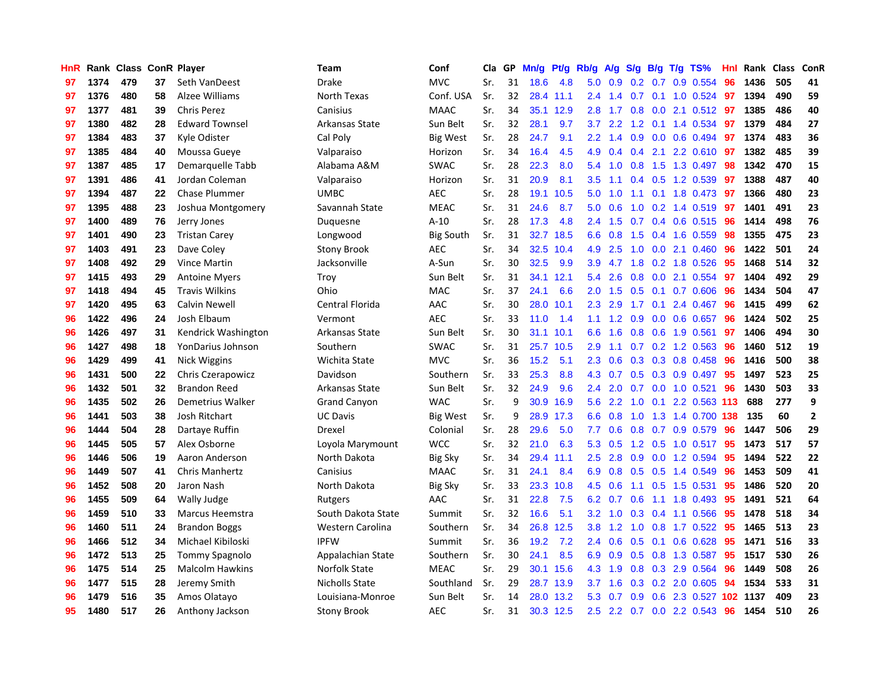| HnR |      | Rank Class ConR Player |    |                        | <b>Team</b>         | Conf             | Cla | GP | Mn/g | Pt/g      | Rb/g          | A/g | S/g | B/g | T/g TS%                   | Hnl | Rank Class |     | ConR         |
|-----|------|------------------------|----|------------------------|---------------------|------------------|-----|----|------|-----------|---------------|-----|-----|-----|---------------------------|-----|------------|-----|--------------|
| 97  | 1374 | 479                    | 37 | Seth VanDeest          | <b>Drake</b>        | <b>MVC</b>       | Sr. | 31 | 18.6 | 4.8       | 5.0           | 0.9 | 0.2 | 0.7 | 0.9 0.554                 | 96  | 1436       | 505 | 41           |
| 97  | 1376 | 480                    | 58 | Alzee Williams         | North Texas         | Conf. USA        | Sr. | 32 | 28.4 | 11.1      | $2.4^{\circ}$ | 1.4 | 0.7 |     | 0.1 1.0 0.524 97          |     | 1394       | 490 | 59           |
| 97  | 1377 | 481                    | 39 | <b>Chris Perez</b>     | Canisius            | <b>MAAC</b>      | Sr. | 34 | 35.1 | 12.9      | 2.8           | 1.7 |     |     | $0.8$ 0.0 2.1 0.512 97    |     | 1385       | 486 | 40           |
| 97  | 1380 | 482                    | 28 | <b>Edward Townsel</b>  | Arkansas State      | Sun Belt         | Sr. | 32 | 28.1 | 9.7       | 3.7           | 2.2 |     |     | 1.2 0.1 1.4 0.534         | 97  | 1379       | 484 | 27           |
| 97  | 1384 | 483                    | 37 | Kyle Odister           | Cal Poly            | Big West         | Sr. | 28 | 24.7 | 9.1       | 2.2           | 1.4 | 0.9 |     | $0.0$ 0.6 0.494           | 97  | 1374       | 483 | 36           |
| 97  | 1385 | 484                    | 40 | Moussa Gueye           | Valparaiso          | Horizon          | Sr. | 34 | 16.4 | 4.5       | 4.9           | 0.4 | 0.4 | 2.1 | 2.2 0.610                 | 97  | 1382       | 485 | 39           |
| 97  | 1387 | 485                    | 17 | Demarquelle Tabb       | Alabama A&M         | <b>SWAC</b>      | Sr. | 28 | 22.3 | 8.0       | 5.4           | 1.0 | 0.8 |     | 1.5 1.3 0.497             | 98  | 1342       | 470 | 15           |
| 97  | 1391 | 486                    | 41 | Jordan Coleman         | Valparaiso          | Horizon          | Sr. | 31 | 20.9 | 8.1       | 3.5           | 1.1 | 0.4 |     | $0.5$ 1.2 0.539           | 97  | 1388       | 487 | 40           |
| 97  | 1394 | 487                    | 22 | <b>Chase Plummer</b>   | <b>UMBC</b>         | AEC              | Sr. | 28 | 19.1 | 10.5      | 5.0           | 1.0 | 1.1 |     | 0.1 1.8 0.473             | -97 | 1366       | 480 | 23           |
| 97  | 1395 | 488                    | 23 | Joshua Montgomery      | Savannah State      | <b>MEAC</b>      | Sr. | 31 | 24.6 | 8.7       | 5.0           | 0.6 | 1.0 |     | $0.2$ 1.4 $0.519$         | -97 | 1401       | 491 | 23           |
| 97  | 1400 | 489                    | 76 | Jerry Jones            | Duguesne            | $A-10$           | Sr. | 28 | 17.3 | 4.8       | $2.4^{\circ}$ | 1.5 |     |     | 0.7 0.4 0.6 0.515 96      |     | 1414       | 498 | 76           |
| 97  | 1401 | 490                    | 23 | <b>Tristan Carey</b>   | Longwood            | <b>Big South</b> | Sr. | 31 | 32.7 | 18.5      | 6.6           | 0.8 |     |     | 1.5 0.4 1.6 0.559         | -98 | 1355       | 475 | 23           |
| 97  | 1403 | 491                    | 23 | Dave Coley             | <b>Stony Brook</b>  | AEC              | Sr. | 34 | 32.5 | 10.4      | 4.9           | 2.5 | 1.0 |     | $0.0$ 2.1 $0.460$         | -96 | 1422       | 501 | 24           |
| 97  | 1408 | 492                    | 29 | <b>Vince Martin</b>    | Jacksonville        | A-Sun            | Sr. | 30 | 32.5 | 9.9       | 3.9           | 4.7 | 1.8 |     | $0.2$ 1.8 $0.526$         | 95  | 1468       | 514 | 32           |
| 97  | 1415 | 493                    | 29 | <b>Antoine Myers</b>   | Troy                | Sun Belt         | Sr. | 31 | 34.1 | 12.1      | 5.4           | 2.6 | 0.8 |     | $0.0$ 2.1 $0.554$         | 97  | 1404       | 492 | 29           |
| 97  | 1418 | 494                    | 45 | <b>Travis Wilkins</b>  | Ohio                | MAC              | Sr. | 37 | 24.1 | 6.6       | 2.0           | 1.5 | 0.5 | 0.1 | 0.7 0.606                 | 96  | 1434       | 504 | 47           |
| 97  | 1420 | 495                    | 63 | <b>Calvin Newell</b>   | Central Florida     | AAC              | Sr. | 30 | 28.0 | 10.1      | 2.3           | 2.9 | 1.7 | 0.1 | 2.4 0.467                 | 96  | 1415       | 499 | 62           |
| 96  | 1422 | 496                    | 24 | Josh Elbaum            | Vermont             | <b>AEC</b>       | Sr. | 33 | 11.0 | 1.4       | 1.1           | 1.2 | 0.9 |     | $0.0$ $0.6$ $0.657$       | 96  | 1424       | 502 | 25           |
| 96  | 1426 | 497                    | 31 | Kendrick Washington    | Arkansas State      | Sun Belt         | Sr. | 30 | 31.1 | 10.1      | 6.6           | 1.6 | 0.8 |     | 0.6 1.9 0.561             | 97  | 1406       | 494 | 30           |
| 96  | 1427 | 498                    | 18 | YonDarius Johnson      | Southern            | <b>SWAC</b>      | Sr. | 31 | 25.7 | 10.5      | 2.9           | 1.1 |     |     | $0.7$ $0.2$ 1.2 $0.563$   | -96 | 1460       | 512 | 19           |
| 96  | 1429 | 499                    | 41 | Nick Wiggins           | Wichita State       | <b>MVC</b>       | Sr. | 36 | 15.2 | 5.1       | 2.3           | 0.6 |     |     | $0.3$ $0.3$ $0.8$ $0.458$ | 96  | 1416       | 500 | 38           |
| 96  | 1431 | 500                    | 22 | Chris Czerapowicz      | Davidson            | Southern         | Sr. | 33 | 25.3 | 8.8       | 4.3           | 0.7 |     |     | 0.5 0.3 0.9 0.497         | -95 | 1497       | 523 | 25           |
| 96  | 1432 | 501                    | 32 | <b>Brandon Reed</b>    | Arkansas State      | Sun Belt         | Sr. | 32 | 24.9 | 9.6       | $2.4^{\circ}$ | 2.0 | 0.7 |     | $0.0$ 1.0 $0.521$         | 96  | 1430       | 503 | 33           |
| 96  | 1435 | 502                    | 26 | Demetrius Walker       | <b>Grand Canyon</b> | <b>WAC</b>       | Sr. | 9  | 30.9 | 16.9      | 5.6           | 2.2 | 1.0 | 0.1 | 2.2 0.563 113             |     | 688        | 277 | 9            |
| 96  | 1441 | 503                    | 38 | Josh Ritchart          | <b>UC Davis</b>     | <b>Big West</b>  | Sr. | 9  | 28.9 | 17.3      | 6.6           | 0.8 | 1.0 |     | 1.3 1.4 0.700 138         |     | 135        | 60  | $\mathbf{2}$ |
| 96  | 1444 | 504                    | 28 | Dartaye Ruffin         | Drexel              | Colonial         | Sr. | 28 | 29.6 | 5.0       | 7.7           | 0.6 | 0.8 |     | 0.7 0.9 0.579             | 96  | 1447       | 506 | 29           |
| 96  | 1445 | 505                    | 57 | Alex Osborne           | Loyola Marymount    | <b>WCC</b>       | Sr. | 32 | 21.0 | 6.3       | 5.3           | 0.5 |     |     | 1.2 0.5 1.0 0.517 95      |     | 1473       | 517 | 57           |
| 96  | 1446 | 506                    | 19 | Aaron Anderson         | North Dakota        | Big Sky          | Sr. | 34 | 29.4 | 11.1      | 2.5           | 2.8 |     |     | $0.9$ 0.0 1.2 0.594       | 95  | 1494       | 522 | 22           |
| 96  | 1449 | 507                    | 41 | <b>Chris Manhertz</b>  | Canisius            | <b>MAAC</b>      | Sr. | 31 | 24.1 | 8.4       | 6.9           | 0.8 |     |     | $0.5$ $0.5$ 1.4 $0.549$   | 96  | 1453       | 509 | 41           |
| 96  | 1452 | 508                    | 20 | Jaron Nash             | North Dakota        | <b>Big Sky</b>   | Sr. | 33 | 23.3 | 10.8      | 4.5           | 0.6 | 1.1 |     | $0.5$ 1.5 0.531           | 95  | 1486       | 520 | 20           |
| 96  | 1455 | 509                    | 64 | Wally Judge            | Rutgers             | AAC              | Sr. | 31 | 22.8 | 7.5       | 6.2           | 0.7 | 0.6 | 1.1 | 1.8 0.493                 | 95  | 1491       | 521 | 64           |
| 96  | 1459 | 510                    | 33 | Marcus Heemstra        | South Dakota State  | Summit           | Sr. | 32 | 16.6 | 5.1       | 3.2           | 1.0 | 0.3 |     | 0.4 1.1 0.566             | 95  | 1478       | 518 | 34           |
| 96  | 1460 | 511                    | 24 | <b>Brandon Boggs</b>   | Western Carolina    | Southern         | Sr. | 34 | 26.8 | 12.5      | 3.8           | 1.2 | 1.0 |     | 0.8 1.7 0.522             | 95  | 1465       | 513 | 23           |
| 96  | 1466 | 512                    | 34 | Michael Kibiloski      | <b>IPFW</b>         | Summit           | Sr. | 36 | 19.2 | 7.2       | 2.4           | 0.6 | 0.5 | 0.1 | $0.6$ 0.628               | 95  | 1471       | 516 | 33           |
| 96  | 1472 | 513                    | 25 | <b>Tommy Spagnolo</b>  | Appalachian State   | Southern         | Sr. | 30 | 24.1 | 8.5       | 6.9           | 0.9 | 0.5 |     | 0.8 1.3 0.587             | 95  | 1517       | 530 | 26           |
| 96  | 1475 | 514                    | 25 | <b>Malcolm Hawkins</b> | Norfolk State       | <b>MEAC</b>      | Sr. | 29 | 30.1 | 15.6      | 4.3           | 1.9 | 0.8 |     | 0.3 2.9 0.564             | 96  | 1449       | 508 | 26           |
| 96  | 1477 | 515                    | 28 | Jeremy Smith           | Nicholls State      | Southland        | Sr. | 29 | 28.7 | 13.9      | 3.7           | 1.6 |     |     | $0.3$ $0.2$ $2.0$ $0.605$ | 94  | 1534       | 533 | 31           |
| 96  | 1479 | 516                    | 35 | Amos Olatayo           | Louisiana-Monroe    | Sun Belt         | Sr. | 14 | 28.0 | 13.2      | 5.3           | 0.7 | 0.9 |     | 0.6 2.3 0.527 102 1137    |     |            | 409 | 23           |
| 95  | 1480 | 517                    | 26 | Anthony Jackson        | <b>Stony Brook</b>  | <b>AEC</b>       | Sr. | 31 |      | 30.3 12.5 | 2.5           |     |     |     | 2.2 0.7 0.0 2.2 0.543     | 96  | 1454       | 510 | 26           |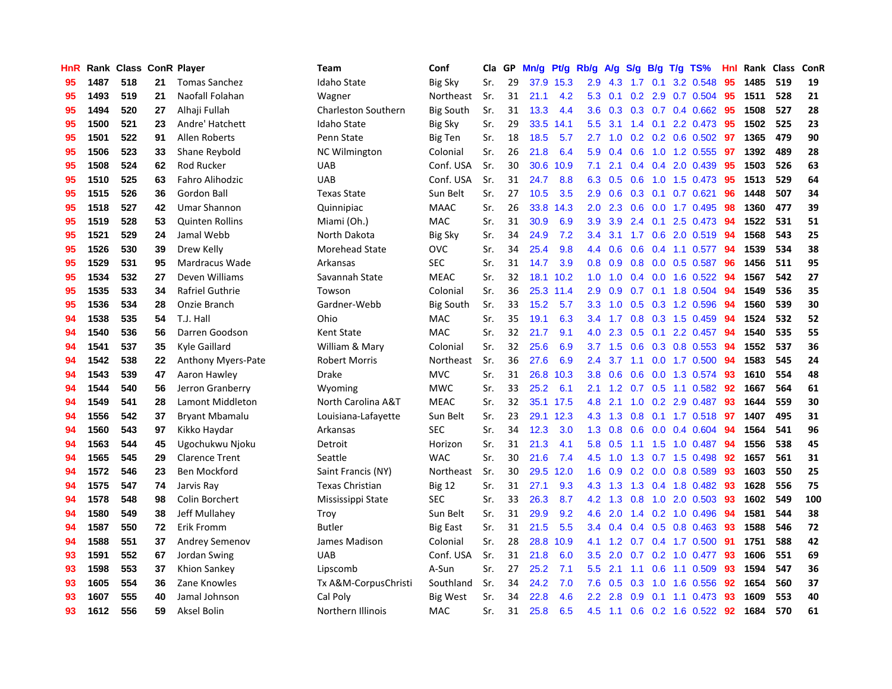| HnR |      | Rank Class ConR Player |    |                        | Team                       | Conf             | Cla | GP | Mn/g | Pt/g | Rb/g             | A/g | S/g           |     | $B/g$ T/g TS%            | <b>Hnl</b> | Rank Class |     | ConR |
|-----|------|------------------------|----|------------------------|----------------------------|------------------|-----|----|------|------|------------------|-----|---------------|-----|--------------------------|------------|------------|-----|------|
| 95  | 1487 | 518                    | 21 | <b>Tomas Sanchez</b>   | <b>Idaho State</b>         | <b>Big Sky</b>   | Sr. | 29 | 37.9 | 15.3 | 2.9              | 4.3 | 1.7           | 0.1 | 3.2 0.548                | 95         | 1485       | 519 | 19   |
| 95  | 1493 | 519                    | 21 | Naofall Folahan        | Wagner                     | Northeast        | Sr. | 31 | 21.1 | 4.2  | 5.3              | 0.1 |               |     | 0.2 2.9 0.7 0.504 95     |            | 1511       | 528 | 21   |
| 95  | 1494 | 520                    | 27 | Alhaji Fullah          | <b>Charleston Southern</b> | <b>Big South</b> | Sr. | 31 | 13.3 | 4.4  | 3.6              |     |               |     | 0.3 0.3 0.7 0.4 0.662 95 |            | 1508       | 527 | 28   |
| 95  | 1500 | 521                    | 23 | Andre' Hatchett        | Idaho State                | <b>Big Sky</b>   | Sr. | 29 | 33.5 | 14.1 | 5.5              | 3.1 |               |     | 1.4 0.1 2.2 0.473        | -95        | 1502       | 525 | 23   |
| 95  | 1501 | 522                    | 91 | <b>Allen Roberts</b>   | Penn State                 | Big Ten          | Sr. | 18 | 18.5 | 5.7  | 2.7              | 1.0 |               |     | 0.2 0.2 0.6 0.502 97     |            | 1365       | 479 | 90   |
| 95  | 1506 | 523                    | 33 | Shane Reybold          | <b>NC Wilmington</b>       | Colonial         | Sr. | 26 | 21.8 | 6.4  | 5.9              | 0.4 | 0.6           |     | 1.0 1.2 0.555            | 97         | 1392       | 489 | 28   |
| 95  | 1508 | 524                    | 62 | Rod Rucker             | <b>UAB</b>                 | Conf. USA        | Sr. | 30 | 30.6 | 10.9 | 7.1              | 2.1 | 0.4           |     | 0.4 2.0 0.439            | 95         | 1503       | 526 | 63   |
| 95  | 1510 | 525                    | 63 | Fahro Alihodzic        | <b>UAB</b>                 | Conf. USA        | Sr. | 31 | 24.7 | 8.8  | 6.3              | 0.5 | 0.6           |     | 1.0 1.5 0.473            | 95         | 1513       | 529 | 64   |
| 95  | 1515 | 526                    | 36 | Gordon Ball            | <b>Texas State</b>         | Sun Belt         | Sr. | 27 | 10.5 | 3.5  | 2.9              | 0.6 | 0.3           |     | $0.1$ 0.7 0.621          | 96         | 1448       | 507 | 34   |
| 95  | 1518 | 527                    | 42 | Umar Shannon           | Quinnipiac                 | <b>MAAC</b>      | Sr. | 26 | 33.8 | 14.3 | 2.0              | 2.3 | 0.6           |     | $0.0$ 1.7 $0.495$        | 98         | 1360       | 477 | 39   |
| 95  | 1519 | 528                    | 53 | <b>Quinten Rollins</b> | Miami (Oh.)                | <b>MAC</b>       | Sr. | 31 | 30.9 | 6.9  | 3.9 <sup>°</sup> | 3.9 |               |     | 2.4 0.1 2.5 0.473 94     |            | 1522       | 531 | 51   |
| 95  | 1521 | 529                    | 24 | Jamal Webb             | North Dakota               | Big Sky          | Sr. | 34 | 24.9 | 7.2  | 3.4              | 3.1 |               |     | 1.7 0.6 2.0 0.519 94     |            | 1568       | 543 | 25   |
| 95  | 1526 | 530                    | 39 | Drew Kelly             | <b>Morehead State</b>      | <b>OVC</b>       | Sr. | 34 | 25.4 | 9.8  | 4.4              | 0.6 | 0.6           |     | 0.4 1.1 0.577 94         |            | 1539       | 534 | 38   |
| 95  | 1529 | 531                    | 95 | Mardracus Wade         | Arkansas                   | <b>SEC</b>       | Sr. | 31 | 14.7 | 3.9  | 0.8              | 0.9 | 0.8           |     | $0.0$ 0.5 0.587          | 96         | 1456       | 511 | 95   |
| 95  | 1534 | 532                    | 27 | Deven Williams         | Savannah State             | <b>MEAC</b>      | Sr. | 32 | 18.1 | 10.2 | 1.0              | 1.0 |               |     | 0.4 0.0 1.6 0.522        | -94        | 1567       | 542 | 27   |
| 95  | 1535 | 533                    | 34 | <b>Rafriel Guthrie</b> | Towson                     | Colonial         | Sr. | 36 | 25.3 | 11.4 | 2.9              | 0.9 | 0.7           |     | 0.1 1.8 0.504            | 94         | 1549       | 536 | 35   |
| 95  | 1536 | 534                    | 28 | Onzie Branch           | Gardner-Webb               | <b>Big South</b> | Sr. | 33 | 15.2 | 5.7  | 3.3              | 1.0 | 0.5           |     | 0.3 1.2 0.596            | -94        | 1560       | 539 | 30   |
| 94  | 1538 | 535                    | 54 | T.J. Hall              | Ohio                       | MAC              | Sr. | 35 | 19.1 | 6.3  | 3.4              | 1.7 | 0.8           |     | $0.3$ 1.5 0.459          | 94         | 1524       | 532 | 52   |
| 94  | 1540 | 536                    | 56 | Darren Goodson         | <b>Kent State</b>          | <b>MAC</b>       | Sr. | 32 | 21.7 | 9.1  | 4.0              | 2.3 | 0.5           |     | 0.1 2.2 0.457 94         |            | 1540       | 535 | 55   |
| 94  | 1541 | 537                    | 35 | Kyle Gaillard          | William & Mary             | Colonial         | Sr. | 32 | 25.6 | 6.9  | 3.7              | 1.5 |               |     | 0.6 0.3 0.8 0.553 94     |            | 1552       | 537 | 36   |
| 94  | 1542 | 538                    | 22 | Anthony Myers-Pate     | Robert Morris              | Northeast        | Sr. | 36 | 27.6 | 6.9  | $2.4^{\circ}$    | 3.7 |               |     | 1.1 0.0 1.7 0.500        | -94        | 1583       | 545 | 24   |
| 94  | 1543 | 539                    | 47 | Aaron Hawley           | Drake                      | <b>MVC</b>       | Sr. | 31 | 26.8 | 10.3 | 3.8 <sub>2</sub> | 0.6 | 0.6           |     | 0.0 1.3 0.574            | -93        | 1610       | 554 | 48   |
| 94  | 1544 | 540                    | 56 | Jerron Granberry       | Wyoming                    | <b>MWC</b>       | Sr. | 33 | 25.2 | 6.1  | 2.1              | 1.2 | 0.7           |     | $0.5$ 1.1 0.582          | 92         | 1667       | 564 | 61   |
| 94  | 1549 | 541                    | 28 | Lamont Middleton       | North Carolina A&T         | <b>MEAC</b>      | Sr. | 32 | 35.1 | 17.5 | 4.8              | 2.1 | 1.0           |     | 0.2 2.9 0.487            | 93         | 1644       | 559 | 30   |
| 94  | 1556 | 542                    | 37 | <b>Bryant Mbamalu</b>  | Louisiana-Lafayette        | Sun Belt         | Sr. | 23 | 29.1 | 12.3 | 4.3              | 1.3 | 0.8           |     | $0.1$ 1.7 $0.518$        | -97        | 1407       | 495 | 31   |
| 94  | 1560 | 543                    | 97 | Kikko Haydar           | Arkansas                   | <b>SEC</b>       | Sr. | 34 | 12.3 | 3.0  | 1.3              | 0.8 | 0.6           |     | $0.0$ 0.4 0.604          | 94         | 1564       | 541 | 96   |
| 94  | 1563 | 544                    | 45 | Ugochukwu Njoku        | Detroit                    | Horizon          | Sr. | 31 | 21.3 | 4.1  | 5.8              | 0.5 |               |     | 1.1 1.5 1.0 0.487 94     |            | 1556       | 538 | 45   |
| 94  | 1565 | 545                    | 29 | <b>Clarence Trent</b>  | Seattle                    | <b>WAC</b>       | Sr. | 30 | 21.6 | 7.4  | 4.5              | 1.0 |               |     | 1.3 0.7 1.5 0.498 92     |            | 1657       | 561 | 31   |
| 94  | 1572 | 546                    | 23 | <b>Ben Mockford</b>    | Saint Francis (NY)         | Northeast        | Sr. | 30 | 29.5 | 12.0 | 1.6              | 0.9 |               |     | $0.2$ 0.0 0.8 0.589      | -93        | 1603       | 550 | 25   |
| 94  | 1575 | 547                    | 74 | Jarvis Ray             | <b>Texas Christian</b>     | <b>Big 12</b>    | Sr. | 31 | 27.1 | 9.3  | 4.3              | 1.3 | 1.3           |     | 0.4 1.8 0.482 93         |            | 1628       | 556 | 75   |
| 94  | 1578 | 548                    | 98 | Colin Borchert         | Mississippi State          | <b>SEC</b>       | Sr. | 33 | 26.3 | 8.7  | 4.2              | 1.3 | 0.8           |     | 1.0 2.0 0.503            | -93        | 1602       | 549 | 100  |
| 94  | 1580 | 549                    | 38 | Jeff Mullahev          | Troy                       | Sun Belt         | Sr. | 31 | 29.9 | 9.2  | 4.6              | 2.0 | $1.4^{\circ}$ |     | 0.2 1.0 0.496            | 94         | 1581       | 544 | 38   |
| 94  | 1587 | 550                    | 72 | Erik Fromm             | <b>Butler</b>              | <b>Big East</b>  | Sr. | 31 | 21.5 | 5.5  | 3.4              | 0.4 | 0.4           |     | $0.5$ 0.8 0.463          | 93         | 1588       | 546 | 72   |
| 94  | 1588 | 551                    | 37 | <b>Andrey Semenov</b>  | James Madison              | Colonial         | Sr. | 28 | 28.8 | 10.9 | 4.1              | 1.2 | 0.7           |     | $0.4$ 1.7 $0.500$        | -91        | 1751       | 588 | 42   |
| 93  | 1591 | 552                    | 67 | Jordan Swing           | <b>UAB</b>                 | Conf. USA        | Sr. | 31 | 21.8 | 6.0  | 3.5              | 2.0 | 0.7           |     | $0.2$ 1.0 0.477          | 93         | 1606       | 551 | 69   |
| 93  | 1598 | 553                    | 37 | Khion Sankey           | Lipscomb                   | A-Sun            | Sr. | 27 | 25.2 | 7.1  | 5.5              | 2.1 |               |     | 1.1 0.6 1.1 0.509        | -93        | 1594       | 547 | 36   |
| 93  | 1605 | 554                    | 36 | Zane Knowles           | Tx A&M-CorpusChristi       | Southland        | Sr. | 34 | 24.2 | 7.0  | 7.6              | 0.5 | 0.3           |     | 1.0 1.6 0.556            | -92        | 1654       | 560 | 37   |
| 93  | 1607 | 555                    | 40 | Jamal Johnson          | Cal Poly                   | Big West         | Sr. | 34 | 22.8 | 4.6  | $2.2^{\circ}$    | 2.8 | 0.9           |     | $0.1$ 1.1 $0.473$        | 93         | 1609       | 553 | 40   |
| 93  | 1612 | 556                    | 59 | <b>Aksel Bolin</b>     | Northern Illinois          | <b>MAC</b>       | Sr. | 31 | 25.8 | 6.5  | 4.5              | 1.1 |               |     | 0.6 0.2 1.6 0.522 92     |            | 1684       | 570 | 61   |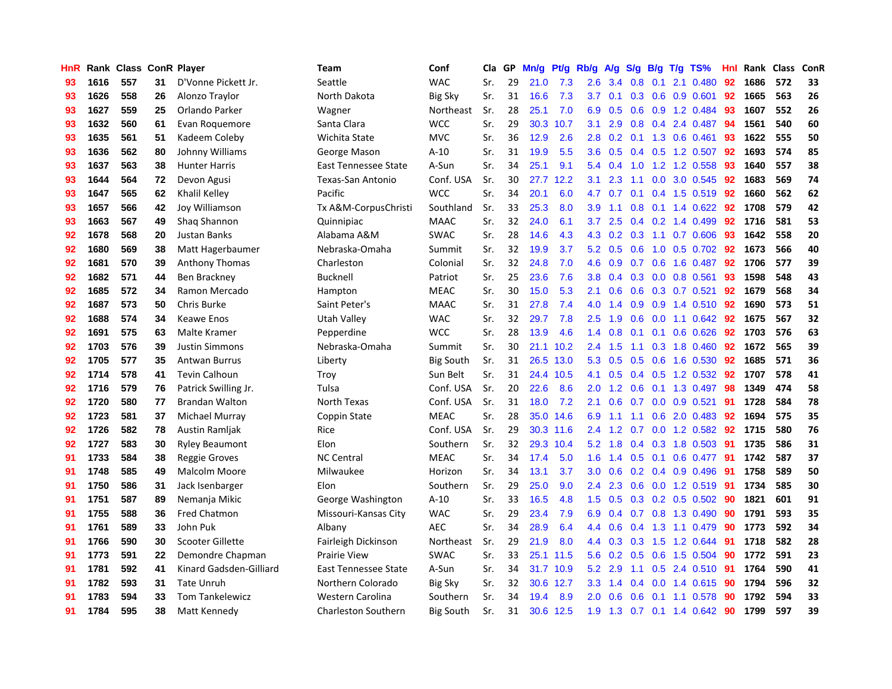| HnR |      | Rank Class ConR Player |    |                         | <b>Team</b>                | Conf             | Cla | GP. | Mn/g | Pt/g      | Rb/g             | A/g    | S/g           | B/g | T/g TS%                  | Hnl. | Rank | <b>Class</b> | ConR |
|-----|------|------------------------|----|-------------------------|----------------------------|------------------|-----|-----|------|-----------|------------------|--------|---------------|-----|--------------------------|------|------|--------------|------|
| 93  | 1616 | 557                    | 31 | D'Vonne Pickett Jr.     | Seattle                    | <b>WAC</b>       | Sr. | 29  | 21.0 | 7.3       | 2.6              | 3.4    | 0.8           | 0.1 | 2.1 0.480                | 92   | 1686 | 572          | 33   |
| 93  | 1626 | 558                    | 26 | Alonzo Traylor          | North Dakota               | <b>Big Sky</b>   | Sr. | 31  | 16.6 | 7.3       | 3.7 <sub>2</sub> | 0.1    |               |     | $0.3$ 0.6 0.9 0.601      | 92   | 1665 | 563          | 26   |
| 93  | 1627 | 559                    | 25 | Orlando Parker          | Wagner                     | Northeast        | Sr. | 28  | 25.1 | 7.0       | 6.9              | 0.5    |               |     | $0.6$ $0.9$ 1.2 $0.484$  | 93   | 1607 | 552          | 26   |
| 93  | 1632 | 560                    | 61 | Evan Roquemore          | Santa Clara                | <b>WCC</b>       | Sr. | 29  | 30.3 | 10.7      | 3.1              | 2.9    | 0.8           |     | $0.4$ 2.4 0.487          | -94  | 1561 | 540          | 60   |
| 93  | 1635 | 561                    | 51 | Kadeem Coleby           | Wichita State              | <b>MVC</b>       | Sr. | 36  | 12.9 | 2.6       | 2.8              | 0.2    | 0.1           |     | 1.3 0.6 0.461            | 93   | 1622 | 555          | 50   |
| 93  | 1636 | 562                    | 80 | Johnny Williams         | George Mason               | $A-10$           | Sr. | 31  | 19.9 | 5.5       | 3.6              | 0.5    |               |     | $0.4$ 0.5 1.2 0.507      | 92   | 1693 | 574          | 85   |
| 93  | 1637 | 563                    | 38 | <b>Hunter Harris</b>    | East Tennessee State       | A-Sun            | Sr. | 34  | 25.1 | 9.1       | 5.4              | 0.4    | 1.0           |     | 1.2 1.2 0.558            | 93   | 1640 | 557          | 38   |
| 93  | 1644 | 564                    | 72 | Devon Agusi             | Texas-San Antonio          | Conf. USA        | Sr. | 30  | 27.7 | 12.2      | 3.1              | 2.3    | 1.1           | 0.0 | 3.0 0.545                | 92   | 1683 | 569          | 74   |
| 93  | 1647 | 565                    | 62 | Khalil Kelley           | Pacific                    | <b>WCC</b>       | Sr. | 34  | 20.1 | 6.0       | 4.7              | 0.7    | 0.1           |     | 0.4 1.5 0.519            | -92  | 1660 | 562          | 62   |
| 93  | 1657 | 566                    | 42 | Joy Williamson          | Tx A&M-CorpusChristi       | Southland        | Sr. | 33  | 25.3 | 8.0       | 3.9 <sup>°</sup> | $-1.1$ | 0.8           |     | 0.1 1.4 0.622 92         |      | 1708 | 579          | 42   |
| 93  | 1663 | 567                    | 49 | Shaq Shannon            | Quinnipiac                 | <b>MAAC</b>      | Sr. | 32  | 24.0 | 6.1       | 3.7              | 2.5    |               |     | $0.4$ 0.2 1.4 0.499      | 92   | 1716 | 581          | 53   |
| 92  | 1678 | 568                    | 20 | Justan Banks            | Alabama A&M                | <b>SWAC</b>      | Sr. | 28  | 14.6 | 4.3       | 4.3              | 0.2    |               |     | $0.3$ 1.1 0.7 0.606      | -93  | 1642 | 558          | 20   |
| 92  | 1680 | 569                    | 38 | Matt Hagerbaumer        | Nebraska-Omaha             | Summit           | Sr. | 32  | 19.9 | 3.7       | 5.2              | 0.5    | 0.6           |     | 1.0 0.5 0.702            | 92   | 1673 | 566          | 40   |
| 92  | 1681 | 570                    | 39 | <b>Anthony Thomas</b>   | Charleston                 | Colonial         | Sr. | 32  | 24.8 | 7.0       | 4.6              | 0.9    | 0.7           |     | $0.6$ 1.6 0.487          | 92   | 1706 | 577          | 39   |
| 92  | 1682 | 571                    | 44 | Ben Brackney            | Bucknell                   | Patriot          | Sr. | 25  | 23.6 | 7.6       | 3.8              | 0.4    | 0.3           |     | $0.0$ 0.8 0.561          | 93   | 1598 | 548          | 43   |
| 92  | 1685 | 572                    | 34 | Ramon Mercado           | Hampton                    | <b>MEAC</b>      | Sr. | 30  | 15.0 | 5.3       | 2.1              | 0.6    | 0.6           |     | $0.3$ 0.7 0.521          | 92   | 1679 | 568          | 34   |
| 92  | 1687 | 573                    | 50 | Chris Burke             | Saint Peter's              | <b>MAAC</b>      | Sr. | 31  | 27.8 | 7.4       | 4.0              | 1.4    | 0.9           |     | $0.9$ 1.4 $0.510$        | -92  | 1690 | 573          | 51   |
| 92  | 1688 | 574                    | 34 | <b>Keawe Enos</b>       | Utah Valley                | <b>WAC</b>       | Sr. | 32  | 29.7 | 7.8       | 2.5              | 1.9    | 0.6           |     | $0.0$ 1.1 $0.642$        | -92  | 1675 | 567          | 32   |
| 92  | 1691 | 575                    | 63 | Malte Kramer            | Pepperdine                 | <b>WCC</b>       | Sr. | 28  | 13.9 | 4.6       | 1.4              | 0.8    | 0.1           |     | $0.1$ 0.6 0.626          | 92   | 1703 | 576          | 63   |
| 92  | 1703 | 576                    | 39 | <b>Justin Simmons</b>   | Nebraska-Omaha             | Summit           | Sr. | 30  | 21.1 | 10.2      | $2.4^{\circ}$    | 1.5    |               |     | 1.1 0.3 1.8 0.460        | 92   | 1672 | 565          | 39   |
| 92  | 1705 | 577                    | 35 | <b>Antwan Burrus</b>    | Liberty                    | <b>Big South</b> | Sr. | 31  | 26.5 | 13.0      | 5.3              | 0.5    | 0.5           |     | 0.6 1.6 0.530            | 92   | 1685 | 571          | 36   |
| 92  | 1714 | 578                    | 41 | <b>Tevin Calhoun</b>    | Troy                       | Sun Belt         | Sr. | 31  | 24.4 | 10.5      | 4.1              | 0.5    |               |     | 0.4 0.5 1.2 0.532        | 92   | 1707 | 578          | 41   |
| 92  | 1716 | 579                    | 76 | Patrick Swilling Jr.    | Tulsa                      | Conf. USA        | Sr. | 20  | 22.6 | 8.6       | 2.0              | 1.2    | 0.6           |     | $0.1$ 1.3 0.497          | 98   | 1349 | 474          | 58   |
| 92  | 1720 | 580                    | 77 | <b>Brandan Walton</b>   | North Texas                | Conf. USA        | Sr. | 31  | 18.0 | 7.2       | 2.1              | 0.6    | 0.7           |     | $0.0$ $0.9$ $0.521$      | -91  | 1728 | 584          | 78   |
| 92  | 1723 | 581                    | 37 | Michael Murray          | Coppin State               | <b>MEAC</b>      | Sr. | 28  | 35.0 | 14.6      | 6.9              | 1.1    | 1.1           | 0.6 | 2.0 0.483                | 92   | 1694 | 575          | 35   |
| 92  | 1726 | 582                    | 78 | Austin Ramljak          | Rice                       | Conf. USA        | Sr. | 29  | 30.3 | 11.6      | 2.4              | 1.2    | 0.7           |     | $0.0$ 1.2 0.582          | 92   | 1715 | 580          | 76   |
| 92  | 1727 | 583                    | 30 | <b>Ryley Beaumont</b>   | Elon                       | Southern         | Sr. | 32  | 29.3 | 10.4      | 5.2              | 1.8    |               |     | 0.4 0.3 1.8 0.503 91     |      | 1735 | 586          | 31   |
| 91  | 1733 | 584                    | 38 | <b>Reggie Groves</b>    | <b>NC Central</b>          | <b>MEAC</b>      | Sr. | 34  | 17.4 | 5.0       | 1.6              |        |               |     | 1.4 0.5 0.1 0.6 0.477 91 |      | 1742 | 587          | 37   |
| 91  | 1748 | 585                    | 49 | Malcolm Moore           | Milwaukee                  | Horizon          | Sr. | 34  | 13.1 | 3.7       | 3.0 <sub>1</sub> | 0.6    |               |     | $0.2$ 0.4 0.9 0.496      | -91  | 1758 | 589          | 50   |
| 91  | 1750 | 586                    | 31 | Jack Isenbarger         | Elon                       | Southern         | Sr. | 29  | 25.0 | 9.0       | $2.4^{\circ}$    | 2.3    | 0.6           |     | 0.0 1.2 0.519            | -91  | 1734 | 585          | 30   |
| 91  | 1751 | 587                    | 89 | Nemanja Mikic           | George Washington          | $A-10$           | Sr. | 33  | 16.5 | 4.8       | 1.5              | 0.5    |               |     | $0.3$ 0.2 0.5 0.502      | -90  | 1821 | 601          | 91   |
| 91  | 1755 | 588                    | 36 | Fred Chatmon            | Missouri-Kansas City       | <b>WAC</b>       | Sr. | 29  | 23.4 | 7.9       | 6.9              | 0.4    |               |     | 0.7 0.8 1.3 0.490        | 90   | 1791 | 593          | 35   |
| 91  | 1761 | 589                    | 33 | John Puk                | Albany                     | <b>AEC</b>       | Sr. | 34  | 28.9 | 6.4       | $4.4^{\circ}$    | 0.6    | 0.4           |     | 1.3 1.1 0.479            | 90   | 1773 | 592          | 34   |
| 91  | 1766 | 590                    | 30 | <b>Scooter Gillette</b> | Fairleigh Dickinson        | Northeast        | Sr. | 29  | 21.9 | 8.0       | 4.4              | 0.3    | 0.3           |     | 1.5 1.2 0.644            | 91   | 1718 | 582          | 28   |
| 91  | 1773 | 591                    | 22 | Demondre Chapman        | <b>Prairie View</b>        | <b>SWAC</b>      | Sr. | 33  | 25.1 | 11.5      | 5.6              | 0.2    | 0.5           |     | 0.6 1.5 0.504            | 90   | 1772 | 591          | 23   |
| 91  | 1781 | 592                    | 41 | Kinard Gadsden-Gilliard | East Tennessee State       | A-Sun            | Sr. | 34  |      | 31.7 10.9 | 5.2              | 2.9    | 1.1           |     | 0.5 2.4 0.510 91         |      | 1764 | 590          | 41   |
| 91  | 1782 | 593                    | 31 | <b>Tate Unruh</b>       | Northern Colorado          | <b>Big Sky</b>   | Sr. | 32  | 30.6 | 12.7      | 3.3 <sub>2</sub> | 1.4    | $0.4^{\circ}$ |     | $0.0$ 1.4 $0.615$        | 90   | 1794 | 596          | 32   |
| 91  | 1783 | 594                    | 33 | <b>Tom Tankelewicz</b>  | Western Carolina           | Southern         | Sr. | 34  | 19.4 | 8.9       | 2.0 <sub>1</sub> | 0.6    | 0.6           | 0.1 | 1.1 0.578                | -90  | 1792 | 594          | 33   |
| 91  | 1784 | 595                    | 38 | Matt Kennedy            | <b>Charleston Southern</b> | <b>Big South</b> | Sr. | 31  | 30.6 | 12.5      | 1.9              | 1.3    |               |     | $0.7$ 0.1 1.4 0.642      | 90   | 1799 | 597          | 39   |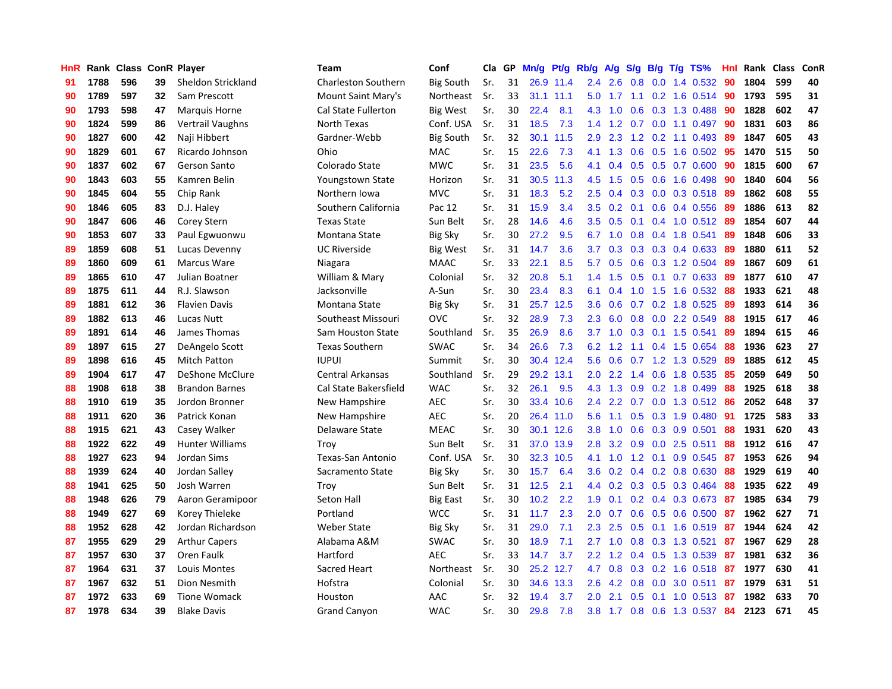| HnR |      | Rank Class ConR Player |    |                        | <b>Team</b>                | Conf             | Cla | GP | Mn/g | Pt/g | Rb/g             | A/g           | S/g |     | B/g T/g TS%               | Hnl | Rank Class |     | ConR |
|-----|------|------------------------|----|------------------------|----------------------------|------------------|-----|----|------|------|------------------|---------------|-----|-----|---------------------------|-----|------------|-----|------|
| 91  | 1788 | 596                    | 39 | Sheldon Strickland     | <b>Charleston Southern</b> | <b>Big South</b> | Sr. | 31 | 26.9 | 11.4 | 2.4              | 2.6           | 0.8 |     | $0.0$ 1.4 $0.532$         | 90  | 1804       | 599 | 40   |
| 90  | 1789 | 597                    | 32 | Sam Prescott           | Mount Saint Mary's         | Northeast        | Sr. | 33 | 31.1 | 11.1 | 5.0              |               |     |     | 1.7 1.1 0.2 1.6 0.514 90  |     | 1793       | 595 | 31   |
| 90  | 1793 | 598                    | 47 | <b>Marquis Horne</b>   | <b>Cal State Fullerton</b> | <b>Big West</b>  | Sr. | 30 | 22.4 | 8.1  | 4.3              | 1.0           |     |     | 0.6 0.3 1.3 0.488 90      |     | 1828       | 602 | 47   |
| 90  | 1824 | 599                    | 86 | Vertrail Vaughns       | North Texas                | Conf. USA        | Sr. | 31 | 18.5 | 7.3  | 1.4              | $1.2^{\circ}$ |     |     | $0.7$ $0.0$ 1.1 $0.497$   | -90 | 1831       | 603 | 86   |
| 90  | 1827 | 600                    | 42 | Naji Hibbert           | Gardner-Webb               | <b>Big South</b> | Sr. | 32 | 30.1 | 11.5 | 2.9              | 2.3           |     |     | 1.2 0.2 1.1 0.493         | -89 | 1847       | 605 | 43   |
| 90  | 1829 | 601                    | 67 | Ricardo Johnson        | Ohio                       | <b>MAC</b>       | Sr. | 15 | 22.6 | 7.3  | 4.1              | 1.3           | 0.6 |     | $0.5$ 1.6 0.502           | -95 | 1470       | 515 | 50   |
| 90  | 1837 | 602                    | 67 | Gerson Santo           | Colorado State             | <b>MWC</b>       | Sr. | 31 | 23.5 | 5.6  | 4.1              | 0.4           |     |     | 0.5 0.5 0.7 0.600         | 90  | 1815       | 600 | 67   |
| 90  | 1843 | 603                    | 55 | Kamren Belin           | Youngstown State           | Horizon          | Sr. | 31 | 30.5 | 11.3 | 4.5              | 1.5           | 0.5 |     | 0.6 1.6 0.498             | 90  | 1840       | 604 | 56   |
| 90  | 1845 | 604                    | 55 | Chip Rank              | Northern Iowa              | <b>MVC</b>       | Sr. | 31 | 18.3 | 5.2  | 2.5              | 0.4           | 0.3 |     | 0.0 0.3 0.518 89          |     | 1862       | 608 | 55   |
| 90  | 1846 | 605                    | 83 | D.J. Haley             | Southern California        | Pac 12           | Sr. | 31 | 15.9 | 3.4  | 3.5              | 0.2           | 0.1 |     | 0.6 0.4 0.556 89          |     | 1886       | 613 | 82   |
| 90  | 1847 | 606                    | 46 | Corey Stern            | <b>Texas State</b>         | Sun Belt         | Sr. | 28 | 14.6 | 4.6  | 3.5              | 0.5           |     |     | 0.1 0.4 1.0 0.512 89      |     | 1854       | 607 | 44   |
| 90  | 1853 | 607                    | 33 | Paul Egwuonwu          | Montana State              | <b>Big Sky</b>   | Sr. | 30 | 27.2 | 9.5  | 6.7              | 1.0           |     |     | 0.8 0.4 1.8 0.541         | -89 | 1848       | 606 | 33   |
| 89  | 1859 | 608                    | 51 | Lucas Devenny          | <b>UC Riverside</b>        | Big West         | Sr. | 31 | 14.7 | 3.6  | 3.7              | 0.3           |     |     | $0.3$ 0.3 0.4 0.633       | -89 | 1880       | 611 | 52   |
| 89  | 1860 | 609                    | 61 | Marcus Ware            | Niagara                    | MAAC             | Sr. | 33 | 22.1 | 8.5  | 5.7              | 0.5           | 0.6 |     | 0.3 1.2 0.504             | -89 | 1867       | 609 | 61   |
| 89  | 1865 | 610                    | 47 | Julian Boatner         | William & Mary             | Colonial         | Sr. | 32 | 20.8 | 5.1  | 1.4              | 1.5           | 0.5 |     | $0.1$ 0.7 0.633           | -89 | 1877       | 610 | 47   |
| 89  | 1875 | 611                    | 44 | R.J. Slawson           | Jacksonville               | A-Sun            | Sr. | 30 | 23.4 | 8.3  | 6.1              | 0.4           | 1.0 | 1.5 | 1.6 0.532                 | 88  | 1933       | 621 | 48   |
| 89  | 1881 | 612                    | 36 | <b>Flavien Davis</b>   | Montana State              | <b>Big Sky</b>   | Sr. | 31 | 25.7 | 12.5 | 3.6              | 0.6           | 0.7 |     | 0.2 1.8 0.525             | 89  | 1893       | 614 | 36   |
| 89  | 1882 | 613                    | 46 | Lucas Nutt             | Southeast Missouri         | <b>OVC</b>       | Sr. | 32 | 28.9 | 7.3  | 2.3              | 6.0           | 0.8 |     | 0.0 2.2 0.549             | 88  | 1915       | 617 | 46   |
| 89  | 1891 | 614                    | 46 | James Thomas           | Sam Houston State          | Southland        | Sr. | 35 | 26.9 | 8.6  | 3.7              | 1.0           |     |     | 0.3 0.1 1.5 0.541         | -89 | 1894       | 615 | 46   |
| 89  | 1897 | 615                    | 27 | DeAngelo Scott         | <b>Texas Southern</b>      | <b>SWAC</b>      | Sr. | 34 | 26.6 | 7.3  | 6.2              | 1.2           |     |     | 1.1 0.4 1.5 0.654         | 88  | 1936       | 623 | 27   |
| 89  | 1898 | 616                    | 45 | <b>Mitch Patton</b>    | <b>IUPUI</b>               | Summit           | Sr. | 30 | 30.4 | 12.4 | 5.6              | 0.6           |     |     | $0.7$ 1.2 1.3 0.529       | -89 | 1885       | 612 | 45   |
| 89  | 1904 | 617                    | 47 | DeShone McClure        | Central Arkansas           | Southland        | Sr. | 29 | 29.2 | 13.1 | 2.0              | 2.2           | 1.4 |     | 0.6 1.8 0.535             | 85  | 2059       | 649 | 50   |
| 88  | 1908 | 618                    | 38 | <b>Brandon Barnes</b>  | Cal State Bakersfield      | <b>WAC</b>       | Sr. | 32 | 26.1 | 9.5  | 4.3              | 1.3           | 0.9 |     | 0.2 1.8 0.499             | 88  | 1925       | 618 | 38   |
| 88  | 1910 | 619                    | 35 | Jordon Bronner         | New Hampshire              | <b>AEC</b>       | Sr. | 30 | 33.4 | 10.6 | 2.4              | 2.2           | 0.7 |     | $0.0$ 1.3 0.512           | -86 | 2052       | 648 | 37   |
| 88  | 1911 | 620                    | 36 | Patrick Konan          | New Hampshire              | <b>AEC</b>       | Sr. | 20 | 26.4 | 11.0 | 5.6              | 1.1           | 0.5 |     | 0.3 1.9 0.480             | 91  | 1725       | 583 | 33   |
| 88  | 1915 | 621                    | 43 | Casey Walker           | Delaware State             | <b>MEAC</b>      | Sr. | 30 | 30.1 | 12.6 | 3.8              | 1.0           | 0.6 |     | 0.3 0.9 0.501             | 88  | 1931       | 620 | 43   |
| 88  | 1922 | 622                    | 49 | <b>Hunter Williams</b> | Troy                       | Sun Belt         | Sr. | 31 | 37.0 | 13.9 | 2.8              | 3.2           | 0.9 |     | $0.0$ 2.5 0.511           | 88  | 1912       | 616 | 47   |
| 88  | 1927 | 623                    | 94 | Jordan Sims            | Texas-San Antonio          | Conf. USA        | Sr. | 30 | 32.3 | 10.5 | 4.1              |               |     |     | 1.0 1.2 0.1 0.9 0.545 87  |     | 1953       | 626 | 94   |
| 88  | 1939 | 624                    | 40 | Jordan Salley          | Sacramento State           | <b>Big Sky</b>   | Sr. | 30 | 15.7 | 6.4  | $3.6^{\circ}$    | 0.2           |     |     | $0.4$ 0.2 0.8 0.630       | -88 | 1929       | 619 | 40   |
| 88  | 1941 | 625                    | 50 | Josh Warren            | Troy                       | Sun Belt         | Sr. | 31 | 12.5 | 2.1  | 4.4              | 0.2           |     |     | $0.3$ $0.5$ $0.3$ $0.464$ | 88  | 1935       | 622 | 49   |
| 88  | 1948 | 626                    | 79 | Aaron Geramipoor       | Seton Hall                 | Big East         | Sr. | 30 | 10.2 | 2.2  | 1.9              | 0.1           |     |     | 0.2 0.4 0.3 0.673 87      |     | 1985       | 634 | 79   |
| 88  | 1949 | 627                    | 69 | Korey Thieleke         | Portland                   | <b>WCC</b>       | Sr. | 31 | 11.7 | 2.3  | 2.0              | 0.7           | 0.6 |     | $0.5$ 0.6 0.500           | 87  | 1962       | 627 | 71   |
| 88  | 1952 | 628                    | 42 | Jordan Richardson      | <b>Weber State</b>         | <b>Big Sky</b>   | Sr. | 31 | 29.0 | 7.1  | 2.3              | 2.5           | 0.5 |     | $0.1$ 1.6 $0.519$         | -87 | 1944       | 624 | 42   |
| 87  | 1955 | 629                    | 29 | <b>Arthur Capers</b>   | Alabama A&M                | <b>SWAC</b>      | Sr. | 30 | 18.9 | 7.1  |                  | $2.7$ 1.0     | 0.8 |     | 0.3 1.3 0.521             | 87  | 1967       | 629 | 28   |
| 87  | 1957 | 630                    | 37 | Oren Faulk             | Hartford                   | <b>AEC</b>       | Sr. | 33 | 14.7 | 3.7  | 2.2              | 1.2           | 0.4 |     | 0.5 1.3 0.539             | -87 | 1981       | 632 | 36   |
| 87  | 1964 | 631                    | 37 | Louis Montes           | Sacred Heart               | Northeast        | Sr. | 30 | 25.2 | 12.7 | 4.7              | 0.8           |     |     | 0.3 0.2 1.6 0.518 87      |     | 1977       | 630 | 41   |
| 87  | 1967 | 632                    | 51 | Dion Nesmith           | Hofstra                    | Colonial         | Sr. | 30 | 34.6 | 13.3 | $2.6^{\circ}$    | 4.2           | 0.8 |     | $0.0$ 3.0 $0.511$         | -87 | 1979       | 631 | 51   |
| 87  | 1972 | 633                    | 69 | <b>Tione Womack</b>    | Houston                    | AAC              | Sr. | 32 | 19.4 | 3.7  | 2.0 <sub>1</sub> | 2.1           | 0.5 |     | $0.1$ 1.0 0.513           | -87 | 1982       | 633 | 70   |
| 87  | 1978 | 634                    | 39 | <b>Blake Davis</b>     | <b>Grand Canyon</b>        | <b>WAC</b>       | Sr. | 30 | 29.8 | 7.8  | 3.8 <sub>2</sub> |               |     |     | 1.7 0.8 0.6 1.3 0.537 84  |     | 2123       | 671 | 45   |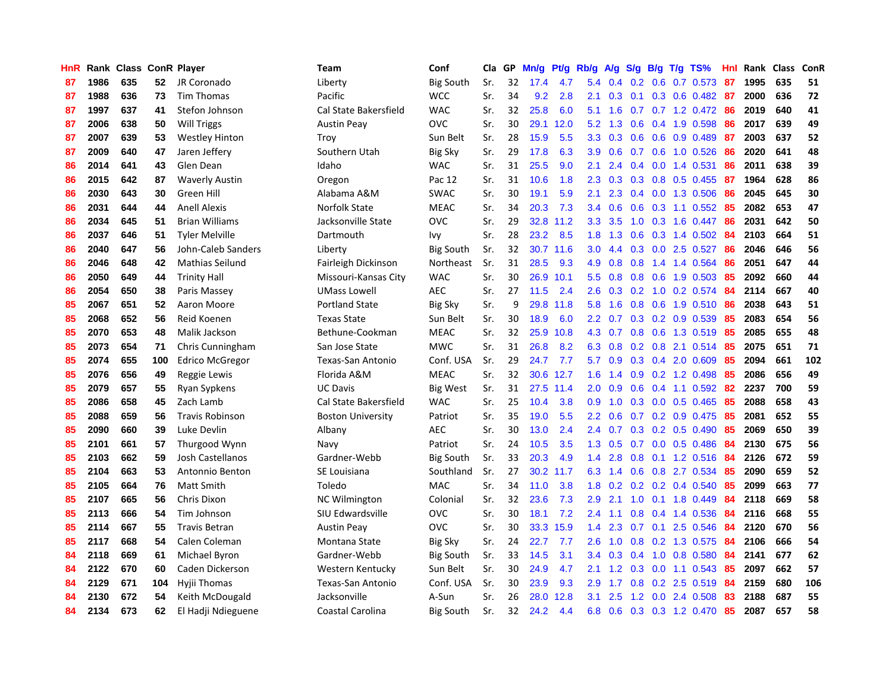| HnR |      | Rank Class ConR Player |     |                        | <b>Team</b>              | Conf             | Cla | GP | Mn/g | <b>Pt/g</b> | Rb/g             | A/g | S/g              | B/g | $T/g$ TS%               | Hnl | Rank | <b>Class</b> | ConR |
|-----|------|------------------------|-----|------------------------|--------------------------|------------------|-----|----|------|-------------|------------------|-----|------------------|-----|-------------------------|-----|------|--------------|------|
| 87  | 1986 | 635                    | 52  | JR Coronado            | Liberty                  | <b>Big South</b> | Sr. | 32 | 17.4 | 4.7         | 5.4              | 0.4 | 0.2              | 0.6 | $0.7$ 0.573             | -87 | 1995 | 635          | 51   |
| 87  | 1988 | 636                    | 73  | <b>Tim Thomas</b>      | Pacific                  | <b>WCC</b>       | Sr. | 34 | 9.2  | 2.8         | 2.1              | 0.3 | 0.1              |     | 0.3 0.6 0.482 87        |     | 2000 | 636          | 72   |
| 87  | 1997 | 637                    | 41  | Stefon Johnson         | Cal State Bakersfield    | <b>WAC</b>       | Sr. | 32 | 25.8 | 6.0         | 5.1              | 1.6 |                  |     | 0.7 0.7 1.2 0.472 86    |     | 2019 | 640          | 41   |
| 87  | 2006 | 638                    | 50  | <b>Will Triggs</b>     | <b>Austin Peay</b>       | OVC              | Sr. | 30 | 29.1 | 12.0        | 5.2              | 1.3 | 0.6 <sup>°</sup> |     | 0.4 1.9 0.598           | -86 | 2017 | 639          | 49   |
| 87  | 2007 | 639                    | 53  | <b>Westley Hinton</b>  | Troy                     | Sun Belt         | Sr. | 28 | 15.9 | 5.5         | 3.3              | 0.3 | 0.6              |     | 0.6 0.9 0.489           | -87 | 2003 | 637          | 52   |
| 87  | 2009 | 640                    | 47  | Jaren Jeffery          | Southern Utah            | <b>Big Sky</b>   | Sr. | 29 | 17.8 | 6.3         | 3.9              | 0.6 |                  |     | 0.7 0.6 1.0 0.526       | 86  | 2020 | 641          | 48   |
| 86  | 2014 | 641                    | 43  | Glen Dean              | Idaho                    | <b>WAC</b>       | Sr. | 31 | 25.5 | 9.0         | 2.1              | 2.4 | $0.4^{\circ}$    |     | $0.0$ 1.4 $0.531$       | 86  | 2011 | 638          | 39   |
| 86  | 2015 | 642                    | 87  | <b>Waverly Austin</b>  | Oregon                   | Pac 12           | Sr. | 31 | 10.6 | 1.8         | 2.3              | 0.3 | 0.3              |     | $0.8$ 0.5 0.455         | -87 | 1964 | 628          | 86   |
| 86  | 2030 | 643                    | 30  | Green Hill             | Alabama A&M              | <b>SWAC</b>      | Sr. | 30 | 19.1 | 5.9         | 2.1              | 2.3 | 0.4              |     | 0.0 1.3 0.506           | 86  | 2045 | 645          | 30   |
| 86  | 2031 | 644                    | 44  | <b>Anell Alexis</b>    | Norfolk State            | <b>MEAC</b>      | Sr. | 34 | 20.3 | 7.3         | 3.4              | 0.6 | 0.6              |     | 0.3 1.1 0.552 85        |     | 2082 | 653          | 47   |
| 86  | 2034 | 645                    | 51  | <b>Brian Williams</b>  | Jacksonville State       | <b>OVC</b>       | Sr. | 29 | 32.8 | 11.2        | 3.3 <sub>2</sub> | 3.5 |                  |     | 1.0 0.3 1.6 0.447 86    |     | 2031 | 642          | 50   |
| 86  | 2037 | 646                    | 51  | <b>Tyler Melville</b>  | Dartmouth                | Ivy              | Sr. | 28 | 23.2 | 8.5         | 1.8              | 1.3 |                  |     | 0.6 0.3 1.4 0.502 84    |     | 2103 | 664          | 51   |
| 86  | 2040 | 647                    | 56  | John-Caleb Sanders     | Liberty                  | <b>Big South</b> | Sr. | 32 | 30.7 | 11.6        | 3.0 <sub>2</sub> | 4.4 | 0.3              |     | 0.0 2.5 0.527           | -86 | 2046 | 646          | 56   |
| 86  | 2046 | 648                    | 42  | Mathias Seilund        | Fairleigh Dickinson      | Northeast        | Sr. | 31 | 28.5 | 9.3         | 4.9              | 0.8 | 0.8              |     | 1.4 1.4 0.564           | 86  | 2051 | 647          | 44   |
| 86  | 2050 | 649                    | 44  | <b>Trinity Hall</b>    | Missouri-Kansas City     | <b>WAC</b>       | Sr. | 30 | 26.9 | 10.1        | 5.5              | 0.8 | 0.8              |     | 0.6 1.9 0.503           | -85 | 2092 | 660          | 44   |
| 86  | 2054 | 650                    | 38  | Paris Massey           | <b>UMass Lowell</b>      | <b>AEC</b>       | Sr. | 27 | 11.5 | 2.4         | 2.6              | 0.3 |                  |     | 0.2 1.0 0.2 0.574       | 84  | 2114 | 667          | 40   |
| 85  | 2067 | 651                    | 52  | Aaron Moore            | <b>Portland State</b>    | Big Sky          | Sr. | 9  | 29.8 | 11.8        | 5.8              | 1.6 | 0.8              |     | 0.6 1.9 0.510           | -86 | 2038 | 643          | 51   |
| 85  | 2068 | 652                    | 56  | Reid Koenen            | <b>Texas State</b>       | Sun Belt         | Sr. | 30 | 18.9 | 6.0         | $2.2^{\circ}$    | 0.7 | 0.3              |     | $0.2$ 0.9 0.539         | -85 | 2083 | 654          | 56   |
| 85  | 2070 | 653                    | 48  | Malik Jackson          | Bethune-Cookman          | <b>MEAC</b>      | Sr. | 32 | 25.9 | 10.8        | 4.3              | 0.7 |                  |     | 0.8 0.6 1.3 0.519       | -85 | 2085 | 655          | 48   |
| 85  | 2073 | 654                    | 71  | Chris Cunningham       | San Jose State           | <b>MWC</b>       | Sr. | 31 | 26.8 | 8.2         | 6.3              | 0.8 |                  |     | 0.2 0.8 2.1 0.514 85    |     | 2075 | 651          | 71   |
| 85  | 2074 | 655                    | 100 | <b>Edrico McGregor</b> | Texas-San Antonio        | Conf. USA        | Sr. | 29 | 24.7 | 7.7         | 5.7              | 0.9 |                  |     | $0.3$ 0.4 2.0 0.609     | 85  | 2094 | 661          | 102  |
| 85  | 2076 | 656                    | 49  | Reggie Lewis           | Florida A&M              | MEAC             | Sr. | 32 | 30.6 | 12.7        | 1.6              | 1.4 | 0.9 <sup>°</sup> |     | 0.2 1.2 0.498           | 85  | 2086 | 656          | 49   |
| 85  | 2079 | 657                    | 55  | Ryan Sypkens           | <b>UC Davis</b>          | Big West         | Sr. | 31 | 27.5 | 11.4        | 2.0              | 0.9 | 0.6              |     | $0.4$ 1.1 0.592         | -82 | 2237 | 700          | 59   |
| 85  | 2086 | 658                    | 45  | Zach Lamb              | Cal State Bakersfield    | <b>WAC</b>       | Sr. | 25 | 10.4 | 3.8         | 0.9              | 1.0 | 0.3 <sub>0</sub> |     | $0.0$ $0.5$ $0.465$     | 85  | 2088 | 658          | 43   |
| 85  | 2088 | 659                    | 56  | <b>Travis Robinson</b> | <b>Boston University</b> | Patriot          | Sr. | 35 | 19.0 | 5.5         | $2.2^{\circ}$    | 0.6 | 0.7              |     | $0.2$ 0.9 0.475         | 85  | 2081 | 652          | 55   |
| 85  | 2090 | 660                    | 39  | Luke Devlin            | Albany                   | <b>AEC</b>       | Sr. | 30 | 13.0 | 2.4         | 2.4              | 0.7 | 0.3              |     | $0.2$ 0.5 0.490         | 85  | 2069 | 650          | 39   |
| 85  | 2101 | 661                    | 57  | Thurgood Wynn          | Navy                     | Patriot          | Sr. | 24 | 10.5 | 3.5         | 1.3              | 0.5 |                  |     | $0.7$ 0.0 0.5 0.486     | -84 | 2130 | 675          | 56   |
| 85  | 2103 | 662                    | 59  | Josh Castellanos       | Gardner-Webb             | <b>Big South</b> | Sr. | 33 | 20.3 | 4.9         | 1.4              | 2.8 |                  |     | 0.8 0.1 1.2 0.516 84    |     | 2126 | 672          | 59   |
| 85  | 2104 | 663                    | 53  | Antonnio Benton        | SE Louisiana             | Southland        | Sr. | 27 | 30.2 | 11.7        | 6.3              | 1.4 |                  |     | $0.6$ $0.8$ 2.7 $0.534$ | -85 | 2090 | 659          | 52   |
| 85  | 2105 | 664                    | 76  | Matt Smith             | Toledo                   | <b>MAC</b>       | Sr. | 34 | 11.0 | 3.8         | 1.8              | 0.2 |                  |     | $0.2$ 0.2 0.4 0.540     | 85  | 2099 | 663          | 77   |
| 85  | 2107 | 665                    | 56  | Chris Dixon            | <b>NC Wilmington</b>     | Colonial         | Sr. | 32 | 23.6 | 7.3         | 2.9              | 2.1 | 1.0              |     | $0.1$ 1.8 $0.449$       | 84  | 2118 | 669          | 58   |
| 85  | 2113 | 666                    | 54  | Tim Johnson            | SIU Edwardsville         | <b>OVC</b>       | Sr. | 30 | 18.1 | 7.2         | 2.4              | 1.1 | 0.8              |     | 0.4 1.4 0.536           | 84  | 2116 | 668          | 55   |
| 85  | 2114 | 667                    | 55  | <b>Travis Betran</b>   | <b>Austin Peay</b>       | <b>OVC</b>       | Sr. | 30 | 33.3 | 15.9        | 1.4              | 2.3 | 0.7              | 0.1 | 2.5 0.546               | 84  | 2120 | 670          | 56   |
| 85  | 2117 | 668                    | 54  | Calen Coleman          | Montana State            | <b>Big Sky</b>   | Sr. | 24 | 22.7 | 7.7         | 2.6              | 1.0 | 0.8              |     | $0.2$ 1.3 0.575         | 84  | 2106 | 666          | 54   |
| 84  | 2118 | 669                    | 61  | Michael Byron          | Gardner-Webb             | <b>Big South</b> | Sr. | 33 | 14.5 | 3.1         | 3.4              | 0.3 | 0.4              |     | 1.0 0.8 0.580           | -84 | 2141 | 677          | 62   |
| 84  | 2122 | 670                    | 60  | Caden Dickerson        | Western Kentucky         | Sun Belt         | Sr. | 30 | 24.9 | 4.7         | 2.1              |     | $1.2 \quad 0.3$  |     | $0.0$ 1.1 0.543         | -85 | 2097 | 662          | 57   |
| 84  | 2129 | 671                    | 104 | Hyjii Thomas           | <b>Texas-San Antonio</b> | Conf. USA        | Sr. | 30 | 23.9 | 9.3         | 2.9              | 1.7 |                  |     | $0.8$ 0.2 2.5 0.519     | -84 | 2159 | 680          | 106  |
| 84  | 2130 | 672                    | 54  | Keith McDougald        | Jacksonville             | A-Sun            | Sr. | 26 | 28.0 | 12.8        | 3.1              | 2.5 | 1.2              |     | $0.0$ 2.4 $0.508$       | -83 | 2188 | 687          | 55   |
| 84  | 2134 | 673                    | 62  | El Hadji Ndieguene     | Coastal Carolina         | <b>Big South</b> | Sr. | 32 | 24.2 | 4.4         | 6.8              | 0.6 |                  |     | $0.3$ $0.3$ 1.2 $0.470$ | 85  | 2087 | 657          | 58   |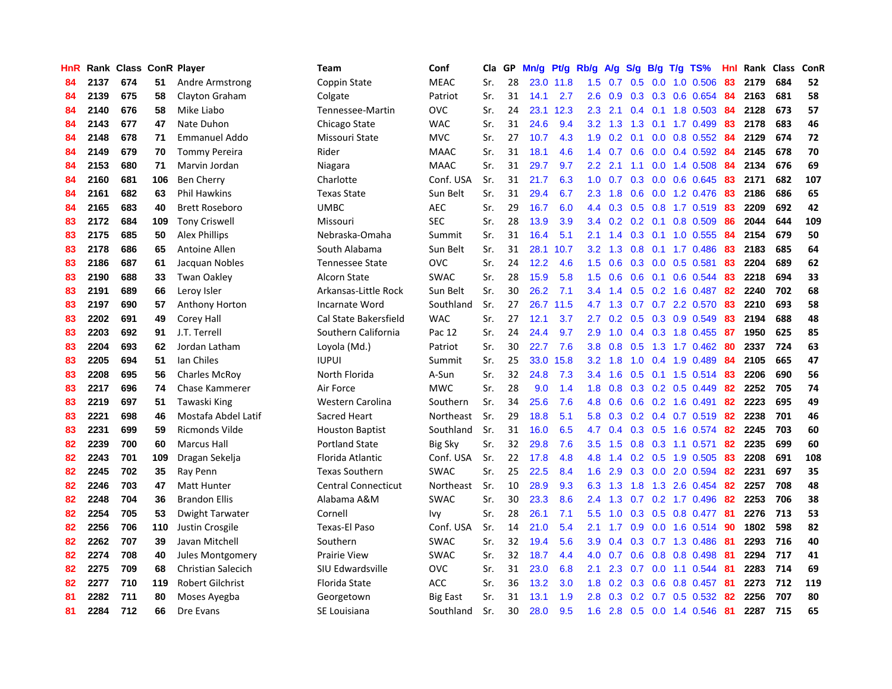| HnR |      | Rank Class ConR Player |     |                           | <b>Team</b>                | Conf           | Cla | GP | Mn/g | Pt/g | Rb/g             | <b>A/g</b> | S/g |  | B/g T/g TS%              | Hnl | Rank | <b>Class</b> | ConR |
|-----|------|------------------------|-----|---------------------------|----------------------------|----------------|-----|----|------|------|------------------|------------|-----|--|--------------------------|-----|------|--------------|------|
| 84  | 2137 | 674                    | 51  | Andre Armstrong           | Coppin State               | <b>MEAC</b>    | Sr. | 28 | 23.0 | 11.8 | 1.5              | 0.7        | 0.5 |  | $0.0$ 1.0 0.506          | 83  | 2179 | 684          | 52   |
| 84  | 2139 | 675                    | 58  | Clayton Graham            | Colgate                    | Patriot        | Sr. | 31 | 14.1 | 2.7  | 2.6              | 0.9        |     |  | 0.3 0.3 0.6 0.654 84     |     | 2163 | 681          | 58   |
| 84  | 2140 | 676                    | 58  | Mike Liabo                | Tennessee-Martin           | <b>OVC</b>     | Sr. | 24 | 23.1 | 12.3 | 2.3              | 2.1        |     |  | 0.4 0.1 1.8 0.503 84     |     | 2128 | 673          | 57   |
| 84  | 2143 | 677                    | 47  | Nate Duhon                | Chicago State              | <b>WAC</b>     | Sr. | 31 | 24.6 | 9.4  | 3.2              | 1.3        | 1.3 |  | $0.1$ 1.7 0.499          | 83  | 2178 | 683          | 46   |
| 84  | 2148 | 678                    | 71  | <b>Emmanuel Addo</b>      | Missouri State             | <b>MVC</b>     | Sr. | 27 | 10.7 | 4.3  | 1.9              | 0.2        | 0.1 |  | $0.0$ 0.8 0.552          | -84 | 2129 | 674          | 72   |
| 84  | 2149 | 679                    | 70  | <b>Tommy Pereira</b>      | Rider                      | <b>MAAC</b>    | Sr. | 31 | 18.1 | 4.6  | 1.4              | 0.7        | 0.6 |  | $0.0$ 0.4 0.592          | -84 | 2145 | 678          | 70   |
| 84  | 2153 | 680                    | 71  | Marvin Jordan             | Niagara                    | <b>MAAC</b>    | Sr. | 31 | 29.7 | 9.7  | 2.2              | 2.1        |     |  | 1.1 0.0 1.4 0.508        | 84  | 2134 | 676          | 69   |
| 84  | 2160 | 681                    | 106 | <b>Ben Cherry</b>         | Charlotte                  | Conf. USA      | Sr. | 31 | 21.7 | 6.3  | 1.0              | 0.7        | 0.3 |  | $0.0$ 0.6 0.645          | 83  | 2171 | 682          | 107  |
| 84  | 2161 | 682                    | 63  | <b>Phil Hawkins</b>       | <b>Texas State</b>         | Sun Belt       | Sr. | 31 | 29.4 | 6.7  | 2.3              | 1.8        | 0.6 |  | $0.0$ 1.2 0.476          | -83 | 2186 | 686          | 65   |
| 84  | 2165 | 683                    | 40  | <b>Brett Roseboro</b>     | <b>UMBC</b>                | <b>AEC</b>     | Sr. | 29 | 16.7 | 6.0  | 4.4              | 0.3        |     |  | 0.5 0.8 1.7 0.519 83     |     | 2209 | 692          | 42   |
| 83  | 2172 | 684                    | 109 | <b>Tony Criswell</b>      | Missouri                   | <b>SEC</b>     | Sr. | 28 | 13.9 | 3.9  | $3.4^{\circ}$    |            |     |  | 0.2 0.2 0.1 0.8 0.509 86 |     | 2044 | 644          | 109  |
| 83  | 2175 | 685                    | 50  | <b>Alex Phillips</b>      | Nebraska-Omaha             | Summit         | Sr. | 31 | 16.4 | 5.1  | 2.1              | 1.4        |     |  | $0.3$ 0.1 1.0 0.555      | -84 | 2154 | 679          | 50   |
| 83  | 2178 | 686                    | 65  | Antoine Allen             | South Alabama              | Sun Belt       | Sr. | 31 | 28.1 | 10.7 | $3.2\phantom{0}$ | 1.3        | 0.8 |  | $0.1$ 1.7 0.486          | -83 | 2183 | 685          | 64   |
| 83  | 2186 | 687                    | 61  | Jacquan Nobles            | <b>Tennessee State</b>     | <b>OVC</b>     | Sr. | 24 | 12.2 | 4.6  | 1.5              | 0.6        | 0.3 |  | $0.0$ 0.5 0.581          | 83  | 2204 | 689          | 62   |
| 83  | 2190 | 688                    | 33  | <b>Twan Oakley</b>        | Alcorn State               | <b>SWAC</b>    | Sr. | 28 | 15.9 | 5.8  | 1.5              | 0.6        | 0.6 |  | 0.1 0.6 0.544            | 83  | 2218 | 694          | 33   |
| 83  | 2191 | 689                    | 66  | Leroy Isler               | Arkansas-Little Rock       | Sun Belt       | Sr. | 30 | 26.2 | 7.1  | 3.4              | 1.4        | 0.5 |  | $0.2$ 1.6 0.487          | 82  | 2240 | 702          | 68   |
| 83  | 2197 | 690                    | 57  | Anthony Horton            | Incarnate Word             | Southland      | Sr. | 27 | 26.7 | 11.5 | 4.7              | 1.3        | 0.7 |  | 0.7 2.2 0.570            | 83  | 2210 | 693          | 58   |
| 83  | 2202 | 691                    | 49  | Corey Hall                | Cal State Bakersfield      | <b>WAC</b>     | Sr. | 27 | 12.1 | 3.7  | 2.7              | 0.2        | 0.5 |  | 0.3 0.9 0.549            | 83  | 2194 | 688          | 48   |
| 83  | 2203 | 692                    | 91  | J.T. Terrell              | Southern California        | Pac 12         | Sr. | 24 | 24.4 | 9.7  | 2.9              | 1.0        |     |  | 0.4 0.3 1.8 0.455 87     |     | 1950 | 625          | 85   |
| 83  | 2204 | 693                    | 62  | Jordan Latham             | Loyola (Md.)               | Patriot        | Sr. | 30 | 22.7 | 7.6  | 3.8              | 0.8        |     |  | 0.5 1.3 1.7 0.462 80     |     | 2337 | 724          | 63   |
| 83  | 2205 | 694                    | 51  | Ian Chiles                | <b>IUPUI</b>               | Summit         | Sr. | 25 | 33.0 | 15.8 | 3.2              | 1.8        | 1.0 |  | 0.4 1.9 0.489            | -84 | 2105 | 665          | 47   |
| 83  | 2208 | 695                    | 56  | <b>Charles McRoy</b>      | North Florida              | A-Sun          | Sr. | 32 | 24.8 | 7.3  | 3.4              | 1.6        | 0.5 |  | $0.1$ 1.5 0.514          | -83 | 2206 | 690          | 56   |
| 83  | 2217 | 696                    | 74  | Chase Kammerer            | Air Force                  | <b>MWC</b>     | Sr. | 28 | 9.0  | 1.4  | 1.8              | 0.8        |     |  | $0.3$ 0.2 0.5 0.449      | 82  | 2252 | 705          | 74   |
| 83  | 2219 | 697                    | 51  | Tawaski King              | Western Carolina           | Southern       | Sr. | 34 | 25.6 | 7.6  | 4.8              | 0.6        | 0.6 |  | $0.2$ 1.6 0.491          | 82  | 2223 | 695          | 49   |
| 83  | 2221 | 698                    | 46  | Mostafa Abdel Latif       | Sacred Heart               | Northeast      | Sr. | 29 | 18.8 | 5.1  | 5.8              | 0.3        |     |  | 0.2 0.4 0.7 0.519        | -82 | 2238 | 701          | 46   |
| 83  | 2231 | 699                    | 59  | Ricmonds Vilde            | <b>Houston Baptist</b>     | Southland      | Sr. | 31 | 16.0 | 6.5  | 4.7              | 0.4        | 0.3 |  | 0.5 1.6 0.574            | 82  | 2245 | 703          | 60   |
| 82  | 2239 | 700                    | 60  | <b>Marcus Hall</b>        | <b>Portland State</b>      | <b>Big Sky</b> | Sr. | 32 | 29.8 | 7.6  | 3.5              | 1.5        |     |  | 0.8 0.3 1.1 0.571        | 82  | 2235 | 699          | 60   |
| 82  | 2243 | 701                    | 109 | Dragan Sekelja            | Florida Atlantic           | Conf. USA      | Sr. | 22 | 17.8 | 4.8  | 4.8              |            |     |  | 1.4 0.2 0.5 1.9 0.505 83 |     | 2208 | 691          | 108  |
| 82  | 2245 | 702                    | 35  | Ray Penn                  | <b>Texas Southern</b>      | <b>SWAC</b>    | Sr. | 25 | 22.5 | 8.4  | 1.6              | 2.9        |     |  | $0.3$ 0.0 2.0 0.594      | -82 | 2231 | 697          | 35   |
| 82  | 2246 | 703                    | 47  | <b>Matt Hunter</b>        | <b>Central Connecticut</b> | Northeast      | Sr. | 10 | 28.9 | 9.3  | 6.3              | 1.3        | 1.8 |  | 1.3 2.6 0.454            | -82 | 2257 | 708          | 48   |
| 82  | 2248 | 704                    | 36  | <b>Brandon Ellis</b>      | Alabama A&M                | <b>SWAC</b>    | Sr. | 30 | 23.3 | 8.6  | 2.4              | 1.3        | 0.7 |  | $0.2$ 1.7 0.496          | -82 | 2253 | 706          | 38   |
| 82  | 2254 | 705                    | 53  | Dwight Tarwater           | Cornell                    | Ivy            | Sr. | 28 | 26.1 | 7.1  | 5.5              | 1.0        | 0.3 |  | $0.5$ 0.8 0.477          | -81 | 2276 | 713          | 53   |
| 82  | 2256 | 706                    | 110 | Justin Crosgile           | <b>Texas-El Paso</b>       | Conf. USA      | Sr. | 14 | 21.0 | 5.4  | 2.1              | 1.7        | 0.9 |  | $0.0$ 1.6 0.514          | 90  | 1802 | 598          | 82   |
| 82  | 2262 | 707                    | 39  | Javan Mitchell            | Southern                   | <b>SWAC</b>    | Sr. | 32 | 19.4 | 5.6  | 3.9 <sub>2</sub> | 0.4        | 0.3 |  | $0.7$ 1.3 0.486          | -81 | 2293 | 716          | 40   |
| 82  | 2274 | 708                    | 40  | Jules Montgomery          | <b>Prairie View</b>        | SWAC           | Sr. | 32 | 18.7 | 4.4  | 4.0              | 0.7        | 0.6 |  | 0.8 0.8 0.498            | -81 | 2294 | 717          | 41   |
| 82  | 2275 | 709                    | 68  | <b>Christian Salecich</b> | SIU Edwardsville           | <b>OVC</b>     | Sr. | 31 | 23.0 | 6.8  | 2.1              | 2.3        | 0.7 |  | $0.0$ 1.1 $0.544$        | -81 | 2283 | 714          | 69   |
| 82  | 2277 | 710                    | 119 | <b>Robert Gilchrist</b>   | Florida State              | <b>ACC</b>     | Sr. | 36 | 13.2 | 3.0  | 1.8              | 0.2        |     |  | 0.3 0.6 0.8 0.457 81     |     | 2273 | 712          | 119  |
| 81  | 2282 | 711                    | 80  | Moses Ayegba              | Georgetown                 | Big East       | Sr. | 31 | 13.1 | 1.9  | 2.8 <sub>2</sub> | 0.3        |     |  | $0.2$ 0.7 0.5 0.532      | -82 | 2256 | 707          | 80   |
| 81  | 2284 | 712                    | 66  | Dre Evans                 | SE Louisiana               | Southland      | Sr. | 30 | 28.0 | 9.5  | 1.6              | 2.8        |     |  | $0.5$ 0.0 1.4 0.546      | -81 | 2287 | 715          | 65   |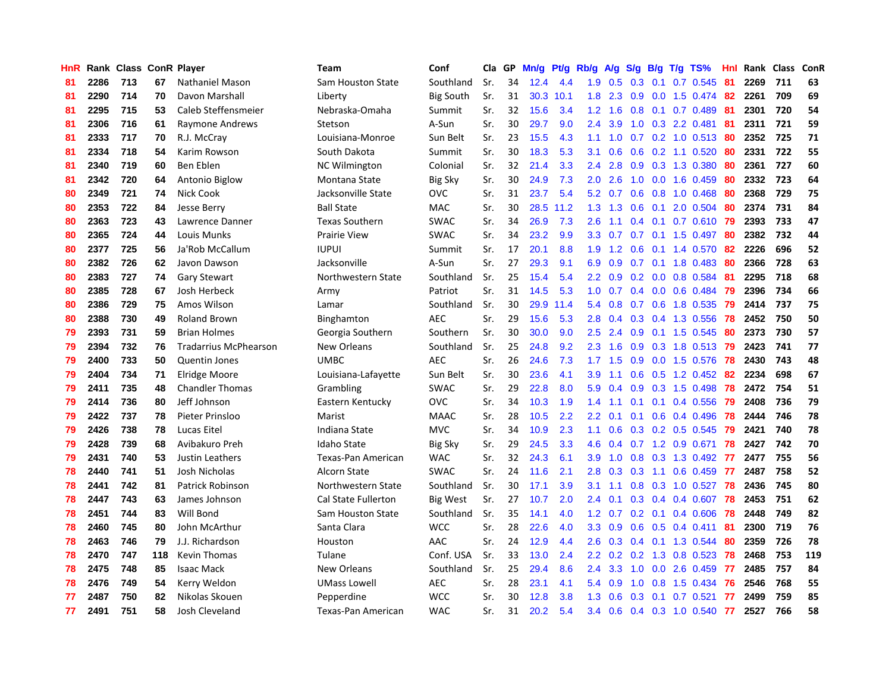| HnR |      | Rank Class ConR Player |     |                              | Team                     | Conf             | Cla | GP | Mn/g | Pt/g | Rb/g             | A/g | S/g           | B/g | $T/g$ TS%              | Hnl  | Rank Class |     | ConR |
|-----|------|------------------------|-----|------------------------------|--------------------------|------------------|-----|----|------|------|------------------|-----|---------------|-----|------------------------|------|------------|-----|------|
| 81  | 2286 | 713                    | 67  | Nathaniel Mason              | <b>Sam Houston State</b> | Southland        | Sr. | 34 | 12.4 | 4.4  | 1.9              | 0.5 | 0.3           | 0.1 | 0.7 0.545              | 81   | 2269       | 711 | 63   |
| 81  | 2290 | 714                    | 70  | Davon Marshall               | Liberty                  | <b>Big South</b> | Sr. | 31 | 30.3 | 10.1 | 1.8              | 2.3 | 0.9           |     | 0.0 1.5 0.474 82       |      | 2261       | 709 | 69   |
| 81  | 2295 | 715                    | 53  | Caleb Steffensmeier          | Nebraska-Omaha           | Summit           | Sr. | 32 | 15.6 | 3.4  | 1.2              | 1.6 |               |     | $0.8$ 0.1 0.7 0.489    | - 81 | 2301       | 720 | 54   |
| 81  | 2306 | 716                    | 61  | Raymone Andrews              | Stetson                  | A-Sun            | Sr. | 30 | 29.7 | 9.0  | $2.4^{\circ}$    | 3.9 | 1.0           |     | 0.3 2.2 0.481          | -81  | 2311       | 721 | 59   |
| 81  | 2333 | 717                    | 70  | R.J. McCray                  | Louisiana-Monroe         | Sun Belt         | Sr. | 23 | 15.5 | 4.3  | 1.1              | 1.0 | 0.7           |     | 0.2 1.0 0.513 80       |      | 2352       | 725 | 71   |
| 81  | 2334 | 718                    | 54  | Karim Rowson                 | South Dakota             | Summit           | Sr. | 30 | 18.3 | 5.3  | 3.1              | 0.6 | 0.6           |     | $0.2$ 1.1 $0.520$      | 80   | 2331       | 722 | 55   |
| 81  | 2340 | 719                    | 60  | Ben Eblen                    | <b>NC Wilmington</b>     | Colonial         | Sr. | 32 | 21.4 | 3.3  | 2.4              | 2.8 | 0.9           |     | 0.3 1.3 0.380          | -80  | 2361       | 727 | 60   |
| 81  | 2342 | 720                    | 64  | Antonio Biglow               | Montana State            | <b>Big Sky</b>   | Sr. | 30 | 24.9 | 7.3  | 2.0              | 2.6 | 1.0           |     | $0.0$ 1.6 $0.459$      | 80   | 2332       | 723 | 64   |
| 80  | 2349 | 721                    | 74  | Nick Cook                    | Jacksonville State       | <b>OVC</b>       | Sr. | 31 | 23.7 | 5.4  | 5.2              | 0.7 | 0.6           |     | 0.8 1.0 0.468          | -80  | 2368       | 729 | 75   |
| 80  | 2353 | 722                    | 84  | Jesse Berry                  | <b>Ball State</b>        | <b>MAC</b>       | Sr. | 30 | 28.5 | 11.2 | 1.3              | 1.3 | 0.6           | 0.1 | 2.0 0.504              | -80  | 2374       | 731 | 84   |
| 80  | 2363 | 723                    | 43  | Lawrence Danner              | <b>Texas Southern</b>    | <b>SWAC</b>      | Sr. | 34 | 26.9 | 7.3  | 2.6              | 1.1 |               |     | 0.4 0.1 0.7 0.610 79   |      | 2393       | 733 | 47   |
| 80  | 2365 | 724                    | 44  | Louis Munks                  | <b>Prairie View</b>      | <b>SWAC</b>      | Sr. | 34 | 23.2 | 9.9  | 3.3 <sub>2</sub> | 0.7 |               |     | 0.7 0.1 1.5 0.497 80   |      | 2382       | 732 | 44   |
| 80  | 2377 | 725                    | 56  | Ja'Rob McCallum              | <b>IUPUI</b>             | Summit           | Sr. | 17 | 20.1 | 8.8  | 1.9              | 1.2 | 0.6           |     | $0.1$ 1.4 $0.570$      | -82  | 2226       | 696 | 52   |
| 80  | 2382 | 726                    | 62  | Javon Dawson                 | Jacksonville             | A-Sun            | Sr. | 27 | 29.3 | 9.1  | 6.9              | 0.9 | 0.7           |     | $0.1$ 1.8 0.483        | -80  | 2366       | 728 | 63   |
| 80  | 2383 | 727                    | 74  | <b>Gary Stewart</b>          | Northwestern State       | Southland        | Sr. | 25 | 15.4 | 5.4  | 2.2              | 0.9 |               |     | $0.2$ 0.0 0.8 0.584    | -81  | 2295       | 718 | 68   |
| 80  | 2385 | 728                    | 67  | Josh Herbeck                 | Army                     | Patriot          | Sr. | 31 | 14.5 | 5.3  | 1.0              | 0.7 | $0.4^{\circ}$ |     | $0.0$ 0.6 0.484        | 79   | 2396       | 734 | 66   |
| 80  | 2386 | 729                    | 75  | Amos Wilson                  | Lamar                    | Southland        | Sr. | 30 | 29.9 | 11.4 | 5.4              | 0.8 | 0.7           |     | 0.6 1.8 0.535          | 79   | 2414       | 737 | 75   |
| 80  | 2388 | 730                    | 49  | <b>Roland Brown</b>          | Binghamton               | <b>AEC</b>       | Sr. | 29 | 15.6 | 5.3  | 2.8              | 0.4 | 0.3           |     | 0.4 1.3 0.556          | 78   | 2452       | 750 | 50   |
| 79  | 2393 | 731                    | 59  | <b>Brian Holmes</b>          | Georgia Southern         | Southern         | Sr. | 30 | 30.0 | 9.0  | 2.5              | 2.4 | 0.9           |     | $0.1$ 1.5 0.545        | -80  | 2373       | 730 | 57   |
| 79  | 2394 | 732                    | 76  | <b>Tradarrius McPhearson</b> | New Orleans              | Southland        | Sr. | 25 | 24.8 | 9.2  | 2.3              | 1.6 |               |     | 0.9 0.3 1.8 0.513 79   |      | 2423       | 741 | 77   |
| 79  | 2400 | 733                    | 50  | <b>Quentin Jones</b>         | <b>UMBC</b>              | <b>AEC</b>       | Sr. | 26 | 24.6 | 7.3  | 1.7              | 1.5 | 0.9           |     | $0.0$ 1.5 $0.576$      | -78  | 2430       | 743 | 48   |
| 79  | 2404 | 734                    | 71  | Elridge Moore                | Louisiana-Lafayette      | Sun Belt         | Sr. | 30 | 23.6 | 4.1  | 3.9              | 1.1 | 0.6           |     | $0.5$ 1.2 0.452        | -82  | 2234       | 698 | 67   |
| 79  | 2411 | 735                    | 48  | <b>Chandler Thomas</b>       | Grambling                | <b>SWAC</b>      | Sr. | 29 | 22.8 | 8.0  | 5.9              | 0.4 | 0.9           |     | 0.3 1.5 0.498          | 78   | 2472       | 754 | 51   |
| 79  | 2414 | 736                    | 80  | Jeff Johnson                 | Eastern Kentucky         | <b>OVC</b>       | Sr. | 34 | 10.3 | 1.9  | 1.4              | 1.1 | 0.1           |     | $0.1$ 0.4 0.556        | 79   | 2408       | 736 | 79   |
| 79  | 2422 | 737                    | 78  | Pieter Prinsloo              | Marist                   | <b>MAAC</b>      | Sr. | 28 | 10.5 | 2.2  | 2.2              | 0.1 | 0.1           |     | $0.6$ 0.4 0.496        | 78   | 2444       | 746 | 78   |
| 79  | 2426 | 738                    | 78  | Lucas Eitel                  | Indiana State            | <b>MVC</b>       | Sr. | 34 | 10.9 | 2.3  | 1.1              | 0.6 | 0.3           |     | 0.2 0.5 0.545          | 79   | 2421       | 740 | 78   |
| 79  | 2428 | 739                    | 68  | Avibakuro Preh               | <b>Idaho State</b>       | <b>Big Sky</b>   | Sr. | 29 | 24.5 | 3.3  | 4.6              | 0.4 |               |     | $0.7$ 1.2 0.9 0.671    | 78   | 2427       | 742 | 70   |
| 79  | 2431 | 740                    | 53  | Justin Leathers              | Texas-Pan American       | <b>WAC</b>       | Sr. | 32 | 24.3 | 6.1  | 3.9              | 1.0 |               |     | 0.8 0.3 1.3 0.492 77   |      | 2477       | 755 | 56   |
| 78  | 2440 | 741                    | 51  | Josh Nicholas                | Alcorn State             | <b>SWAC</b>      | Sr. | 24 | 11.6 | 2.1  | 2.8              | 0.3 |               |     | $0.3$ 1.1 0.6 0.459 77 |      | 2487       | 758 | 52   |
| 78  | 2441 | 742                    | 81  | Patrick Robinson             | Northwestern State       | Southland        | Sr. | 30 | 17.1 | 3.9  | 3.1              | 1.1 | 0.8           |     | 0.3 1.0 0.527 78       |      | 2436       | 745 | 80   |
| 78  | 2447 | 743                    | 63  | James Johnson                | Cal State Fullerton      | Big West         | Sr. | 27 | 10.7 | 2.0  | $2.4^{\circ}$    | 0.1 | 0.3           |     | $0.4$ 0.4 0.607        | 78   | 2453       | 751 | 62   |
| 78  | 2451 | 744                    | 83  | Will Bond                    | Sam Houston State        | Southland        | Sr. | 35 | 14.1 | 4.0  | 1.2              | 0.7 |               |     | $0.2$ 0.1 0.4 0.606    | 78   | 2448       | 749 | 82   |
| 78  | 2460 | 745                    | 80  | John McArthur                | Santa Clara              | <b>WCC</b>       | Sr. | 28 | 22.6 | 4.0  | 3.3 <sub>2</sub> | 0.9 | 0.6           | 0.5 | $0.4$ 0.411            | -81  | 2300       | 719 | 76   |
| 78  | 2463 | 746                    | 79  | J.J. Richardson              | Houston                  | AAC              | Sr. | 24 | 12.9 | 4.4  | 2.6              | 0.3 | 0.4           |     | 0.1 1.3 0.544          | 80   | 2359       | 726 | 78   |
| 78  | 2470 | 747                    | 118 | <b>Kevin Thomas</b>          | Tulane                   | Conf. USA        | Sr. | 33 | 13.0 | 2.4  | 2.2              | 0.2 | 0.2           |     | 1.3 0.8 0.523          | 78   | 2468       | 753 | 119  |
| 78  | 2475 | 748                    | 85  | <b>Isaac Mack</b>            | New Orleans              | Southland        | Sr. | 25 | 29.4 | 8.6  | 2.4              | 3.3 | 1.0           |     | $0.0$ 2.6 $0.459$      | -77  | 2485       | 757 | 84   |
| 78  | 2476 | 749                    | 54  | Kerry Weldon                 | <b>UMass Lowell</b>      | <b>AEC</b>       | Sr. | 28 | 23.1 | 4.1  | 5.4              | 0.9 | 1.0           |     | $0.8$ 1.5 0.434        | 76   | 2546       | 768 | 55   |
| 77  | 2487 | 750                    | 82  | Nikolas Skouen               | Pepperdine               | <b>WCC</b>       | Sr. | 30 | 12.8 | 3.8  | 1.3              | 0.6 | 0.3           |     | $0.1$ 0.7 0.521        | 77   | 2499       | 759 | 85   |
| 77  | 2491 | 751                    | 58  | Josh Cleveland               | Texas-Pan American       | <b>WAC</b>       | Sr. | 31 | 20.2 | 5.4  | $3.4^{\circ}$    | 0.6 |               |     | $0.4$ 0.3 1.0 0.540    | 77   | 2527       | 766 | 58   |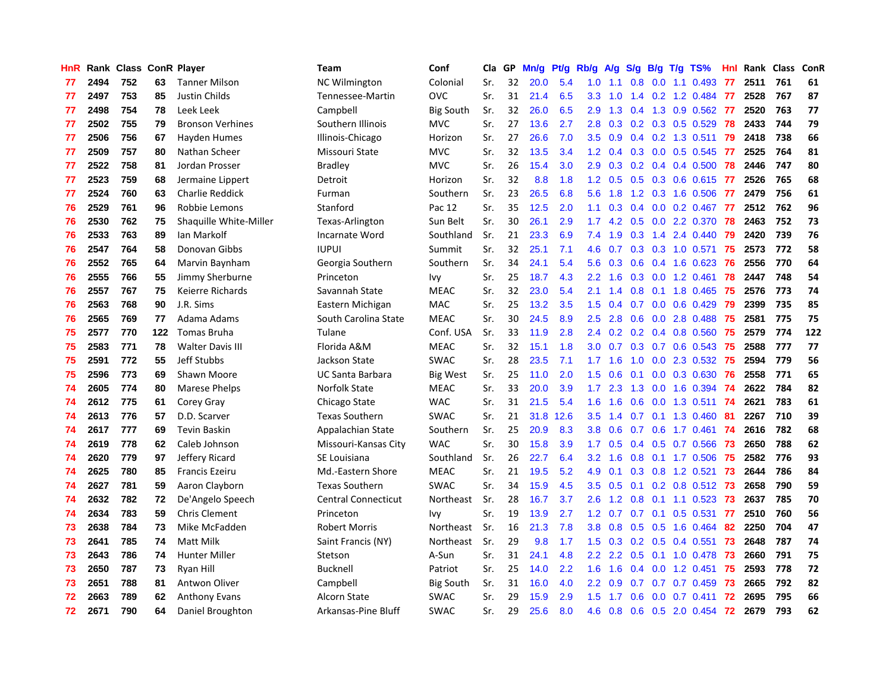| HnR |      | Rank Class ConR Player |     |                         | <b>Team</b>                | Conf             | Cla | GP | Mn/g | Pt/g | Rb/g             | A/g | S/g           |     | $B/g$ T/g TS%           | <b>Hnl</b> | Rank Class |     | ConR |
|-----|------|------------------------|-----|-------------------------|----------------------------|------------------|-----|----|------|------|------------------|-----|---------------|-----|-------------------------|------------|------------|-----|------|
| 77  | 2494 | 752                    | 63  | <b>Tanner Milson</b>    | NC Wilmington              | Colonial         | Sr. | 32 | 20.0 | 5.4  | 1.0              | 1.1 | 0.8           |     | $0.0$ 1.1 0.493         | 77         | 2511       | 761 | 61   |
| 77  | 2497 | 753                    | 85  | Justin Childs           | Tennessee-Martin           | <b>OVC</b>       | Sr. | 31 | 21.4 | 6.5  | 3.3 <sub>2</sub> | 1.0 |               |     | 1.4 0.2 1.2 0.484 77    |            | 2528       | 767 | 87   |
| 77  | 2498 | 754                    | 78  | Leek Leek               | Campbell                   | <b>Big South</b> | Sr. | 32 | 26.0 | 6.5  | 2.9              | 1.3 |               |     | 0.4 1.3 0.9 0.562 77    |            | 2520       | 763 | 77   |
| 77  | 2502 | 755                    | 79  | <b>Bronson Verhines</b> | Southern Illinois          | <b>MVC</b>       | Sr. | 27 | 13.6 | 2.7  | 2.8              | 0.3 |               |     | $0.2$ 0.3 0.5 0.529     | 78         | 2433       | 744 | 79   |
| 77  | 2506 | 756                    | 67  | Hayden Humes            | Illinois-Chicago           | Horizon          | Sr. | 27 | 26.6 | 7.0  | 3.5              | 0.9 | 0.4           |     | $0.2$ 1.3 0.511         | 79         | 2418       | 738 | 66   |
| 77  | 2509 | 757                    | 80  | Nathan Scheer           | Missouri State             | <b>MVC</b>       | Sr. | 32 | 13.5 | 3.4  | 1.2              | 0.4 | 0.3           |     | $0.0$ $0.5$ $0.545$     | 77         | 2525       | 764 | 81   |
| 77  | 2522 | 758                    | 81  | Jordan Prosser          | <b>Bradley</b>             | <b>MVC</b>       | Sr. | 26 | 15.4 | 3.0  | 2.9              | 0.3 |               |     | $0.2$ 0.4 0.4 0.500     | 78         | 2446       | 747 | 80   |
| 77  | 2523 | 759                    | 68  | Jermaine Lippert        | Detroit                    | Horizon          | Sr. | 32 | 8.8  | 1.8  | 1.2              | 0.5 | 0.5           |     | $0.3$ 0.6 0.615         | 77         | 2526       | 765 | 68   |
| 77  | 2524 | 760                    | 63  | Charlie Reddick         | Furman                     | Southern         | Sr. | 23 | 26.5 | 6.8  | 5.6              | 1.8 | 1.2           |     | 0.3 1.6 0.506           | 77         | 2479       | 756 | 61   |
| 76  | 2529 | 761                    | 96  | Robbie Lemons           | Stanford                   | Pac 12           | Sr. | 35 | 12.5 | 2.0  | 1.1              | 0.3 | 0.4           |     | $0.0$ $0.2$ $0.467$     | -77        | 2512       | 762 | 96   |
| 76  | 2530 | 762                    | 75  | Shaquille White-Miller  | Texas-Arlington            | Sun Belt         | Sr. | 30 | 26.1 | 2.9  | $1.7^{\circ}$    |     |               |     | 4.2 0.5 0.0 2.2 0.370   | 78         | 2463       | 752 | 73   |
| 76  | 2533 | 763                    | 89  | Ian Markolf             | Incarnate Word             | Southland        | Sr. | 21 | 23.3 | 6.9  | 7.4              | 1.9 |               |     | $0.3$ 1.4 2.4 0.440     | -79        | 2420       | 739 | 76   |
| 76  | 2547 | 764                    | 58  | Donovan Gibbs           | <b>IUPUI</b>               | Summit           | Sr. | 32 | 25.1 | 7.1  | 4.6              | 0.7 |               |     | $0.3$ 0.3 1.0 0.571     | 75         | 2573       | 772 | 58   |
| 76  | 2552 | 765                    | 64  | Marvin Baynham          | Georgia Southern           | Southern         | Sr. | 34 | 24.1 | 5.4  | 5.6              | 0.3 | 0.6           |     | 0.4 1.6 0.623           | -76        | 2556       | 770 | 64   |
| 76  | 2555 | 766                    | 55  | Jimmy Sherburne         | Princeton                  | Ivy              | Sr. | 25 | 18.7 | 4.3  | 2.2              | 1.6 | 0.3           |     | $0.0$ 1.2 $0.461$       | 78         | 2447       | 748 | 54   |
| 76  | 2557 | 767                    | 75  | Keierre Richards        | Savannah State             | <b>MEAC</b>      | Sr. | 32 | 23.0 | 5.4  | 2.1              | 1.4 | 0.8           |     | $0.1$ 1.8 0.465         | 75         | 2576       | 773 | 74   |
| 76  | 2563 | 768                    | 90  | J.R. Sims               | Eastern Michigan           | <b>MAC</b>       | Sr. | 25 | 13.2 | 3.5  | 1.5              | 0.4 | 0.7           | 0.0 | $0.6$ 0.429             | 79         | 2399       | 735 | 85   |
| 76  | 2565 | 769                    | 77  | Adama Adams             | South Carolina State       | <b>MEAC</b>      | Sr. | 30 | 24.5 | 8.9  | 2.5              | 2.8 | 0.6           |     | $0.0$ 2.8 0.488         | 75         | 2581       | 775 | 75   |
| 75  | 2577 | 770                    | 122 | <b>Tomas Bruha</b>      | Tulane                     | Conf. USA        | Sr. | 33 | 11.9 | 2.8  | 2.4              | 0.2 |               |     | $0.2$ 0.4 0.8 0.560     | 75         | 2579       | 774 | 122  |
| 75  | 2583 | 771                    | 78  | <b>Walter Davis III</b> | Florida A&M                | <b>MEAC</b>      | Sr. | 32 | 15.1 | 1.8  | 3.0              | 0.7 |               |     | 0.3 0.7 0.6 0.543 75    |            | 2588       | 777 | 77   |
| 75  | 2591 | 772                    | 55  | Jeff Stubbs             | Jackson State              | <b>SWAC</b>      | Sr. | 28 | 23.5 | 7.1  | $1.7^{\circ}$    | 1.6 | 1.0           |     | 0.0 2.3 0.532 75        |            | 2594       | 779 | 56   |
| 75  | 2596 | 773                    | 69  | Shawn Moore             | <b>UC Santa Barbara</b>    | Big West         | Sr. | 25 | 11.0 | 2.0  | 1.5              | 0.6 | 0.1           |     | $0.0$ $0.3$ $0.630$     | -76        | 2558       | 771 | 65   |
| 74  | 2605 | 774                    | 80  | Marese Phelps           | Norfolk State              | <b>MEAC</b>      | Sr. | 33 | 20.0 | 3.9  | 1.7 <sub>z</sub> | 2.3 | 1.3           |     | $0.0$ 1.6 0.394         | 74         | 2622       | 784 | 82   |
| 74  | 2612 | 775                    | 61  | Corey Gray              | Chicago State              | <b>WAC</b>       | Sr. | 31 | 21.5 | 5.4  | 1.6              | 1.6 | 0.6           |     | $0.0$ 1.3 0.511         | -74        | 2621       | 783 | 61   |
| 74  | 2613 | 776                    | 57  | D.D. Scarver            | <b>Texas Southern</b>      | <b>SWAC</b>      | Sr. | 21 | 31.8 | 12.6 | 3.5              | 1.4 | 0.7           |     | $0.1$ 1.3 0.460         | -81        | 2267       | 710 | 39   |
| 74  | 2617 | 777                    | 69  | Tevin Baskin            | Appalachian State          | Southern         | Sr. | 25 | 20.9 | 8.3  | 3.8              | 0.6 | 0.7           |     | 0.6 1.7 0.461           | 74         | 2616       | 782 | 68   |
| 74  | 2619 | 778                    | 62  | Caleb Johnson           | Missouri-Kansas City       | <b>WAC</b>       | Sr. | 30 | 15.8 | 3.9  | 1.7              | 0.5 |               |     | $0.4$ 0.5 0.7 0.566     | -73        | 2650       | 788 | 62   |
| 74  | 2620 | 779                    | 97  | Jeffery Ricard          | SE Louisiana               | Southland        | Sr. | 26 | 22.7 | 6.4  | 3.2              | 1.6 |               |     | 0.8 0.1 1.7 0.506 75    |            | 2582       | 776 | 93   |
| 74  | 2625 | 780                    | 85  | <b>Francis Ezeiru</b>   | Md.-Eastern Shore          | <b>MEAC</b>      | Sr. | 21 | 19.5 | 5.2  | 4.9              | 0.1 |               |     | $0.3$ $0.8$ 1.2 $0.521$ | -73        | 2644       | 786 | 84   |
| 74  | 2627 | 781                    | 59  | Aaron Clayborn          | <b>Texas Southern</b>      | <b>SWAC</b>      | Sr. | 34 | 15.9 | 4.5  | 3.5              | 0.5 | 0.1           |     | 0.2 0.8 0.512 73        |            | 2658       | 790 | 59   |
| 74  | 2632 | 782                    | 72  | De'Angelo Speech        | <b>Central Connecticut</b> | Northeast        | Sr. | 28 | 16.7 | 3.7  | 2.6              | 1.2 | 0.8           |     | $0.1$ 1.1 0.523         | 73         | 2637       | 785 | 70   |
| 74  | 2634 | 783                    | 59  | <b>Chris Clement</b>    | Princeton                  | Ivy              | Sr. | 19 | 13.9 | 2.7  | 1.2              | 0.7 | 0.7           | 0.1 | $0.5$ 0.531             | 77         | 2510       | 760 | 56   |
| 73  | 2638 | 784                    | 73  | Mike McFadden           | <b>Robert Morris</b>       | Northeast        | Sr. | 16 | 21.3 | 7.8  | 3.8              | 0.8 | 0.5           |     | 0.5 1.6 0.464           | 82         | 2250       | 704 | 47   |
| 73  | 2641 | 785                    | 74  | Matt Milk               | Saint Francis (NY)         | Northeast        | Sr. | 29 | 9.8  | 1.7  | 1.5              | 0.3 | 0.2           | 0.5 | 0.4 0.551               | 73         | 2648       | 787 | 74   |
| 73  | 2643 | 786                    | 74  | Hunter Miller           | Stetson                    | A-Sun            | Sr. | 31 | 24.1 | 4.8  | 2.2              | 2.2 | 0.5           |     | $0.1$ 1.0 0.478         | 73         | 2660       | 791 | 75   |
| 73  | 2650 | 787                    | 73  | Ryan Hill               | Bucknell                   | Patriot          | Sr. | 25 | 14.0 | 2.2  | 1.6              | 1.6 | $0.4^{\circ}$ |     | $0.0$ 1.2 0.451         | 75         | 2593       | 778 | 72   |
| 73  | 2651 | 788                    | 81  | Antwon Oliver           | Campbell                   | Big South        | Sr. | 31 | 16.0 | 4.0  | $2.2\phantom{0}$ | 0.9 | 0.7           |     | $0.7$ 0.7 0.459         | 73         | 2665       | 792 | 82   |
| 72  | 2663 | 789                    | 62  | <b>Anthony Evans</b>    | <b>Alcorn State</b>        | SWAC             | Sr. | 29 | 15.9 | 2.9  | 1.5              | 1.7 | 0.6           |     | $0.0$ 0.7 0.411         | 72         | 2695       | 795 | 66   |
| 72  | 2671 | 790                    | 64  | Daniel Broughton        | Arkansas-Pine Bluff        | <b>SWAC</b>      | Sr. | 29 | 25.6 | 8.0  | 4.6              | 0.8 | 0.6           |     | 0.5 2.0 0.454           | 72         | 2679       | 793 | 62   |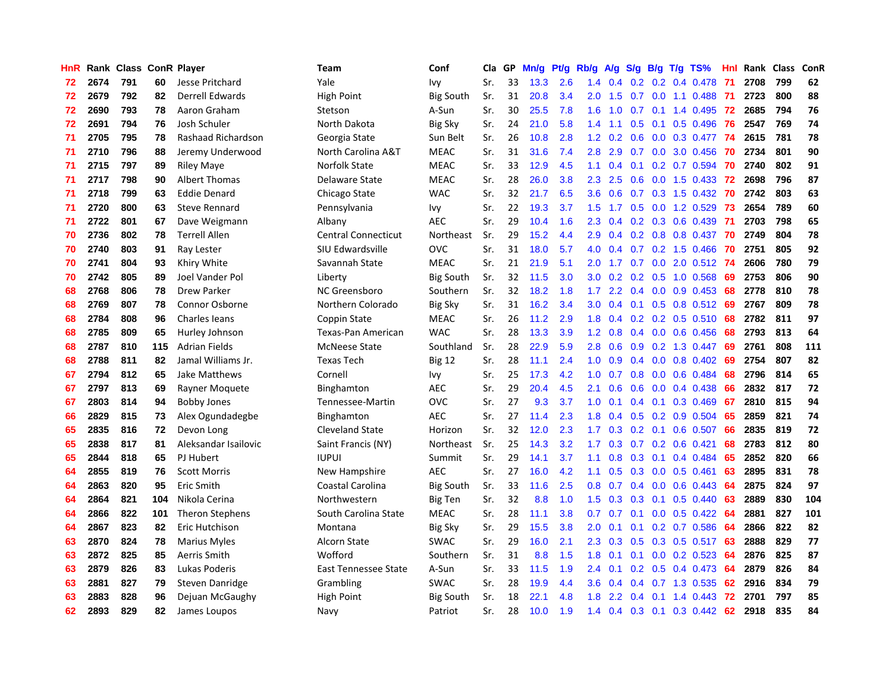| HnR |      | Rank Class ConR Player |     |                      | <b>Team</b>                | Conf             | Cla | GP | Mn/g | Pt/g | Rb/g             | A/g |               |     | S/g B/g T/g TS%                 | Hnl | Rank | <b>Class</b> | ConR |
|-----|------|------------------------|-----|----------------------|----------------------------|------------------|-----|----|------|------|------------------|-----|---------------|-----|---------------------------------|-----|------|--------------|------|
| 72  | 2674 | 791                    | 60  | Jesse Pritchard      | Yale                       | Ivy              | Sr. | 33 | 13.3 | 2.6  | 1.4              | 0.4 | 0.2           |     | $0.2$ 0.4 0.478                 | -71 | 2708 | 799          | 62   |
| 72  | 2679 | 792                    | 82  | Derrell Edwards      | High Point                 | <b>Big South</b> | Sr. | 31 | 20.8 | 3.4  | 2.0 <sub>1</sub> | 1.5 |               |     | 0.7 0.0 1.1 0.488 71            |     | 2723 | 800          | 88   |
| 72  | 2690 | 793                    | 78  | Aaron Graham         | Stetson                    | A-Sun            | Sr. | 30 | 25.5 | 7.8  | 1.6              | 1.0 |               |     | $0.7$ 0.1 1.4 0.495             | -72 | 2685 | 794          | 76   |
| 72  | 2691 | 794                    | 76  | Josh Schuler         | North Dakota               | Big Sky          | Sr. | 24 | 21.0 | 5.8  | $1.4^{\circ}$    | 1.1 | 0.5           |     | $0.1$ 0.5 0.496                 | 76  | 2547 | 769          | 74   |
| 71  | 2705 | 795                    | 78  | Rashaad Richardson   | Georgia State              | Sun Belt         | Sr. | 26 | 10.8 | 2.8  | 1.2              | 0.2 | 0.6           |     | $0.0$ $0.3$ $0.477$             | -74 | 2615 | 781          | 78   |
| 71  | 2710 | 796                    | 88  | Jeremy Underwood     | North Carolina A&T         | <b>MEAC</b>      | Sr. | 31 | 31.6 | 7.4  | 2.8              | 2.9 |               |     | 0.7 0.0 3.0 0.456               | 70  | 2734 | 801          | 90   |
| 71  | 2715 | 797                    | 89  | Riley Maye           | Norfolk State              | <b>MEAC</b>      | Sr. | 33 | 12.9 | 4.5  | 1.1              | 0.4 | 0.1           |     | $0.2$ 0.7 0.594                 | 70  | 2740 | 802          | 91   |
| 71  | 2717 | 798                    | 90  | Albert Thomas        | Delaware State             | <b>MEAC</b>      | Sr. | 28 | 26.0 | 3.8  | 2.3              | 2.5 | 0.6           |     | $0.0$ 1.5 0.433                 | 72  | 2698 | 796          | 87   |
| 71  | 2718 | 799                    | 63  | <b>Eddie Denard</b>  | Chicago State              | <b>WAC</b>       | Sr. | 32 | 21.7 | 6.5  | 3.6              | 0.6 | 0.7           |     | $0.3$ 1.5 0.432                 | -70 | 2742 | 803          | 63   |
| 71  | 2720 | 800                    | 63  | <b>Steve Rennard</b> | Pennsylvania               | Ivy              | Sr. | 22 | 19.3 | 3.7  | 1.5              | 1.7 |               |     | $0.5$ 0.0 1.2 0.529             | -73 | 2654 | 789          | 60   |
| 71  | 2722 | 801                    | 67  | Dave Weigmann        | Albany                     | <b>AEC</b>       | Sr. | 29 | 10.4 | 1.6  | $2.3^{\circ}$    |     |               |     | 0.4 0.2 0.3 0.6 0.439 71        |     | 2703 | 798          | 65   |
| 70  | 2736 | 802                    | 78  | <b>Terrell Allen</b> | <b>Central Connecticut</b> | Northeast        | Sr. | 29 | 15.2 | 4.4  | 2.9              | 0.4 |               |     | 0.2 0.8 0.8 0.437 70            |     | 2749 | 804          | 78   |
| 70  | 2740 | 803                    | 91  | Ray Lester           | SIU Edwardsville           | <b>OVC</b>       | Sr. | 31 | 18.0 | 5.7  | 4.0              | 0,4 |               |     | 0.7 0.2 1.5 0.466               | -70 | 2751 | 805          | 92   |
| 70  | 2741 | 804                    | 93  | Khiry White          | Savannah State             | <b>MEAC</b>      | Sr. | 21 | 21.9 | 5.1  | 2.0              | 1.7 | 0.7           |     | 0.0 2.0 0.512 74                |     | 2606 | 780          | 79   |
| 70  | 2742 | 805                    | 89  | Joel Vander Pol      | Liberty                    | <b>Big South</b> | Sr. | 32 | 11.5 | 3.0  | 3.0 <sub>2</sub> | 0.2 |               |     | 0.2 0.5 1.0 0.568               | -69 | 2753 | 806          | 90   |
| 68  | 2768 | 806                    | 78  | <b>Drew Parker</b>   | NC Greensboro              | Southern         | Sr. | 32 | 18.2 | 1.8  | 1.7 <sub>2</sub> | 2.2 | 0.4           |     | $0.0$ 0.9 0.453                 | 68  | 2778 | 810          | 78   |
| 68  | 2769 | 807                    | 78  | Connor Osborne       | Northern Colorado          | <b>Big Sky</b>   | Sr. | 31 | 16.2 | 3.4  | 3.0 <sub>1</sub> | 0.4 | 0.1           |     | 0.5 0.8 0.512 69                |     | 2767 | 809          | 78   |
| 68  | 2784 | 808                    | 96  | <b>Charles leans</b> | Coppin State               | <b>MEAC</b>      | Sr. | 26 | 11.2 | 2.9  | 1.8              | 0.4 |               |     | $0.2$ 0.2 0.5 0.510             | 68  | 2782 | 811          | 97   |
| 68  | 2785 | 809                    | 65  | Hurley Johnson       | Texas-Pan American         | <b>WAC</b>       | Sr. | 28 | 13.3 | 3.9  | 1.2 <sub>1</sub> | 0.8 |               |     | $0.4$ 0.0 0.6 0.456             | -68 | 2793 | 813          | 64   |
| 68  | 2787 | 810                    | 115 | Adrian Fields        | <b>McNeese State</b>       | Southland        | Sr. | 28 | 22.9 | 5.9  | 2.8              | 0.6 |               |     | $0.9$ $0.2$ 1.3 $0.447$         | 69  | 2761 | 808          | 111  |
| 68  | 2788 | 811                    | 82  | Jamal Williams Jr.   | <b>Texas Tech</b>          | <b>Big 12</b>    | Sr. | 28 | 11.1 | 2.4  | 1.0              | 0.9 |               |     | $0.4$ 0.0 0.8 0.402             | 69  | 2754 | 807          | 82   |
| 67  | 2794 | 812                    | 65  | Jake Matthews        | Cornell                    | Ivy              | Sr. | 25 | 17.3 | 4.2  | 1.0              | 0.7 | 0.8           |     | $0.0$ $0.6$ $0.484$             | 68  | 2796 | 814          | 65   |
| 67  | 2797 | 813                    | 69  | Rayner Moquete       | Binghamton                 | <b>AEC</b>       | Sr. | 29 | 20.4 | 4.5  | 2.1              | 0.6 | 0.6           |     | $0.0$ 0.4 0.438                 | 66  | 2832 | 817          | 72   |
| 67  | 2803 | 814                    | 94  | <b>Bobby Jones</b>   | Tennessee-Martin           | OVC              | Sr. | 27 | 9.3  | 3.7  | 1.0              | 0.1 | 0.4           | 0.1 | 0.3 0.469                       | 67  | 2810 | 815          | 94   |
| 66  | 2829 | 815                    | 73  | Alex Ogundadegbe     | Binghamton                 | <b>AEC</b>       | Sr. | 27 | 11.4 | 2.3  | 1.8              | 0.4 | 0.5           |     | $0.2$ 0.9 0.504                 | 65  | 2859 | 821          | 74   |
| 65  | 2835 | 816                    | 72  | Devon Long           | <b>Cleveland State</b>     | Horizon          | Sr. | 32 | 12.0 | 2.3  | 1.7 <sup>2</sup> | 0.3 |               |     | $0.2$ 0.1 0.6 0.507             | 66  | 2835 | 819          | 72   |
| 65  | 2838 | 817                    | 81  | Aleksandar Isailovic | Saint Francis (NY)         | Northeast        | Sr. | 25 | 14.3 | 3.2  | 1.7 <sub>z</sub> |     |               |     | $0.3$ 0.7 0.2 0.6 0.421         | 68  | 2783 | 812          | 80   |
| 65  | 2844 | 818                    | 65  | PJ Hubert            | <b>IUPUI</b>               | Summit           | Sr. | 29 | 14.1 | 3.7  | 1.1              | 0.8 |               |     | $0.3$ 0.1 0.4 0.484             | -65 | 2852 | 820          | 66   |
| 64  | 2855 | 819                    | 76  | <b>Scott Morris</b>  | New Hampshire              | AEC              | Sr. | 27 | 16.0 | 4.2  | 1.1              | 0.5 |               |     | $0.3$ 0.0 0.5 0.461             | 63  | 2895 | 831          | 78   |
| 64  | 2863 | 820                    | 95  | Eric Smith           | Coastal Carolina           | <b>Big South</b> | Sr. | 33 | 11.6 | 2.5  | 0.8              | 0.7 | 0.4           |     | $0.0$ 0.6 0.443                 | -64 | 2875 | 824          | 97   |
| 64  | 2864 | 821                    | 104 | Nikola Cerina        | Northwestern               | <b>Big Ten</b>   | Sr. | 32 | 8.8  | 1.0  | 1.5              | 0.3 | 0.3           |     | $0.1$ 0.5 0.440                 | 63  | 2889 | 830          | 104  |
| 64  | 2866 | 822                    | 101 | Theron Stephens      | South Carolina State       | <b>MEAC</b>      | Sr. | 28 | 11.1 | 3.8  | 0.7              | 0.7 | 0.1           |     | $0.0$ $0.5$ $0.422$             | -64 | 2881 | 827          | 101  |
| 64  | 2867 | 823                    | 82  | Eric Hutchison       | Montana                    | <b>Big Sky</b>   | Sr. | 29 | 15.5 | 3.8  | 2.0 <sub>1</sub> | 0.1 | 0.1           |     | $0.2$ 0.7 0.586                 | -64 | 2866 | 822          | 82   |
| 63  | 2870 | 824                    | 78  | <b>Marius Myles</b>  | Alcorn State               | <b>SWAC</b>      | Sr. | 29 | 16.0 | 2.1  | 2.3              | 0.3 | 0.5           |     | $0.3$ 0.5 0.517                 | 63  | 2888 | 829          | 77   |
| 63  | 2872 | 825                    | 85  | Aerris Smith         | Wofford                    | Southern         | Sr. | 31 | 8.8  | 1.5  | 1.8              | 0.1 | 0.1           |     | $0.0$ 0.2 0.523                 | -64 | 2876 | 825          | 87   |
| 63  | 2879 | 826                    | 83  | Lukas Poderis        | East Tennessee State       | A-Sun            | Sr. | 33 | 11.5 | 1.9  | 2.4              | 0.1 |               |     | 0.2 0.5 0.4 0.473 64            |     | 2879 | 826          | 84   |
| 63  | 2881 | 827                    | 79  | Steven Danridge      | Grambling                  | <b>SWAC</b>      | Sr. | 28 | 19.9 | 4.4  | 3.6              | 0.4 | $0.4^{\circ}$ |     | $0.7$ 1.3 0.535                 | 62  | 2916 | 834          | 79   |
| 63  | 2883 | 828                    | 96  | Dejuan McGaughy      | High Point                 | <b>Big South</b> | Sr. | 18 | 22.1 | 4.8  | 1.8              | 2.2 | 0.4           | 0.1 | 1.4 0.443                       | 72  | 2701 | 797          | 85   |
| 62  | 2893 | 829                    | 82  | James Loupos         | Navy                       | Patriot          | Sr. | 28 | 10.0 | 1.9  | 1.4              |     |               |     | $0.4$ $0.3$ $0.1$ $0.3$ $0.442$ | 62  | 2918 | 835          | 84   |